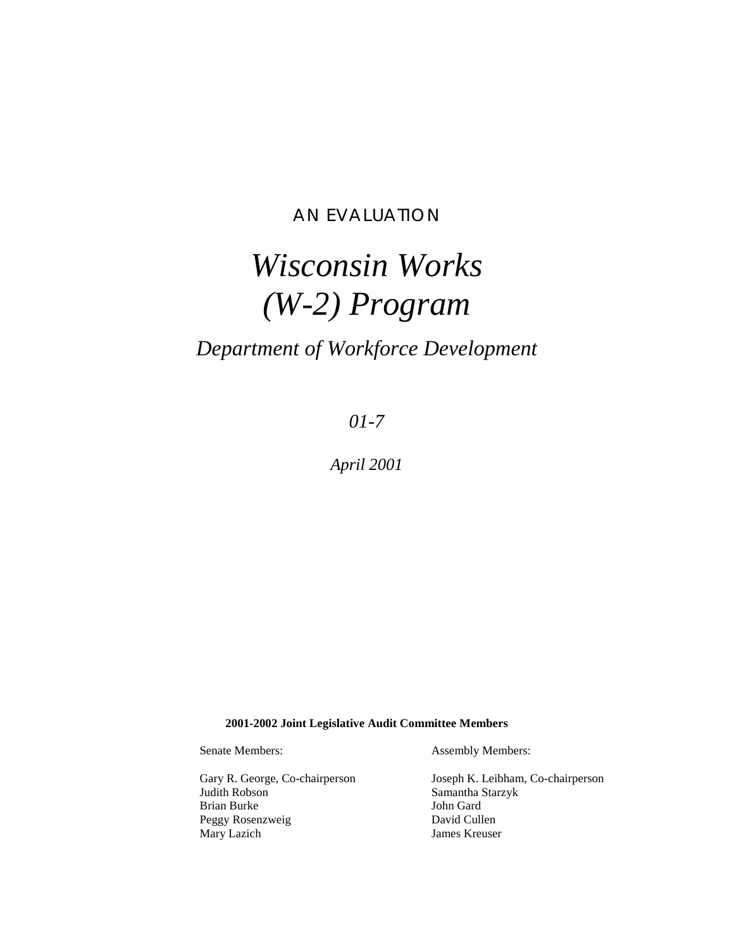# AN EVALUATION

# *Wisconsin Works (W-2) Program*

# *Department of Workforce Development*

*01-7*

*April 2001*

**2001-2002 Joint Legislative Audit Committee Members**

Gary R. George, Co-chairperson Joseph K. Leibham, Co-chairperson Judith Robson Samantha Starzyk Brian Burke Peggy Rosenzweig David Cullen

Senate Members: Assembly Members:

Mary Lazich James Kreuser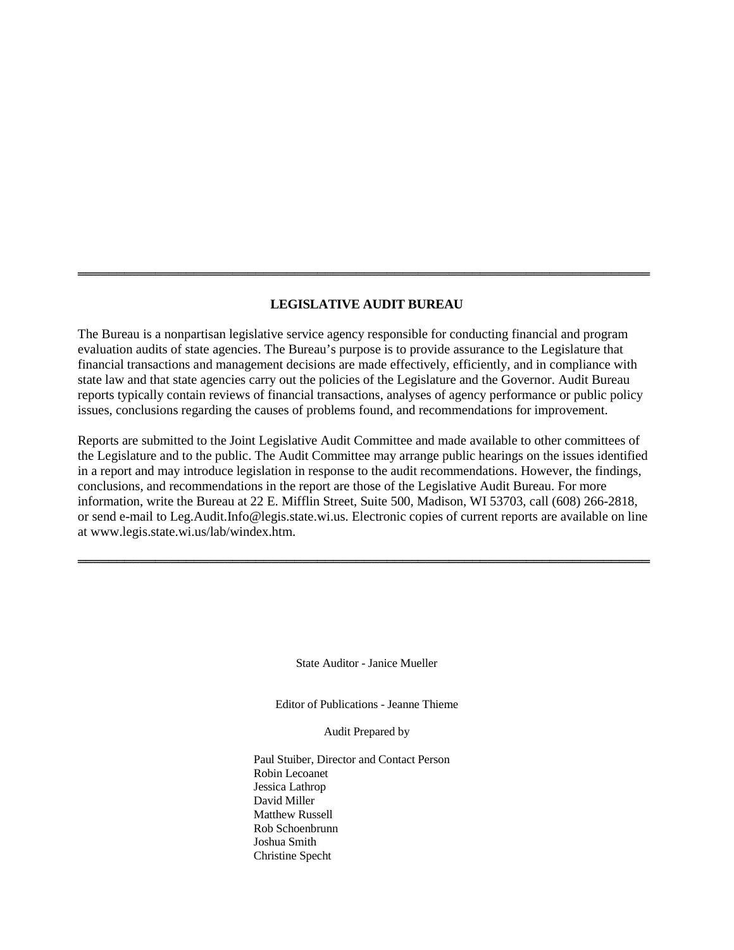#### **LEGISLATIVE AUDIT BUREAU**

══════════════════════════════════════════════════════════════════════════

The Bureau is a nonpartisan legislative service agency responsible for conducting financial and program evaluation audits of state agencies. The Bureau's purpose is to provide assurance to the Legislature that financial transactions and management decisions are made effectively, efficiently, and in compliance with state law and that state agencies carry out the policies of the Legislature and the Governor. Audit Bureau reports typically contain reviews of financial transactions, analyses of agency performance or public policy issues, conclusions regarding the causes of problems found, and recommendations for improvement.

Reports are submitted to the Joint Legislative Audit Committee and made available to other committees of the Legislature and to the public. The Audit Committee may arrange public hearings on the issues identified in a report and may introduce legislation in response to the audit recommendations. However, the findings, conclusions, and recommendations in the report are those of the Legislative Audit Bureau. For more information, write the Bureau at 22 E. Mifflin Street, Suite 500, Madison, WI 53703, call (608) 266-2818, or send e-mail to Leg.Audit.Info@legis.state.wi.us. Electronic copies of current reports are available on line at www.legis.state.wi.us/lab/windex.htm.

══════════════════════════════════════════════════════════════════════════

State Auditor - Janice Mueller

Editor of Publications - Jeanne Thieme

Audit Prepared by

Paul Stuiber, Director and Contact Person Robin Lecoanet Jessica Lathrop David Miller Matthew Russell Rob Schoenbrunn Joshua Smith Christine Specht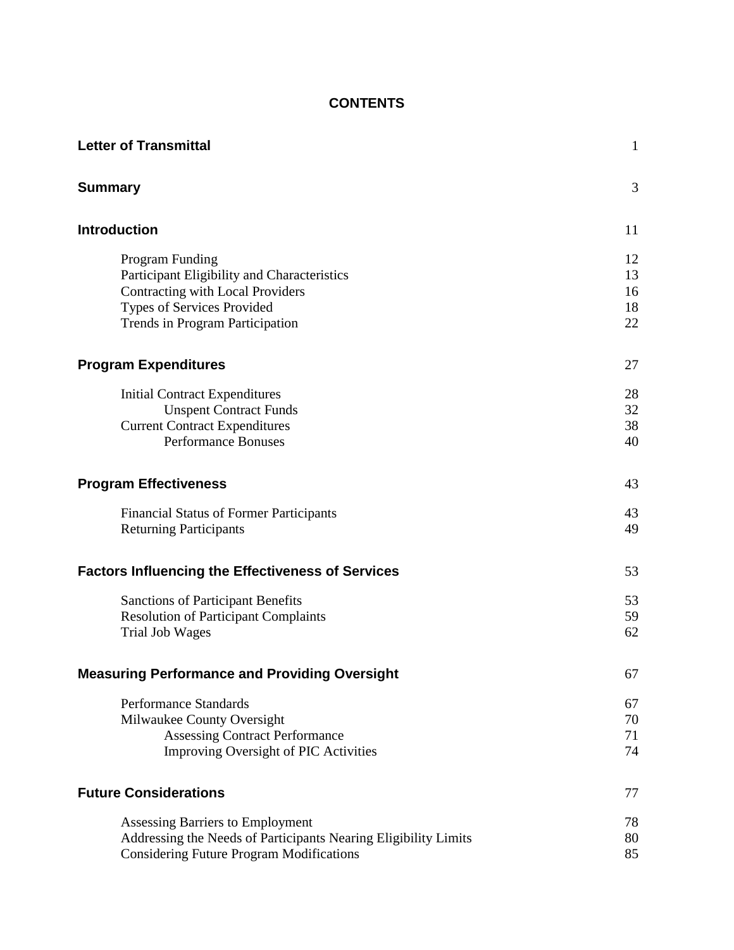# **CONTENTS**

| <b>Letter of Transmittal</b>                                                                                                                                               | $\mathbf{1}$               |
|----------------------------------------------------------------------------------------------------------------------------------------------------------------------------|----------------------------|
| <b>Summary</b>                                                                                                                                                             | 3                          |
| <b>Introduction</b>                                                                                                                                                        | 11                         |
| Program Funding<br>Participant Eligibility and Characteristics<br>Contracting with Local Providers<br><b>Types of Services Provided</b><br>Trends in Program Participation | 12<br>13<br>16<br>18<br>22 |
| <b>Program Expenditures</b>                                                                                                                                                | 27                         |
| <b>Initial Contract Expenditures</b><br><b>Unspent Contract Funds</b><br><b>Current Contract Expenditures</b><br><b>Performance Bonuses</b>                                | 28<br>32<br>38<br>40       |
| <b>Program Effectiveness</b>                                                                                                                                               | 43                         |
| <b>Financial Status of Former Participants</b><br><b>Returning Participants</b>                                                                                            | 43<br>49                   |
| <b>Factors Influencing the Effectiveness of Services</b>                                                                                                                   | 53                         |
| <b>Sanctions of Participant Benefits</b><br><b>Resolution of Participant Complaints</b><br><b>Trial Job Wages</b>                                                          | 53<br>59<br>62             |
| <b>Measuring Performance and Providing Oversight</b>                                                                                                                       | 67                         |
| Performance Standards<br>Milwaukee County Oversight<br><b>Assessing Contract Performance</b><br><b>Improving Oversight of PIC Activities</b>                               | 67<br>70<br>71<br>74       |
| <b>Future Considerations</b>                                                                                                                                               | 77                         |
| Assessing Barriers to Employment<br>Addressing the Needs of Participants Nearing Eligibility Limits<br><b>Considering Future Program Modifications</b>                     | 78<br>80<br>85             |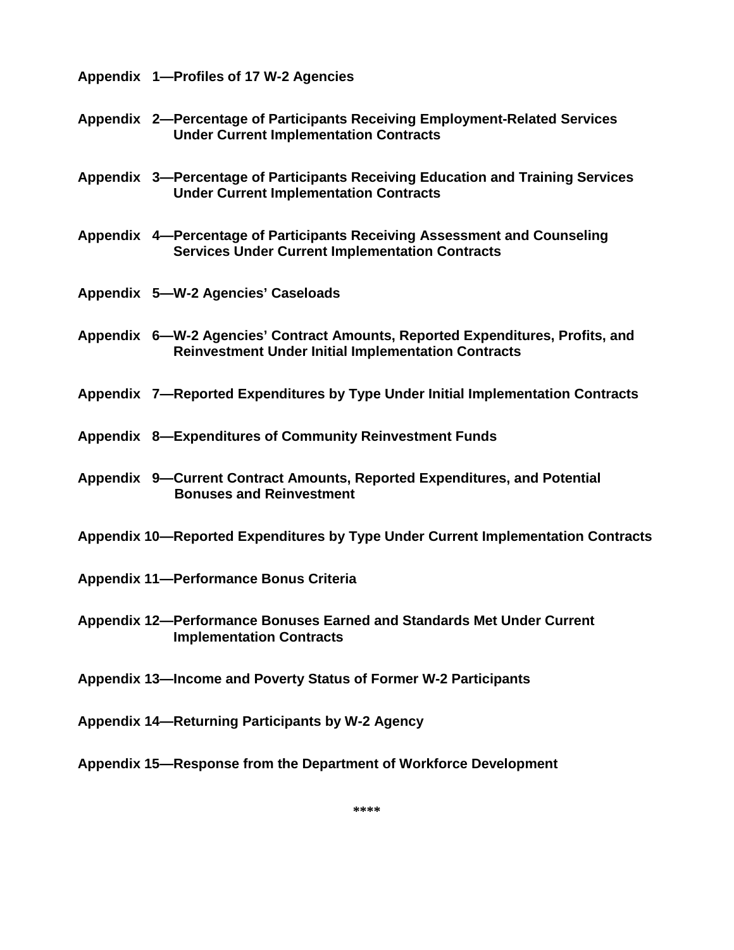**[Appendix 1—Profiles of 17 W-2 Agencies](#page-91-0)**

- **[Appendix 2—Percentage of Participants Receiving Employment-Related Services](#page-159-0)  Under Current Implementation Contracts**
- **[Appendix 3—Percentage of Participants Receiving Education and Training Services](#page-163-0)  Under Current Implementation Contracts**
- **[Appendix 4—Percentage of Participants Receiving Assessment and Counseling](#page-169-0)  Services Under Current Implementation Contracts**
- **[Appendix 5—W-2 Agencies' Caseloads](#page-173-0)**
- **[Appendix 6—W-2 Agencies' Contract Amounts, Reported Expenditures, Profits, and](#page-177-0)  Reinvestment Under Initial Implementation Contracts**
- **[Appendix 7—Reported Expenditures by Type Under Initial Implementation Contracts](#page-181-0)**
- **[Appendix 8—Expenditures of Community Reinvestment Funds](#page-185-0)**
- **[Appendix 9—Current Contract Amounts, Reported Expenditures, and Potential](#page-189-0)  Bonuses and Reinvestment**
- **[Appendix 10—Reported Expenditures by Type Under Current Implementation Contracts](#page-193-0)**
- **[Appendix 11—Performance Bonus Criteria](#page-197-0)**
- **[Appendix 12—Performance Bonuses Earned and Standards Met Under Current](#page-199-0)  Implementation Contracts**
- **[Appendix 13—Income and Poverty Status of Former W-2 Participants](#page-207-0)**
- **[Appendix 14—Returning Participants by W-2 Agency](#page-211-0)**
- **[Appendix 15—Response from the Department of Workforce Development](#page-215-0)**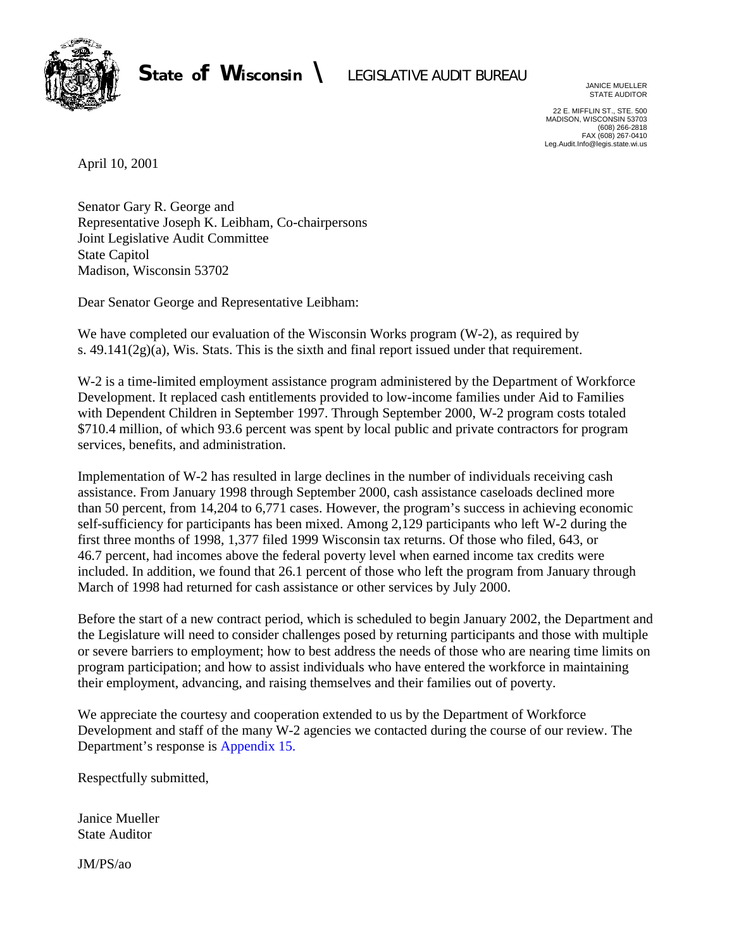<span id="page-4-0"></span>

JANICE MUELLER STATE AUDITOR

22 E. MIFFLIN ST., STE. 500 MADISON, WISCONSIN 53703 (608) 266-2818 FAX (608) 267-0410 Leg.Audit.Info@legis.state.wi.us

April 10, 2001

Senator Gary R. George and Representative Joseph K. Leibham, Co-chairpersons Joint Legislative Audit Committee State Capitol Madison, Wisconsin 53702

Dear Senator George and Representative Leibham:

We have completed our evaluation of the Wisconsin Works program (W-2), as required by s. 49.141(2g)(a), Wis. Stats. This is the sixth and final report issued under that requirement.

W-2 is a time-limited employment assistance program administered by the Department of Workforce Development. It replaced cash entitlements provided to low-income families under Aid to Families with Dependent Children in September 1997. Through September 2000, W-2 program costs totaled \$710.4 million, of which 93.6 percent was spent by local public and private contractors for program services, benefits, and administration.

Implementation of W-2 has resulted in large declines in the number of individuals receiving cash assistance. From January 1998 through September 2000, cash assistance caseloads declined more than 50 percent, from 14,204 to 6,771 cases. However, the program's success in achieving economic self-sufficiency for participants has been mixed. Among 2,129 participants who left W-2 during the first three months of 1998, 1,377 filed 1999 Wisconsin tax returns. Of those who filed, 643, or 46.7 percent, had incomes above the federal poverty level when earned income tax credits were included. In addition, we found that 26.1 percent of those who left the program from January through March of 1998 had returned for cash assistance or other services by July 2000.

Before the start of a new contract period, which is scheduled to begin January 2002, the Department and the Legislature will need to consider challenges posed by returning participants and those with multiple or severe barriers to employment; how to best address the needs of those who are nearing time limits on program participation; and how to assist individuals who have entered the workforce in maintaining their employment, advancing, and raising themselves and their families out of poverty.

We appreciate the courtesy and cooperation extended to us by the Department of Workforce Development and staff of the many W-2 agencies we contacted during the course of our review. The Department's response is [Appendix 15.](#page-215-0)

Respectfully submitted,

Janice Mueller State Auditor

JM/PS/ao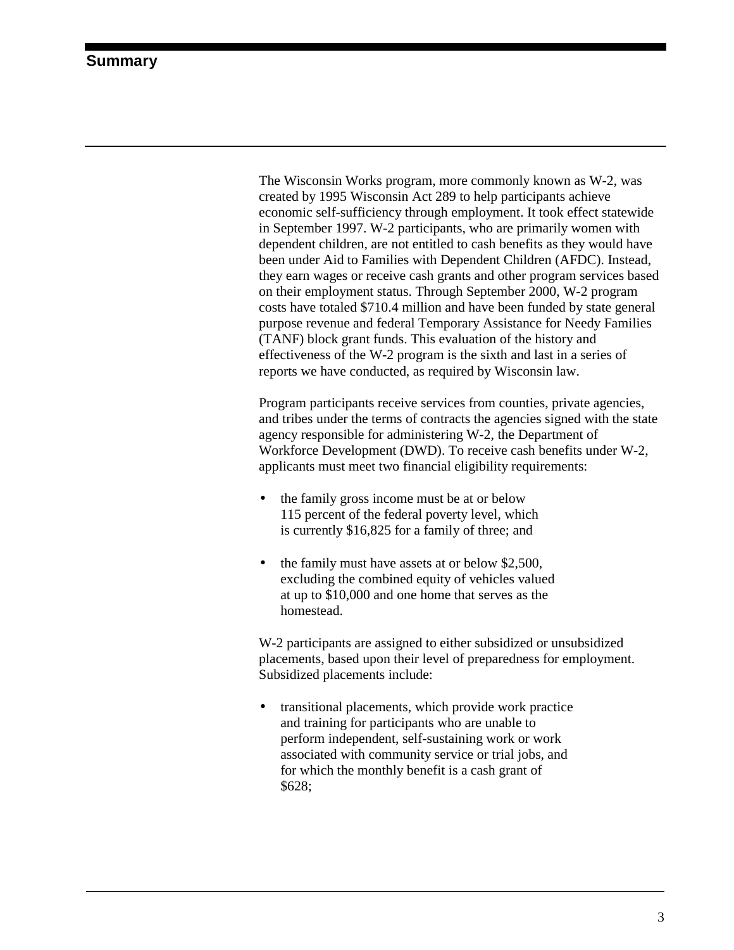<span id="page-5-0"></span>The Wisconsin Works program, more commonly known as W-2, was created by 1995 Wisconsin Act 289 to help participants achieve economic self-sufficiency through employment. It took effect statewide in September 1997. W-2 participants, who are primarily women with dependent children, are not entitled to cash benefits as they would have been under Aid to Families with Dependent Children (AFDC). Instead, they earn wages or receive cash grants and other program services based on their employment status. Through September 2000, W-2 program costs have totaled \$710.4 million and have been funded by state general purpose revenue and federal Temporary Assistance for Needy Families (TANF) block grant funds. This evaluation of the history and effectiveness of the W-2 program is the sixth and last in a series of reports we have conducted, as required by Wisconsin law.

Program participants receive services from counties, private agencies, and tribes under the terms of contracts the agencies signed with the state agency responsible for administering W-2, the Department of Workforce Development (DWD). To receive cash benefits under W-2, applicants must meet two financial eligibility requirements:

- the family gross income must be at or below 115 percent of the federal poverty level, which is currently \$16,825 for a family of three; and
- the family must have assets at or below \$2,500, excluding the combined equity of vehicles valued at up to \$10,000 and one home that serves as the homestead.

W-2 participants are assigned to either subsidized or unsubsidized placements, based upon their level of preparedness for employment. Subsidized placements include:

• transitional placements, which provide work practice and training for participants who are unable to perform independent, self-sustaining work or work associated with community service or trial jobs, and for which the monthly benefit is a cash grant of \$628;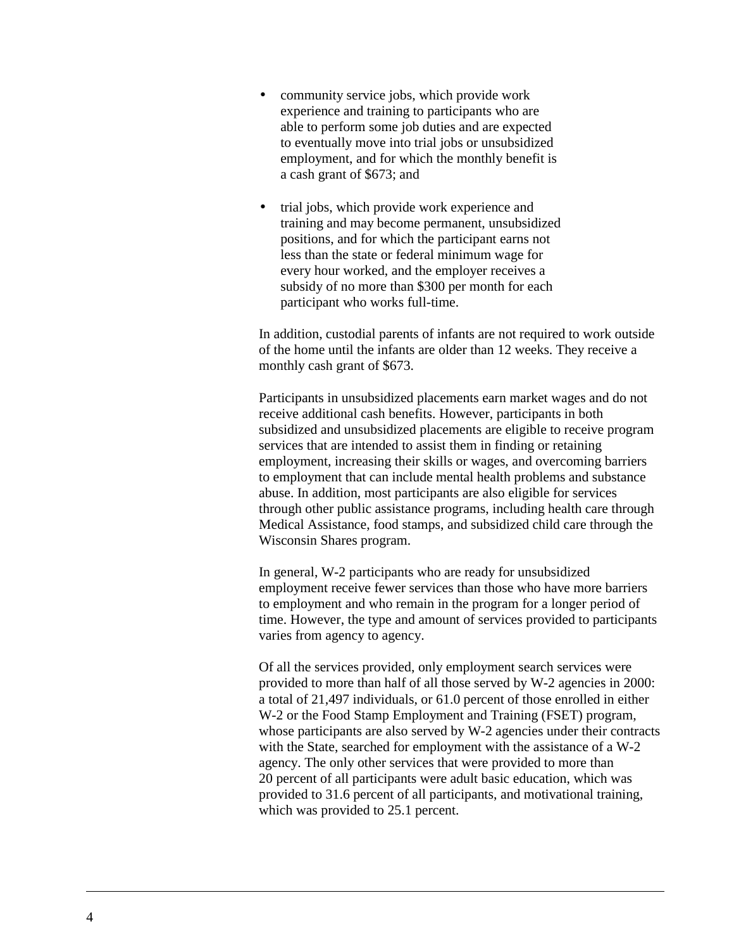- community service jobs, which provide work experience and training to participants who are able to perform some job duties and are expected to eventually move into trial jobs or unsubsidized employment, and for which the monthly benefit is a cash grant of \$673; and
- trial jobs, which provide work experience and training and may become permanent, unsubsidized positions, and for which the participant earns not less than the state or federal minimum wage for every hour worked, and the employer receives a subsidy of no more than \$300 per month for each participant who works full-time.

In addition, custodial parents of infants are not required to work outside of the home until the infants are older than 12 weeks. They receive a monthly cash grant of \$673.

Participants in unsubsidized placements earn market wages and do not receive additional cash benefits. However, participants in both subsidized and unsubsidized placements are eligible to receive program services that are intended to assist them in finding or retaining employment, increasing their skills or wages, and overcoming barriers to employment that can include mental health problems and substance abuse. In addition, most participants are also eligible for services through other public assistance programs, including health care through Medical Assistance, food stamps, and subsidized child care through the Wisconsin Shares program.

In general, W-2 participants who are ready for unsubsidized employment receive fewer services than those who have more barriers to employment and who remain in the program for a longer period of time. However, the type and amount of services provided to participants varies from agency to agency.

Of all the services provided, only employment search services were provided to more than half of all those served by W-2 agencies in 2000: a total of 21,497 individuals, or 61.0 percent of those enrolled in either W-2 or the Food Stamp Employment and Training (FSET) program, whose participants are also served by W-2 agencies under their contracts with the State, searched for employment with the assistance of a W-2 agency. The only other services that were provided to more than 20 percent of all participants were adult basic education, which was provided to 31.6 percent of all participants, and motivational training, which was provided to 25.1 percent.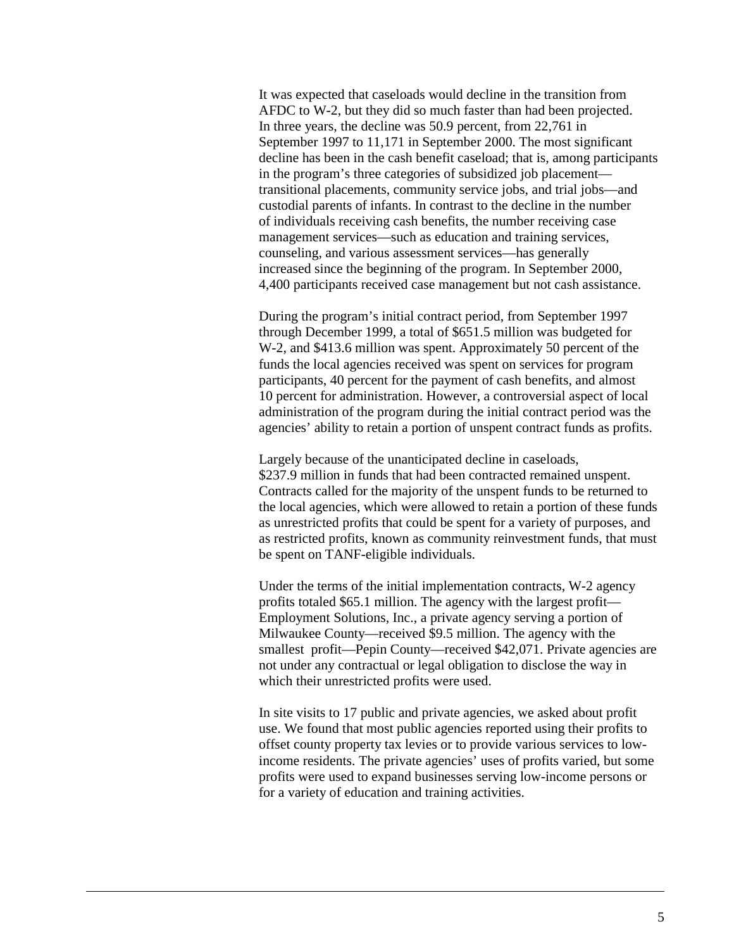It was expected that caseloads would decline in the transition from AFDC to W-2, but they did so much faster than had been projected. In three years, the decline was 50.9 percent, from 22,761 in September 1997 to 11,171 in September 2000. The most significant decline has been in the cash benefit caseload; that is, among participants in the program's three categories of subsidized job placement transitional placements, community service jobs, and trial jobs—and custodial parents of infants. In contrast to the decline in the number of individuals receiving cash benefits, the number receiving case management services—such as education and training services, counseling, and various assessment services—has generally increased since the beginning of the program. In September 2000, 4,400 participants received case management but not cash assistance.

During the program's initial contract period, from September 1997 through December 1999, a total of \$651.5 million was budgeted for W-2, and \$413.6 million was spent. Approximately 50 percent of the funds the local agencies received was spent on services for program participants, 40 percent for the payment of cash benefits, and almost 10 percent for administration. However, a controversial aspect of local administration of the program during the initial contract period was the agencies' ability to retain a portion of unspent contract funds as profits.

Largely because of the unanticipated decline in caseloads, \$237.9 million in funds that had been contracted remained unspent. Contracts called for the majority of the unspent funds to be returned to the local agencies, which were allowed to retain a portion of these funds as unrestricted profits that could be spent for a variety of purposes, and as restricted profits, known as community reinvestment funds, that must be spent on TANF-eligible individuals.

Under the terms of the initial implementation contracts, W-2 agency profits totaled \$65.1 million. The agency with the largest profit— Employment Solutions, Inc., a private agency serving a portion of Milwaukee County—received \$9.5 million. The agency with the smallest profit—Pepin County—received \$42,071. Private agencies are not under any contractual or legal obligation to disclose the way in which their unrestricted profits were used.

In site visits to 17 public and private agencies, we asked about profit use. We found that most public agencies reported using their profits to offset county property tax levies or to provide various services to lowincome residents. The private agencies' uses of profits varied, but some profits were used to expand businesses serving low-income persons or for a variety of education and training activities.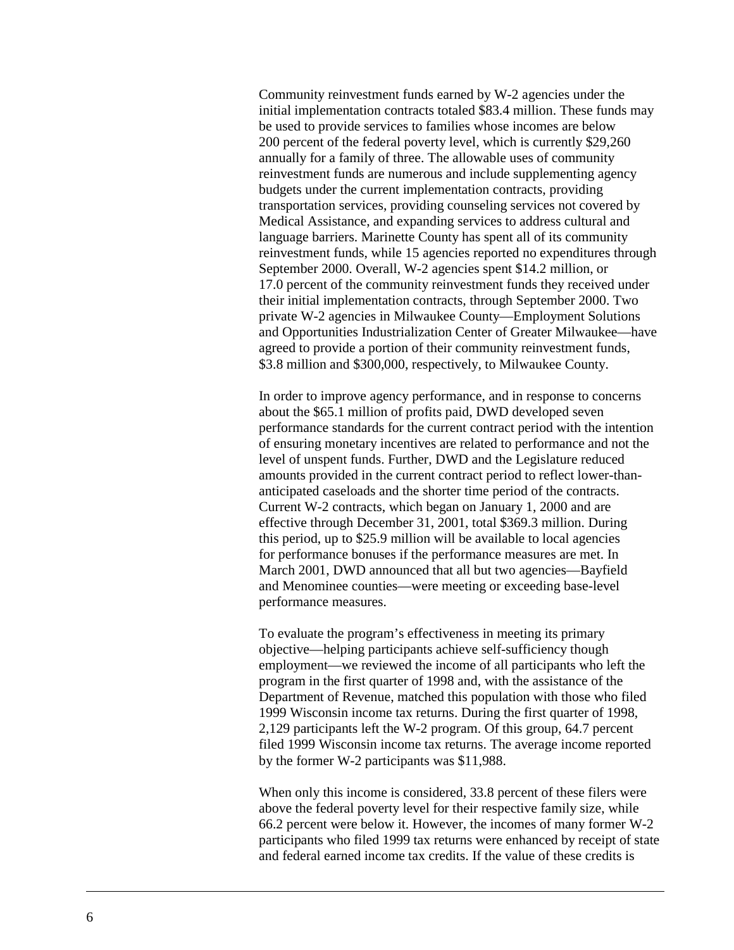Community reinvestment funds earned by W-2 agencies under the initial implementation contracts totaled \$83.4 million. These funds may be used to provide services to families whose incomes are below 200 percent of the federal poverty level, which is currently \$29,260 annually for a family of three. The allowable uses of community reinvestment funds are numerous and include supplementing agency budgets under the current implementation contracts, providing transportation services, providing counseling services not covered by Medical Assistance, and expanding services to address cultural and language barriers. Marinette County has spent all of its community reinvestment funds, while 15 agencies reported no expenditures through September 2000. Overall, W-2 agencies spent \$14.2 million, or 17.0 percent of the community reinvestment funds they received under their initial implementation contracts, through September 2000. Two private W-2 agencies in Milwaukee County—Employment Solutions and Opportunities Industrialization Center of Greater Milwaukee—have agreed to provide a portion of their community reinvestment funds, \$3.8 million and \$300,000, respectively, to Milwaukee County.

In order to improve agency performance, and in response to concerns about the \$65.1 million of profits paid, DWD developed seven performance standards for the current contract period with the intention of ensuring monetary incentives are related to performance and not the level of unspent funds. Further, DWD and the Legislature reduced amounts provided in the current contract period to reflect lower-thananticipated caseloads and the shorter time period of the contracts. Current W-2 contracts, which began on January 1, 2000 and are effective through December 31, 2001, total \$369.3 million. During this period, up to \$25.9 million will be available to local agencies for performance bonuses if the performance measures are met. In March 2001, DWD announced that all but two agencies—Bayfield and Menominee counties—were meeting or exceeding base-level performance measures.

To evaluate the program's effectiveness in meeting its primary objective—helping participants achieve self-sufficiency though employment—we reviewed the income of all participants who left the program in the first quarter of 1998 and, with the assistance of the Department of Revenue, matched this population with those who filed 1999 Wisconsin income tax returns. During the first quarter of 1998, 2,129 participants left the W-2 program. Of this group, 64.7 percent filed 1999 Wisconsin income tax returns. The average income reported by the former W-2 participants was \$11,988.

When only this income is considered, 33.8 percent of these filers were above the federal poverty level for their respective family size, while 66.2 percent were below it. However, the incomes of many former W-2 participants who filed 1999 tax returns were enhanced by receipt of state and federal earned income tax credits. If the value of these credits is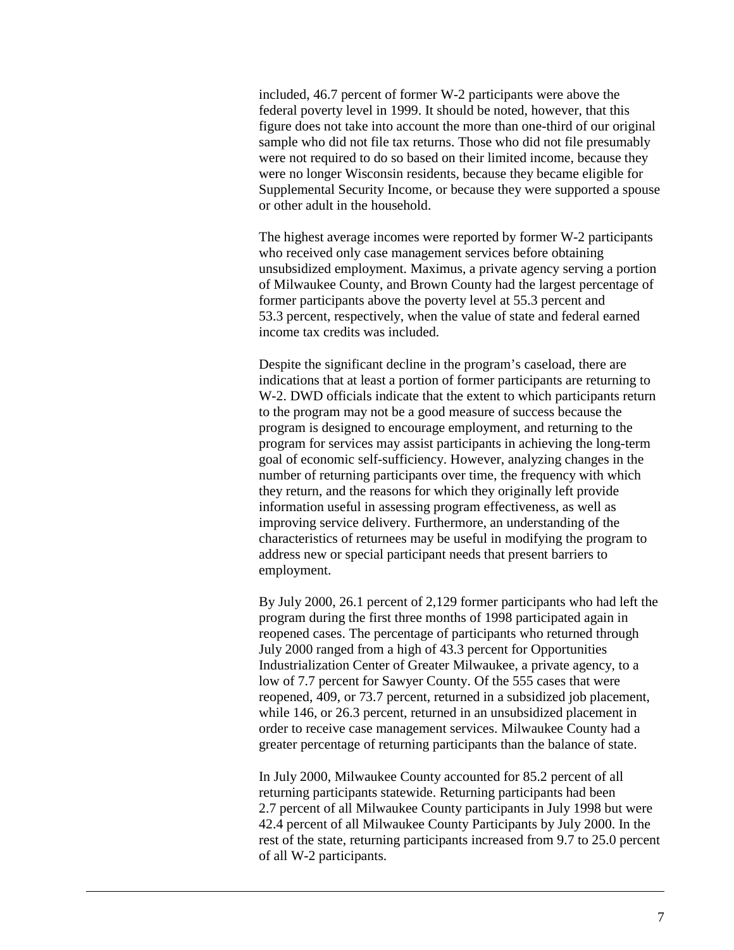included, 46.7 percent of former W-2 participants were above the federal poverty level in 1999. It should be noted, however, that this figure does not take into account the more than one-third of our original sample who did not file tax returns. Those who did not file presumably were not required to do so based on their limited income, because they were no longer Wisconsin residents, because they became eligible for Supplemental Security Income, or because they were supported a spouse or other adult in the household.

The highest average incomes were reported by former W-2 participants who received only case management services before obtaining unsubsidized employment. Maximus, a private agency serving a portion of Milwaukee County, and Brown County had the largest percentage of former participants above the poverty level at 55.3 percent and 53.3 percent, respectively, when the value of state and federal earned income tax credits was included.

Despite the significant decline in the program's caseload, there are indications that at least a portion of former participants are returning to W-2. DWD officials indicate that the extent to which participants return to the program may not be a good measure of success because the program is designed to encourage employment, and returning to the program for services may assist participants in achieving the long-term goal of economic self-sufficiency. However, analyzing changes in the number of returning participants over time, the frequency with which they return, and the reasons for which they originally left provide information useful in assessing program effectiveness, as well as improving service delivery. Furthermore, an understanding of the characteristics of returnees may be useful in modifying the program to address new or special participant needs that present barriers to employment.

By July 2000, 26.1 percent of 2,129 former participants who had left the program during the first three months of 1998 participated again in reopened cases. The percentage of participants who returned through July 2000 ranged from a high of 43.3 percent for Opportunities Industrialization Center of Greater Milwaukee, a private agency, to a low of 7.7 percent for Sawyer County. Of the 555 cases that were reopened, 409, or 73.7 percent, returned in a subsidized job placement, while 146, or 26.3 percent, returned in an unsubsidized placement in order to receive case management services. Milwaukee County had a greater percentage of returning participants than the balance of state.

In July 2000, Milwaukee County accounted for 85.2 percent of all returning participants statewide. Returning participants had been 2.7 percent of all Milwaukee County participants in July 1998 but were 42.4 percent of all Milwaukee County Participants by July 2000. In the rest of the state, returning participants increased from 9.7 to 25.0 percent of all W-2 participants.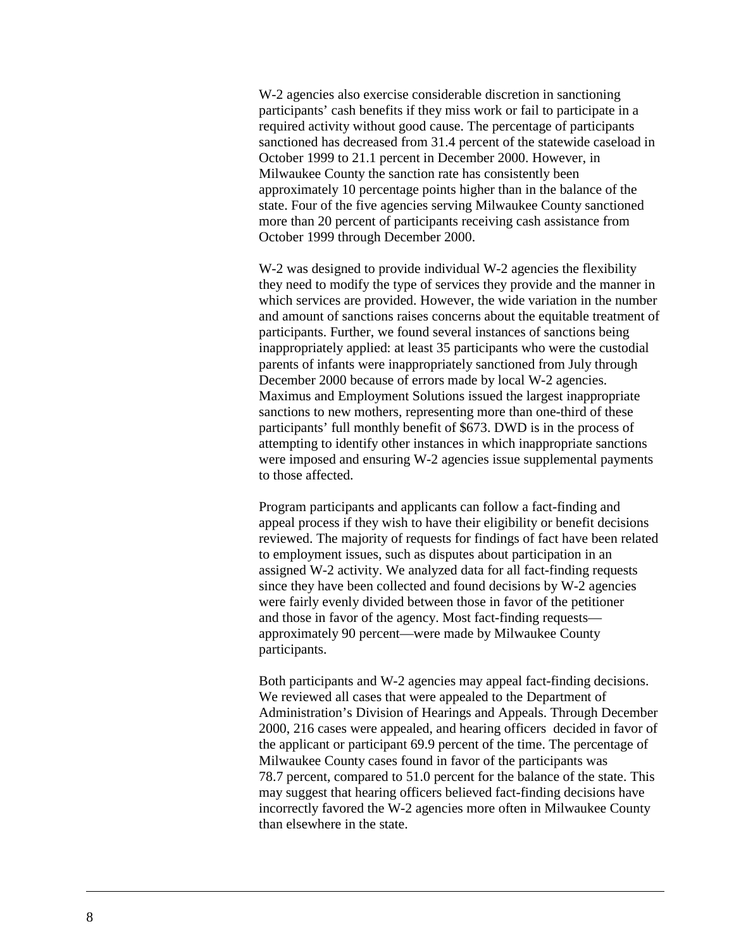W-2 agencies also exercise considerable discretion in sanctioning participants' cash benefits if they miss work or fail to participate in a required activity without good cause. The percentage of participants sanctioned has decreased from 31.4 percent of the statewide caseload in October 1999 to 21.1 percent in December 2000. However, in Milwaukee County the sanction rate has consistently been approximately 10 percentage points higher than in the balance of the state. Four of the five agencies serving Milwaukee County sanctioned more than 20 percent of participants receiving cash assistance from October 1999 through December 2000.

W-2 was designed to provide individual W-2 agencies the flexibility they need to modify the type of services they provide and the manner in which services are provided. However, the wide variation in the number and amount of sanctions raises concerns about the equitable treatment of participants. Further, we found several instances of sanctions being inappropriately applied: at least 35 participants who were the custodial parents of infants were inappropriately sanctioned from July through December 2000 because of errors made by local W-2 agencies. Maximus and Employment Solutions issued the largest inappropriate sanctions to new mothers, representing more than one-third of these participants' full monthly benefit of \$673. DWD is in the process of attempting to identify other instances in which inappropriate sanctions were imposed and ensuring W-2 agencies issue supplemental payments to those affected.

Program participants and applicants can follow a fact-finding and appeal process if they wish to have their eligibility or benefit decisions reviewed. The majority of requests for findings of fact have been related to employment issues, such as disputes about participation in an assigned W-2 activity. We analyzed data for all fact-finding requests since they have been collected and found decisions by W-2 agencies were fairly evenly divided between those in favor of the petitioner and those in favor of the agency. Most fact-finding requests approximately 90 percent—were made by Milwaukee County participants.

Both participants and W-2 agencies may appeal fact-finding decisions. We reviewed all cases that were appealed to the Department of Administration's Division of Hearings and Appeals. Through December 2000, 216 cases were appealed, and hearing officers decided in favor of the applicant or participant 69.9 percent of the time. The percentage of Milwaukee County cases found in favor of the participants was 78.7 percent, compared to 51.0 percent for the balance of the state. This may suggest that hearing officers believed fact-finding decisions have incorrectly favored the W-2 agencies more often in Milwaukee County than elsewhere in the state.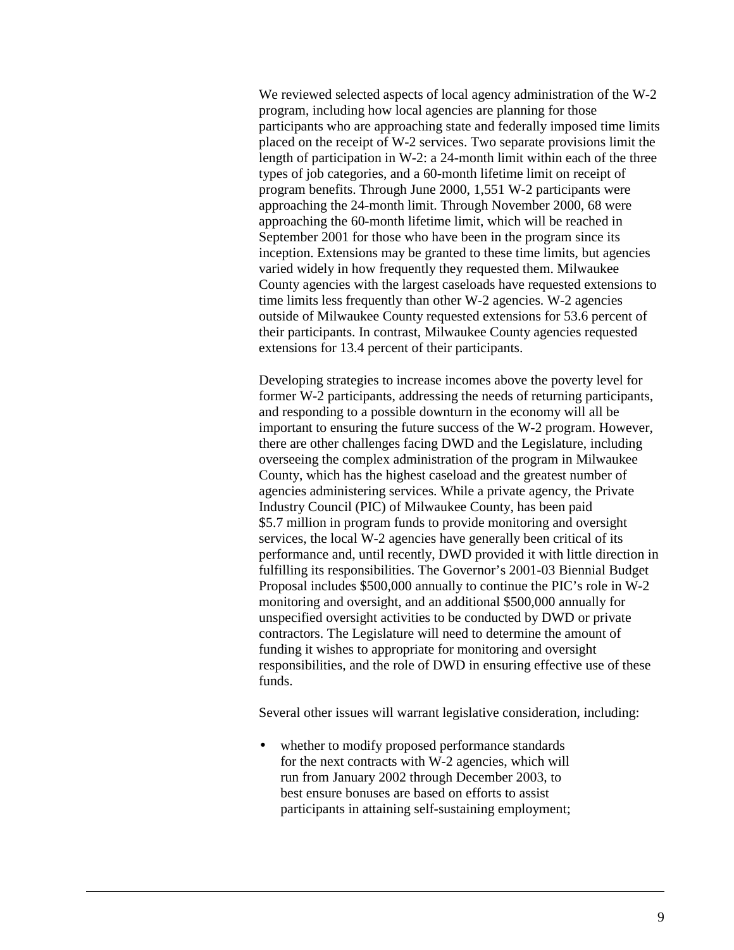We reviewed selected aspects of local agency administration of the W-2 program, including how local agencies are planning for those participants who are approaching state and federally imposed time limits placed on the receipt of W-2 services. Two separate provisions limit the length of participation in W-2: a 24-month limit within each of the three types of job categories, and a 60-month lifetime limit on receipt of program benefits. Through June 2000, 1,551 W-2 participants were approaching the 24-month limit. Through November 2000, 68 were approaching the 60-month lifetime limit, which will be reached in September 2001 for those who have been in the program since its inception. Extensions may be granted to these time limits, but agencies varied widely in how frequently they requested them. Milwaukee County agencies with the largest caseloads have requested extensions to time limits less frequently than other W-2 agencies. W-2 agencies outside of Milwaukee County requested extensions for 53.6 percent of their participants. In contrast, Milwaukee County agencies requested extensions for 13.4 percent of their participants.

Developing strategies to increase incomes above the poverty level for former W-2 participants, addressing the needs of returning participants, and responding to a possible downturn in the economy will all be important to ensuring the future success of the W-2 program. However, there are other challenges facing DWD and the Legislature, including overseeing the complex administration of the program in Milwaukee County, which has the highest caseload and the greatest number of agencies administering services. While a private agency, the Private Industry Council (PIC) of Milwaukee County, has been paid \$5.7 million in program funds to provide monitoring and oversight services, the local W-2 agencies have generally been critical of its performance and, until recently, DWD provided it with little direction in fulfilling its responsibilities. The Governor's 2001-03 Biennial Budget Proposal includes \$500,000 annually to continue the PIC's role in W-2 monitoring and oversight, and an additional \$500,000 annually for unspecified oversight activities to be conducted by DWD or private contractors. The Legislature will need to determine the amount of funding it wishes to appropriate for monitoring and oversight responsibilities, and the role of DWD in ensuring effective use of these funds.

Several other issues will warrant legislative consideration, including:

• whether to modify proposed performance standards for the next contracts with W-2 agencies, which will run from January 2002 through December 2003, to best ensure bonuses are based on efforts to assist participants in attaining self-sustaining employment;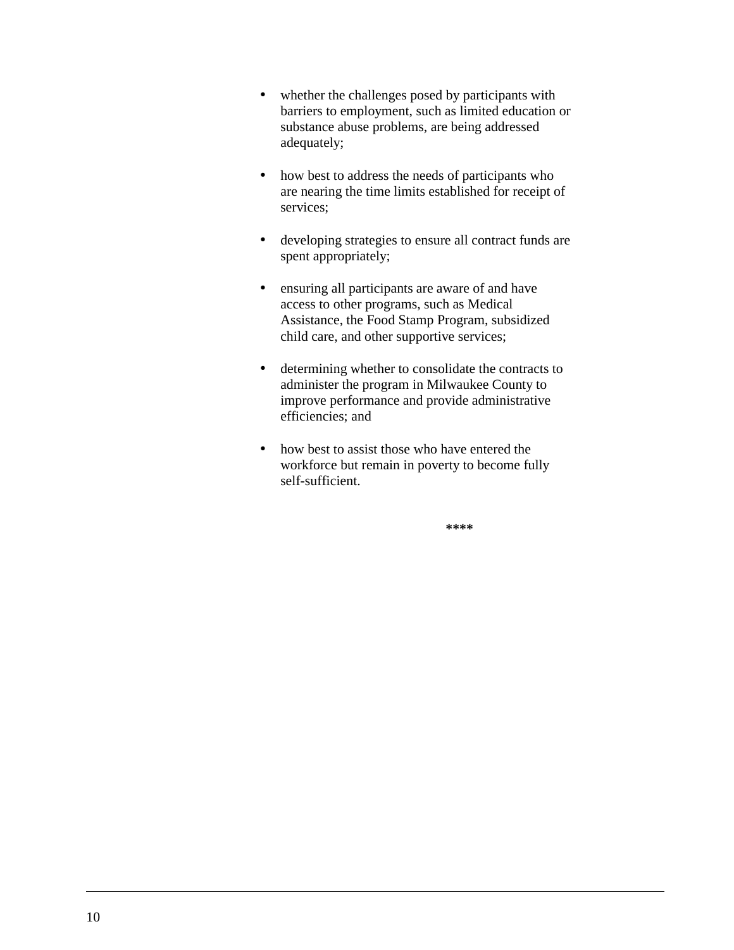- whether the challenges posed by participants with barriers to employment, such as limited education or substance abuse problems, are being addressed adequately;
- how best to address the needs of participants who are nearing the time limits established for receipt of services;
- developing strategies to ensure all contract funds are spent appropriately;
- ensuring all participants are aware of and have access to other programs, such as Medical Assistance, the Food Stamp Program, subsidized child care, and other supportive services;
- determining whether to consolidate the contracts to administer the program in Milwaukee County to improve performance and provide administrative efficiencies; and
- how best to assist those who have entered the workforce but remain in poverty to become fully self-sufficient.

**\*\*\*\***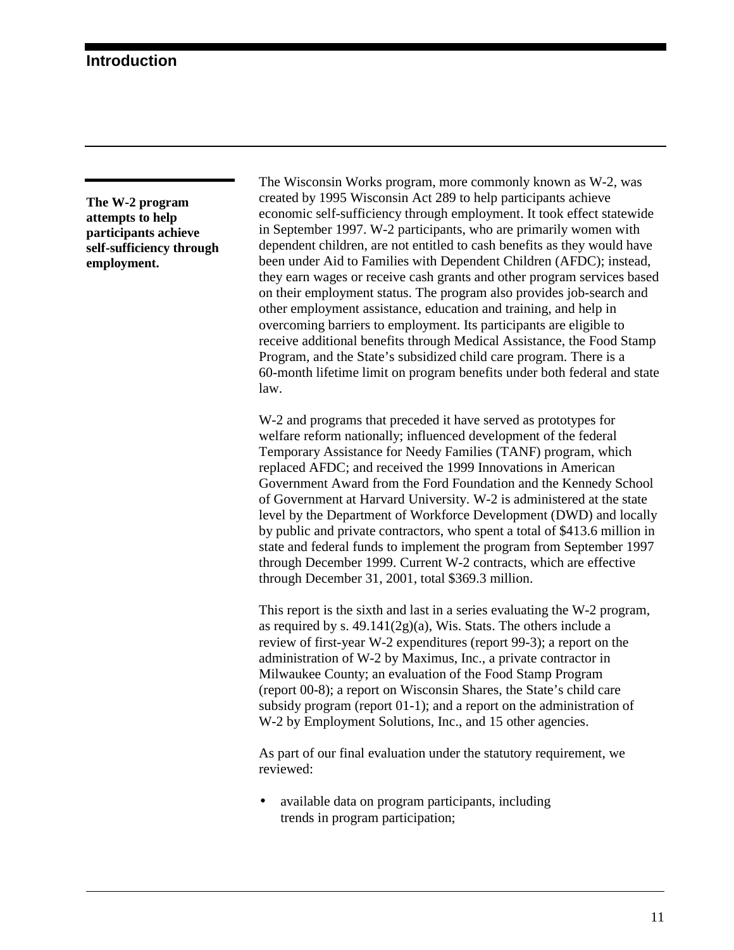<span id="page-13-0"></span>**The W-2 program attempts to help participants achieve self-sufficiency through employment.**

The Wisconsin Works program, more commonly known as W-2, was created by 1995 Wisconsin Act 289 to help participants achieve economic self-sufficiency through employment. It took effect statewide in September 1997. W-2 participants, who are primarily women with dependent children, are not entitled to cash benefits as they would have been under Aid to Families with Dependent Children (AFDC); instead, they earn wages or receive cash grants and other program services based on their employment status. The program also provides job-search and other employment assistance, education and training, and help in overcoming barriers to employment. Its participants are eligible to receive additional benefits through Medical Assistance, the Food Stamp Program, and the State's subsidized child care program. There is a 60-month lifetime limit on program benefits under both federal and state law.

W-2 and programs that preceded it have served as prototypes for welfare reform nationally; influenced development of the federal Temporary Assistance for Needy Families (TANF) program, which replaced AFDC; and received the 1999 Innovations in American Government Award from the Ford Foundation and the Kennedy School of Government at Harvard University. W-2 is administered at the state level by the Department of Workforce Development (DWD) and locally by public and private contractors, who spent a total of \$413.6 million in state and federal funds to implement the program from September 1997 through December 1999. Current W-2 contracts, which are effective through December 31, 2001, total \$369.3 million.

This report is the sixth and last in a series evaluating the W-2 program, as required by s. 49.141(2g)(a), Wis. Stats. The others include a review of first-year W-2 expenditures (report 99-3); a report on the administration of W-2 by Maximus, Inc., a private contractor in Milwaukee County; an evaluation of the Food Stamp Program (report 00-8); a report on Wisconsin Shares, the State's child care subsidy program (report 01-1); and a report on the administration of W-2 by Employment Solutions, Inc., and 15 other agencies.

As part of our final evaluation under the statutory requirement, we reviewed:

• available data on program participants, including trends in program participation;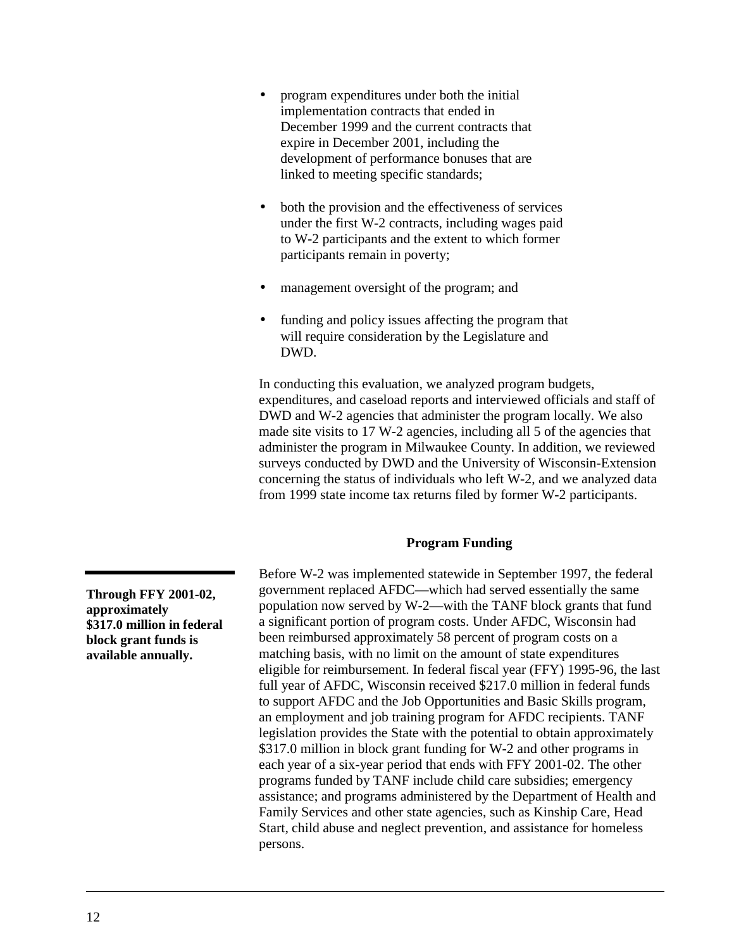- <span id="page-14-0"></span>• program expenditures under both the initial implementation contracts that ended in December 1999 and the current contracts that expire in December 2001, including the development of performance bonuses that are linked to meeting specific standards;
- both the provision and the effectiveness of services under the first W-2 contracts, including wages paid to W-2 participants and the extent to which former participants remain in poverty;
- management oversight of the program; and
- funding and policy issues affecting the program that will require consideration by the Legislature and DWD.

In conducting this evaluation, we analyzed program budgets, expenditures, and caseload reports and interviewed officials and staff of DWD and W-2 agencies that administer the program locally. We also made site visits to 17 W-2 agencies, including all 5 of the agencies that administer the program in Milwaukee County. In addition, we reviewed surveys conducted by DWD and the University of Wisconsin-Extension concerning the status of individuals who left W-2, and we analyzed data from 1999 state income tax returns filed by former W-2 participants.

#### **Program Funding**

Before W-2 was implemented statewide in September 1997, the federal government replaced AFDC—which had served essentially the same population now served by W-2—with the TANF block grants that fund a significant portion of program costs. Under AFDC, Wisconsin had been reimbursed approximately 58 percent of program costs on a matching basis, with no limit on the amount of state expenditures eligible for reimbursement. In federal fiscal year (FFY) 1995-96, the last full year of AFDC, Wisconsin received \$217.0 million in federal funds to support AFDC and the Job Opportunities and Basic Skills program, an employment and job training program for AFDC recipients. TANF legislation provides the State with the potential to obtain approximately \$317.0 million in block grant funding for W-2 and other programs in each year of a six-year period that ends with FFY 2001-02. The other programs funded by TANF include child care subsidies; emergency assistance; and programs administered by the Department of Health and Family Services and other state agencies, such as Kinship Care, Head Start, child abuse and neglect prevention, and assistance for homeless persons.

**Through FFY 2001-02, approximately \$317.0 million in federal block grant funds is available annually.**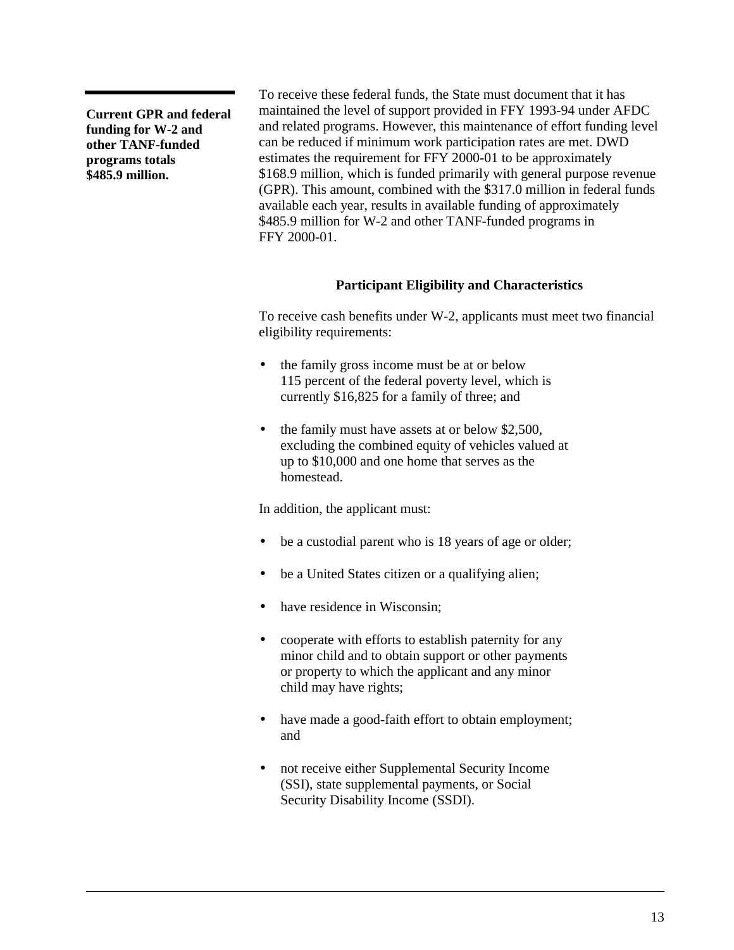<span id="page-15-0"></span>**Current GPR and federal funding for W-2 and other TANF-funded programs totals \$485.9 million.**

To receive these federal funds, the State must document that it has maintained the level of support provided in FFY 1993-94 under AFDC and related programs. However, this maintenance of effort funding level can be reduced if minimum work participation rates are met. DWD estimates the requirement for FFY 2000-01 to be approximately \$168.9 million, which is funded primarily with general purpose revenue (GPR). This amount, combined with the \$317.0 million in federal funds available each year, results in available funding of approximately \$485.9 million for W-2 and other TANF-funded programs in FFY 2000-01.

#### **Participant Eligibility and Characteristics**

To receive cash benefits under W-2, applicants must meet two financial eligibility requirements:

- the family gross income must be at or below 115 percent of the federal poverty level, which is currently \$16,825 for a family of three; and
- the family must have assets at or below \$2,500, excluding the combined equity of vehicles valued at up to \$10,000 and one home that serves as the homestead.

In addition, the applicant must:

- be a custodial parent who is 18 years of age or older;
- be a United States citizen or a qualifying alien;
- have residence in Wisconsin;
- cooperate with efforts to establish paternity for any minor child and to obtain support or other payments or property to which the applicant and any minor child may have rights;
- have made a good-faith effort to obtain employment; and
- not receive either Supplemental Security Income (SSI), state supplemental payments, or Social Security Disability Income (SSDI).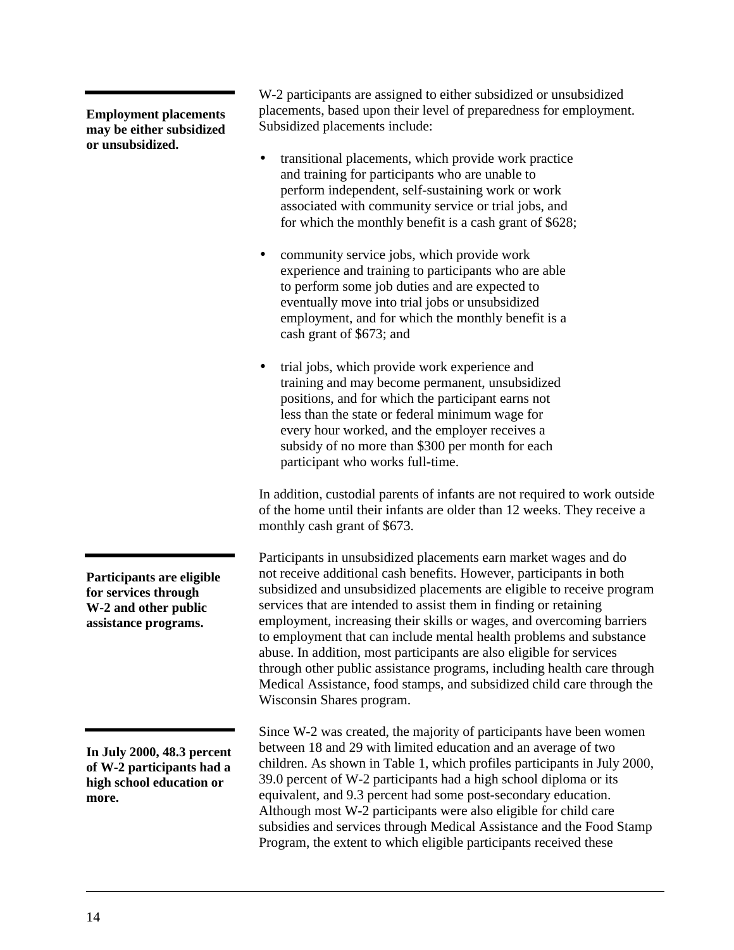**Employment placements may be either subsidized or unsubsidized.**

placements, based upon their level of preparedness for employment. Subsidized placements include:

• transitional placements, which provide work practice and training for participants who are unable to perform independent, self-sustaining work or work associated with community service or trial jobs, and for which the monthly benefit is a cash grant of \$628;

W-2 participants are assigned to either subsidized or unsubsidized

- community service jobs, which provide work experience and training to participants who are able to perform some job duties and are expected to eventually move into trial jobs or unsubsidized employment, and for which the monthly benefit is a cash grant of \$673; and
- trial jobs, which provide work experience and training and may become permanent, unsubsidized positions, and for which the participant earns not less than the state or federal minimum wage for every hour worked, and the employer receives a subsidy of no more than \$300 per month for each participant who works full-time.

In addition, custodial parents of infants are not required to work outside of the home until their infants are older than 12 weeks. They receive a monthly cash grant of \$673.

Participants in unsubsidized placements earn market wages and do not receive additional cash benefits. However, participants in both subsidized and unsubsidized placements are eligible to receive program services that are intended to assist them in finding or retaining employment, increasing their skills or wages, and overcoming barriers to employment that can include mental health problems and substance abuse. In addition, most participants are also eligible for services through other public assistance programs, including health care through Medical Assistance, food stamps, and subsidized child care through the Wisconsin Shares program.

Since W-2 was created, the majority of participants have been women between 18 and 29 with limited education and an average of two children. As shown in [Table 1,](#page-17-0) which profiles participants in July 2000, 39.0 percent of W-2 participants had a high school diploma or its equivalent, and 9.3 percent had some post-secondary education. Although most W-2 participants were also eligible for child care subsidies and services through Medical Assistance and the Food Stamp Program, the extent to which eligible participants received these

**Participants are eligible for services through W-2 and other public assistance programs.**

**In July 2000, 48.3 percent of W-2 participants had a high school education or more.**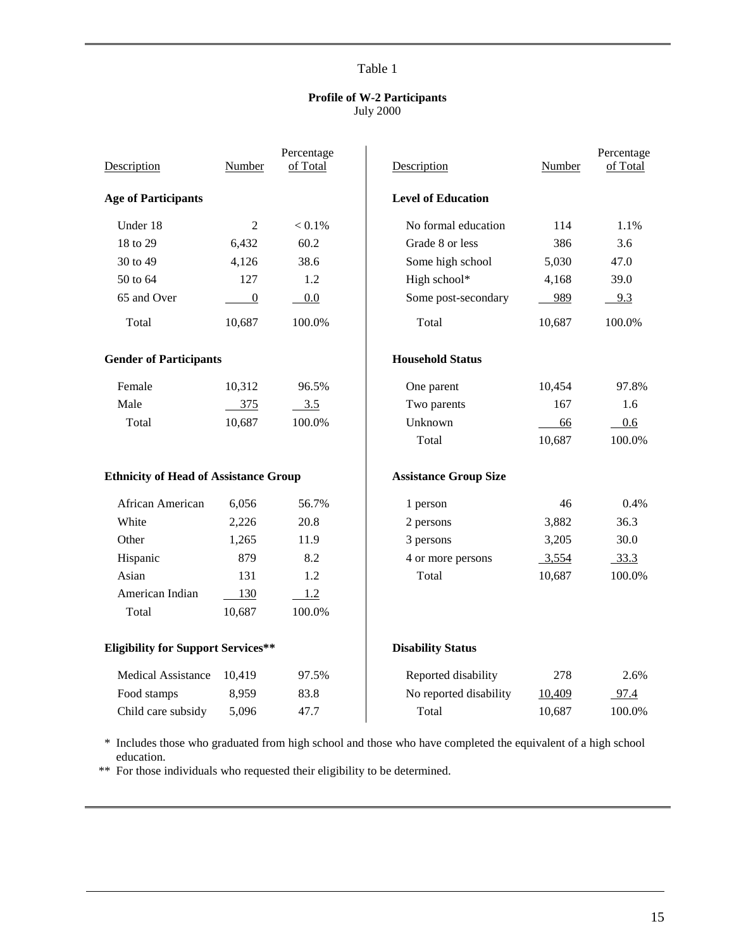#### **Profile of W-2 Participants** July 2000

<span id="page-17-0"></span>

| Description                                  | Number           | Percentage<br>of Total | Description                  | Number | Percentage<br>of Total |
|----------------------------------------------|------------------|------------------------|------------------------------|--------|------------------------|
| <b>Age of Participants</b>                   |                  |                        | <b>Level of Education</b>    |        |                        |
| Under 18                                     | 2                | $< 0.1\%$              | No formal education          | 114    | 1.1%                   |
| 18 to 29                                     | 6,432            | 60.2                   | Grade 8 or less              | 386    | 3.6                    |
| 30 to 49                                     | 4,126            | 38.6                   | Some high school             | 5,030  | 47.0                   |
| 50 to 64                                     | 127              | 1.2                    | High school*                 | 4,168  | 39.0                   |
| 65 and Over                                  | $\boldsymbol{0}$ | 0.0                    | Some post-secondary          | 989    | 9.3                    |
| Total                                        | 10,687           | 100.0%                 | Total                        | 10,687 | 100.0%                 |
| <b>Gender of Participants</b>                |                  |                        | <b>Household Status</b>      |        |                        |
| Female                                       | 10,312           | 96.5%                  | One parent                   | 10,454 | 97.8%                  |
| Male                                         | 375              | 3.5                    | Two parents                  | 167    | 1.6                    |
| Total                                        | 10,687           | 100.0%                 | Unknown                      | 66     | 0.6                    |
|                                              |                  |                        | Total                        | 10,687 | 100.0%                 |
| <b>Ethnicity of Head of Assistance Group</b> |                  |                        | <b>Assistance Group Size</b> |        |                        |
| African American                             | 6,056            | 56.7%                  | 1 person                     | 46     | 0.4%                   |
| White                                        | 2,226            | 20.8                   | 2 persons                    | 3,882  | 36.3                   |
| Other                                        | 1,265            | 11.9                   | 3 persons                    | 3,205  | 30.0                   |
| Hispanic                                     | 879              | 8.2                    | 4 or more persons            | 3,554  | 33.3                   |
| Asian                                        | 131              | 1.2                    | Total                        | 10,687 | 100.0%                 |
| American Indian                              | 130              | 1.2                    |                              |        |                        |
| Total                                        | 10,687           | 100.0%                 |                              |        |                        |
| <b>Eligibility for Support Services**</b>    |                  |                        | <b>Disability Status</b>     |        |                        |
| <b>Medical Assistance</b>                    | 10,419           | 97.5%                  | Reported disability          | 278    | 2.6%                   |
| Food stamps                                  | 8,959            | 83.8                   | No reported disability       | 10,409 | 97.4                   |
| Child care subsidy                           | 5,096            | 47.7                   | Total                        | 10,687 | 100.0%                 |

\* Includes those who graduated from high school and those who have completed the equivalent of a high school education.

\*\* For those individuals who requested their eligibility to be determined.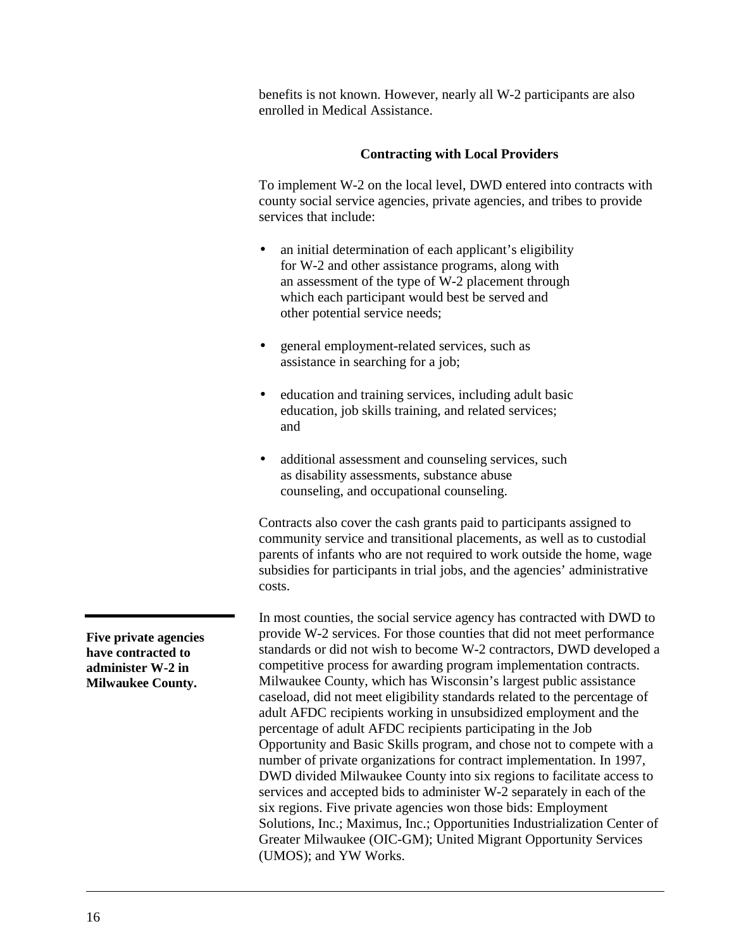<span id="page-18-0"></span>benefits is not known. However, nearly all W-2 participants are also enrolled in Medical Assistance.

#### **Contracting with Local Providers**

To implement W-2 on the local level, DWD entered into contracts with county social service agencies, private agencies, and tribes to provide services that include:

- an initial determination of each applicant's eligibility for W-2 and other assistance programs, along with an assessment of the type of W-2 placement through which each participant would best be served and other potential service needs;
- general employment-related services, such as assistance in searching for a job;
- education and training services, including adult basic education, job skills training, and related services; and
- additional assessment and counseling services, such as disability assessments, substance abuse counseling, and occupational counseling.

Contracts also cover the cash grants paid to participants assigned to community service and transitional placements, as well as to custodial parents of infants who are not required to work outside the home, wage subsidies for participants in trial jobs, and the agencies' administrative costs.

In most counties, the social service agency has contracted with DWD to provide W-2 services. For those counties that did not meet performance standards or did not wish to become W-2 contractors, DWD developed a competitive process for awarding program implementation contracts. Milwaukee County, which has Wisconsin's largest public assistance caseload, did not meet eligibility standards related to the percentage of adult AFDC recipients working in unsubsidized employment and the percentage of adult AFDC recipients participating in the Job Opportunity and Basic Skills program, and chose not to compete with a number of private organizations for contract implementation. In 1997, DWD divided Milwaukee County into six regions to facilitate access to services and accepted bids to administer W-2 separately in each of the six regions. Five private agencies won those bids: Employment Solutions, Inc.; Maximus, Inc.; Opportunities Industrialization Center of Greater Milwaukee (OIC-GM); United Migrant Opportunity Services (UMOS); and YW Works.

**Five private agencies have contracted to administer W-2 in Milwaukee County.**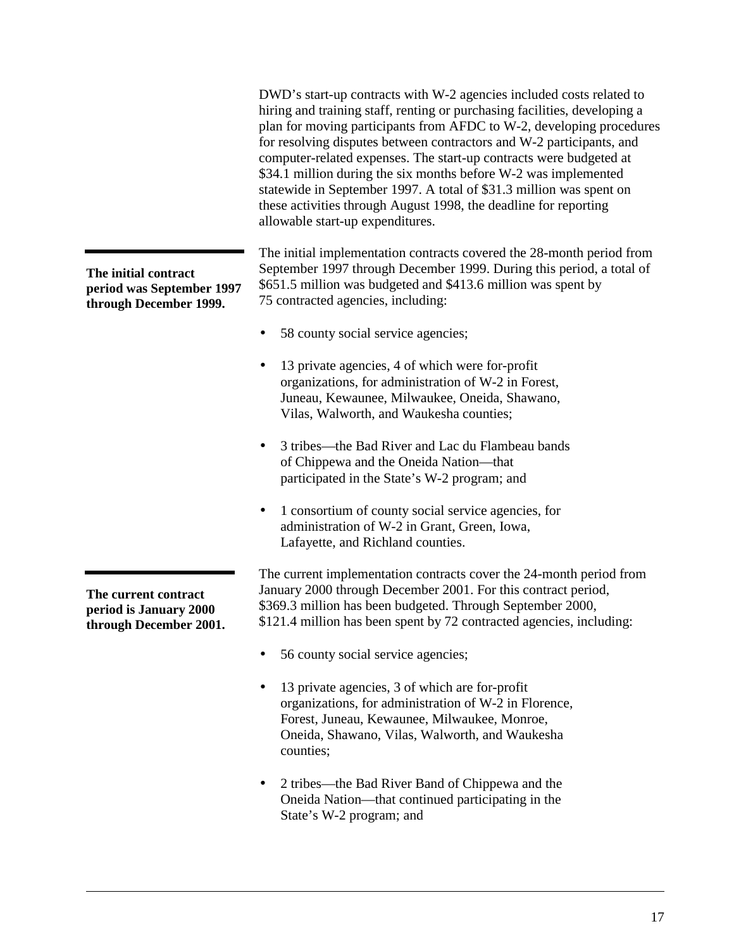DWD's start-up contracts with W-2 agencies included costs related to hiring and training staff, renting or purchasing facilities, developing a plan for moving participants from AFDC to W-2, developing procedures for resolving disputes between contractors and W-2 participants, and computer-related expenses. The start-up contracts were budgeted at \$34.1 million during the six months before W-2 was implemented statewide in September 1997. A total of \$31.3 million was spent on these activities through August 1998, the deadline for reporting allowable start-up expenditures.

The initial implementation contracts covered the 28-month period from September 1997 through December 1999. During this period, a total of \$651.5 million was budgeted and \$413.6 million was spent by 75 contracted agencies, including:

- 58 county social service agencies;
- 13 private agencies, 4 of which were for-profit organizations, for administration of W-2 in Forest, Juneau, Kewaunee, Milwaukee, Oneida, Shawano, Vilas, Walworth, and Waukesha counties;
- 3 tribes—the Bad River and Lac du Flambeau bands of Chippewa and the Oneida Nation—that participated in the State's W-2 program; and
- 1 consortium of county social service agencies, for administration of W-2 in Grant, Green, Iowa, Lafayette, and Richland counties.

The current implementation contracts cover the 24-month period from January 2000 through December 2001. For this contract period, \$369.3 million has been budgeted. Through September 2000, \$121.4 million has been spent by 72 contracted agencies, including:

- 56 county social service agencies;
- 13 private agencies, 3 of which are for-profit organizations, for administration of W-2 in Florence, Forest, Juneau, Kewaunee, Milwaukee, Monroe, Oneida, Shawano, Vilas, Walworth, and Waukesha counties;
- 2 tribes—the Bad River Band of Chippewa and the Oneida Nation—that continued participating in the State's W-2 program; and

**The initial contract period was September 1997 through December 1999.**

**The current contract period is January 2000 through December 2001.**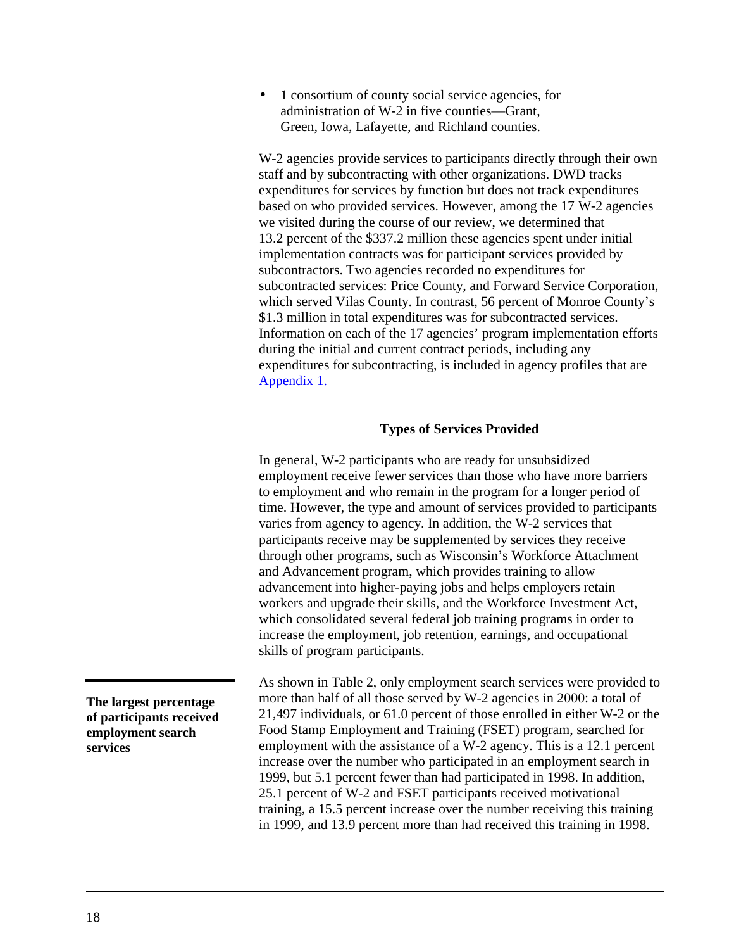<span id="page-20-0"></span>• 1 consortium of county social service agencies, for administration of W-2 in five counties—Grant, Green, Iowa, Lafayette, and Richland counties.

W-2 agencies provide services to participants directly through their own staff and by subcontracting with other organizations. DWD tracks expenditures for services by function but does not track expenditures based on who provided services. However, among the 17 W-2 agencies we visited during the course of our review, we determined that 13.2 percent of the \$337.2 million these agencies spent under initial implementation contracts was for participant services provided by subcontractors. Two agencies recorded no expenditures for subcontracted services: Price County, and Forward Service Corporation, which served Vilas County. In contrast, 56 percent of Monroe County's \$1.3 million in total expenditures was for subcontracted services. Information on each of the 17 agencies' program implementation efforts during the initial and current contract periods, including any expenditures for subcontracting, is included in agency profiles that are [Appendix 1.](#page-91-0)

#### **Types of Services Provided**

In general, W-2 participants who are ready for unsubsidized employment receive fewer services than those who have more barriers to employment and who remain in the program for a longer period of time. However, the type and amount of services provided to participants varies from agency to agency. In addition, the W-2 services that participants receive may be supplemented by services they receive through other programs, such as Wisconsin's Workforce Attachment and Advancement program, which provides training to allow advancement into higher-paying jobs and helps employers retain workers and upgrade their skills, and the Workforce Investment Act, which consolidated several federal job training programs in order to increase the employment, job retention, earnings, and occupational skills of program participants.

As shown in [Table 2,](#page-21-0) only employment search services were provided to more than half of all those served by W-2 agencies in 2000: a total of 21,497 individuals, or 61.0 percent of those enrolled in either W-2 or the Food Stamp Employment and Training (FSET) program, searched for employment with the assistance of a W-2 agency. This is a 12.1 percent increase over the number who participated in an employment search in 1999, but 5.1 percent fewer than had participated in 1998. In addition, 25.1 percent of W-2 and FSET participants received motivational training, a 15.5 percent increase over the number receiving this training in 1999, and 13.9 percent more than had received this training in 1998.

**The largest percentage of participants received employment search services**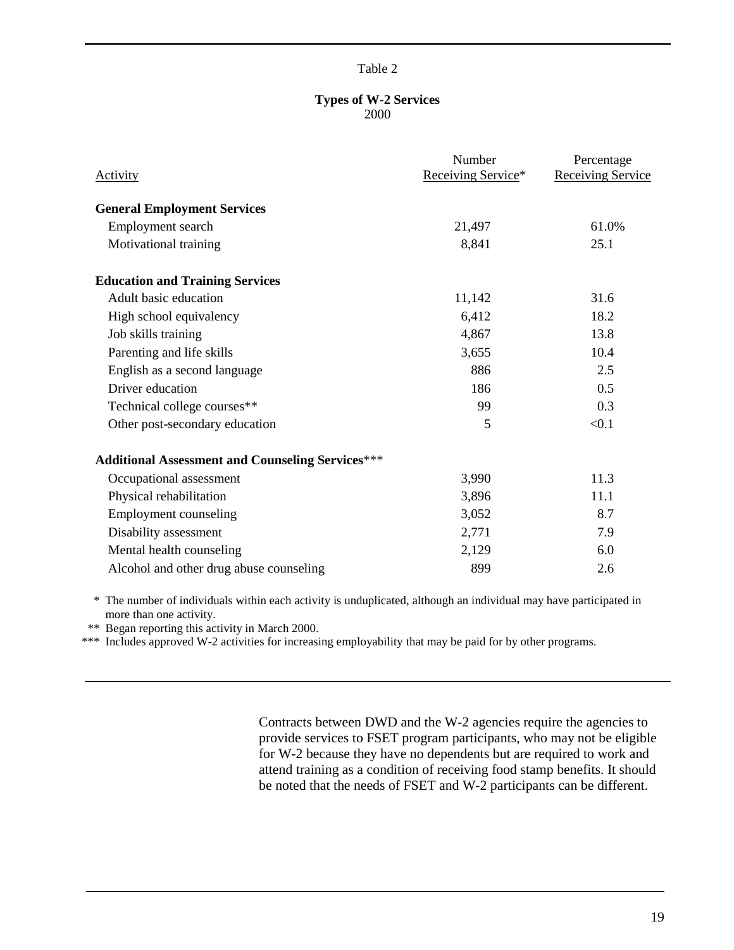#### **Types of W-2 Services** 2000

<span id="page-21-0"></span>

| <b>Activity</b>                                         | Number<br>Receiving Service* | Percentage<br><b>Receiving Service</b> |
|---------------------------------------------------------|------------------------------|----------------------------------------|
| <b>General Employment Services</b>                      |                              |                                        |
| Employment search                                       | 21,497                       | 61.0%                                  |
| Motivational training                                   | 8,841                        | 25.1                                   |
| <b>Education and Training Services</b>                  |                              |                                        |
| Adult basic education                                   | 11,142                       | 31.6                                   |
| High school equivalency                                 | 6,412                        | 18.2                                   |
| Job skills training                                     | 4,867                        | 13.8                                   |
| Parenting and life skills                               | 3,655                        | 10.4                                   |
| English as a second language                            | 886                          | 2.5                                    |
| Driver education                                        | 186                          | 0.5                                    |
| Technical college courses**                             | 99                           | 0.3                                    |
| Other post-secondary education                          | 5                            | < 0.1                                  |
| <b>Additional Assessment and Counseling Services***</b> |                              |                                        |
| Occupational assessment                                 | 3,990                        | 11.3                                   |
| Physical rehabilitation                                 | 3,896                        | 11.1                                   |
| <b>Employment counseling</b>                            | 3,052                        | 8.7                                    |
| Disability assessment                                   | 2,771                        | 7.9                                    |
| Mental health counseling                                | 2,129                        | 6.0                                    |
| Alcohol and other drug abuse counseling                 | 899                          | 2.6                                    |

\* The number of individuals within each activity is unduplicated, although an individual may have participated in more than one activity.

\*\* Began reporting this activity in March 2000.

\*\*\* Includes approved W-2 activities for increasing employability that may be paid for by other programs.

Contracts between DWD and the W-2 agencies require the agencies to provide services to FSET program participants, who may not be eligible for W-2 because they have no dependents but are required to work and attend training as a condition of receiving food stamp benefits. It should be noted that the needs of FSET and W-2 participants can be different.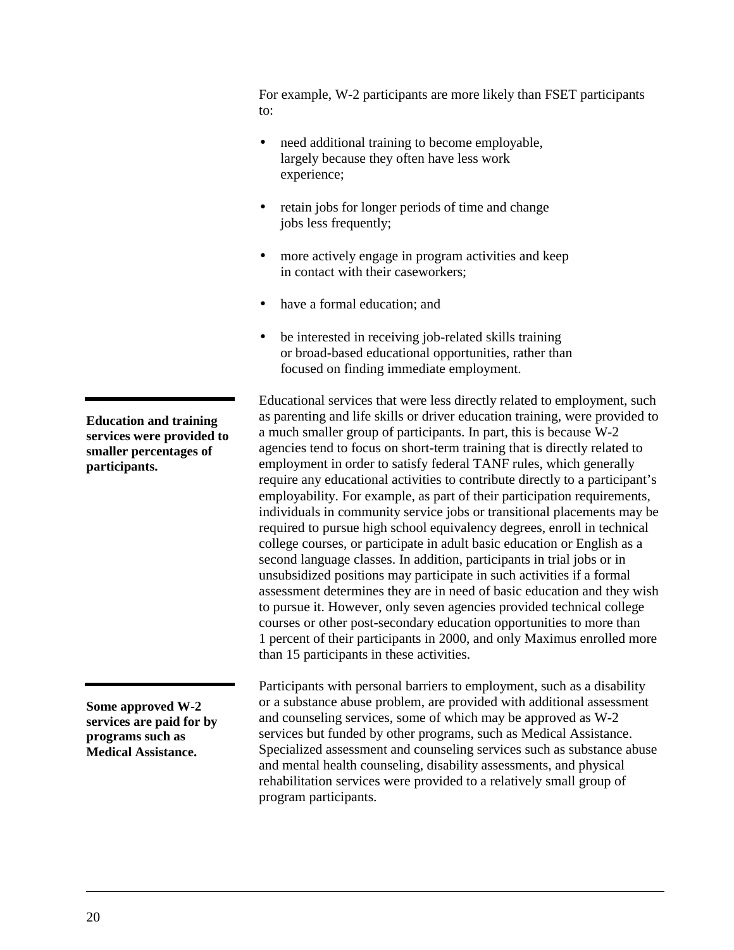For example, W-2 participants are more likely than FSET participants to:

- need additional training to become employable, largely because they often have less work experience;
- retain jobs for longer periods of time and change jobs less frequently;
- more actively engage in program activities and keep in contact with their caseworkers;
- have a formal education; and
- be interested in receiving job-related skills training or broad-based educational opportunities, rather than focused on finding immediate employment.

Educational services that were less directly related to employment, such as parenting and life skills or driver education training, were provided to a much smaller group of participants. In part, this is because W-2 agencies tend to focus on short-term training that is directly related to employment in order to satisfy federal TANF rules, which generally require any educational activities to contribute directly to a participant's employability. For example, as part of their participation requirements, individuals in community service jobs or transitional placements may be required to pursue high school equivalency degrees, enroll in technical college courses, or participate in adult basic education or English as a second language classes. In addition, participants in trial jobs or in unsubsidized positions may participate in such activities if a formal assessment determines they are in need of basic education and they wish to pursue it. However, only seven agencies provided technical college courses or other post-secondary education opportunities to more than 1 percent of their participants in 2000, and only Maximus enrolled more than 15 participants in these activities.

Participants with personal barriers to employment, such as a disability or a substance abuse problem, are provided with additional assessment and counseling services, some of which may be approved as W-2 services but funded by other programs, such as Medical Assistance. Specialized assessment and counseling services such as substance abuse and mental health counseling, disability assessments, and physical rehabilitation services were provided to a relatively small group of program participants.

**Education and training services were provided to smaller percentages of participants.**

**Some approved W-2 services are paid for by programs such as Medical Assistance.**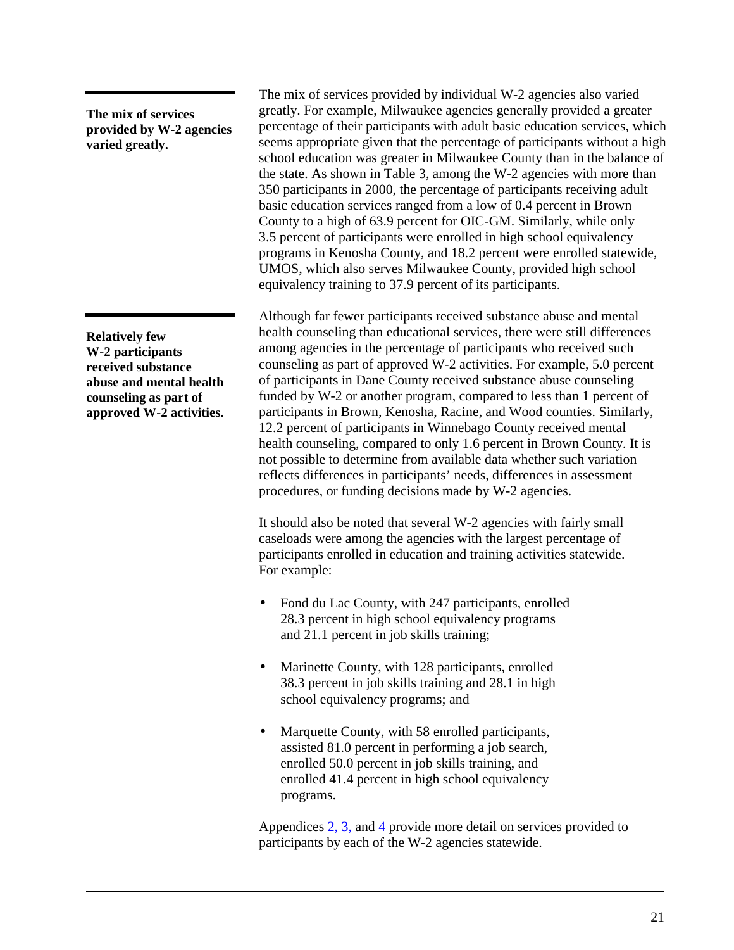**The mix of services provided by W-2 agencies varied greatly.**

**Relatively few W-2 participants received substance abuse and mental health counseling as part of approved W-2 activities.** The mix of services provided by individual W-2 agencies also varied greatly. For example, Milwaukee agencies generally provided a greater percentage of their participants with adult basic education services, which seems appropriate given that the percentage of participants without a high school education was greater in Milwaukee County than in the balance of the state. As shown in [Table 3,](#page-24-0) among the W-2 agencies with more than 350 participants in 2000, the percentage of participants receiving adult basic education services ranged from a low of 0.4 percent in Brown County to a high of 63.9 percent for OIC-GM. Similarly, while only 3.5 percent of participants were enrolled in high school equivalency programs in Kenosha County, and 18.2 percent were enrolled statewide, UMOS, which also serves Milwaukee County, provided high school equivalency training to 37.9 percent of its participants.

Although far fewer participants received substance abuse and mental health counseling than educational services, there were still differences among agencies in the percentage of participants who received such counseling as part of approved W-2 activities. For example, 5.0 percent of participants in Dane County received substance abuse counseling funded by W-2 or another program, compared to less than 1 percent of participants in Brown, Kenosha, Racine, and Wood counties. Similarly, 12.2 percent of participants in Winnebago County received mental health counseling, compared to only 1.6 percent in Brown County. It is not possible to determine from available data whether such variation reflects differences in participants' needs, differences in assessment procedures, or funding decisions made by W-2 agencies.

It should also be noted that several W-2 agencies with fairly small caseloads were among the agencies with the largest percentage of participants enrolled in education and training activities statewide. For example:

- Fond du Lac County, with 247 participants, enrolled 28.3 percent in high school equivalency programs and 21.1 percent in job skills training;
- Marinette County, with 128 participants, enrolled 38.3 percent in job skills training and 28.1 in high school equivalency programs; and
- Marquette County, with 58 enrolled participants, assisted 81.0 percent in performing a job search, enrolled 50.0 percent in job skills training, and enrolled 41.4 percent in high school equivalency programs.

Appendice[s 2](#page-159-0)[, 3,](#page-163-0) an[d 4 p](#page-169-0)rovide more detail on services provided to participants by each of the W-2 agencies statewide.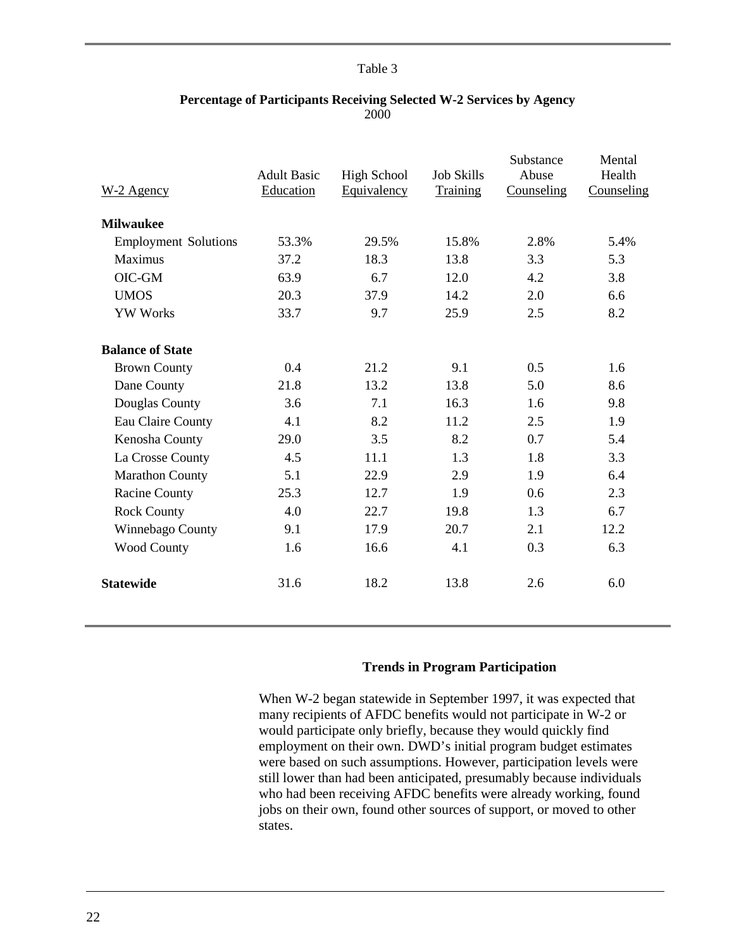<span id="page-24-0"></span>

| W-2 Agency                  | <b>Adult Basic</b><br>Education | <b>High School</b><br>Equivalency | <b>Job Skills</b><br>Training | Substance<br>Abuse<br>Counseling | Mental<br>Health<br>Counseling |
|-----------------------------|---------------------------------|-----------------------------------|-------------------------------|----------------------------------|--------------------------------|
| <b>Milwaukee</b>            |                                 |                                   |                               |                                  |                                |
| <b>Employment Solutions</b> | 53.3%                           | 29.5%                             | 15.8%                         | 2.8%                             | 5.4%                           |
| Maximus                     | 37.2                            | 18.3                              | 13.8                          | 3.3                              | 5.3                            |
| OIC-GM                      | 63.9                            | 6.7                               | 12.0                          | 4.2                              | 3.8                            |
| <b>UMOS</b>                 | 20.3                            | 37.9                              | 14.2                          | 2.0                              | 6.6                            |
| <b>YW Works</b>             | 33.7                            | 9.7                               | 25.9                          | 2.5                              | 8.2                            |
| <b>Balance of State</b>     |                                 |                                   |                               |                                  |                                |
| <b>Brown County</b>         | 0.4                             | 21.2                              | 9.1                           | 0.5                              | 1.6                            |
| Dane County                 | 21.8                            | 13.2                              | 13.8                          | 5.0                              | 8.6                            |
| Douglas County              | 3.6                             | 7.1                               | 16.3                          | 1.6                              | 9.8                            |
| Eau Claire County           | 4.1                             | 8.2                               | 11.2                          | 2.5                              | 1.9                            |
| Kenosha County              | 29.0                            | 3.5                               | 8.2                           | 0.7                              | 5.4                            |
| La Crosse County            | 4.5                             | 11.1                              | 1.3                           | 1.8                              | 3.3                            |
| <b>Marathon County</b>      | 5.1                             | 22.9                              | 2.9                           | 1.9                              | 6.4                            |
| <b>Racine County</b>        | 25.3                            | 12.7                              | 1.9                           | 0.6                              | 2.3                            |
| <b>Rock County</b>          | 4.0                             | 22.7                              | 19.8                          | 1.3                              | 6.7                            |
| Winnebago County            | 9.1                             | 17.9                              | 20.7                          | 2.1                              | 12.2                           |
| <b>Wood County</b>          | 1.6                             | 16.6                              | 4.1                           | 0.3                              | 6.3                            |
| <b>Statewide</b>            | 31.6                            | 18.2                              | 13.8                          | 2.6                              | 6.0                            |

#### **Percentage of Participants Receiving Selected W-2 Services by Agency** 2000

#### **Trends in Program Participation**

When W-2 began statewide in September 1997, it was expected that many recipients of AFDC benefits would not participate in W-2 or would participate only briefly, because they would quickly find employment on their own. DWD's initial program budget estimates were based on such assumptions. However, participation levels were still lower than had been anticipated, presumably because individuals who had been receiving AFDC benefits were already working, found jobs on their own, found other sources of support, or moved to other states.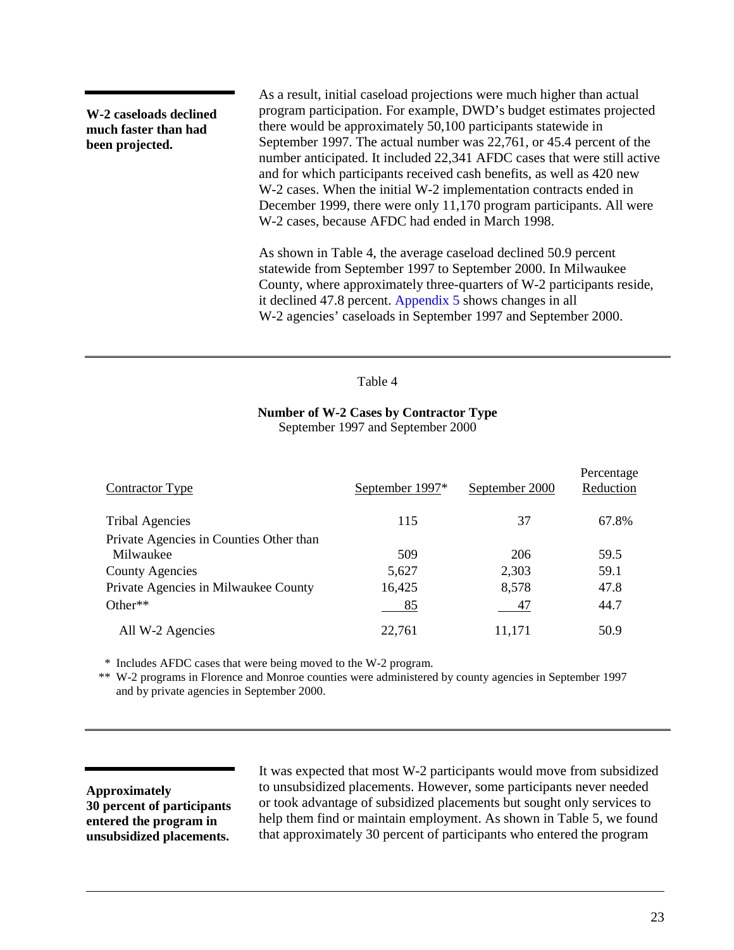**W-2 caseloads declined much faster than had been projected.**

As a result, initial caseload projections were much higher than actual program participation. For example, DWD's budget estimates projected there would be approximately 50,100 participants statewide in September 1997. The actual number was 22,761, or 45.4 percent of the number anticipated. It included 22,341 AFDC cases that were still active and for which participants received cash benefits, as well as 420 new W-2 cases. When the initial W-2 implementation contracts ended in December 1999, there were only 11,170 program participants. All were W-2 cases, because AFDC had ended in March 1998.

As shown in Table 4, the average caseload declined 50.9 percent statewide from September 1997 to September 2000. In Milwaukee County, where approximately three-quarters of W-2 participants reside, it declined 47.8 percent[. Appendix 5](#page-173-0) shows changes in all W-2 agencies' caseloads in September 1997 and September 2000.

#### Table 4

#### **Number of W-2 Cases by Contractor Type** September 1997 and September 2000

| Contractor Type                         | September 1997* | September 2000 | Percentage<br>Reduction |
|-----------------------------------------|-----------------|----------------|-------------------------|
| <b>Tribal Agencies</b>                  | 115             | 37             | 67.8%                   |
| Private Agencies in Counties Other than |                 |                |                         |
| Milwaukee                               | 509             | 206            | 59.5                    |
| <b>County Agencies</b>                  | 5,627           | 2,303          | 59.1                    |
| Private Agencies in Milwaukee County    | 16,425          | 8,578          | 47.8                    |
| Other $**$                              | 85              | 47             | 44.7                    |
| All W-2 Agencies                        | 22,761          | 11,171         | 50.9                    |

\* Includes AFDC cases that were being moved to the W-2 program.

\*\* W-2 programs in Florence and Monroe counties were administered by county agencies in September 1997 and by private agencies in September 2000.

**Approximately 30 percent of participants entered the program in unsubsidized placements.**

It was expected that most W-2 participants would move from subsidized to unsubsidized placements. However, some participants never needed or took advantage of subsidized placements but sought only services to help them find or maintain employment. As shown in [Table 5,](#page-26-0) we found that approximately 30 percent of participants who entered the program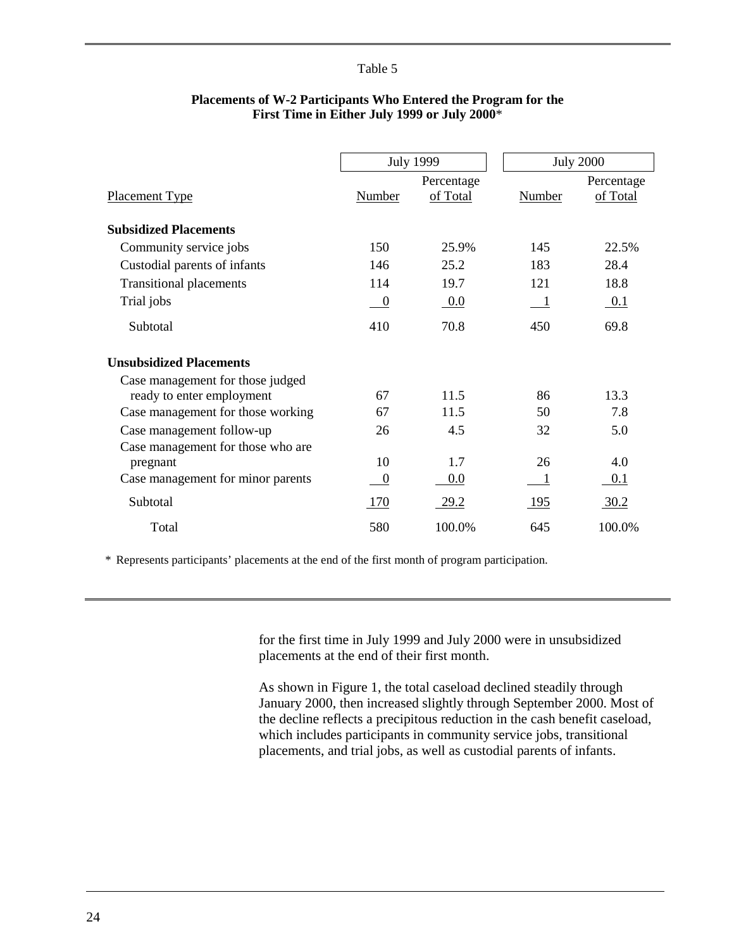<span id="page-26-0"></span>

|                                   | <b>July 1999</b> |             |                | <b>July 2000</b> |
|-----------------------------------|------------------|-------------|----------------|------------------|
|                                   |                  | Percentage  |                | Percentage       |
| <b>Placement Type</b>             | Number           | of Total    | Number         | of Total         |
|                                   |                  |             |                |                  |
| <b>Subsidized Placements</b>      |                  |             |                |                  |
| Community service jobs            | 150              | 25.9%       | 145            | 22.5%            |
| Custodial parents of infants      | 146              | 25.2        | 183            | 28.4             |
| <b>Transitional placements</b>    | 114              | 19.7        | 121            | 18.8             |
| Trial jobs                        | $\boldsymbol{0}$ | $0.0\,$     | $\blacksquare$ | 0.1              |
| Subtotal                          | 410              | 70.8        | 450            | 69.8             |
| <b>Unsubsidized Placements</b>    |                  |             |                |                  |
| Case management for those judged  |                  |             |                |                  |
| ready to enter employment         | 67               | 11.5        | 86             | 13.3             |
| Case management for those working | 67               | 11.5        | 50             | 7.8              |
| Case management follow-up         | 26               | 4.5         | 32             | 5.0              |
| Case management for those who are |                  |             |                |                  |
| pregnant                          | 10               | 1.7         | 26             | 4.0              |
| Case management for minor parents | $\boldsymbol{0}$ | 0.0         |                | 0.1              |
| Subtotal                          | 170              | <u>29.2</u> | <u>195</u>     | 30.2             |
| Total                             | 580              | 100.0%      | 645            | 100.0%           |

### **Placements of W-2 Participants Who Entered the Program for the First Time in Either July 1999 or July 2000**\*

\* Represents participants' placements at the end of the first month of program participation.

for the first time in July 1999 and July 2000 were in unsubsidized placements at the end of their first month.

As shown in Figure 1, the total caseload declined steadily through January 2000, then increased slightly through September 2000. Most of the decline reflects a precipitous reduction in the cash benefit caseload, which includes participants in community service jobs, transitional placements, and trial jobs, as well as custodial parents of infants.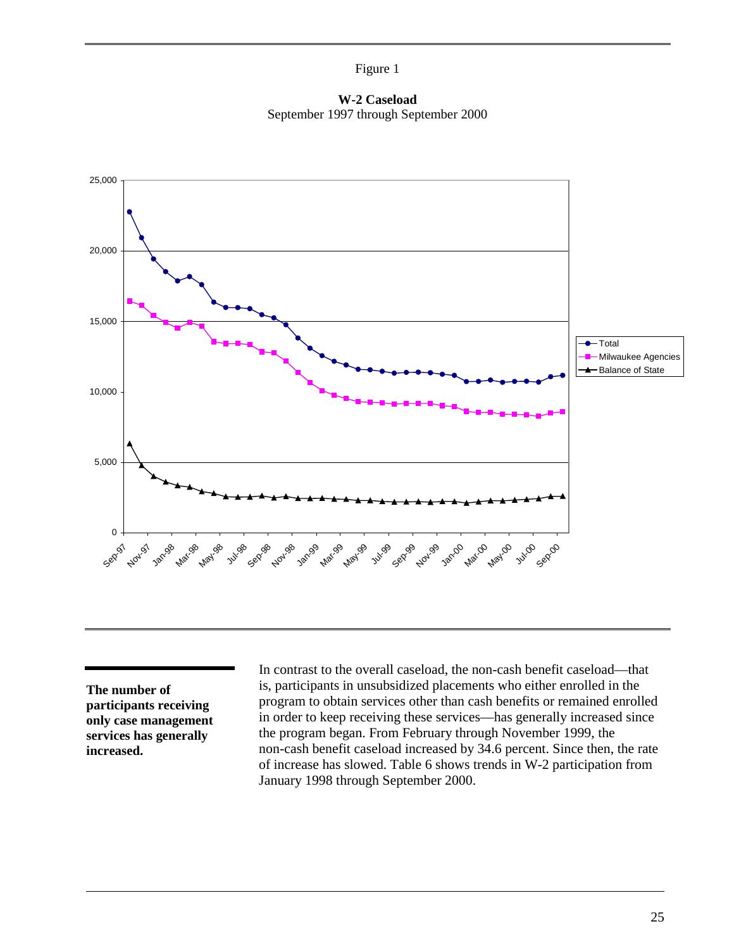Figure 1

**W-2 Caseload** September 1997 through September 2000



**The number of participants receiving only case management services has generally increased.**

In contrast to the overall caseload, the non-cash benefit caseload—that is, participants in unsubsidized placements who either enrolled in the program to obtain services other than cash benefits or remained enrolled in order to keep receiving these services—has generally increased since the program began. From February through November 1999, the non-cash benefit caseload increased by 34.6 percent. Since then, the rate of increase has slowed. [Table 6](#page-28-0) shows trends in W-2 participation from January 1998 through September 2000.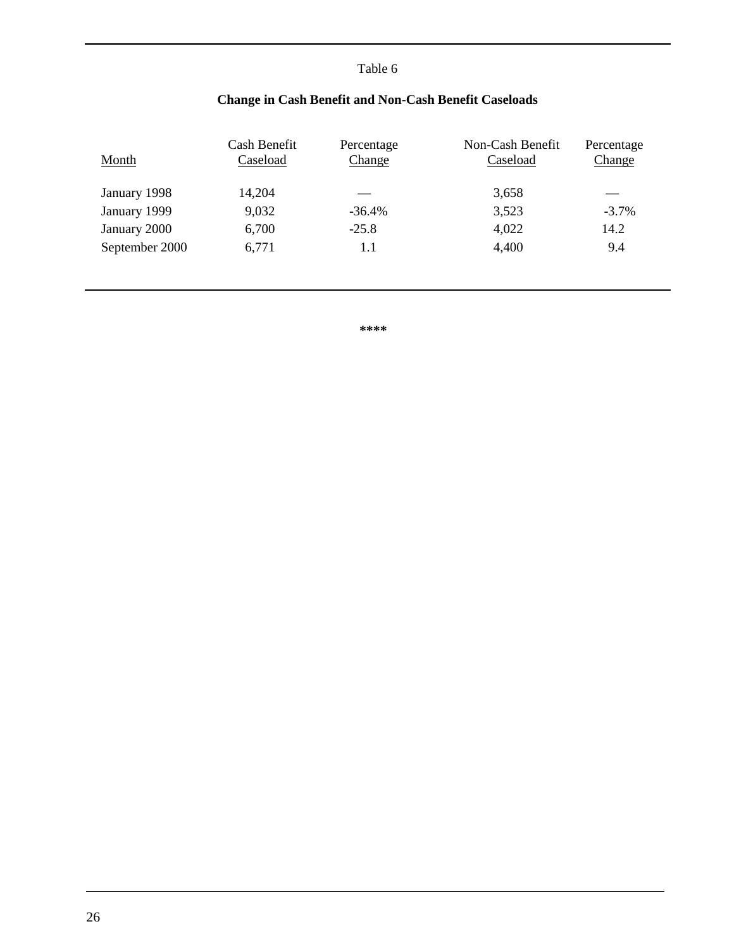<span id="page-28-0"></span>

| Month          | Cash Benefit<br>Caseload | Percentage<br>Change | Non-Cash Benefit<br>Caseload | Percentage<br>Change |
|----------------|--------------------------|----------------------|------------------------------|----------------------|
| January 1998   | 14,204                   |                      | 3,658                        |                      |
| January 1999   | 9,032                    | $-36.4%$             | 3,523                        | $-3.7%$              |
| January 2000   | 6,700                    | $-25.8$              | 4,022                        | 14.2                 |
| September 2000 | 6,771                    | 1.1                  | 4,400                        | 9.4                  |
|                |                          |                      |                              |                      |
|                |                          |                      |                              |                      |

# **Change in Cash Benefit and Non-Cash Benefit Caseloads**

**\*\*\*\***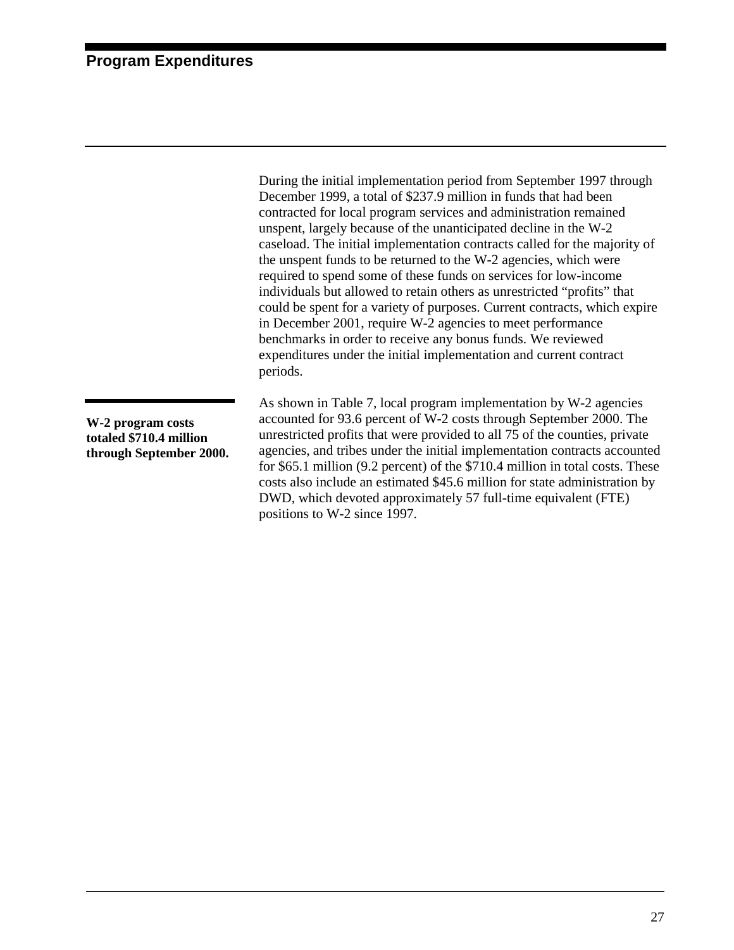# <span id="page-29-0"></span>**Program Expenditures**

During the initial implementation period from September 1997 through December 1999, a total of \$237.9 million in funds that had been contracted for local program services and administration remained unspent, largely because of the unanticipated decline in the W-2 caseload. The initial implementation contracts called for the majority of the unspent funds to be returned to the W-2 agencies, which were required to spend some of these funds on services for low-income individuals but allowed to retain others as unrestricted "profits" that could be spent for a variety of purposes. Current contracts, which expire in December 2001, require W-2 agencies to meet performance benchmarks in order to receive any bonus funds. We reviewed expenditures under the initial implementation and current contract periods.

**W-2 program costs totaled \$710.4 million through September 2000.** As shown in [Table 7,](#page-30-0) local program implementation by W-2 agencies accounted for 93.6 percent of W-2 costs through September 2000. The unrestricted profits that were provided to all 75 of the counties, private agencies, and tribes under the initial implementation contracts accounted for \$65.1 million (9.2 percent) of the \$710.4 million in total costs. These costs also include an estimated \$45.6 million for state administration by DWD, which devoted approximately 57 full-time equivalent (FTE) positions to W-2 since 1997.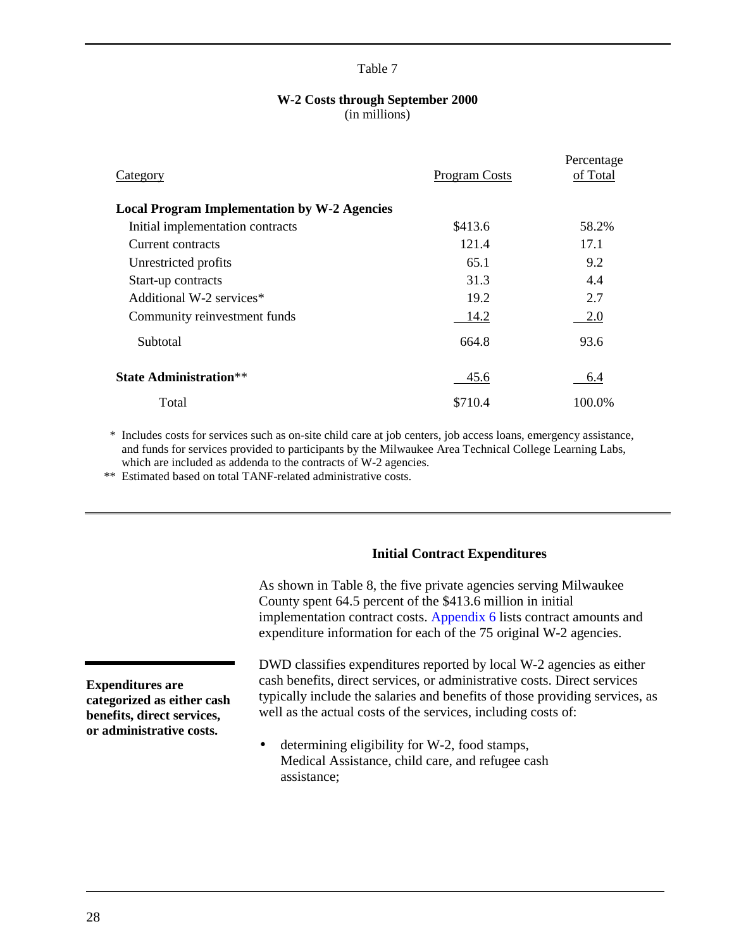#### **W-2 Costs through September 2000** (in millions)

<span id="page-30-0"></span>

| Category                                            | <b>Program Costs</b> | Percentage<br>of Total |
|-----------------------------------------------------|----------------------|------------------------|
| <b>Local Program Implementation by W-2 Agencies</b> |                      |                        |
| Initial implementation contracts                    | \$413.6              | 58.2%                  |
| Current contracts                                   | 121.4                | 17.1                   |
| Unrestricted profits                                | 65.1                 | 9.2                    |
| Start-up contracts                                  | 31.3                 | 4.4                    |
| Additional W-2 services*                            | 19.2                 | 2.7                    |
| Community reinvestment funds                        | 14.2                 | 2.0                    |
| Subtotal                                            | 664.8                | 93.6                   |
| <b>State Administration</b> **                      | 45.6                 | 6.4                    |
| Total                                               | \$710.4              | 100.0%                 |

\* Includes costs for services such as on-site child care at job centers, job access loans, emergency assistance, and funds for services provided to participants by the Milwaukee Area Technical College Learning Labs, which are included as addenda to the contracts of W-2 agencies.

\*\* Estimated based on total TANF-related administrative costs.

#### **Initial Contract Expenditures**

As shown in [Table 8,](#page-31-0) the five private agencies serving Milwaukee County spent 64.5 percent of the \$413.6 million in initial implementation contract costs[. Appendix 6](#page-177-0) lists contract amounts and expenditure information for each of the 75 original W-2 agencies.

**Expenditures are categorized as either cash benefits, direct services, or administrative costs.**

DWD classifies expenditures reported by local W-2 agencies as either cash benefits, direct services, or administrative costs. Direct services typically include the salaries and benefits of those providing services, as well as the actual costs of the services, including costs of:

• determining eligibility for W-2, food stamps, Medical Assistance, child care, and refugee cash assistance;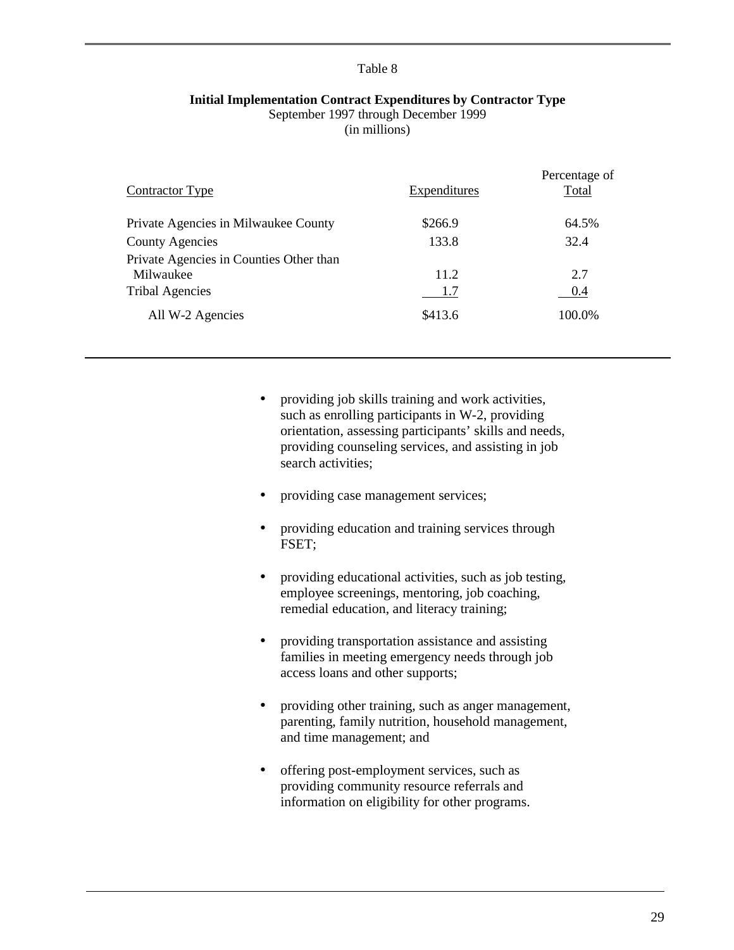#### <span id="page-31-0"></span>**Initial Implementation Contract Expenditures by Contractor Type**

September 1997 through December 1999

(in millions)

| <b>Contractor Type</b>                               | Expenditures | Percentage of<br>Total |
|------------------------------------------------------|--------------|------------------------|
| Private Agencies in Milwaukee County                 | \$266.9      | 64.5%                  |
| <b>County Agencies</b>                               | 133.8        | 32.4                   |
| Private Agencies in Counties Other than<br>Milwaukee | 11.2         | 2.7                    |
| <b>Tribal Agencies</b>                               | 1.7          | 0.4                    |
| All W-2 Agencies                                     | \$413.6      | 100.0%                 |

- providing job skills training and work activities, such as enrolling participants in W-2, providing orientation, assessing participants' skills and needs, providing counseling services, and assisting in job search activities;
- providing case management services;
- providing education and training services through FSET;
- providing educational activities, such as job testing, employee screenings, mentoring, job coaching, remedial education, and literacy training;
- providing transportation assistance and assisting families in meeting emergency needs through job access loans and other supports;
- providing other training, such as anger management, parenting, family nutrition, household management, and time management; and
- offering post-employment services, such as providing community resource referrals and information on eligibility for other programs.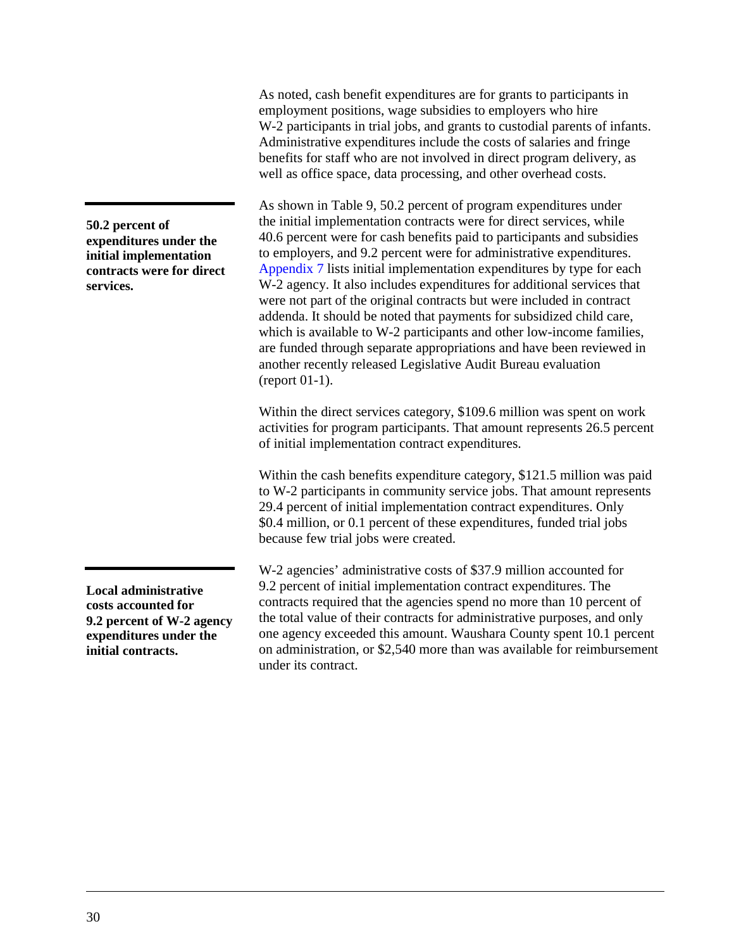As noted, cash benefit expenditures are for grants to participants in employment positions, wage subsidies to employers who hire W-2 participants in trial jobs, and grants to custodial parents of infants. Administrative expenditures include the costs of salaries and fringe benefits for staff who are not involved in direct program delivery, as well as office space, data processing, and other overhead costs.

As shown in [Table 9,](#page-33-0) 50.2 percent of program expenditures under the initial implementation contracts were for direct services, while 40.6 percent were for cash benefits paid to participants and subsidies to employers, and 9.2 percent were for administrative expenditures. [Appendix 7](#page-181-0) lists initial implementation expenditures by type for each W-2 agency. It also includes expenditures for additional services that were not part of the original contracts but were included in contract addenda. It should be noted that payments for subsidized child care, which is available to W-2 participants and other low-income families, are funded through separate appropriations and have been reviewed in another recently released Legislative Audit Bureau evaluation (report 01-1).

Within the direct services category, \$109.6 million was spent on work activities for program participants. That amount represents 26.5 percent of initial implementation contract expenditures.

Within the cash benefits expenditure category, \$121.5 million was paid to W-2 participants in community service jobs. That amount represents 29.4 percent of initial implementation contract expenditures. Only \$0.4 million, or 0.1 percent of these expenditures, funded trial jobs because few trial jobs were created.

W-2 agencies' administrative costs of \$37.9 million accounted for 9.2 percent of initial implementation contract expenditures. The contracts required that the agencies spend no more than 10 percent of the total value of their contracts for administrative purposes, and only one agency exceeded this amount. Waushara County spent 10.1 percent on administration, or \$2,540 more than was available for reimbursement under its contract.

**50.2 percent of expenditures under the initial implementation contracts were for direct services.**

**Local administrative costs accounted for 9.2 percent of W-2 agency expenditures under the initial contracts.**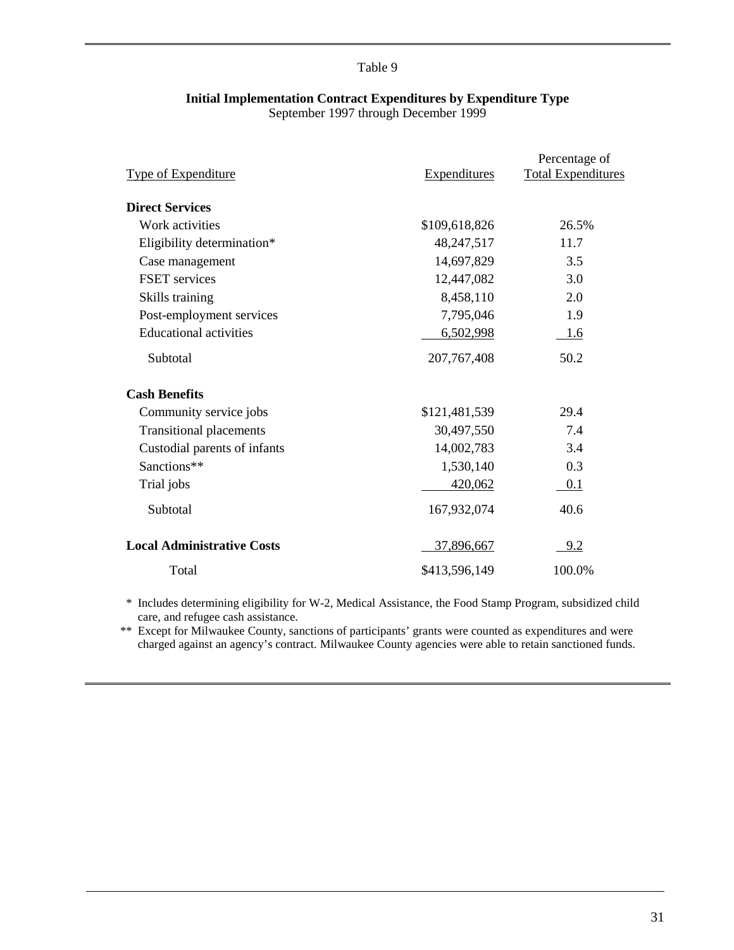# **Initial Implementation Contract Expenditures by Expenditure Type**

September 1997 through December 1999

<span id="page-33-0"></span>

| <b>Type of Expenditure</b>        | <b>Expenditures</b> | Percentage of<br><b>Total Expenditures</b> |
|-----------------------------------|---------------------|--------------------------------------------|
| <b>Direct Services</b>            |                     |                                            |
| Work activities                   | \$109,618,826       | 26.5%                                      |
| Eligibility determination*        | 48,247,517          | 11.7                                       |
| Case management                   | 14,697,829          | 3.5                                        |
| <b>FSET</b> services              | 12,447,082          | 3.0                                        |
| Skills training                   | 8,458,110           | 2.0                                        |
| Post-employment services          | 7,795,046           | 1.9                                        |
| <b>Educational activities</b>     | 6,502,998           | 1.6                                        |
| Subtotal                          | 207, 767, 408       | 50.2                                       |
| <b>Cash Benefits</b>              |                     |                                            |
| Community service jobs            | \$121,481,539       | 29.4                                       |
| <b>Transitional placements</b>    | 30,497,550          | 7.4                                        |
| Custodial parents of infants      | 14,002,783          | 3.4                                        |
| Sanctions**                       | 1,530,140           | 0.3                                        |
| Trial jobs                        | 420,062             | $\overline{0.1}$                           |
| Subtotal                          | 167,932,074         | 40.6                                       |
| <b>Local Administrative Costs</b> | 37,896,667          | <u>9.2</u>                                 |
| Total                             | \$413,596,149       | 100.0%                                     |

\* Includes determining eligibility for W-2, Medical Assistance, the Food Stamp Program, subsidized child care, and refugee cash assistance.

\*\* Except for Milwaukee County, sanctions of participants' grants were counted as expenditures and were charged against an agency's contract. Milwaukee County agencies were able to retain sanctioned funds.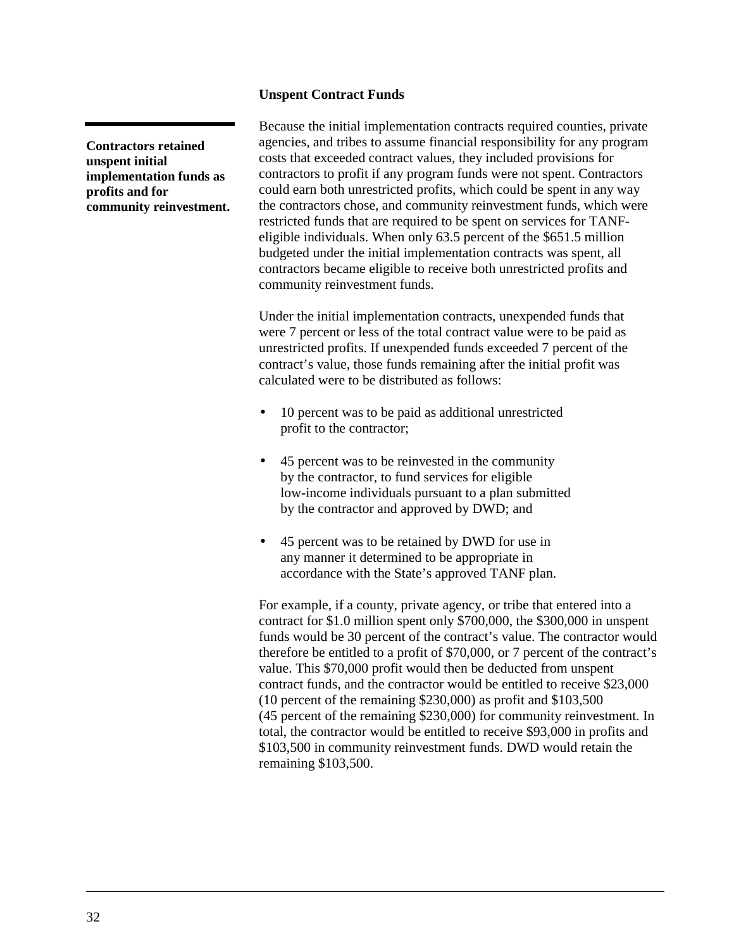#### **Unspent Contract Funds**

<span id="page-34-0"></span>**Contractors retained unspent initial implementation funds as profits and for community reinvestment.**

Because the initial implementation contracts required counties, private agencies, and tribes to assume financial responsibility for any program costs that exceeded contract values, they included provisions for contractors to profit if any program funds were not spent. Contractors could earn both unrestricted profits, which could be spent in any way the contractors chose, and community reinvestment funds, which were restricted funds that are required to be spent on services for TANFeligible individuals. When only 63.5 percent of the \$651.5 million budgeted under the initial implementation contracts was spent, all contractors became eligible to receive both unrestricted profits and community reinvestment funds.

Under the initial implementation contracts, unexpended funds that were 7 percent or less of the total contract value were to be paid as unrestricted profits. If unexpended funds exceeded 7 percent of the contract's value, those funds remaining after the initial profit was calculated were to be distributed as follows:

- 10 percent was to be paid as additional unrestricted profit to the contractor;
- 45 percent was to be reinvested in the community by the contractor, to fund services for eligible low-income individuals pursuant to a plan submitted by the contractor and approved by DWD; and
- 45 percent was to be retained by DWD for use in any manner it determined to be appropriate in accordance with the State's approved TANF plan.

For example, if a county, private agency, or tribe that entered into a contract for \$1.0 million spent only \$700,000, the \$300,000 in unspent funds would be 30 percent of the contract's value. The contractor would therefore be entitled to a profit of \$70,000, or 7 percent of the contract's value. This \$70,000 profit would then be deducted from unspent contract funds, and the contractor would be entitled to receive \$23,000 (10 percent of the remaining \$230,000) as profit and \$103,500 (45 percent of the remaining \$230,000) for community reinvestment. In total, the contractor would be entitled to receive \$93,000 in profits and \$103,500 in community reinvestment funds. DWD would retain the remaining \$103,500.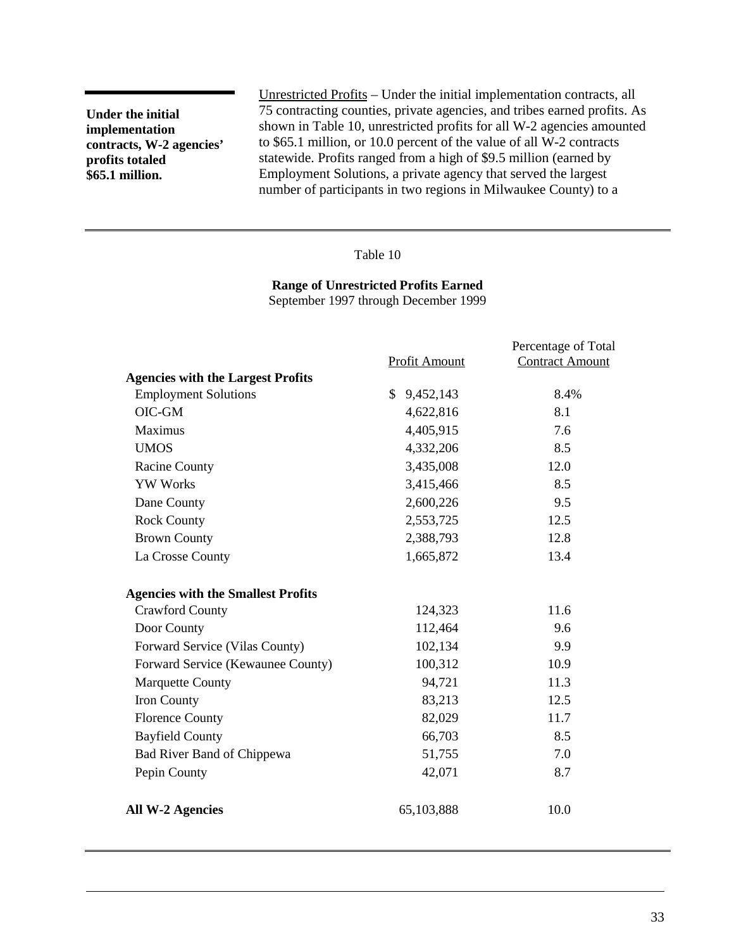**Under the initial implementation contracts, W-2 agencies' profits totaled \$65.1 million.**

Unrestricted Profits – Under the initial implementation contracts, all 75 contracting counties, private agencies, and tribes earned profits. As shown in Table 10, unrestricted profits for all W-2 agencies amounted to \$65.1 million, or 10.0 percent of the value of all W-2 contracts statewide. Profits ranged from a high of \$9.5 million (earned by Employment Solutions, a private agency that served the largest number of participants in two regions in Milwaukee County) to a

#### Table 10

**Range of Unrestricted Profits Earned**

September 1997 through December 1999

|                                           | Profit Amount   | Percentage of Total<br><b>Contract Amount</b> |
|-------------------------------------------|-----------------|-----------------------------------------------|
| <b>Agencies with the Largest Profits</b>  |                 |                                               |
| <b>Employment Solutions</b>               | \$<br>9,452,143 | 8.4%                                          |
| OIC-GM                                    | 4,622,816       | 8.1                                           |
| Maximus                                   | 4,405,915       | 7.6                                           |
| <b>UMOS</b>                               | 4,332,206       | 8.5                                           |
| <b>Racine County</b>                      | 3,435,008       | 12.0                                          |
| <b>YW Works</b>                           | 3,415,466       | 8.5                                           |
| Dane County                               | 2,600,226       | 9.5                                           |
| <b>Rock County</b>                        | 2,553,725       | 12.5                                          |
| <b>Brown County</b>                       | 2,388,793       | 12.8                                          |
| La Crosse County                          | 1,665,872       | 13.4                                          |
| <b>Agencies with the Smallest Profits</b> |                 |                                               |
| <b>Crawford County</b>                    | 124,323         | 11.6                                          |
| Door County                               | 112,464         | 9.6                                           |
| Forward Service (Vilas County)            | 102,134         | 9.9                                           |
| Forward Service (Kewaunee County)         | 100,312         | 10.9                                          |
| <b>Marquette County</b>                   | 94,721          | 11.3                                          |
| Iron County                               | 83,213          | 12.5                                          |
| <b>Florence County</b>                    | 82,029          | 11.7                                          |
| <b>Bayfield County</b>                    | 66,703          | 8.5                                           |
| Bad River Band of Chippewa                | 51,755          | 7.0                                           |
| Pepin County                              | 42,071          | 8.7                                           |
| <b>All W-2 Agencies</b>                   | 65,103,888      | 10.0                                          |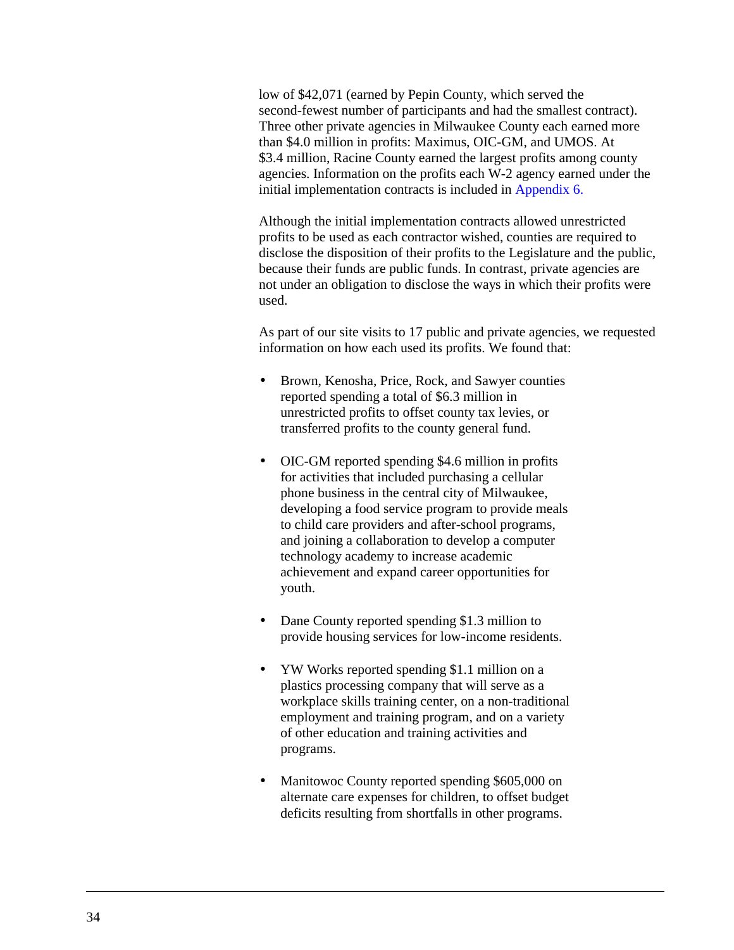low of \$42,071 (earned by Pepin County, which served the second-fewest number of participants and had the smallest contract). Three other private agencies in Milwaukee County each earned more than \$4.0 million in profits: Maximus, OIC-GM, and UMOS. At \$3.4 million, Racine County earned the largest profits among county agencies. Information on the profits each W-2 agency earned under the initial implementation contracts is included in [Appendix 6.](#page-177-0)

Although the initial implementation contracts allowed unrestricted profits to be used as each contractor wished, counties are required to disclose the disposition of their profits to the Legislature and the public, because their funds are public funds. In contrast, private agencies are not under an obligation to disclose the ways in which their profits were used.

As part of our site visits to 17 public and private agencies, we requested information on how each used its profits. We found that:

- Brown, Kenosha, Price, Rock, and Sawyer counties reported spending a total of \$6.3 million in unrestricted profits to offset county tax levies, or transferred profits to the county general fund.
- OIC-GM reported spending \$4.6 million in profits for activities that included purchasing a cellular phone business in the central city of Milwaukee, developing a food service program to provide meals to child care providers and after-school programs, and joining a collaboration to develop a computer technology academy to increase academic achievement and expand career opportunities for youth.
- Dane County reported spending \$1.3 million to provide housing services for low-income residents.
- YW Works reported spending \$1.1 million on a plastics processing company that will serve as a workplace skills training center, on a non-traditional employment and training program, and on a variety of other education and training activities and programs.
- Manitowoc County reported spending \$605,000 on alternate care expenses for children, to offset budget deficits resulting from shortfalls in other programs.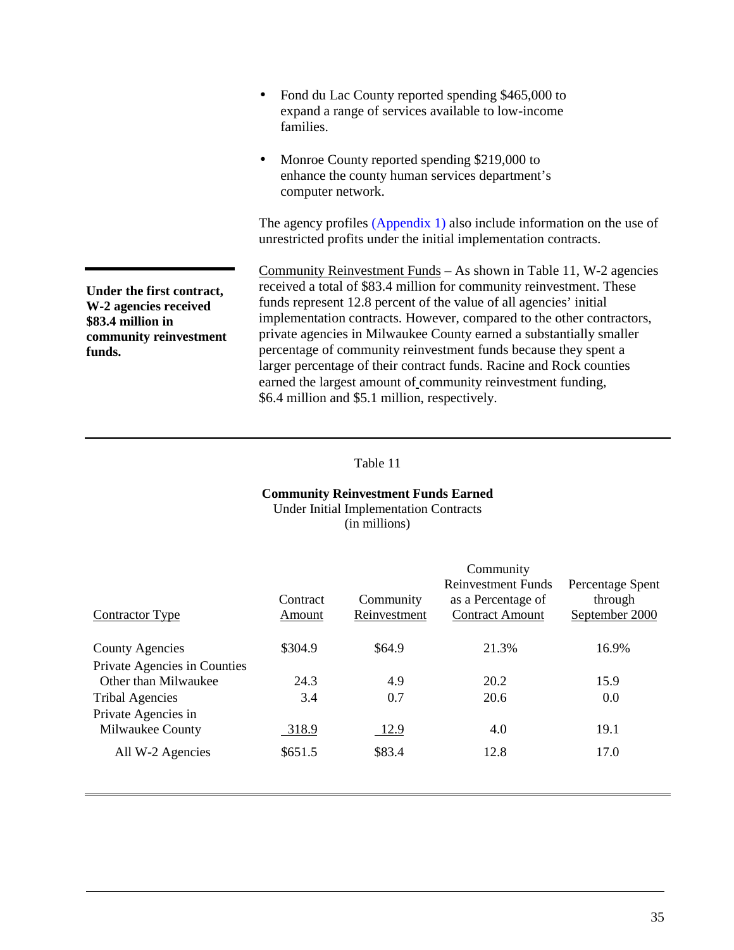|                                                                                                             | Fond du Lac County reported spending \$465,000 to<br>$\bullet$<br>expand a range of services available to low-income<br>families.                                                                                                                                                                                                                                                                                                                                                                                                                                         |
|-------------------------------------------------------------------------------------------------------------|---------------------------------------------------------------------------------------------------------------------------------------------------------------------------------------------------------------------------------------------------------------------------------------------------------------------------------------------------------------------------------------------------------------------------------------------------------------------------------------------------------------------------------------------------------------------------|
|                                                                                                             | Monroe County reported spending \$219,000 to<br>enhance the county human services department's<br>computer network.                                                                                                                                                                                                                                                                                                                                                                                                                                                       |
|                                                                                                             | The agency profiles (Appendix 1) also include information on the use of<br>unrestricted profits under the initial implementation contracts.                                                                                                                                                                                                                                                                                                                                                                                                                               |
| Under the first contract,<br>W-2 agencies received<br>\$83.4 million in<br>community reinvestment<br>funds. | Community Reinvestment Funds – As shown in Table 11, W-2 agencies<br>received a total of \$83.4 million for community reinvestment. These<br>funds represent 12.8 percent of the value of all agencies' initial<br>implementation contracts. However, compared to the other contractors,<br>private agencies in Milwaukee County earned a substantially smaller<br>percentage of community reinvestment funds because they spent a<br>larger percentage of their contract funds. Racine and Rock counties<br>earned the largest amount of community reinvestment funding, |

\$6.4 million and \$5.1 million, respectively.

# Table 11

# **Community Reinvestment Funds Earned**

Under Initial Implementation Contracts (in millions)

|                              | Contract | Community    | Community<br><b>Reinvestment Funds</b><br>as a Percentage of | Percentage Spent<br>through |
|------------------------------|----------|--------------|--------------------------------------------------------------|-----------------------------|
| <b>Contractor Type</b>       | Amount   | Reinvestment | <b>Contract Amount</b>                                       | September 2000              |
| <b>County Agencies</b>       | \$304.9  | \$64.9       | 21.3%                                                        | 16.9%                       |
| Private Agencies in Counties |          |              |                                                              |                             |
| Other than Milwaukee         | 24.3     | 4.9          | 20.2                                                         | 15.9                        |
| <b>Tribal Agencies</b>       | 3.4      | 0.7          | 20.6                                                         | 0.0                         |
| Private Agencies in          |          |              |                                                              |                             |
| Milwaukee County             | 318.9    | 12.9         | 4.0                                                          | 19.1                        |
| All W-2 Agencies             | \$651.5  | \$83.4       | 12.8                                                         | 17.0                        |
|                              |          |              |                                                              |                             |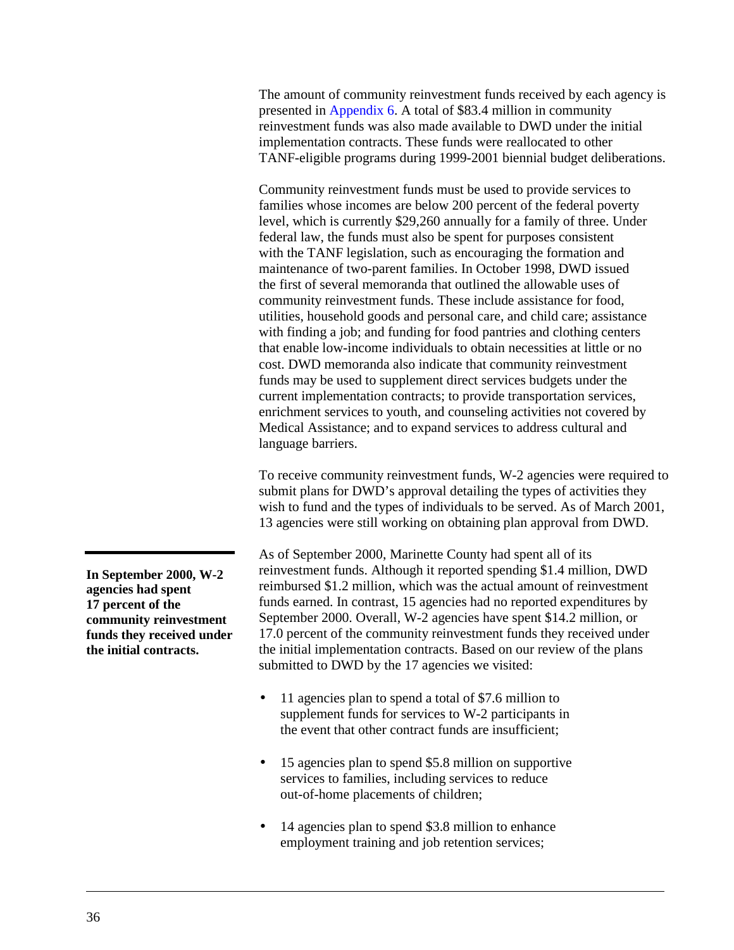The amount of community reinvestment funds received by each agency is presented in [Appendix 6.](#page-177-0) A total of \$83.4 million in community reinvestment funds was also made available to DWD under the initial implementation contracts. These funds were reallocated to other TANF-eligible programs during 1999-2001 biennial budget deliberations.

Community reinvestment funds must be used to provide services to families whose incomes are below 200 percent of the federal poverty level, which is currently \$29,260 annually for a family of three. Under federal law, the funds must also be spent for purposes consistent with the TANF legislation, such as encouraging the formation and maintenance of two-parent families. In October 1998, DWD issued the first of several memoranda that outlined the allowable uses of community reinvestment funds. These include assistance for food, utilities, household goods and personal care, and child care; assistance with finding a job; and funding for food pantries and clothing centers that enable low-income individuals to obtain necessities at little or no cost. DWD memoranda also indicate that community reinvestment funds may be used to supplement direct services budgets under the current implementation contracts; to provide transportation services, enrichment services to youth, and counseling activities not covered by Medical Assistance; and to expand services to address cultural and language barriers.

To receive community reinvestment funds, W-2 agencies were required to submit plans for DWD's approval detailing the types of activities they wish to fund and the types of individuals to be served. As of March 2001, 13 agencies were still working on obtaining plan approval from DWD.

As of September 2000, Marinette County had spent all of its reinvestment funds. Although it reported spending \$1.4 million, DWD reimbursed \$1.2 million, which was the actual amount of reinvestment funds earned. In contrast, 15 agencies had no reported expenditures by September 2000. Overall, W-2 agencies have spent \$14.2 million, or 17.0 percent of the community reinvestment funds they received under the initial implementation contracts. Based on our review of the plans submitted to DWD by the 17 agencies we visited:

- 11 agencies plan to spend a total of \$7.6 million to supplement funds for services to W-2 participants in the event that other contract funds are insufficient;
- 15 agencies plan to spend \$5.8 million on supportive services to families, including services to reduce out-of-home placements of children;
- 14 agencies plan to spend \$3.8 million to enhance employment training and job retention services;

**In September 2000, W-2 agencies had spent 17 percent of the community reinvestment funds they received under the initial contracts.**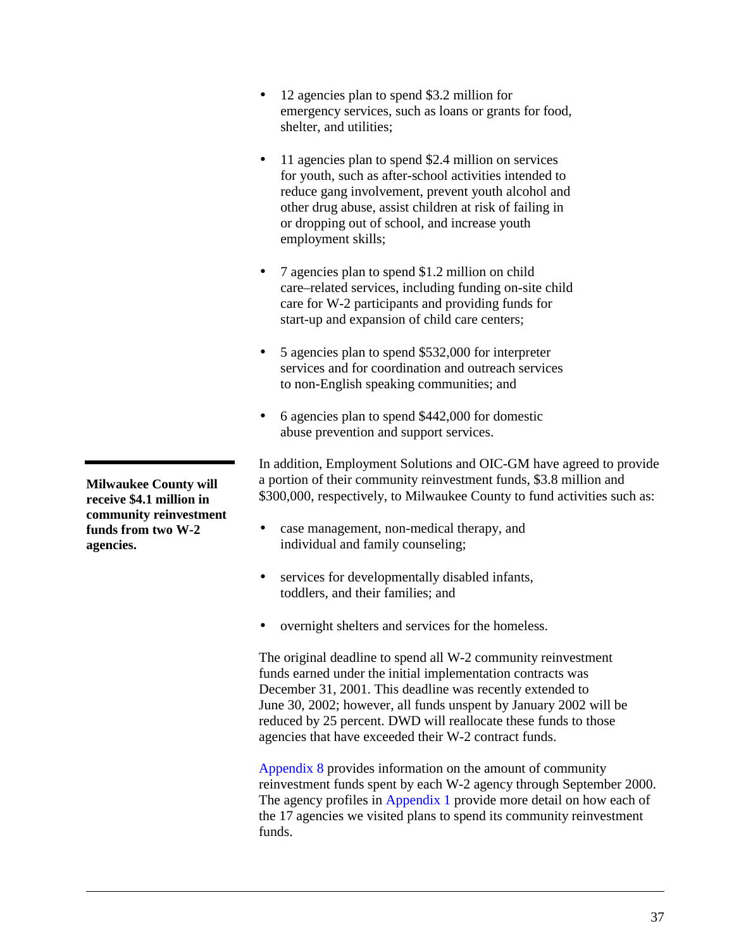- 12 agencies plan to spend \$3.2 million for emergency services, such as loans or grants for food, shelter, and utilities;
- 11 agencies plan to spend \$2.4 million on services for youth, such as after-school activities intended to reduce gang involvement, prevent youth alcohol and other drug abuse, assist children at risk of failing in or dropping out of school, and increase youth employment skills;
- 7 agencies plan to spend \$1.2 million on child care–related services, including funding on-site child care for W-2 participants and providing funds for start-up and expansion of child care centers;
- 5 agencies plan to spend \$532,000 for interpreter services and for coordination and outreach services to non-English speaking communities; and
- 6 agencies plan to spend \$442,000 for domestic abuse prevention and support services.

In addition, Employment Solutions and OIC-GM have agreed to provide a portion of their community reinvestment funds, \$3.8 million and \$300,000, respectively, to Milwaukee County to fund activities such as:

- case management, non-medical therapy, and individual and family counseling;
- services for developmentally disabled infants, toddlers, and their families; and
- overnight shelters and services for the homeless.

The original deadline to spend all W-2 community reinvestment funds earned under the initial implementation contracts was December 31, 2001. This deadline was recently extended to June 30, 2002; however, all funds unspent by January 2002 will be reduced by 25 percent. DWD will reallocate these funds to those agencies that have exceeded their W-2 contract funds.

[Appendix 8 p](#page-185-0)rovides information on the amount of community reinvestment funds spent by each W-2 agency through September 2000. The agency profiles in [Appendix](#page-91-0) 1 provide more detail on how each of the 17 agencies we visited plans to spend its community reinvestment funds.

**Milwaukee County will receive \$4.1 million in community reinvestment funds from two W-2 agencies.**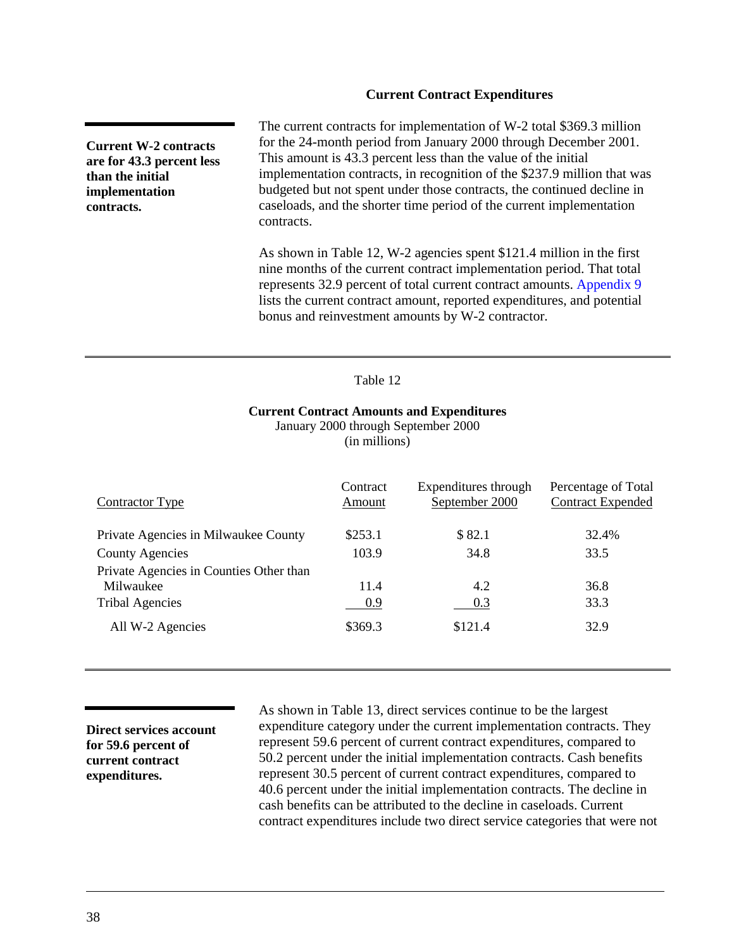#### **Current Contract Expenditures**

**Current W-2 contracts are for 43.3 percent less than the initial implementation contracts.**

The current contracts for implementation of W-2 total \$369.3 million for the 24-month period from January 2000 through December 2001. This amount is 43.3 percent less than the value of the initial implementation contracts, in recognition of the \$237.9 million that was budgeted but not spent under those contracts, the continued decline in caseloads, and the shorter time period of the current implementation contracts.

As shown in Table 12, W-2 agencies spent \$121.4 million in the first nine months of the current contract implementation period. That total represents 32.9 percent of total current contract amounts[. Appendix 9](#page-189-0) lists the current contract amount, reported expenditures, and potential bonus and reinvestment amounts by W-2 contractor.

#### Table 12

#### **Current Contract Amounts and Expenditures**

January 2000 through September 2000 (in millions)

| Contractor Type                         | Contract<br>Amount | Expenditures through<br>September 2000 | Percentage of Total<br><b>Contract Expended</b> |
|-----------------------------------------|--------------------|----------------------------------------|-------------------------------------------------|
| Private Agencies in Milwaukee County    | \$253.1            | \$82.1                                 | 32.4%                                           |
| <b>County Agencies</b>                  | 103.9              | 34.8                                   | 33.5                                            |
| Private Agencies in Counties Other than |                    |                                        |                                                 |
| Milwaukee                               | 11.4               | 4.2                                    | 36.8                                            |
| <b>Tribal Agencies</b>                  | 0.9                | 0.3                                    | 33.3                                            |
| All W-2 Agencies                        | \$369.3            | \$121.4                                | 32.9                                            |

**Direct services account for 59.6 percent of current contract expenditures.**

As shown in [Table 13,](#page-41-0) direct services continue to be the largest expenditure category under the current implementation contracts. They represent 59.6 percent of current contract expenditures, compared to 50.2 percent under the initial implementation contracts. Cash benefits represent 30.5 percent of current contract expenditures, compared to 40.6 percent under the initial implementation contracts. The decline in cash benefits can be attributed to the decline in caseloads. Current contract expenditures include two direct service categories that were not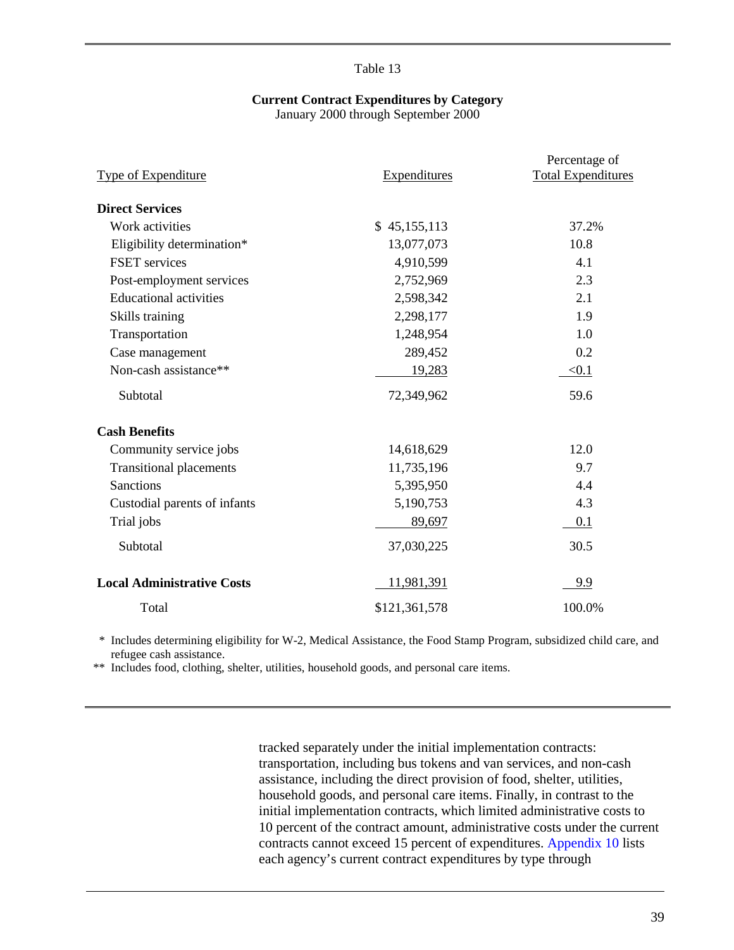# **Current Contract Expenditures by Category**

January 2000 through September 2000

<span id="page-41-0"></span>

|                                   |                     | Percentage of             |
|-----------------------------------|---------------------|---------------------------|
| Type of Expenditure               | <b>Expenditures</b> | <b>Total Expenditures</b> |
| <b>Direct Services</b>            |                     |                           |
| Work activities                   | \$45,155,113        | 37.2%                     |
| Eligibility determination*        | 13,077,073          | 10.8                      |
| FSET services                     | 4,910,599           | 4.1                       |
| Post-employment services          | 2,752,969           | 2.3                       |
| <b>Educational activities</b>     | 2,598,342           | 2.1                       |
| Skills training                   | 2,298,177           | 1.9                       |
| Transportation                    | 1,248,954           | 1.0                       |
| Case management                   | 289,452             | 0.2                       |
| Non-cash assistance**             | 19,283              | < 0.1                     |
| Subtotal                          | 72,349,962          | 59.6                      |
| <b>Cash Benefits</b>              |                     |                           |
| Community service jobs            | 14,618,629          | 12.0                      |
| <b>Transitional placements</b>    | 11,735,196          | 9.7                       |
| <b>Sanctions</b>                  | 5,395,950           | 4.4                       |
| Custodial parents of infants      | 5,190,753           | 4.3                       |
| Trial jobs                        | 89,697              | 0.1                       |
| Subtotal                          | 37,030,225          | 30.5                      |
| <b>Local Administrative Costs</b> | 11,981,391          | 9.9                       |
| Total                             | \$121,361,578       | 100.0%                    |

\* Includes determining eligibility for W-2, Medical Assistance, the Food Stamp Program, subsidized child care, and refugee cash assistance.

\*\* Includes food, clothing, shelter, utilities, household goods, and personal care items.

tracked separately under the initial implementation contracts: transportation, including bus tokens and van services, and non-cash assistance, including the direct provision of food, shelter, utilities, household goods, and personal care items. Finally, in contrast to the initial implementation contracts, which limited administrative costs to 10 percent of the contract amount, administrative costs under the current contracts cannot exceed 15 percent of expenditures. [Appendix 10](#page-193-0) lists each agency's current contract expenditures by type through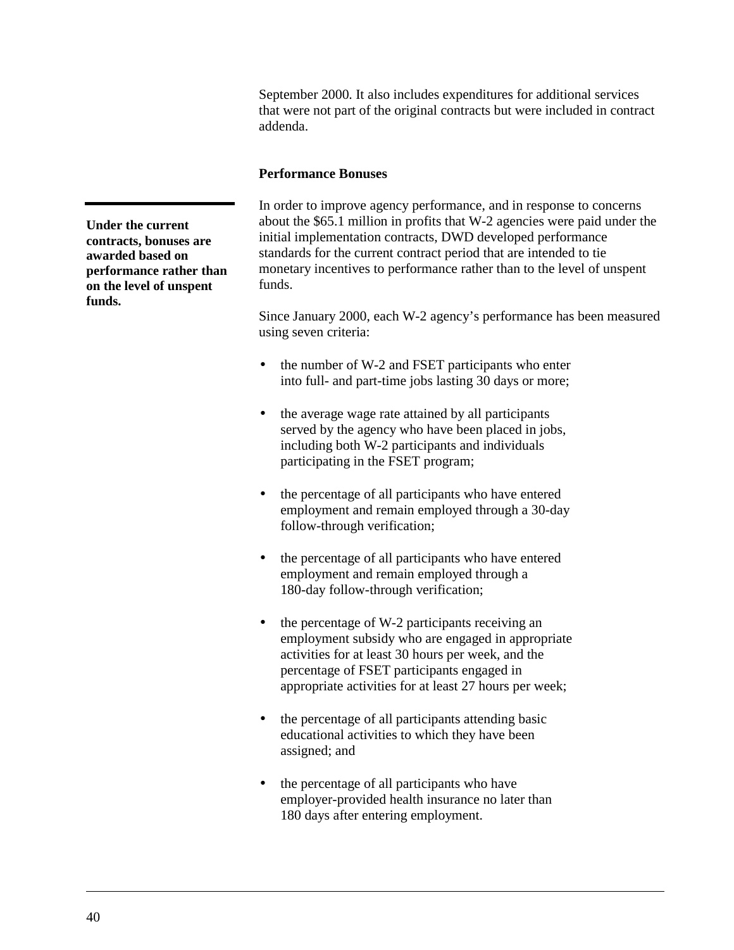September 2000. It also includes expenditures for additional services that were not part of the original contracts but were included in contract addenda.

#### **Performance Bonuses**

In order to improve agency performance, and in response to concerns about the \$65.1 million in profits that W-2 agencies were paid under the initial implementation contracts, DWD developed performance standards for the current contract period that are intended to tie monetary incentives to performance rather than to the level of unspent funds.

Since January 2000, each W-2 agency's performance has been measured using seven criteria:

- the number of W-2 and FSET participants who enter into full- and part-time jobs lasting 30 days or more;
- the average wage rate attained by all participants served by the agency who have been placed in jobs, including both W-2 participants and individuals participating in the FSET program;
- the percentage of all participants who have entered employment and remain employed through a 30-day follow-through verification;
- the percentage of all participants who have entered employment and remain employed through a 180-day follow-through verification;
- the percentage of W-2 participants receiving an employment subsidy who are engaged in appropriate activities for at least 30 hours per week, and the percentage of FSET participants engaged in appropriate activities for at least 27 hours per week;
- the percentage of all participants attending basic educational activities to which they have been assigned; and
- the percentage of all participants who have employer-provided health insurance no later than 180 days after entering employment.

**Under the current contracts, bonuses are awarded based on performance rather than on the level of unspent funds.**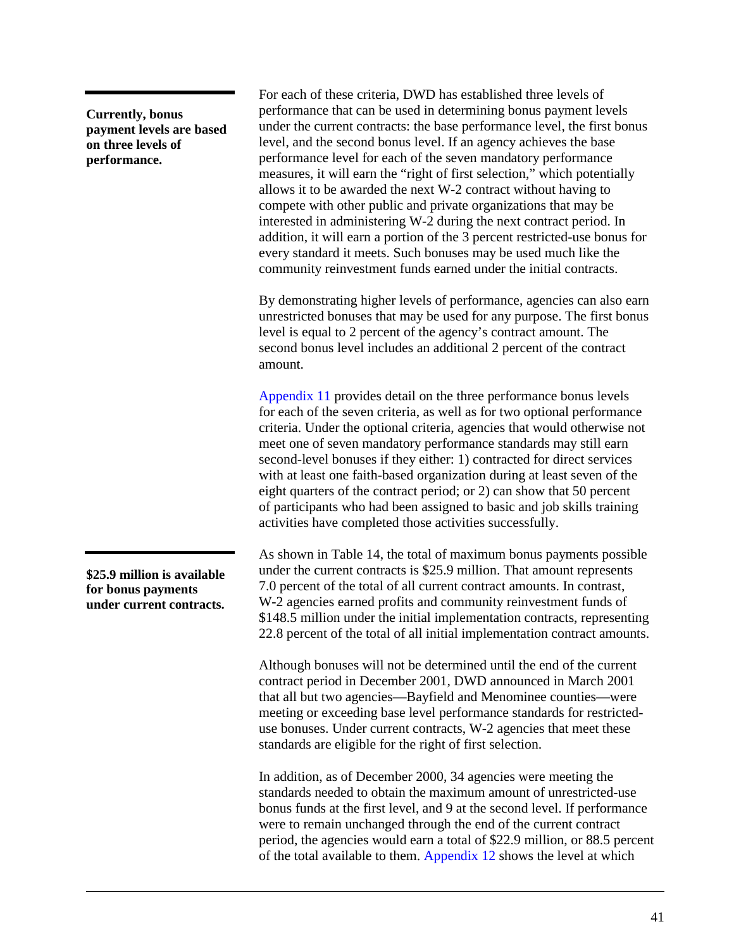**Currently, bonus payment levels are based on three levels of performance.**

For each of these criteria, DWD has established three levels of performance that can be used in determining bonus payment levels under the current contracts: the base performance level, the first bonus level, and the second bonus level. If an agency achieves the base performance level for each of the seven mandatory performance measures, it will earn the "right of first selection," which potentially allows it to be awarded the next W-2 contract without having to compete with other public and private organizations that may be interested in administering W-2 during the next contract period. In addition, it will earn a portion of the 3 percent restricted-use bonus for every standard it meets. Such bonuses may be used much like the community reinvestment funds earned under the initial contracts.

By demonstrating higher levels of performance, agencies can also earn unrestricted bonuses that may be used for any purpose. The first bonus level is equal to 2 percent of the agency's contract amount. The second bonus level includes an additional 2 percent of the contract amount.

[Appendix 11](#page-197-0) provides detail on the three performance bonus levels for each of the seven criteria, as well as for two optional performance criteria. Under the optional criteria, agencies that would otherwise not meet one of seven mandatory performance standards may still earn second-level bonuses if they either: 1) contracted for direct services with at least one faith-based organization during at least seven of the eight quarters of the contract period; or 2) can show that 50 percent of participants who had been assigned to basic and job skills training activities have completed those activities successfully.

As shown in [Table 14,](#page-44-0) the total of maximum bonus payments possible under the current contracts is \$25.9 million. That amount represents 7.0 percent of the total of all current contract amounts. In contrast, W-2 agencies earned profits and community reinvestment funds of \$148.5 million under the initial implementation contracts, representing 22.8 percent of the total of all initial implementation contract amounts.

Although bonuses will not be determined until the end of the current contract period in December 2001, DWD announced in March 2001 that all but two agencies—Bayfield and Menominee counties—were meeting or exceeding base level performance standards for restricteduse bonuses. Under current contracts, W-2 agencies that meet these standards are eligible for the right of first selection.

In addition, as of December 2000, 34 agencies were meeting the standards needed to obtain the maximum amount of unrestricted-use bonus funds at the first level, and 9 at the second level. If performance were to remain unchanged through the end of the current contract period, the agencies would earn a total of \$22.9 million, or 88.5 percent of the total available to them. [Appendix 12](#page-199-0) shows the level at which

**\$25.9 million is available for bonus payments under current contracts.**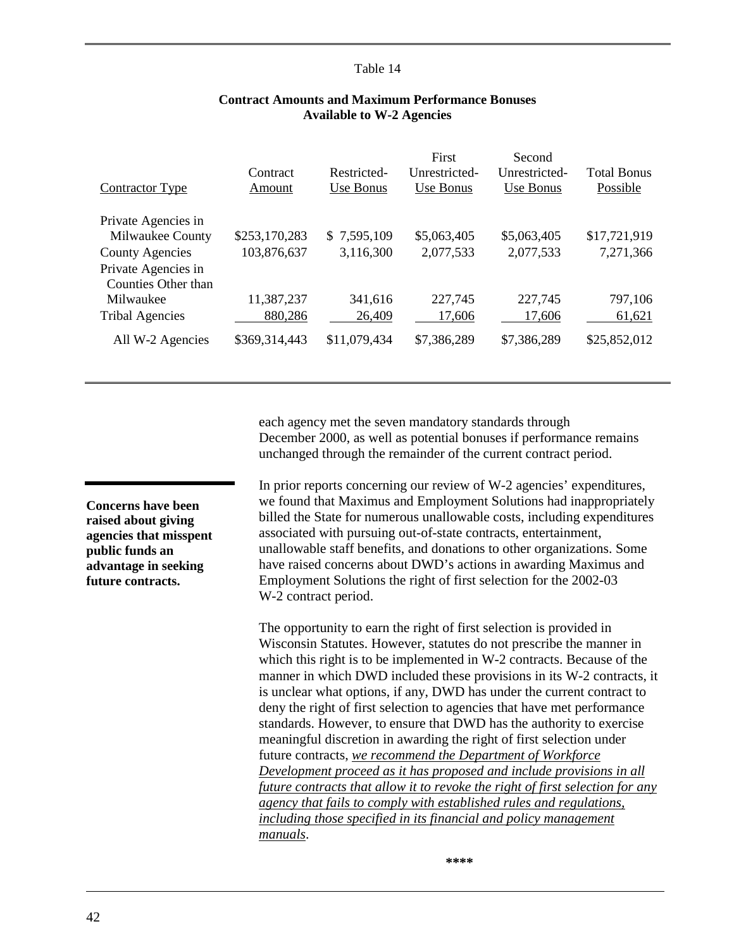<span id="page-44-0"></span>

| Contractor Type                            | Contract<br>Amount | Restricted-<br>Use Bonus | First<br>Unrestricted-<br>Use Bonus | Second<br>Unrestricted-<br>Use Bonus | <b>Total Bonus</b><br>Possible |
|--------------------------------------------|--------------------|--------------------------|-------------------------------------|--------------------------------------|--------------------------------|
| Private Agencies in                        |                    |                          |                                     |                                      |                                |
| Milwaukee County                           | \$253,170,283      | \$7,595,109              | \$5,063,405                         | \$5,063,405                          | \$17,721,919                   |
| <b>County Agencies</b>                     | 103,876,637        | 3,116,300                | 2,077,533                           | 2,077,533                            | 7,271,366                      |
| Private Agencies in<br>Counties Other than |                    |                          |                                     |                                      |                                |
| Milwaukee                                  | 11,387,237         | 341,616                  | 227,745                             | 227,745                              | 797,106                        |
| <b>Tribal Agencies</b>                     | 880,286            | 26,409                   | 17,606                              | 17,606                               | 61,621                         |
| All W-2 Agencies                           | \$369,314,443      | \$11,079,434             | \$7,386,289                         | \$7,386,289                          | \$25,852,012                   |

# **Contract Amounts and Maximum Performance Bonuses Available to W-2 Agencies**

each agency met the seven mandatory standards through December 2000, as well as potential bonuses if performance remains unchanged through the remainder of the current contract period.

In prior reports concerning our review of W-2 agencies' expenditures, we found that Maximus and Employment Solutions had inappropriately billed the State for numerous unallowable costs, including expenditures associated with pursuing out-of-state contracts, entertainment, unallowable staff benefits, and donations to other organizations. Some have raised concerns about DWD's actions in awarding Maximus and Employment Solutions the right of first selection for the 2002-03 W-2 contract period.

The opportunity to earn the right of first selection is provided in Wisconsin Statutes. However, statutes do not prescribe the manner in which this right is to be implemented in W-2 contracts. Because of the manner in which DWD included these provisions in its W-2 contracts, it is unclear what options, if any, DWD has under the current contract to deny the right of first selection to agencies that have met performance standards. However, to ensure that DWD has the authority to exercise meaningful discretion in awarding the right of first selection under future contracts, *we recommend the Department of Workforce Development proceed as it has proposed and include provisions in all future contracts that allow it to revoke the right of first selection for any agency that fails to comply with established rules and regulations, including those specified in its financial and policy management manuals*.

**Concerns have been raised about giving agencies that misspent public funds an advantage in seeking future contracts.**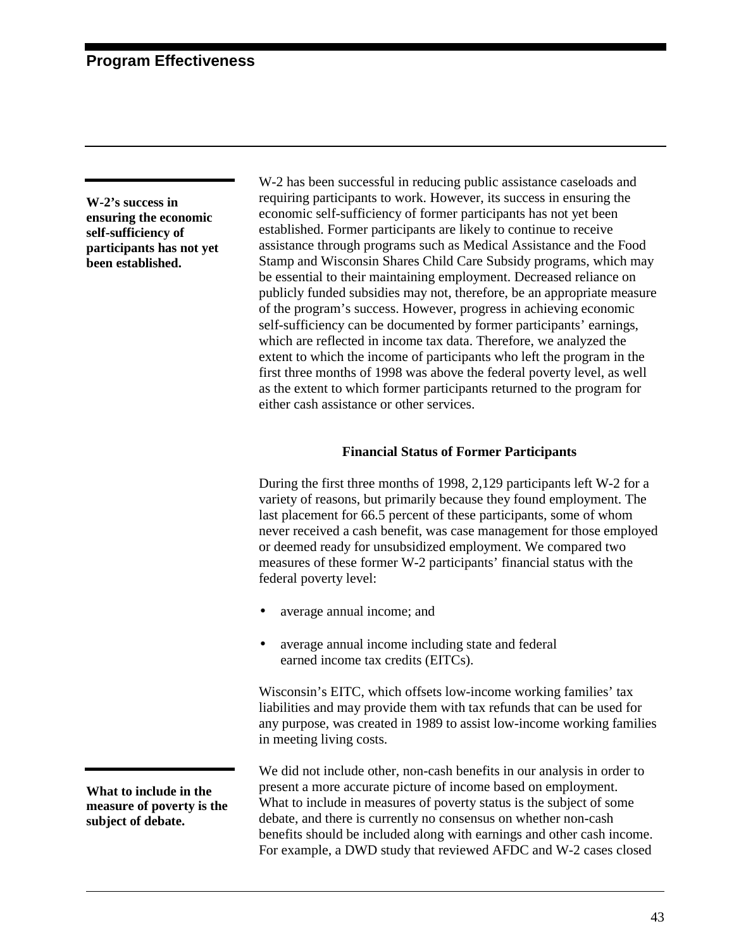**W-2's success in ensuring the economic self-sufficiency of participants has not yet been established.**

W-2 has been successful in reducing public assistance caseloads and requiring participants to work. However, its success in ensuring the economic self-sufficiency of former participants has not yet been established. Former participants are likely to continue to receive assistance through programs such as Medical Assistance and the Food Stamp and Wisconsin Shares Child Care Subsidy programs, which may be essential to their maintaining employment. Decreased reliance on publicly funded subsidies may not, therefore, be an appropriate measure of the program's success. However, progress in achieving economic self-sufficiency can be documented by former participants' earnings, which are reflected in income tax data. Therefore, we analyzed the extent to which the income of participants who left the program in the first three months of 1998 was above the federal poverty level, as well as the extent to which former participants returned to the program for either cash assistance or other services.

# **Financial Status of Former Participants**

During the first three months of 1998, 2,129 participants left W-2 for a variety of reasons, but primarily because they found employment. The last placement for 66.5 percent of these participants, some of whom never received a cash benefit, was case management for those employed or deemed ready for unsubsidized employment. We compared two measures of these former W-2 participants' financial status with the federal poverty level:

- average annual income; and
- average annual income including state and federal earned income tax credits (EITCs).

Wisconsin's EITC, which offsets low-income working families' tax liabilities and may provide them with tax refunds that can be used for any purpose, was created in 1989 to assist low-income working families in meeting living costs.

We did not include other, non-cash benefits in our analysis in order to present a more accurate picture of income based on employment. What to include in measures of poverty status is the subject of some debate, and there is currently no consensus on whether non-cash benefits should be included along with earnings and other cash income. For example, a DWD study that reviewed AFDC and W-2 cases closed

**What to include in the measure of poverty is the subject of debate.**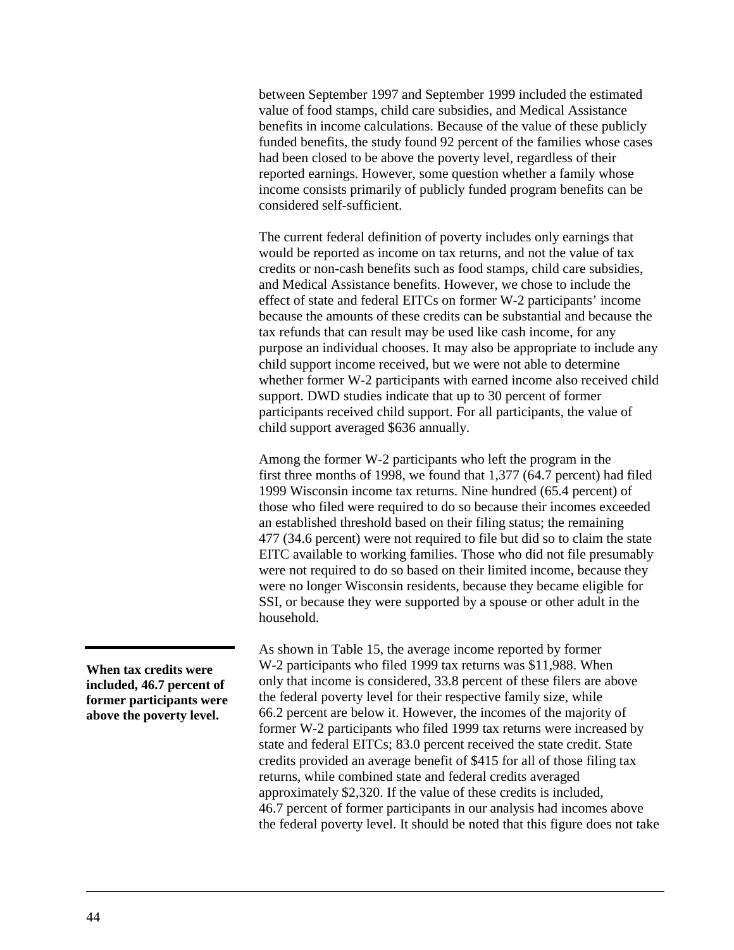between September 1997 and September 1999 included the estimated value of food stamps, child care subsidies, and Medical Assistance benefits in income calculations. Because of the value of these publicly funded benefits, the study found 92 percent of the families whose cases had been closed to be above the poverty level, regardless of their reported earnings. However, some question whether a family whose income consists primarily of publicly funded program benefits can be considered self-sufficient.

The current federal definition of poverty includes only earnings that would be reported as income on tax returns, and not the value of tax credits or non-cash benefits such as food stamps, child care subsidies, and Medical Assistance benefits. However, we chose to include the effect of state and federal EITCs on former W-2 participants' income because the amounts of these credits can be substantial and because the tax refunds that can result may be used like cash income, for any purpose an individual chooses. It may also be appropriate to include any child support income received, but we were not able to determine whether former W-2 participants with earned income also received child support. DWD studies indicate that up to 30 percent of former participants received child support. For all participants, the value of child support averaged \$636 annually.

Among the former W-2 participants who left the program in the first three months of 1998, we found that 1,377 (64.7 percent) had filed 1999 Wisconsin income tax returns. Nine hundred (65.4 percent) of those who filed were required to do so because their incomes exceeded an established threshold based on their filing status; the remaining 477 (34.6 percent) were not required to file but did so to claim the state EITC available to working families. Those who did not file presumably were not required to do so based on their limited income, because they were no longer Wisconsin residents, because they became eligible for SSI, or because they were supported by a spouse or other adult in the household.

As shown in [Table 15,](#page-47-0) the average income reported by former W-2 participants who filed 1999 tax returns was \$11,988. When only that income is considered, 33.8 percent of these filers are above the federal poverty level for their respective family size, while 66.2 percent are below it. However, the incomes of the majority of former W-2 participants who filed 1999 tax returns were increased by state and federal EITCs; 83.0 percent received the state credit. State credits provided an average benefit of \$415 for all of those filing tax returns, while combined state and federal credits averaged approximately \$2,320. If the value of these credits is included, 46.7 percent of former participants in our analysis had incomes above the federal poverty level. It should be noted that this figure does not take

**When tax credits were included, 46.7 percent of former participants were above the poverty level.**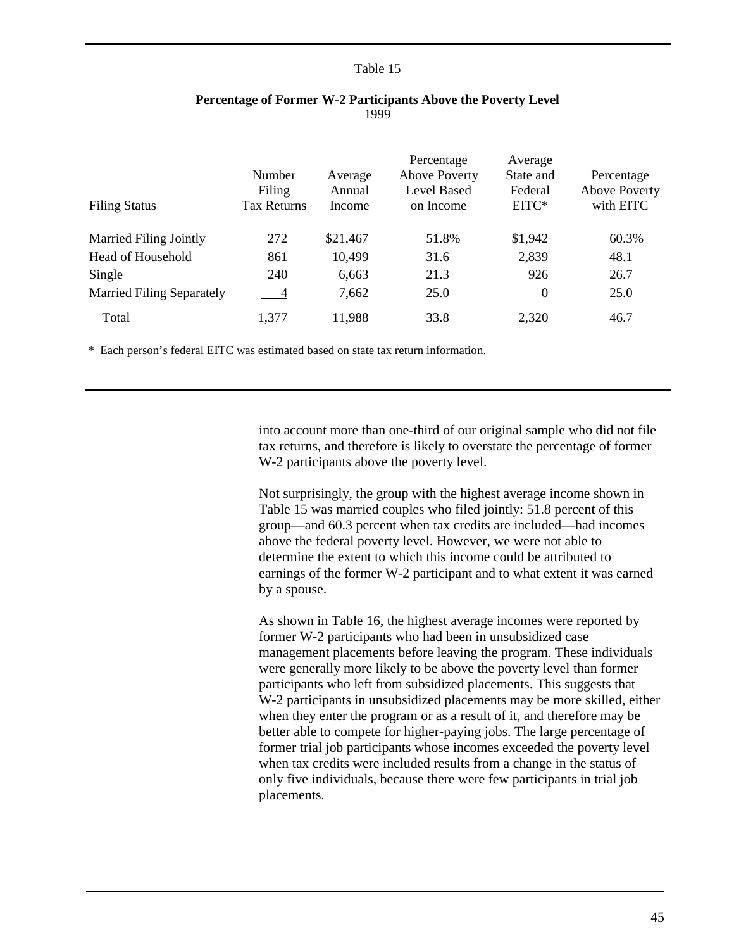<span id="page-47-0"></span>

| <b>Filing Status</b>             | Number<br>Filing<br>Tax Returns | Average<br>Annual<br>Income | Percentage<br><b>Above Poverty</b><br><b>Level Based</b><br>on Income | Average<br>State and<br>Federal<br>EITC* | Percentage<br><b>Above Poverty</b><br>with EITC |
|----------------------------------|---------------------------------|-----------------------------|-----------------------------------------------------------------------|------------------------------------------|-------------------------------------------------|
| <b>Married Filing Jointly</b>    | 272                             | \$21,467                    | 51.8%                                                                 | \$1,942                                  | 60.3%                                           |
| <b>Head of Household</b>         | 861                             | 10,499                      | 31.6                                                                  | 2,839                                    | 48.1                                            |
| Single                           | 240                             | 6,663                       | 21.3                                                                  | 926                                      | 26.7                                            |
| <b>Married Filing Separately</b> | $-4$                            | 7,662                       | 25.0                                                                  | 0                                        | 25.0                                            |
| Total                            | 1,377                           | 11,988                      | 33.8                                                                  | 2,320                                    | 46.7                                            |

# **Percentage of Former W-2 Participants Above the Poverty Level** 1999

\* Each person's federal EITC was estimated based on state tax return information.

into account more than one-third of our original sample who did not file tax returns, and therefore is likely to overstate the percentage of former W-2 participants above the poverty level.

Not surprisingly, the group with the highest average income shown in Table 15 was married couples who filed jointly: 51.8 percent of this group—and 60.3 percent when tax credits are included—had incomes above the federal poverty level. However, we were not able to determine the extent to which this income could be attributed to earnings of the former W-2 participant and to what extent it was earned by a spouse.

As shown in [Table 16,](#page-48-0) the highest average incomes were reported by former W-2 participants who had been in unsubsidized case management placements before leaving the program. These individuals were generally more likely to be above the poverty level than former participants who left from subsidized placements. This suggests that W-2 participants in unsubsidized placements may be more skilled, either when they enter the program or as a result of it, and therefore may be better able to compete for higher-paying jobs. The large percentage of former trial job participants whose incomes exceeded the poverty level when tax credits were included results from a change in the status of only five individuals, because there were few participants in trial job placements.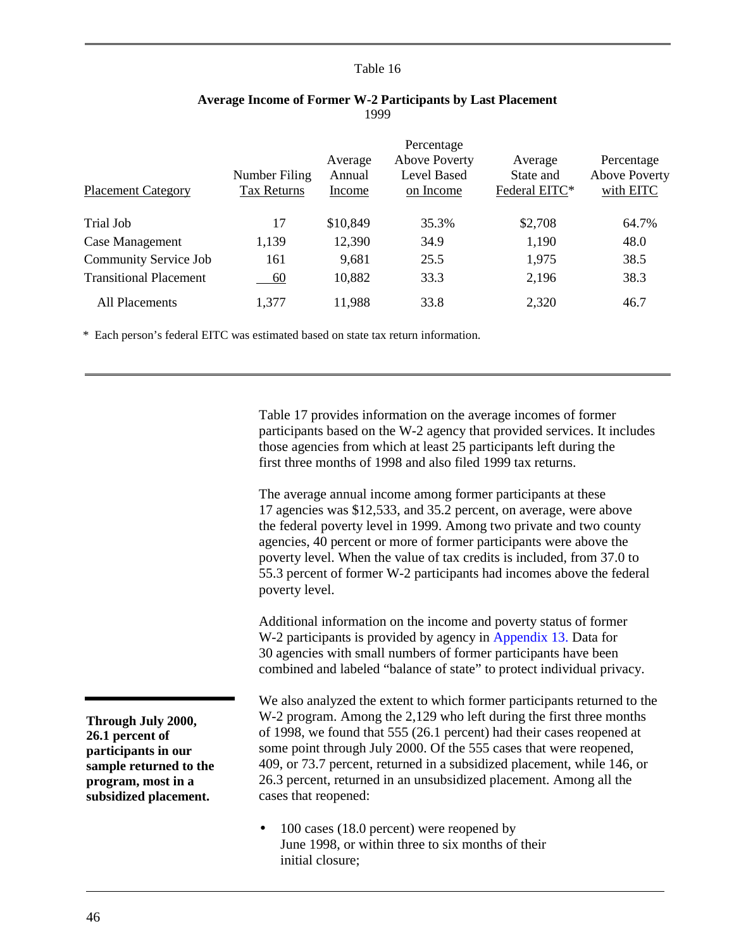<span id="page-48-0"></span>

|                               |                    | Average  | Percentage<br><b>Above Poverty</b> | Average       | Percentage           |
|-------------------------------|--------------------|----------|------------------------------------|---------------|----------------------|
|                               | Number Filing      | Annual   | <b>Level Based</b>                 | State and     | <b>Above Poverty</b> |
| <b>Placement Category</b>     | <b>Tax Returns</b> | Income   | on Income                          | Federal EITC* | with EITC            |
|                               |                    |          |                                    |               |                      |
| Trial Job                     | 17                 | \$10,849 | 35.3%                              | \$2,708       | 64.7%                |
| Case Management               | 1,139              | 12,390   | 34.9                               | 1,190         | 48.0                 |
| <b>Community Service Job</b>  | 161                | 9,681    | 25.5                               | 1,975         | 38.5                 |
| <b>Transitional Placement</b> | $-60$              | 10,882   | 33.3                               | 2,196         | 38.3                 |
| All Placements                | 1,377              | 11,988   | 33.8                               | 2,320         | 46.7                 |

# **Average Income of Former W-2 Participants by Last Placement** 1999

\* Each person's federal EITC was estimated based on state tax return information.

[Table 17](#page-49-0) provides information on the average incomes of former participants based on the W-2 agency that provided services. It includes those agencies from which at least 25 participants left during the first three months of 1998 and also filed 1999 tax returns.

The average annual income among former participants at these 17 agencies was \$12,533, and 35.2 percent, on average, were above the federal poverty level in 1999. Among two private and two county agencies, 40 percent or more of former participants were above the poverty level. When the value of tax credits is included, from 37.0 to 55.3 percent of former W-2 participants had incomes above the federal poverty level.

Additional information on the income and poverty status of former W-2 participants is provided by agency in [Appendix 13.](#page-207-0) Data for 30 agencies with small numbers of former participants have been combined and labeled "balance of state" to protect individual privacy.

We also analyzed the extent to which former participants returned to the W-2 program. Among the 2,129 who left during the first three months of 1998, we found that 555 (26.1 percent) had their cases reopened at some point through July 2000. Of the 555 cases that were reopened, 409, or 73.7 percent, returned in a subsidized placement, while 146, or 26.3 percent, returned in an unsubsidized placement. Among all the cases that reopened:

• 100 cases (18.0 percent) were reopened by June 1998, or within three to six months of their initial closure;

**Through July 2000, 26.1 percent of participants in our sample returned to the program, most in a subsidized placement.**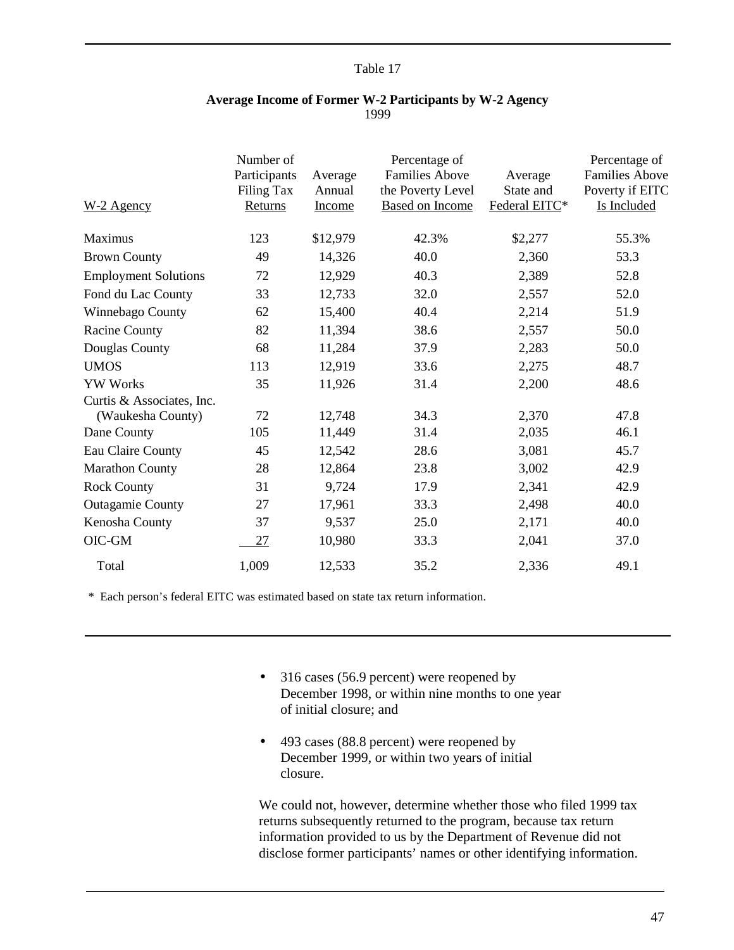<span id="page-49-0"></span>

| W-2 Agency                  | Number of<br>Participants<br>Filing Tax<br>Returns | Average<br>Annual<br><u>Income</u> | Percentage of<br><b>Families Above</b><br>the Poverty Level<br><b>Based on Income</b> | Average<br>State and<br>Federal EITC* | Percentage of<br><b>Families Above</b><br>Poverty if EITC<br>Is Included |
|-----------------------------|----------------------------------------------------|------------------------------------|---------------------------------------------------------------------------------------|---------------------------------------|--------------------------------------------------------------------------|
| Maximus                     | 123                                                | \$12,979                           | 42.3%                                                                                 | \$2,277                               | 55.3%                                                                    |
| <b>Brown County</b>         | 49                                                 | 14,326                             | 40.0                                                                                  | 2,360                                 | 53.3                                                                     |
| <b>Employment Solutions</b> | 72                                                 | 12,929                             | 40.3                                                                                  | 2,389                                 | 52.8                                                                     |
| Fond du Lac County          | 33                                                 | 12,733                             | 32.0                                                                                  | 2,557                                 | 52.0                                                                     |
| Winnebago County            | 62                                                 | 15,400                             | 40.4                                                                                  | 2,214                                 | 51.9                                                                     |
| <b>Racine County</b>        | 82                                                 | 11,394                             | 38.6                                                                                  | 2,557                                 | 50.0                                                                     |
| Douglas County              | 68                                                 | 11,284                             | 37.9                                                                                  | 2,283                                 | 50.0                                                                     |
| <b>UMOS</b>                 | 113                                                | 12,919                             | 33.6                                                                                  | 2,275                                 | 48.7                                                                     |
| <b>YW Works</b>             | 35                                                 | 11,926                             | 31.4                                                                                  | 2,200                                 | 48.6                                                                     |
| Curtis & Associates, Inc.   |                                                    |                                    |                                                                                       |                                       |                                                                          |
| (Waukesha County)           | 72                                                 | 12,748                             | 34.3                                                                                  | 2,370                                 | 47.8                                                                     |
| Dane County                 | 105                                                | 11,449                             | 31.4                                                                                  | 2,035                                 | 46.1                                                                     |
| Eau Claire County           | 45                                                 | 12,542                             | 28.6                                                                                  | 3,081                                 | 45.7                                                                     |
| <b>Marathon County</b>      | 28                                                 | 12,864                             | 23.8                                                                                  | 3,002                                 | 42.9                                                                     |
| <b>Rock County</b>          | 31                                                 | 9,724                              | 17.9                                                                                  | 2,341                                 | 42.9                                                                     |
| <b>Outagamie County</b>     | 27                                                 | 17,961                             | 33.3                                                                                  | 2,498                                 | 40.0                                                                     |
| Kenosha County              | 37                                                 | 9,537                              | 25.0                                                                                  | 2,171                                 | 40.0                                                                     |
| $OIC-GM$                    | 27                                                 | 10,980                             | 33.3                                                                                  | 2,041                                 | 37.0                                                                     |
| Total                       | 1,009                                              | 12,533                             | 35.2                                                                                  | 2,336                                 | 49.1                                                                     |

# **Average Income of Former W-2 Participants by W-2 Agency** 1999

\* Each person's federal EITC was estimated based on state tax return information.

- 316 cases (56.9 percent) were reopened by December 1998, or within nine months to one year of initial closure; and
- 493 cases (88.8 percent) were reopened by December 1999, or within two years of initial closure.

We could not, however, determine whether those who filed 1999 tax returns subsequently returned to the program, because tax return information provided to us by the Department of Revenue did not disclose former participants' names or other identifying information.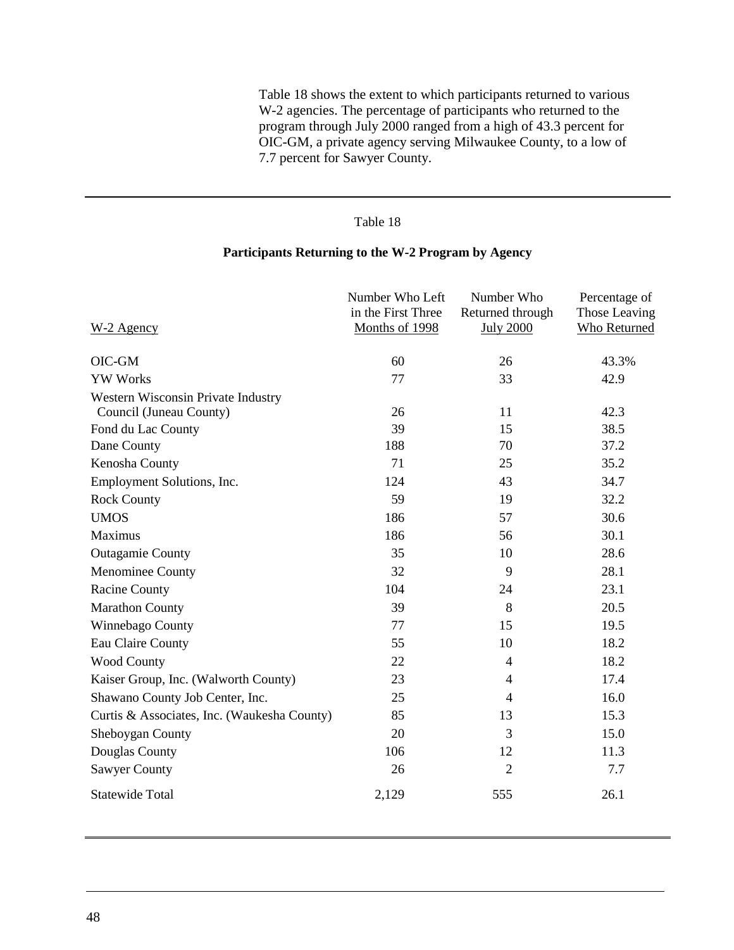Table 18 shows the extent to which participants returned to various W-2 agencies. The percentage of participants who returned to the program through July 2000 ranged from a high of 43.3 percent for OIC-GM, a private agency serving Milwaukee County, to a low of 7.7 percent for Sawyer County.

# Table 18

# **Participants Returning to the W-2 Program by Agency**

|                                                               | Number Who Left<br>in the First Three | Number Who<br>Returned through | Percentage of<br>Those Leaving |
|---------------------------------------------------------------|---------------------------------------|--------------------------------|--------------------------------|
| W-2 Agency                                                    | Months of 1998                        | <b>July 2000</b>               | <b>Who Returned</b>            |
| OIC-GM                                                        | 60                                    | 26                             | 43.3%                          |
| <b>YW Works</b>                                               | 77                                    | 33                             | 42.9                           |
| Western Wisconsin Private Industry<br>Council (Juneau County) | 26                                    | 11                             | 42.3                           |
| Fond du Lac County                                            | 39                                    | 15                             | 38.5                           |
| Dane County                                                   | 188                                   | 70                             | 37.2                           |
| Kenosha County                                                | 71                                    | 25                             | 35.2                           |
| Employment Solutions, Inc.                                    | 124                                   | 43                             | 34.7                           |
| <b>Rock County</b>                                            | 59                                    | 19                             | 32.2                           |
| <b>UMOS</b>                                                   | 186                                   | 57                             | 30.6                           |
| <b>Maximus</b>                                                | 186                                   | 56                             | 30.1                           |
| <b>Outagamie County</b>                                       | 35                                    | 10                             | 28.6                           |
| Menominee County                                              | 32                                    | 9                              | 28.1                           |
| <b>Racine County</b>                                          | 104                                   | 24                             | 23.1                           |
| <b>Marathon County</b>                                        | 39                                    | 8                              | 20.5                           |
| Winnebago County                                              | 77                                    | 15                             | 19.5                           |
| Eau Claire County                                             | 55                                    | 10                             | 18.2                           |
| Wood County                                                   | 22                                    | 4                              | 18.2                           |
| Kaiser Group, Inc. (Walworth County)                          | 23                                    | $\overline{4}$                 | 17.4                           |
| Shawano County Job Center, Inc.                               | 25                                    | $\overline{4}$                 | 16.0                           |
| Curtis & Associates, Inc. (Waukesha County)                   | 85                                    | 13                             | 15.3                           |
| Sheboygan County                                              | 20                                    | 3                              | 15.0                           |
| Douglas County                                                | 106                                   | 12                             | 11.3                           |
| <b>Sawyer County</b>                                          | 26                                    | $\overline{2}$                 | 7.7                            |
| <b>Statewide Total</b>                                        | 2,129                                 | 555                            | 26.1                           |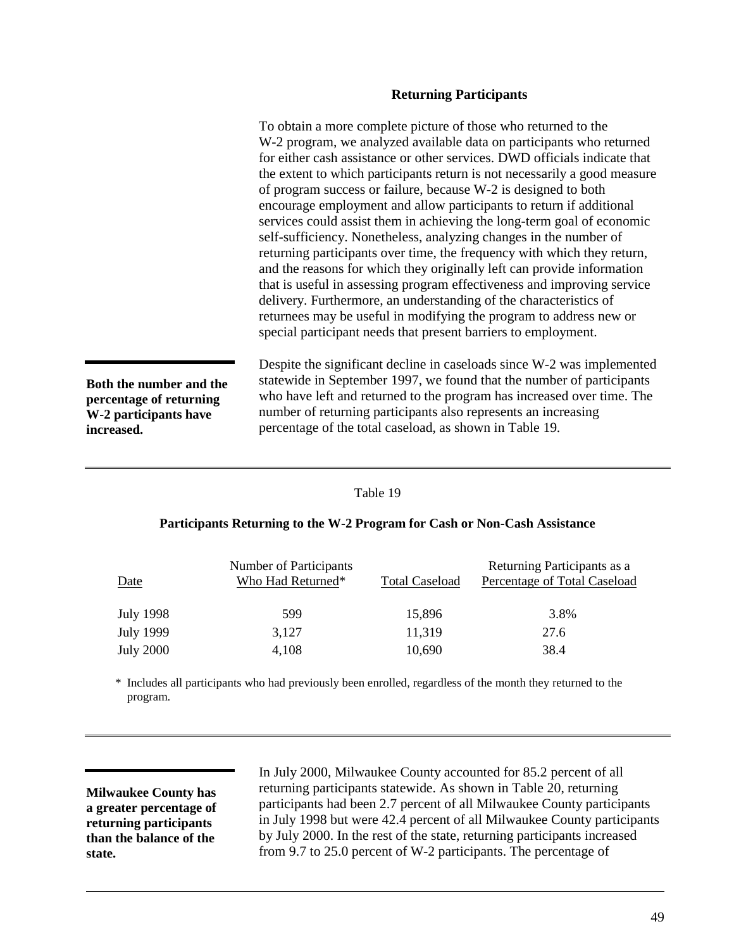#### **Returning Participants**

To obtain a more complete picture of those who returned to the W-2 program, we analyzed available data on participants who returned for either cash assistance or other services. DWD officials indicate that the extent to which participants return is not necessarily a good measure of program success or failure, because W-2 is designed to both encourage employment and allow participants to return if additional services could assist them in achieving the long-term goal of economic self-sufficiency. Nonetheless, analyzing changes in the number of returning participants over time, the frequency with which they return, and the reasons for which they originally left can provide information that is useful in assessing program effectiveness and improving service delivery. Furthermore, an understanding of the characteristics of returnees may be useful in modifying the program to address new or special participant needs that present barriers to employment.

**Both the number and the percentage of returning W-2 participants have increased.**

Despite the significant decline in caseloads since W-2 was implemented statewide in September 1997, we found that the number of participants who have left and returned to the program has increased over time. The number of returning participants also represents an increasing percentage of the total caseload, as shown in Table 19.

#### Table 19

#### **Participants Returning to the W-2 Program for Cash or Non-Cash Assistance**

| Date             | Number of Participants<br>Who Had Returned* | <b>Total Caseload</b> | Returning Participants as a<br>Percentage of Total Caseload |
|------------------|---------------------------------------------|-----------------------|-------------------------------------------------------------|
| July 1998        | 599                                         | 15,896                | 3.8%                                                        |
| <b>July 1999</b> | 3,127                                       | 11,319                | 27.6                                                        |
| <b>July 2000</b> | 4,108                                       | 10,690                | 38.4                                                        |

\* Includes all participants who had previously been enrolled, regardless of the month they returned to the program.

**Milwaukee County has a greater percentage of returning participants than the balance of the state.**

In July 2000, Milwaukee County accounted for 85.2 percent of all returning participants statewide. As shown in [Table 20,](#page-52-0) returning participants had been 2.7 percent of all Milwaukee County participants in July 1998 but were 42.4 percent of all Milwaukee County participants by July 2000. In the rest of the state, returning participants increased from 9.7 to 25.0 percent of W-2 participants. The percentage of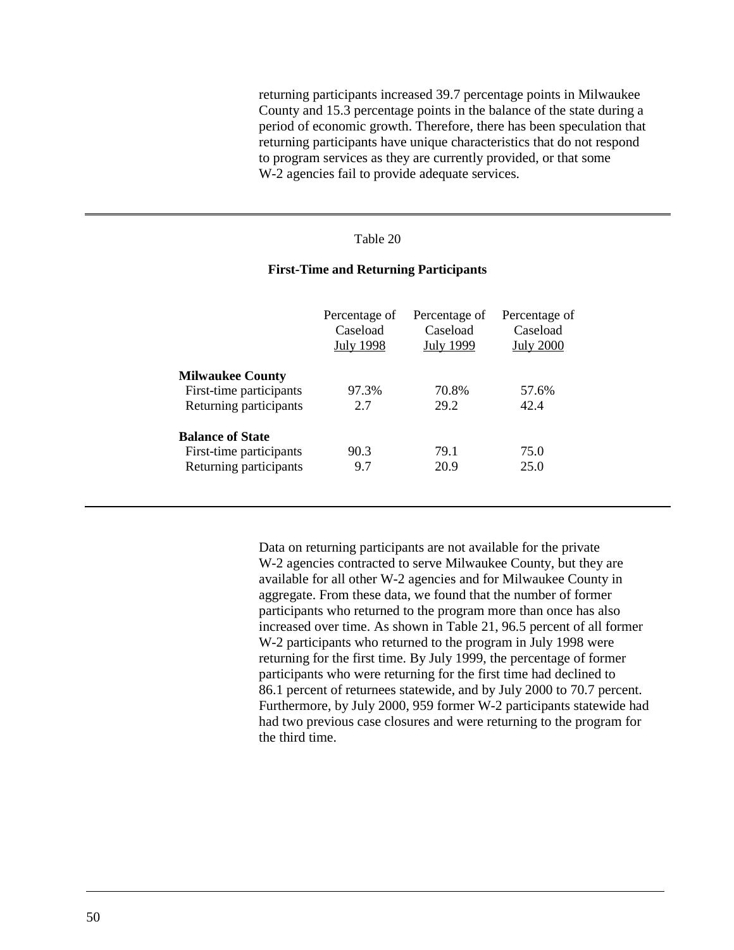<span id="page-52-0"></span>returning participants increased 39.7 percentage points in Milwaukee County and 15.3 percentage points in the balance of the state during a period of economic growth. Therefore, there has been speculation that returning participants have unique characteristics that do not respond to program services as they are currently provided, or that some W-2 agencies fail to provide adequate services.

# Table 20

# **First-Time and Returning Participants**

|                         | Percentage of<br>Caseload<br><b>July 1998</b> | Percentage of<br>Caseload<br><b>July 1999</b> | Percentage of<br>Caseload<br><b>July 2000</b> |
|-------------------------|-----------------------------------------------|-----------------------------------------------|-----------------------------------------------|
| <b>Milwaukee County</b> |                                               |                                               |                                               |
| First-time participants | 97.3%                                         | 70.8%                                         | 57.6%                                         |
| Returning participants  | 2.7                                           | 29.2                                          | 42.4                                          |
| <b>Balance of State</b> |                                               |                                               |                                               |
| First-time participants | 90.3                                          | 79.1                                          | 75.0                                          |
| Returning participants  | 9.7                                           | 20.9                                          | 25.0                                          |

Data on returning participants are not available for the private W-2 agencies contracted to serve Milwaukee County, but they are available for all other W-2 agencies and for Milwaukee County in aggregate. From these data, we found that the number of former participants who returned to the program more than once has also increased over time. As shown in [Table 21,](#page-53-0) 96.5 percent of all former W-2 participants who returned to the program in July 1998 were returning for the first time. By July 1999, the percentage of former participants who were returning for the first time had declined to 86.1 percent of returnees statewide, and by July 2000 to 70.7 percent. Furthermore, by July 2000, 959 former W-2 participants statewide had had two previous case closures and were returning to the program for the third time.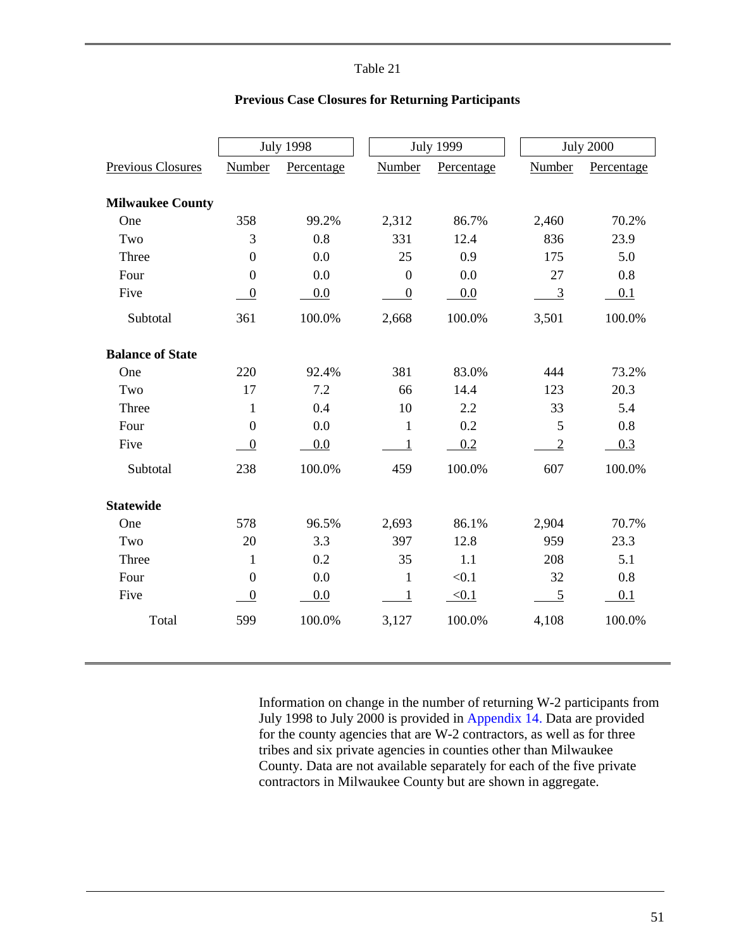<span id="page-53-0"></span>

|                          |                  | <b>July 1998</b> |                  | <b>July 1999</b> | <b>July 2000</b> |            |  |
|--------------------------|------------------|------------------|------------------|------------------|------------------|------------|--|
| <b>Previous Closures</b> | Number           | Percentage       | Number           | Percentage       | Number           | Percentage |  |
|                          |                  |                  |                  |                  |                  |            |  |
| <b>Milwaukee County</b>  |                  |                  |                  |                  |                  |            |  |
| One                      | 358              | 99.2%            | 2,312            | 86.7%            | 2,460            | 70.2%      |  |
| Two                      | 3                | 0.8              | 331              | 12.4             | 836              | 23.9       |  |
| Three                    | $\mathbf{0}$     | 0.0              | 25               | 0.9              | 175              | 5.0        |  |
| Four                     | $\boldsymbol{0}$ | 0.0              | $\overline{0}$   | 0.0              | 27               | 0.8        |  |
| Five                     | $\boldsymbol{0}$ | 0.0              | $\boldsymbol{0}$ | 0.0              | $\overline{3}$   | 0.1        |  |
| Subtotal                 | 361              | 100.0%           | 2,668            | 100.0%           | 3,501            | 100.0%     |  |
| <b>Balance of State</b>  |                  |                  |                  |                  |                  |            |  |
| One                      | 220              | 92.4%            | 381              | 83.0%            | 444              | 73.2%      |  |
| Two                      | 17               | 7.2              | 66               | 14.4             | 123              | 20.3       |  |
| Three                    | $\mathbf{1}$     | 0.4              | 10               | 2.2              | 33               | 5.4        |  |
| Four                     | $\boldsymbol{0}$ | 0.0              | $\mathbf{1}$     | 0.2              | 5                | 0.8        |  |
| Five                     | $\boldsymbol{0}$ | 0.0              | $\mathbf{1}$     | 0.2              | $\overline{2}$   | 0.3        |  |
| Subtotal                 | 238              | 100.0%           | 459              | 100.0%           | 607              | 100.0%     |  |
| <b>Statewide</b>         |                  |                  |                  |                  |                  |            |  |
| One                      | 578              | 96.5%            | 2,693            | 86.1%            | 2,904            | 70.7%      |  |
| Two                      | 20               | 3.3              | 397              | 12.8             | 959              | 23.3       |  |
| Three                    | $\mathbf{1}$     | 0.2              | 35               | 1.1              | 208              | 5.1        |  |
| Four                     | $\boldsymbol{0}$ | 0.0              | 1                | < 0.1            | 32               | 0.8        |  |
| Five                     | $\boldsymbol{0}$ | 0.0              | $\mathbf{1}$     | < 0.1            | 5                | 0.1        |  |
| Total                    | 599              | 100.0%           | 3,127            | 100.0%           | 4,108            | 100.0%     |  |
|                          |                  |                  |                  |                  |                  |            |  |

# **Previous Case Closures for Returning Participants**

Information on change in the number of returning W-2 participants from July 1998 to July 2000 is provided in [Appendix 14.](#page-211-0) Data are provided for the county agencies that are W-2 contractors, as well as for three tribes and six private agencies in counties other than Milwaukee County. Data are not available separately for each of the five private contractors in Milwaukee County but are shown in aggregate.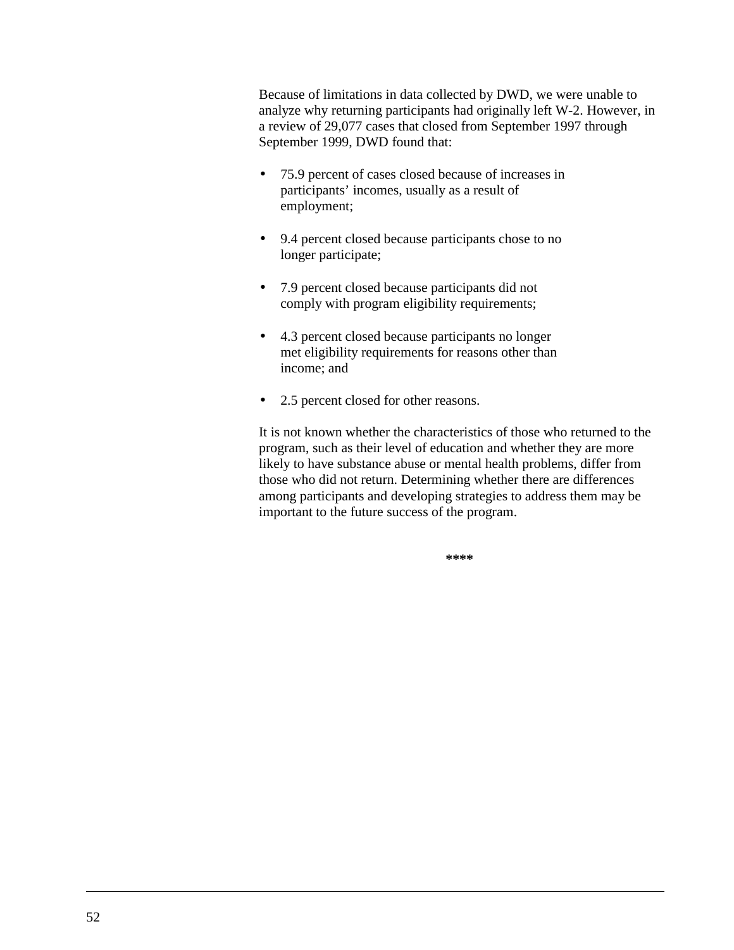Because of limitations in data collected by DWD, we were unable to analyze why returning participants had originally left W-2. However, in a review of 29,077 cases that closed from September 1997 through September 1999, DWD found that:

- 75.9 percent of cases closed because of increases in participants' incomes, usually as a result of employment;
- 9.4 percent closed because participants chose to no longer participate;
- 7.9 percent closed because participants did not comply with program eligibility requirements;
- 4.3 percent closed because participants no longer met eligibility requirements for reasons other than income; and
- 2.5 percent closed for other reasons.

It is not known whether the characteristics of those who returned to the program, such as their level of education and whether they are more likely to have substance abuse or mental health problems, differ from those who did not return. Determining whether there are differences among participants and developing strategies to address them may be important to the future success of the program.

**\*\*\*\***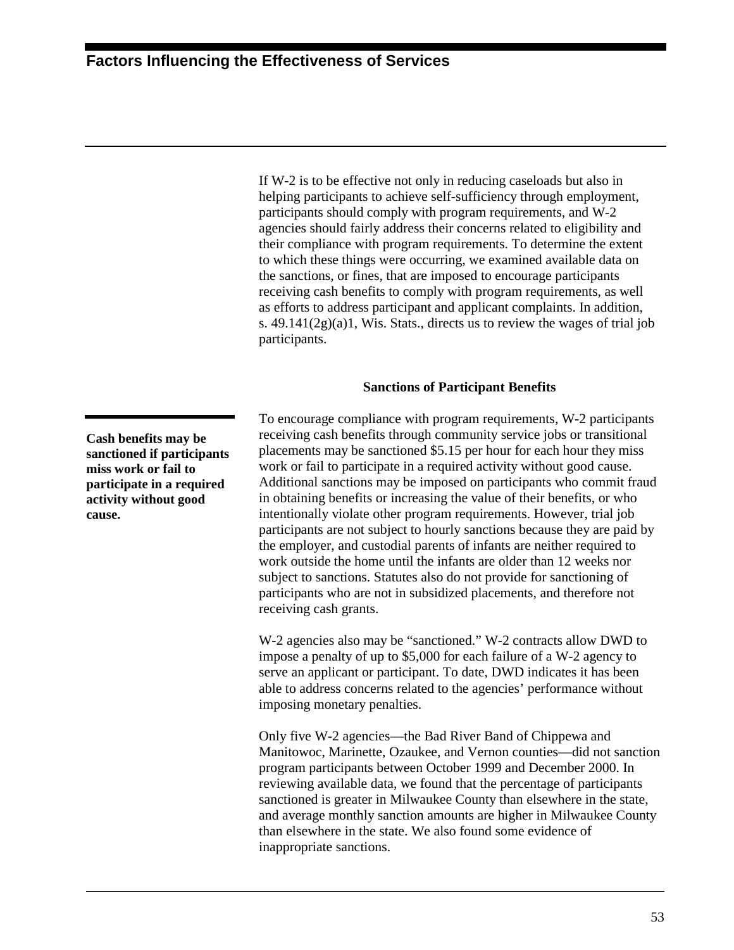If W-2 is to be effective not only in reducing caseloads but also in helping participants to achieve self-sufficiency through employment, participants should comply with program requirements, and W-2 agencies should fairly address their concerns related to eligibility and their compliance with program requirements. To determine the extent to which these things were occurring, we examined available data on the sanctions, or fines, that are imposed to encourage participants receiving cash benefits to comply with program requirements, as well as efforts to address participant and applicant complaints. In addition, s. 49.141(2g)(a)1, Wis. Stats., directs us to review the wages of trial job participants.

# **Sanctions of Participant Benefits**

To encourage compliance with program requirements, W-2 participants receiving cash benefits through community service jobs or transitional placements may be sanctioned \$5.15 per hour for each hour they miss work or fail to participate in a required activity without good cause. Additional sanctions may be imposed on participants who commit fraud in obtaining benefits or increasing the value of their benefits*,* or who intentionally violate other program requirements. However, trial job participants are not subject to hourly sanctions because they are paid by the employer, and custodial parents of infants are neither required to work outside the home until the infants are older than 12 weeks nor subject to sanctions. Statutes also do not provide for sanctioning of participants who are not in subsidized placements, and therefore not receiving cash grants.

W-2 agencies also may be "sanctioned." W-2 contracts allow DWD to impose a penalty of up to \$5,000 for each failure of a W-2 agency to serve an applicant or participant. To date, DWD indicates it has been able to address concerns related to the agencies' performance without imposing monetary penalties.

Only five W-2 agencies—the Bad River Band of Chippewa and Manitowoc, Marinette, Ozaukee, and Vernon counties—did not sanction program participants between October 1999 and December 2000. In reviewing available data, we found that the percentage of participants sanctioned is greater in Milwaukee County than elsewhere in the state, and average monthly sanction amounts are higher in Milwaukee County than elsewhere in the state. We also found some evidence of inappropriate sanctions.

**Cash benefits may be sanctioned if participants miss work or fail to participate in a required activity without good cause.**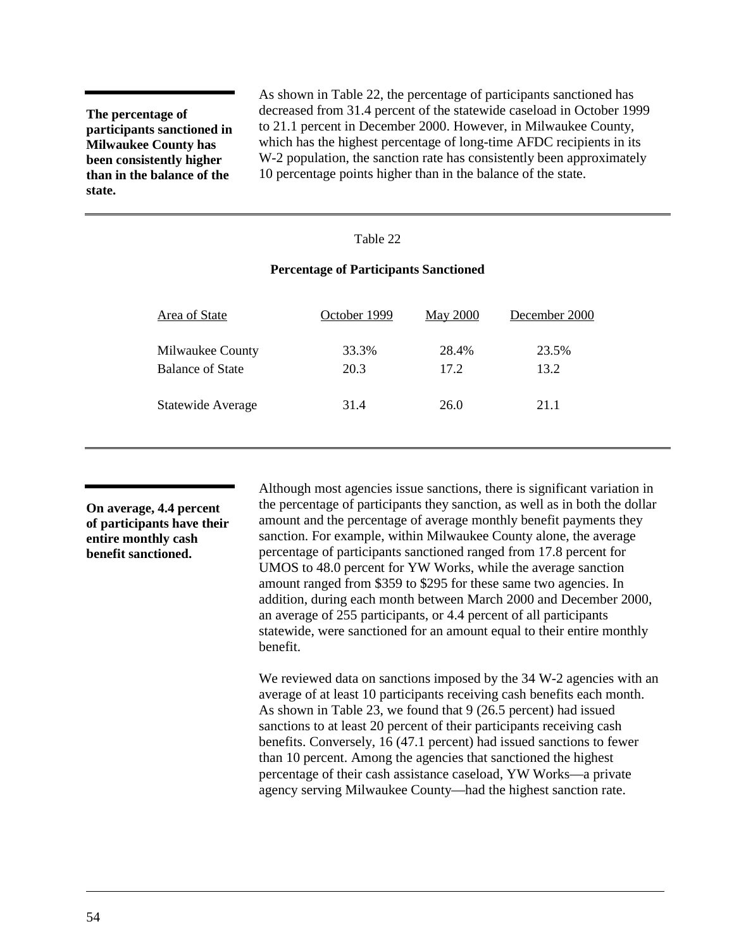**The percentage of participants sanctioned in Milwaukee County has been consistently higher than in the balance of the state.**

As shown in Table 22, the percentage of participants sanctioned has decreased from 31.4 percent of the statewide caseload in October 1999 to 21.1 percent in December 2000. However, in Milwaukee County, which has the highest percentage of long-time AFDC recipients in its W-2 population, the sanction rate has consistently been approximately 10 percentage points higher than in the balance of the state.

#### Table 22

# **Percentage of Participants Sanctioned**

| Area of State           | October 1999 | <b>May 2000</b> | December 2000 |  |
|-------------------------|--------------|-----------------|---------------|--|
| Milwaukee County        | 33.3%        | 28.4%           | 23.5%         |  |
| <b>Balance of State</b> | 20.3         | 17.2            | 13.2          |  |
| Statewide Average       | 31.4         | 26.0            | 21.1          |  |
|                         |              |                 |               |  |

**On average, 4.4 percent of participants have their entire monthly cash benefit sanctioned.**

Although most agencies issue sanctions, there is significant variation in the percentage of participants they sanction, as well as in both the dollar amount and the percentage of average monthly benefit payments they sanction. For example, within Milwaukee County alone, the average percentage of participants sanctioned ranged from 17.8 percent for UMOS to 48.0 percent for YW Works, while the average sanction amount ranged from \$359 to \$295 for these same two agencies. In addition, during each month between March 2000 and December 2000, an average of 255 participants, or 4.4 percent of all participants statewide, were sanctioned for an amount equal to their entire monthly benefit.

We reviewed data on sanctions imposed by the 34 W-2 agencies with an average of at least 10 participants receiving cash benefits each month. As shown in [Table 23,](#page-57-0) we found that 9 (26.5 percent) had issued sanctions to at least 20 percent of their participants receiving cash benefits. Conversely, 16 (47.1 percent) had issued sanctions to fewer than 10 percent. Among the agencies that sanctioned the highest percentage of their cash assistance caseload, YW Works—a private agency serving Milwaukee County—had the highest sanction rate.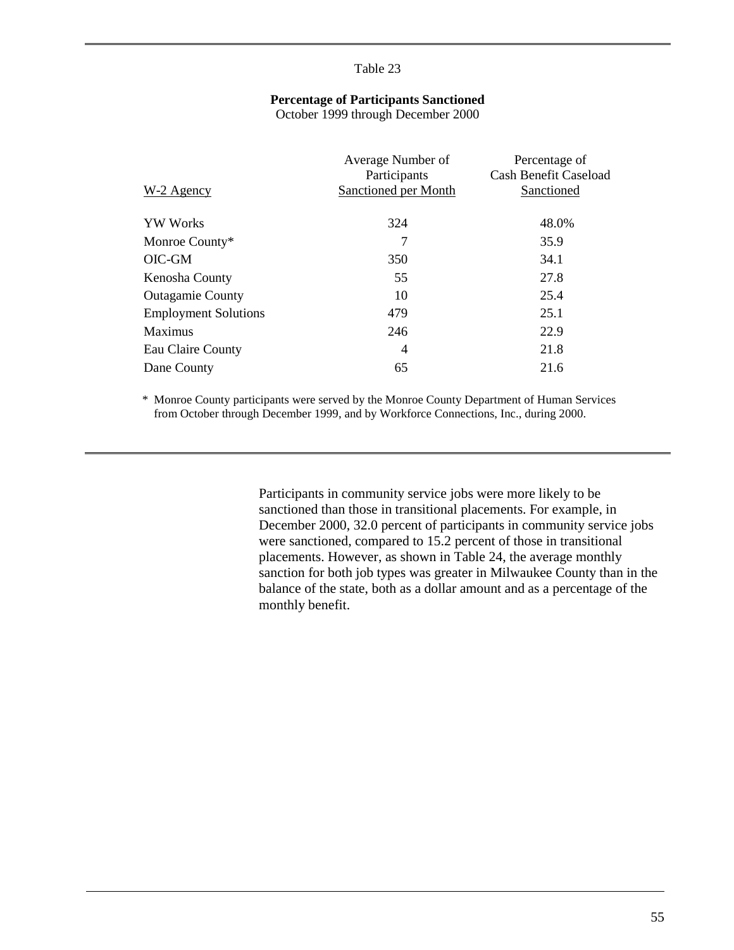# **Percentage of Participants Sanctioned**

October 1999 through December 2000

<span id="page-57-0"></span>

| W-2 Agency                  | Average Number of<br>Participants<br>Sanctioned per Month | Percentage of<br><b>Cash Benefit Caseload</b><br>Sanctioned |
|-----------------------------|-----------------------------------------------------------|-------------------------------------------------------------|
|                             |                                                           |                                                             |
| <b>YW</b> Works             | 324                                                       | 48.0%                                                       |
| Monroe County*              | 7                                                         | 35.9                                                        |
| OIC-GM                      | 350                                                       | 34.1                                                        |
| Kenosha County              | 55                                                        | 27.8                                                        |
| <b>Outagamie County</b>     | 10                                                        | 25.4                                                        |
| <b>Employment Solutions</b> | 479                                                       | 25.1                                                        |
| Maximus                     | 246                                                       | 22.9                                                        |
| Eau Claire County           | 4                                                         | 21.8                                                        |
| Dane County                 | 65                                                        | 21.6                                                        |

\* Monroe County participants were served by the Monroe County Department of Human Services from October through December 1999, and by Workforce Connections, Inc., during 2000.

> Participants in community service jobs were more likely to be sanctioned than those in transitional placements. For example, in December 2000, 32.0 percent of participants in community service jobs were sanctioned, compared to 15.2 percent of those in transitional placements. However, as shown in [Table 24,](#page-58-0) the average monthly sanction for both job types was greater in Milwaukee County than in the balance of the state, both as a dollar amount and as a percentage of the monthly benefit.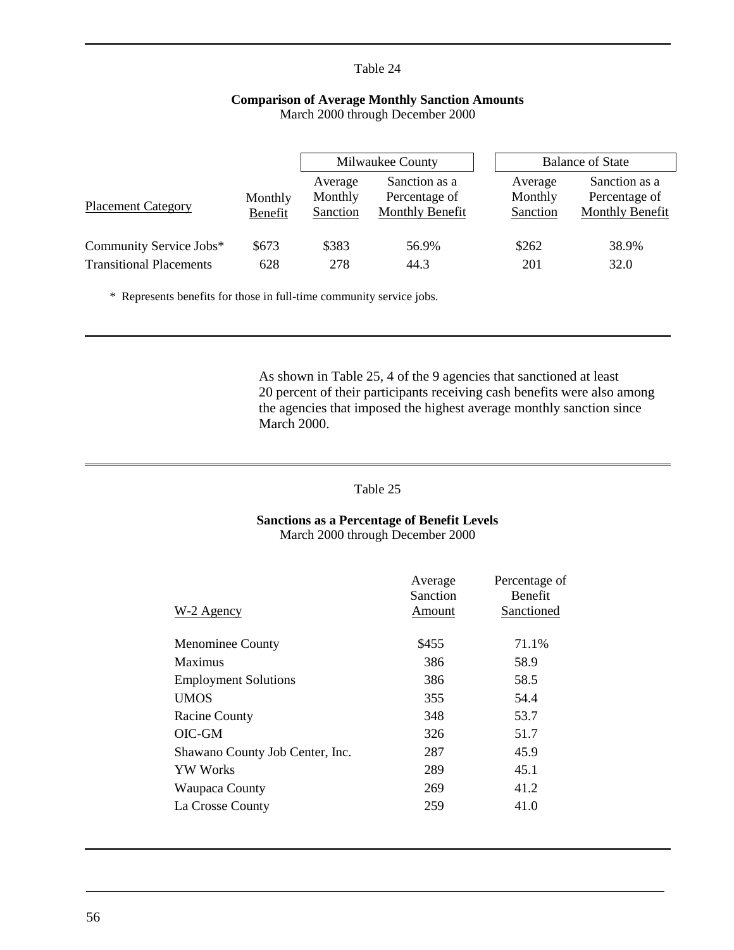# **Comparison of Average Monthly Sanction Amounts** March 2000 through December 2000

<span id="page-58-0"></span>

|                                |                    | Milwaukee County               |                                                   |                                | <b>Balance of State</b>                                  |
|--------------------------------|--------------------|--------------------------------|---------------------------------------------------|--------------------------------|----------------------------------------------------------|
| <b>Placement Category</b>      | Monthly<br>Benefit | Average<br>Monthly<br>Sanction | Sanction as a<br>Percentage of<br>Monthly Benefit | Average<br>Monthly<br>Sanction | Sanction as a<br>Percentage of<br><b>Monthly Benefit</b> |
| Community Service Jobs*        | \$673              | \$383                          | 56.9%                                             | \$262                          | 38.9%                                                    |
| <b>Transitional Placements</b> | 628                | 278                            | 44.3                                              | 201                            | 32.0                                                     |

\* Represents benefits for those in full-time community service jobs.

As shown in Table 25, 4 of the 9 agencies that sanctioned at least 20 percent of their participants receiving cash benefits were also among the agencies that imposed the highest average monthly sanction since March 2000.

# Table 25

# **Sanctions as a Percentage of Benefit Levels** March 2000 through December 2000

| $W-2$ Agency                    | Average<br>Sanction<br>Amount | Percentage of<br><b>Benefit</b><br>Sanctioned |
|---------------------------------|-------------------------------|-----------------------------------------------|
| <b>Menominee County</b>         | \$455                         | 71.1%                                         |
| Maximus                         | 386                           | 58.9                                          |
| <b>Employment Solutions</b>     | 386                           | 58.5                                          |
| <b>UMOS</b>                     | 355                           | 54.4                                          |
| <b>Racine County</b>            | 348                           | 53.7                                          |
| OIC-GM                          | 326                           | 51.7                                          |
| Shawano County Job Center, Inc. | 287                           | 45.9                                          |
| <b>YW</b> Works                 | 289                           | 45.1                                          |
| Waupaca County                  | 269                           | 41.2                                          |
| La Crosse County                | 259                           | 41.0                                          |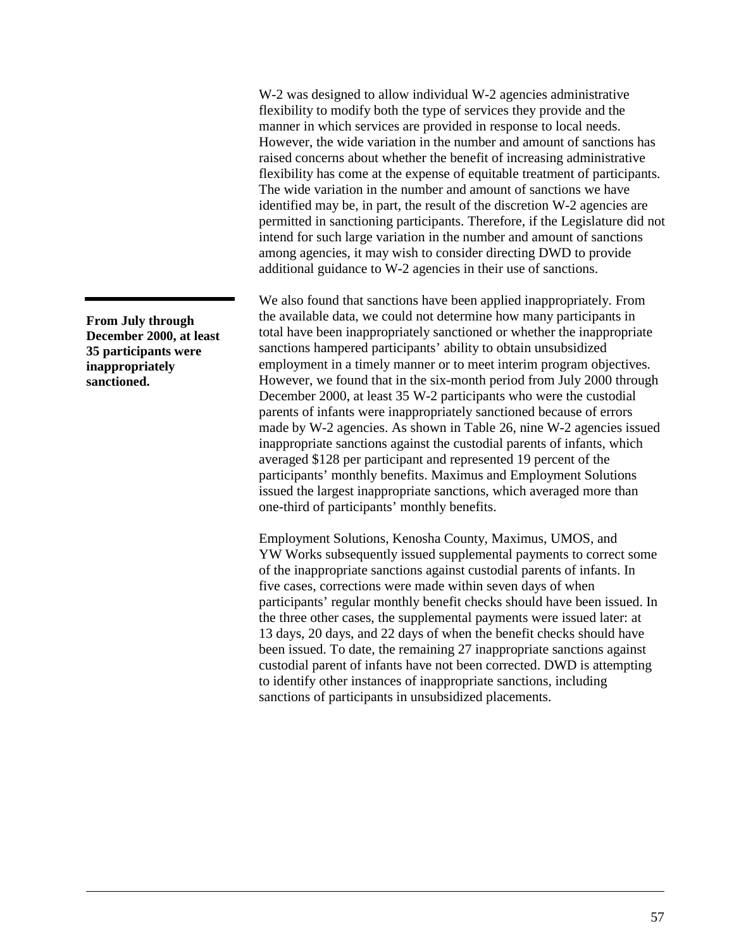W-2 was designed to allow individual W-2 agencies administrative flexibility to modify both the type of services they provide and the manner in which services are provided in response to local needs. However, the wide variation in the number and amount of sanctions has raised concerns about whether the benefit of increasing administrative flexibility has come at the expense of equitable treatment of participants. The wide variation in the number and amount of sanctions we have identified may be, in part, the result of the discretion W-2 agencies are permitted in sanctioning participants. Therefore, if the Legislature did not intend for such large variation in the number and amount of sanctions among agencies, it may wish to consider directing DWD to provide additional guidance to W-2 agencies in their use of sanctions.

We also found that sanctions have been applied inappropriately. From the available data, we could not determine how many participants in total have been inappropriately sanctioned or whether the inappropriate sanctions hampered participants' ability to obtain unsubsidized employment in a timely manner or to meet interim program objectives. However, we found that in the six-month period from July 2000 through December 2000, at least 35 W-2 participants who were the custodial parents of infants were inappropriately sanctioned because of errors made by W-2 agencies. As shown in [Table 26,](#page-60-0) nine W-2 agencies issued inappropriate sanctions against the custodial parents of infants, which averaged \$128 per participant and represented 19 percent of the participants' monthly benefits. Maximus and Employment Solutions issued the largest inappropriate sanctions, which averaged more than one-third of participants' monthly benefits.

Employment Solutions, Kenosha County, Maximus, UMOS, and YW Works subsequently issued supplemental payments to correct some of the inappropriate sanctions against custodial parents of infants. In five cases, corrections were made within seven days of when participants' regular monthly benefit checks should have been issued. In the three other cases, the supplemental payments were issued later: at 13 days, 20 days, and 22 days of when the benefit checks should have been issued. To date, the remaining 27 inappropriate sanctions against custodial parent of infants have not been corrected. DWD is attempting to identify other instances of inappropriate sanctions, including sanctions of participants in unsubsidized placements.

**From July through December 2000, at least 35 participants were inappropriately sanctioned.**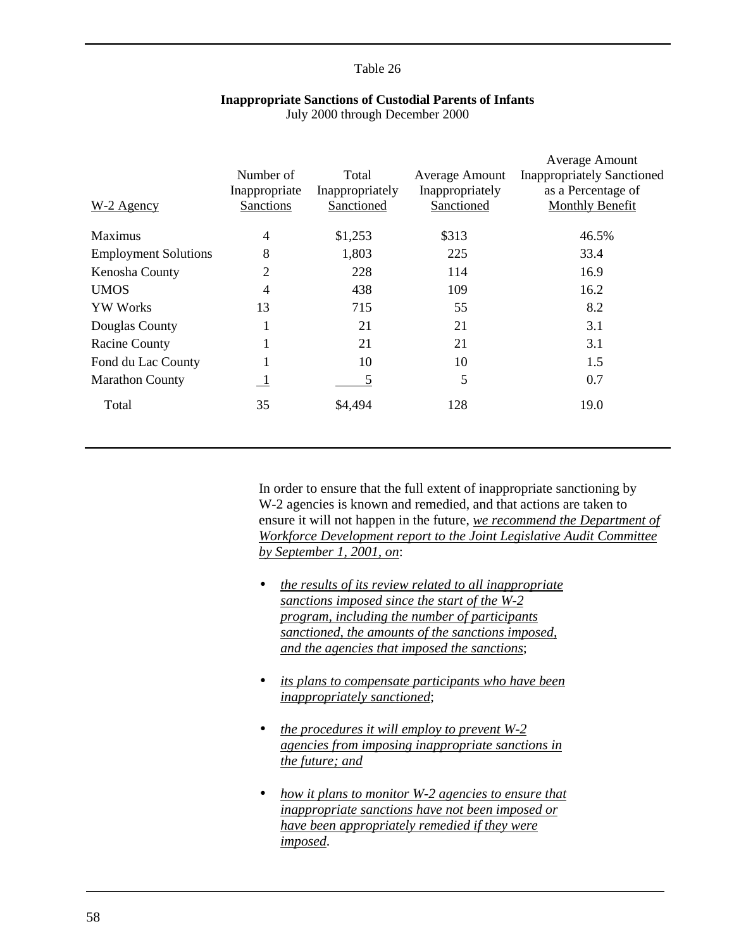<span id="page-60-0"></span>

| $W-2$ Agency                | Number of<br>Inappropriate<br><b>Sanctions</b> | Total<br>Inappropriately<br>Sanctioned | <b>Average Amount</b><br>Inappropriately<br>Sanctioned | Average Amount<br><b>Inappropriately Sanctioned</b><br>as a Percentage of<br><b>Monthly Benefit</b> |
|-----------------------------|------------------------------------------------|----------------------------------------|--------------------------------------------------------|-----------------------------------------------------------------------------------------------------|
| <b>Maximus</b>              | 4                                              | \$1,253                                | \$313                                                  | 46.5%                                                                                               |
| <b>Employment Solutions</b> | 8                                              | 1,803                                  | 225                                                    | 33.4                                                                                                |
| Kenosha County              | 2                                              | 228                                    | 114                                                    | 16.9                                                                                                |
| <b>UMOS</b>                 | 4                                              | 438                                    | 109                                                    | 16.2                                                                                                |
| <b>YW Works</b>             | 13                                             | 715                                    | 55                                                     | 8.2                                                                                                 |
| Douglas County              |                                                | 21                                     | 21                                                     | 3.1                                                                                                 |
| <b>Racine County</b>        |                                                | 21                                     | 21                                                     | 3.1                                                                                                 |
| Fond du Lac County          | 1                                              | 10                                     | 10                                                     | 1.5                                                                                                 |
| <b>Marathon County</b>      | $\overline{1}$                                 | 5                                      | 5                                                      | 0.7                                                                                                 |
| Total                       | 35                                             | \$4,494                                | 128                                                    | 19.0                                                                                                |

#### **Inappropriate Sanctions of Custodial Parents of Infants** July 2000 through December 2000

In order to ensure that the full extent of inappropriate sanctioning by W-2 agencies is known and remedied, and that actions are taken to ensure it will not happen in the future, *we recommend the Department of Workforce Development report to the Joint Legislative Audit Committee by September 1, 2001, on*:

- *the results of its review related to all inappropriate sanctions imposed since the start of the W-2 program, including the number of participants sanctioned, the amounts of the sanctions imposed, and the agencies that imposed the sanctions*;
- *its plans to compensate participants who have been inappropriately sanctioned*;
- *the procedures it will employ to prevent W-2 agencies from imposing inappropriate sanctions in the future; and*
- *how it plans to monitor W-2 agencies to ensure that inappropriate sanctions have not been imposed or have been appropriately remedied if they were imposed*.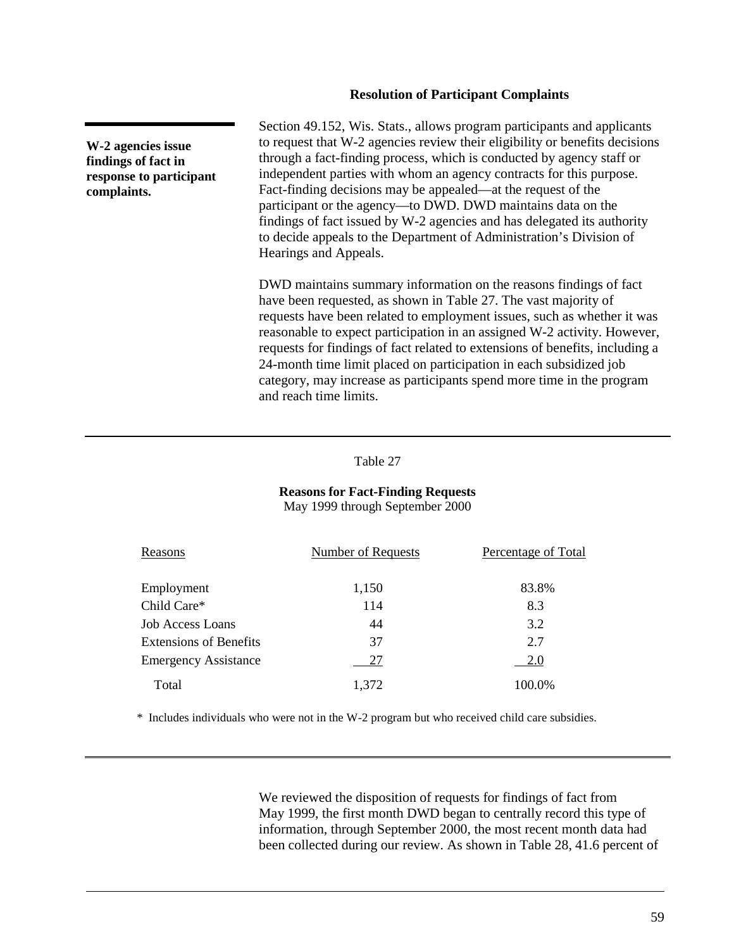#### **Resolution of Participant Complaints**

**W-2 agencies issue findings of fact in response to participant complaints.**

Section 49.152, Wis. Stats., allows program participants and applicants to request that W-2 agencies review their eligibility or benefits decisions through a fact-finding process, which is conducted by agency staff or independent parties with whom an agency contracts for this purpose. Fact-finding decisions may be appealed—at the request of the participant or the agency—to DWD. DWD maintains data on the findings of fact issued by W-2 agencies and has delegated its authority to decide appeals to the Department of Administration's Division of Hearings and Appeals.

DWD maintains summary information on the reasons findings of fact have been requested, as shown in Table 27. The vast majority of requests have been related to employment issues, such as whether it was reasonable to expect participation in an assigned W-2 activity. However, requests for findings of fact related to extensions of benefits, including a 24-month time limit placed on participation in each subsidized job category, may increase as participants spend more time in the program and reach time limits.

#### Table 27

#### **Reasons for Fact-Finding Requests** May 1999 through September 2000

| Reasons                       | Number of Requests | Percentage of Total |
|-------------------------------|--------------------|---------------------|
| Employment                    | 1,150              | 83.8%               |
| Child Care*                   | 114                | 8.3                 |
| Job Access Loans              | 44                 | 3.2                 |
| <b>Extensions of Benefits</b> | 37                 | 2.7                 |
| <b>Emergency Assistance</b>   | 27                 | 2.0                 |
| Total                         | 1,372              | 100.0%              |

\* Includes individuals who were not in the W-2 program but who received child care subsidies.

We reviewed the disposition of requests for findings of fact from May 1999, the first month DWD began to centrally record this type of information, through September 2000, the most recent month data had been collected during our review. As shown in [Table 28,](#page-62-0) 41.6 percent of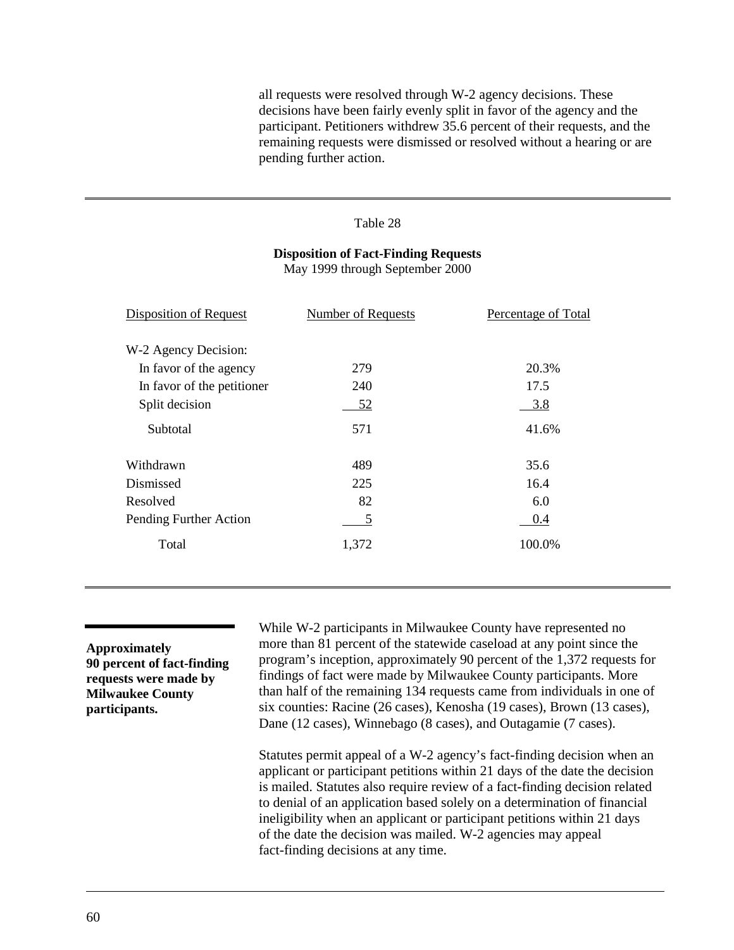<span id="page-62-0"></span>all requests were resolved through W-2 agency decisions. These decisions have been fairly evenly split in favor of the agency and the participant. Petitioners withdrew 35.6 percent of their requests, and the remaining requests were dismissed or resolved without a hearing or are pending further action.

#### Table 28

# **Disposition of Fact-Finding Requests**

May 1999 through September 2000

| <b>Disposition of Request</b> | <b>Number of Requests</b> | Percentage of Total |
|-------------------------------|---------------------------|---------------------|
| W-2 Agency Decision:          |                           |                     |
| In favor of the agency        | 279                       | 20.3%               |
| In favor of the petitioner    | 240                       | 17.5                |
| Split decision                | 52                        | 3.8                 |
| Subtotal                      | 571                       | 41.6%               |
| Withdrawn                     | 489                       | 35.6                |
| Dismissed                     | 225                       | 16.4                |
| Resolved                      | 82                        | 6.0                 |
| Pending Further Action        | 5                         | 0.4                 |
| Total                         | 1,372                     | 100.0%              |

**Approximately 90 percent of fact-finding requests were made by Milwaukee County participants.**

While W-2 participants in Milwaukee County have represented no more than 81 percent of the statewide caseload at any point since the program's inception, approximately 90 percent of the 1,372 requests for findings of fact were made by Milwaukee County participants. More than half of the remaining 134 requests came from individuals in one of six counties: Racine (26 cases), Kenosha (19 cases), Brown (13 cases), Dane (12 cases), Winnebago (8 cases), and Outagamie (7 cases).

Statutes permit appeal of a W-2 agency's fact-finding decision when an applicant or participant petitions within 21 days of the date the decision is mailed. Statutes also require review of a fact-finding decision related to denial of an application based solely on a determination of financial ineligibility when an applicant or participant petitions within 21 days of the date the decision was mailed. W-2 agencies may appeal fact-finding decisions at any time.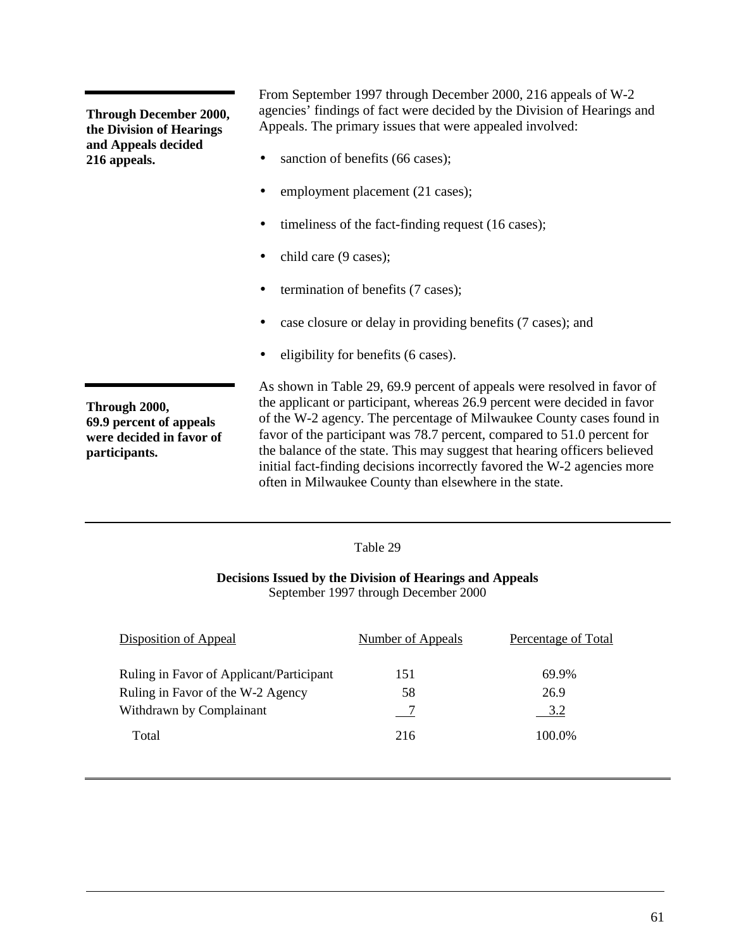**Through December 2000, the Division of Hearings and Appeals decided 216 appeals.**

From September 1997 through December 2000, 216 appeals of W-2 agencies' findings of fact were decided by the Division of Hearings and Appeals. The primary issues that were appealed involved:

- sanction of benefits (66 cases);
- employment placement (21 cases);
- timeliness of the fact-finding request (16 cases);
- child care (9 cases);
- termination of benefits (7 cases);
- case closure or delay in providing benefits (7 cases); and
- eligibility for benefits (6 cases).

**Through 2000, 69.9 percent of appeals were decided in favor of participants.**

As shown in Table 29, 69.9 percent of appeals were resolved in favor of the applicant or participant, whereas 26.9 percent were decided in favor of the W-2 agency. The percentage of Milwaukee County cases found in favor of the participant was 78.7 percent, compared to 51.0 percent for the balance of the state. This may suggest that hearing officers believed initial fact-finding decisions incorrectly favored the W-2 agencies more often in Milwaukee County than elsewhere in the state.

# Table 29

# **Decisions Issued by the Division of Hearings and Appeals** September 1997 through December 2000

| Disposition of Appeal                                                                                              | Number of Appeals | Percentage of Total            |
|--------------------------------------------------------------------------------------------------------------------|-------------------|--------------------------------|
| Ruling in Favor of Applicant/Participant<br>Ruling in Favor of the W-2 Agency<br>Withdrawn by Complainant<br>Total | 151<br>58<br>216  | 69.9%<br>26.9<br>3.2<br>100.0% |
|                                                                                                                    |                   |                                |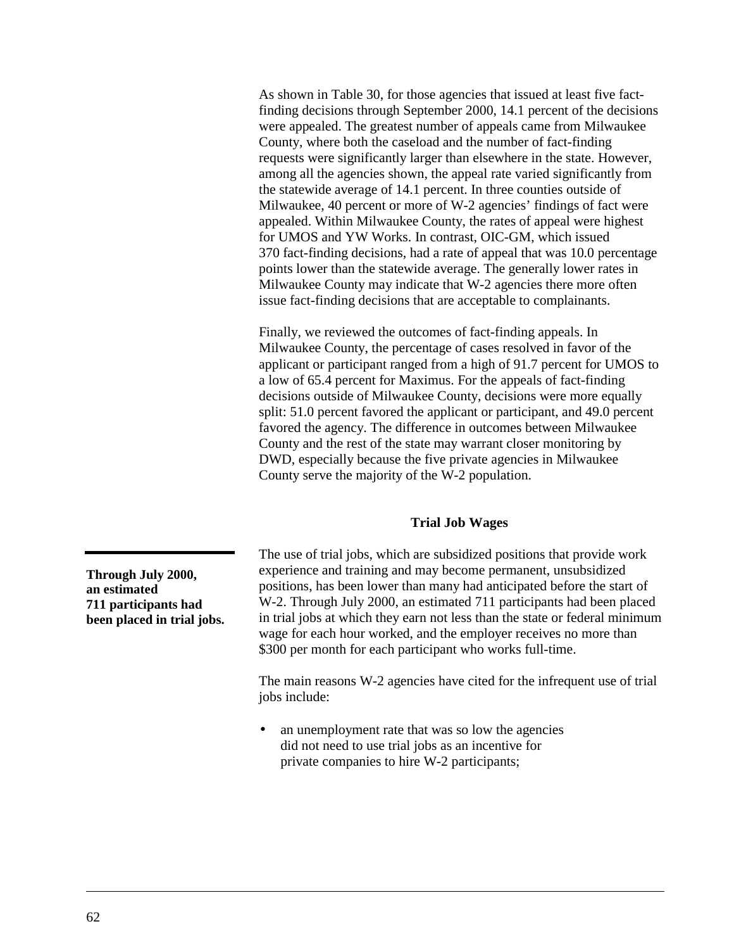As shown in [Table 30,](#page-65-0) for those agencies that issued at least five factfinding decisions through September 2000, 14.1 percent of the decisions were appealed. The greatest number of appeals came from Milwaukee County, where both the caseload and the number of fact-finding requests were significantly larger than elsewhere in the state. However, among all the agencies shown, the appeal rate varied significantly from the statewide average of 14.1 percent. In three counties outside of Milwaukee, 40 percent or more of W-2 agencies' findings of fact were appealed. Within Milwaukee County, the rates of appeal were highest for UMOS and YW Works. In contrast, OIC-GM, which issued 370 fact-finding decisions, had a rate of appeal that was 10.0 percentage points lower than the statewide average. The generally lower rates in Milwaukee County may indicate that W-2 agencies there more often issue fact-finding decisions that are acceptable to complainants.

Finally, we reviewed the outcomes of fact-finding appeals. In Milwaukee County, the percentage of cases resolved in favor of the applicant or participant ranged from a high of 91.7 percent for UMOS to a low of 65.4 percent for Maximus. For the appeals of fact-finding decisions outside of Milwaukee County, decisions were more equally split: 51.0 percent favored the applicant or participant, and 49.0 percent favored the agency. The difference in outcomes between Milwaukee County and the rest of the state may warrant closer monitoring by DWD, especially because the five private agencies in Milwaukee County serve the majority of the W-2 population.

# **Trial Job Wages**

The use of trial jobs, which are subsidized positions that provide work experience and training and may become permanent, unsubsidized positions, has been lower than many had anticipated before the start of W-2. Through July 2000, an estimated 711 participants had been placed in trial jobs at which they earn not less than the state or federal minimum wage for each hour worked, and the employer receives no more than \$300 per month for each participant who works full-time.

The main reasons W-2 agencies have cited for the infrequent use of trial jobs include:

an unemployment rate that was so low the agencies did not need to use trial jobs as an incentive for private companies to hire W-2 participants;

**Through July 2000, an estimated 711 participants had been placed in trial jobs.**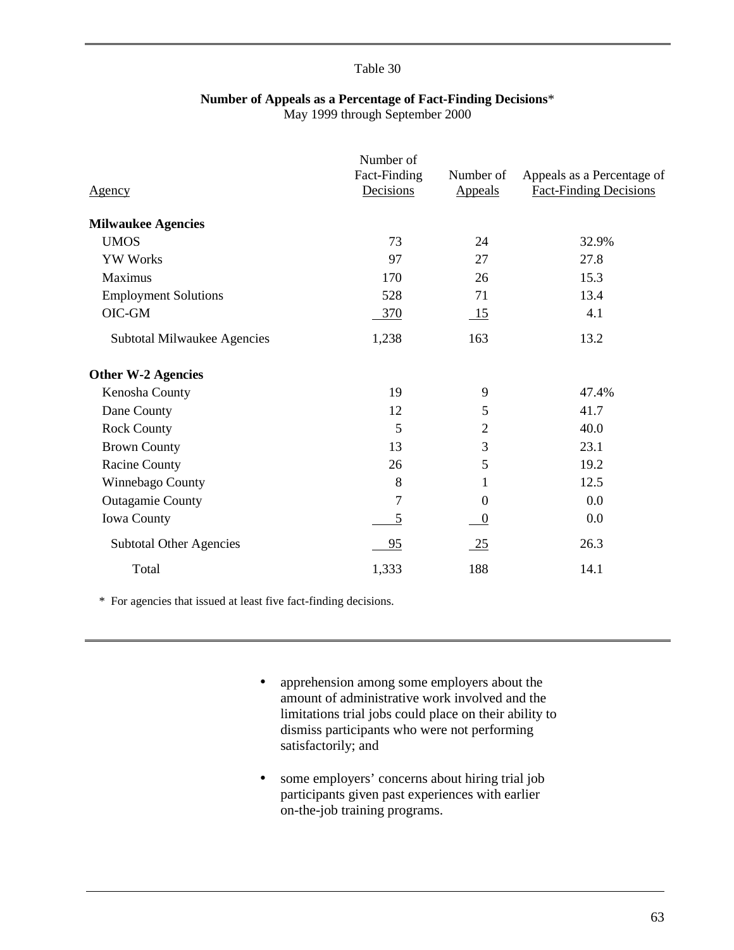# **Number of Appeals as a Percentage of Fact-Finding Decisions**\*

May 1999 through September 2000

<span id="page-65-0"></span>

| <u>Agency</u>                  | Number of<br>Fact-Finding<br>Decisions | Number of<br><b>Appeals</b> | Appeals as a Percentage of<br><b>Fact-Finding Decisions</b> |
|--------------------------------|----------------------------------------|-----------------------------|-------------------------------------------------------------|
| <b>Milwaukee Agencies</b>      |                                        |                             |                                                             |
| <b>UMOS</b>                    | 73                                     | 24                          | 32.9%                                                       |
| <b>YW Works</b>                | 97                                     | 27                          | 27.8                                                        |
| Maximus                        | 170                                    | 26                          | 15.3                                                        |
| <b>Employment Solutions</b>    | 528                                    | 71                          | 13.4                                                        |
| OIC-GM                         | 370                                    | $\overline{\phantom{0}15}$  | 4.1                                                         |
| Subtotal Milwaukee Agencies    | 1,238                                  | 163                         | 13.2                                                        |
| <b>Other W-2 Agencies</b>      |                                        |                             |                                                             |
| Kenosha County                 | 19                                     | 9                           | 47.4%                                                       |
| Dane County                    | 12                                     | 5                           | 41.7                                                        |
| <b>Rock County</b>             | 5                                      | $\overline{2}$              | 40.0                                                        |
| <b>Brown County</b>            | 13                                     | 3                           | 23.1                                                        |
| <b>Racine County</b>           | 26                                     | 5                           | 19.2                                                        |
| Winnebago County               | 8                                      | 1                           | 12.5                                                        |
| <b>Outagamie County</b>        | 7                                      | $\Omega$                    | 0.0                                                         |
| <b>Iowa County</b>             | 5                                      | $\theta$                    | 0.0                                                         |
| <b>Subtotal Other Agencies</b> | 95                                     | $\frac{25}{2}$              | 26.3                                                        |
| Total                          | 1,333                                  | 188                         | 14.1                                                        |

\* For agencies that issued at least five fact-finding decisions.

- apprehension among some employers about the amount of administrative work involved and the limitations trial jobs could place on their ability to dismiss participants who were not performing satisfactorily; and
- some employers' concerns about hiring trial job participants given past experiences with earlier on-the-job training programs.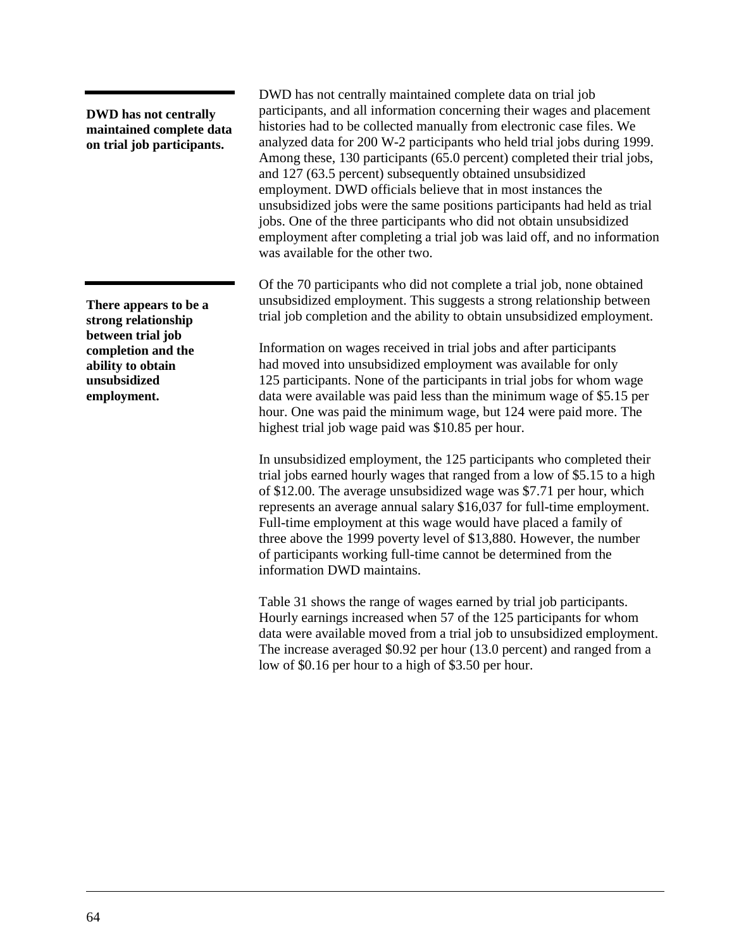**DWD has not centrally maintained complete data on trial job participants.**

**There appears to be a strong relationship between trial job completion and the ability to obtain unsubsidized employment.**

DWD has not centrally maintained complete data on trial job participants, and all information concerning their wages and placement histories had to be collected manually from electronic case files. We analyzed data for 200 W-2 participants who held trial jobs during 1999. Among these, 130 participants (65.0 percent) completed their trial jobs, and 127 (63.5 percent) subsequently obtained unsubsidized employment. DWD officials believe that in most instances the unsubsidized jobs were the same positions participants had held as trial jobs. One of the three participants who did not obtain unsubsidized employment after completing a trial job was laid off, and no information was available for the other two.

Of the 70 participants who did not complete a trial job, none obtained unsubsidized employment. This suggests a strong relationship between trial job completion and the ability to obtain unsubsidized employment.

Information on wages received in trial jobs and after participants had moved into unsubsidized employment was available for only 125 participants. None of the participants in trial jobs for whom wage data were available was paid less than the minimum wage of \$5.15 per hour. One was paid the minimum wage, but 124 were paid more. The highest trial job wage paid was \$10.85 per hour.

In unsubsidized employment, the 125 participants who completed their trial jobs earned hourly wages that ranged from a low of \$5.15 to a high of \$12.00. The average unsubsidized wage was \$7.71 per hour, which represents an average annual salary \$16,037 for full-time employment. Full-time employment at this wage would have placed a family of three above the 1999 poverty level of \$13,880. However, the number of participants working full-time cannot be determined from the information DWD maintains.

[Table 31](#page-67-0) shows the range of wages earned by trial job participants. Hourly earnings increased when 57 of the 125 participants for whom data were available moved from a trial job to unsubsidized employment. The increase averaged \$0.92 per hour (13.0 percent) and ranged from a low of \$0.16 per hour to a high of \$3.50 per hour.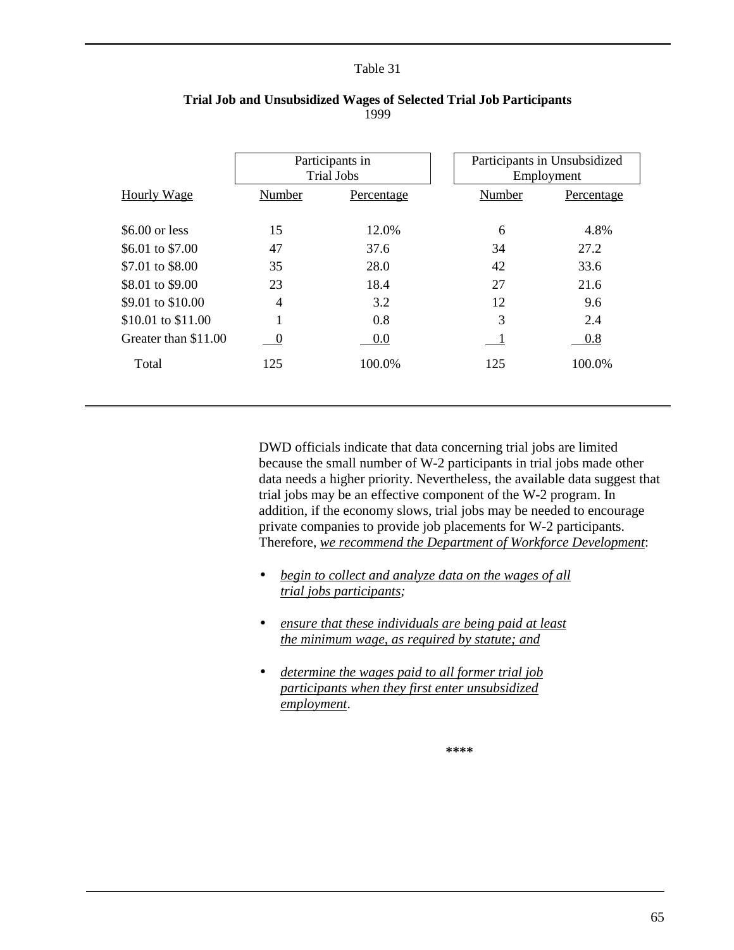<span id="page-67-0"></span>

|                      | Participants in<br><b>Trial Jobs</b> |            |        | Participants in Unsubsidized<br>Employment |
|----------------------|--------------------------------------|------------|--------|--------------------------------------------|
| Hourly Wage          | Number                               | Percentage | Number | Percentage                                 |
|                      |                                      |            |        |                                            |
| $$6.00$ or less      | 15                                   | 12.0%      | 6      | 4.8%                                       |
| \$6.01 to \$7.00     | 47                                   | 37.6       | 34     | 27.2                                       |
| \$7.01 to \$8.00     | 35                                   | 28.0       | 42     | 33.6                                       |
| \$8.01 to \$9.00     | 23                                   | 18.4       | 27     | 21.6                                       |
| \$9.01 to \$10.00    | $\overline{4}$                       | 3.2        | 12     | 9.6                                        |
| \$10.01 to \$11.00   |                                      | 0.8        | 3      | 2.4                                        |
| Greater than \$11.00 | $\theta$                             | 0.0        |        | 0.8                                        |
| Total                | 125                                  | 100.0%     | 125    | 100.0%                                     |
|                      |                                      |            |        |                                            |

# **Trial Job and Unsubsidized Wages of Selected Trial Job Participants** 1999

DWD officials indicate that data concerning trial jobs are limited because the small number of W-2 participants in trial jobs made other data needs a higher priority. Nevertheless, the available data suggest that trial jobs may be an effective component of the W-2 program. In addition, if the economy slows, trial jobs may be needed to encourage private companies to provide job placements for W-2 participants. Therefore, *we recommend the Department of Workforce Development*:

- *begin to collect and analyze data on the wages of all trial jobs participants;*
- *ensure that these individuals are being paid at least the minimum wage, as required by statute; and*
- *determine the wages paid to all former trial job participants when they first enter unsubsidized employment*.

**\*\*\*\***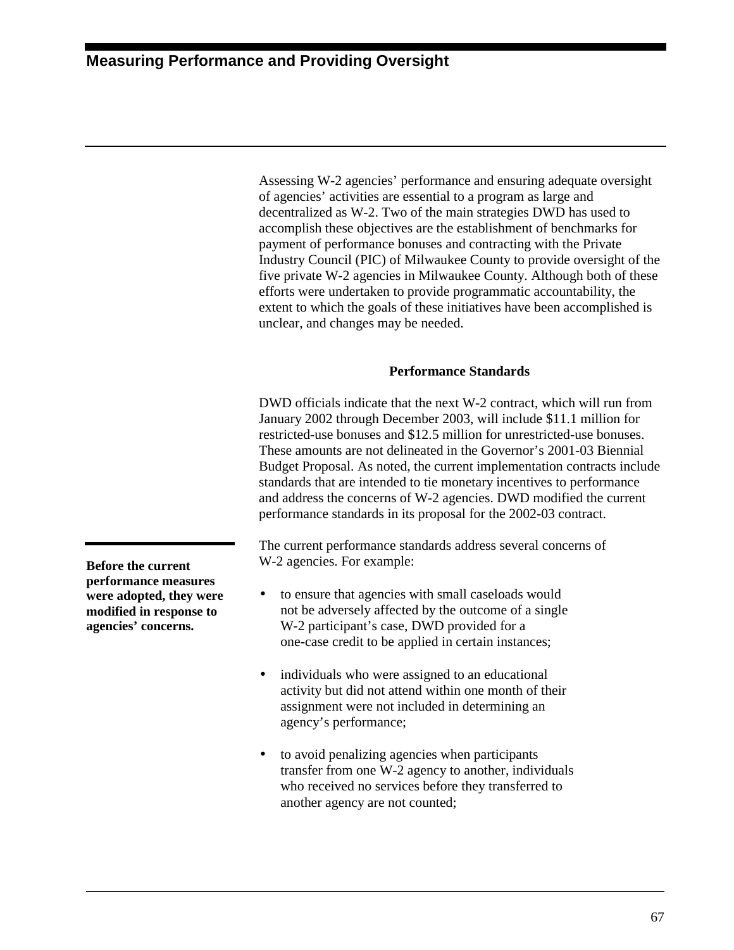Assessing W-2 agencies' performance and ensuring adequate oversight of agencies' activities are essential to a program as large and decentralized as W-2. Two of the main strategies DWD has used to accomplish these objectives are the establishment of benchmarks for payment of performance bonuses and contracting with the Private Industry Council (PIC) of Milwaukee County to provide oversight of the five private W-2 agencies in Milwaukee County. Although both of these efforts were undertaken to provide programmatic accountability, the extent to which the goals of these initiatives have been accomplished is unclear, and changes may be needed.

# **Performance Standards**

DWD officials indicate that the next W-2 contract, which will run from January 2002 through December 2003, will include \$11.1 million for restricted-use bonuses and \$12.5 million for unrestricted-use bonuses. These amounts are not delineated in the Governor's 2001-03 Biennial Budget Proposal. As noted, the current implementation contracts include standards that are intended to tie monetary incentives to performance and address the concerns of W-2 agencies. DWD modified the current performance standards in its proposal for the 2002-03 contract.

The current performance standards address several concerns of W-2 agencies. For example:

- to ensure that agencies with small caseloads would not be adversely affected by the outcome of a single W-2 participant's case, DWD provided for a one-case credit to be applied in certain instances;
- individuals who were assigned to an educational activity but did not attend within one month of their assignment were not included in determining an agency's performance;
- to avoid penalizing agencies when participants transfer from one W-2 agency to another, individuals who received no services before they transferred to another agency are not counted;

**Before the current performance measures were adopted, they were modified in response to agencies' concerns.**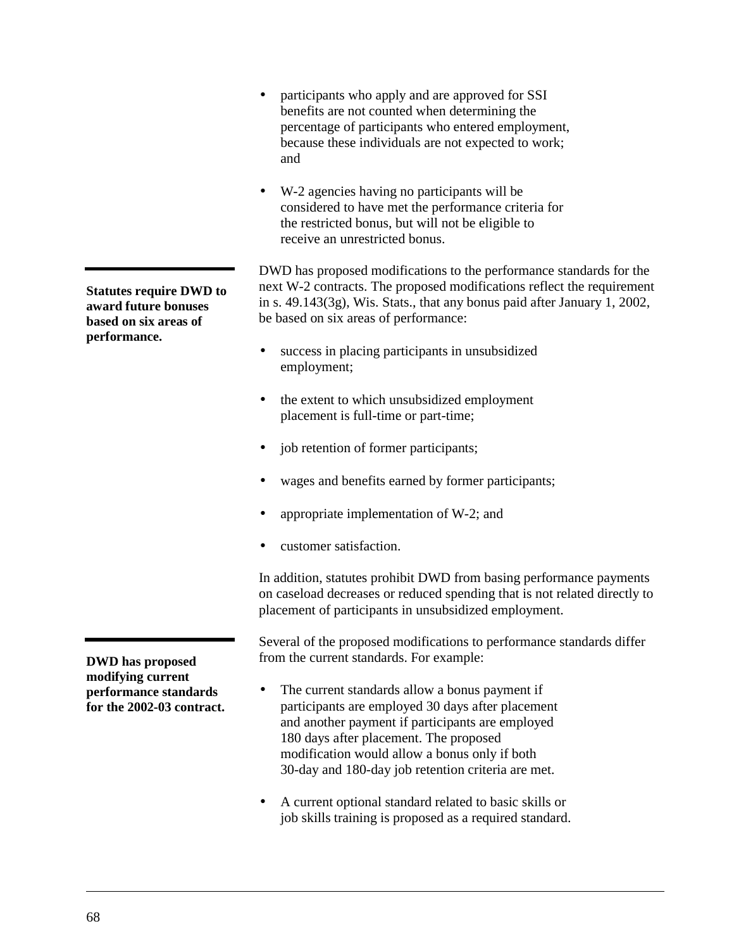- participants who apply and are approved for SSI benefits are not counted when determining the percentage of participants who entered employment, because these individuals are not expected to work; and
- W-2 agencies having no participants will be considered to have met the performance criteria for the restricted bonus, but will not be eligible to receive an unrestricted bonus.

DWD has proposed modifications to the performance standards for the next W-2 contracts. The proposed modifications reflect the requirement in s. 49.143(3g), Wis. Stats., that any bonus paid after January 1, 2002, be based on six areas of performance:

- success in placing participants in unsubsidized employment;
- the extent to which unsubsidized employment placement is full-time or part-time;
- job retention of former participants;
- wages and benefits earned by former participants;
- appropriate implementation of W-2; and
- customer satisfaction.

In addition, statutes prohibit DWD from basing performance payments on caseload decreases or reduced spending that is not related directly to placement of participants in unsubsidized employment.

Several of the proposed modifications to performance standards differ from the current standards. For example:

- The current standards allow a bonus payment if participants are employed 30 days after placement and another payment if participants are employed 180 days after placement. The proposed modification would allow a bonus only if both 30-day and 180-day job retention criteria are met.
- A current optional standard related to basic skills or job skills training is proposed as a required standard.

**Statutes require DWD to award future bonuses based on six areas of performance.**

**DWD has proposed modifying current performance standards for the 2002-03 contract.**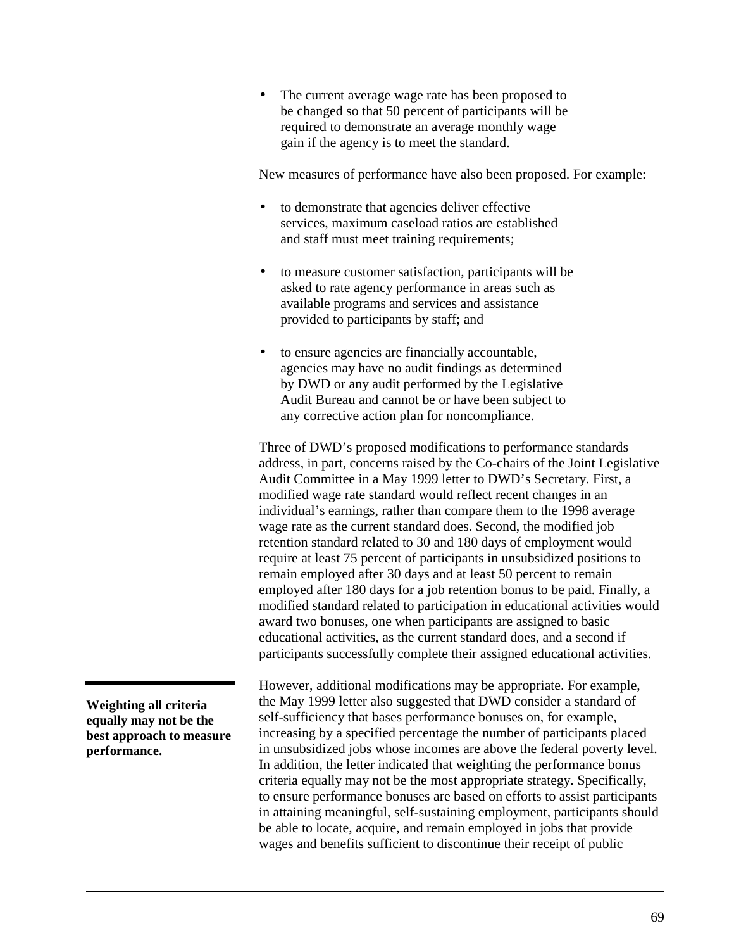• The current average wage rate has been proposed to be changed so that 50 percent of participants will be required to demonstrate an average monthly wage gain if the agency is to meet the standard.

New measures of performance have also been proposed. For example:

- to demonstrate that agencies deliver effective services, maximum caseload ratios are established and staff must meet training requirements;
- to measure customer satisfaction, participants will be asked to rate agency performance in areas such as available programs and services and assistance provided to participants by staff; and
- to ensure agencies are financially accountable, agencies may have no audit findings as determined by DWD or any audit performed by the Legislative Audit Bureau and cannot be or have been subject to any corrective action plan for noncompliance.

Three of DWD's proposed modifications to performance standards address, in part, concerns raised by the Co-chairs of the Joint Legislative Audit Committee in a May 1999 letter to DWD's Secretary. First, a modified wage rate standard would reflect recent changes in an individual's earnings, rather than compare them to the 1998 average wage rate as the current standard does. Second, the modified job retention standard related to 30 and 180 days of employment would require at least 75 percent of participants in unsubsidized positions to remain employed after 30 days and at least 50 percent to remain employed after 180 days for a job retention bonus to be paid. Finally, a modified standard related to participation in educational activities would award two bonuses, one when participants are assigned to basic educational activities, as the current standard does, and a second if participants successfully complete their assigned educational activities.

However, additional modifications may be appropriate. For example, the May 1999 letter also suggested that DWD consider a standard of self-sufficiency that bases performance bonuses on, for example, increasing by a specified percentage the number of participants placed in unsubsidized jobs whose incomes are above the federal poverty level. In addition, the letter indicated that weighting the performance bonus criteria equally may not be the most appropriate strategy. Specifically, to ensure performance bonuses are based on efforts to assist participants in attaining meaningful, self-sustaining employment, participants should be able to locate, acquire, and remain employed in jobs that provide wages and benefits sufficient to discontinue their receipt of public

**Weighting all criteria equally may not be the best approach to measure performance.**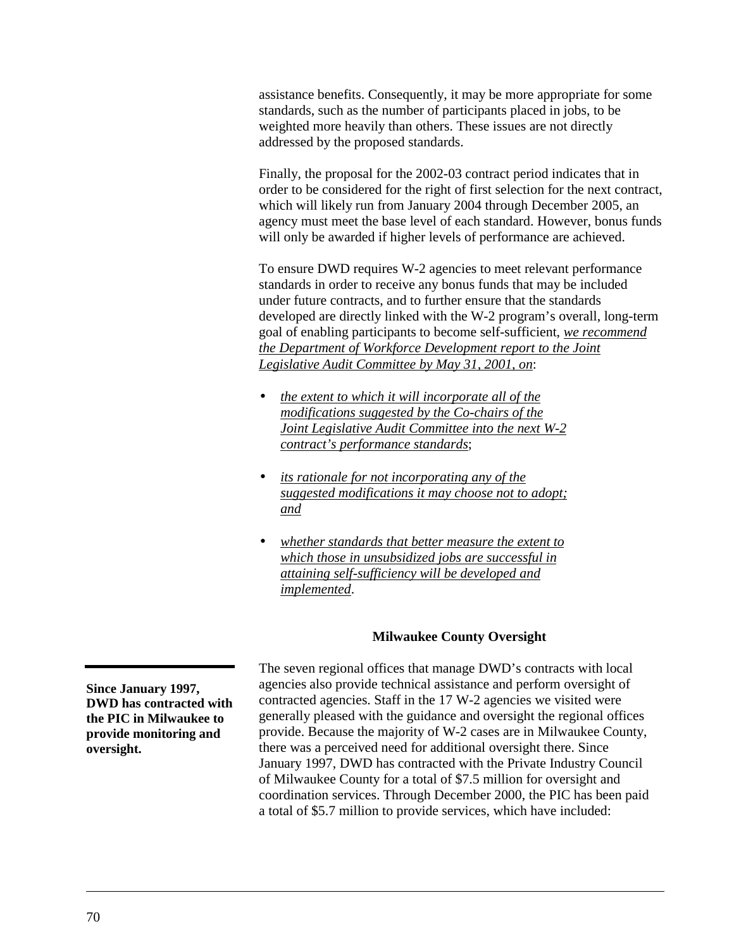assistance benefits. Consequently, it may be more appropriate for some standards, such as the number of participants placed in jobs, to be weighted more heavily than others. These issues are not directly addressed by the proposed standards.

Finally, the proposal for the 2002-03 contract period indicates that in order to be considered for the right of first selection for the next contract, which will likely run from January 2004 through December 2005, an agency must meet the base level of each standard. However, bonus funds will only be awarded if higher levels of performance are achieved.

To ensure DWD requires W-2 agencies to meet relevant performance standards in order to receive any bonus funds that may be included under future contracts, and to further ensure that the standards developed are directly linked with the W-2 program's overall, long-term goal of enabling participants to become self-sufficient, *we recommend the Department of Workforce Development report to the Joint Legislative Audit Committee by May 31, 2001, on*:

- *the extent to which it will incorporate all of the modifications suggested by the Co-chairs of the Joint Legislative Audit Committee into the next W-2 contract's performance standards*;
- *its rationale for not incorporating any of the suggested modifications it may choose not to adopt; and*
- *whether standards that better measure the extent to which those in unsubsidized jobs are successful in attaining self-sufficiency will be developed and implemented*.

# **Milwaukee County Oversight**

The seven regional offices that manage DWD's contracts with local agencies also provide technical assistance and perform oversight of contracted agencies. Staff in the 17 W-2 agencies we visited were generally pleased with the guidance and oversight the regional offices provide. Because the majority of W-2 cases are in Milwaukee County, there was a perceived need for additional oversight there. Since January 1997, DWD has contracted with the Private Industry Council of Milwaukee County for a total of \$7.5 million for oversight and coordination services. Through December 2000, the PIC has been paid a total of \$5.7 million to provide services, which have included:

**Since January 1997, DWD has contracted with the PIC in Milwaukee to provide monitoring and oversight.**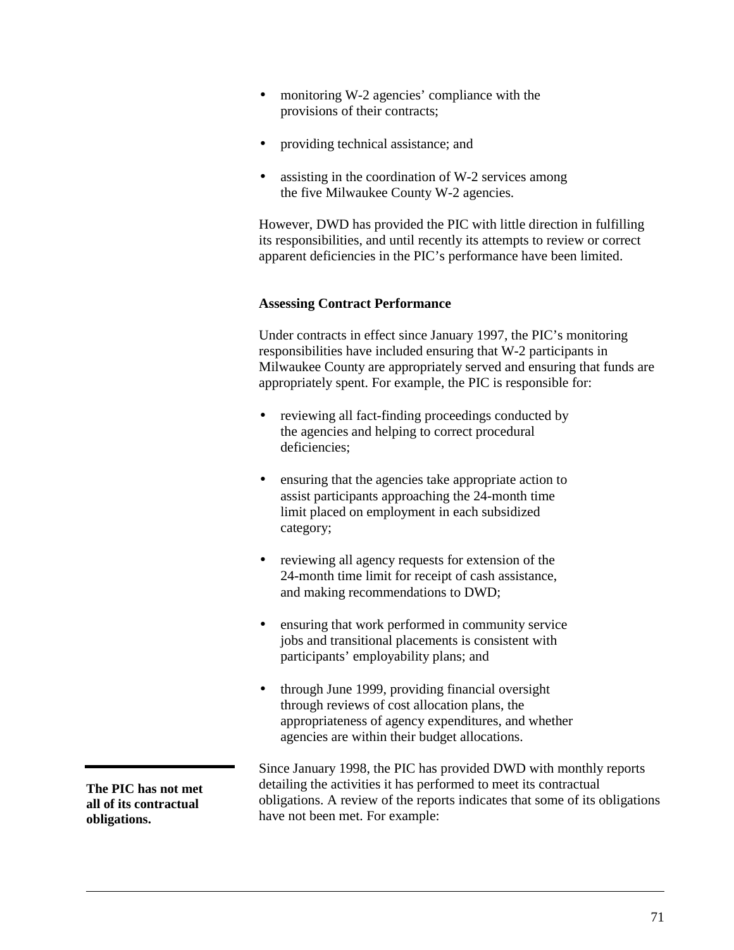- monitoring W-2 agencies' compliance with the provisions of their contracts;
- providing technical assistance; and
- assisting in the coordination of W-2 services among the five Milwaukee County W-2 agencies.

However, DWD has provided the PIC with little direction in fulfilling its responsibilities, and until recently its attempts to review or correct apparent deficiencies in the PIC's performance have been limited.

## **Assessing Contract Performance**

Under contracts in effect since January 1997, the PIC's monitoring responsibilities have included ensuring that W-2 participants in Milwaukee County are appropriately served and ensuring that funds are appropriately spent. For example, the PIC is responsible for:

- reviewing all fact-finding proceedings conducted by the agencies and helping to correct procedural deficiencies;
- ensuring that the agencies take appropriate action to assist participants approaching the 24-month time limit placed on employment in each subsidized category;
- reviewing all agency requests for extension of the 24-month time limit for receipt of cash assistance, and making recommendations to DWD;
- ensuring that work performed in community service jobs and transitional placements is consistent with participants' employability plans; and
- through June 1999, providing financial oversight through reviews of cost allocation plans, the appropriateness of agency expenditures, and whether agencies are within their budget allocations.

**The PIC has not met all of its contractual obligations.**

Since January 1998, the PIC has provided DWD with monthly reports detailing the activities it has performed to meet its contractual obligations. A review of the reports indicates that some of its obligations have not been met. For example: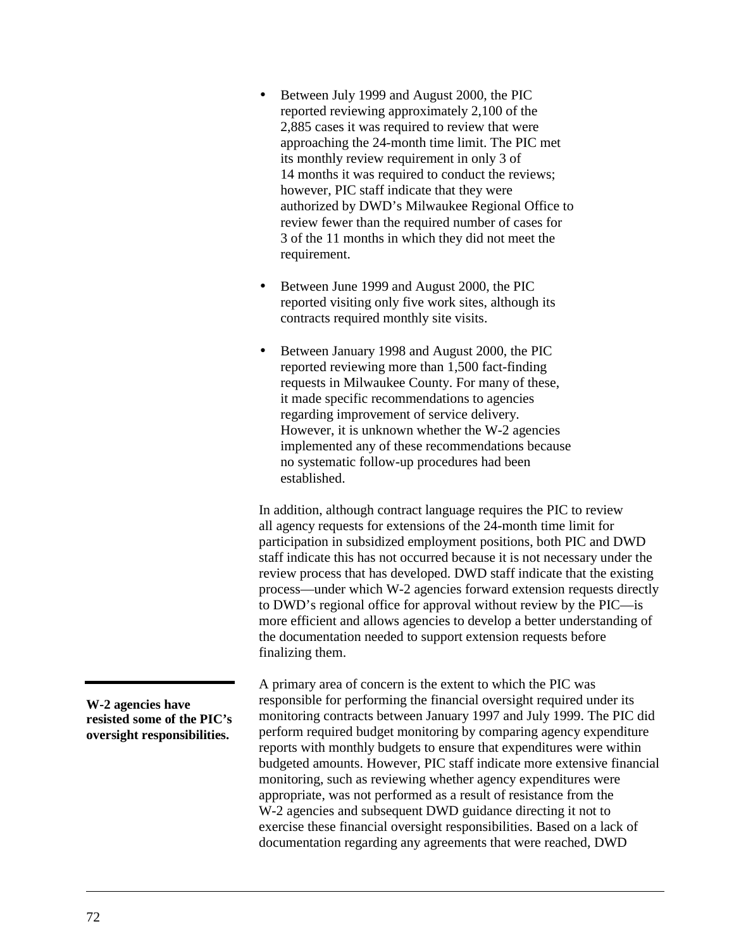- Between July 1999 and August 2000, the PIC reported reviewing approximately 2,100 of the 2,885 cases it was required to review that were approaching the 24-month time limit. The PIC met its monthly review requirement in only 3 of 14 months it was required to conduct the reviews; however, PIC staff indicate that they were authorized by DWD's Milwaukee Regional Office to review fewer than the required number of cases for 3 of the 11 months in which they did not meet the requirement.
- Between June 1999 and August 2000, the PIC reported visiting only five work sites, although its contracts required monthly site visits.
- Between January 1998 and August 2000, the PIC reported reviewing more than 1,500 fact-finding requests in Milwaukee County. For many of these, it made specific recommendations to agencies regarding improvement of service delivery. However, it is unknown whether the W-2 agencies implemented any of these recommendations because no systematic follow-up procedures had been established.

In addition, although contract language requires the PIC to review all agency requests for extensions of the 24-month time limit for participation in subsidized employment positions, both PIC and DWD staff indicate this has not occurred because it is not necessary under the review process that has developed. DWD staff indicate that the existing process—under which W-2 agencies forward extension requests directly to DWD's regional office for approval without review by the PIC—is more efficient and allows agencies to develop a better understanding of the documentation needed to support extension requests before finalizing them.

A primary area of concern is the extent to which the PIC was responsible for performing the financial oversight required under its monitoring contracts between January 1997 and July 1999. The PIC did perform required budget monitoring by comparing agency expenditure reports with monthly budgets to ensure that expenditures were within budgeted amounts. However, PIC staff indicate more extensive financial monitoring, such as reviewing whether agency expenditures were appropriate, was not performed as a result of resistance from the W-2 agencies and subsequent DWD guidance directing it not to exercise these financial oversight responsibilities. Based on a lack of documentation regarding any agreements that were reached, DWD

**W-2 agencies have resisted some of the PIC's oversight responsibilities.**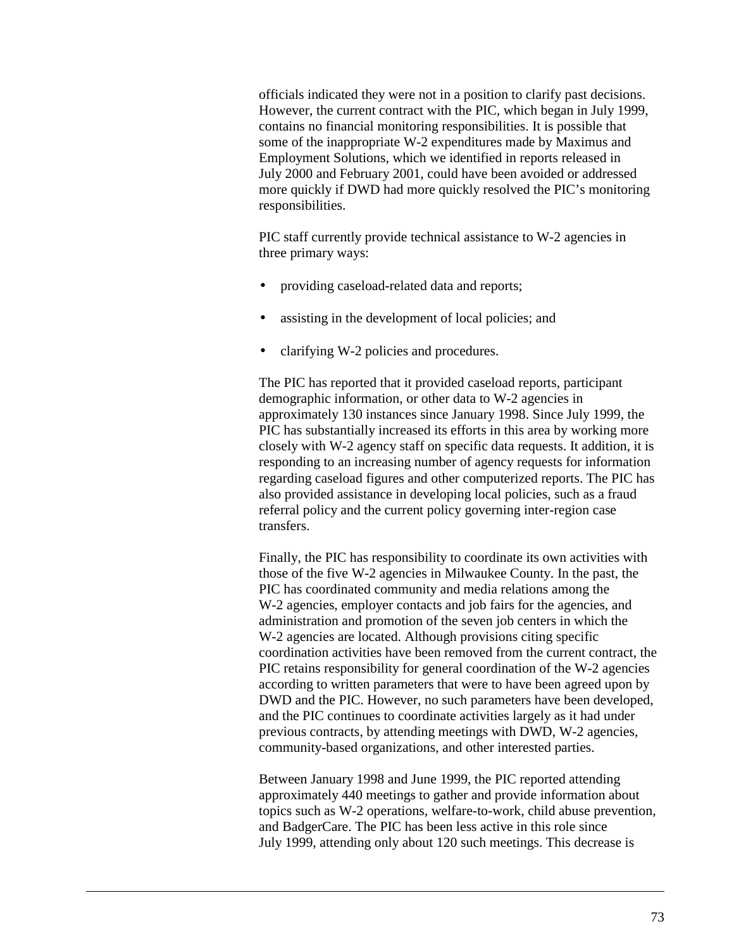officials indicated they were not in a position to clarify past decisions. However, the current contract with the PIC, which began in July 1999, contains no financial monitoring responsibilities. It is possible that some of the inappropriate W-2 expenditures made by Maximus and Employment Solutions, which we identified in reports released in July 2000 and February 2001, could have been avoided or addressed more quickly if DWD had more quickly resolved the PIC's monitoring responsibilities.

PIC staff currently provide technical assistance to W-2 agencies in three primary ways:

- providing caseload-related data and reports;
- assisting in the development of local policies; and
- clarifying W-2 policies and procedures.

The PIC has reported that it provided caseload reports, participant demographic information, or other data to W-2 agencies in approximately 130 instances since January 1998. Since July 1999, the PIC has substantially increased its efforts in this area by working more closely with W-2 agency staff on specific data requests. It addition, it is responding to an increasing number of agency requests for information regarding caseload figures and other computerized reports. The PIC has also provided assistance in developing local policies, such as a fraud referral policy and the current policy governing inter-region case transfers.

Finally, the PIC has responsibility to coordinate its own activities with those of the five W-2 agencies in Milwaukee County. In the past, the PIC has coordinated community and media relations among the W-2 agencies, employer contacts and job fairs for the agencies, and administration and promotion of the seven job centers in which the W-2 agencies are located. Although provisions citing specific coordination activities have been removed from the current contract, the PIC retains responsibility for general coordination of the W-2 agencies according to written parameters that were to have been agreed upon by DWD and the PIC. However, no such parameters have been developed, and the PIC continues to coordinate activities largely as it had under previous contracts, by attending meetings with DWD, W-2 agencies, community-based organizations, and other interested parties.

Between January 1998 and June 1999, the PIC reported attending approximately 440 meetings to gather and provide information about topics such as W-2 operations, welfare-to-work, child abuse prevention, and BadgerCare. The PIC has been less active in this role since July 1999, attending only about 120 such meetings. This decrease is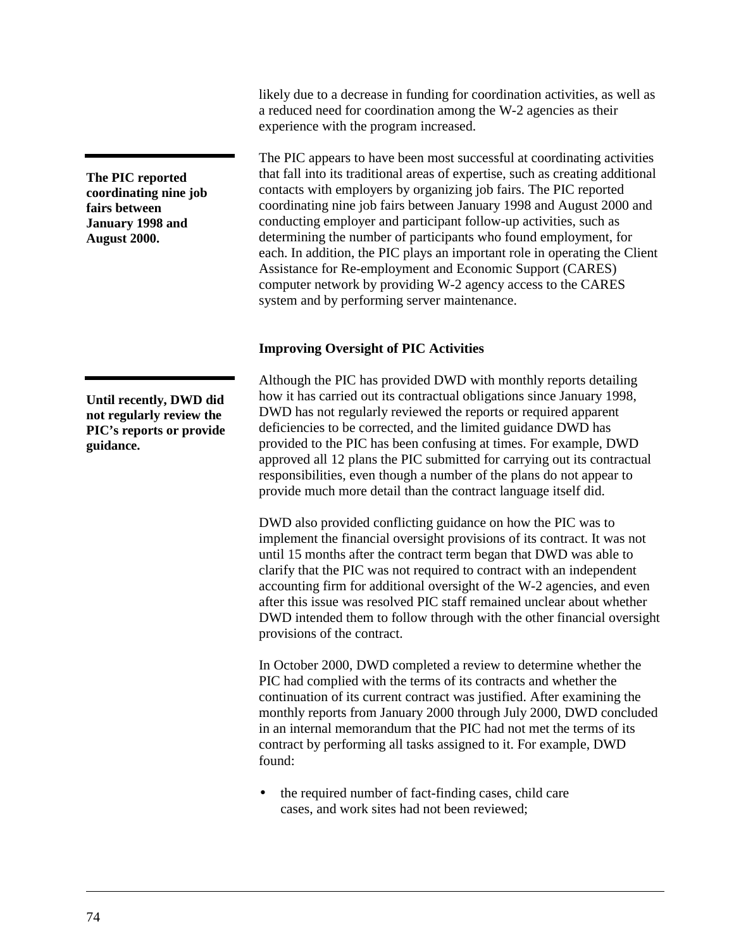**The PIC reported coordinating nine job fairs between January 1998 and August 2000.**

**Until recently, DWD did not regularly review the PIC's reports or provide guidance.**

likely due to a decrease in funding for coordination activities, as well as a reduced need for coordination among the W-2 agencies as their experience with the program increased.

The PIC appears to have been most successful at coordinating activities that fall into its traditional areas of expertise, such as creating additional contacts with employers by organizing job fairs. The PIC reported coordinating nine job fairs between January 1998 and August 2000 and conducting employer and participant follow-up activities, such as determining the number of participants who found employment, for each. In addition, the PIC plays an important role in operating the Client Assistance for Re-employment and Economic Support (CARES) computer network by providing W-2 agency access to the CARES system and by performing server maintenance.

### **Improving Oversight of PIC Activities**

Although the PIC has provided DWD with monthly reports detailing how it has carried out its contractual obligations since January 1998, DWD has not regularly reviewed the reports or required apparent deficiencies to be corrected, and the limited guidance DWD has provided to the PIC has been confusing at times. For example, DWD approved all 12 plans the PIC submitted for carrying out its contractual responsibilities, even though a number of the plans do not appear to provide much more detail than the contract language itself did.

DWD also provided conflicting guidance on how the PIC was to implement the financial oversight provisions of its contract. It was not until 15 months after the contract term began that DWD was able to clarify that the PIC was not required to contract with an independent accounting firm for additional oversight of the W-2 agencies, and even after this issue was resolved PIC staff remained unclear about whether DWD intended them to follow through with the other financial oversight provisions of the contract.

In October 2000, DWD completed a review to determine whether the PIC had complied with the terms of its contracts and whether the continuation of its current contract was justified. After examining the monthly reports from January 2000 through July 2000, DWD concluded in an internal memorandum that the PIC had not met the terms of its contract by performing all tasks assigned to it. For example, DWD found:

• the required number of fact-finding cases, child care cases, and work sites had not been reviewed;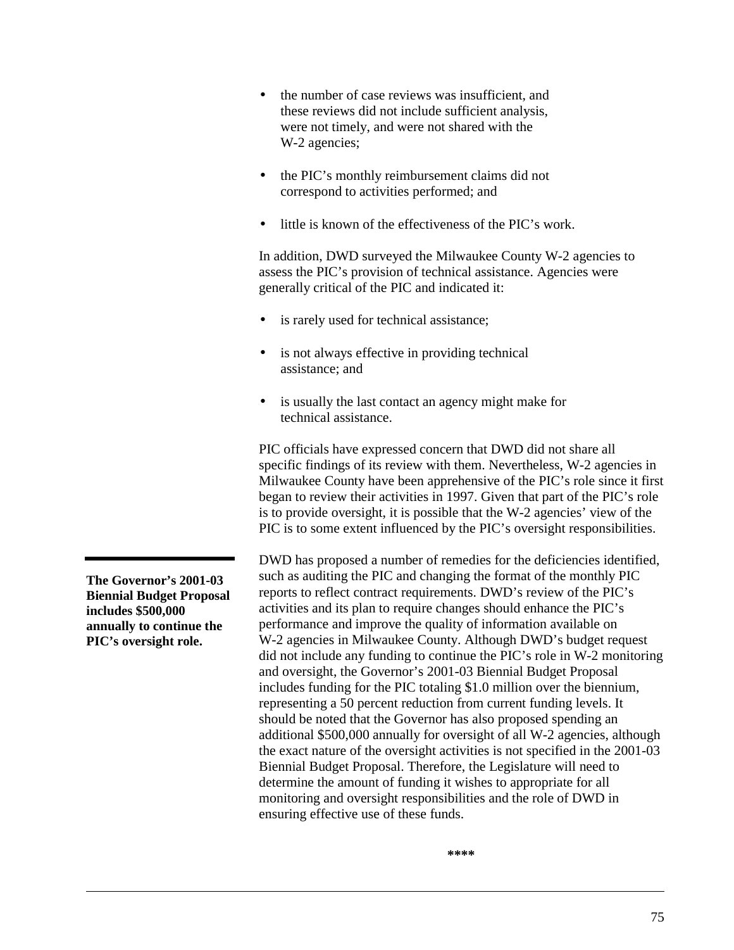- the number of case reviews was insufficient, and these reviews did not include sufficient analysis, were not timely, and were not shared with the W-2 agencies;
- the PIC's monthly reimbursement claims did not correspond to activities performed; and
- little is known of the effectiveness of the PIC's work.

In addition, DWD surveyed the Milwaukee County W-2 agencies to assess the PIC's provision of technical assistance. Agencies were generally critical of the PIC and indicated it:

- is rarely used for technical assistance;
- is not always effective in providing technical assistance; and
- is usually the last contact an agency might make for technical assistance.

PIC officials have expressed concern that DWD did not share all specific findings of its review with them. Nevertheless, W-2 agencies in Milwaukee County have been apprehensive of the PIC's role since it first began to review their activities in 1997. Given that part of the PIC's role is to provide oversight, it is possible that the W-2 agencies' view of the PIC is to some extent influenced by the PIC's oversight responsibilities.

DWD has proposed a number of remedies for the deficiencies identified, such as auditing the PIC and changing the format of the monthly PIC reports to reflect contract requirements. DWD's review of the PIC's activities and its plan to require changes should enhance the PIC's performance and improve the quality of information available on W-2 agencies in Milwaukee County. Although DWD's budget request did not include any funding to continue the PIC's role in W-2 monitoring and oversight, the Governor's 2001-03 Biennial Budget Proposal includes funding for the PIC totaling \$1.0 million over the biennium, representing a 50 percent reduction from current funding levels. It should be noted that the Governor has also proposed spending an additional \$500,000 annually for oversight of all W-2 agencies, although the exact nature of the oversight activities is not specified in the 2001-03 Biennial Budget Proposal. Therefore, the Legislature will need to determine the amount of funding it wishes to appropriate for all monitoring and oversight responsibilities and the role of DWD in ensuring effective use of these funds.

**The Governor's 2001-03 Biennial Budget Proposal includes \$500,000 annually to continue the PIC's oversight role.**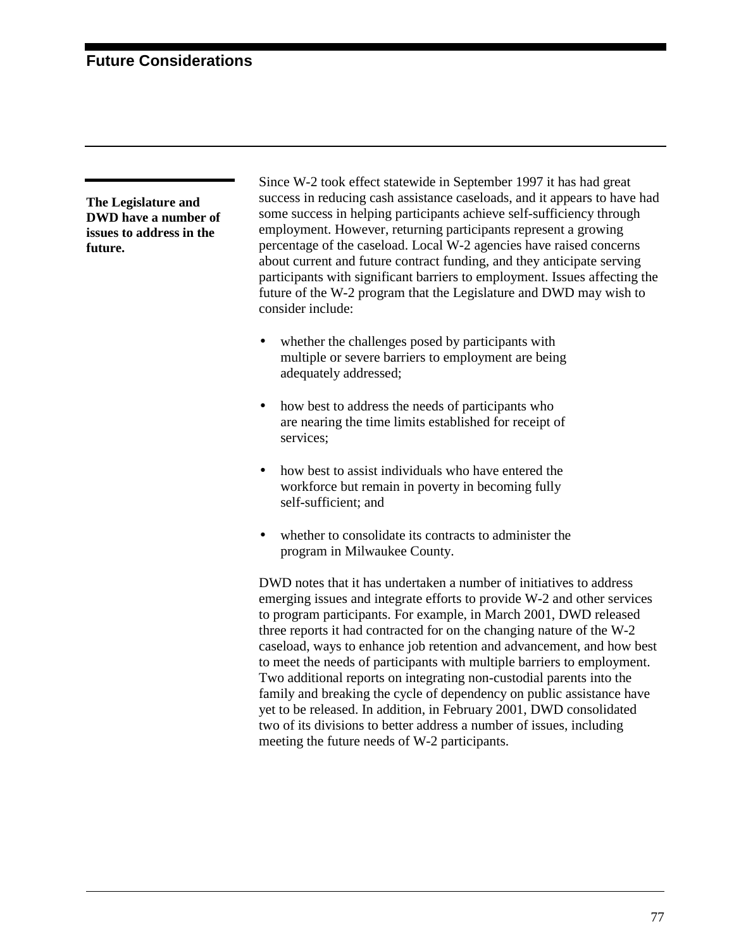**The Legislature and DWD have a number of issues to address in the future.**

Since W-2 took effect statewide in September 1997 it has had great success in reducing cash assistance caseloads, and it appears to have had some success in helping participants achieve self-sufficiency through employment. However, returning participants represent a growing percentage of the caseload. Local W-2 agencies have raised concerns about current and future contract funding, and they anticipate serving participants with significant barriers to employment. Issues affecting the future of the W-2 program that the Legislature and DWD may wish to consider include:

- whether the challenges posed by participants with multiple or severe barriers to employment are being adequately addressed;
- how best to address the needs of participants who are nearing the time limits established for receipt of services;
- how best to assist individuals who have entered the workforce but remain in poverty in becoming fully self-sufficient; and
- whether to consolidate its contracts to administer the program in Milwaukee County.

DWD notes that it has undertaken a number of initiatives to address emerging issues and integrate efforts to provide W-2 and other services to program participants. For example, in March 2001, DWD released three reports it had contracted for on the changing nature of the W-2 caseload, ways to enhance job retention and advancement, and how best to meet the needs of participants with multiple barriers to employment. Two additional reports on integrating non-custodial parents into the family and breaking the cycle of dependency on public assistance have yet to be released. In addition, in February 2001, DWD consolidated two of its divisions to better address a number of issues, including meeting the future needs of W-2 participants.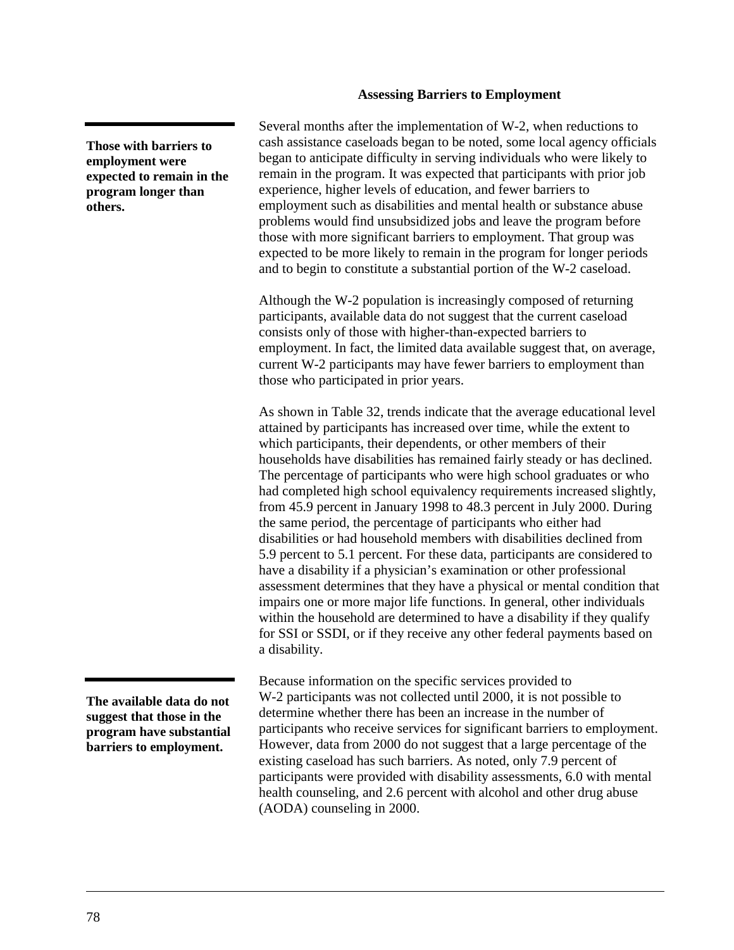### **Assessing Barriers to Employment**

**Those with barriers to employment were expected to remain in the program longer than others.**

Several months after the implementation of W-2, when reductions to cash assistance caseloads began to be noted, some local agency officials began to anticipate difficulty in serving individuals who were likely to remain in the program. It was expected that participants with prior job experience, higher levels of education, and fewer barriers to employment such as disabilities and mental health or substance abuse problems would find unsubsidized jobs and leave the program before those with more significant barriers to employment. That group was expected to be more likely to remain in the program for longer periods and to begin to constitute a substantial portion of the W-2 caseload.

Although the W-2 population is increasingly composed of returning participants, available data do not suggest that the current caseload consists only of those with higher-than-expected barriers to employment. In fact, the limited data available suggest that, on average, current W-2 participants may have fewer barriers to employment than those who participated in prior years.

As shown in [Table 32,](#page-81-0) trends indicate that the average educational level attained by participants has increased over time, while the extent to which participants, their dependents, or other members of their households have disabilities has remained fairly steady or has declined. The percentage of participants who were high school graduates or who had completed high school equivalency requirements increased slightly, from 45.9 percent in January 1998 to 48.3 percent in July 2000. During the same period, the percentage of participants who either had disabilities or had household members with disabilities declined from 5.9 percent to 5.1 percent. For these data, participants are considered to have a disability if a physician's examination or other professional assessment determines that they have a physical or mental condition that impairs one or more major life functions. In general, other individuals within the household are determined to have a disability if they qualify for SSI or SSDI, or if they receive any other federal payments based on a disability.

Because information on the specific services provided to W-2 participants was not collected until 2000, it is not possible to determine whether there has been an increase in the number of participants who receive services for significant barriers to employment. However, data from 2000 do not suggest that a large percentage of the existing caseload has such barriers. As noted, only 7.9 percent of participants were provided with disability assessments, 6.0 with mental health counseling, and 2.6 percent with alcohol and other drug abuse (AODA) counseling in 2000.

**The available data do not suggest that those in the program have substantial barriers to employment.**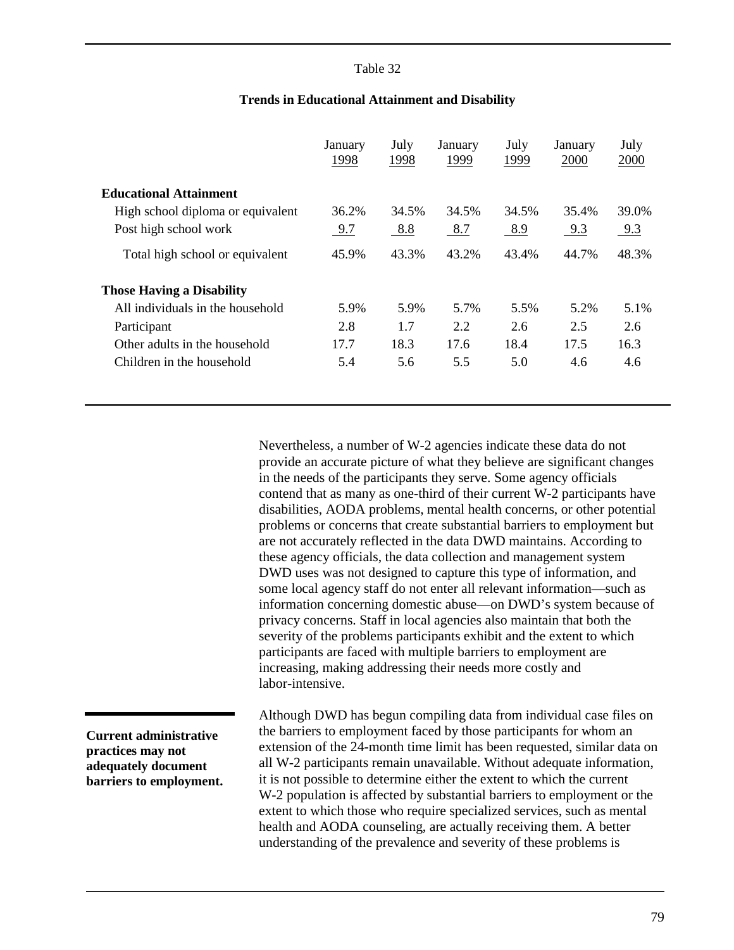### Table 32

<span id="page-81-0"></span>

|                                   | January<br>1998 | July<br><u>1998</u> | January<br>1999 | July<br><u>1999</u> | January<br>2000 | July<br>2000 |
|-----------------------------------|-----------------|---------------------|-----------------|---------------------|-----------------|--------------|
| <b>Educational Attainment</b>     |                 |                     |                 |                     |                 |              |
| High school diploma or equivalent | 36.2%           | 34.5%               | 34.5%           | 34.5%               | 35.4%           | 39.0%        |
| Post high school work             | 9.7             | 8.8                 | 8.7             | 8.9                 | 9.3             | 9.3          |
| Total high school or equivalent   | 45.9%           | 43.3%               | 43.2%           | 43.4%               | 44.7%           | 48.3%        |
| <b>Those Having a Disability</b>  |                 |                     |                 |                     |                 |              |
| All individuals in the household  | 5.9%            | 5.9%                | 5.7%            | 5.5%                | 5.2%            | 5.1%         |
| Participant                       | 2.8             | 1.7                 | 2.2             | 2.6                 | 2.5             | 2.6          |
| Other adults in the household     | 17.7            | 18.3                | 17.6            | 18.4                | 17.5            | 16.3         |
| Children in the household         | 5.4             | 5.6                 | 5.5             | 5.0                 | 4.6             | 4.6          |

### **Trends in Educational Attainment and Disability**

Nevertheless, a number of W-2 agencies indicate these data do not provide an accurate picture of what they believe are significant changes in the needs of the participants they serve. Some agency officials contend that as many as one-third of their current W-2 participants have disabilities, AODA problems, mental health concerns, or other potential problems or concerns that create substantial barriers to employment but are not accurately reflected in the data DWD maintains. According to these agency officials, the data collection and management system DWD uses was not designed to capture this type of information, and some local agency staff do not enter all relevant information—such as information concerning domestic abuse—on DWD's system because of privacy concerns. Staff in local agencies also maintain that both the severity of the problems participants exhibit and the extent to which participants are faced with multiple barriers to employment are increasing, making addressing their needs more costly and labor-intensive.

**Current administrative practices may not adequately document barriers to employment.**

Although DWD has begun compiling data from individual case files on the barriers to employment faced by those participants for whom an extension of the 24-month time limit has been requested, similar data on all W-2 participants remain unavailable. Without adequate information, it is not possible to determine either the extent to which the current W-2 population is affected by substantial barriers to employment or the extent to which those who require specialized services, such as mental health and AODA counseling, are actually receiving them. A better understanding of the prevalence and severity of these problems is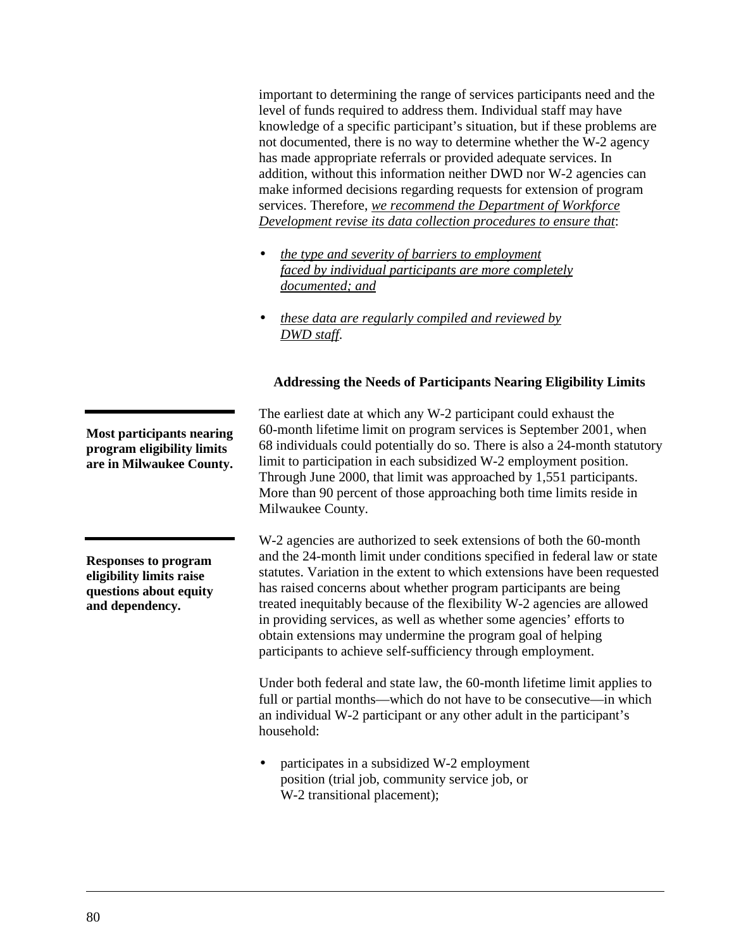important to determining the range of services participants need and the level of funds required to address them. Individual staff may have knowledge of a specific participant's situation, but if these problems are not documented, there is no way to determine whether the W-2 agency has made appropriate referrals or provided adequate services. In addition, without this information neither DWD nor W-2 agencies can make informed decisions regarding requests for extension of program services. Therefore, *we recommend the Department of Workforce Development revise its data collection procedures to ensure that*:

- *the type and severity of barriers to employment faced by individual participants are more completely documented; and*
- *these data are regularly compiled and reviewed by DWD staff*.

# **Addressing the Needs of Participants Nearing Eligibility Limits**

The earliest date at which any W-2 participant could exhaust the 60-month lifetime limit on program services is September 2001, when 68 individuals could potentially do so. There is also a 24-month statutory limit to participation in each subsidized W-2 employment position. Through June 2000, that limit was approached by 1,551 participants. More than 90 percent of those approaching both time limits reside in Milwaukee County.

W-2 agencies are authorized to seek extensions of both the 60-month and the 24-month limit under conditions specified in federal law or state statutes. Variation in the extent to which extensions have been requested has raised concerns about whether program participants are being treated inequitably because of the flexibility W-2 agencies are allowed in providing services, as well as whether some agencies' efforts to obtain extensions may undermine the program goal of helping participants to achieve self-sufficiency through employment.

Under both federal and state law, the 60-month lifetime limit applies to full or partial months—which do not have to be consecutive—in which an individual W-2 participant or any other adult in the participant's household:

• participates in a subsidized W-2 employment position (trial job, community service job, or W-2 transitional placement);

**Most participants nearing program eligibility limits are in Milwaukee County.**

**Responses to program eligibility limits raise questions about equity and dependency.**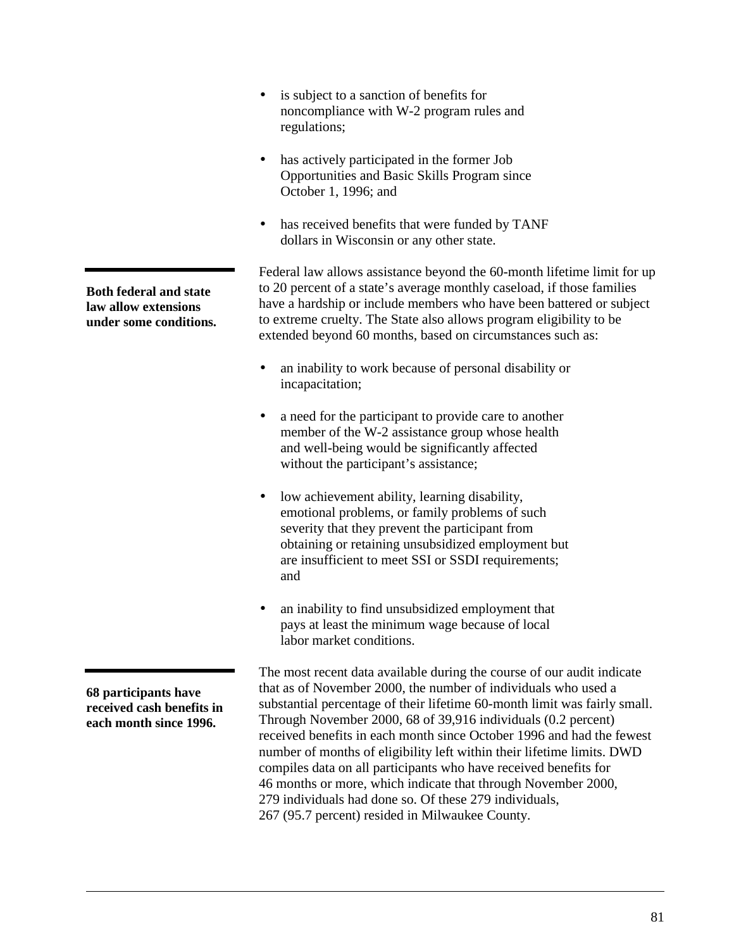noncompliance with W-2 program rules and regulations; • has actively participated in the former Job Opportunities and Basic Skills Program since October 1, 1996; and • has received benefits that were funded by TANF dollars in Wisconsin or any other state. Federal law allows assistance beyond the 60-month lifetime limit for up to 20 percent of a state's average monthly caseload, if those families have a hardship or include members who have been battered or subject to extreme cruelty. The State also allows program eligibility to be extended beyond 60 months, based on circumstances such as: • an inability to work because of personal disability or incapacitation; • a need for the participant to provide care to another member of the W-2 assistance group whose health and well-being would be significantly affected without the participant's assistance; • low achievement ability, learning disability, emotional problems, or family problems of such severity that they prevent the participant from obtaining or retaining unsubsidized employment but are insufficient to meet SSI or SSDI requirements; and an inability to find unsubsidized employment that pays at least the minimum wage because of local labor market conditions. The most recent data available during the course of our audit indicate that as of November 2000, the number of individuals who used a substantial percentage of their lifetime 60-month limit was fairly small. Through November 2000, 68 of 39,916 individuals (0.2 percent) received benefits in each month since October 1996 and had the fewest number of months of eligibility left within their lifetime limits. DWD **Both federal and state law allow extensions under some conditions. 68 participants have received cash benefits in each month since 1996.**

• is subject to a sanction of benefits for

279 individuals had done so. Of these 279 individuals,

compiles data on all participants who have received benefits for 46 months or more, which indicate that through November 2000,

267 (95.7 percent) resided in Milwaukee County.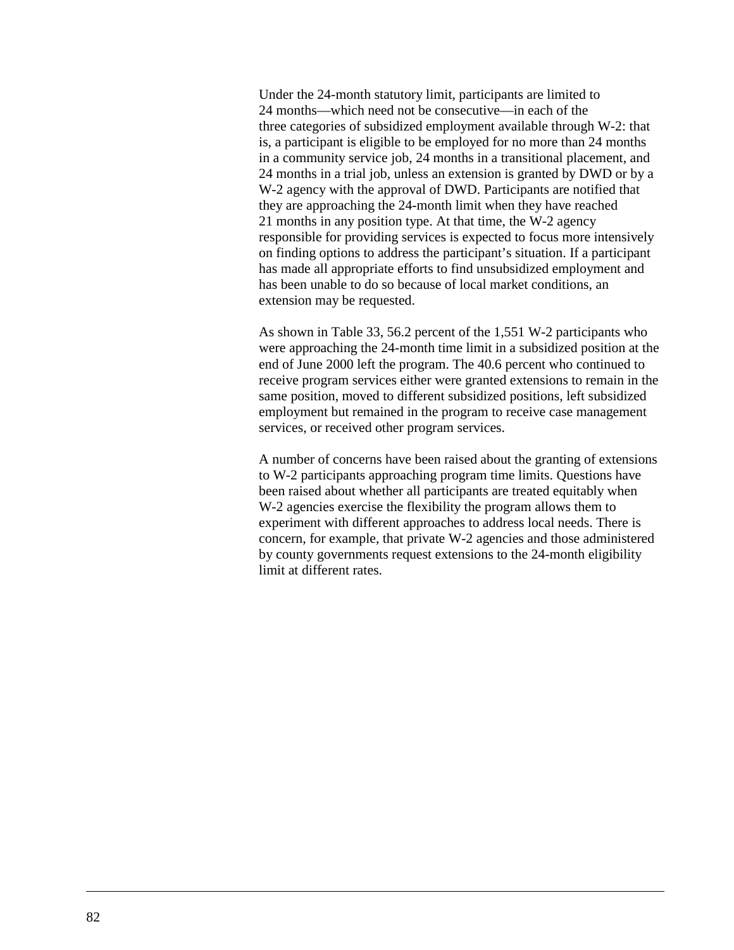Under the 24-month statutory limit, participants are limited to 24 months—which need not be consecutive—in each of the three categories of subsidized employment available through W-2: that is, a participant is eligible to be employed for no more than 24 months in a community service job, 24 months in a transitional placement, and 24 months in a trial job, unless an extension is granted by DWD or by a W-2 agency with the approval of DWD. Participants are notified that they are approaching the 24-month limit when they have reached 21 months in any position type. At that time, the W-2 agency responsible for providing services is expected to focus more intensively on finding options to address the participant's situation. If a participant has made all appropriate efforts to find unsubsidized employment and has been unable to do so because of local market conditions, an extension may be requested.

As shown in [Table 33,](#page-85-0) 56.2 percent of the 1,551 W-2 participants who were approaching the 24-month time limit in a subsidized position at the end of June 2000 left the program. The 40.6 percent who continued to receive program services either were granted extensions to remain in the same position, moved to different subsidized positions, left subsidized employment but remained in the program to receive case management services, or received other program services.

A number of concerns have been raised about the granting of extensions to W-2 participants approaching program time limits. Questions have been raised about whether all participants are treated equitably when W-2 agencies exercise the flexibility the program allows them to experiment with different approaches to address local needs. There is concern, for example, that private W-2 agencies and those administered by county governments request extensions to the 24-month eligibility limit at different rates.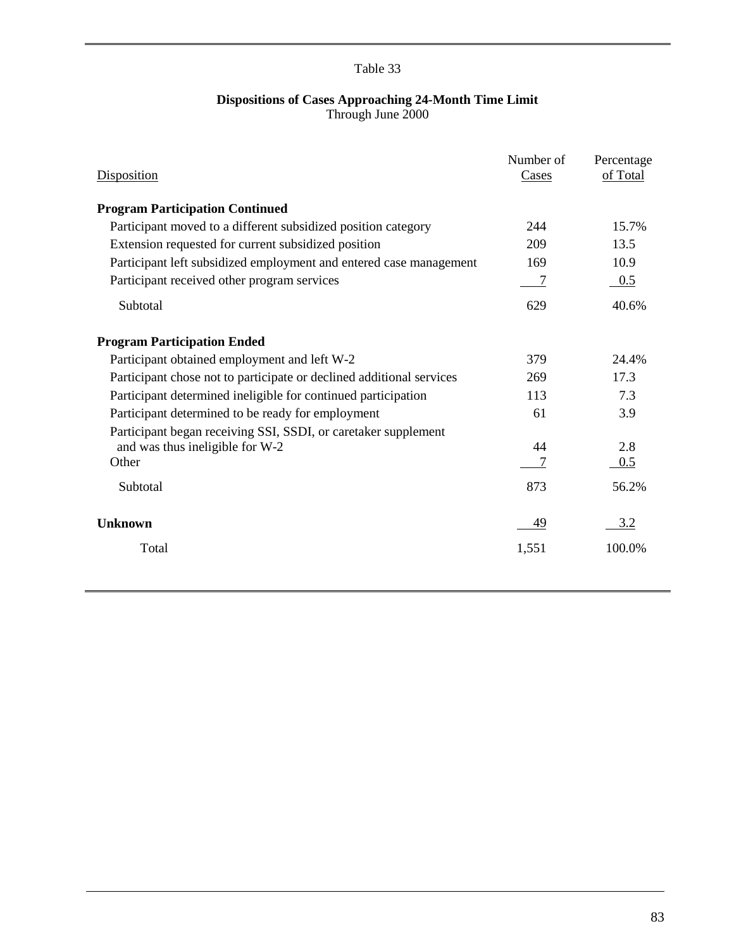# Table 33

#### **Dispositions of Cases Approaching 24-Month Time Limit** Through June 2000

<span id="page-85-0"></span>

| Disposition                                                          | Number of<br>Cases | Percentage<br>of Total |
|----------------------------------------------------------------------|--------------------|------------------------|
| <b>Program Participation Continued</b>                               |                    |                        |
| Participant moved to a different subsidized position category        | 244                | 15.7%                  |
| Extension requested for current subsidized position                  | 209                | 13.5                   |
| Participant left subsidized employment and entered case management   | 169                | 10.9                   |
| Participant received other program services                          | 7                  | 0.5                    |
| Subtotal                                                             | 629                | 40.6%                  |
| <b>Program Participation Ended</b>                                   |                    |                        |
| Participant obtained employment and left W-2                         | 379                | 24.4%                  |
| Participant chose not to participate or declined additional services | 269                | 17.3                   |
| Participant determined ineligible for continued participation        | 113                | 7.3                    |
| Participant determined to be ready for employment                    | 61                 | 3.9                    |
| Participant began receiving SSI, SSDI, or caretaker supplement       |                    |                        |
| and was thus ineligible for W-2                                      | 44                 | 2.8                    |
| Other                                                                |                    | 0.5                    |
| Subtotal                                                             | 873                | 56.2%                  |
| <b>Unknown</b>                                                       | 49                 | 3.2                    |
| Total                                                                | 1,551              | 100.0%                 |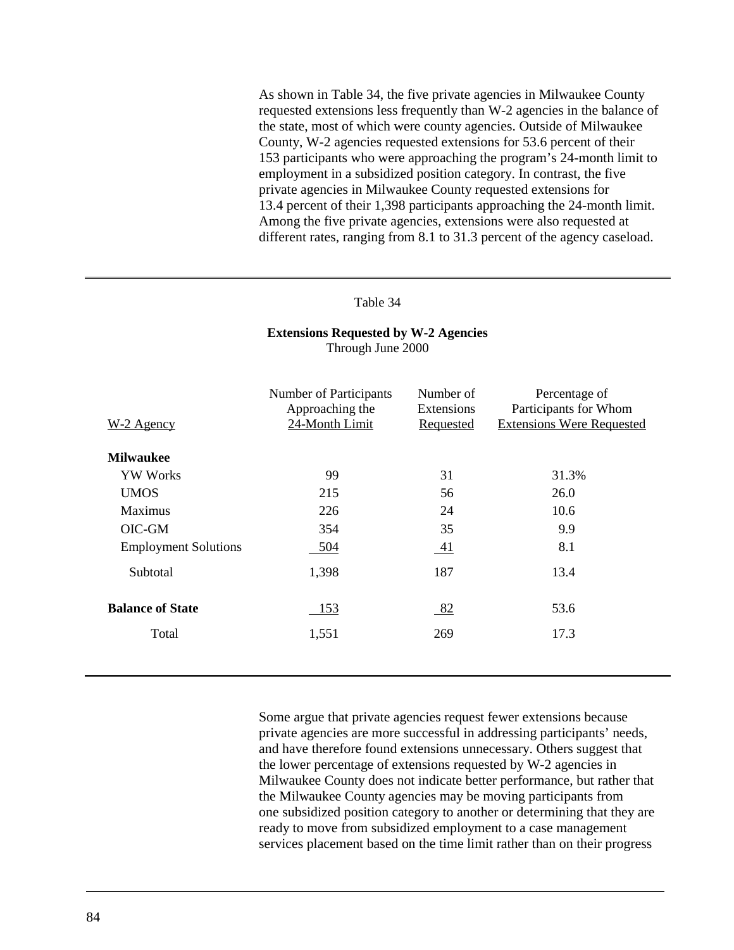As shown in Table 34, the five private agencies in Milwaukee County requested extensions less frequently than W-2 agencies in the balance of the state, most of which were county agencies. Outside of Milwaukee County, W-2 agencies requested extensions for 53.6 percent of their 153 participants who were approaching the program's 24-month limit to employment in a subsidized position category. In contrast, the five private agencies in Milwaukee County requested extensions for 13.4 percent of their 1,398 participants approaching the 24-month limit. Among the five private agencies, extensions were also requested at different rates, ranging from 8.1 to 31.3 percent of the agency caseload.

#### Table 34

## W-2 Agency Number of Participants Approaching the 24-Month Limit Number of Extensions Requested Percentage of Participants for Whom Extensions Were Requested **Milwaukee** YW Works 5 99 31 31.3% UMOS 215 56 26.0 Maximus 226 24 10.6 OIC-GM 354 35 9.9 Employment Solutions 504 504 41 8.1 Subtotal 1,398 187 13.4 **Balance of State** 153 153 82 53.6 Total 1,551 269 17.3

#### **Extensions Requested by W-2 Agencies** Through June 2000

Some argue that private agencies request fewer extensions because private agencies are more successful in addressing participants' needs, and have therefore found extensions unnecessary. Others suggest that the lower percentage of extensions requested by W-2 agencies in Milwaukee County does not indicate better performance, but rather that the Milwaukee County agencies may be moving participants from one subsidized position category to another or determining that they are ready to move from subsidized employment to a case management services placement based on the time limit rather than on their progress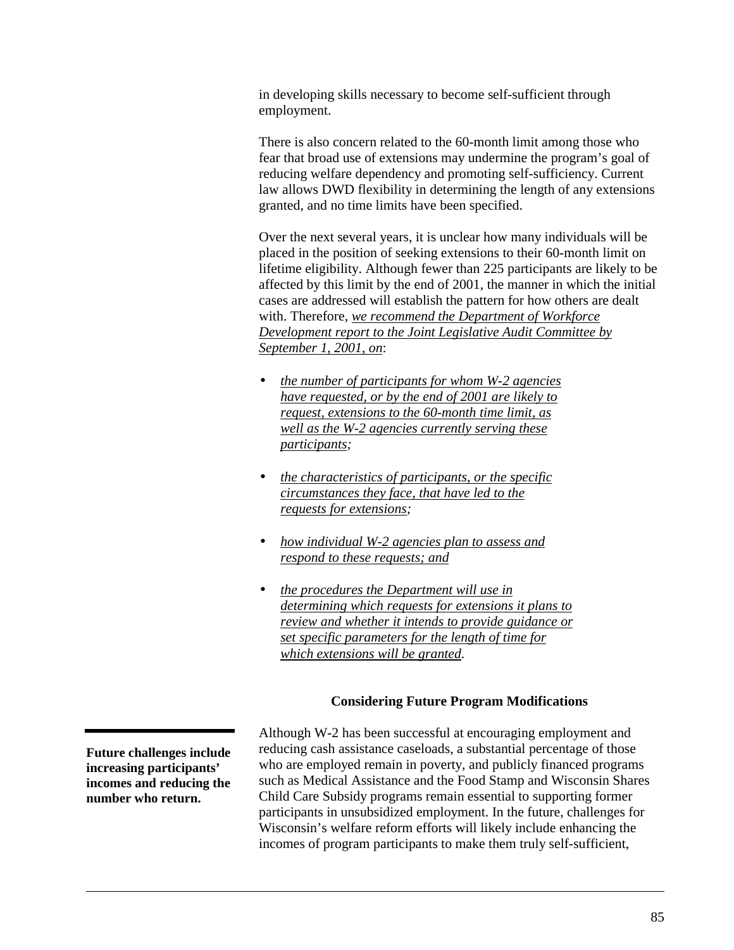in developing skills necessary to become self-sufficient through employment.

There is also concern related to the 60-month limit among those who fear that broad use of extensions may undermine the program's goal of reducing welfare dependency and promoting self-sufficiency. Current law allows DWD flexibility in determining the length of any extensions granted, and no time limits have been specified.

Over the next several years, it is unclear how many individuals will be placed in the position of seeking extensions to their 60-month limit on lifetime eligibility. Although fewer than 225 participants are likely to be affected by this limit by the end of 2001, the manner in which the initial cases are addressed will establish the pattern for how others are dealt with. Therefore, *we recommend the Department of Workforce Development report to the Joint Legislative Audit Committee by September 1, 2001, on*:

- *the number of participants for whom W-2 agencies have requested, or by the end of 2001 are likely to request, extensions to the 60-month time limit, as well as the W-2 agencies currently serving these participants;*
- *the characteristics of participants, or the specific circumstances they face, that have led to the requests for extensions;*
- *how individual W-2 agencies plan to assess and respond to these requests; and*
- *the procedures the Department will use in determining which requests for extensions it plans to review and whether it intends to provide guidance or set specific parameters for the length of time for which extensions will be granted*.

### **Considering Future Program Modifications**

Although W-2 has been successful at encouraging employment and reducing cash assistance caseloads, a substantial percentage of those who are employed remain in poverty, and publicly financed programs such as Medical Assistance and the Food Stamp and Wisconsin Shares Child Care Subsidy programs remain essential to supporting former participants in unsubsidized employment. In the future, challenges for Wisconsin's welfare reform efforts will likely include enhancing the incomes of program participants to make them truly self-sufficient,

**Future challenges include increasing participants' incomes and reducing the number who return.**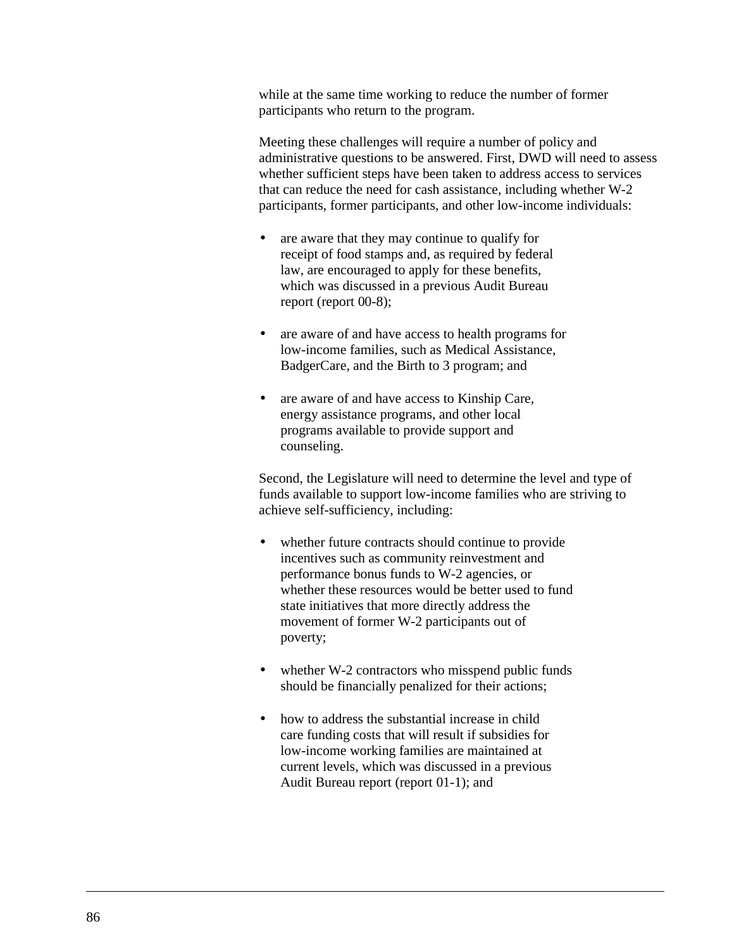while at the same time working to reduce the number of former participants who return to the program.

Meeting these challenges will require a number of policy and administrative questions to be answered. First, DWD will need to assess whether sufficient steps have been taken to address access to services that can reduce the need for cash assistance, including whether W-2 participants, former participants, and other low-income individuals:

- are aware that they may continue to qualify for receipt of food stamps and, as required by federal law, are encouraged to apply for these benefits, which was discussed in a previous Audit Bureau report (report 00-8);
- are aware of and have access to health programs for low-income families, such as Medical Assistance, BadgerCare, and the Birth to 3 program; and
- are aware of and have access to Kinship Care, energy assistance programs, and other local programs available to provide support and counseling.

Second, the Legislature will need to determine the level and type of funds available to support low-income families who are striving to achieve self-sufficiency, including:

- whether future contracts should continue to provide incentives such as community reinvestment and performance bonus funds to W-2 agencies, or whether these resources would be better used to fund state initiatives that more directly address the movement of former W-2 participants out of poverty;
- whether W-2 contractors who misspend public funds should be financially penalized for their actions;
- how to address the substantial increase in child care funding costs that will result if subsidies for low-income working families are maintained at current levels, which was discussed in a previous Audit Bureau report (report 01-1); and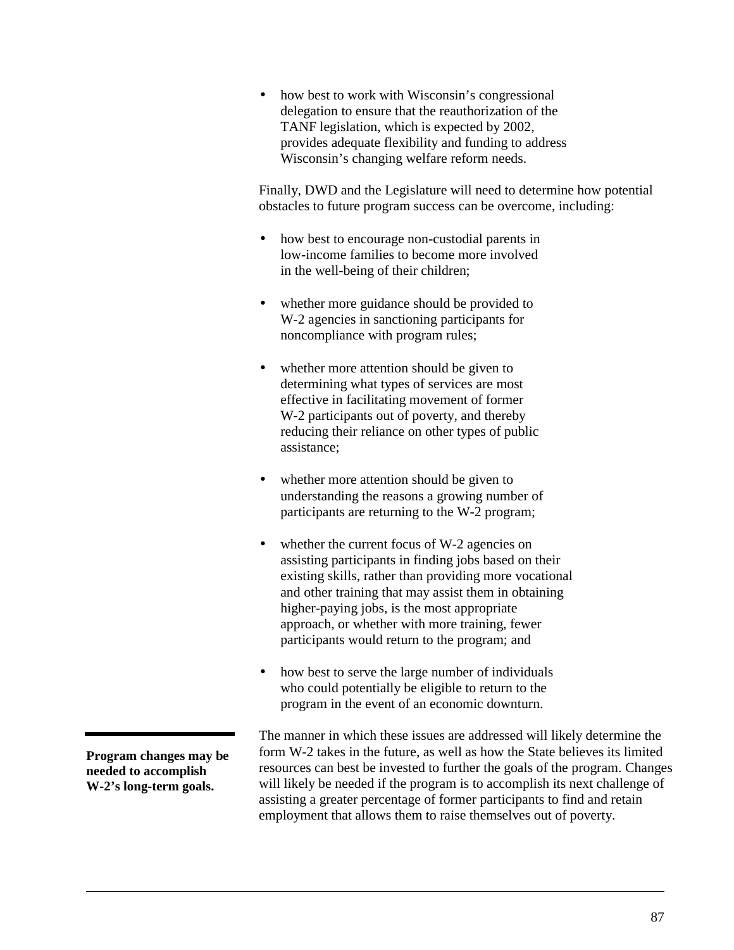• how best to work with Wisconsin's congressional delegation to ensure that the reauthorization of the TANF legislation, which is expected by 2002, provides adequate flexibility and funding to address Wisconsin's changing welfare reform needs.

Finally, DWD and the Legislature will need to determine how potential obstacles to future program success can be overcome, including:

- how best to encourage non-custodial parents in low-income families to become more involved in the well-being of their children;
- whether more guidance should be provided to W-2 agencies in sanctioning participants for noncompliance with program rules;
- whether more attention should be given to determining what types of services are most effective in facilitating movement of former W-2 participants out of poverty, and thereby reducing their reliance on other types of public assistance;
- whether more attention should be given to understanding the reasons a growing number of participants are returning to the W-2 program;
- whether the current focus of W-2 agencies on assisting participants in finding jobs based on their existing skills, rather than providing more vocational and other training that may assist them in obtaining higher-paying jobs, is the most appropriate approach, or whether with more training, fewer participants would return to the program; and
- how best to serve the large number of individuals who could potentially be eligible to return to the program in the event of an economic downturn.

**Program changes may be needed to accomplish W-2's long-term goals.**

The manner in which these issues are addressed will likely determine the form W-2 takes in the future, as well as how the State believes its limited resources can best be invested to further the goals of the program. Changes will likely be needed if the program is to accomplish its next challenge of assisting a greater percentage of former participants to find and retain employment that allows them to raise themselves out of poverty.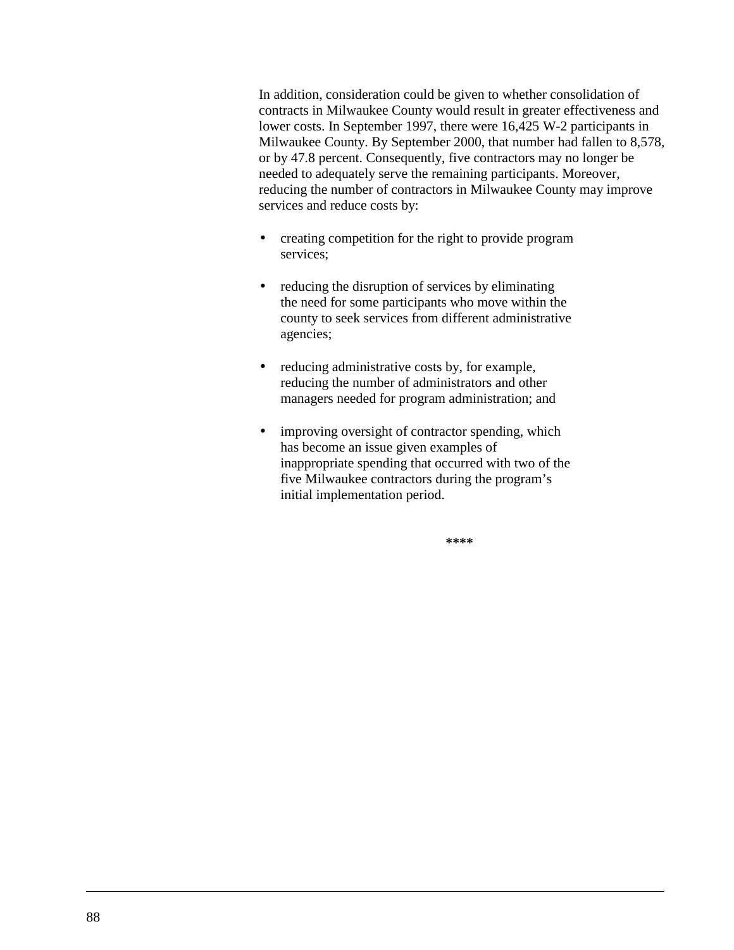In addition, consideration could be given to whether consolidation of contracts in Milwaukee County would result in greater effectiveness and lower costs. In September 1997, there were 16,425 W-2 participants in Milwaukee County. By September 2000, that number had fallen to 8,578, or by 47.8 percent. Consequently, five contractors may no longer be needed to adequately serve the remaining participants. Moreover, reducing the number of contractors in Milwaukee County may improve services and reduce costs by:

- creating competition for the right to provide program services;
- reducing the disruption of services by eliminating the need for some participants who move within the county to seek services from different administrative agencies;
- reducing administrative costs by, for example, reducing the number of administrators and other managers needed for program administration; and
- improving oversight of contractor spending, which has become an issue given examples of inappropriate spending that occurred with two of the five Milwaukee contractors during the program's initial implementation period.

**\*\*\*\***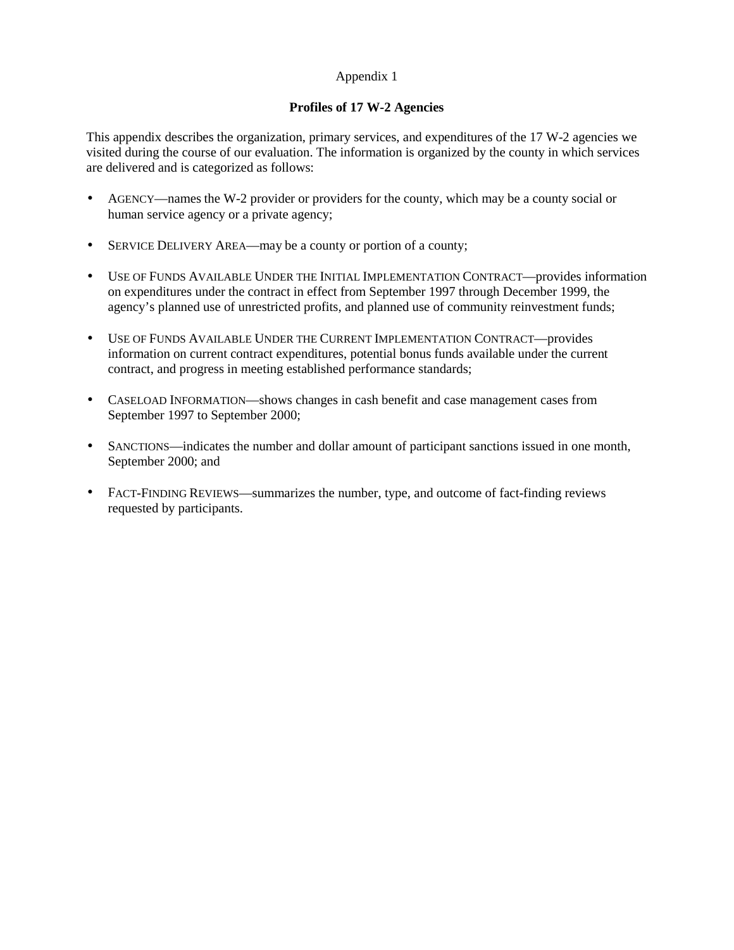### Appendix 1

### **Profiles of 17 W-2 Agencies**

This appendix describes the organization, primary services, and expenditures of the 17 W-2 agencies we visited during the course of our evaluation. The information is organized by the county in which services are delivered and is categorized as follows:

- AGENCY—names the W-2 provider or providers for the county, which may be a county social or human service agency or a private agency;
- SERVICE DELIVERY AREA—may be a county or portion of a county;
- USE OF FUNDS AVAILABLE UNDER THE INITIAL IMPLEMENTATION CONTRACT—provides information on expenditures under the contract in effect from September 1997 through December 1999, the agency's planned use of unrestricted profits, and planned use of community reinvestment funds;
- USE OF FUNDS AVAILABLE UNDER THE CURRENT IMPLEMENTATION CONTRACT—provides information on current contract expenditures, potential bonus funds available under the current contract, and progress in meeting established performance standards;
- CASELOAD INFORMATION—shows changes in cash benefit and case management cases from September 1997 to September 2000;
- SANCTIONS—indicates the number and dollar amount of participant sanctions issued in one month, September 2000; and
- FACT-FINDING REVIEWS—summarizes the number, type, and outcome of fact-finding reviews requested by participants.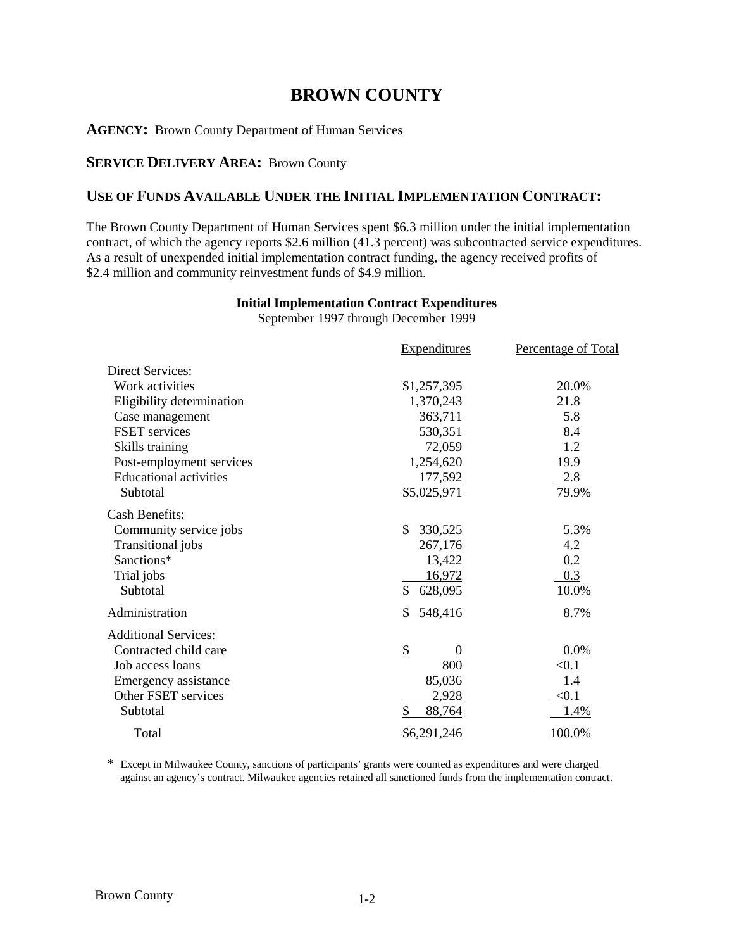# **BROWN COUNTY**

**AGENCY:** Brown County Department of Human Services

# **SERVICE DELIVERY AREA: Brown County**

# **USE OF FUNDS AVAILABLE UNDER THE INITIAL IMPLEMENTATION CONTRACT:**

The Brown County Department of Human Services spent \$6.3 million under the initial implementation contract, of which the agency reports \$2.6 million (41.3 percent) was subcontracted service expenditures. As a result of unexpended initial implementation contract funding, the agency received profits of \$2.4 million and community reinvestment funds of \$4.9 million.

| <b>Expenditures</b> | Percentage of Total      |
|---------------------|--------------------------|
|                     |                          |
|                     | 20.0%                    |
|                     | 21.8                     |
| 363,711             | 5.8                      |
| 530,351             | 8.4                      |
| 72,059              | 1.2                      |
| 1,254,620           | 19.9                     |
| 177,592             | 2.8                      |
| \$5,025,971         | 79.9%                    |
|                     |                          |
| \$.<br>330,525      | 5.3%                     |
| 267,176             | 4.2                      |
| 13,422              | 0.2                      |
| 16,972              | 0.3                      |
| \$<br>628,095       | 10.0%                    |
| S<br>548,416        | 8.7%                     |
|                     |                          |
| \$<br>$\theta$      | 0.0%                     |
| 800                 | < 0.1                    |
| 85,036              | 1.4                      |
| 2,928               | $\leq 0.1$               |
| \$<br>88,764        | 1.4%                     |
| \$6,291,246         | 100.0%                   |
|                     | \$1,257,395<br>1,370,243 |

# **Initial Implementation Contract Expenditures**

September 1997 through December 1999

\* Except in Milwaukee County, sanctions of participants' grants were counted as expenditures and were charged against an agency's contract. Milwaukee agencies retained all sanctioned funds from the implementation contract.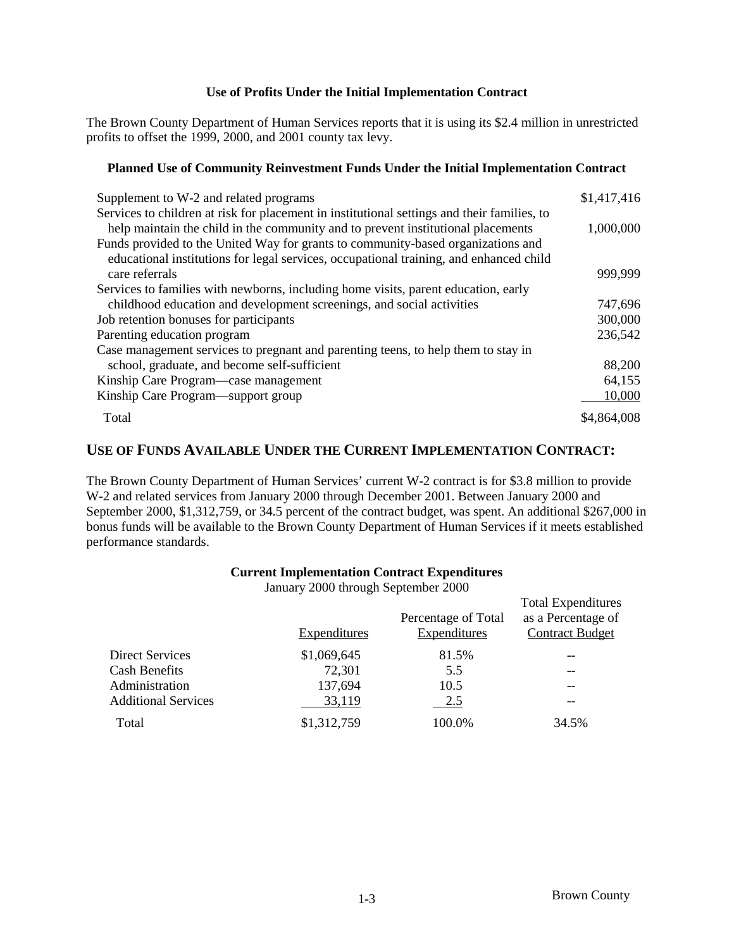### **Use of Profits Under the Initial Implementation Contract**

The Brown County Department of Human Services reports that it is using its \$2.4 million in unrestricted profits to offset the 1999, 2000, and 2001 county tax levy.

### **Planned Use of Community Reinvestment Funds Under the Initial Implementation Contract**

| Supplement to W-2 and related programs                                                      | \$1,417,416 |
|---------------------------------------------------------------------------------------------|-------------|
| Services to children at risk for placement in institutional settings and their families, to |             |
| help maintain the child in the community and to prevent institutional placements            | 1,000,000   |
| Funds provided to the United Way for grants to community-based organizations and            |             |
| educational institutions for legal services, occupational training, and enhanced child      |             |
| care referrals                                                                              | 999,999     |
| Services to families with newborns, including home visits, parent education, early          |             |
| childhood education and development screenings, and social activities                       | 747,696     |
| Job retention bonuses for participants                                                      | 300,000     |
| Parenting education program                                                                 | 236,542     |
| Case management services to pregnant and parenting teens, to help them to stay in           |             |
| school, graduate, and become self-sufficient                                                | 88,200      |
| Kinship Care Program—case management                                                        | 64,155      |
| Kinship Care Program—support group                                                          | 10,000      |
| Total                                                                                       | \$4,864,008 |

# **USE OF FUNDS AVAILABLE UNDER THE CURRENT IMPLEMENTATION CONTRACT:**

The Brown County Department of Human Services' current W-2 contract is for \$3.8 million to provide W-2 and related services from January 2000 through December 2001. Between January 2000 and September 2000, \$1,312,759, or 34.5 percent of the contract budget, was spent. An additional \$267,000 in bonus funds will be available to the Brown County Department of Human Services if it meets established performance standards.

### **Current Implementation Contract Expenditures**

January 2000 through September 2000

|                            | <b>Expenditures</b> | Percentage of Total<br><b>Expenditures</b> | <b>Total Expenditures</b><br>as a Percentage of<br><b>Contract Budget</b> |
|----------------------------|---------------------|--------------------------------------------|---------------------------------------------------------------------------|
| Direct Services            | \$1,069,645         | 81.5%                                      |                                                                           |
| <b>Cash Benefits</b>       | 72,301              | 5.5                                        |                                                                           |
| Administration             | 137,694             | 10.5                                       | --                                                                        |
| <b>Additional Services</b> | 33,119              | 2.5                                        | --                                                                        |
| Total                      | \$1,312,759         | 100.0%                                     | 34.5%                                                                     |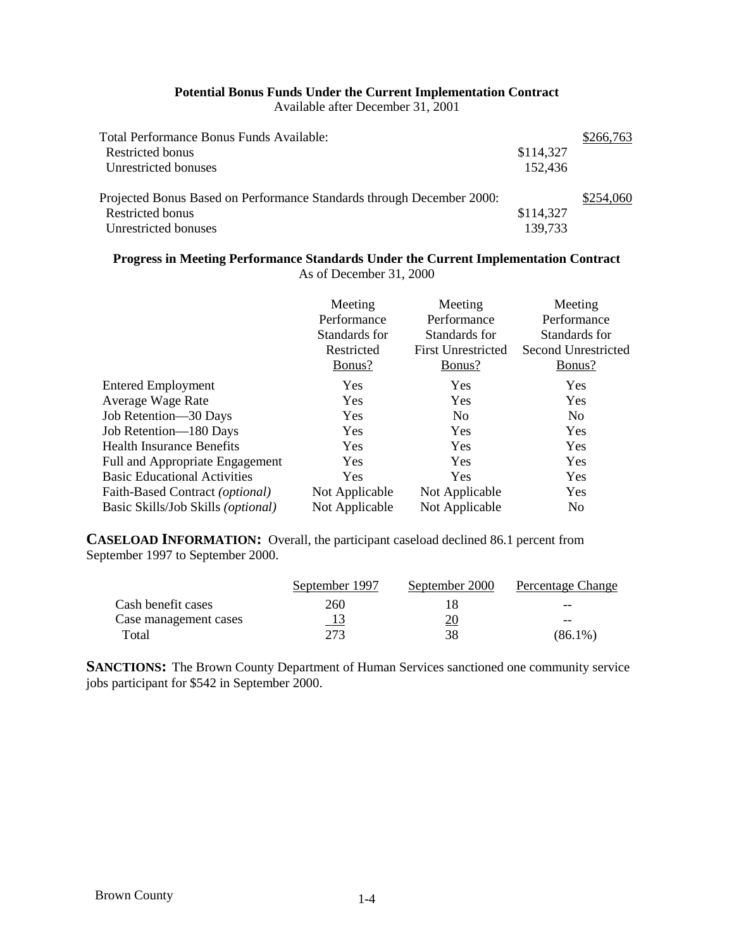# **Potential Bonus Funds Under the Current Implementation Contract**

Available after December 31, 2001

| Total Performance Bonus Funds Available:                              |           | \$266,763 |
|-----------------------------------------------------------------------|-----------|-----------|
| Restricted bonus                                                      | \$114,327 |           |
| Unrestricted bonuses                                                  | 152,436   |           |
| Projected Bonus Based on Performance Standards through December 2000: |           | \$254,060 |
| Restricted bonus                                                      | \$114,327 |           |
| Unrestricted bonuses                                                  | 139,733   |           |

# **Progress in Meeting Performance Standards Under the Current Implementation Contract** As of December 31, 2000

|                                     | Meeting<br>Performance<br>Standards for<br>Restricted<br>Bonus? | Meeting<br>Performance<br>Standards for<br><b>First Unrestricted</b><br>Bonus? | Meeting<br>Performance<br>Standards for<br>Second Unrestricted<br>Bonus? |
|-------------------------------------|-----------------------------------------------------------------|--------------------------------------------------------------------------------|--------------------------------------------------------------------------|
| <b>Entered Employment</b>           | Yes                                                             | <b>Yes</b>                                                                     | Yes                                                                      |
| Average Wage Rate                   | <b>Yes</b>                                                      | Yes                                                                            | Yes                                                                      |
| Job Retention—30 Days               | <b>Yes</b>                                                      | N <sub>o</sub>                                                                 | N <sub>0</sub>                                                           |
| Job Retention-180 Days              | Yes                                                             | Yes                                                                            | Yes                                                                      |
| <b>Health Insurance Benefits</b>    | <b>Yes</b>                                                      | <b>Yes</b>                                                                     | Yes                                                                      |
| Full and Appropriate Engagement     | Yes                                                             | <b>Yes</b>                                                                     | Yes                                                                      |
| <b>Basic Educational Activities</b> | <b>Yes</b>                                                      | <b>Yes</b>                                                                     | Yes                                                                      |
| Faith-Based Contract (optional)     | Not Applicable                                                  | Not Applicable                                                                 | Yes                                                                      |
| Basic Skills/Job Skills (optional)  | Not Applicable                                                  | Not Applicable                                                                 | N <sub>0</sub>                                                           |

**CASELOAD INFORMATION:** Overall, the participant caseload declined 86.1 percent from September 1997 to September 2000.

|                       | September 1997 | September 2000 | Percentage Change |
|-----------------------|----------------|----------------|-------------------|
| Cash benefit cases    | 260            |                | $- -$             |
| Case management cases |                | <u> 20</u>     | --                |
| Total                 | 273            | 38             | (86.1%)           |

**SANCTIONS:** The Brown County Department of Human Services sanctioned one community service jobs participant for \$542 in September 2000.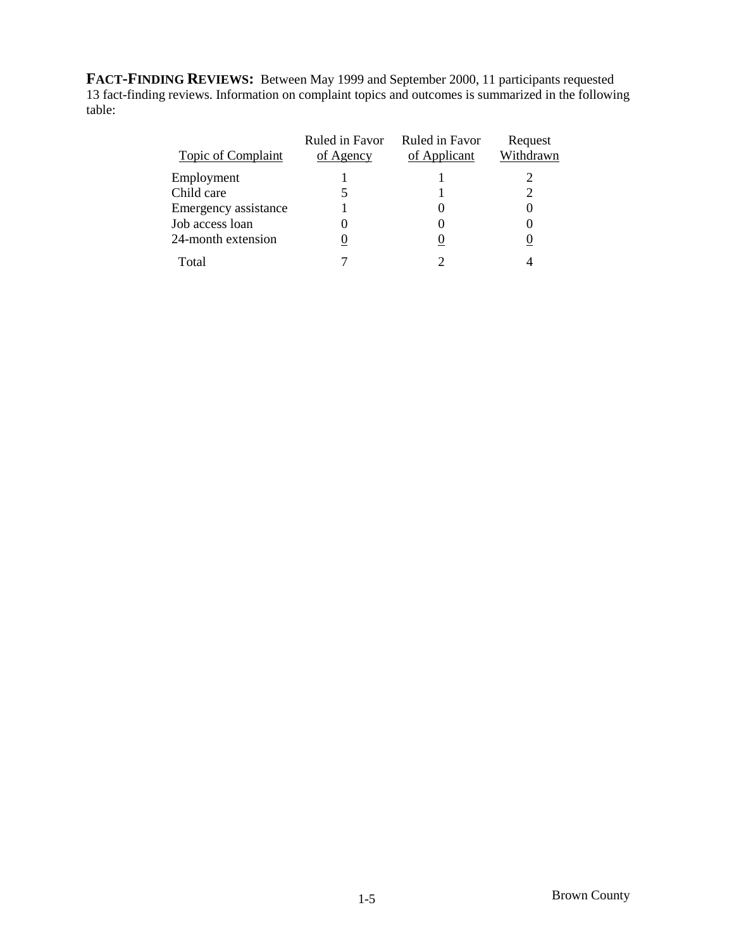**FACT-FINDING REVIEWS:** Between May 1999 and September 2000, 11 participants requested 13 fact-finding reviews. Information on complaint topics and outcomes is summarized in the following table:

| <b>Topic of Complaint</b> | Ruled in Favor<br>of Agency | Ruled in Favor<br>of Applicant | Request<br>Withdrawn |
|---------------------------|-----------------------------|--------------------------------|----------------------|
| Employment                |                             |                                |                      |
| Child care                |                             |                                |                      |
| Emergency assistance      |                             |                                |                      |
| Job access loan           | 0                           |                                |                      |
| 24-month extension        | O                           |                                |                      |
| Total                     |                             |                                |                      |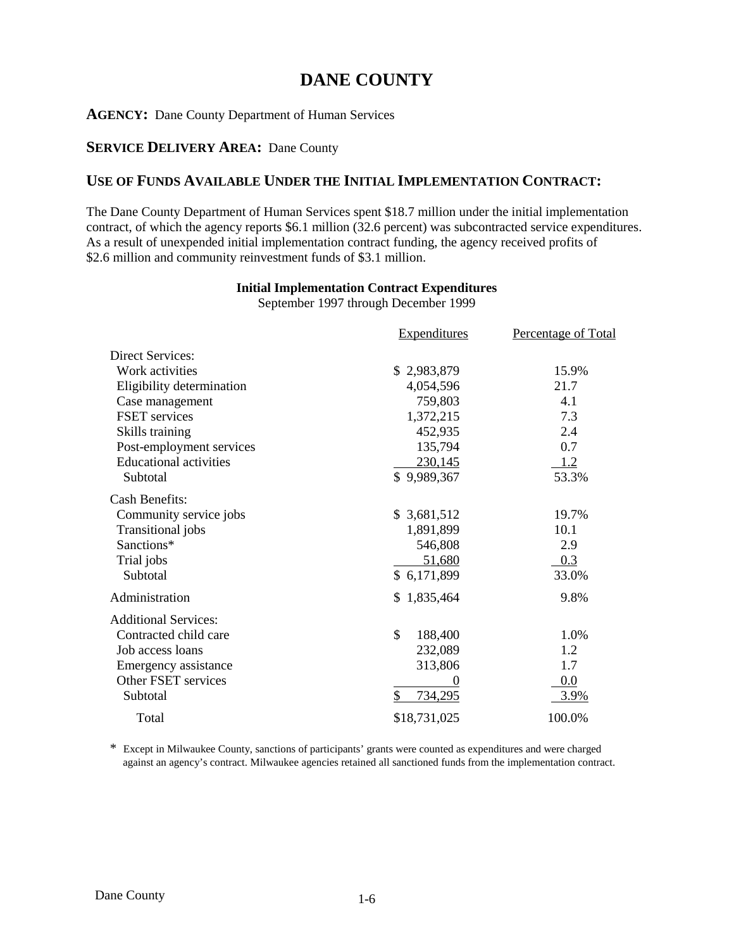# **DANE COUNTY**

## **AGENCY:** Dane County Department of Human Services

### **SERVICE DELIVERY AREA:** Dane County

# **USE OF FUNDS AVAILABLE UNDER THE INITIAL IMPLEMENTATION CONTRACT:**

The Dane County Department of Human Services spent \$18.7 million under the initial implementation contract, of which the agency reports \$6.1 million (32.6 percent) was subcontracted service expenditures. As a result of unexpended initial implementation contract funding, the agency received profits of \$2.6 million and community reinvestment funds of \$3.1 million.

## **Initial Implementation Contract Expenditures**

September 1997 through December 1999

|                               | <b>Expenditures</b> | Percentage of Total |
|-------------------------------|---------------------|---------------------|
| <b>Direct Services:</b>       |                     |                     |
| Work activities               | \$2,983,879         | 15.9%               |
| Eligibility determination     | 4,054,596           | 21.7                |
| Case management               | 759,803             | 4.1                 |
| FSET services                 | 1,372,215           | 7.3                 |
| Skills training               | 452,935             | 2.4                 |
| Post-employment services      | 135,794             | 0.7                 |
| <b>Educational activities</b> | 230,145             | 1.2                 |
| Subtotal                      | \$9,989,367         | 53.3%               |
| <b>Cash Benefits:</b>         |                     |                     |
| Community service jobs        | \$ 3,681,512        | 19.7%               |
| <b>Transitional</b> jobs      | 1,891,899           | 10.1                |
| Sanctions*                    | 546,808             | 2.9                 |
| Trial jobs                    | 51,680              | 0.3                 |
| Subtotal                      | \$6,171,899         | 33.0%               |
| Administration                | \$1,835,464         | 9.8%                |
| <b>Additional Services:</b>   |                     |                     |
| Contracted child care         | \$<br>188,400       | 1.0%                |
| Job access loans              | 232,089             | 1.2                 |
| Emergency assistance          | 313,806             | 1.7                 |
| Other FSET services           |                     | 0.0                 |
| Subtotal                      | \$<br>734,295       | 3.9%                |
| Total                         | \$18,731,025        | 100.0%              |

\* Except in Milwaukee County, sanctions of participants' grants were counted as expenditures and were charged against an agency's contract. Milwaukee agencies retained all sanctioned funds from the implementation contract.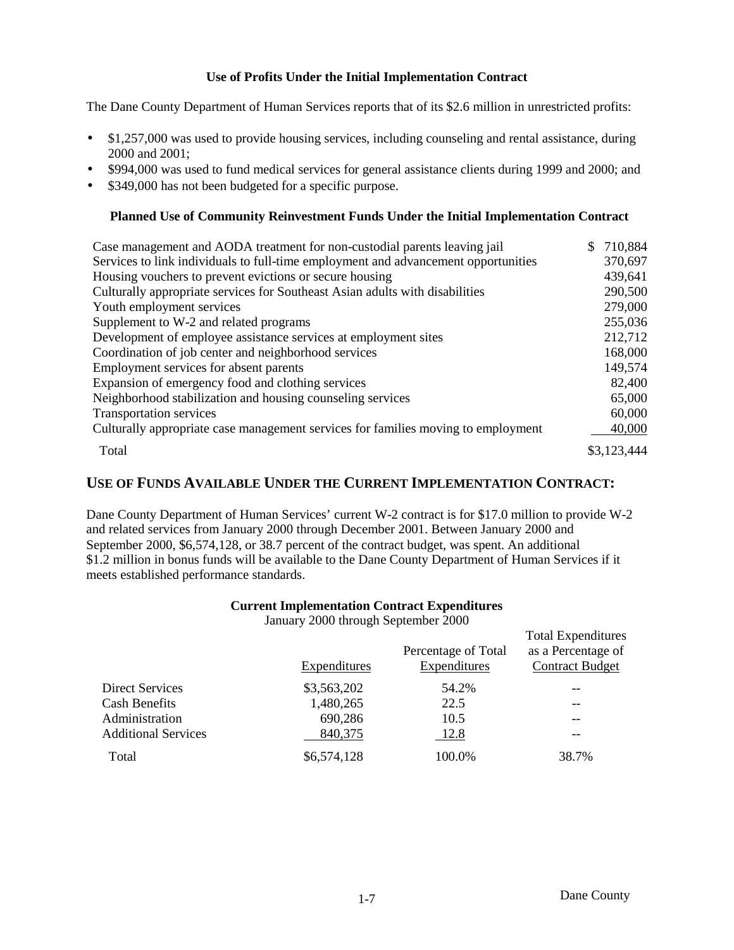# **Use of Profits Under the Initial Implementation Contract**

The Dane County Department of Human Services reports that of its \$2.6 million in unrestricted profits:

- \$1,257,000 was used to provide housing services, including counseling and rental assistance, during 2000 and 2001;
- \$994,000 was used to fund medical services for general assistance clients during 1999 and 2000; and
- \$349,000 has not been budgeted for a specific purpose.

### **Planned Use of Community Reinvestment Funds Under the Initial Implementation Contract**

| Case management and AODA treatment for non-custodial parents leaving jail          | 710,884     |
|------------------------------------------------------------------------------------|-------------|
| Services to link individuals to full-time employment and advancement opportunities | 370,697     |
|                                                                                    |             |
| Housing vouchers to prevent evictions or secure housing                            | 439,641     |
| Culturally appropriate services for Southeast Asian adults with disabilities       | 290,500     |
| Youth employment services                                                          | 279,000     |
| Supplement to W-2 and related programs                                             | 255,036     |
| Development of employee assistance services at employment sites                    | 212,712     |
| Coordination of job center and neighborhood services                               | 168,000     |
| Employment services for absent parents                                             | 149,574     |
| Expansion of emergency food and clothing services                                  | 82,400      |
| Neighborhood stabilization and housing counseling services                         | 65,000      |
| <b>Transportation services</b>                                                     | 60,000      |
| Culturally appropriate case management services for families moving to employment  | 40,000      |
| Total                                                                              | \$3,123,444 |

# **USE OF FUNDS AVAILABLE UNDER THE CURRENT IMPLEMENTATION CONTRACT:**

Dane County Department of Human Services' current W-2 contract is for \$17.0 million to provide W-2 and related services from January 2000 through December 2001. Between January 2000 and September 2000, \$6,574,128, or 38.7 percent of the contract budget, was spent. An additional \$1.2 million in bonus funds will be available to the Dane County Department of Human Services if it meets established performance standards.

### **Current Implementation Contract Expenditures**

January 2000 through September 2000

|                            |                     |                     | <b>Total Expenditures</b> |
|----------------------------|---------------------|---------------------|---------------------------|
|                            |                     | Percentage of Total | as a Percentage of        |
|                            | <b>Expenditures</b> | <b>Expenditures</b> | <b>Contract Budget</b>    |
| <b>Direct Services</b>     | \$3,563,202         | 54.2%               |                           |
| <b>Cash Benefits</b>       | 1,480,265           | 22.5                |                           |
| Administration             | 690,286             | 10.5                | $- -$                     |
| <b>Additional Services</b> | 840,375             | 12.8                | --                        |
| Total                      | \$6,574,128         | 100.0%              | 38.7%                     |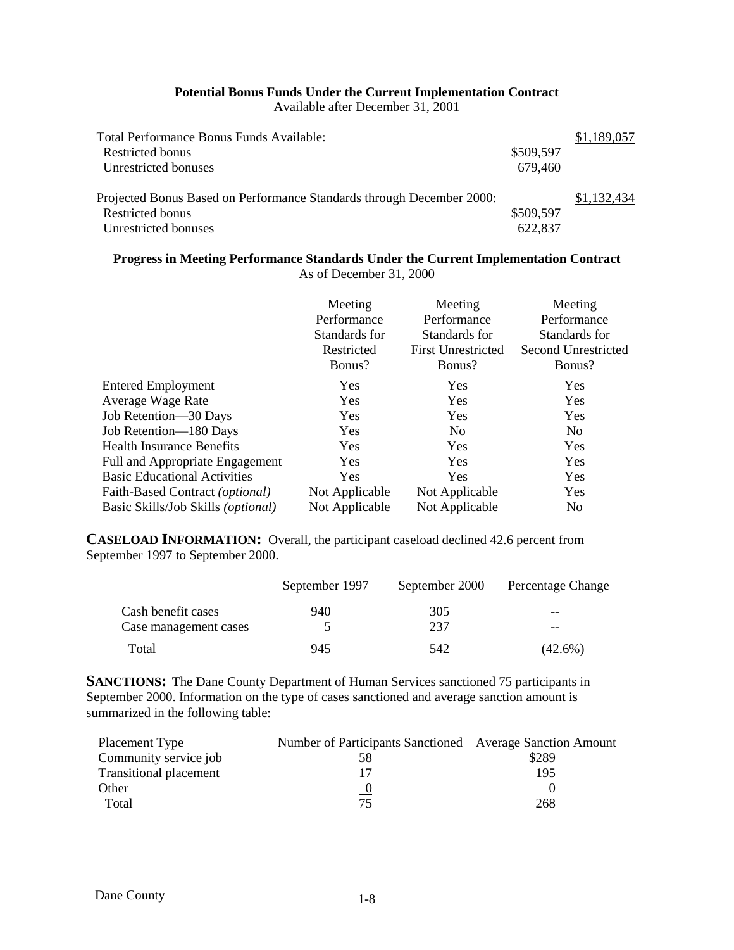### **Potential Bonus Funds Under the Current Implementation Contract**

Available after December 31, 2001

| Total Performance Bonus Funds Available:                                                                          |                      | \$1,189,057 |
|-------------------------------------------------------------------------------------------------------------------|----------------------|-------------|
| Restricted bonus                                                                                                  | \$509,597            |             |
| Unrestricted bonuses                                                                                              | 679,460              |             |
| Projected Bonus Based on Performance Standards through December 2000:<br>Restricted bonus<br>Unrestricted bonuses | \$509,597<br>622,837 | \$1,132,434 |

# **Progress in Meeting Performance Standards Under the Current Implementation Contract** As of December 31, 2000

|                                     | Meeting<br>Performance<br>Standards for<br>Restricted<br>Bonus? | Meeting<br>Performance<br>Standards for<br><b>First Unrestricted</b><br>Bonus? | Meeting<br>Performance<br>Standards for<br>Second Unrestricted<br>Bonus? |
|-------------------------------------|-----------------------------------------------------------------|--------------------------------------------------------------------------------|--------------------------------------------------------------------------|
| <b>Entered Employment</b>           | <b>Yes</b>                                                      | Yes                                                                            | Yes                                                                      |
| Average Wage Rate                   | Yes                                                             | <b>Yes</b>                                                                     | Yes                                                                      |
| Job Retention-30 Days               | Yes                                                             | Yes                                                                            | Yes                                                                      |
| Job Retention-180 Days              | Yes                                                             | N <sub>0</sub>                                                                 | N <sub>0</sub>                                                           |
| <b>Health Insurance Benefits</b>    | <b>Yes</b>                                                      | Yes                                                                            | Yes                                                                      |
| Full and Appropriate Engagement     | Yes                                                             | Yes                                                                            | Yes                                                                      |
| <b>Basic Educational Activities</b> | <b>Yes</b>                                                      | <b>Yes</b>                                                                     | Yes                                                                      |
| Faith-Based Contract (optional)     | Not Applicable                                                  | Not Applicable                                                                 | Yes                                                                      |
| Basic Skills/Job Skills (optional)  | Not Applicable                                                  | Not Applicable                                                                 | N <sub>0</sub>                                                           |

**CASELOAD INFORMATION:** Overall, the participant caseload declined 42.6 percent from September 1997 to September 2000.

|                       | September 1997 | September 2000 | Percentage Change |
|-----------------------|----------------|----------------|-------------------|
| Cash benefit cases    | 940            | 305            | $- -$             |
| Case management cases |                | 237            | $- -$             |
| Total                 | 945            | 542            | (42.6%)           |

**SANCTIONS:** The Dane County Department of Human Services sanctioned 75 participants in September 2000. Information on the type of cases sanctioned and average sanction amount is summarized in the following table:

| Placement Type                | Number of Participants Sanctioned Average Sanction Amount |       |
|-------------------------------|-----------------------------------------------------------|-------|
| Community service job         | 58                                                        | \$289 |
| <b>Transitional placement</b> |                                                           | 195   |
| Other                         |                                                           |       |
| Total                         | 75                                                        | 268   |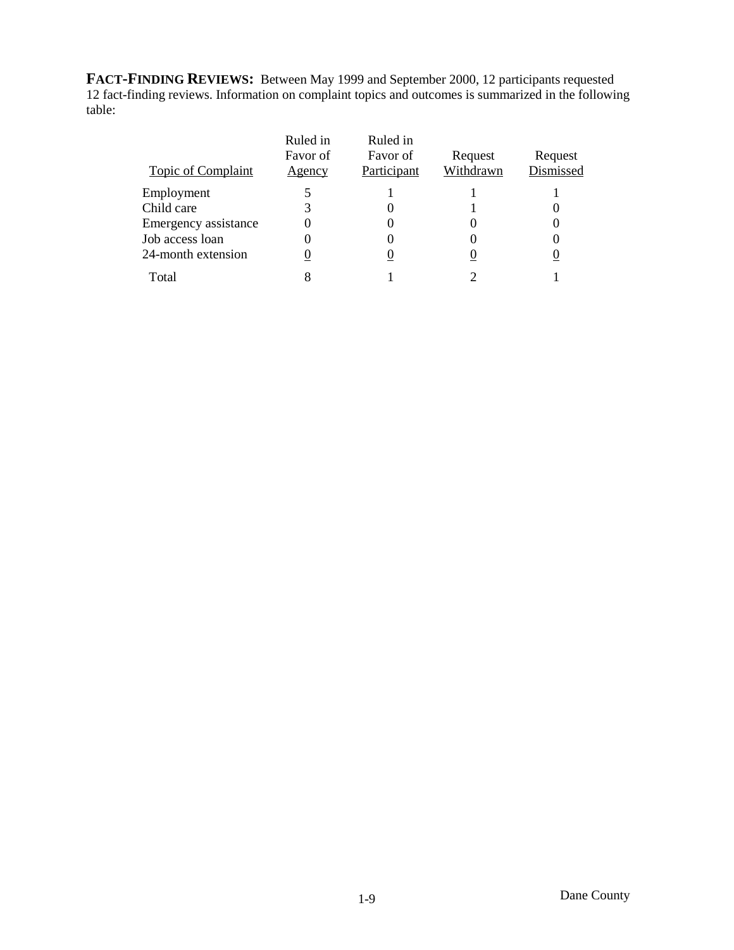**FACT-FINDING REVIEWS:** Between May 1999 and September 2000, 12 participants requested 12 fact-finding reviews. Information on complaint topics and outcomes is summarized in the following table:

| Topic of Complaint   | Ruled in<br>Favor of<br>Agency | Ruled in<br>Favor of<br>Participant | Request<br>Withdrawn | Request<br>Dismissed |
|----------------------|--------------------------------|-------------------------------------|----------------------|----------------------|
| Employment           |                                |                                     |                      |                      |
| Child care           |                                |                                     |                      |                      |
| Emergency assistance |                                |                                     |                      |                      |
| Job access loan      |                                |                                     |                      |                      |
| 24-month extension   |                                |                                     |                      |                      |
| Total                |                                |                                     |                      |                      |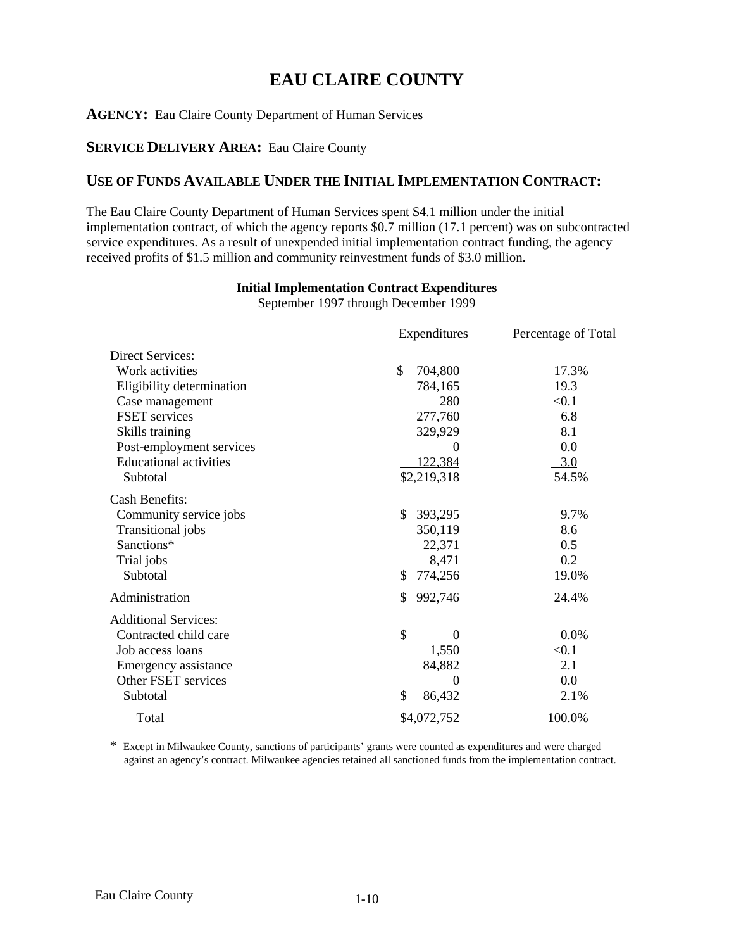# **EAU CLAIRE COUNTY**

### **AGENCY:** Eau Claire County Department of Human Services

### **SERVICE DELIVERY AREA:** Eau Claire County

# **USE OF FUNDS AVAILABLE UNDER THE INITIAL IMPLEMENTATION CONTRACT:**

The Eau Claire County Department of Human Services spent \$4.1 million under the initial implementation contract, of which the agency reports \$0.7 million (17.1 percent) was on subcontracted service expenditures. As a result of unexpended initial implementation contract funding, the agency received profits of \$1.5 million and community reinvestment funds of \$3.0 million.

## **Initial Implementation Contract Expenditures**

September 1997 through December 1999

|                               | <b>Expenditures</b>  | <b>Percentage of Total</b> |
|-------------------------------|----------------------|----------------------------|
| Direct Services:              |                      |                            |
| Work activities               | \$<br>704,800        | 17.3%                      |
| Eligibility determination     | 784,165              | 19.3                       |
| Case management               | 280                  | < 0.1                      |
| FSET services                 | 277,760              | 6.8                        |
| Skills training               | 329,929              | 8.1                        |
| Post-employment services      | 0                    | 0.0                        |
| <b>Educational activities</b> | 122,384              | 3.0                        |
| Subtotal                      | \$2,219,318          | 54.5%                      |
| <b>Cash Benefits:</b>         |                      |                            |
| Community service jobs        | \$<br>393,295        | 9.7%                       |
| Transitional jobs             | 350,119              | 8.6                        |
| Sanctions*                    | 22,371               | 0.5                        |
| Trial jobs                    | 8,471                | 0.2                        |
| Subtotal                      | \$<br>774,256        | 19.0%                      |
| Administration                | \$<br>992,746        | 24.4%                      |
| <b>Additional Services:</b>   |                      |                            |
| Contracted child care         | \$<br>$\overline{0}$ | 0.0%                       |
| Job access loans              | 1,550                | < 0.1                      |
| Emergency assistance          | 84,882               | 2.1                        |
| Other FSET services           | $\theta$             | 0.0                        |
| Subtotal                      | \$<br>86,432         | 2.1%                       |
| Total                         | \$4,072,752          | 100.0%                     |

\* Except in Milwaukee County, sanctions of participants' grants were counted as expenditures and were charged against an agency's contract. Milwaukee agencies retained all sanctioned funds from the implementation contract.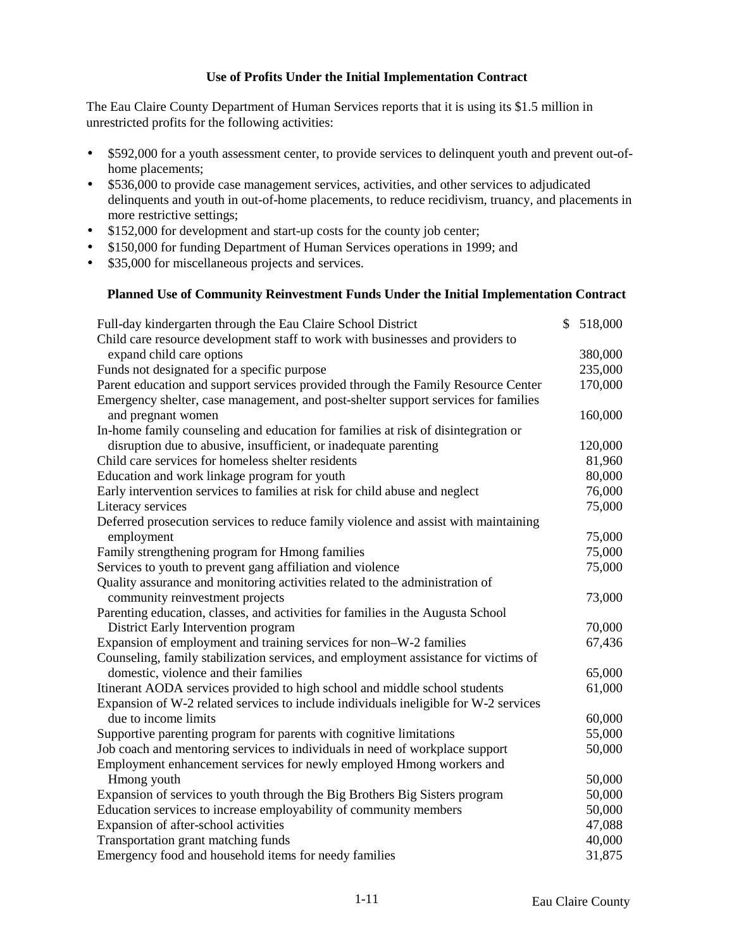## **Use of Profits Under the Initial Implementation Contract**

The Eau Claire County Department of Human Services reports that it is using its \$1.5 million in unrestricted profits for the following activities:

- \$592,000 for a youth assessment center, to provide services to delinquent youth and prevent out-ofhome placements;
- \$536,000 to provide case management services, activities, and other services to adjudicated delinquents and youth in out-of-home placements, to reduce recidivism, truancy, and placements in more restrictive settings;
- \$152,000 for development and start-up costs for the county job center;
- \$150,000 for funding Department of Human Services operations in 1999; and
- \$35,000 for miscellaneous projects and services.

#### **Planned Use of Community Reinvestment Funds Under the Initial Implementation Contract**

| Full-day kindergarten through the Eau Claire School District                         | \$<br>518,000 |
|--------------------------------------------------------------------------------------|---------------|
| Child care resource development staff to work with businesses and providers to       |               |
| expand child care options                                                            | 380,000       |
| Funds not designated for a specific purpose                                          | 235,000       |
| Parent education and support services provided through the Family Resource Center    | 170,000       |
| Emergency shelter, case management, and post-shelter support services for families   |               |
| and pregnant women                                                                   | 160,000       |
| In-home family counseling and education for families at risk of disintegration or    |               |
| disruption due to abusive, insufficient, or inadequate parenting                     | 120,000       |
| Child care services for homeless shelter residents                                   | 81,960        |
| Education and work linkage program for youth                                         | 80,000        |
| Early intervention services to families at risk for child abuse and neglect          | 76,000        |
| Literacy services                                                                    | 75,000        |
| Deferred prosecution services to reduce family violence and assist with maintaining  |               |
| employment                                                                           | 75,000        |
| Family strengthening program for Hmong families                                      | 75,000        |
| Services to youth to prevent gang affiliation and violence                           | 75,000        |
| Quality assurance and monitoring activities related to the administration of         |               |
| community reinvestment projects                                                      | 73,000        |
| Parenting education, classes, and activities for families in the Augusta School      |               |
| District Early Intervention program                                                  | 70,000        |
| Expansion of employment and training services for non-W-2 families                   | 67,436        |
| Counseling, family stabilization services, and employment assistance for victims of  |               |
| domestic, violence and their families                                                | 65,000        |
| Itinerant AODA services provided to high school and middle school students           | 61,000        |
| Expansion of W-2 related services to include individuals ineligible for W-2 services |               |
| due to income limits                                                                 | 60,000        |
| Supportive parenting program for parents with cognitive limitations                  | 55,000        |
| Job coach and mentoring services to individuals in need of workplace support         | 50,000        |
| Employment enhancement services for newly employed Hmong workers and                 |               |
| Hmong youth                                                                          | 50,000        |
| Expansion of services to youth through the Big Brothers Big Sisters program          | 50,000        |
| Education services to increase employability of community members                    | 50,000        |
| Expansion of after-school activities                                                 | 47,088        |
| Transportation grant matching funds                                                  | 40,000        |
| Emergency food and household items for needy families                                | 31,875        |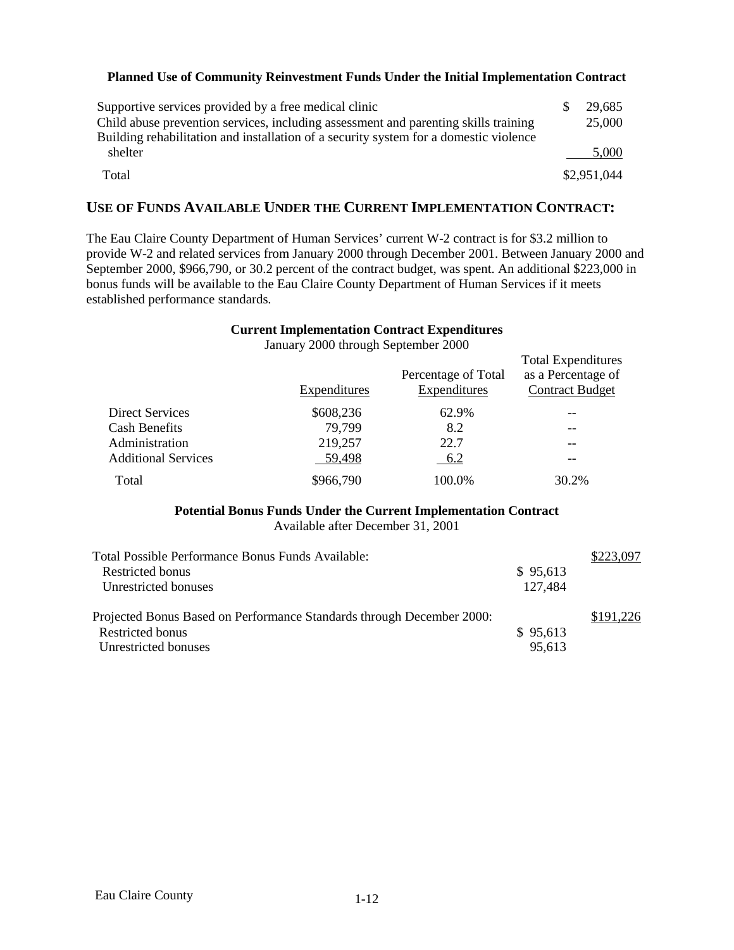### **Planned Use of Community Reinvestment Funds Under the Initial Implementation Contract**

| Supportive services provided by a free medical clinic                                 | 29,685      |
|---------------------------------------------------------------------------------------|-------------|
| Child abuse prevention services, including assessment and parenting skills training   | 25,000      |
| Building rehabilitation and installation of a security system for a domestic violence |             |
| shelter                                                                               | 5,000       |
| Total                                                                                 | \$2,951,044 |

# **USE OF FUNDS AVAILABLE UNDER THE CURRENT IMPLEMENTATION CONTRACT:**

The Eau Claire County Department of Human Services' current W-2 contract is for \$3.2 million to provide W-2 and related services from January 2000 through December 2001. Between January 2000 and September 2000, \$966,790, or 30.2 percent of the contract budget, was spent. An additional \$223,000 in bonus funds will be available to the Eau Claire County Department of Human Services if it meets established performance standards.

#### **Current Implementation Contract Expenditures**

|                            |              | Percentage of Total | <b>Total Expenditures</b><br>as a Percentage of |
|----------------------------|--------------|---------------------|-------------------------------------------------|
|                            | Expenditures | Expenditures        | <b>Contract Budget</b>                          |
| Direct Services            | \$608,236    | 62.9%               |                                                 |
| <b>Cash Benefits</b>       | 79,799       | 8.2                 | --                                              |
| Administration             | 219,257      | 22.7                |                                                 |
| <b>Additional Services</b> | 59,498       | 6.2                 |                                                 |
| Total                      | \$966,790    | 100.0%              | 30.2%                                           |

January 2000 through September 2000

# **Potential Bonus Funds Under the Current Implementation Contract**

Available after December 31, 2001

| Total Possible Performance Bonus Funds Available:                     |          | \$223,097 |
|-----------------------------------------------------------------------|----------|-----------|
| Restricted bonus                                                      | \$95,613 |           |
| Unrestricted bonuses                                                  | 127,484  |           |
| Projected Bonus Based on Performance Standards through December 2000: |          | \$191,226 |
| Restricted bonus                                                      | \$95,613 |           |
| Unrestricted bonuses                                                  | 95,613   |           |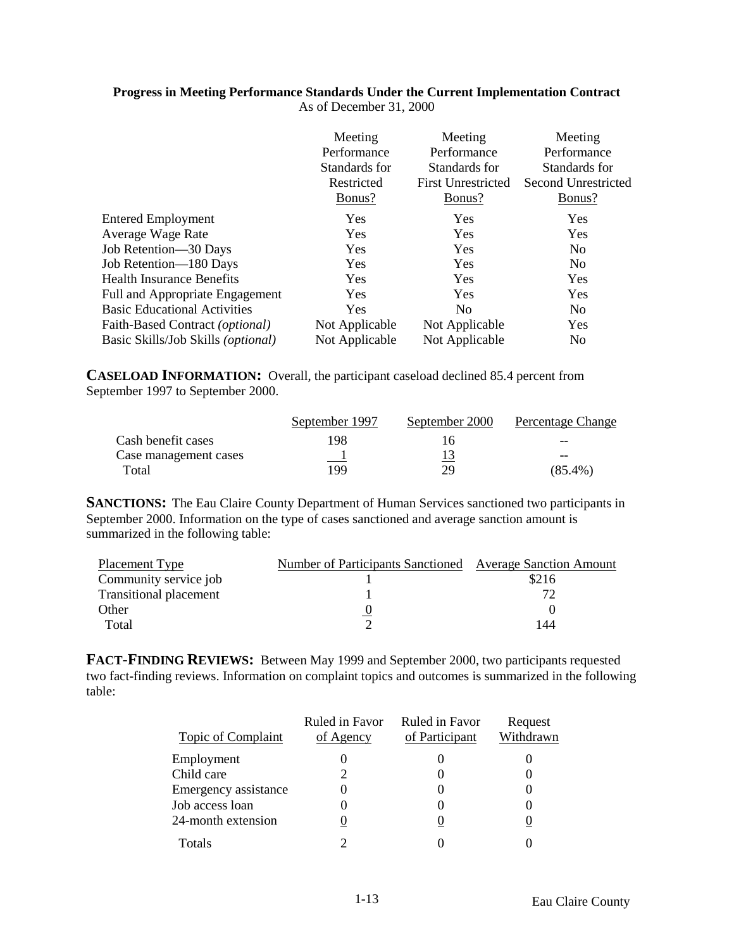#### **Progress in Meeting Performance Standards Under the Current Implementation Contract** As of December 31, 2000

|                                        | Meeting<br>Performance<br>Standards for<br>Restricted<br>Bonus? | Meeting<br>Performance<br>Standards for<br><b>First Unrestricted</b><br>Bonus? | Meeting<br>Performance<br>Standards for<br>Second Unrestricted<br>Bonus? |
|----------------------------------------|-----------------------------------------------------------------|--------------------------------------------------------------------------------|--------------------------------------------------------------------------|
| <b>Entered Employment</b>              | <b>Yes</b>                                                      | Yes                                                                            | <b>Yes</b>                                                               |
| <b>Average Wage Rate</b>               | <b>Yes</b>                                                      | Yes                                                                            | Yes                                                                      |
| Job Retention-30 Days                  | <b>Yes</b>                                                      | Yes                                                                            | N <sub>0</sub>                                                           |
| Job Retention-180 Days                 | <b>Yes</b>                                                      | Yes                                                                            | N <sub>0</sub>                                                           |
| Health Insurance Benefits              | <b>Yes</b>                                                      | <b>Yes</b>                                                                     | Yes                                                                      |
| <b>Full and Appropriate Engagement</b> | Yes                                                             | Yes                                                                            | Yes                                                                      |
| <b>Basic Educational Activities</b>    | Yes                                                             | N <sub>0</sub>                                                                 | N <sub>0</sub>                                                           |
| Faith-Based Contract (optional)        | Not Applicable                                                  | Not Applicable                                                                 | Yes                                                                      |
| Basic Skills/Job Skills (optional)     | Not Applicable                                                  | Not Applicable                                                                 | N <sub>0</sub>                                                           |

**CASELOAD INFORMATION:** Overall, the participant caseload declined 85.4 percent from September 1997 to September 2000.

|                       | September 1997 | September 2000 | Percentage Change |
|-----------------------|----------------|----------------|-------------------|
| Cash benefit cases    | 198            | ı n            | --                |
| Case management cases |                |                | --                |
| Total                 | 199            | 79             | $(85.4\%)$        |

**SANCTIONS:** The Eau Claire County Department of Human Services sanctioned two participants in September 2000. Information on the type of cases sanctioned and average sanction amount is summarized in the following table:

| Placement Type                | Number of Participants Sanctioned Average Sanction Amount |       |
|-------------------------------|-----------------------------------------------------------|-------|
| Community service job         |                                                           | \$216 |
| <b>Transitional placement</b> |                                                           |       |
| Other                         |                                                           |       |
| Total                         |                                                           | 144   |

**FACT-FINDING REVIEWS:** Between May 1999 and September 2000, two participants requested two fact-finding reviews. Information on complaint topics and outcomes is summarized in the following table:

| <b>Topic of Complaint</b> | Ruled in Favor<br>of Agency | Ruled in Favor<br>of Participant | Request<br>Withdrawn |
|---------------------------|-----------------------------|----------------------------------|----------------------|
| Employment                |                             |                                  |                      |
| Child care                |                             |                                  |                      |
| Emergency assistance      |                             |                                  |                      |
| Job access loan           |                             |                                  |                      |
| 24-month extension        |                             |                                  |                      |
| Totals                    |                             |                                  |                      |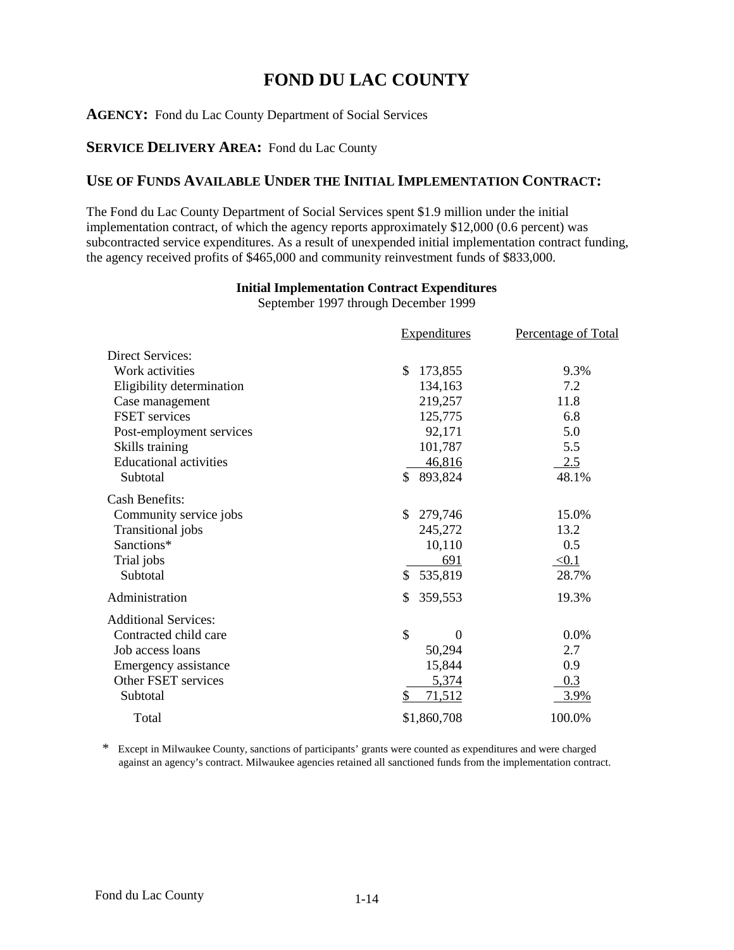# **FOND DU LAC COUNTY**

# **AGENCY:** Fond du Lac County Department of Social Services

# **SERVICE DELIVERY AREA:** Fond du Lac County

# **USE OF FUNDS AVAILABLE UNDER THE INITIAL IMPLEMENTATION CONTRACT:**

The Fond du Lac County Department of Social Services spent \$1.9 million under the initial implementation contract, of which the agency reports approximately \$12,000 (0.6 percent) was subcontracted service expenditures. As a result of unexpended initial implementation contract funding, the agency received profits of \$465,000 and community reinvestment funds of \$833,000.

# **Initial Implementation Contract Expenditures**

September 1997 through December 1999

|                               | <b>Expenditures</b> | <b>Percentage of Total</b> |
|-------------------------------|---------------------|----------------------------|
| <b>Direct Services:</b>       |                     |                            |
| Work activities               | 173,855<br>\$       | 9.3%                       |
| Eligibility determination     | 134,163             | 7.2                        |
| Case management               | 219,257             | 11.8                       |
| <b>FSET</b> services          | 125,775             | 6.8                        |
| Post-employment services      | 92,171              | 5.0                        |
| Skills training               | 101,787             | 5.5                        |
| <b>Educational activities</b> | 46,816              | 2.5                        |
| Subtotal                      | \$<br>893,824       | 48.1%                      |
| <b>Cash Benefits:</b>         |                     |                            |
| Community service jobs        | \$<br>279,746       | 15.0%                      |
| Transitional jobs             | 245,272             | 13.2                       |
| Sanctions*                    | 10,110              | 0.5                        |
| Trial jobs                    | 691                 | $\leq 0.1$                 |
| Subtotal                      | 535,819<br>\$       | 28.7%                      |
| Administration                | \$<br>359,553       | 19.3%                      |
| <b>Additional Services:</b>   |                     |                            |
| Contracted child care         | \$<br>$\Omega$      | 0.0%                       |
| Job access loans              | 50,294              | 2.7                        |
| Emergency assistance          | 15,844              | 0.9                        |
| Other FSET services           | 5,374               | 0.3                        |
| Subtotal                      | \$<br>71,512        | 3.9%                       |
| Total                         | \$1,860,708         | 100.0%                     |

\* Except in Milwaukee County, sanctions of participants' grants were counted as expenditures and were charged against an agency's contract. Milwaukee agencies retained all sanctioned funds from the implementation contract.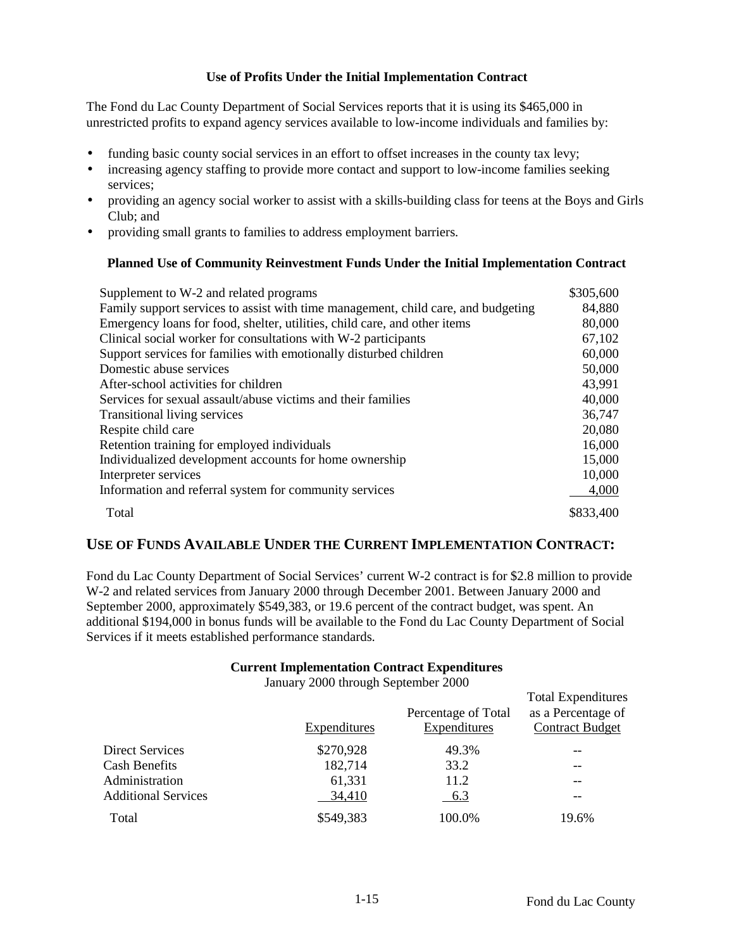## **Use of Profits Under the Initial Implementation Contract**

The Fond du Lac County Department of Social Services reports that it is using its \$465,000 in unrestricted profits to expand agency services available to low-income individuals and families by:

- funding basic county social services in an effort to offset increases in the county tax levy;
- increasing agency staffing to provide more contact and support to low-income families seeking services;
- providing an agency social worker to assist with a skills-building class for teens at the Boys and Girls Club; and
- providing small grants to families to address employment barriers.

# **Planned Use of Community Reinvestment Funds Under the Initial Implementation Contract**

| Supplement to W-2 and related programs                                            | \$305,600 |
|-----------------------------------------------------------------------------------|-----------|
| Family support services to assist with time management, child care, and budgeting | 84,880    |
| Emergency loans for food, shelter, utilities, child care, and other items         | 80,000    |
| Clinical social worker for consultations with W-2 participants                    | 67,102    |
| Support services for families with emotionally disturbed children                 | 60,000    |
| Domestic abuse services                                                           | 50,000    |
| After-school activities for children                                              | 43,991    |
| Services for sexual assault/abuse victims and their families                      | 40,000    |
| Transitional living services                                                      | 36,747    |
| Respite child care                                                                | 20,080    |
| Retention training for employed individuals                                       | 16,000    |
| Individualized development accounts for home ownership                            | 15,000    |
| Interpreter services                                                              | 10,000    |
| Information and referral system for community services                            | 4,000     |
| Total                                                                             | \$833,400 |

# **USE OF FUNDS AVAILABLE UNDER THE CURRENT IMPLEMENTATION CONTRACT:**

Fond du Lac County Department of Social Services' current W-2 contract is for \$2.8 million to provide W-2 and related services from January 2000 through December 2001. Between January 2000 and September 2000, approximately \$549,383, or 19.6 percent of the contract budget, was spent. An additional \$194,000 in bonus funds will be available to the Fond du Lac County Department of Social Services if it meets established performance standards.

### **Current Implementation Contract Expenditures**

January 2000 through September 2000

|                            | <b>Expenditures</b> | Percentage of Total<br><b>Expenditures</b> | <b>Total Expenditures</b><br>as a Percentage of<br><b>Contract Budget</b> |
|----------------------------|---------------------|--------------------------------------------|---------------------------------------------------------------------------|
| Direct Services            | \$270,928           | 49.3%                                      | --                                                                        |
| <b>Cash Benefits</b>       | 182,714             | 33.2                                       | --                                                                        |
| Administration             | 61,331              | 11.2                                       | --                                                                        |
| <b>Additional Services</b> | 34,410              | <u>6.3</u>                                 |                                                                           |
| Total                      | \$549,383           | 100.0%                                     | 19.6%                                                                     |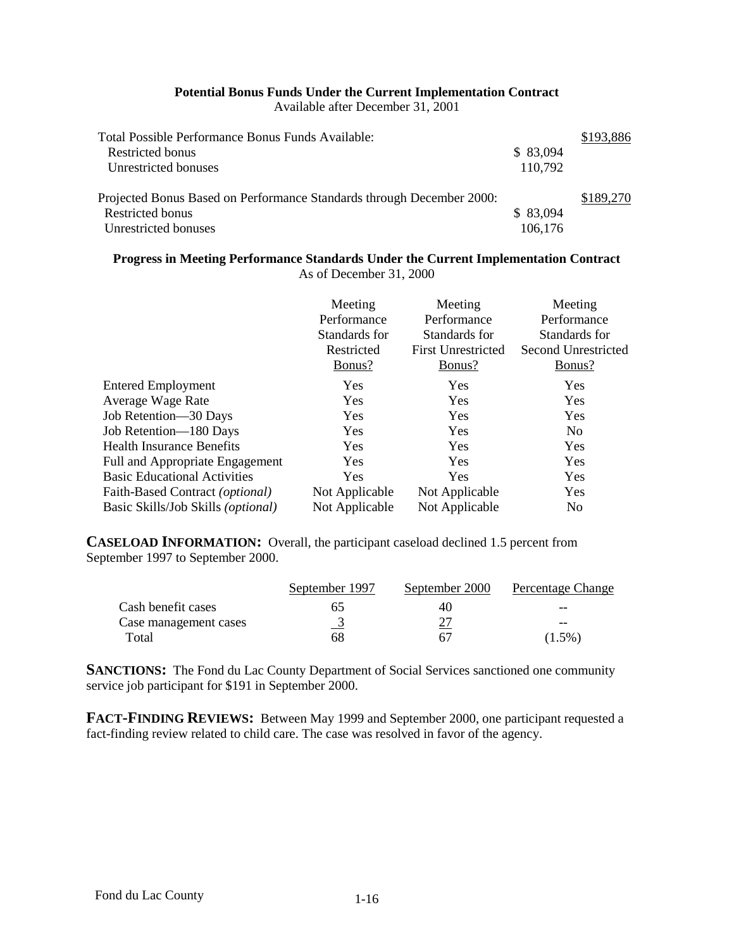# **Potential Bonus Funds Under the Current Implementation Contract**

Available after December 31, 2001

| Total Possible Performance Bonus Funds Available:                     |          | \$193,886 |
|-----------------------------------------------------------------------|----------|-----------|
| Restricted bonus                                                      | \$83,094 |           |
| Unrestricted bonuses                                                  | 110,792  |           |
| Projected Bonus Based on Performance Standards through December 2000: |          | \$189,270 |
| Restricted bonus                                                      | \$83,094 |           |
| Unrestricted bonuses                                                  | 106,176  |           |

### **Progress in Meeting Performance Standards Under the Current Implementation Contract** As of December 31, 2000

|                                             | Meeting<br>Performance<br>Standards for<br>Restricted<br>Bonus? | Meeting<br>Performance<br>Standards for<br><b>First Unrestricted</b><br>Bonus? | Meeting<br>Performance<br>Standards for<br>Second Unrestricted<br>Bonus? |
|---------------------------------------------|-----------------------------------------------------------------|--------------------------------------------------------------------------------|--------------------------------------------------------------------------|
| <b>Entered Employment</b>                   | Yes                                                             | <b>Yes</b>                                                                     | Yes                                                                      |
| Average Wage Rate                           | Yes                                                             | <b>Yes</b>                                                                     | Yes                                                                      |
| Job Retention-30 Days                       | Yes                                                             | <b>Yes</b>                                                                     | Yes                                                                      |
| Job Retention-180 Days                      | Yes                                                             | Yes                                                                            | N <sub>o</sub>                                                           |
| <b>Health Insurance Benefits</b>            | Yes                                                             | <b>Yes</b>                                                                     | Yes                                                                      |
| Full and Appropriate Engagement             | Yes                                                             | <b>Yes</b>                                                                     | Yes                                                                      |
| <b>Basic Educational Activities</b>         | Yes                                                             | <b>Yes</b>                                                                     | Yes                                                                      |
| Faith-Based Contract (optional)             | Not Applicable                                                  | Not Applicable                                                                 | Yes                                                                      |
| Basic Skills/Job Skills ( <i>optional</i> ) | Not Applicable                                                  | Not Applicable                                                                 | N <sub>0</sub>                                                           |

**CASELOAD INFORMATION:** Overall, the participant caseload declined 1.5 percent from September 1997 to September 2000.

|                       | September 1997 | September 2000 | Percentage Change |
|-----------------------|----------------|----------------|-------------------|
| Cash benefit cases    | h.             | 40             | --                |
| Case management cases |                |                | --                |
| Total                 | 68             | 67             | $(1.5\%)$         |

**SANCTIONS:** The Fond du Lac County Department of Social Services sanctioned one community service job participant for \$191 in September 2000.

**FACT-FINDING REVIEWS:** Between May 1999 and September 2000, one participant requested a fact-finding review related to child care. The case was resolved in favor of the agency.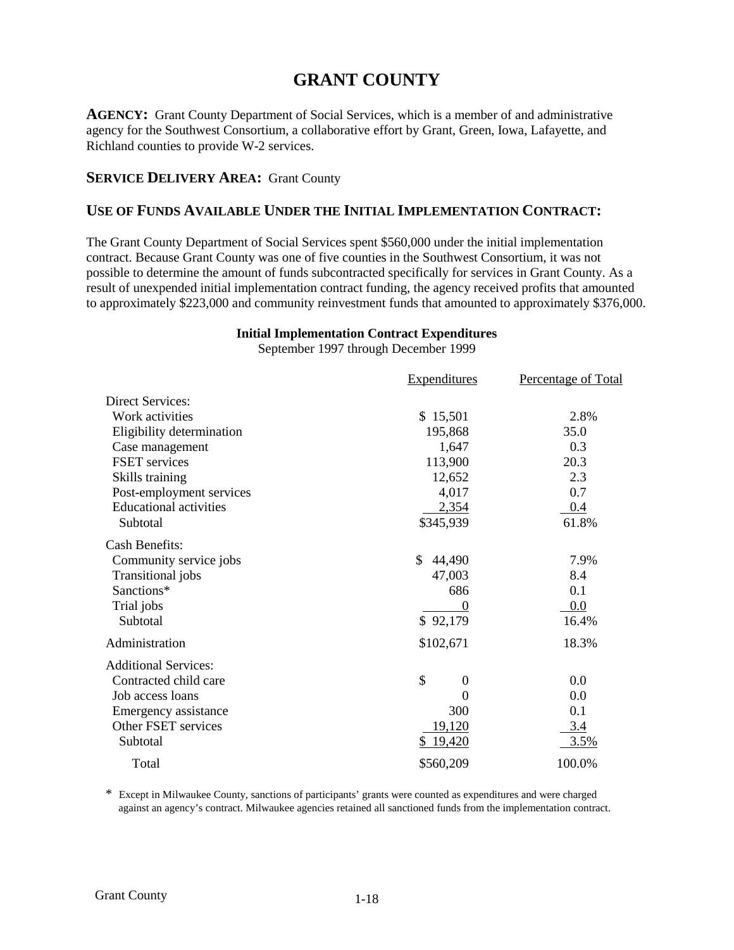## **GRANT COUNTY**

**AGENCY:** Grant County Department of Social Services, which is a member of and administrative agency for the Southwest Consortium, a collaborative effort by Grant, Green, Iowa, Lafayette, and Richland counties to provide W-2 services.

#### **SERVICE DELIVERY AREA: Grant County**

## **USE OF FUNDS AVAILABLE UNDER THE INITIAL IMPLEMENTATION CONTRACT:**

The Grant County Department of Social Services spent \$560,000 under the initial implementation contract. Because Grant County was one of five counties in the Southwest Consortium, it was not possible to determine the amount of funds subcontracted specifically for services in Grant County. As a result of unexpended initial implementation contract funding, the agency received profits that amounted to approximately \$223,000 and community reinvestment funds that amounted to approximately \$376,000.

## **Initial Implementation Contract Expenditures**

September 1997 through December 1999

|                               | <b>Expenditures</b>    | Percentage of Total |
|-------------------------------|------------------------|---------------------|
| <b>Direct Services:</b>       |                        |                     |
| Work activities               | \$15,501               | 2.8%                |
| Eligibility determination     | 195,868                | 35.0                |
| Case management               | 1,647                  | 0.3                 |
| <b>FSET</b> services          | 113,900                | 20.3                |
| Skills training               | 12,652                 | 2.3                 |
| Post-employment services      | 4,017                  | 0.7                 |
| <b>Educational activities</b> | 2,354                  | 0.4                 |
| Subtotal                      | \$345,939              | 61.8%               |
| <b>Cash Benefits:</b>         |                        |                     |
| Community service jobs        | \$<br>44,490           | 7.9%                |
| Transitional jobs             | 47,003                 | 8.4                 |
| Sanctions*                    | 686                    | 0.1                 |
| Trial jobs                    |                        | 0.0                 |
| Subtotal                      | \$92,179               | 16.4%               |
| Administration                | \$102,671              | 18.3%               |
| <b>Additional Services:</b>   |                        |                     |
| Contracted child care         | \$<br>$\boldsymbol{0}$ | 0.0                 |
| Job access loans              | $\theta$               | 0.0                 |
| Emergency assistance          | 300                    | 0.1                 |
| Other FSET services           | <u>19,120</u>          | 3.4                 |
| Subtotal                      | \$19,420               | 3.5%                |
| Total                         | \$560,209              | 100.0%              |

\* Except in Milwaukee County, sanctions of participants' grants were counted as expenditures and were charged against an agency's contract. Milwaukee agencies retained all sanctioned funds from the implementation contract.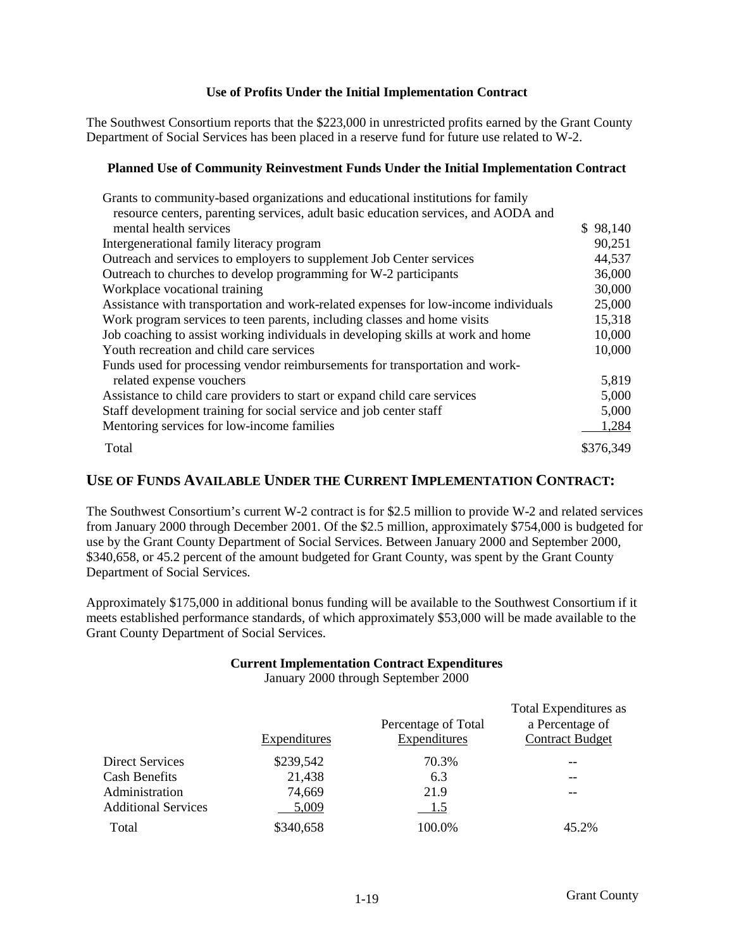The Southwest Consortium reports that the \$223,000 in unrestricted profits earned by the Grant County Department of Social Services has been placed in a reserve fund for future use related to W-2.

#### **Planned Use of Community Reinvestment Funds Under the Initial Implementation Contract**

| Grants to community-based organizations and educational institutions for family     |           |
|-------------------------------------------------------------------------------------|-----------|
| resource centers, parenting services, adult basic education services, and AODA and  |           |
| mental health services                                                              | \$98,140  |
| Intergenerational family literacy program                                           | 90,251    |
| Outreach and services to employers to supplement Job Center services                | 44,537    |
| Outreach to churches to develop programming for W-2 participants                    | 36,000    |
| Workplace vocational training                                                       | 30,000    |
| Assistance with transportation and work-related expenses for low-income individuals | 25,000    |
| Work program services to teen parents, including classes and home visits            | 15,318    |
| Job coaching to assist working individuals in developing skills at work and home    | 10,000    |
| Youth recreation and child care services                                            | 10,000    |
| Funds used for processing vendor reimbursements for transportation and work-        |           |
| related expense vouchers                                                            | 5,819     |
| Assistance to child care providers to start or expand child care services           | 5,000     |
| Staff development training for social service and job center staff                  | 5,000     |
| Mentoring services for low-income families                                          | 1,284     |
| Total                                                                               | \$376,349 |

## **USE OF FUNDS AVAILABLE UNDER THE CURRENT IMPLEMENTATION CONTRACT:**

The Southwest Consortium's current W-2 contract is for \$2.5 million to provide W-2 and related services from January 2000 through December 2001. Of the \$2.5 million, approximately \$754,000 is budgeted for use by the Grant County Department of Social Services. Between January 2000 and September 2000, \$340,658, or 45.2 percent of the amount budgeted for Grant County, was spent by the Grant County Department of Social Services.

Approximately \$175,000 in additional bonus funding will be available to the Southwest Consortium if it meets established performance standards, of which approximately \$53,000 will be made available to the Grant County Department of Social Services.

## **Current Implementation Contract Expenditures**

January 2000 through September 2000

|              |                     | <b>Total Expenditures as</b> |
|--------------|---------------------|------------------------------|
|              | Percentage of Total | a Percentage of              |
| Expenditures | Expenditures        | <b>Contract Budget</b>       |
| \$239,542    | 70.3%               |                              |
| 21,438       | 6.3                 |                              |
| 74,669       | 21.9                |                              |
| 5,009        | 1.5                 |                              |
| \$340,658    | 100.0%              | 45.2%                        |
|              |                     |                              |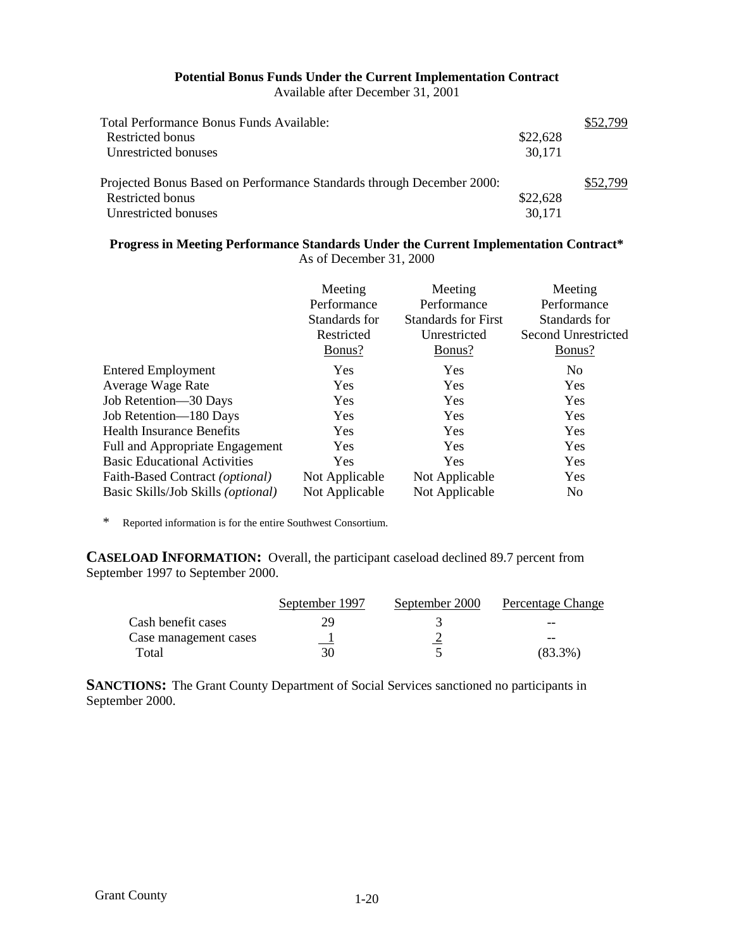#### **Potential Bonus Funds Under the Current Implementation Contract** Available after December 31, 2001

| Total Performance Bonus Funds Available:                              |          | \$52,799 |
|-----------------------------------------------------------------------|----------|----------|
| Restricted bonus                                                      | \$22,628 |          |
| Unrestricted bonuses                                                  | 30,171   |          |
| Projected Bonus Based on Performance Standards through December 2000: |          | \$52.799 |
| Restricted bonus                                                      | \$22,628 |          |
| Unrestricted bonuses                                                  | 30,171   |          |

#### **Progress in Meeting Performance Standards Under the Current Implementation Contract\*** As of December 31, 2000

|                                             | Meeting<br>Performance<br>Standards for<br>Restricted<br>Bonus? | Meeting<br>Performance<br><b>Standards for First</b><br>Unrestricted<br>Bonus? | Meeting<br>Performance<br>Standards for<br>Second Unrestricted<br><u>Bonus?</u> |
|---------------------------------------------|-----------------------------------------------------------------|--------------------------------------------------------------------------------|---------------------------------------------------------------------------------|
| <b>Entered Employment</b>                   | Yes                                                             | Yes                                                                            | N <sub>0</sub>                                                                  |
| Average Wage Rate                           | <b>Yes</b>                                                      | <b>Yes</b>                                                                     | <b>Yes</b>                                                                      |
| Job Retention—30 Days                       | Yes                                                             | Yes                                                                            | Yes                                                                             |
| Job Retention-180 Days                      | Yes                                                             | Yes                                                                            | Yes                                                                             |
| <b>Health Insurance Benefits</b>            | <b>Yes</b>                                                      | <b>Yes</b>                                                                     | Yes                                                                             |
| Full and Appropriate Engagement             | <b>Yes</b>                                                      | <b>Yes</b>                                                                     | Yes                                                                             |
| <b>Basic Educational Activities</b>         | <b>Yes</b>                                                      | Yes                                                                            | Yes                                                                             |
| Faith-Based Contract ( <i>optional</i> )    | Not Applicable                                                  | Not Applicable                                                                 | Yes                                                                             |
| Basic Skills/Job Skills ( <i>optional</i> ) | Not Applicable                                                  | Not Applicable                                                                 | N <sub>0</sub>                                                                  |

\* Reported information is for the entire Southwest Consortium.

**CASELOAD INFORMATION:** Overall, the participant caseload declined 89.7 percent from September 1997 to September 2000.

|                       | September 1997 | September 2000 | Percentage Change |
|-----------------------|----------------|----------------|-------------------|
| Cash benefit cases    | 29             |                | $- -$             |
| Case management cases | $\mathbf{r}$   |                | --                |
| Total                 | 30             |                | $(83.3\%)$        |

**SANCTIONS:** The Grant County Department of Social Services sanctioned no participants in September 2000.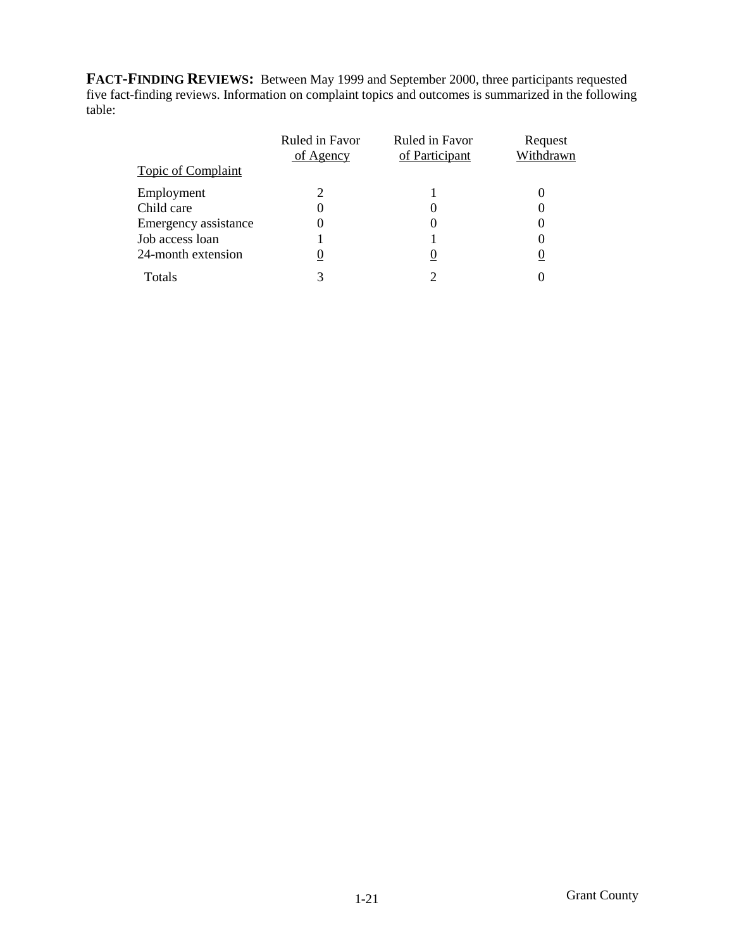**FACT-FINDING REVIEWS:** Between May 1999 and September 2000, three participants requested five fact-finding reviews. Information on complaint topics and outcomes is summarized in the following table:

|                           | Ruled in Favor<br>of Agency | Ruled in Favor<br>of Participant | Request<br>Withdrawn |
|---------------------------|-----------------------------|----------------------------------|----------------------|
| <b>Topic of Complaint</b> |                             |                                  |                      |
| Employment                | 2                           |                                  |                      |
| Child care                | 0                           |                                  |                      |
| Emergency assistance      |                             |                                  |                      |
| Job access loan           |                             |                                  |                      |
| 24-month extension        |                             |                                  |                      |
| Totals                    |                             |                                  |                      |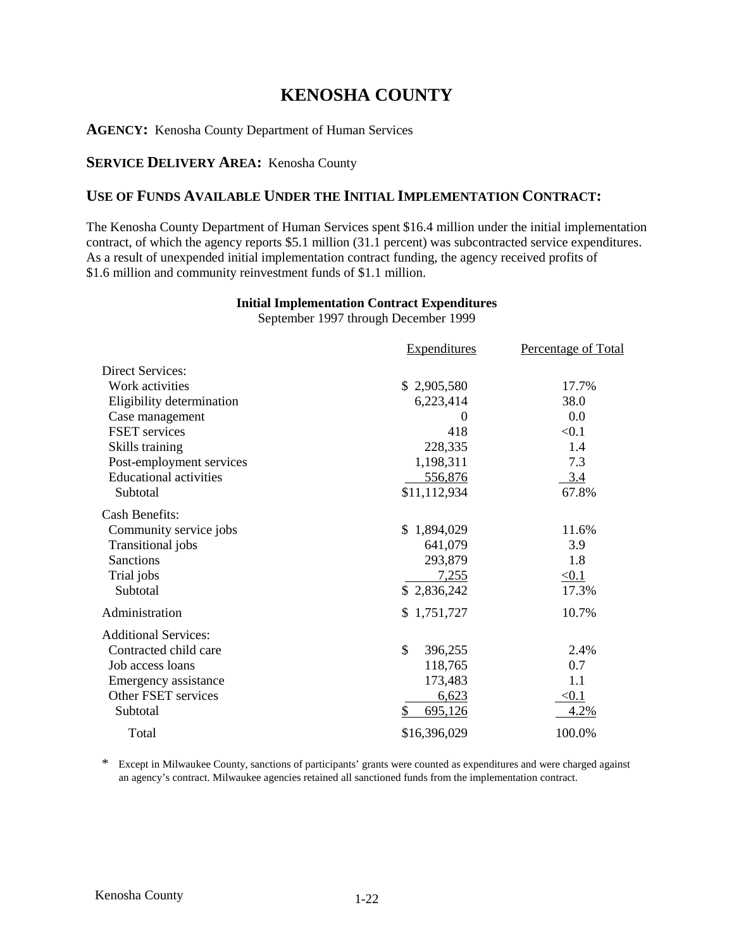## **KENOSHA COUNTY**

**AGENCY:** Kenosha County Department of Human Services

## **SERVICE DELIVERY AREA:** Kenosha County

## **USE OF FUNDS AVAILABLE UNDER THE INITIAL IMPLEMENTATION CONTRACT:**

The Kenosha County Department of Human Services spent \$16.4 million under the initial implementation contract, of which the agency reports \$5.1 million (31.1 percent) was subcontracted service expenditures. As a result of unexpended initial implementation contract funding, the agency received profits of \$1.6 million and community reinvestment funds of \$1.1 million.

## **Initial Implementation Contract Expenditures**

September 1997 through December 1999

|                               | <b>Expenditures</b> | Percentage of Total |
|-------------------------------|---------------------|---------------------|
| <b>Direct Services:</b>       |                     |                     |
| Work activities               | \$2,905,580         | 17.7%               |
| Eligibility determination     | 6,223,414           | 38.0                |
| Case management               | $\Omega$            | 0.0                 |
| FSET services                 | 418                 | < 0.1               |
| Skills training               | 228,335             | 1.4                 |
| Post-employment services      | 1,198,311           | 7.3                 |
| <b>Educational activities</b> | 556,876             | 3.4                 |
| Subtotal                      | \$11,112,934        | 67.8%               |
| <b>Cash Benefits:</b>         |                     |                     |
| Community service jobs        | \$1,894,029         | 11.6%               |
| Transitional jobs             | 641,079             | 3.9                 |
| Sanctions                     | 293,879             | 1.8                 |
| Trial jobs                    | 7,255               | $\leq 0.1$          |
| Subtotal                      | \$2,836,242         | 17.3%               |
| Administration                | \$1,751,727         | 10.7%               |
| <b>Additional Services:</b>   |                     |                     |
| Contracted child care         | \$<br>396,255       | 2.4%                |
| Job access loans              | 118,765             | 0.7                 |
| Emergency assistance          | 173,483             | 1.1                 |
| Other FSET services           | 6,623               | < 0.1               |
| Subtotal                      | 695,126<br>\$       | 4.2%                |
| Total                         | \$16,396,029        | 100.0%              |

\* Except in Milwaukee County, sanctions of participants' grants were counted as expenditures and were charged against an agency's contract. Milwaukee agencies retained all sanctioned funds from the implementation contract.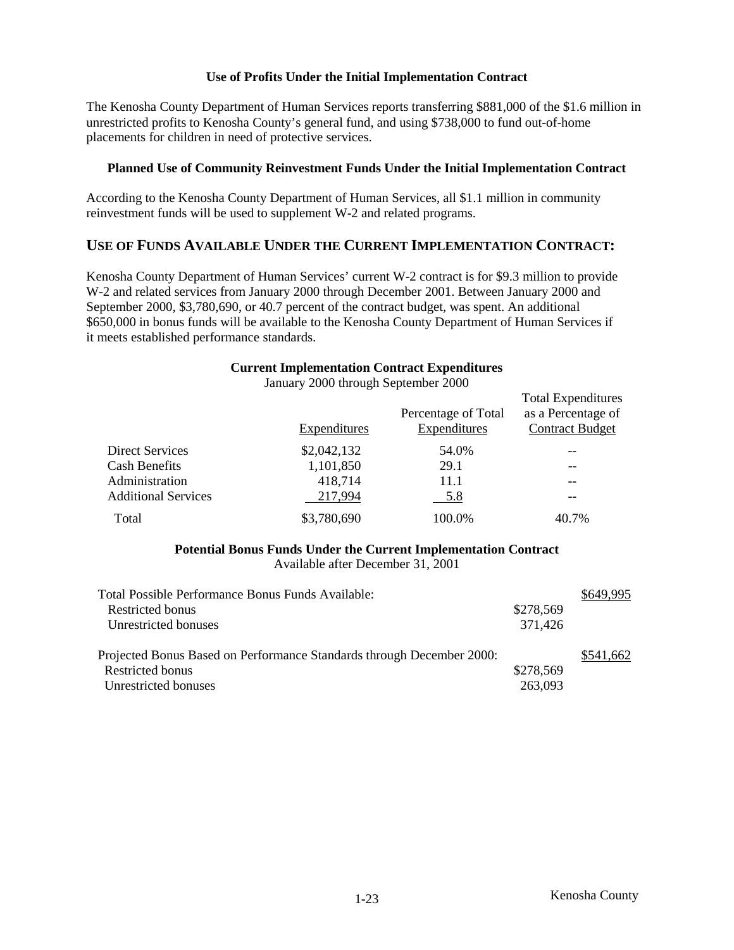The Kenosha County Department of Human Services reports transferring \$881,000 of the \$1.6 million in unrestricted profits to Kenosha County's general fund, and using \$738,000 to fund out-of-home placements for children in need of protective services.

#### **Planned Use of Community Reinvestment Funds Under the Initial Implementation Contract**

According to the Kenosha County Department of Human Services, all \$1.1 million in community reinvestment funds will be used to supplement W-2 and related programs.

## **USE OF FUNDS AVAILABLE UNDER THE CURRENT IMPLEMENTATION CONTRACT:**

Kenosha County Department of Human Services' current W-2 contract is for \$9.3 million to provide W-2 and related services from January 2000 through December 2001. Between January 2000 and September 2000, \$3,780,690, or 40.7 percent of the contract budget, was spent. An additional \$650,000 in bonus funds will be available to the Kenosha County Department of Human Services if it meets established performance standards.

#### **Current Implementation Contract Expenditures**

|                            | $\frac{1}{2000}$ and $\frac{1}{2000}$ and $\frac{1}{2000}$ |                                     |                                                                           |
|----------------------------|------------------------------------------------------------|-------------------------------------|---------------------------------------------------------------------------|
|                            | Expenditures                                               | Percentage of Total<br>Expenditures | <b>Total Expenditures</b><br>as a Percentage of<br><b>Contract Budget</b> |
| <b>Direct Services</b>     | \$2,042,132                                                | 54.0%                               |                                                                           |
| <b>Cash Benefits</b>       | 1,101,850                                                  | 29.1                                | --                                                                        |
| Administration             | 418,714                                                    | 11.1                                | --                                                                        |
| <b>Additional Services</b> | 217,994                                                    | 5.8                                 |                                                                           |
| Total                      | \$3,780,690                                                | 100.0%                              | 40.7%                                                                     |

January 2000 through September 2000

## **Potential Bonus Funds Under the Current Implementation Contract**

Available after December 31, 2001

| Total Possible Performance Bonus Funds Available:                     |           | \$649,995 |
|-----------------------------------------------------------------------|-----------|-----------|
| Restricted bonus                                                      | \$278,569 |           |
| Unrestricted bonuses                                                  | 371,426   |           |
|                                                                       |           |           |
| Projected Bonus Based on Performance Standards through December 2000: |           | \$541,662 |
| Restricted bonus                                                      | \$278,569 |           |
| Unrestricted bonuses                                                  | 263,093   |           |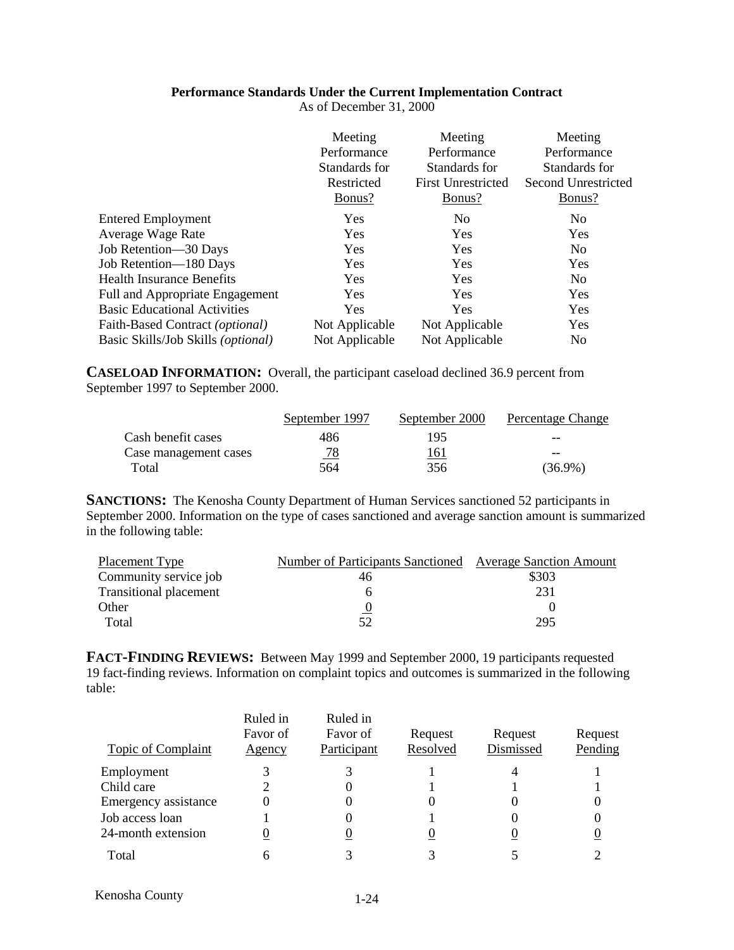#### **Performance Standards Under the Current Implementation Contract**

|                                             | Meeting        | Meeting                   | Meeting             |
|---------------------------------------------|----------------|---------------------------|---------------------|
|                                             | Performance    | Performance               | Performance         |
|                                             | Standards for  | Standards for             | Standards for       |
|                                             | Restricted     | <b>First Unrestricted</b> | Second Unrestricted |
|                                             | Bonus?         | Bonus?                    | Bonus?              |
| <b>Entered Employment</b>                   | <b>Yes</b>     | N <sub>o</sub>            | N <sub>0</sub>      |
| Average Wage Rate                           | <b>Yes</b>     | <b>Yes</b>                | Yes                 |
| Job Retention-30 Days                       | <b>Yes</b>     | Yes                       | N <sub>0</sub>      |
| Job Retention-180 Days                      | Yes            | Yes                       | Yes                 |
| <b>Health Insurance Benefits</b>            | <b>Yes</b>     | Yes                       | N <sub>0</sub>      |
| Full and Appropriate Engagement             | <b>Yes</b>     | <b>Yes</b>                | Yes                 |
| <b>Basic Educational Activities</b>         | <b>Yes</b>     | <b>Yes</b>                | Yes                 |
| Faith-Based Contract (optional)             | Not Applicable | Not Applicable            | Yes                 |
| Basic Skills/Job Skills ( <i>optional</i> ) | Not Applicable | Not Applicable            | N <sub>0</sub>      |
|                                             |                |                           |                     |

As of December 31, 2000

**CASELOAD INFORMATION:** Overall, the participant caseload declined 36.9 percent from September 1997 to September 2000.

|                       | September 1997 | September 2000 | Percentage Change |
|-----------------------|----------------|----------------|-------------------|
| Cash benefit cases    | 486            | 195            | $- -$             |
| Case management cases | <u>78</u>      | <u> 161</u>    | $- -$             |
| Total                 | 564            | 356            | $(36.9\%)$        |

**SANCTIONS:** The Kenosha County Department of Human Services sanctioned 52 participants in September 2000. Information on the type of cases sanctioned and average sanction amount is summarized in the following table:

| Placement Type                | Number of Participants Sanctioned Average Sanction Amount |       |
|-------------------------------|-----------------------------------------------------------|-------|
| Community service job         | 46                                                        | \$303 |
| <b>Transitional placement</b> |                                                           | 231   |
| Other                         |                                                           |       |
| Total                         | 52                                                        | 295   |

**FACT-FINDING REVIEWS:** Between May 1999 and September 2000, 19 participants requested 19 fact-finding reviews. Information on complaint topics and outcomes is summarized in the following table:

| Topic of Complaint   | Ruled in<br>Favor of<br><u>Agency</u> | Ruled in<br>Favor of<br>Participant | Request<br>Resolved | Request<br>Dismissed | Request<br>Pending |
|----------------------|---------------------------------------|-------------------------------------|---------------------|----------------------|--------------------|
| Employment           |                                       |                                     |                     |                      |                    |
| Child care           |                                       |                                     |                     |                      |                    |
| Emergency assistance | 0                                     |                                     |                     |                      |                    |
| Job access loan      |                                       |                                     |                     |                      |                    |
| 24-month extension   |                                       |                                     |                     |                      |                    |
| Total                | h                                     |                                     |                     |                      |                    |

| Kenosha County | $1 - 24$ |
|----------------|----------|
|----------------|----------|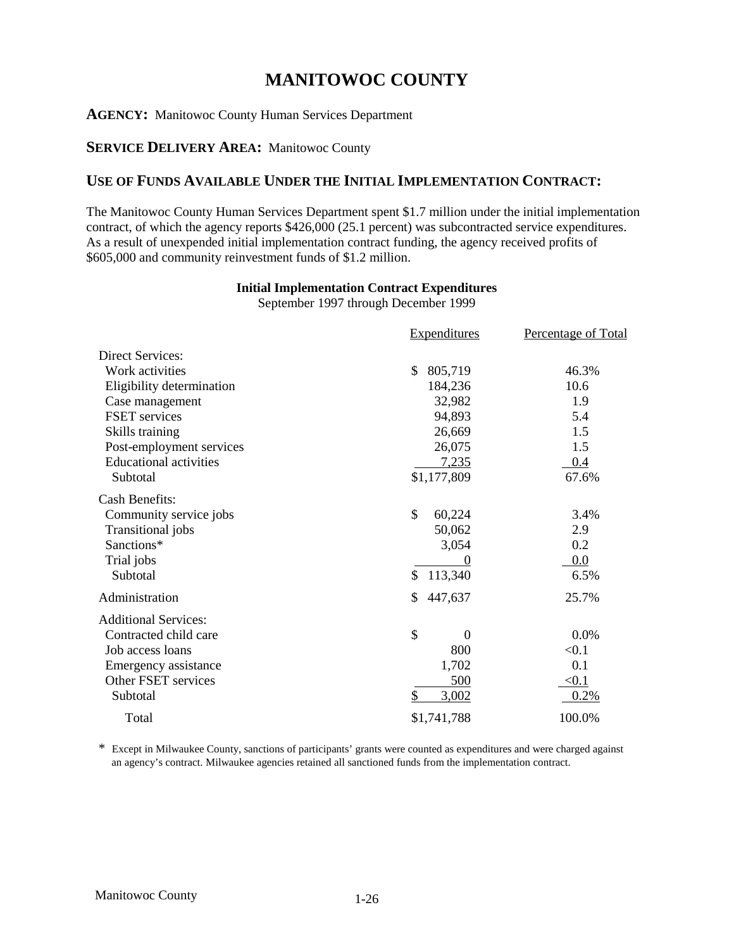## **MANITOWOC COUNTY**

#### **AGENCY:** Manitowoc County Human Services Department

## **SERVICE DELIVERY AREA:** Manitowoc County

## **USE OF FUNDS AVAILABLE UNDER THE INITIAL IMPLEMENTATION CONTRACT:**

The Manitowoc County Human Services Department spent \$1.7 million under the initial implementation contract, of which the agency reports \$426,000 (25.1 percent) was subcontracted service expenditures. As a result of unexpended initial implementation contract funding, the agency received profits of \$605,000 and community reinvestment funds of \$1.2 million.

## **Initial Implementation Contract Expenditures**

September 1997 through December 1999

|                               | <b>Expenditures</b>  | <b>Percentage of Total</b> |
|-------------------------------|----------------------|----------------------------|
| <b>Direct Services:</b>       |                      |                            |
| Work activities               | 805,719<br>\$        | 46.3%                      |
| Eligibility determination     | 184,236              | 10.6                       |
| Case management               | 32,982               | 1.9                        |
| <b>FSET</b> services          | 94,893               | 5.4                        |
| Skills training               | 26,669               | 1.5                        |
| Post-employment services      | 26,075               | 1.5                        |
| <b>Educational activities</b> | 7,235                | 0.4                        |
| Subtotal                      | \$1,177,809          | 67.6%                      |
| <b>Cash Benefits:</b>         |                      |                            |
| Community service jobs        | \$<br>60,224         | 3.4%                       |
| Transitional jobs             | 50,062               | 2.9                        |
| Sanctions*                    | 3,054                | 0.2                        |
| Trial jobs                    | $\theta$             | $0.0\,$                    |
| Subtotal                      | 113,340<br>\$        | 6.5%                       |
| Administration                | \$<br>447,637        | 25.7%                      |
| <b>Additional Services:</b>   |                      |                            |
| Contracted child care         | \$<br>$\overline{0}$ | 0.0%                       |
| Job access loans              | 800                  | < 0.1                      |
| Emergency assistance          | 1,702                | 0.1                        |
| Other FSET services           | 500                  | < 0.1                      |
| Subtotal                      | \$<br>3,002          | 0.2%                       |
| Total                         | \$1,741,788          | 100.0%                     |

\* Except in Milwaukee County, sanctions of participants' grants were counted as expenditures and were charged against an agency's contract. Milwaukee agencies retained all sanctioned funds from the implementation contract.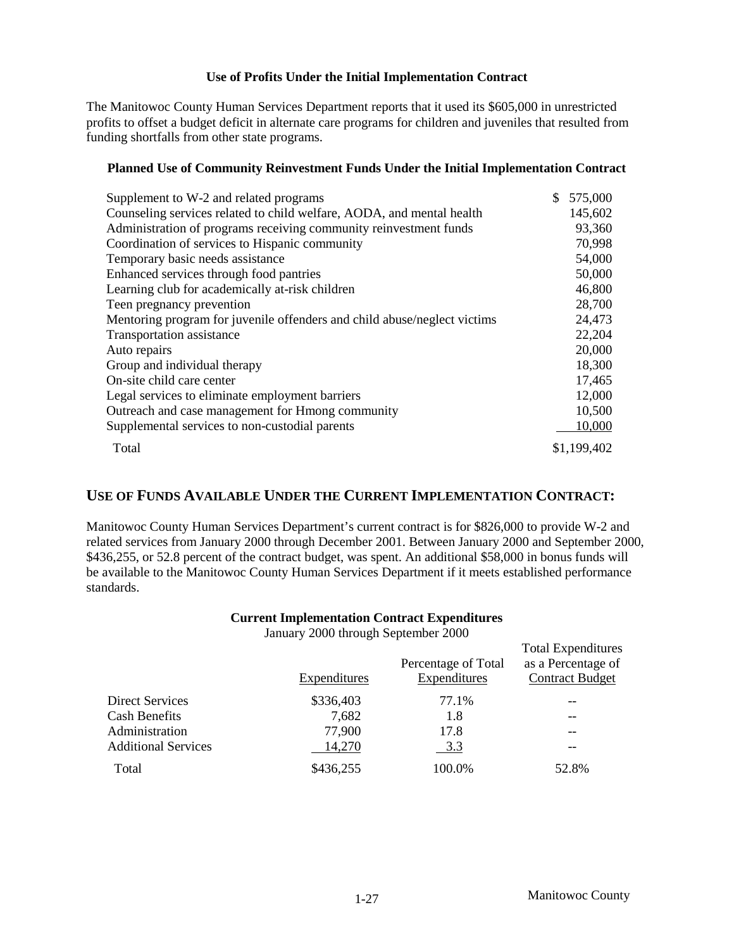The Manitowoc County Human Services Department reports that it used its \$605,000 in unrestricted profits to offset a budget deficit in alternate care programs for children and juveniles that resulted from funding shortfalls from other state programs.

## **Planned Use of Community Reinvestment Funds Under the Initial Implementation Contract**

| Supplement to W-2 and related programs                                   | 575,000     |
|--------------------------------------------------------------------------|-------------|
| Counseling services related to child welfare, AODA, and mental health    | 145,602     |
| Administration of programs receiving community reinvestment funds        | 93,360      |
| Coordination of services to Hispanic community                           | 70,998      |
| Temporary basic needs assistance                                         | 54,000      |
| Enhanced services through food pantries                                  | 50,000      |
| Learning club for academically at-risk children                          | 46,800      |
| Teen pregnancy prevention                                                | 28,700      |
| Mentoring program for juvenile offenders and child abuse/neglect victims | 24,473      |
| Transportation assistance                                                | 22,204      |
| Auto repairs                                                             | 20,000      |
| Group and individual therapy                                             | 18,300      |
| On-site child care center                                                | 17,465      |
| Legal services to eliminate employment barriers                          | 12,000      |
| Outreach and case management for Hmong community                         | 10,500      |
| Supplemental services to non-custodial parents                           | 10,000      |
| Total                                                                    | \$1,199,402 |

## **USE OF FUNDS AVAILABLE UNDER THE CURRENT IMPLEMENTATION CONTRACT:**

Manitowoc County Human Services Department's current contract is for \$826,000 to provide W-2 and related services from January 2000 through December 2001. Between January 2000 and September 2000, \$436,255, or 52.8 percent of the contract budget, was spent. An additional \$58,000 in bonus funds will be available to the Manitowoc County Human Services Department if it meets established performance standards.

## **Current Implementation Contract Expenditures**

January 2000 through September 2000

|                            |              |                                     | <b>Total Expenditures</b>                    |
|----------------------------|--------------|-------------------------------------|----------------------------------------------|
|                            | Expenditures | Percentage of Total<br>Expenditures | as a Percentage of<br><b>Contract Budget</b> |
| <b>Direct Services</b>     | \$336,403    | 77.1%                               |                                              |
| <b>Cash Benefits</b>       | 7,682        | 1.8                                 |                                              |
| Administration             | 77,900       | 17.8                                |                                              |
| <b>Additional Services</b> | 14,270       | 3.3                                 | --                                           |
| Total                      | \$436,255    | 100.0%                              | 52.8%                                        |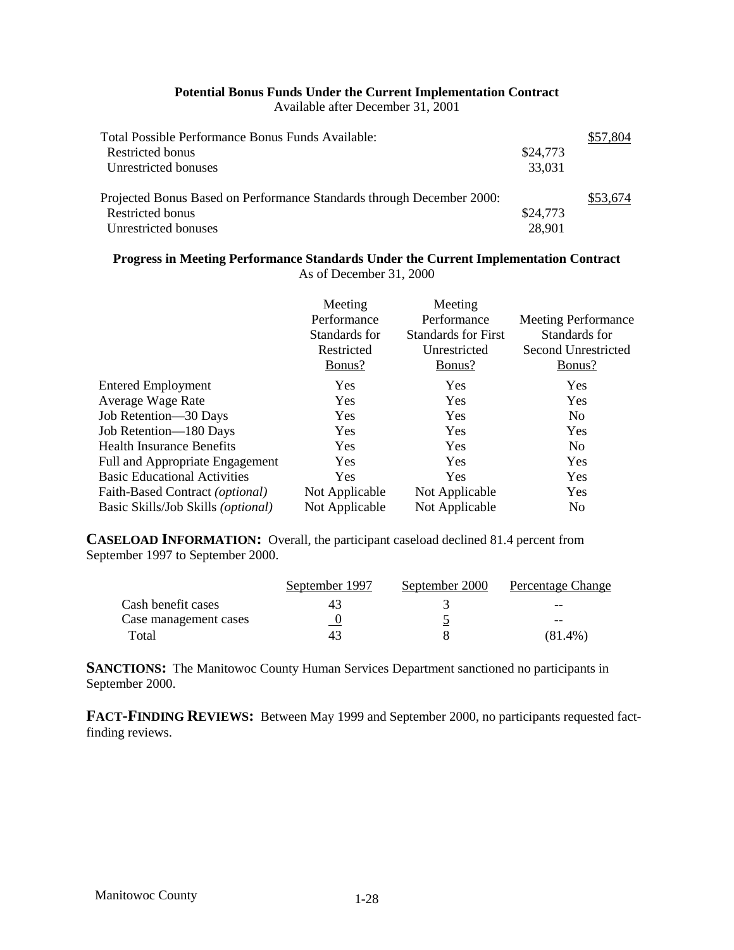## **Potential Bonus Funds Under the Current Implementation Contract**

Available after December 31, 2001

| Total Possible Performance Bonus Funds Available:                     |          | \$57,804 |
|-----------------------------------------------------------------------|----------|----------|
| Restricted bonus                                                      | \$24,773 |          |
| Unrestricted bonuses                                                  | 33,031   |          |
| Projected Bonus Based on Performance Standards through December 2000: |          | \$53,674 |
| Restricted bonus                                                      | \$24,773 |          |
| Unrestricted bonuses                                                  | 28,901   |          |

## **Progress in Meeting Performance Standards Under the Current Implementation Contract** As of December 31, 2000

|                                     | Meeting<br>Performance<br>Standards for<br>Restricted<br>Bonus? | Meeting<br>Performance<br><b>Standards for First</b><br>Unrestricted<br>Bonus? | <b>Meeting Performance</b><br>Standards for<br>Second Unrestricted<br>Bonus? |
|-------------------------------------|-----------------------------------------------------------------|--------------------------------------------------------------------------------|------------------------------------------------------------------------------|
| <b>Entered Employment</b>           | Yes                                                             | <b>Yes</b>                                                                     | Yes                                                                          |
| Average Wage Rate                   | Yes                                                             | <b>Yes</b>                                                                     | Yes                                                                          |
| Job Retention-30 Days               | Yes                                                             | <b>Yes</b>                                                                     | N <sub>0</sub>                                                               |
| Job Retention-180 Days              | Yes                                                             | Yes                                                                            | Yes                                                                          |
| <b>Health Insurance Benefits</b>    | <b>Yes</b>                                                      | <b>Yes</b>                                                                     | N <sub>o</sub>                                                               |
| Full and Appropriate Engagement     | Yes                                                             | <b>Yes</b>                                                                     | Yes                                                                          |
| <b>Basic Educational Activities</b> | Yes                                                             | Yes                                                                            | Yes                                                                          |
| Faith-Based Contract (optional)     | Not Applicable                                                  | Not Applicable                                                                 | Yes                                                                          |
| Basic Skills/Job Skills (optional)  | Not Applicable                                                  | Not Applicable                                                                 | N <sub>0</sub>                                                               |

**CASELOAD INFORMATION:** Overall, the participant caseload declined 81.4 percent from September 1997 to September 2000.

|                       | September 1997 | September 2000 | Percentage Change |
|-----------------------|----------------|----------------|-------------------|
| Cash benefit cases    | 43             |                | $- -$             |
| Case management cases |                |                | --                |
| Total                 | 4.             |                | $(81.4\%)$        |

**SANCTIONS:** The Manitowoc County Human Services Department sanctioned no participants in September 2000.

**FACT-FINDING REVIEWS:** Between May 1999 and September 2000, no participants requested factfinding reviews.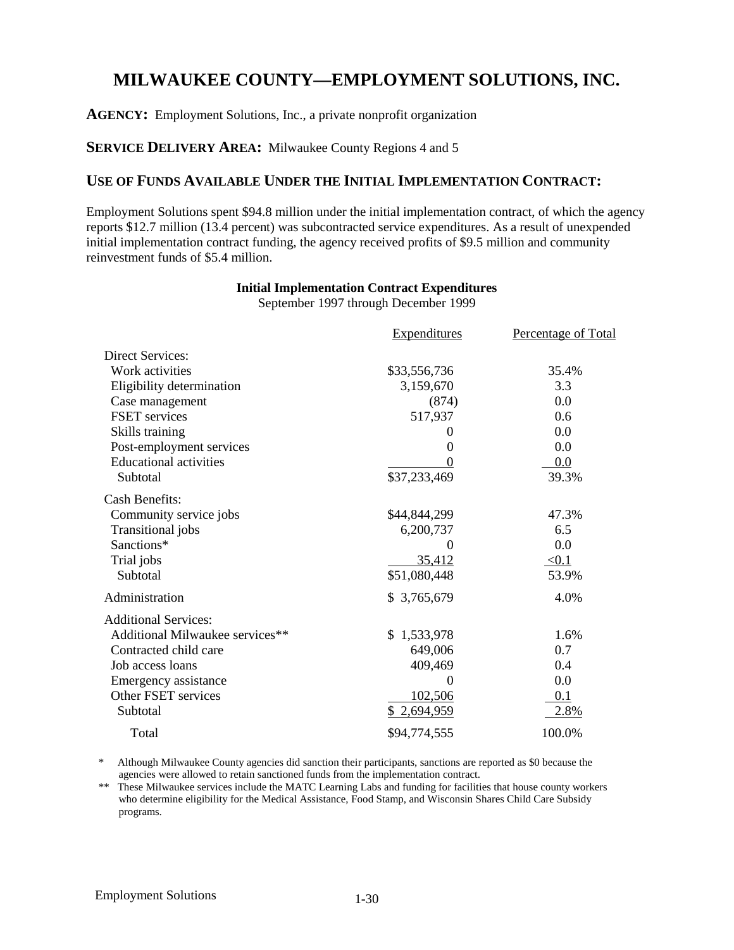## **MILWAUKEE COUNTY—EMPLOYMENT SOLUTIONS, INC.**

**AGENCY:** Employment Solutions, Inc., a private nonprofit organization

## **SERVICE DELIVERY AREA:** Milwaukee County Regions 4 and 5

## **USE OF FUNDS AVAILABLE UNDER THE INITIAL IMPLEMENTATION CONTRACT:**

Employment Solutions spent \$94.8 million under the initial implementation contract, of which the agency reports \$12.7 million (13.4 percent) was subcontracted service expenditures. As a result of unexpended initial implementation contract funding, the agency received profits of \$9.5 million and community reinvestment funds of \$5.4 million.

## **Initial Implementation Contract Expenditures**

September 1997 through December 1999

|                                 | <b>Expenditures</b> | Percentage of Total |
|---------------------------------|---------------------|---------------------|
| <b>Direct Services:</b>         |                     |                     |
| Work activities                 | \$33,556,736        | 35.4%               |
| Eligibility determination       | 3,159,670           | 3.3                 |
| Case management                 | (874)               | 0.0                 |
| <b>FSET</b> services            | 517,937             | 0.6                 |
| Skills training                 | 0                   | 0.0                 |
| Post-employment services        | 0                   | 0.0                 |
| <b>Educational activities</b>   |                     | 0.0                 |
| Subtotal                        | \$37,233,469        | 39.3%               |
| Cash Benefits:                  |                     |                     |
| Community service jobs          | \$44,844,299        | 47.3%               |
| Transitional jobs               | 6,200,737           | 6.5                 |
| Sanctions*                      |                     | 0.0                 |
| Trial jobs                      | 35,412              | < 0.1               |
| Subtotal                        | \$51,080,448        | 53.9%               |
| Administration                  | \$3,765,679         | 4.0%                |
| <b>Additional Services:</b>     |                     |                     |
| Additional Milwaukee services** | \$1,533,978         | 1.6%                |
| Contracted child care           | 649,006             | 0.7                 |
| Job access loans                | 409,469             | 0.4                 |
| Emergency assistance            | $\theta$            | 0.0                 |
| Other FSET services             | 102,506             | 0.1                 |
| Subtotal                        | \$2,694,959         | 2.8%                |
| Total                           | \$94,774,555        | 100.0%              |

\* Although Milwaukee County agencies did sanction their participants, sanctions are reported as \$0 because the agencies were allowed to retain sanctioned funds from the implementation contract.

\*\* These Milwaukee services include the MATC Learning Labs and funding for facilities that house county workers who determine eligibility for the Medical Assistance, Food Stamp, and Wisconsin Shares Child Care Subsidy programs.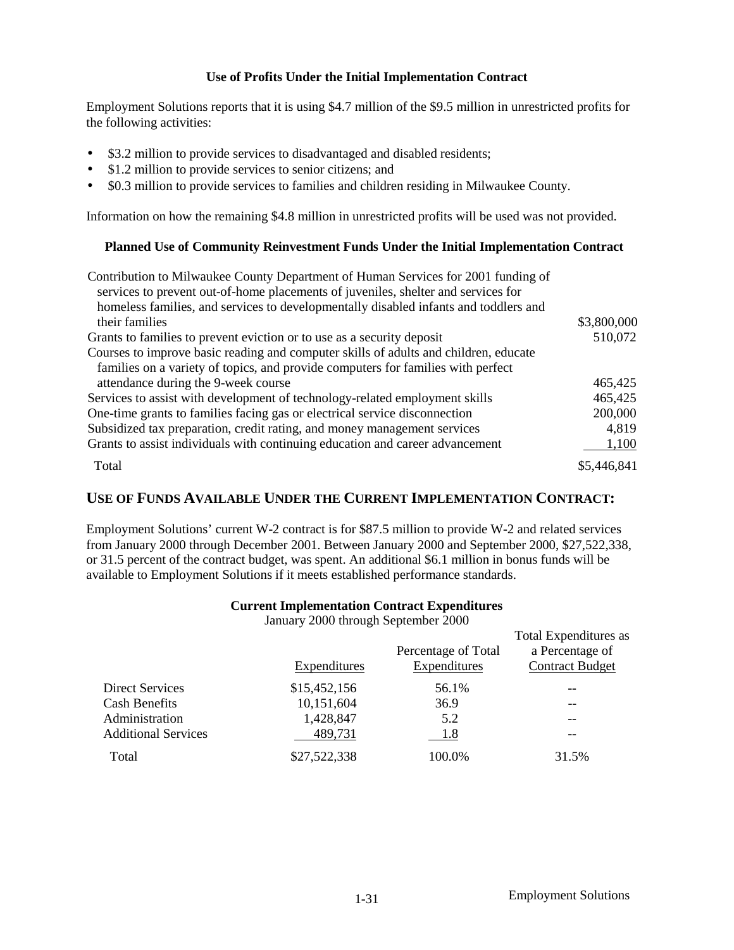Employment Solutions reports that it is using \$4.7 million of the \$9.5 million in unrestricted profits for the following activities:

- \$3.2 million to provide services to disadvantaged and disabled residents;
- \$1.2 million to provide services to senior citizens; and
- \$0.3 million to provide services to families and children residing in Milwaukee County.

Information on how the remaining \$4.8 million in unrestricted profits will be used was not provided.

#### **Planned Use of Community Reinvestment Funds Under the Initial Implementation Contract**

| Contribution to Milwaukee County Department of Human Services for 2001 funding of<br>services to prevent out-of-home placements of juveniles, shelter and services for |             |
|------------------------------------------------------------------------------------------------------------------------------------------------------------------------|-------------|
| homeless families, and services to developmentally disabled infants and toddlers and                                                                                   |             |
| their families                                                                                                                                                         | \$3,800,000 |
| Grants to families to prevent eviction or to use as a security deposit                                                                                                 | 510,072     |
| Courses to improve basic reading and computer skills of adults and children, educate                                                                                   |             |
| families on a variety of topics, and provide computers for families with perfect                                                                                       |             |
| attendance during the 9-week course                                                                                                                                    | 465,425     |
| Services to assist with development of technology-related employment skills                                                                                            | 465,425     |
| One-time grants to families facing gas or electrical service disconnection                                                                                             | 200,000     |
| Subsidized tax preparation, credit rating, and money management services                                                                                               | 4,819       |
| Grants to assist individuals with continuing education and career advancement                                                                                          | 1,100       |
| Total                                                                                                                                                                  | \$5,446,841 |

## **USE OF FUNDS AVAILABLE UNDER THE CURRENT IMPLEMENTATION CONTRACT:**

Employment Solutions' current W-2 contract is for \$87.5 million to provide W-2 and related services from January 2000 through December 2001. Between January 2000 and September 2000, \$27,522,338, or 31.5 percent of the contract budget, was spent. An additional \$6.1 million in bonus funds will be available to Employment Solutions if it meets established performance standards.

#### **Current Implementation Contract Expenditures**

January 2000 through September 2000

|                     |                     | Total Expenditures as  |
|---------------------|---------------------|------------------------|
|                     | Percentage of Total | a Percentage of        |
| <b>Expenditures</b> | <b>Expenditures</b> | <b>Contract Budget</b> |
| \$15,452,156        | 56.1%               |                        |
| 10,151,604          | 36.9                |                        |
| 1,428,847           | 5.2                 | $- -$                  |
| 489,731             | 1.8                 | $- -$                  |
| \$27,522,338        | 100.0%              | 31.5%                  |
|                     |                     |                        |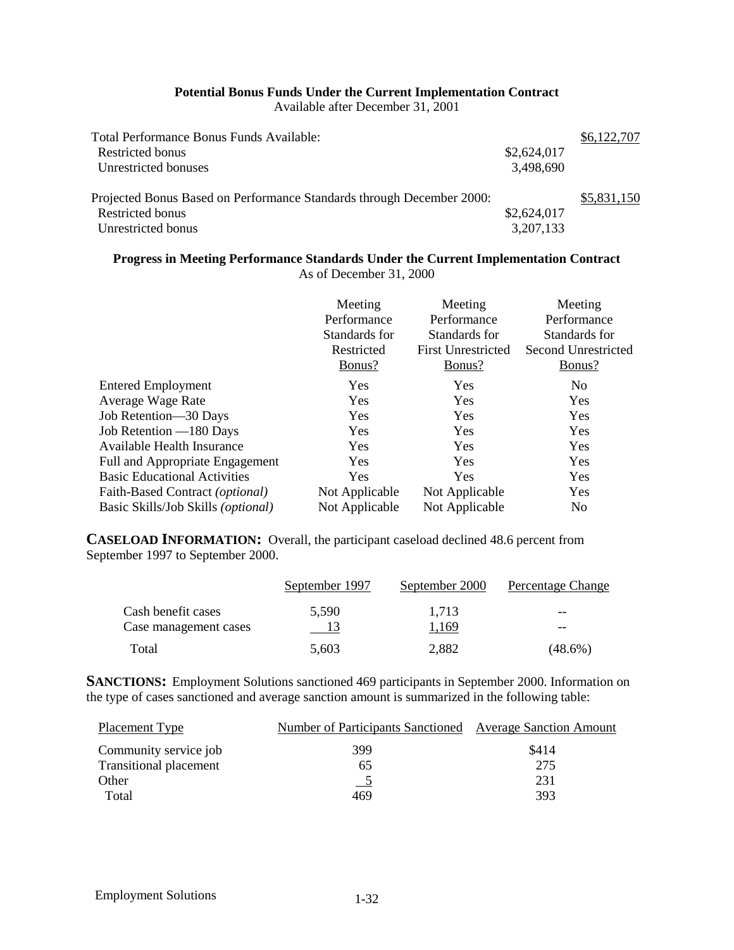#### **Potential Bonus Funds Under the Current Implementation Contract**

Available after December 31, 2001

| Total Performance Bonus Funds Available:                              |             | \$6,122,707 |
|-----------------------------------------------------------------------|-------------|-------------|
| Restricted bonus                                                      | \$2,624,017 |             |
| Unrestricted bonuses                                                  | 3,498,690   |             |
| Projected Bonus Based on Performance Standards through December 2000: |             | \$5,831,150 |
| Restricted bonus                                                      | \$2,624,017 |             |
| Unrestricted bonus                                                    | 3,207,133   |             |

#### **Progress in Meeting Performance Standards Under the Current Implementation Contract** As of December 31, 2000

|                                     | Meeting<br>Performance<br>Standards for<br>Restricted<br>Bonus? | Meeting<br>Performance<br>Standards for<br><b>First Unrestricted</b><br>Bonus? | Meeting<br>Performance<br>Standards for<br>Second Unrestricted<br>Bonus? |
|-------------------------------------|-----------------------------------------------------------------|--------------------------------------------------------------------------------|--------------------------------------------------------------------------|
| <b>Entered Employment</b>           | Yes                                                             | Yes                                                                            | N <sub>0</sub>                                                           |
| Average Wage Rate                   | Yes                                                             | <b>Yes</b>                                                                     | Yes                                                                      |
| Job Retention-30 Days               | Yes                                                             | Yes                                                                            | Yes                                                                      |
| Job Retention -180 Days             | <b>Yes</b>                                                      | <b>Yes</b>                                                                     | Yes                                                                      |
| Available Health Insurance          | Yes                                                             | Yes                                                                            | Yes                                                                      |
| Full and Appropriate Engagement     | Yes                                                             | Yes                                                                            | Yes                                                                      |
| <b>Basic Educational Activities</b> | Yes                                                             | <b>Yes</b>                                                                     | Yes                                                                      |
| Faith-Based Contract (optional)     | Not Applicable                                                  | Not Applicable                                                                 | Yes                                                                      |
| Basic Skills/Job Skills (optional)  | Not Applicable                                                  | Not Applicable                                                                 | N <sub>0</sub>                                                           |

**CASELOAD INFORMATION:** Overall, the participant caseload declined 48.6 percent from September 1997 to September 2000.

|                       | September 1997 | September 2000 | Percentage Change |
|-----------------------|----------------|----------------|-------------------|
| Cash benefit cases    | 5.590          | 1.713          | $- -$             |
| Case management cases |                | 1,169          | $- -$             |
| Total                 | 5,603          | 2,882          | (48.6%)           |

**SANCTIONS:** Employment Solutions sanctioned 469 participants in September 2000. Information on the type of cases sanctioned and average sanction amount is summarized in the following table:

| <b>Placement Type</b>         | Number of Participants Sanctioned Average Sanction Amount |       |
|-------------------------------|-----------------------------------------------------------|-------|
| Community service job         | 399                                                       | \$414 |
| <b>Transitional placement</b> | 65                                                        | 275   |
| Other                         |                                                           | 231   |
| Total                         | 469                                                       | 393   |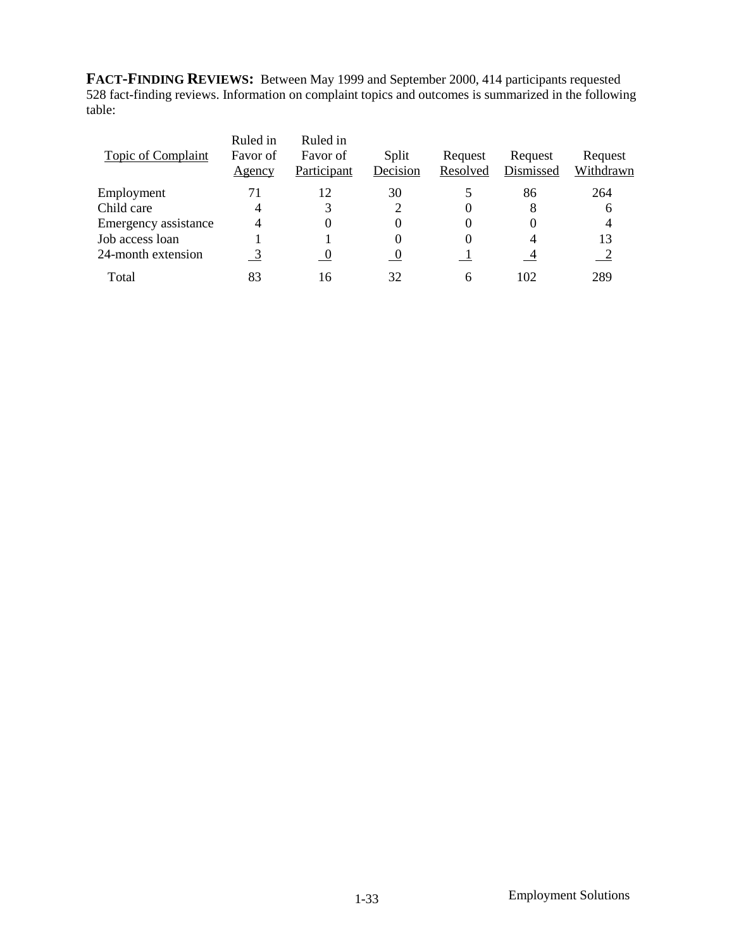**FACT-FINDING REVIEWS:** Between May 1999 and September 2000, 414 participants requested 528 fact-finding reviews. Information on complaint topics and outcomes is summarized in the following table:

| Topic of Complaint   | Ruled in<br>Favor of<br>Agency | Ruled in<br>Favor of<br>Participant | Split<br>Decision | Request<br>Resolved | Request<br>Dismissed | Request<br>Withdrawn |
|----------------------|--------------------------------|-------------------------------------|-------------------|---------------------|----------------------|----------------------|
| Employment           | 71                             | 12                                  | 30                |                     | 86                   | 264                  |
| Child care           | 4                              | 3                                   |                   |                     | 8                    | 6                    |
| Emergency assistance | 4                              | $\theta$                            | 0                 |                     | 0                    |                      |
| Job access loan      |                                |                                     |                   |                     | 4                    | 13                   |
| 24-month extension   | $\overline{3}$                 |                                     | <sup>0</sup>      |                     |                      |                      |
| Total                | 83                             | 16                                  | 32                | 6                   | 102                  | 289                  |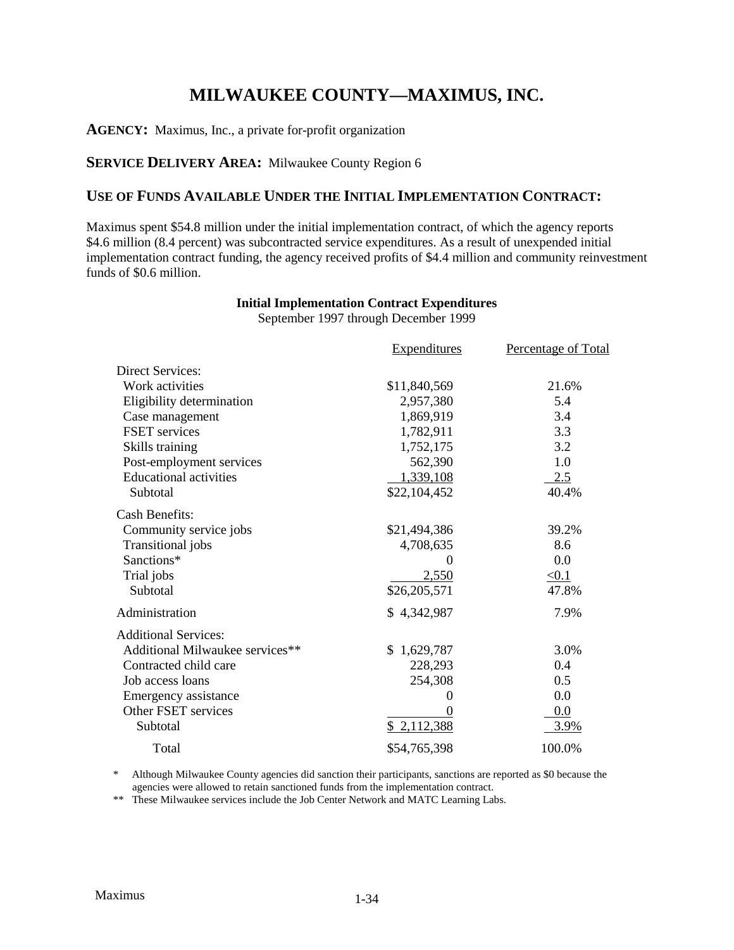## **MILWAUKEE COUNTY—MAXIMUS, INC.**

**AGENCY:** Maximus, Inc., a private for-profit organization

## **SERVICE DELIVERY AREA:** Milwaukee County Region 6

## **USE OF FUNDS AVAILABLE UNDER THE INITIAL IMPLEMENTATION CONTRACT:**

Maximus spent \$54.8 million under the initial implementation contract, of which the agency reports \$4.6 million (8.4 percent) was subcontracted service expenditures. As a result of unexpended initial implementation contract funding, the agency received profits of \$4.4 million and community reinvestment funds of \$0.6 million.

## **Initial Implementation Contract Expenditures**

September 1997 through December 1999

|                                 | <b>Expenditures</b> | Percentage of Total |
|---------------------------------|---------------------|---------------------|
| <b>Direct Services:</b>         |                     |                     |
| Work activities                 | \$11,840,569        | 21.6%               |
| Eligibility determination       | 2,957,380           | 5.4                 |
| Case management                 | 1,869,919           | 3.4                 |
| <b>FSET</b> services            | 1,782,911           | 3.3                 |
| Skills training                 | 1,752,175           | 3.2                 |
| Post-employment services        | 562,390             | 1.0                 |
| <b>Educational activities</b>   | 1,339,108           | 2.5                 |
| Subtotal                        | \$22,104,452        | 40.4%               |
| <b>Cash Benefits:</b>           |                     |                     |
| Community service jobs          | \$21,494,386        | 39.2%               |
| Transitional jobs               | 4,708,635           | 8.6                 |
| Sanctions*                      | $\theta$            | 0.0                 |
| Trial jobs                      | 2,550               | $\leq 0.1$          |
| Subtotal                        | \$26,205,571        | 47.8%               |
| Administration                  | \$4,342,987         | 7.9%                |
| <b>Additional Services:</b>     |                     |                     |
| Additional Milwaukee services** | \$1,629,787         | 3.0%                |
| Contracted child care           | 228,293             | 0.4                 |
| Job access loans                | 254,308             | 0.5                 |
| Emergency assistance            | 0                   | 0.0                 |
| <b>Other FSET services</b>      |                     | 0.0                 |
| Subtotal                        | \$2,112,388         | 3.9%                |
| Total                           | \$54,765,398        | 100.0%              |

\* Although Milwaukee County agencies did sanction their participants, sanctions are reported as \$0 because the agencies were allowed to retain sanctioned funds from the implementation contract.

\*\* These Milwaukee services include the Job Center Network and MATC Learning Labs.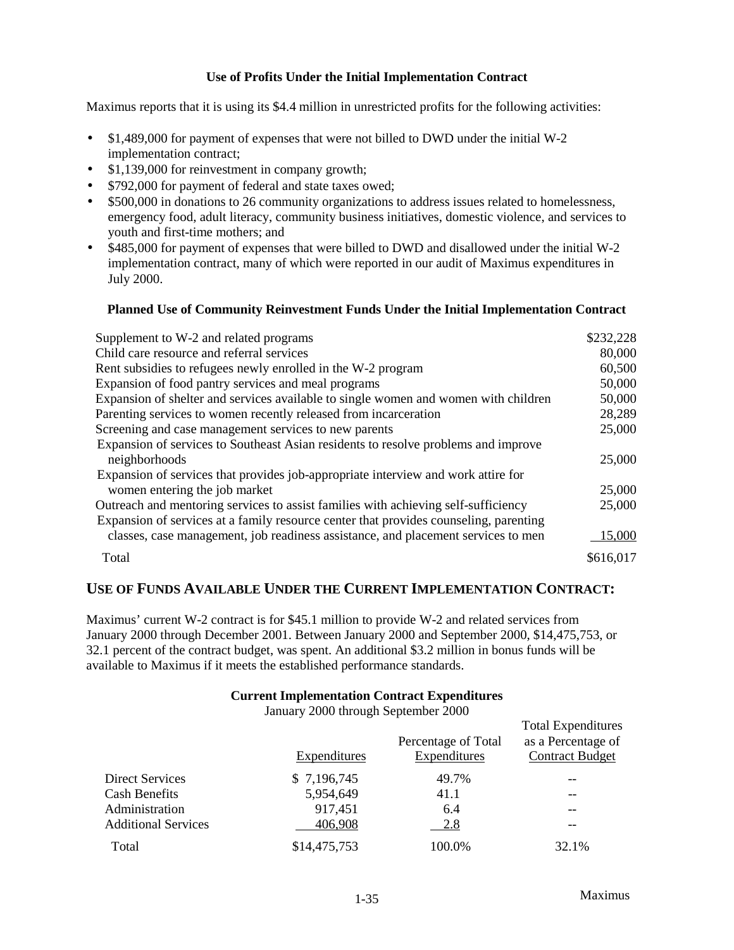Maximus reports that it is using its \$4.4 million in unrestricted profits for the following activities:

- \$1,489,000 for payment of expenses that were not billed to DWD under the initial W-2 implementation contract;
- \$1,139,000 for reinvestment in company growth;
- \$792,000 for payment of federal and state taxes owed;
- \$500,000 in donations to 26 community organizations to address issues related to homelessness, emergency food, adult literacy, community business initiatives, domestic violence, and services to youth and first-time mothers; and
- \$485,000 for payment of expenses that were billed to DWD and disallowed under the initial W-2 implementation contract, many of which were reported in our audit of Maximus expenditures in July 2000.

#### **Planned Use of Community Reinvestment Funds Under the Initial Implementation Contract**

| Supplement to W-2 and related programs                                                | \$232,228 |
|---------------------------------------------------------------------------------------|-----------|
| Child care resource and referral services                                             | 80,000    |
| Rent subsidies to refugees newly enrolled in the W-2 program                          | 60,500    |
| Expansion of food pantry services and meal programs                                   | 50,000    |
| Expansion of shelter and services available to single women and women with children   | 50,000    |
| Parenting services to women recently released from incarceration                      | 28,289    |
| Screening and case management services to new parents                                 | 25,000    |
| Expansion of services to Southeast Asian residents to resolve problems and improve    |           |
| neighborhoods                                                                         | 25,000    |
| Expansion of services that provides job-appropriate interview and work attire for     |           |
| women entering the job market                                                         | 25,000    |
| Outreach and mentoring services to assist families with achieving self-sufficiency    | 25,000    |
| Expansion of services at a family resource center that provides counseling, parenting |           |
| classes, case management, job readiness assistance, and placement services to men     | 15,000    |
| Total                                                                                 | \$616,017 |

## **USE OF FUNDS AVAILABLE UNDER THE CURRENT IMPLEMENTATION CONTRACT:**

Maximus' current W-2 contract is for \$45.1 million to provide W-2 and related services from January 2000 through December 2001. Between January 2000 and September 2000, \$14,475,753, or 32.1 percent of the contract budget, was spent. An additional \$3.2 million in bonus funds will be available to Maximus if it meets the established performance standards.

#### **Current Implementation Contract Expenditures**

January 2000 through September 2000

|                            | Expenditures | Percentage of Total<br>Expenditures | <b>Total Expenditures</b><br>as a Percentage of<br><b>Contract Budget</b> |
|----------------------------|--------------|-------------------------------------|---------------------------------------------------------------------------|
| <b>Direct Services</b>     | \$7,196,745  | 49.7%                               | --                                                                        |
| <b>Cash Benefits</b>       | 5,954,649    | 41.1                                | $- -$                                                                     |
| Administration             | 917,451      | 6.4                                 | $- -$                                                                     |
| <b>Additional Services</b> | 406,908      | 2.8                                 | --                                                                        |
| Total                      | \$14,475,753 | 100.0%                              | 32.1%                                                                     |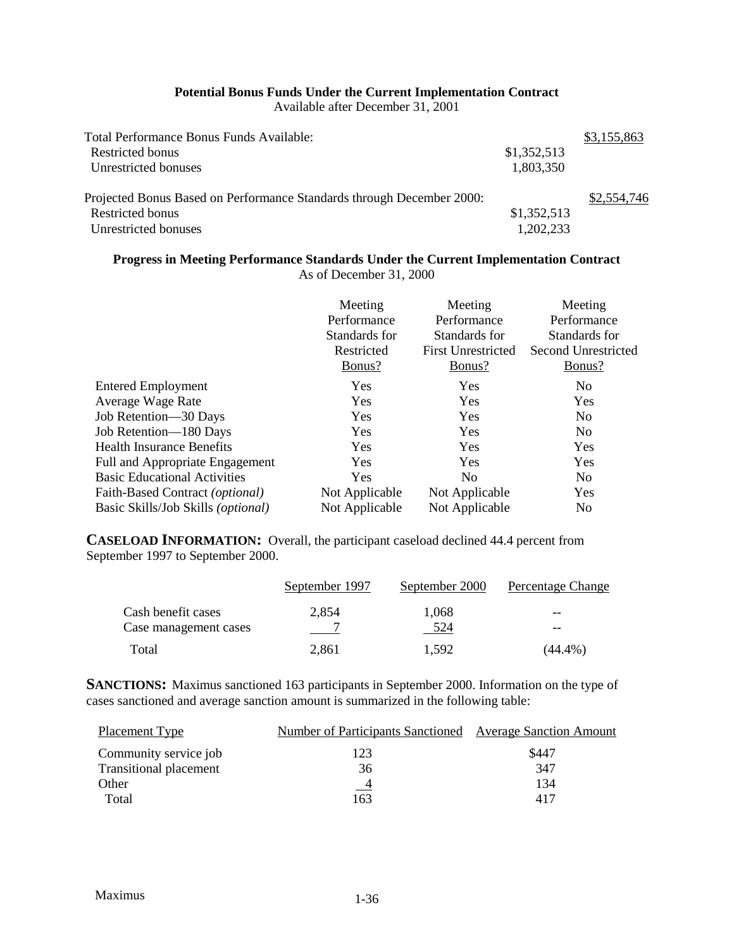#### **Potential Bonus Funds Under the Current Implementation Contract**

Available after December 31, 2001

| Total Performance Bonus Funds Available:                              |             | \$3,155,863 |
|-----------------------------------------------------------------------|-------------|-------------|
| Restricted bonus                                                      | \$1,352,513 |             |
| Unrestricted bonuses                                                  | 1,803,350   |             |
| Projected Bonus Based on Performance Standards through December 2000: |             | \$2,554,746 |
| Restricted bonus                                                      | \$1,352,513 |             |
| Unrestricted bonuses                                                  | 1,202,233   |             |

## **Progress in Meeting Performance Standards Under the Current Implementation Contract**

As of December 31, 2000

|                                             | Meeting<br>Performance<br>Standards for<br>Restricted<br>Bonus? | Meeting<br>Performance<br>Standards for<br><b>First Unrestricted</b><br>Bonus? | Meeting<br>Performance<br>Standards for<br>Second Unrestricted<br>Bonus? |
|---------------------------------------------|-----------------------------------------------------------------|--------------------------------------------------------------------------------|--------------------------------------------------------------------------|
| <b>Entered Employment</b>                   | Yes                                                             | Yes                                                                            | N <sub>0</sub>                                                           |
| Average Wage Rate                           | Yes                                                             | <b>Yes</b>                                                                     | Yes                                                                      |
| Job Retention-30 Days                       | <b>Yes</b>                                                      | <b>Yes</b>                                                                     | N <sub>0</sub>                                                           |
| Job Retention-180 Days                      | <b>Yes</b>                                                      | <b>Yes</b>                                                                     | N <sub>0</sub>                                                           |
| <b>Health Insurance Benefits</b>            | Yes                                                             | <b>Yes</b>                                                                     | Yes                                                                      |
| <b>Full and Appropriate Engagement</b>      | <b>Yes</b>                                                      | Yes                                                                            | Yes                                                                      |
| <b>Basic Educational Activities</b>         | Yes                                                             | No                                                                             | N <sub>0</sub>                                                           |
| Faith-Based Contract (optional)             | Not Applicable                                                  | Not Applicable                                                                 | Yes                                                                      |
| Basic Skills/Job Skills ( <i>optional</i> ) | Not Applicable                                                  | Not Applicable                                                                 | N <sub>0</sub>                                                           |

**CASELOAD INFORMATION:** Overall, the participant caseload declined 44.4 percent from September 1997 to September 2000.

|                                             | September 1997 | September 2000 | <b>Percentage Change</b> |
|---------------------------------------------|----------------|----------------|--------------------------|
| Cash benefit cases<br>Case management cases | 2.854          | 1.068<br>524   | $- -$<br>--              |
| Total                                       | 2,861          | 1.592          | (44.4%)                  |

**SANCTIONS:** Maximus sanctioned 163 participants in September 2000. Information on the type of cases sanctioned and average sanction amount is summarized in the following table:

| Placement Type                | Number of Participants Sanctioned Average Sanction Amount |       |
|-------------------------------|-----------------------------------------------------------|-------|
| Community service job         | 123                                                       | \$447 |
| <b>Transitional placement</b> | 36                                                        | 347   |
| Other                         | $^{\circ}$                                                | 134   |
| Total                         | 163                                                       | 417   |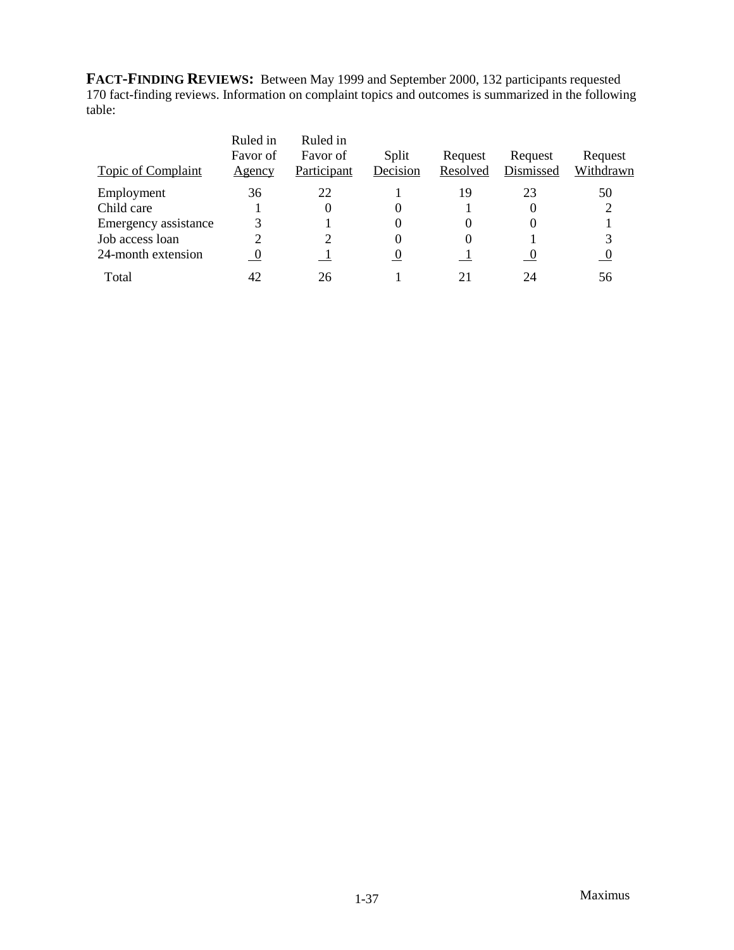**FACT-FINDING REVIEWS:** Between May 1999 and September 2000, 132 participants requested 170 fact-finding reviews. Information on complaint topics and outcomes is summarized in the following table:

| Topic of Complaint   | Ruled in<br>Favor of<br>Agency | Ruled in<br>Favor of<br>Participant | Split<br>Decision   | Request<br>Resolved | Request<br>Dismissed | Request<br>Withdrawn |
|----------------------|--------------------------------|-------------------------------------|---------------------|---------------------|----------------------|----------------------|
| Employment           | 36                             | 22                                  |                     | 19                  | 23                   | 50                   |
| Child care           |                                | 0                                   | O                   |                     | 0                    |                      |
| Emergency assistance |                                |                                     | 0                   |                     |                      |                      |
| Job access loan      |                                |                                     | 0                   |                     |                      |                      |
| 24-month extension   | $\overline{0}$                 |                                     | <u><sub>0</sub></u> |                     | $\frac{0}{1}$        | $\overline{0}$       |
| Total                | 42                             | 26                                  |                     | 21                  | 24                   | 56                   |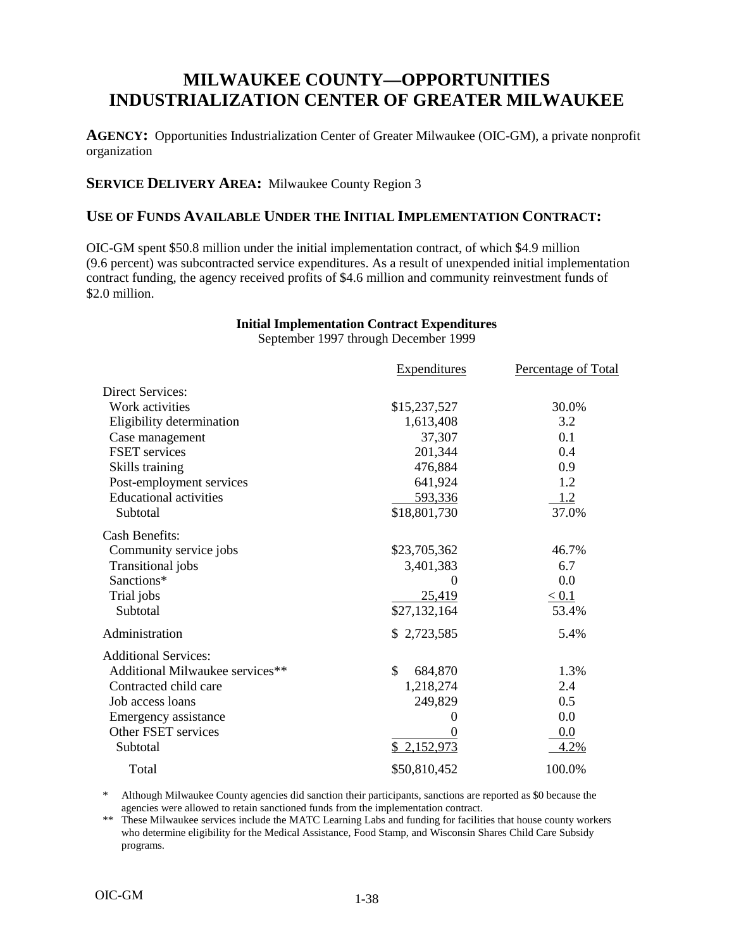## **MILWAUKEE COUNTY—OPPORTUNITIES INDUSTRIALIZATION CENTER OF GREATER MILWAUKEE**

**AGENCY:** Opportunities Industrialization Center of Greater Milwaukee (OIC-GM), a private nonprofit organization

## **SERVICE DELIVERY AREA:** Milwaukee County Region 3

## **USE OF FUNDS AVAILABLE UNDER THE INITIAL IMPLEMENTATION CONTRACT:**

OIC-GM spent \$50.8 million under the initial implementation contract, of which \$4.9 million (9.6 percent) was subcontracted service expenditures. As a result of unexpended initial implementation contract funding, the agency received profits of \$4.6 million and community reinvestment funds of \$2.0 million.

#### **Initial Implementation Contract Expenditures** September 1997 through December 1999

Expenditures Percentage of Total Direct Services: Work activities  $$15,237,527$  30.0% Eligibility determination 1,613,408 3.2 Case management 37,307 0.1 FSET services and 201,344 0.4 Skills training  $\qquad \qquad \qquad 476,884 \qquad \qquad \qquad 0.9$ Post-employment services 641,924 1.2<br>Educational activities 593,336 1.2 Educational activities 693.336 1.2 Subtotal \$18,801,730 37.0% Cash Benefits: Community service jobs \$23,705,362 46.7% Transitional jobs 3,401,383 6.7 Sanctions\* 0 0.0 Trial jobs  $\frac{25,419}{5,419}$   $\leq 0.1$ Subtotal  $$27,132,164$   $$53.4\%$ Administration 5.4% Additional Services: Additional Milwaukee services\*\*  $\qquad$  \$ 684,870  $\qquad$  1.3% Contracted child care 1,218,274 2.4 Job access loans 249,829 0.5 Emergency assistance 0 0.0 Other FSET services 0 0.0 Subtotal  $\frac{$2,152,973}{4.2\%}$ Total \$50,810,452 100.0%

Although Milwaukee County agencies did sanction their participants, sanctions are reported as \$0 because the agencies were allowed to retain sanctioned funds from the implementation contract.

\*\* These Milwaukee services include the MATC Learning Labs and funding for facilities that house county workers who determine eligibility for the Medical Assistance, Food Stamp, and Wisconsin Shares Child Care Subsidy programs.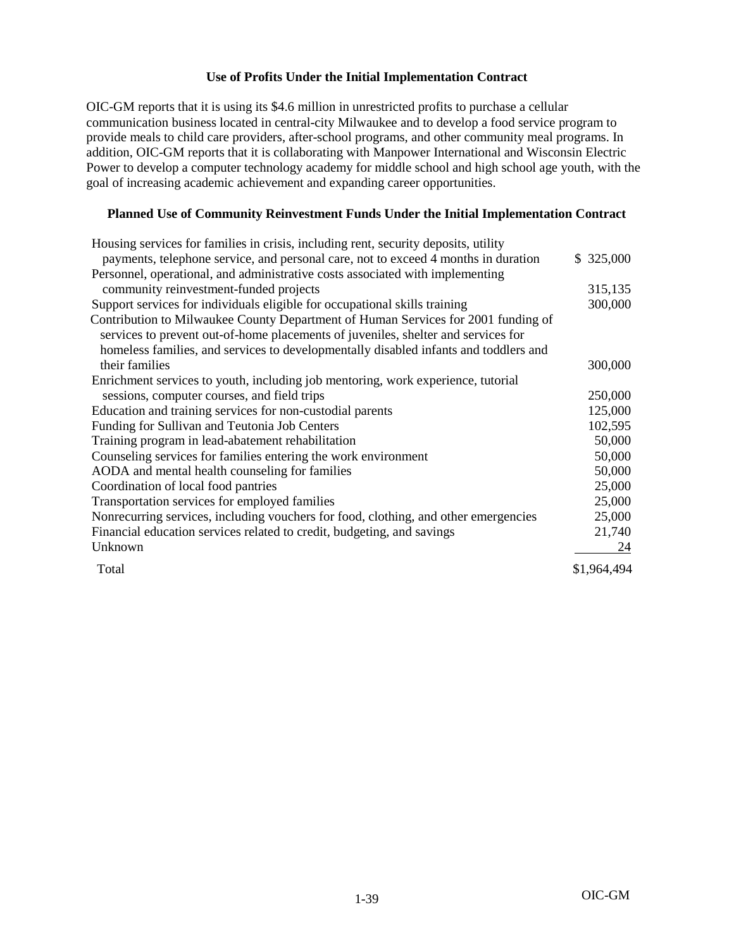OIC-GM reports that it is using its \$4.6 million in unrestricted profits to purchase a cellular communication business located in central-city Milwaukee and to develop a food service program to provide meals to child care providers, after-school programs, and other community meal programs. In addition, OIC-GM reports that it is collaborating with Manpower International and Wisconsin Electric Power to develop a computer technology academy for middle school and high school age youth, with the goal of increasing academic achievement and expanding career opportunities.

#### **Planned Use of Community Reinvestment Funds Under the Initial Implementation Contract**

| Housing services for families in crisis, including rent, security deposits, utility  |             |
|--------------------------------------------------------------------------------------|-------------|
| payments, telephone service, and personal care, not to exceed 4 months in duration   | \$325,000   |
| Personnel, operational, and administrative costs associated with implementing        |             |
| community reinvestment-funded projects                                               | 315,135     |
| Support services for individuals eligible for occupational skills training           | 300,000     |
| Contribution to Milwaukee County Department of Human Services for 2001 funding of    |             |
| services to prevent out-of-home placements of juveniles, shelter and services for    |             |
| homeless families, and services to developmentally disabled infants and toddlers and |             |
| their families                                                                       | 300,000     |
| Enrichment services to youth, including job mentoring, work experience, tutorial     |             |
| sessions, computer courses, and field trips                                          | 250,000     |
| Education and training services for non-custodial parents                            | 125,000     |
| Funding for Sullivan and Teutonia Job Centers                                        | 102,595     |
| Training program in lead-abatement rehabilitation                                    | 50,000      |
| Counseling services for families entering the work environment                       | 50,000      |
| AODA and mental health counseling for families                                       | 50,000      |
| Coordination of local food pantries                                                  | 25,000      |
| Transportation services for employed families                                        | 25,000      |
| Nonrecurring services, including vouchers for food, clothing, and other emergencies  | 25,000      |
| Financial education services related to credit, budgeting, and savings               | 21,740      |
| Unknown                                                                              | 24          |
| Total                                                                                | \$1,964,494 |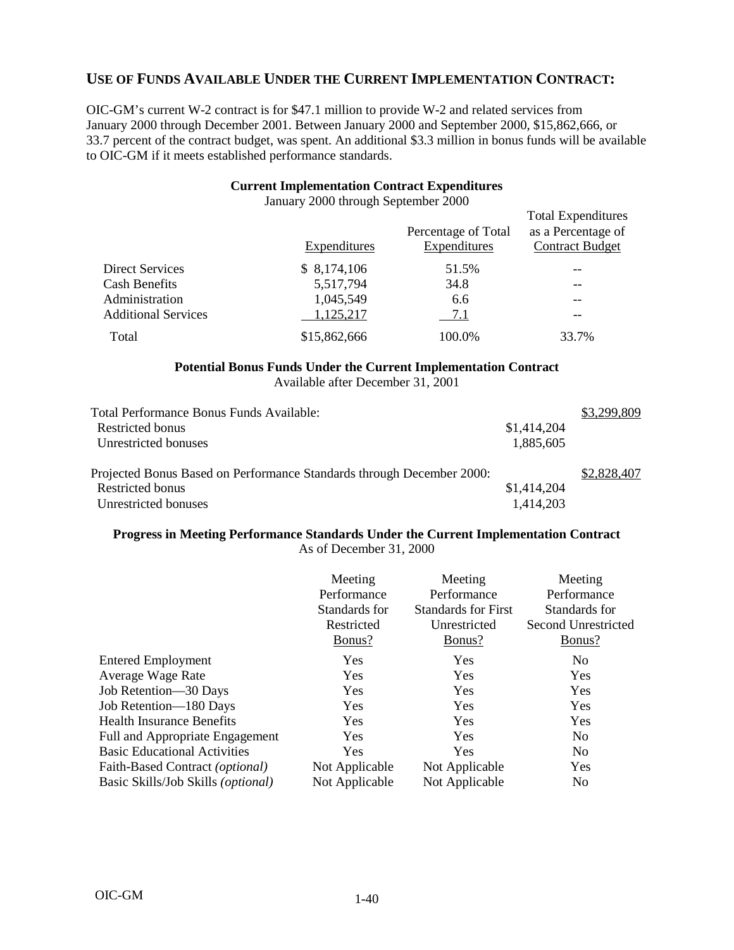## **USE OF FUNDS AVAILABLE UNDER THE CURRENT IMPLEMENTATION CONTRACT:**

OIC-GM's current W-2 contract is for \$47.1 million to provide W-2 and related services from January 2000 through December 2001. Between January 2000 and September 2000, \$15,862,666, or 33.7 percent of the contract budget, was spent. An additional \$3.3 million in bonus funds will be available to OIC-GM if it meets established performance standards.

#### **Current Implementation Contract Expenditures**

|                            | Expenditures | Percentage of Total<br>Expenditures | <b>Total Expenditures</b><br>as a Percentage of<br><b>Contract Budget</b> |
|----------------------------|--------------|-------------------------------------|---------------------------------------------------------------------------|
| <b>Direct Services</b>     | \$8,174,106  | 51.5%                               |                                                                           |
| Cash Benefits              | 5,517,794    | 34.8                                | --                                                                        |
| Administration             | 1,045,549    | 6.6                                 | --                                                                        |
| <b>Additional Services</b> | 1,125,217    | 7.1                                 | --                                                                        |
| Total                      | \$15,862,666 | 100.0%                              | 33.7%                                                                     |

January 2000 through September 2000

## **Potential Bonus Funds Under the Current Implementation Contract**

Available after December 31, 2001

|             | \$3,299,809 |
|-------------|-------------|
| \$1,414,204 |             |
| 1,885,605   |             |
|             |             |
|             | \$2,828,407 |
| \$1,414,204 |             |
| 1,414,203   |             |
|             |             |

#### **Progress in Meeting Performance Standards Under the Current Implementation Contract** As of December 31, 2000

|                                             | Meeting<br>Performance<br>Standards for<br>Restricted<br>Bonus? | Meeting<br>Performance<br><b>Standards for First</b><br>Unrestricted<br>Bonus? | Meeting<br>Performance<br>Standards for<br>Second Unrestricted<br>Bonus? |
|---------------------------------------------|-----------------------------------------------------------------|--------------------------------------------------------------------------------|--------------------------------------------------------------------------|
| <b>Entered Employment</b>                   | Yes                                                             | <b>Yes</b>                                                                     | N <sub>0</sub>                                                           |
| Average Wage Rate                           | Yes                                                             | Yes                                                                            | Yes                                                                      |
| Job Retention-30 Days                       | Yes                                                             | <b>Yes</b>                                                                     | Yes                                                                      |
| Job Retention-180 Days                      | Yes                                                             | <b>Yes</b>                                                                     | Yes                                                                      |
| <b>Health Insurance Benefits</b>            | Yes                                                             | Yes                                                                            | Yes                                                                      |
| <b>Full and Appropriate Engagement</b>      | Yes                                                             | <b>Yes</b>                                                                     | N <sub>0</sub>                                                           |
| <b>Basic Educational Activities</b>         | Yes                                                             | <b>Yes</b>                                                                     | N <sub>0</sub>                                                           |
| Faith-Based Contract (optional)             | Not Applicable                                                  | Not Applicable                                                                 | Yes                                                                      |
| Basic Skills/Job Skills ( <i>optional</i> ) | Not Applicable                                                  | Not Applicable                                                                 | N <sub>0</sub>                                                           |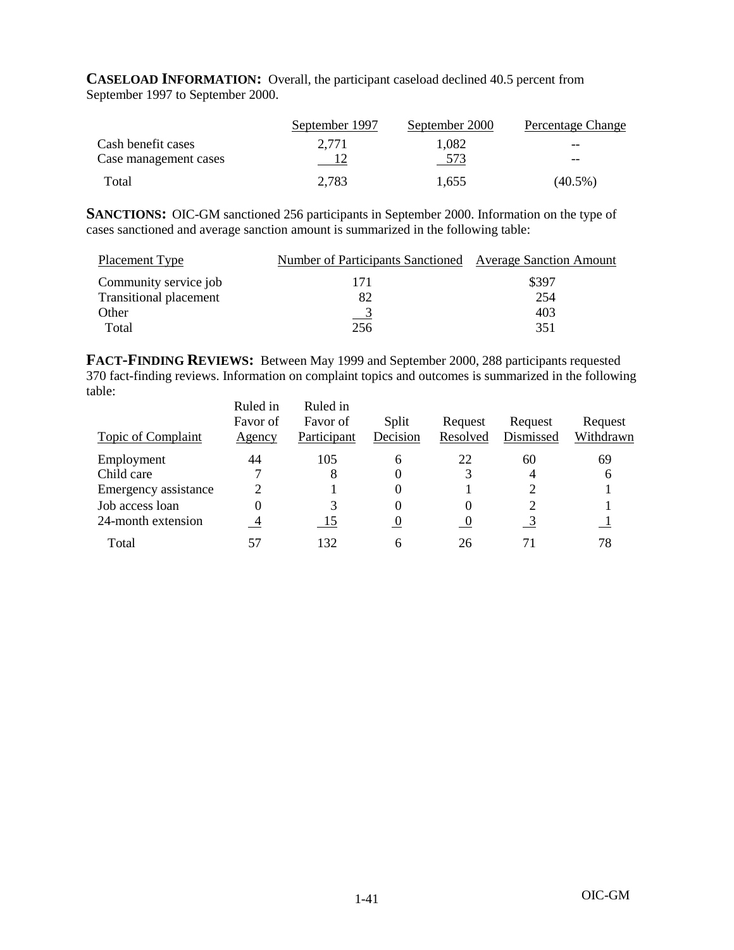**CASELOAD INFORMATION:** Overall, the participant caseload declined 40.5 percent from September 1997 to September 2000.

|                       | September 1997 | September 2000 | Percentage Change |
|-----------------------|----------------|----------------|-------------------|
| Cash benefit cases    | 2.771          | 1.082          | $- -$             |
| Case management cases |                | 573            | $- -$             |
| Total                 | 2,783          | 1,655          | $(40.5\%)$        |

**SANCTIONS:** OIC-GM sanctioned 256 participants in September 2000. Information on the type of cases sanctioned and average sanction amount is summarized in the following table:

| Placement Type                | Number of Participants Sanctioned Average Sanction Amount |       |
|-------------------------------|-----------------------------------------------------------|-------|
| Community service job         | 171                                                       | \$397 |
| <b>Transitional placement</b> | 82                                                        | 254   |
| Other                         | $\overline{\phantom{0}}^3$                                | 403   |
| Total                         | 256                                                       | 351   |

**FACT-FINDING REVIEWS:** Between May 1999 and September 2000, 288 participants requested 370 fact-finding reviews. Information on complaint topics and outcomes is summarized in the following table:

|                           | Ruled in       | Ruled in    |          |          |           |           |
|---------------------------|----------------|-------------|----------|----------|-----------|-----------|
|                           | Favor of       | Favor of    | Split    | Request  | Request   | Request   |
| <b>Topic of Complaint</b> | Agency         | Participant | Decision | Resolved | Dismissed | Withdrawn |
| Employment                | 44             | 105         | 6        | 22       | 60        | 69        |
| Child care                |                |             |          |          | 4         | 6         |
| Emergency assistance      | っ              |             | $\theta$ |          |           |           |
| Job access loan           | 0              |             | 0        |          |           |           |
| 24-month extension        | $\overline{4}$ | -15         | $\bf{0}$ | $\cup$   |           |           |
| Total                     | 57             | 132         |          | 26       | 71        | 78        |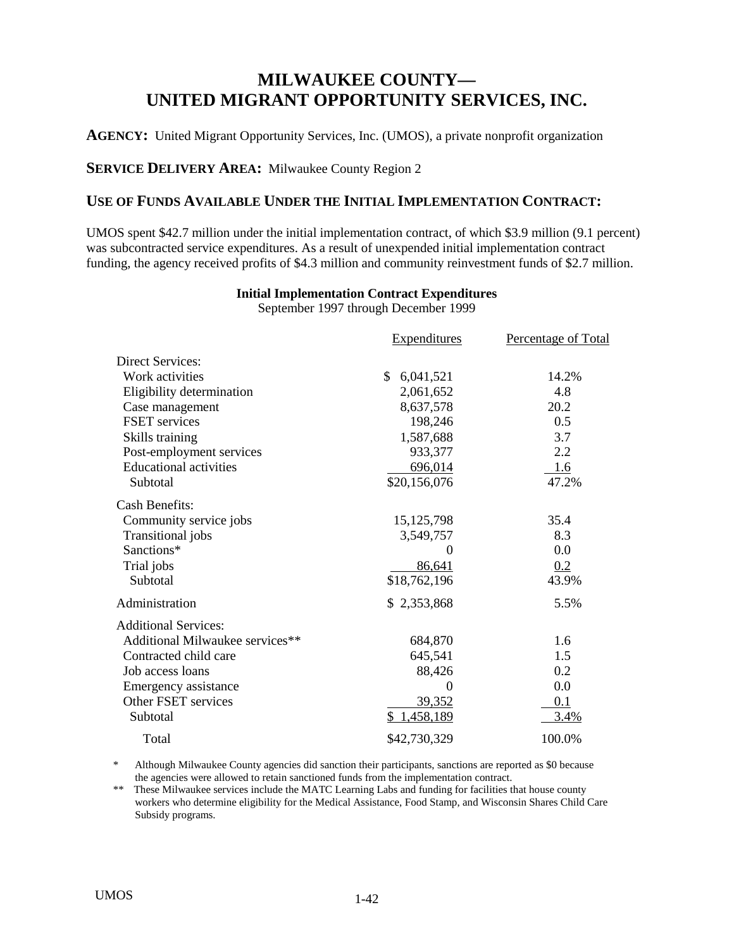## **MILWAUKEE COUNTY— UNITED MIGRANT OPPORTUNITY SERVICES, INC.**

**AGENCY:** United Migrant Opportunity Services, Inc. (UMOS), a private nonprofit organization

**SERVICE DELIVERY AREA:** Milwaukee County Region 2

## **USE OF FUNDS AVAILABLE UNDER THE INITIAL IMPLEMENTATION CONTRACT:**

UMOS spent \$42.7 million under the initial implementation contract, of which \$3.9 million (9.1 percent) was subcontracted service expenditures. As a result of unexpended initial implementation contract funding, the agency received profits of \$4.3 million and community reinvestment funds of \$2.7 million.

#### **Initial Implementation Contract Expenditures**

September 1997 through December 1999

|                                 | <b>Expenditures</b> | Percentage of Total |
|---------------------------------|---------------------|---------------------|
| <b>Direct Services:</b>         |                     |                     |
| Work activities                 | 6,041,521<br>\$     | 14.2%               |
| Eligibility determination       | 2,061,652           | 4.8                 |
| Case management                 | 8,637,578           | 20.2                |
| <b>FSET</b> services            | 198,246             | 0.5                 |
| Skills training                 | 1,587,688           | 3.7                 |
| Post-employment services        | 933,377             | 2.2                 |
| <b>Educational activities</b>   | 696,014             | 1.6                 |
| Subtotal                        | \$20,156,076        | 47.2%               |
| <b>Cash Benefits:</b>           |                     |                     |
| Community service jobs          | 15, 125, 798        | 35.4                |
| Transitional jobs               | 3,549,757           | 8.3                 |
| Sanctions*                      | $\theta$            | 0.0                 |
| Trial jobs                      | 86,641              | 0.2                 |
| Subtotal                        | \$18,762,196        | 43.9%               |
| Administration                  | \$2,353,868         | 5.5%                |
| <b>Additional Services:</b>     |                     |                     |
| Additional Milwaukee services** | 684,870             | 1.6                 |
| Contracted child care           | 645,541             | 1.5                 |
| Job access loans                | 88,426              | 0.2                 |
| Emergency assistance            | $\boldsymbol{0}$    | 0.0                 |
| Other FSET services             | 39,352              | 0.1                 |
| Subtotal                        | \$1,458,189         | 3.4%                |
| Total                           | \$42,730,329        | 100.0%              |

Although Milwaukee County agencies did sanction their participants, sanctions are reported as \$0 because the agencies were allowed to retain sanctioned funds from the implementation contract.

\*\* These Milwaukee services include the MATC Learning Labs and funding for facilities that house county workers who determine eligibility for the Medical Assistance, Food Stamp, and Wisconsin Shares Child Care Subsidy programs.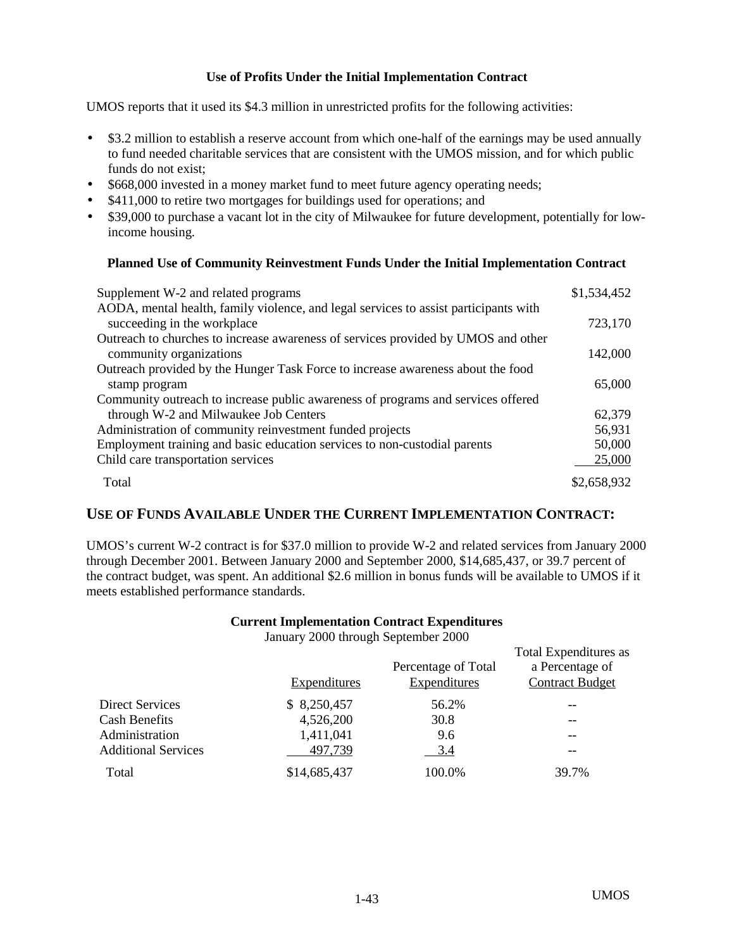UMOS reports that it used its \$4.3 million in unrestricted profits for the following activities:

- \$3.2 million to establish a reserve account from which one-half of the earnings may be used annually to fund needed charitable services that are consistent with the UMOS mission, and for which public funds do not exist;
- \$668,000 invested in a money market fund to meet future agency operating needs;
- \$411,000 to retire two mortgages for buildings used for operations; and
- \$39,000 to purchase a vacant lot in the city of Milwaukee for future development, potentially for lowincome housing.

#### **Planned Use of Community Reinvestment Funds Under the Initial Implementation Contract**

| Supplement W-2 and related programs                                                                                 | \$1,534,452 |
|---------------------------------------------------------------------------------------------------------------------|-------------|
| AODA, mental health, family violence, and legal services to assist participants with<br>succeeding in the workplace | 723,170     |
| Outreach to churches to increase awareness of services provided by UMOS and other                                   |             |
| community organizations                                                                                             | 142,000     |
| Outreach provided by the Hunger Task Force to increase awareness about the food                                     |             |
| stamp program                                                                                                       | 65,000      |
| Community outreach to increase public awareness of programs and services offered                                    |             |
| through W-2 and Milwaukee Job Centers                                                                               | 62,379      |
| Administration of community reinvestment funded projects                                                            | 56,931      |
| Employment training and basic education services to non-custodial parents                                           | 50,000      |
| Child care transportation services                                                                                  | 25,000      |
| Total                                                                                                               | \$2,658,932 |

## **USE OF FUNDS AVAILABLE UNDER THE CURRENT IMPLEMENTATION CONTRACT:**

UMOS's current W-2 contract is for \$37.0 million to provide W-2 and related services from January 2000 through December 2001. Between January 2000 and September 2000, \$14,685,437, or 39.7 percent of the contract budget, was spent. An additional \$2.6 million in bonus funds will be available to UMOS if it meets established performance standards.

#### **Current Implementation Contract Expenditures**

January 2000 through September 2000

|                            | Expenditures | Percentage of Total<br>Expenditures | <b>Total Expenditures as</b><br>a Percentage of<br><b>Contract Budget</b> |
|----------------------------|--------------|-------------------------------------|---------------------------------------------------------------------------|
| Direct Services            | \$8,250,457  | 56.2%                               |                                                                           |
| <b>Cash Benefits</b>       | 4,526,200    | 30.8                                |                                                                           |
| Administration             | 1,411,041    | 9.6                                 | --                                                                        |
| <b>Additional Services</b> | 497,739      | 3.4                                 | --                                                                        |
| Total                      | \$14,685,437 | 100.0%                              | 39.7%                                                                     |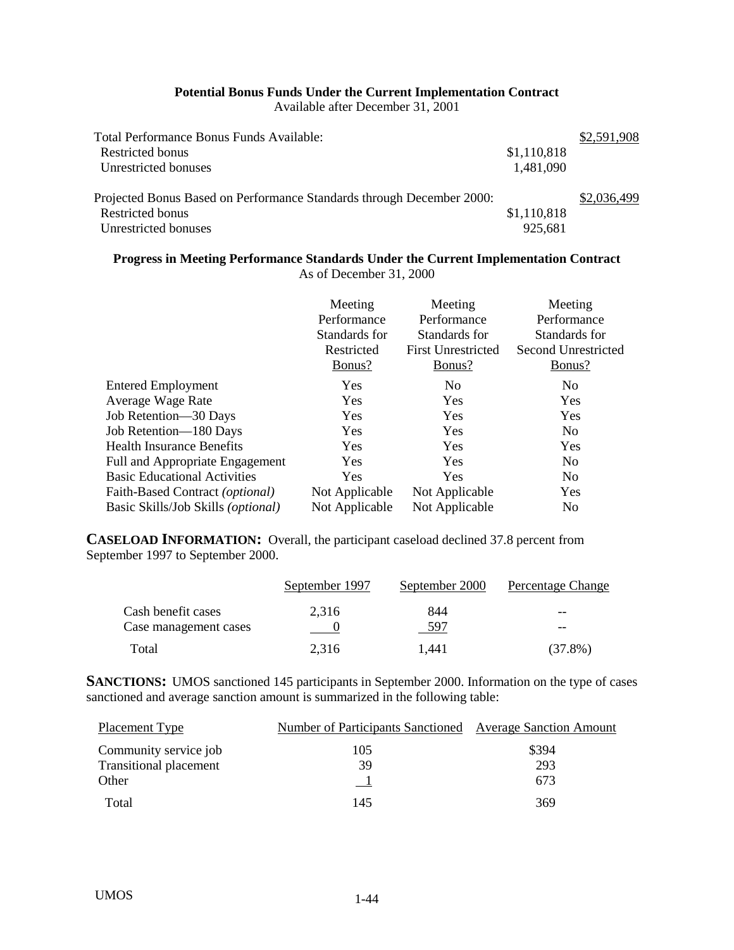## **Potential Bonus Funds Under the Current Implementation Contract**

Available after December 31, 2001

| Total Performance Bonus Funds Available:                              |             | \$2,591,908 |
|-----------------------------------------------------------------------|-------------|-------------|
| Restricted bonus                                                      | \$1,110,818 |             |
| Unrestricted bonuses                                                  | 1,481,090   |             |
|                                                                       |             |             |
| Projected Bonus Based on Performance Standards through December 2000: |             | \$2,036,499 |
| Restricted bonus                                                      | \$1,110,818 |             |
| Unrestricted bonuses                                                  | 925,681     |             |
|                                                                       |             |             |

## **Progress in Meeting Performance Standards Under the Current Implementation Contract** As of December 31, 2000

|                                     | Meeting<br>Performance<br>Standards for<br>Restricted<br>Bonus? | Meeting<br>Performance<br>Standards for<br><b>First Unrestricted</b><br>Bonus? | Meeting<br>Performance<br>Standards for<br>Second Unrestricted<br>Bonus? |
|-------------------------------------|-----------------------------------------------------------------|--------------------------------------------------------------------------------|--------------------------------------------------------------------------|
| <b>Entered Employment</b>           | <b>Yes</b>                                                      | N <sub>0</sub>                                                                 | N <sub>0</sub>                                                           |
| Average Wage Rate                   | Yes                                                             | Yes                                                                            | Yes                                                                      |
| Job Retention—30 Days               | <b>Yes</b>                                                      | <b>Yes</b>                                                                     | Yes                                                                      |
| Job Retention-180 Days              | <b>Yes</b>                                                      | <b>Yes</b>                                                                     | N <sub>0</sub>                                                           |
| Health Insurance Benefits           | <b>Yes</b>                                                      | <b>Yes</b>                                                                     | Yes                                                                      |
| Full and Appropriate Engagement     | <b>Yes</b>                                                      | <b>Yes</b>                                                                     | N <sub>0</sub>                                                           |
| <b>Basic Educational Activities</b> | <b>Yes</b>                                                      | <b>Yes</b>                                                                     | N <sub>0</sub>                                                           |
| Faith-Based Contract (optional)     | Not Applicable                                                  | Not Applicable                                                                 | Yes                                                                      |
| Basic Skills/Job Skills (optional)  | Not Applicable                                                  | Not Applicable                                                                 | N <sub>0</sub>                                                           |

**CASELOAD INFORMATION:** Overall, the participant caseload declined 37.8 percent from September 1997 to September 2000.

|                       | September 1997 | September 2000 | Percentage Change |
|-----------------------|----------------|----------------|-------------------|
| Cash benefit cases    | 2.316          | 844            | --                |
| Case management cases |                | 597            | --                |
| Total                 | 2.316          | 1.441          | $(37.8\%)$        |

**SANCTIONS:** UMOS sanctioned 145 participants in September 2000. Information on the type of cases sanctioned and average sanction amount is summarized in the following table:

| <b>Placement Type</b>         | <b>Number of Participants Sanctioned Average Sanction Amount</b> |       |
|-------------------------------|------------------------------------------------------------------|-------|
| Community service job         | 105                                                              | \$394 |
| <b>Transitional placement</b> | 39                                                               | 293   |
| Other                         |                                                                  | 673   |
| Total                         | 145                                                              | 369   |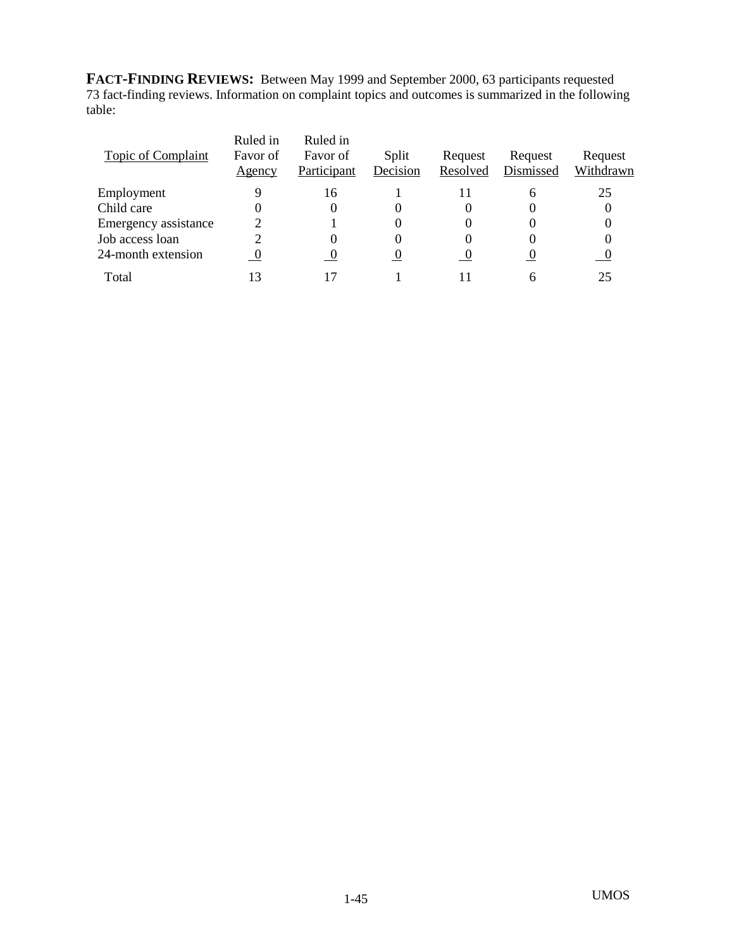**FACT-FINDING REVIEWS:** Between May 1999 and September 2000, 63 participants requested 73 fact-finding reviews. Information on complaint topics and outcomes is summarized in the following table:

| Topic of Complaint   | Ruled in<br>Favor of<br>Agency | Ruled in<br>Favor of<br>Participant | Split<br>Decision | Request<br>Resolved | Request<br>Dismissed | Request<br>Withdrawn |
|----------------------|--------------------------------|-------------------------------------|-------------------|---------------------|----------------------|----------------------|
| Employment           | 9                              | 16                                  |                   |                     | h                    | 25                   |
| Child care           | 0                              |                                     |                   |                     |                      |                      |
| Emergency assistance |                                |                                     |                   |                     | 0                    |                      |
| Job access loan      | 2                              |                                     |                   |                     |                      |                      |
| 24-month extension   | $\boldsymbol{0}$               | -0                                  |                   |                     |                      |                      |
| Total                | 13                             |                                     |                   |                     |                      | 25                   |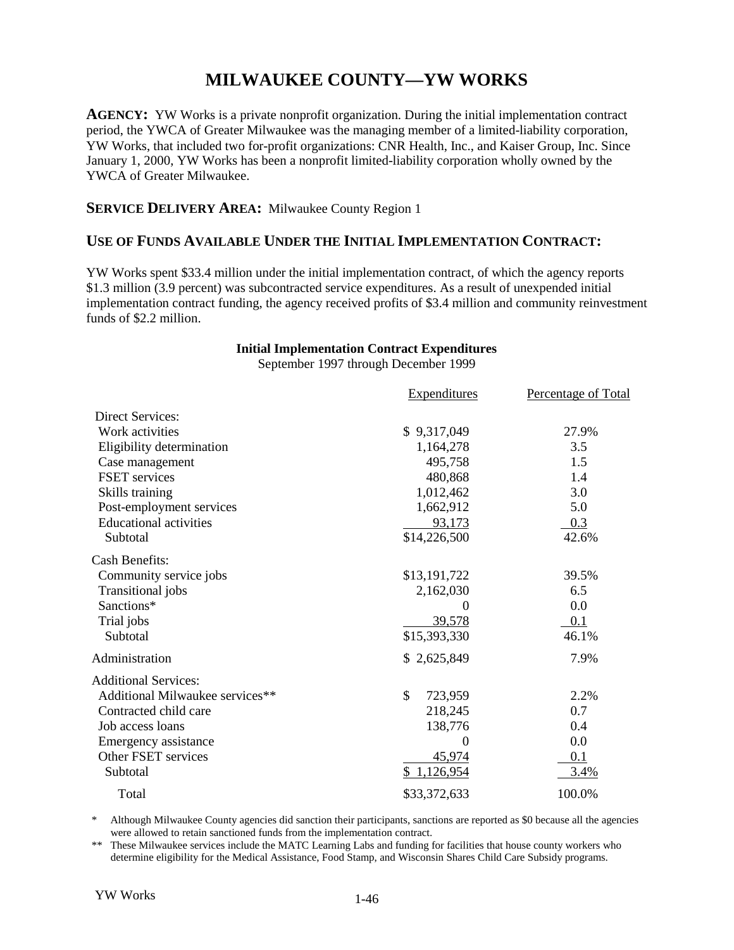## **MILWAUKEE COUNTY—YW WORKS**

**AGENCY:** YW Works is a private nonprofit organization. During the initial implementation contract period, the YWCA of Greater Milwaukee was the managing member of a limited-liability corporation, YW Works, that included two for-profit organizations: CNR Health, Inc., and Kaiser Group, Inc. Since January 1, 2000, YW Works has been a nonprofit limited-liability corporation wholly owned by the YWCA of Greater Milwaukee.

#### **SERVICE DELIVERY AREA:** Milwaukee County Region 1

#### **USE OF FUNDS AVAILABLE UNDER THE INITIAL IMPLEMENTATION CONTRACT:**

YW Works spent \$33.4 million under the initial implementation contract, of which the agency reports \$1.3 million (3.9 percent) was subcontracted service expenditures. As a result of unexpended initial implementation contract funding, the agency received profits of \$3.4 million and community reinvestment funds of \$2.2 million.

#### **Initial Implementation Contract Expenditures**

September 1997 through December 1999

|                                 | <b>Expenditures</b> | Percentage of Total |
|---------------------------------|---------------------|---------------------|
| <b>Direct Services:</b>         |                     |                     |
| Work activities                 | \$9,317,049         | 27.9%               |
| Eligibility determination       | 1,164,278           | 3.5                 |
| Case management                 | 495,758             | 1.5                 |
| FSET services                   | 480,868             | 1.4                 |
| Skills training                 | 1,012,462           | 3.0                 |
| Post-employment services        | 1,662,912           | 5.0                 |
| <b>Educational activities</b>   | 93,173              | 0.3                 |
| Subtotal                        | \$14,226,500        | 42.6%               |
| <b>Cash Benefits:</b>           |                     |                     |
| Community service jobs          | \$13,191,722        | 39.5%               |
| Transitional jobs               | 2,162,030           | 6.5                 |
| Sanctions*                      | 0                   | 0.0                 |
| Trial jobs                      | 39,578              | 0.1                 |
| Subtotal                        | \$15,393,330        | 46.1%               |
| Administration                  | \$2,625,849         | 7.9%                |
| <b>Additional Services:</b>     |                     |                     |
| Additional Milwaukee services** | \$<br>723,959       | 2.2%                |
| Contracted child care           | 218,245             | 0.7                 |
| Job access loans                | 138,776             | 0.4                 |
| Emergency assistance            | $\theta$            | 0.0                 |
| Other FSET services             | 45,974              | 0.1                 |
| Subtotal                        | \$1,126,954         | 3.4%                |
| Total                           | \$33,372,633        | 100.0%              |

\* Although Milwaukee County agencies did sanction their participants, sanctions are reported as \$0 because all the agencies were allowed to retain sanctioned funds from the implementation contract.

\*\* These Milwaukee services include the MATC Learning Labs and funding for facilities that house county workers who determine eligibility for the Medical Assistance, Food Stamp, and Wisconsin Shares Child Care Subsidy programs.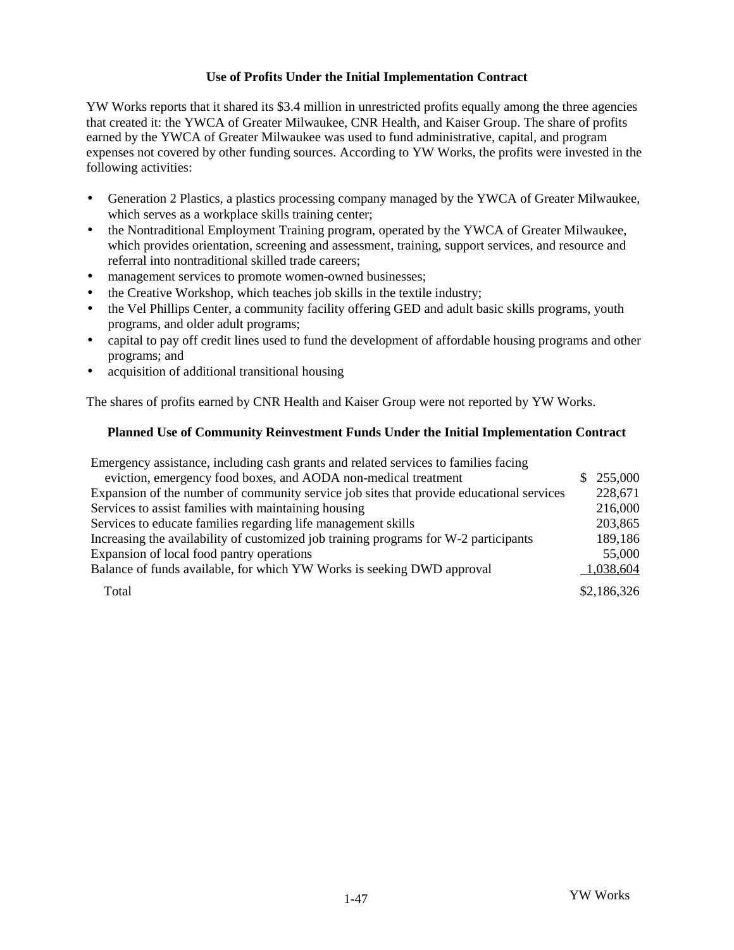YW Works reports that it shared its \$3.4 million in unrestricted profits equally among the three agencies that created it: the YWCA of Greater Milwaukee, CNR Health, and Kaiser Group. The share of profits earned by the YWCA of Greater Milwaukee was used to fund administrative, capital, and program expenses not covered by other funding sources. According to YW Works, the profits were invested in the following activities:

- Generation 2 Plastics, a plastics processing company managed by the YWCA of Greater Milwaukee, which serves as a workplace skills training center;
- the Nontraditional Employment Training program, operated by the YWCA of Greater Milwaukee, which provides orientation, screening and assessment, training, support services, and resource and referral into nontraditional skilled trade careers;
- management services to promote women-owned businesses;
- the Creative Workshop, which teaches job skills in the textile industry;
- the Vel Phillips Center, a community facility offering GED and adult basic skills programs, youth programs, and older adult programs;
- capital to pay off credit lines used to fund the development of affordable housing programs and other programs; and
- acquisition of additional transitional housing

The shares of profits earned by CNR Health and Kaiser Group were not reported by YW Works.

## **Planned Use of Community Reinvestment Funds Under the Initial Implementation Contract**

| Emergency assistance, including cash grants and related services to families facing      |    |             |
|------------------------------------------------------------------------------------------|----|-------------|
| eviction, emergency food boxes, and AODA non-medical treatment                           | S. | 255,000     |
| Expansion of the number of community service job sites that provide educational services |    | 228,671     |
| Services to assist families with maintaining housing                                     |    | 216,000     |
| Services to educate families regarding life management skills                            |    | 203,865     |
| Increasing the availability of customized job training programs for W-2 participants     |    | 189,186     |
| Expansion of local food pantry operations                                                |    | 55,000      |
| Balance of funds available, for which YW Works is seeking DWD approval                   |    | 1,038,604   |
| Total                                                                                    |    | \$2,186,326 |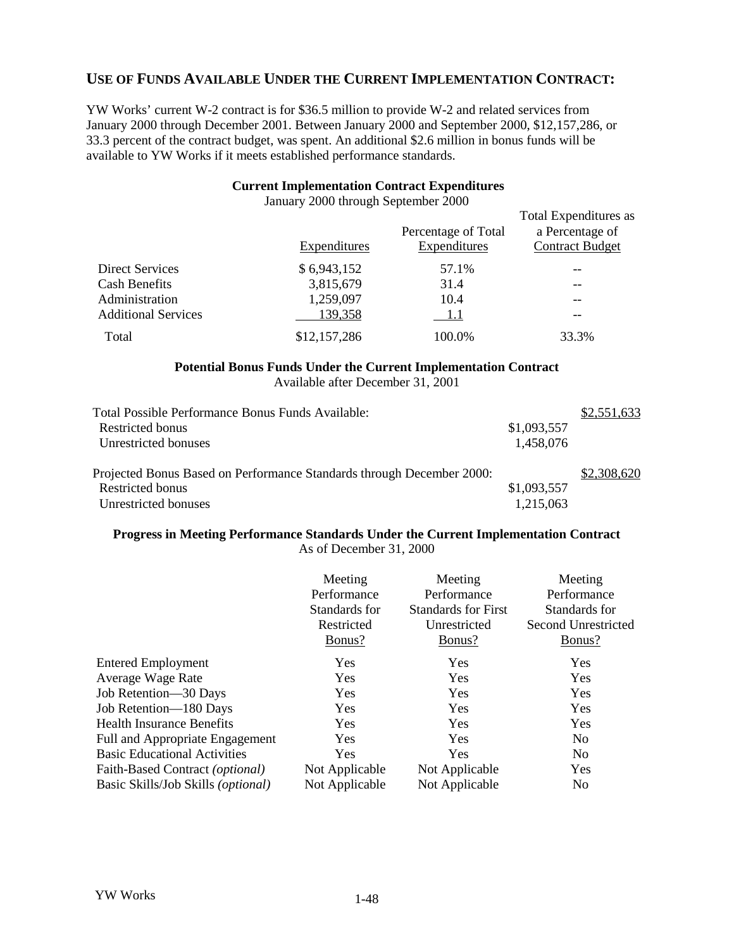## **USE OF FUNDS AVAILABLE UNDER THE CURRENT IMPLEMENTATION CONTRACT:**

YW Works' current W-2 contract is for \$36.5 million to provide W-2 and related services from January 2000 through December 2001. Between January 2000 and September 2000, \$12,157,286, or 33.3 percent of the contract budget, was spent. An additional \$2.6 million in bonus funds will be available to YW Works if it meets established performance standards.

#### **Current Implementation Contract Expenditures**

|                            | Expenditures | Percentage of Total<br>Expenditures | Total Expenditures as<br>a Percentage of<br><b>Contract Budget</b> |
|----------------------------|--------------|-------------------------------------|--------------------------------------------------------------------|
| Direct Services            | \$6,943,152  | 57.1%                               |                                                                    |
| Cash Benefits              | 3,815,679    | 31.4                                |                                                                    |
| Administration             | 1,259,097    | 10.4                                |                                                                    |
| <b>Additional Services</b> | 139,358      | 1.1                                 |                                                                    |
| Total                      | \$12,157,286 | 100.0%                              | 33.3%                                                              |

January 2000 through September 2000

#### **Potential Bonus Funds Under the Current Implementation Contract**

Available after December 31, 2001

| Total Possible Performance Bonus Funds Available:                     |             | \$2,551,633 |
|-----------------------------------------------------------------------|-------------|-------------|
| Restricted bonus                                                      | \$1,093,557 |             |
| Unrestricted bonuses                                                  | 1,458,076   |             |
| Projected Bonus Based on Performance Standards through December 2000: |             | \$2,308,620 |
| Restricted bonus                                                      | \$1,093,557 |             |
| Unrestricted bonuses                                                  | 1,215,063   |             |

#### **Progress in Meeting Performance Standards Under the Current Implementation Contract** As of December 31, 2000

|                                             | Meeting        | Meeting                    | Meeting                    |
|---------------------------------------------|----------------|----------------------------|----------------------------|
|                                             | Performance    | Performance                | Performance                |
|                                             | Standards for  | <b>Standards for First</b> | Standards for              |
|                                             | Restricted     | Unrestricted               | <b>Second Unrestricted</b> |
|                                             | Bonus?         | Bonus?                     | Bonus?                     |
| <b>Entered Employment</b>                   | Yes            | Yes                        | Yes                        |
| Average Wage Rate                           | Yes            | Yes                        | Yes                        |
| Job Retention-30 Days                       | Yes            | Yes                        | Yes                        |
| Job Retention-180 Days                      | Yes            | Yes                        | Yes                        |
| <b>Health Insurance Benefits</b>            | Yes            | Yes                        | Yes                        |
| Full and Appropriate Engagement             | Yes            | Yes                        | N <sub>0</sub>             |
| <b>Basic Educational Activities</b>         | Yes            | Yes                        | N <sub>0</sub>             |
| Faith-Based Contract (optional)             | Not Applicable | Not Applicable             | Yes                        |
| Basic Skills/Job Skills ( <i>optional</i> ) | Not Applicable | Not Applicable             | N <sub>0</sub>             |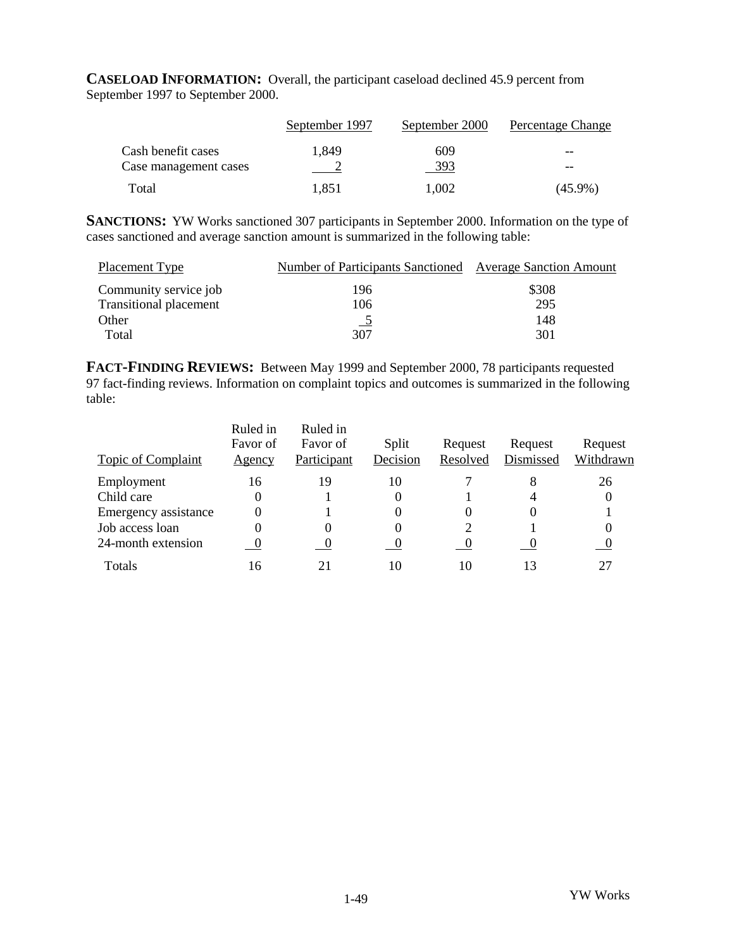**CASELOAD INFORMATION:** Overall, the participant caseload declined 45.9 percent from September 1997 to September 2000.

|                       | September 1997 | September 2000 | Percentage Change |
|-----------------------|----------------|----------------|-------------------|
| Cash benefit cases    | 1.849          | 609            | $- -$             |
| Case management cases |                | 393            | $- -$             |
| Total                 | 1.851          | 1.002          | $(45.9\%)$        |

**SANCTIONS:** YW Works sanctioned 307 participants in September 2000. Information on the type of cases sanctioned and average sanction amount is summarized in the following table:

| Placement Type                | Number of Participants Sanctioned Average Sanction Amount |       |
|-------------------------------|-----------------------------------------------------------|-------|
| Community service job         | 196                                                       | \$308 |
| <b>Transitional placement</b> | 106                                                       | 295   |
| Other                         |                                                           | 148   |
| Total                         | 307                                                       | 301   |

**FACT-FINDING REVIEWS:** Between May 1999 and September 2000, 78 participants requested 97 fact-finding reviews. Information on complaint topics and outcomes is summarized in the following table:

| Topic of Complaint   | Ruled in<br>Favor of<br>Agency | Ruled in<br>Favor of<br>Participant | Split<br>Decision | Request<br>Resolved | Request<br>Dismissed | Request<br>Withdrawn |
|----------------------|--------------------------------|-------------------------------------|-------------------|---------------------|----------------------|----------------------|
|                      |                                |                                     |                   |                     |                      |                      |
| Employment           | 16                             | 19                                  | 10                |                     | 8                    | 26                   |
| Child care           | 0                              |                                     | 0                 |                     | 4                    |                      |
| Emergency assistance | 0                              |                                     |                   |                     | $\Omega$             |                      |
| Job access loan      | 0                              | 0                                   |                   |                     |                      |                      |
| 24-month extension   | $\hspace{0.1em} 0$             |                                     |                   | $\cup$              | – O                  |                      |
| Totals               | 16                             |                                     | 10                | 10                  | 13                   | 27                   |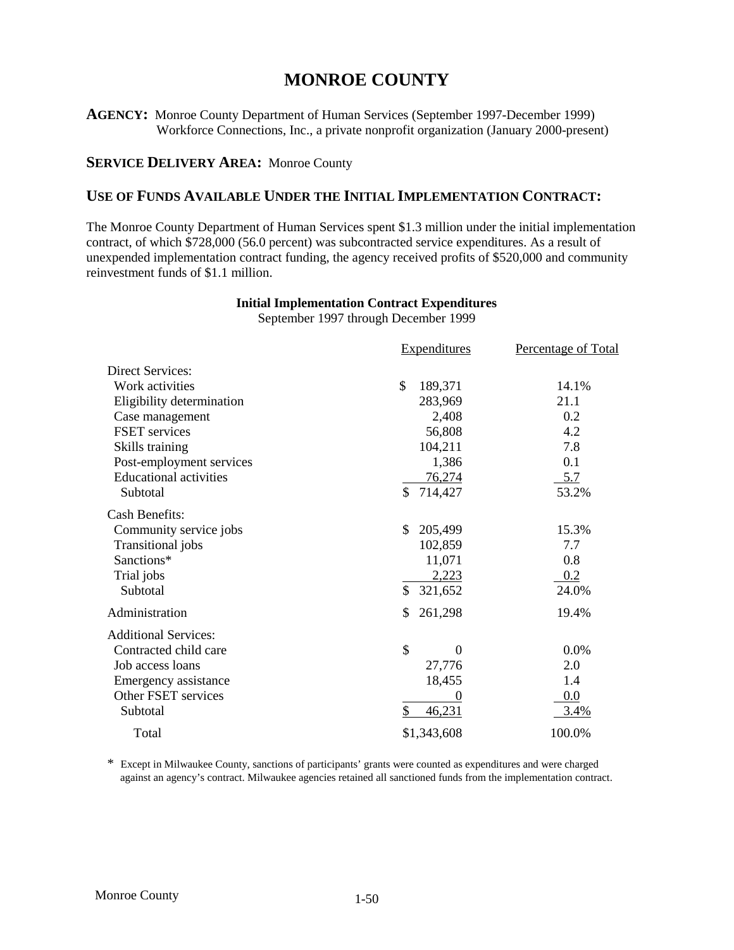## **MONROE COUNTY**

**AGENCY:** Monroe County Department of Human Services (September 1997-December 1999) Workforce Connections, Inc., a private nonprofit organization (January 2000-present)

### **SERVICE DELIVERY AREA: Monroe County**

## **USE OF FUNDS AVAILABLE UNDER THE INITIAL IMPLEMENTATION CONTRACT:**

The Monroe County Department of Human Services spent \$1.3 million under the initial implementation contract, of which \$728,000 (56.0 percent) was subcontracted service expenditures. As a result of unexpended implementation contract funding, the agency received profits of \$520,000 and community reinvestment funds of \$1.1 million.

|                               | <b>Expenditures</b>  | Percentage of Total |
|-------------------------------|----------------------|---------------------|
| Direct Services:              |                      |                     |
| Work activities               | \$<br>189,371        | 14.1%               |
| Eligibility determination     | 283,969              | 21.1                |
| Case management               | 2,408                | 0.2                 |
| <b>FSET</b> services          | 56,808               | 4.2                 |
| Skills training               | 104,211              | 7.8                 |
| Post-employment services      | 1,386                | 0.1                 |
| <b>Educational activities</b> | 76,274               | 5.7                 |
| Subtotal                      | \$<br>714,427        | 53.2%               |
| <b>Cash Benefits:</b>         |                      |                     |
| Community service jobs        | 205,499<br>\$        | 15.3%               |
| Transitional jobs             | 102,859              | 7.7                 |
| Sanctions*                    | 11,071               | 0.8                 |
| Trial jobs                    | 2,223                | 0.2                 |
| Subtotal                      | \$<br>321,652        | 24.0%               |
| Administration                | 261,298<br>S         | 19.4%               |
| <b>Additional Services:</b>   |                      |                     |
| Contracted child care         | \$<br>$\overline{0}$ | 0.0%                |
| Job access loans              | 27,776               | 2.0                 |
| Emergency assistance          | 18,455               | 1.4                 |
| Other FSET services           |                      | 0.0                 |
| Subtotal                      | \$<br>46,231         | 3.4%                |
| Total                         | \$1,343,608          | 100.0%              |

## **Initial Implementation Contract Expenditures**

September 1997 through December 1999

\* Except in Milwaukee County, sanctions of participants' grants were counted as expenditures and were charged against an agency's contract. Milwaukee agencies retained all sanctioned funds from the implementation contract.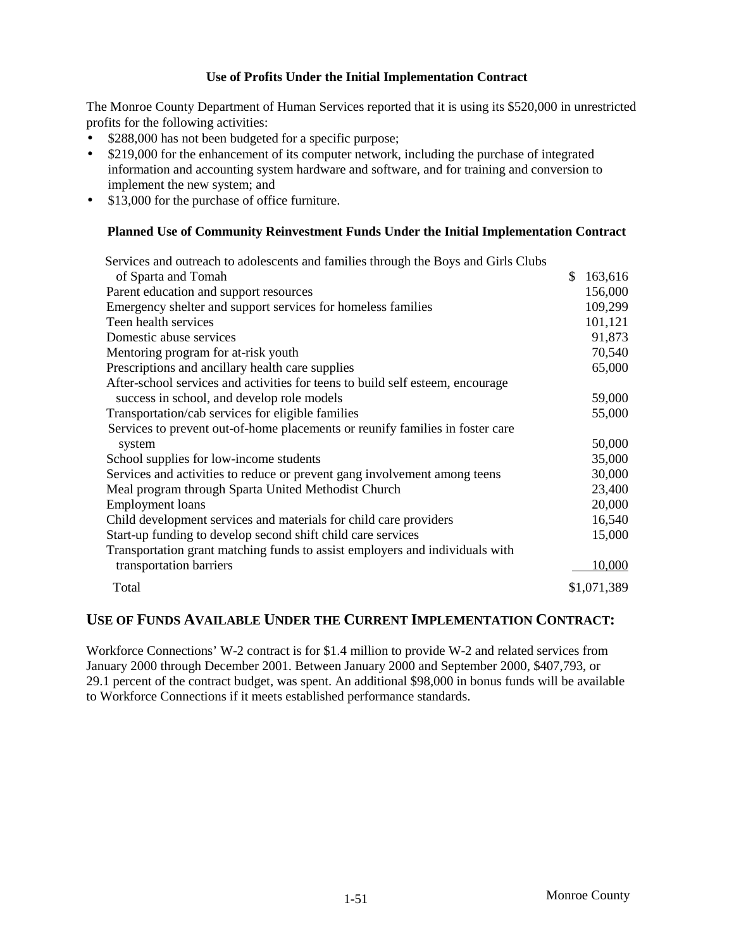The Monroe County Department of Human Services reported that it is using its \$520,000 in unrestricted profits for the following activities:

- \$288,000 has not been budgeted for a specific purpose;
- \$219,000 for the enhancement of its computer network, including the purchase of integrated information and accounting system hardware and software, and for training and conversion to implement the new system; and
- \$13,000 for the purchase of office furniture.

### **Planned Use of Community Reinvestment Funds Under the Initial Implementation Contract**

| Services and outreach to adolescents and families through the Boys and Girls Clubs |               |
|------------------------------------------------------------------------------------|---------------|
| of Sparta and Tomah                                                                | \$<br>163,616 |
| Parent education and support resources                                             | 156,000       |
| Emergency shelter and support services for homeless families                       | 109,299       |
| Teen health services                                                               | 101,121       |
| Domestic abuse services                                                            | 91,873        |
| Mentoring program for at-risk youth                                                | 70,540        |
| Prescriptions and ancillary health care supplies                                   | 65,000        |
| After-school services and activities for teens to build self esteem, encourage     |               |
| success in school, and develop role models                                         | 59,000        |
| Transportation/cab services for eligible families                                  | 55,000        |
| Services to prevent out-of-home placements or reunify families in foster care      |               |
| system                                                                             | 50,000        |
| School supplies for low-income students                                            | 35,000        |
| Services and activities to reduce or prevent gang involvement among teens          | 30,000        |
| Meal program through Sparta United Methodist Church                                | 23,400        |
| <b>Employment</b> loans                                                            | 20,000        |
| Child development services and materials for child care providers                  | 16,540        |
| Start-up funding to develop second shift child care services                       | 15,000        |
| Transportation grant matching funds to assist employers and individuals with       |               |
| transportation barriers                                                            | 10,000        |
| Total                                                                              | \$1,071,389   |

## **USE OF FUNDS AVAILABLE UNDER THE CURRENT IMPLEMENTATION CONTRACT:**

Workforce Connections' W-2 contract is for \$1.4 million to provide W-2 and related services from January 2000 through December 2001. Between January 2000 and September 2000, \$407,793, or 29.1 percent of the contract budget, was spent. An additional \$98,000 in bonus funds will be available to Workforce Connections if it meets established performance standards.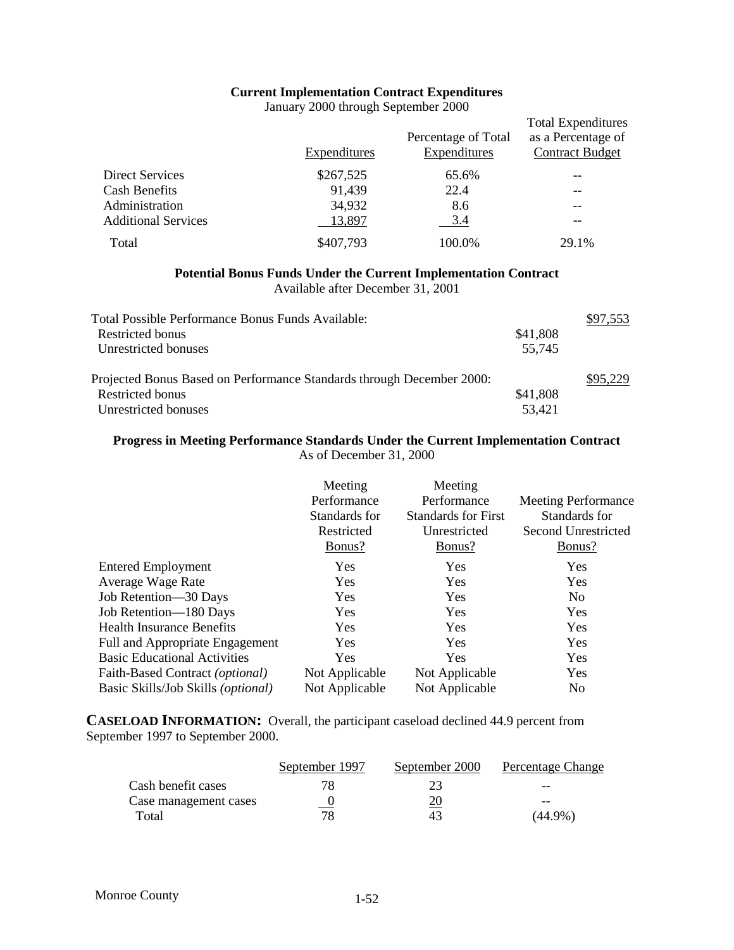## **Current Implementation Contract Expenditures**

January 2000 through September 2000

|                            | Expenditures | Percentage of Total<br>Expenditures | <b>Total Expenditures</b><br>as a Percentage of<br><b>Contract Budget</b> |
|----------------------------|--------------|-------------------------------------|---------------------------------------------------------------------------|
| <b>Direct Services</b>     | \$267,525    | 65.6%                               | --                                                                        |
| <b>Cash Benefits</b>       | 91,439       | 22.4                                | --                                                                        |
| Administration             | 34,932       | 8.6                                 |                                                                           |
| <b>Additional Services</b> | 13,897       | 3.4                                 | --                                                                        |
| Total                      | \$407,793    | 100.0%                              | 29.1%                                                                     |

## **Potential Bonus Funds Under the Current Implementation Contract**

Available after December 31, 2001

| Total Possible Performance Bonus Funds Available:                     |          | \$97.553 |
|-----------------------------------------------------------------------|----------|----------|
| Restricted bonus                                                      | \$41,808 |          |
| Unrestricted bonuses                                                  | 55,745   |          |
| Projected Bonus Based on Performance Standards through December 2000: |          | \$95,229 |
| <b>Restricted bonus</b>                                               | \$41,808 |          |
| Unrestricted bonuses                                                  | 53,421   |          |

# **Progress in Meeting Performance Standards Under the Current Implementation Contract**

As of December 31, 2000

|                                     | Meeting<br>Performance<br>Standards for<br>Restricted<br>Bonus? | Meeting<br>Performance<br><b>Standards for First</b><br>Unrestricted<br>Bonus? | <b>Meeting Performance</b><br>Standards for<br>Second Unrestricted<br>Bonus? |
|-------------------------------------|-----------------------------------------------------------------|--------------------------------------------------------------------------------|------------------------------------------------------------------------------|
| <b>Entered Employment</b>           | <b>Yes</b>                                                      | <b>Yes</b>                                                                     | <b>Yes</b>                                                                   |
| Average Wage Rate                   | <b>Yes</b>                                                      | <b>Yes</b>                                                                     | <b>Yes</b>                                                                   |
| Job Retention-30 Days               | Yes                                                             | <b>Yes</b>                                                                     | N <sub>0</sub>                                                               |
| Job Retention-180 Days              | Yes                                                             | Yes                                                                            | Yes                                                                          |
| <b>Health Insurance Benefits</b>    | <b>Yes</b>                                                      | Yes                                                                            | <b>Yes</b>                                                                   |
| Full and Appropriate Engagement     | Yes                                                             | <b>Yes</b>                                                                     | Yes                                                                          |
| <b>Basic Educational Activities</b> | <b>Yes</b>                                                      | <b>Yes</b>                                                                     | Yes                                                                          |
| Faith-Based Contract (optional)     | Not Applicable                                                  | Not Applicable                                                                 | Yes                                                                          |
| Basic Skills/Job Skills (optional)  | Not Applicable                                                  | Not Applicable                                                                 | N <sub>0</sub>                                                               |

**CASELOAD INFORMATION:** Overall, the participant caseload declined 44.9 percent from September 1997 to September 2000.

|                       | September 1997 | September 2000 | Percentage Change |
|-----------------------|----------------|----------------|-------------------|
| Cash benefit cases    |                |                | $- -$             |
| Case management cases |                | <u>20</u>      | --                |
| Total                 |                | 43             | (44.9%)           |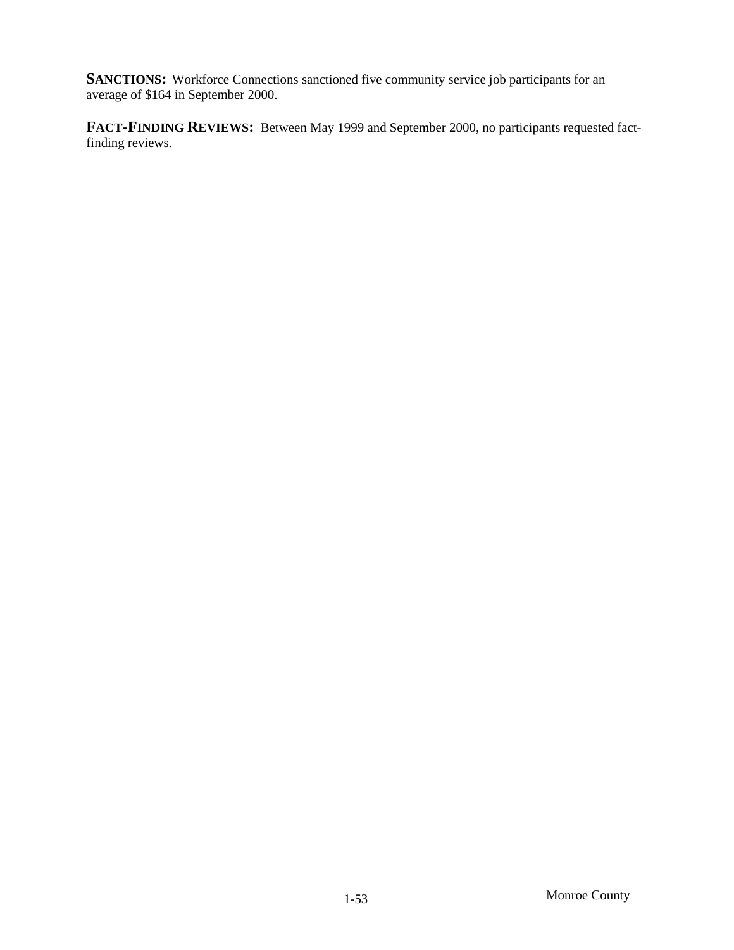**SANCTIONS:** Workforce Connections sanctioned five community service job participants for an average of \$164 in September 2000.

**FACT-FINDING REVIEWS:** Between May 1999 and September 2000, no participants requested factfinding reviews.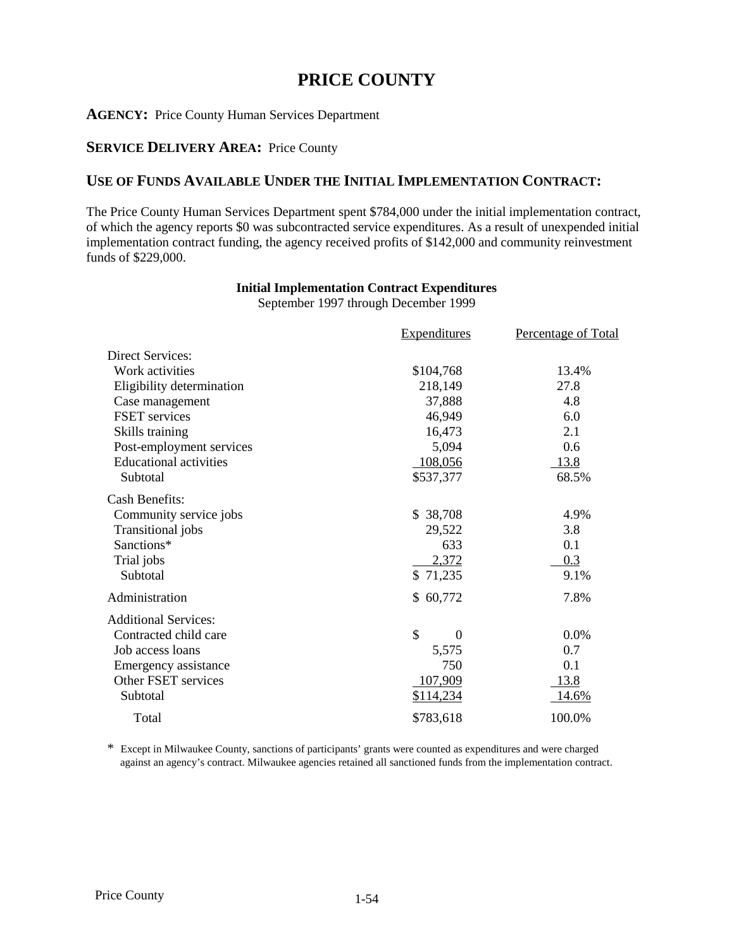# **PRICE COUNTY**

#### **AGENCY:** Price County Human Services Department

### **SERVICE DELIVERY AREA:** Price County

### **USE OF FUNDS AVAILABLE UNDER THE INITIAL IMPLEMENTATION CONTRACT:**

The Price County Human Services Department spent \$784,000 under the initial implementation contract, of which the agency reports \$0 was subcontracted service expenditures. As a result of unexpended initial implementation contract funding, the agency received profits of \$142,000 and community reinvestment funds of \$229,000.

### **Initial Implementation Contract Expenditures**

September 1997 through December 1999

|                               | <b>Expenditures</b> | <b>Percentage of Total</b> |
|-------------------------------|---------------------|----------------------------|
| <b>Direct Services:</b>       |                     |                            |
| Work activities               | \$104,768           | 13.4%                      |
| Eligibility determination     | 218,149             | 27.8                       |
| Case management               | 37,888              | 4.8                        |
| <b>FSET</b> services          | 46,949              | 6.0                        |
| Skills training               | 16,473              | 2.1                        |
| Post-employment services      | 5,094               | 0.6                        |
| <b>Educational activities</b> | 108,056             | <u>13.8</u>                |
| Subtotal                      | \$537,377           | 68.5%                      |
| <b>Cash Benefits:</b>         |                     |                            |
| Community service jobs        | \$ 38,708           | 4.9%                       |
| Transitional jobs             | 29,522              | 3.8                        |
| Sanctions*                    | 633                 | 0.1                        |
| Trial jobs                    | 2,372               | 0.3                        |
| Subtotal                      | \$71,235            | 9.1%                       |
| Administration                | \$60,772            | 7.8%                       |
| <b>Additional Services:</b>   |                     |                            |
| Contracted child care         | \$<br>$\Omega$      | 0.0%                       |
| Job access loans              | 5,575               | 0.7                        |
| Emergency assistance          | 750                 | 0.1                        |
| Other FSET services           | 107,909             | 13.8                       |
| Subtotal                      | \$114,234           | <u>14.6%</u>               |
| Total                         | \$783,618           | 100.0%                     |

\* Except in Milwaukee County, sanctions of participants' grants were counted as expenditures and were charged against an agency's contract. Milwaukee agencies retained all sanctioned funds from the implementation contract.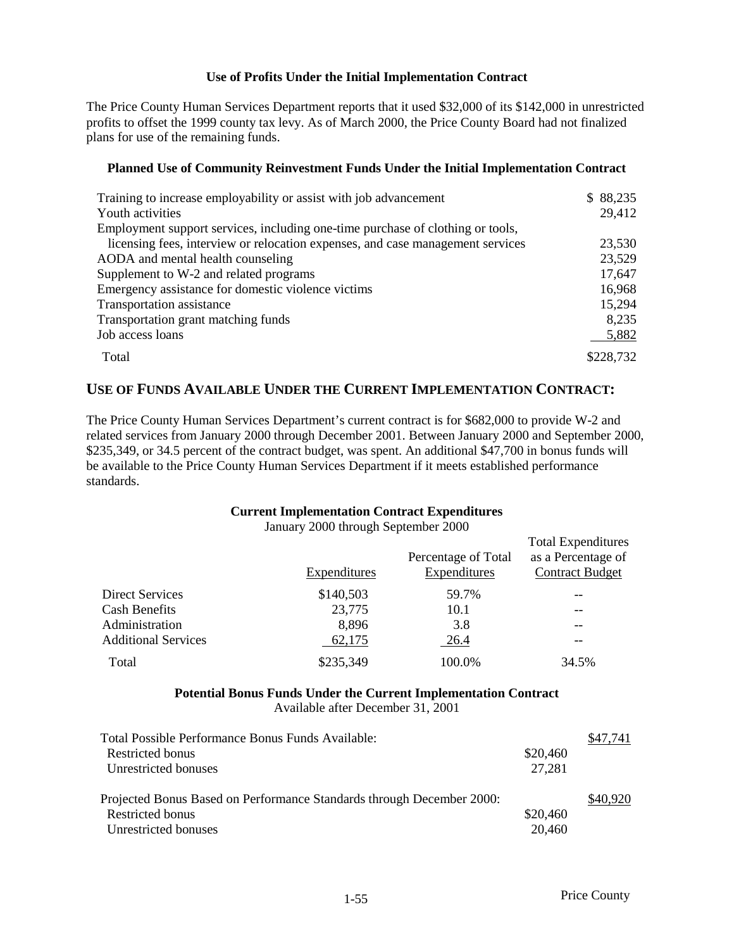#### **Use of Profits Under the Initial Implementation Contract**

The Price County Human Services Department reports that it used \$32,000 of its \$142,000 in unrestricted profits to offset the 1999 county tax levy. As of March 2000, the Price County Board had not finalized plans for use of the remaining funds.

### **Planned Use of Community Reinvestment Funds Under the Initial Implementation Contract**

| Training to increase employability or assist with job advancement              | \$88,235  |
|--------------------------------------------------------------------------------|-----------|
| Youth activities                                                               | 29,412    |
| Employment support services, including one-time purchase of clothing or tools, |           |
| licensing fees, interview or relocation expenses, and case management services | 23,530    |
| AODA and mental health counseling                                              | 23,529    |
| Supplement to W-2 and related programs                                         | 17,647    |
| Emergency assistance for domestic violence victims                             | 16,968    |
| Transportation assistance                                                      | 15,294    |
| Transportation grant matching funds                                            | 8,235     |
| Job access loans                                                               | 5,882     |
| Total                                                                          | \$228,732 |

### **USE OF FUNDS AVAILABLE UNDER THE CURRENT IMPLEMENTATION CONTRACT:**

The Price County Human Services Department's current contract is for \$682,000 to provide W-2 and related services from January 2000 through December 2001. Between January 2000 and September 2000, \$235,349, or 34.5 percent of the contract budget, was spent. An additional \$47,700 in bonus funds will be available to the Price County Human Services Department if it meets established performance standards.

### **Current Implementation Contract Expenditures**

January 2000 through September 2000

|                            | Expenditures | Percentage of Total<br>Expenditures | <b>Total Expenditures</b><br>as a Percentage of<br><b>Contract Budget</b> |
|----------------------------|--------------|-------------------------------------|---------------------------------------------------------------------------|
| Direct Services            | \$140,503    | 59.7%                               | --                                                                        |
| <b>Cash Benefits</b>       | 23,775       | 10.1                                | --                                                                        |
| Administration             | 8,896        | 3.8                                 |                                                                           |
| <b>Additional Services</b> | 62,175       | 26.4                                |                                                                           |
| Total                      | \$235,349    | 100.0%                              | 34.5%                                                                     |

#### **Potential Bonus Funds Under the Current Implementation Contract** Available after December 31, 2001

| Total Possible Performance Bonus Funds Available:                     |          | \$47.741 |
|-----------------------------------------------------------------------|----------|----------|
| Restricted bonus                                                      | \$20,460 |          |
| Unrestricted bonuses                                                  | 27,281   |          |
| Projected Bonus Based on Performance Standards through December 2000: |          | \$40,920 |
| Restricted bonus                                                      | \$20,460 |          |
| Unrestricted bonuses                                                  | 20,460   |          |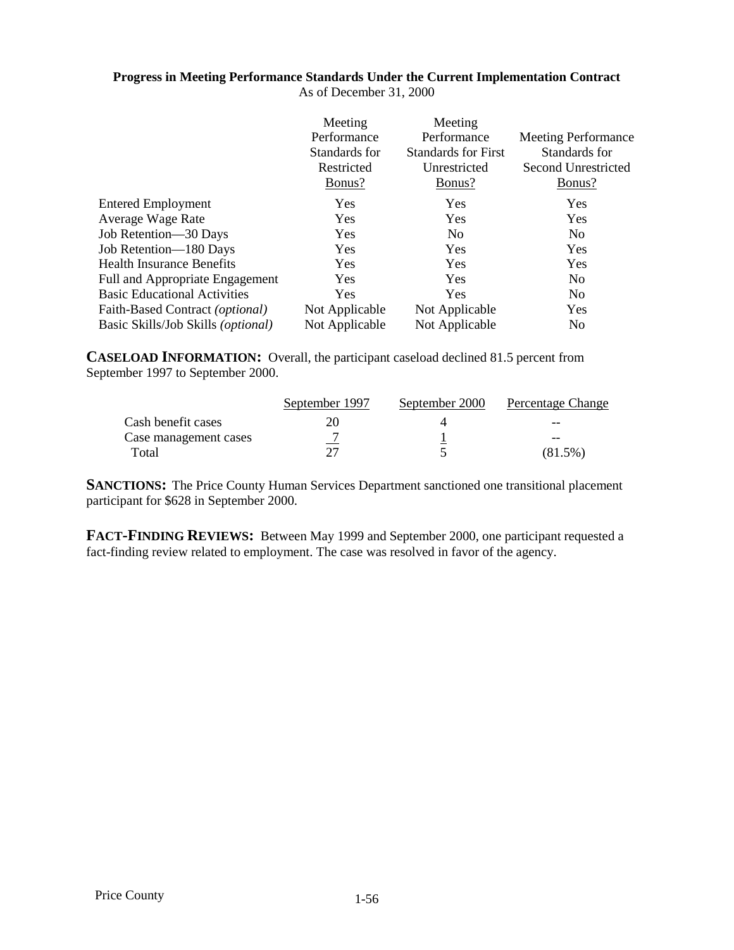### **Progress in Meeting Performance Standards Under the Current Implementation Contract**

As of December 31, 2000

|                                          | Meeting        | Meeting                    |                            |
|------------------------------------------|----------------|----------------------------|----------------------------|
|                                          | Performance    | Performance                | <b>Meeting Performance</b> |
|                                          | Standards for  | <b>Standards for First</b> | Standards for              |
|                                          | Restricted     | Unrestricted               | <b>Second Unrestricted</b> |
|                                          | Bonus?         | Bonus?                     | Bonus?                     |
| <b>Entered Employment</b>                | <b>Yes</b>     | Yes                        | <b>Yes</b>                 |
| Average Wage Rate                        | Yes            | Yes                        | Yes                        |
| Job Retention-30 Days                    | Yes            | N <sub>0</sub>             | N <sub>0</sub>             |
| Job Retention-180 Days                   | Yes            | Yes                        | Yes                        |
| <b>Health Insurance Benefits</b>         | Yes            | Yes                        | Yes                        |
| <b>Full and Appropriate Engagement</b>   | Yes            | Yes                        | N <sub>0</sub>             |
| <b>Basic Educational Activities</b>      | Yes            | Yes                        | N <sub>0</sub>             |
| Faith-Based Contract ( <i>optional</i> ) | Not Applicable | Not Applicable             | Yes                        |
| Basic Skills/Job Skills (optional)       | Not Applicable | Not Applicable             | N <sub>0</sub>             |

**CASELOAD INFORMATION:** Overall, the participant caseload declined 81.5 percent from September 1997 to September 2000.

|                       | September 1997 | September 2000 | Percentage Change |
|-----------------------|----------------|----------------|-------------------|
| Cash benefit cases    |                |                | $- -$             |
| Case management cases | -              |                | $- -$             |
| Total                 | つつ             |                | $(81.5\%)$        |

**SANCTIONS:** The Price County Human Services Department sanctioned one transitional placement participant for \$628 in September 2000.

**FACT-FINDING REVIEWS:** Between May 1999 and September 2000, one participant requested a fact-finding review related to employment. The case was resolved in favor of the agency.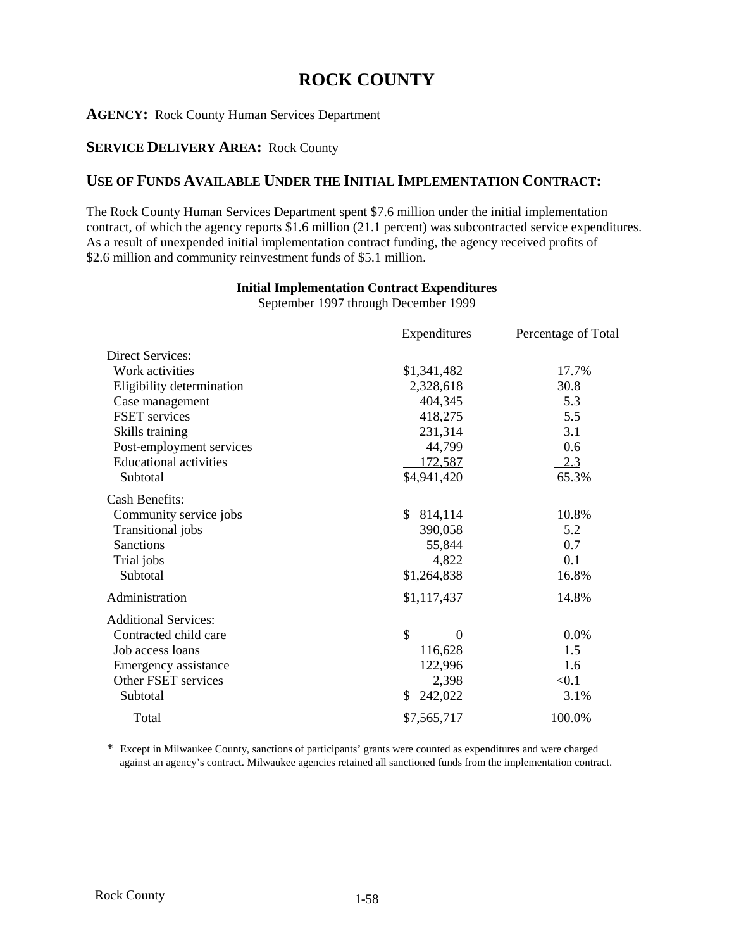# **ROCK COUNTY**

### **AGENCY:** Rock County Human Services Department

### **SERVICE DELIVERY AREA:** Rock County

### **USE OF FUNDS AVAILABLE UNDER THE INITIAL IMPLEMENTATION CONTRACT:**

The Rock County Human Services Department spent \$7.6 million under the initial implementation contract, of which the agency reports \$1.6 million (21.1 percent) was subcontracted service expenditures. As a result of unexpended initial implementation contract funding, the agency received profits of \$2.6 million and community reinvestment funds of \$5.1 million.

### **Initial Implementation Contract Expenditures**

September 1997 through December 1999

|                               | <b>Expenditures</b>       | Percentage of Total |
|-------------------------------|---------------------------|---------------------|
| <b>Direct Services:</b>       |                           |                     |
| Work activities               | \$1,341,482               | 17.7%               |
| Eligibility determination     | 2,328,618                 | 30.8                |
| Case management               | 404,345                   | 5.3                 |
| <b>FSET</b> services          | 418,275                   | 5.5                 |
| Skills training               | 231,314                   | 3.1                 |
| Post-employment services      | 44,799                    | 0.6                 |
| <b>Educational activities</b> | 172,587                   | 2.3                 |
| Subtotal                      | \$4,941,420               | 65.3%               |
| <b>Cash Benefits:</b>         |                           |                     |
| Community service jobs        | \$.<br>814,114            | 10.8%               |
| Transitional jobs             | 390,058                   | 5.2                 |
| <b>Sanctions</b>              | 55,844                    | 0.7                 |
| Trial jobs                    | 4,822                     | 0.1                 |
| Subtotal                      | \$1,264,838               | 16.8%               |
| Administration                | \$1,117,437               | 14.8%               |
| <b>Additional Services:</b>   |                           |                     |
| Contracted child care         | $\mathcal{S}$<br>$\theta$ | 0.0%                |
| Job access loans              | 116,628                   | 1.5                 |
| Emergency assistance          | 122,996                   | 1.6                 |
| Other FSET services           | 2,398                     | < 0.1               |
| Subtotal                      | 242,022<br>\$             | 3.1%                |
| Total                         | \$7,565,717               | 100.0%              |

\* Except in Milwaukee County, sanctions of participants' grants were counted as expenditures and were charged against an agency's contract. Milwaukee agencies retained all sanctioned funds from the implementation contract.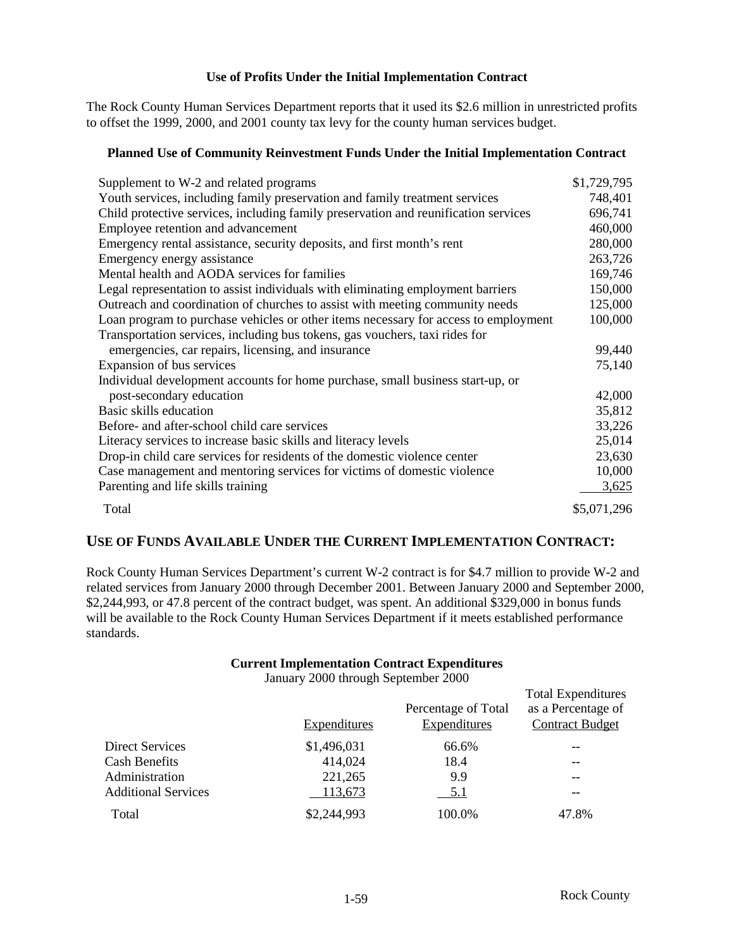### **Use of Profits Under the Initial Implementation Contract**

The Rock County Human Services Department reports that it used its \$2.6 million in unrestricted profits to offset the 1999, 2000, and 2001 county tax levy for the county human services budget.

#### **Planned Use of Community Reinvestment Funds Under the Initial Implementation Contract**

| Supplement to W-2 and related programs                                              | \$1,729,795 |
|-------------------------------------------------------------------------------------|-------------|
| Youth services, including family preservation and family treatment services         | 748,401     |
| Child protective services, including family preservation and reunification services | 696,741     |
| Employee retention and advancement                                                  | 460,000     |
| Emergency rental assistance, security deposits, and first month's rent              | 280,000     |
| Emergency energy assistance                                                         | 263,726     |
| Mental health and AODA services for families                                        | 169,746     |
| Legal representation to assist individuals with eliminating employment barriers     | 150,000     |
| Outreach and coordination of churches to assist with meeting community needs        | 125,000     |
| Loan program to purchase vehicles or other items necessary for access to employment | 100,000     |
| Transportation services, including bus tokens, gas vouchers, taxi rides for         |             |
| emergencies, car repairs, licensing, and insurance                                  | 99,440      |
| Expansion of bus services                                                           | 75,140      |
| Individual development accounts for home purchase, small business start-up, or      |             |
| post-secondary education                                                            | 42,000      |
| Basic skills education                                                              | 35,812      |
| Before- and after-school child care services                                        | 33,226      |
| Literacy services to increase basic skills and literacy levels                      | 25,014      |
| Drop-in child care services for residents of the domestic violence center           | 23,630      |
| Case management and mentoring services for victims of domestic violence             | 10,000      |
| Parenting and life skills training                                                  | 3,625       |
| Total                                                                               | \$5,071,296 |

### **USE OF FUNDS AVAILABLE UNDER THE CURRENT IMPLEMENTATION CONTRACT:**

Rock County Human Services Department's current W-2 contract is for \$4.7 million to provide W-2 and related services from January 2000 through December 2001. Between January 2000 and September 2000, \$2,244,993, or 47.8 percent of the contract budget, was spent. An additional \$329,000 in bonus funds will be available to the Rock County Human Services Department if it meets established performance standards.

#### **Current Implementation Contract Expenditures**

January 2000 through September 2000

|                            | Expenditures | Percentage of Total<br>Expenditures | <b>Total Expenditures</b><br>as a Percentage of<br><b>Contract Budget</b> |
|----------------------------|--------------|-------------------------------------|---------------------------------------------------------------------------|
| <b>Direct Services</b>     | \$1,496,031  | 66.6%                               | --                                                                        |
| <b>Cash Benefits</b>       | 414,024      | 18.4                                | --                                                                        |
| Administration             | 221,265      | 9.9                                 | --                                                                        |
| <b>Additional Services</b> | 113,673      | 5.1                                 | --                                                                        |
| Total                      | \$2,244,993  | 100.0%                              | 47.8%                                                                     |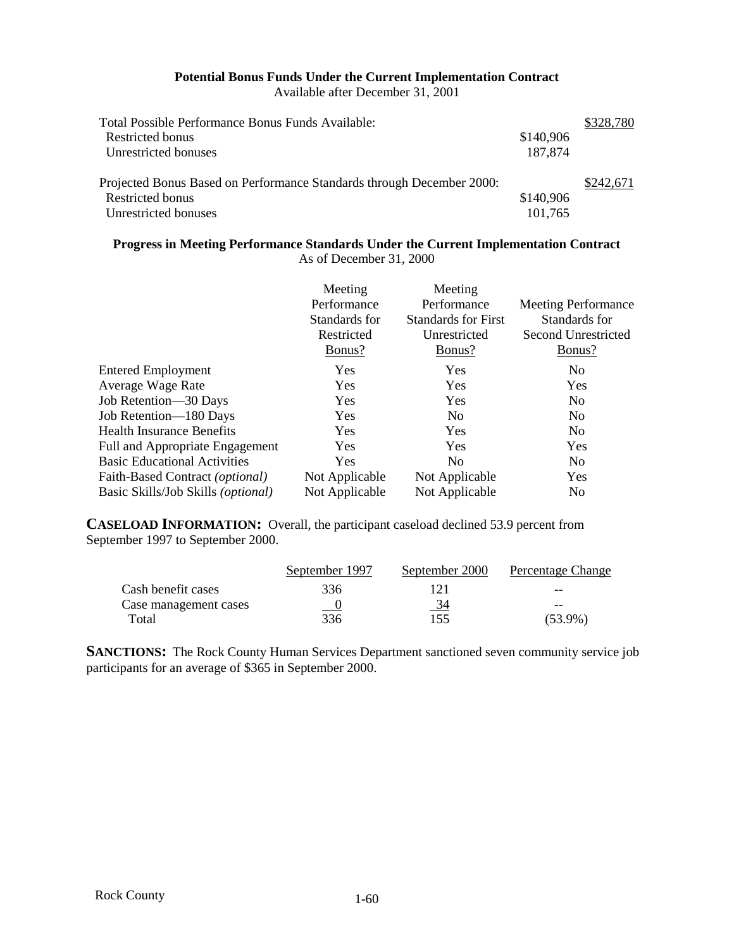#### **Potential Bonus Funds Under the Current Implementation Contract** Available after December 31, 2001

Total Possible Performance Bonus Funds Available: \$328,780 Restricted bonus \$140,906 Unrestricted bonuses 187,874 Projected Bonus Based on Performance Standards through December 2000: \$242,671 Restricted bonus  $$140,906$ Unrestricted bonuses 101,765

**Progress in Meeting Performance Standards Under the Current Implementation Contract** As of December 31, 2000

|                                             | Meeting<br>Performance<br>Standards for<br>Restricted<br>Bonus? | Meeting<br>Performance<br><b>Standards for First</b><br>Unrestricted<br>Bonus? | <b>Meeting Performance</b><br>Standards for<br>Second Unrestricted<br>Bonus? |
|---------------------------------------------|-----------------------------------------------------------------|--------------------------------------------------------------------------------|------------------------------------------------------------------------------|
| <b>Entered Employment</b>                   | <b>Yes</b>                                                      | <b>Yes</b>                                                                     | N <sub>0</sub>                                                               |
| Average Wage Rate                           | <b>Yes</b>                                                      | Yes                                                                            | Yes                                                                          |
| Job Retention—30 Days                       | <b>Yes</b>                                                      | Yes                                                                            | N <sub>o</sub>                                                               |
| Job Retention-180 Days                      | Yes                                                             | N <sub>0</sub>                                                                 | N <sub>0</sub>                                                               |
| <b>Health Insurance Benefits</b>            | <b>Yes</b>                                                      | Yes                                                                            | No                                                                           |
| Full and Appropriate Engagement             | <b>Yes</b>                                                      | <b>Yes</b>                                                                     | Yes                                                                          |
| <b>Basic Educational Activities</b>         | Yes                                                             | N <sub>0</sub>                                                                 | N <sub>0</sub>                                                               |
| Faith-Based Contract (optional)             | Not Applicable                                                  | Not Applicable                                                                 | Yes                                                                          |
| Basic Skills/Job Skills ( <i>optional</i> ) | Not Applicable                                                  | Not Applicable                                                                 | N <sub>0</sub>                                                               |

**CASELOAD INFORMATION:** Overall, the participant caseload declined 53.9 percent from September 1997 to September 2000.

|                       | September 1997 | September 2000 | Percentage Change |
|-----------------------|----------------|----------------|-------------------|
| Cash benefit cases    | 336            |                | $- -$             |
| Case management cases | <u>__ v</u>    | <u>34</u>      | $- -$             |
| Total                 | 336            | 155            | $(53.9\%)$        |

**SANCTIONS:** The Rock County Human Services Department sanctioned seven community service job participants for an average of \$365 in September 2000.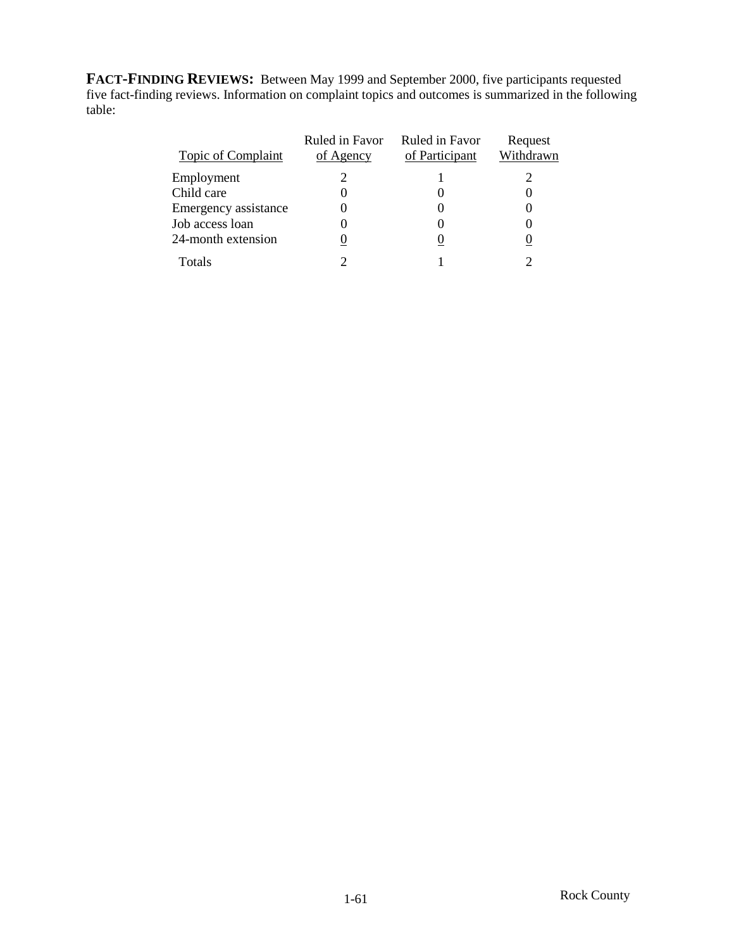**FACT-FINDING REVIEWS:** Between May 1999 and September 2000, five participants requested five fact-finding reviews. Information on complaint topics and outcomes is summarized in the following table:

| <b>Topic of Complaint</b> | Ruled in Favor<br>of Agency | Ruled in Favor<br>of Participant | Request<br>Withdrawn |
|---------------------------|-----------------------------|----------------------------------|----------------------|
| Employment                |                             |                                  |                      |
| Child care                |                             |                                  |                      |
| Emergency assistance      |                             |                                  |                      |
| Job access loan           |                             |                                  |                      |
| 24-month extension        |                             |                                  |                      |
| Totals                    |                             |                                  |                      |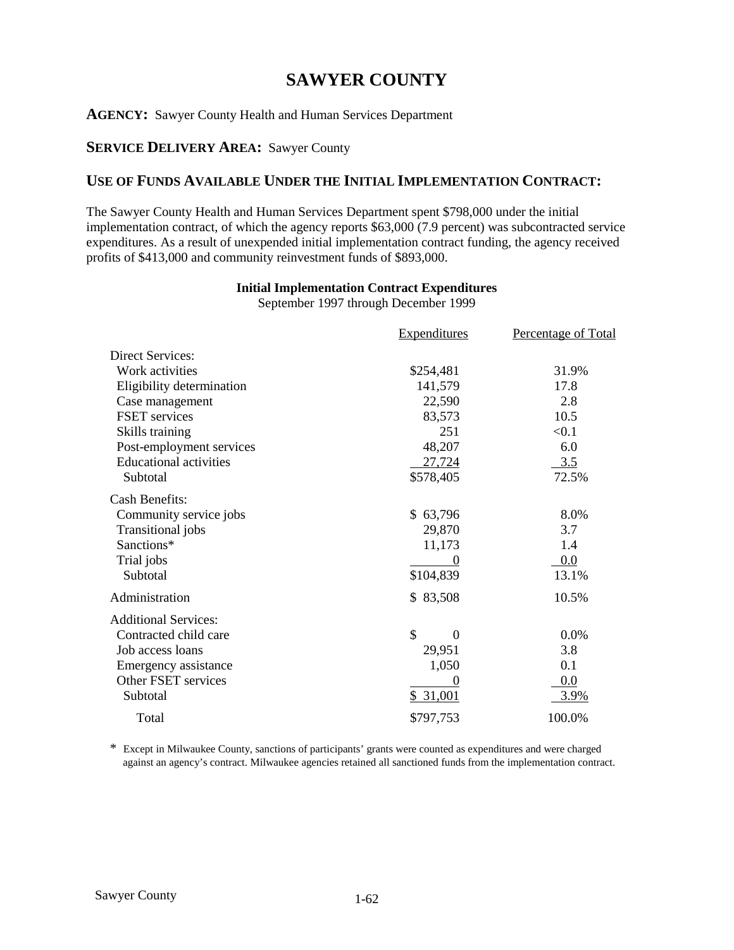# **SAWYER COUNTY**

### **AGENCY:** Sawyer County Health and Human Services Department

### **SERVICE DELIVERY AREA:** Sawyer County

## **USE OF FUNDS AVAILABLE UNDER THE INITIAL IMPLEMENTATION CONTRACT:**

The Sawyer County Health and Human Services Department spent \$798,000 under the initial implementation contract, of which the agency reports \$63,000 (7.9 percent) was subcontracted service expenditures. As a result of unexpended initial implementation contract funding, the agency received profits of \$413,000 and community reinvestment funds of \$893,000.

### **Initial Implementation Contract Expenditures**

September 1997 through December 1999

|                               | <b>Expenditures</b>               | <b>Percentage of Total</b> |
|-------------------------------|-----------------------------------|----------------------------|
| <b>Direct Services:</b>       |                                   |                            |
| Work activities               | \$254,481                         | 31.9%                      |
| Eligibility determination     | 141,579                           | 17.8                       |
| Case management               | 22,590                            | 2.8                        |
| <b>FSET</b> services          | 83,573                            | 10.5                       |
| Skills training               | 251                               | < 0.1                      |
| Post-employment services      | 48,207                            | 6.0                        |
| <b>Educational activities</b> | 27,724                            | 3.5                        |
| Subtotal                      | \$578,405                         | 72.5%                      |
| <b>Cash Benefits:</b>         |                                   |                            |
| Community service jobs        | \$63,796                          | 8.0%                       |
| Transitional jobs             | 29,870                            | 3.7                        |
| Sanctions*                    | 11,173                            | 1.4                        |
| Trial jobs                    |                                   | 0.0                        |
| Subtotal                      | \$104,839                         | 13.1%                      |
| Administration                | \$83,508                          | 10.5%                      |
| <b>Additional Services:</b>   |                                   |                            |
| Contracted child care         | $\mathcal{S}$<br>$\boldsymbol{0}$ | 0.0%                       |
| Job access loans              | 29,951                            | 3.8                        |
| Emergency assistance          | 1,050                             | 0.1                        |
| Other FSET services           |                                   | 0.0                        |
| Subtotal                      | \$31,001                          | 3.9%                       |
| Total                         | \$797,753                         | 100.0%                     |

\* Except in Milwaukee County, sanctions of participants' grants were counted as expenditures and were charged against an agency's contract. Milwaukee agencies retained all sanctioned funds from the implementation contract.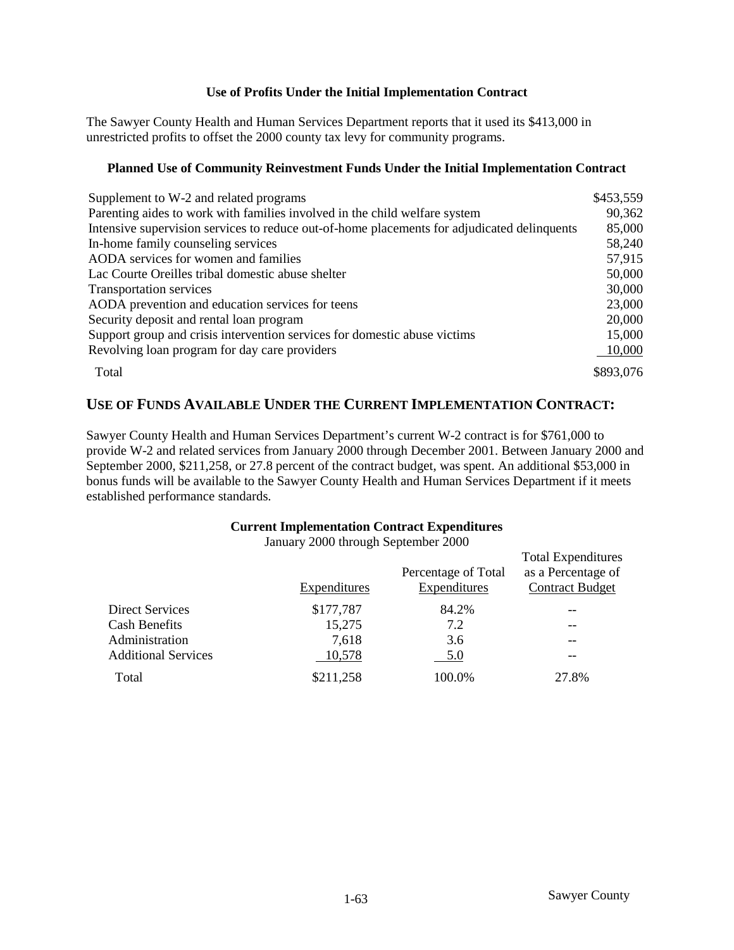### **Use of Profits Under the Initial Implementation Contract**

The Sawyer County Health and Human Services Department reports that it used its \$413,000 in unrestricted profits to offset the 2000 county tax levy for community programs.

### **Planned Use of Community Reinvestment Funds Under the Initial Implementation Contract**

| Supplement to W-2 and related programs                                                      | \$453,559 |
|---------------------------------------------------------------------------------------------|-----------|
| Parenting aides to work with families involved in the child welfare system                  | 90,362    |
| Intensive supervision services to reduce out-of-home placements for adjudicated delinquents | 85,000    |
| In-home family counseling services                                                          | 58,240    |
| AODA services for women and families                                                        | 57,915    |
| Lac Courte Oreilles tribal domestic abuse shelter                                           | 50,000    |
| <b>Transportation services</b>                                                              | 30,000    |
| AODA prevention and education services for teens                                            | 23,000    |
| Security deposit and rental loan program                                                    | 20,000    |
| Support group and crisis intervention services for domestic abuse victims                   | 15,000    |
| Revolving loan program for day care providers                                               | 10,000    |
| Total                                                                                       | \$893,076 |

### **USE OF FUNDS AVAILABLE UNDER THE CURRENT IMPLEMENTATION CONTRACT:**

Sawyer County Health and Human Services Department's current W-2 contract is for \$761,000 to provide W-2 and related services from January 2000 through December 2001. Between January 2000 and September 2000, \$211,258, or 27.8 percent of the contract budget, was spent. An additional \$53,000 in bonus funds will be available to the Sawyer County Health and Human Services Department if it meets established performance standards.

#### **Current Implementation Contract Expenditures**

January 2000 through September 2000

|                            | <b>Expenditures</b> | Percentage of Total<br><b>Expenditures</b> | <b>Total Expenditures</b><br>as a Percentage of<br><b>Contract Budget</b> |
|----------------------------|---------------------|--------------------------------------------|---------------------------------------------------------------------------|
| Direct Services            | \$177,787           | 84.2%                                      |                                                                           |
| <b>Cash Benefits</b>       | 15,275              | 7.2                                        |                                                                           |
| Administration             | 7,618               | 3.6                                        | --                                                                        |
| <b>Additional Services</b> | 10,578              | <u>5.0</u>                                 | --                                                                        |
| Total                      | \$211,258           | 100.0%                                     | 27.8%                                                                     |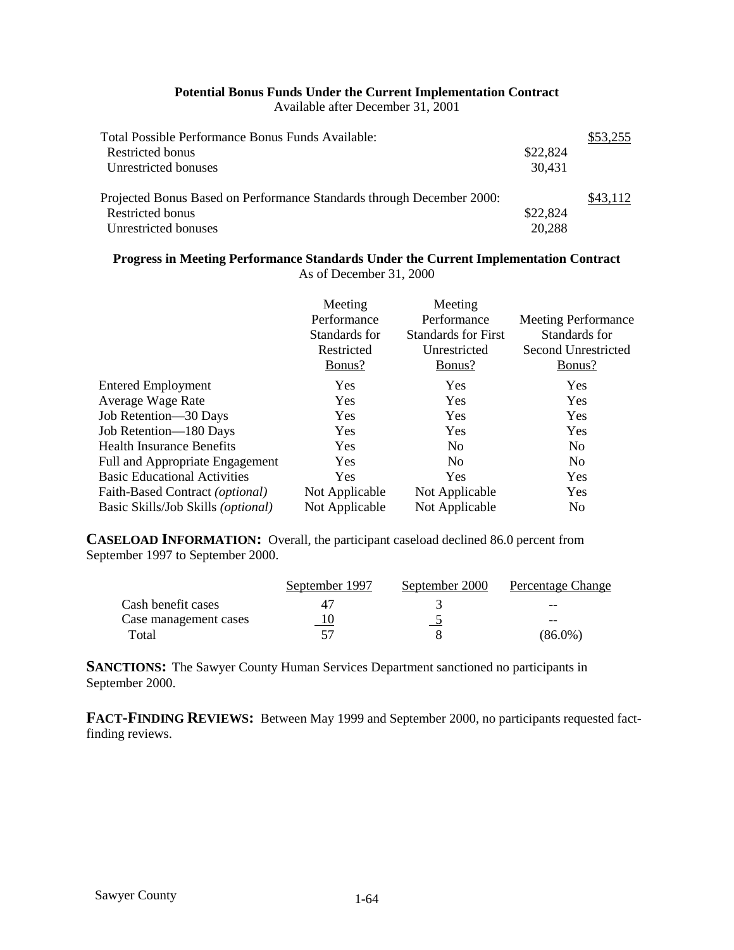### **Potential Bonus Funds Under the Current Implementation Contract**

Available after December 31, 2001

| Total Possible Performance Bonus Funds Available:                     |          | \$53,255 |
|-----------------------------------------------------------------------|----------|----------|
| Restricted bonus                                                      | \$22,824 |          |
| Unrestricted bonuses                                                  | 30,431   |          |
| Projected Bonus Based on Performance Standards through December 2000: |          | \$43.112 |
| Restricted bonus                                                      | \$22,824 |          |
| Unrestricted bonuses                                                  | 20,288   |          |

### **Progress in Meeting Performance Standards Under the Current Implementation Contract** As of December 31, 2000

|                                     | Meeting<br>Performance<br>Standards for<br>Restricted<br>Bonus? | Meeting<br>Performance<br><b>Standards for First</b><br>Unrestricted<br>Bonus? | <b>Meeting Performance</b><br>Standards for<br>Second Unrestricted<br>Bonus? |
|-------------------------------------|-----------------------------------------------------------------|--------------------------------------------------------------------------------|------------------------------------------------------------------------------|
| <b>Entered Employment</b>           | Yes                                                             | <b>Yes</b>                                                                     | <b>Yes</b>                                                                   |
| Average Wage Rate                   | Yes                                                             | <b>Yes</b>                                                                     | Yes                                                                          |
| Job Retention-30 Days               | Yes                                                             | <b>Yes</b>                                                                     | Yes                                                                          |
| Job Retention-180 Days              | Yes                                                             | Yes                                                                            | Yes                                                                          |
| <b>Health Insurance Benefits</b>    | Yes                                                             | N <sub>0</sub>                                                                 | N <sub>o</sub>                                                               |
| Full and Appropriate Engagement     | Yes                                                             | N <sub>0</sub>                                                                 | N <sub>o</sub>                                                               |
| <b>Basic Educational Activities</b> | Yes                                                             | Yes                                                                            | Yes                                                                          |
| Faith-Based Contract (optional)     | Not Applicable                                                  | Not Applicable                                                                 | Yes                                                                          |
| Basic Skills/Job Skills (optional)  | Not Applicable                                                  | Not Applicable                                                                 | N <sub>0</sub>                                                               |

**CASELOAD INFORMATION:** Overall, the participant caseload declined 86.0 percent from September 1997 to September 2000.

|                       | September 1997 | September 2000 | Percentage Change |
|-----------------------|----------------|----------------|-------------------|
| Cash benefit cases    |                |                | --                |
| Case management cases | 10             |                | --                |
| Total                 |                |                | (86.0%)           |

**SANCTIONS:** The Sawyer County Human Services Department sanctioned no participants in September 2000.

**FACT-FINDING REVIEWS:** Between May 1999 and September 2000, no participants requested factfinding reviews.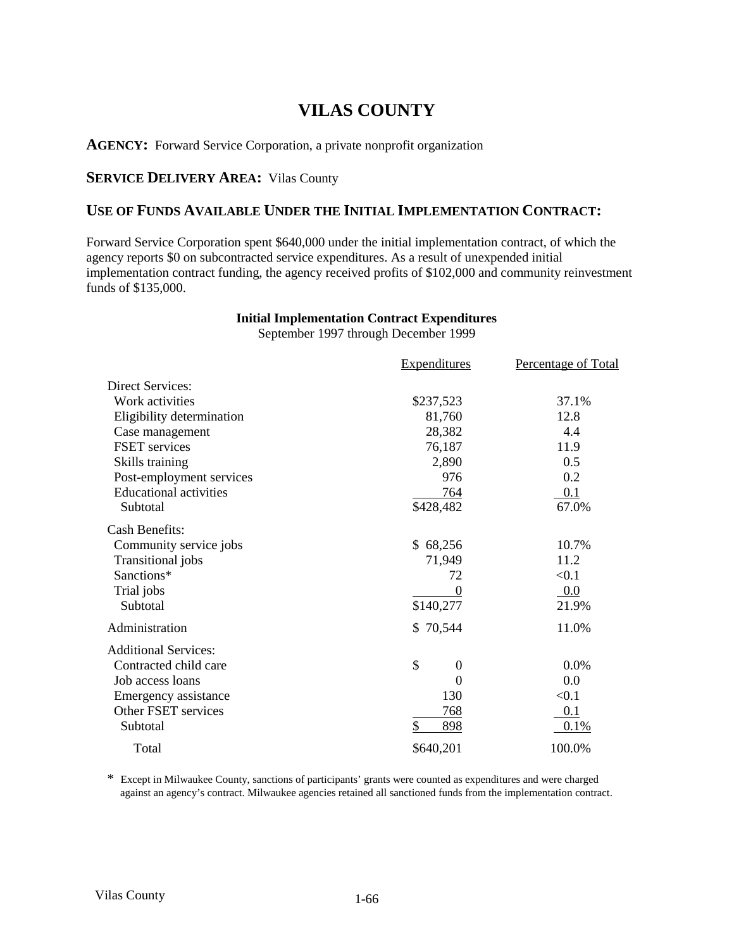# **VILAS COUNTY**

**AGENCY:** Forward Service Corporation, a private nonprofit organization

### **SERVICE DELIVERY AREA:** Vilas County

### **USE OF FUNDS AVAILABLE UNDER THE INITIAL IMPLEMENTATION CONTRACT:**

Forward Service Corporation spent \$640,000 under the initial implementation contract, of which the agency reports \$0 on subcontracted service expenditures. As a result of unexpended initial implementation contract funding, the agency received profits of \$102,000 and community reinvestment funds of \$135,000.

### **Initial Implementation Contract Expenditures**

September 1997 through December 1999

|                               | <b>Expenditures</b>    | Percentage of Total |
|-------------------------------|------------------------|---------------------|
| <b>Direct Services:</b>       |                        |                     |
| Work activities               | \$237,523              | 37.1%               |
| Eligibility determination     | 81,760                 | 12.8                |
| Case management               | 28,382                 | 4.4                 |
| <b>FSET</b> services          | 76,187                 | 11.9                |
| Skills training               | 2,890                  | 0.5                 |
| Post-employment services      | 976                    | 0.2                 |
| <b>Educational activities</b> | 764                    | 0.1                 |
| Subtotal                      | \$428,482              | 67.0%               |
| <b>Cash Benefits:</b>         |                        |                     |
| Community service jobs        | \$68,256               | 10.7%               |
| Transitional jobs             | 71,949                 | 11.2                |
| Sanctions*                    | 72                     | < 0.1               |
| Trial jobs                    | $\Omega$               | 0.0                 |
| Subtotal                      | \$140,277              | 21.9%               |
| Administration                | \$70,544               | 11.0%               |
| <b>Additional Services:</b>   |                        |                     |
| Contracted child care         | \$<br>$\boldsymbol{0}$ | 0.0%                |
| Job access loans              | $\Omega$               | 0.0                 |
| Emergency assistance          | 130                    | < 0.1               |
| Other FSET services           | 768                    | 0.1                 |
| Subtotal                      | \$<br>898              | 0.1%                |
| Total                         | \$640,201              | 100.0%              |

\* Except in Milwaukee County, sanctions of participants' grants were counted as expenditures and were charged against an agency's contract. Milwaukee agencies retained all sanctioned funds from the implementation contract.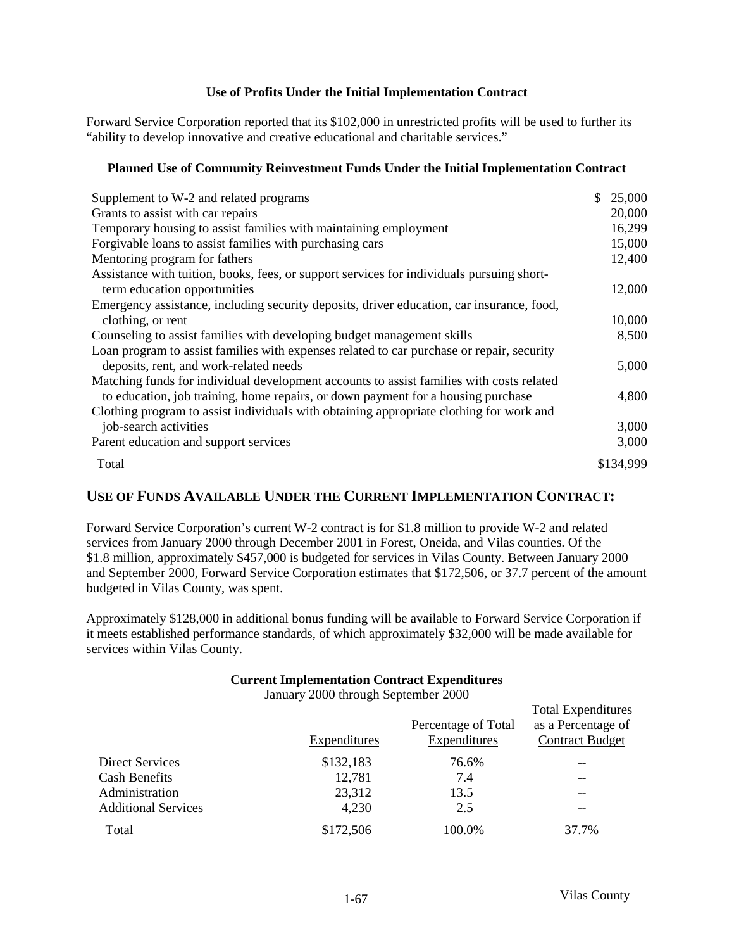### **Use of Profits Under the Initial Implementation Contract**

Forward Service Corporation reported that its \$102,000 in unrestricted profits will be used to further its "ability to develop innovative and creative educational and charitable services."

### **Planned Use of Community Reinvestment Funds Under the Initial Implementation Contract**

| Supplement to W-2 and related programs                                                    | \$<br>25,000 |
|-------------------------------------------------------------------------------------------|--------------|
| Grants to assist with car repairs                                                         | 20,000       |
| Temporary housing to assist families with maintaining employment                          | 16,299       |
| Forgivable loans to assist families with purchasing cars                                  | 15,000       |
| Mentoring program for fathers                                                             | 12,400       |
| Assistance with tuition, books, fees, or support services for individuals pursuing short- |              |
| term education opportunities                                                              | 12,000       |
| Emergency assistance, including security deposits, driver education, car insurance, food, |              |
| clothing, or rent                                                                         | 10,000       |
| Counseling to assist families with developing budget management skills                    | 8,500        |
| Loan program to assist families with expenses related to car purchase or repair, security |              |
| deposits, rent, and work-related needs                                                    | 5,000        |
| Matching funds for individual development accounts to assist families with costs related  |              |
| to education, job training, home repairs, or down payment for a housing purchase          | 4,800        |
| Clothing program to assist individuals with obtaining appropriate clothing for work and   |              |
| job-search activities                                                                     | 3,000        |
| Parent education and support services                                                     | 3,000        |
| Total                                                                                     | \$134,999    |

### **USE OF FUNDS AVAILABLE UNDER THE CURRENT IMPLEMENTATION CONTRACT:**

Forward Service Corporation's current W-2 contract is for \$1.8 million to provide W-2 and related services from January 2000 through December 2001 in Forest, Oneida, and Vilas counties. Of the \$1.8 million, approximately \$457,000 is budgeted for services in Vilas County. Between January 2000 and September 2000, Forward Service Corporation estimates that \$172,506, or 37.7 percent of the amount budgeted in Vilas County, was spent.

Approximately \$128,000 in additional bonus funding will be available to Forward Service Corporation if it meets established performance standards, of which approximately \$32,000 will be made available for services within Vilas County.

### **Current Implementation Contract Expenditures**

January 2000 through September 2000

|                            | Expenditures | Percentage of Total<br>Expenditures | <b>Total Expenditures</b><br>as a Percentage of<br><b>Contract Budget</b> |
|----------------------------|--------------|-------------------------------------|---------------------------------------------------------------------------|
| Direct Services            | \$132,183    | 76.6%                               |                                                                           |
| <b>Cash Benefits</b>       | 12,781       | 7.4                                 | --                                                                        |
| Administration             | 23,312       | 13.5                                | --                                                                        |
| <b>Additional Services</b> | 4,230        | 2.5                                 |                                                                           |
| Total                      | \$172,506    | 100.0%                              | 37.7%                                                                     |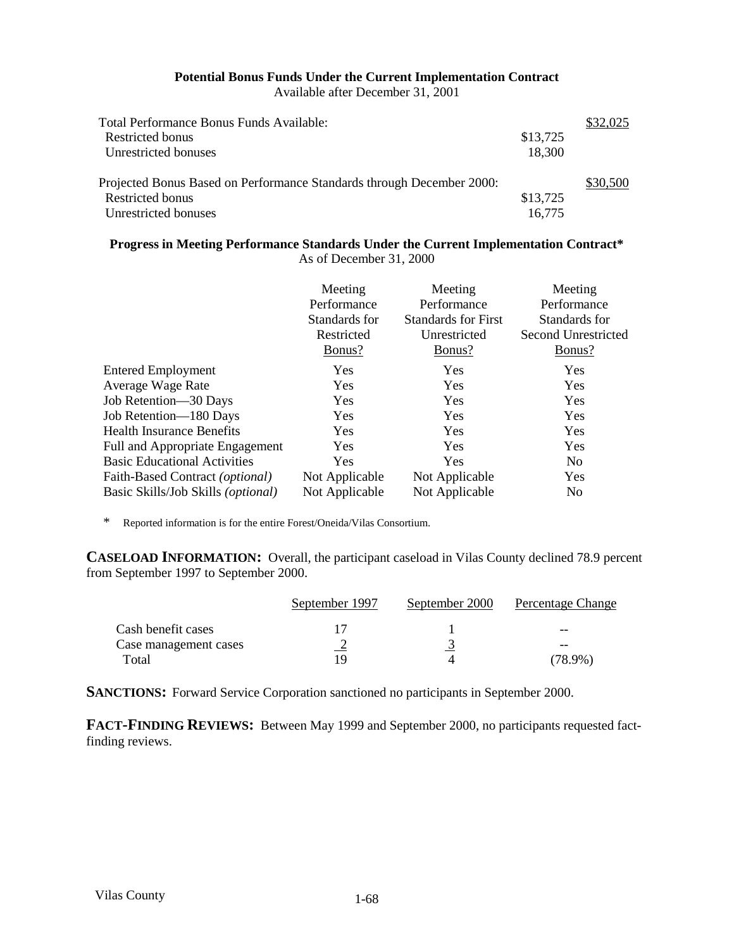#### **Potential Bonus Funds Under the Current Implementation Contract** Available after December 31, 2001

| Total Performance Bonus Funds Available:                              |          | \$32,025 |
|-----------------------------------------------------------------------|----------|----------|
| Restricted bonus                                                      | \$13,725 |          |
| Unrestricted bonuses                                                  | 18,300   |          |
| Projected Bonus Based on Performance Standards through December 2000: |          | \$30,500 |
| Restricted bonus                                                      | \$13,725 |          |
| Unrestricted bonuses                                                  | 16.775   |          |

#### **Progress in Meeting Performance Standards Under the Current Implementation Contract\*** As of December 31, 2000

|                                     | Meeting<br>Performance<br>Standards for<br>Restricted<br>Bonus? | Meeting<br>Performance<br><b>Standards for First</b><br>Unrestricted<br>Bonus? | Meeting<br>Performance<br>Standards for<br>Second Unrestricted<br><u>Bonus?</u> |
|-------------------------------------|-----------------------------------------------------------------|--------------------------------------------------------------------------------|---------------------------------------------------------------------------------|
| <b>Entered Employment</b>           | Yes                                                             | Yes                                                                            | Yes                                                                             |
| Average Wage Rate                   | <b>Yes</b>                                                      | Yes                                                                            | Yes                                                                             |
| Job Retention-30 Days               | <b>Yes</b>                                                      | Yes                                                                            | Yes                                                                             |
| Job Retention-180 Days              | <b>Yes</b>                                                      | Yes                                                                            | Yes                                                                             |
| <b>Health Insurance Benefits</b>    | <b>Yes</b>                                                      | Yes                                                                            | Yes                                                                             |
| Full and Appropriate Engagement     | Yes                                                             | Yes                                                                            | Yes                                                                             |
| <b>Basic Educational Activities</b> | <b>Yes</b>                                                      | Yes                                                                            | N <sub>0</sub>                                                                  |
| Faith-Based Contract (optional)     | Not Applicable                                                  | Not Applicable                                                                 | Yes                                                                             |
| Basic Skills/Job Skills (optional)  | Not Applicable                                                  | Not Applicable                                                                 | N <sub>0</sub>                                                                  |

\* Reported information is for the entire Forest/Oneida/Vilas Consortium.

**CASELOAD INFORMATION:** Overall, the participant caseload in Vilas County declined 78.9 percent from September 1997 to September 2000.

|                       | September 1997 | September 2000 | Percentage Change |
|-----------------------|----------------|----------------|-------------------|
| Cash benefit cases    |                |                | --                |
| Case management cases |                |                | --                |
| Total                 | 1 Q            |                | (78.9%)           |

**SANCTIONS:** Forward Service Corporation sanctioned no participants in September 2000.

**FACT-FINDING REVIEWS:** Between May 1999 and September 2000, no participants requested factfinding reviews.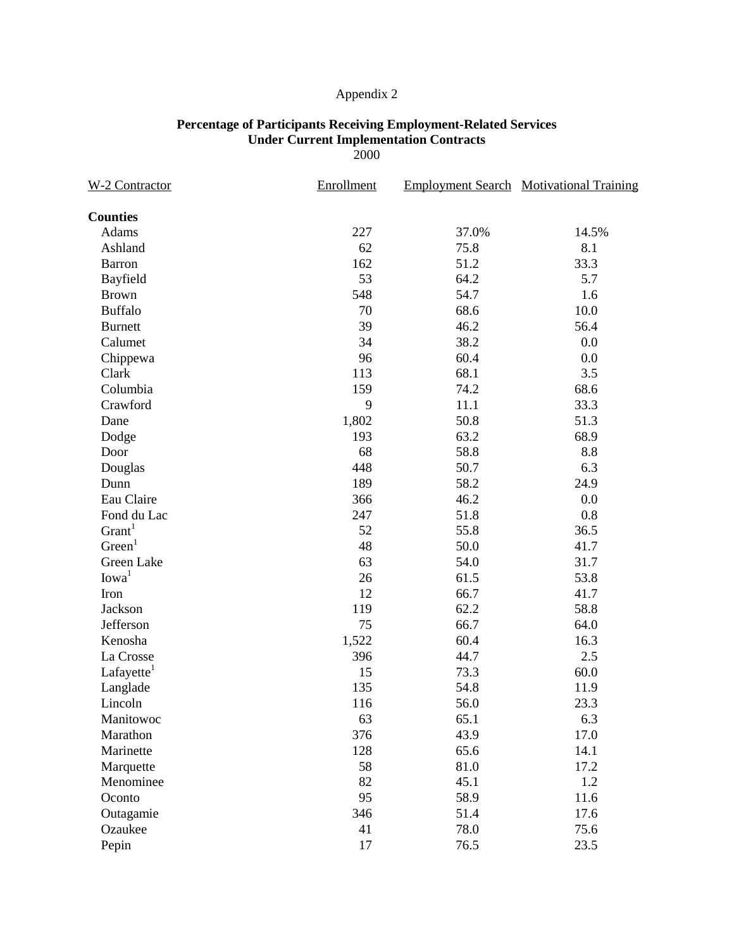### **Percentage of Participants Receiving Employment-Related Services Under Current Implementation Contracts**

2000

| <b>W-2 Contractor</b>  | Enrollment |       | <b>Employment Search Motivational Training</b> |  |  |
|------------------------|------------|-------|------------------------------------------------|--|--|
| <b>Counties</b>        |            |       |                                                |  |  |
| Adams                  | 227        | 37.0% | 14.5%                                          |  |  |
| Ashland                | 62         | 75.8  | 8.1                                            |  |  |
| Barron                 | 162        | 51.2  | 33.3                                           |  |  |
| Bayfield               | 53         | 64.2  | 5.7                                            |  |  |
| <b>Brown</b>           | 548        | 54.7  | 1.6                                            |  |  |
| <b>Buffalo</b>         | 70         | 68.6  | 10.0                                           |  |  |
| <b>Burnett</b>         | 39         | 46.2  | 56.4                                           |  |  |
| Calumet                | 34         | 38.2  | 0.0                                            |  |  |
| Chippewa               | 96         | 60.4  | 0.0                                            |  |  |
| Clark                  | 113        | 68.1  | 3.5                                            |  |  |
| Columbia               | 159        | 74.2  | 68.6                                           |  |  |
| Crawford               | 9          | 11.1  | 33.3                                           |  |  |
| Dane                   | 1,802      | 50.8  | 51.3                                           |  |  |
| Dodge                  | 193        | 63.2  | 68.9                                           |  |  |
| Door                   | 68         | 58.8  | 8.8                                            |  |  |
| Douglas                | 448        | 50.7  | 6.3                                            |  |  |
| Dunn                   | 189        | 58.2  | 24.9                                           |  |  |
| Eau Claire             | 366        | 46.2  | 0.0                                            |  |  |
| Fond du Lac            | 247        | 51.8  | 0.8                                            |  |  |
| Grant <sup>1</sup>     | 52         | 55.8  | 36.5                                           |  |  |
| Green <sup>1</sup>     | 48         | 50.0  | 41.7                                           |  |  |
| Green Lake             | 63         | 54.0  | 31.7                                           |  |  |
| Iowa <sup>1</sup>      | 26         | 61.5  | 53.8                                           |  |  |
| Iron                   | 12         | 66.7  | 41.7                                           |  |  |
| Jackson                | 119        | 62.2  | 58.8                                           |  |  |
| Jefferson              | 75         | 66.7  | 64.0                                           |  |  |
| Kenosha                | 1,522      | 60.4  | 16.3                                           |  |  |
| La Crosse              | 396        | 44.7  | 2.5                                            |  |  |
| Lafayette <sup>1</sup> | 15         | 73.3  | 60.0                                           |  |  |
| Langlade               | 135        | 54.8  | 11.9                                           |  |  |
| Lincoln                | 116        | 56.0  | 23.3                                           |  |  |
| Manitowoc              | 63         | 65.1  | 6.3                                            |  |  |
| Marathon               | 376        | 43.9  | 17.0                                           |  |  |
| Marinette              | 128        | 65.6  | 14.1                                           |  |  |
| Marquette              | 58         | 81.0  | 17.2                                           |  |  |
| Menominee              | 82         | 45.1  | 1.2                                            |  |  |
| Oconto                 | 95         | 58.9  | 11.6                                           |  |  |
| Outagamie              | 346        | 51.4  | 17.6                                           |  |  |
| Ozaukee                | 41         | 78.0  | 75.6                                           |  |  |
| Pepin                  | 17         | 76.5  | 23.5                                           |  |  |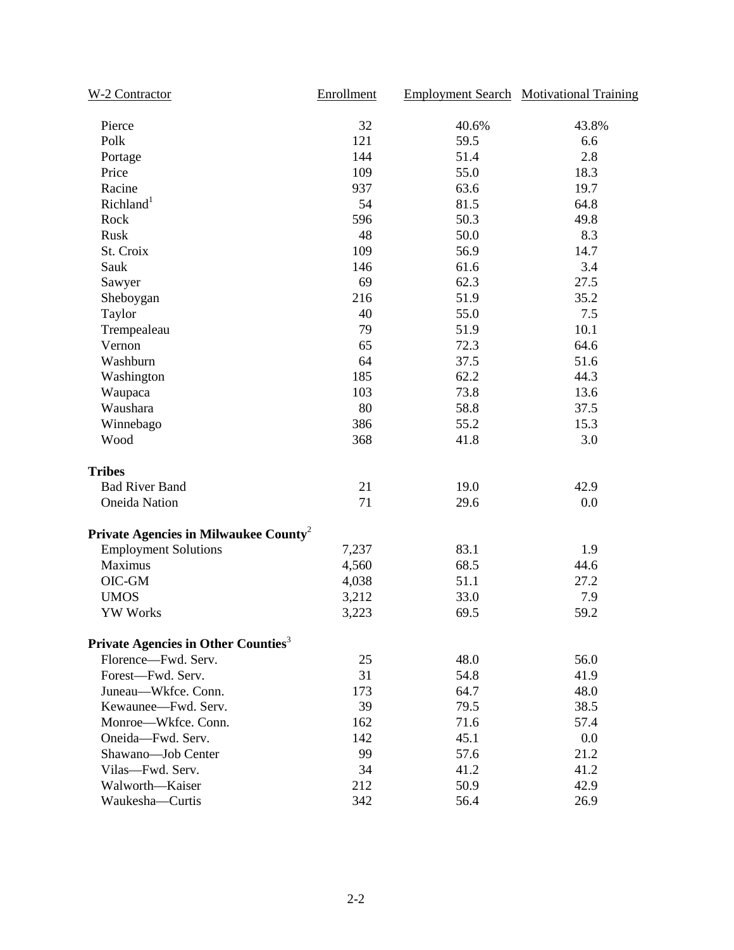| W-2 Contractor                                    | Enrollment |       | <b>Employment Search Motivational Training</b> |
|---------------------------------------------------|------------|-------|------------------------------------------------|
| Pierce                                            | 32         | 40.6% | 43.8%                                          |
| Polk                                              | 121        | 59.5  | 6.6                                            |
| Portage                                           | 144        | 51.4  | 2.8                                            |
| Price                                             | 109        | 55.0  | 18.3                                           |
| Racine                                            | 937        | 63.6  | 19.7                                           |
| Richland <sup>1</sup>                             | 54         | 81.5  | 64.8                                           |
| Rock                                              | 596        | 50.3  | 49.8                                           |
| Rusk                                              | 48         | 50.0  | 8.3                                            |
| St. Croix                                         | 109        | 56.9  | 14.7                                           |
| Sauk                                              | 146        | 61.6  | 3.4                                            |
| Sawyer                                            | 69         | 62.3  | 27.5                                           |
| Sheboygan                                         | 216        | 51.9  | 35.2                                           |
| Taylor                                            | 40         | 55.0  | 7.5                                            |
| Trempealeau                                       | 79         | 51.9  | 10.1                                           |
| Vernon                                            | 65         | 72.3  | 64.6                                           |
| Washburn                                          | 64         | 37.5  | 51.6                                           |
| Washington                                        | 185        | 62.2  | 44.3                                           |
| Waupaca                                           | 103        | 73.8  | 13.6                                           |
| Waushara                                          | 80         | 58.8  | 37.5                                           |
| Winnebago                                         | 386        | 55.2  | 15.3                                           |
| Wood                                              | 368        | 41.8  | 3.0                                            |
| <b>Tribes</b>                                     |            |       |                                                |
| <b>Bad River Band</b>                             | 21         | 19.0  | 42.9                                           |
| <b>Oneida Nation</b>                              | 71         | 29.6  | 0.0                                            |
| Private Agencies in Milwaukee County <sup>2</sup> |            |       |                                                |
| <b>Employment Solutions</b>                       | 7,237      | 83.1  | 1.9                                            |
| Maximus                                           | 4,560      | 68.5  | 44.6                                           |
| OIC-GM                                            | 4,038      | 51.1  | 27.2                                           |
| <b>UMOS</b>                                       | 3,212      | 33.0  | 7.9                                            |
| <b>YW Works</b>                                   | 3,223      | 69.5  | 59.2                                           |
| Private Agencies in Other Counties <sup>3</sup>   |            |       |                                                |
| Florence-Fwd. Serv.                               | 25         | 48.0  | 56.0                                           |
| Forest-Fwd. Serv.                                 | 31         | 54.8  | 41.9                                           |
| Juneau-Wkfce. Conn.                               | 173        | 64.7  | 48.0                                           |
| Kewaunee-Fwd. Serv.                               | 39         | 79.5  | 38.5                                           |
| Monroe-Wkfce. Conn.                               | 162        | 71.6  | 57.4                                           |
| Oneida-Fwd. Serv.                                 | 142        | 45.1  | 0.0                                            |
| Shawano-Job Center                                | 99         | 57.6  | 21.2                                           |
| Vilas-Fwd. Serv.                                  | 34         | 41.2  | 41.2                                           |
| Walworth-Kaiser                                   | 212        | 50.9  | 42.9                                           |
| Waukesha-Curtis                                   | 342        | 56.4  | 26.9                                           |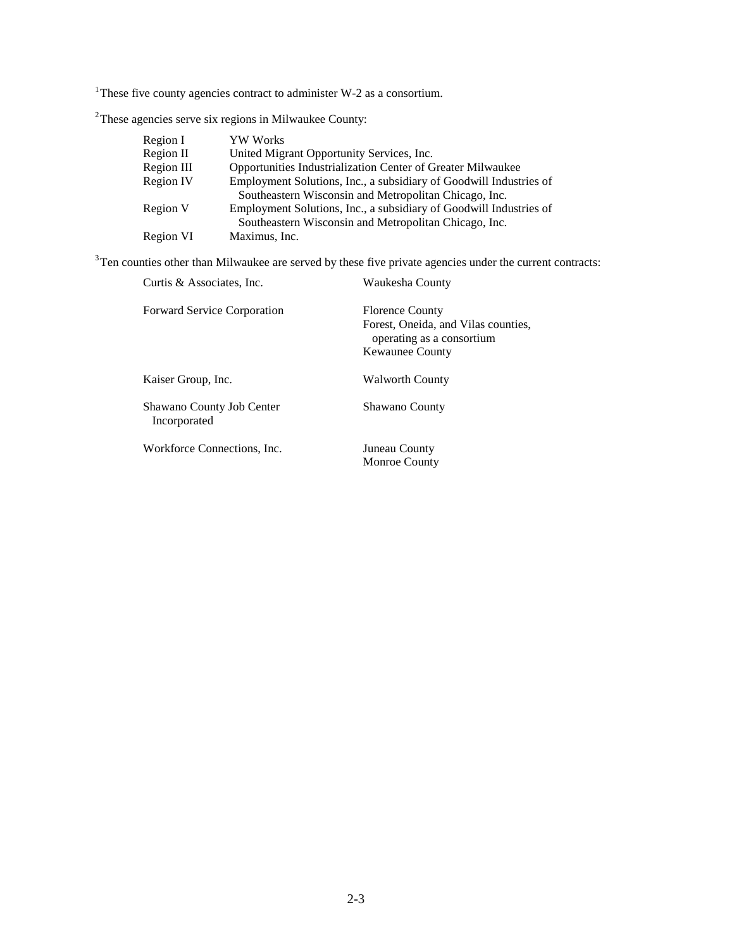<sup>1</sup>These five county agencies contract to administer W-2 as a consortium.

 $2$ These agencies serve six regions in Milwaukee County:

| Region I   | YW Works                                                           |
|------------|--------------------------------------------------------------------|
| Region II  | United Migrant Opportunity Services, Inc.                          |
| Region III | <b>Opportunities Industrialization Center of Greater Milwaukee</b> |
| Region IV  | Employment Solutions, Inc., a subsidiary of Goodwill Industries of |
|            | Southeastern Wisconsin and Metropolitan Chicago, Inc.              |
| Region V   | Employment Solutions, Inc., a subsidiary of Goodwill Industries of |
|            | Southeastern Wisconsin and Metropolitan Chicago, Inc.              |
| Region VI  | Maximus, Inc.                                                      |

 $3$ Ten counties other than Milwaukee are served by these five private agencies under the current contracts:

| Curtis & Associates, Inc.                 | Waukesha County                                                                                                      |
|-------------------------------------------|----------------------------------------------------------------------------------------------------------------------|
| <b>Forward Service Corporation</b>        | <b>Florence County</b><br>Forest, Oneida, and Vilas counties,<br>operating as a consortium<br><b>Kewaunee County</b> |
| Kaiser Group, Inc.                        | <b>Walworth County</b>                                                                                               |
| Shawano County Job Center<br>Incorporated | <b>Shawano County</b>                                                                                                |
| Workforce Connections, Inc.               | Juneau County<br><b>Monroe County</b>                                                                                |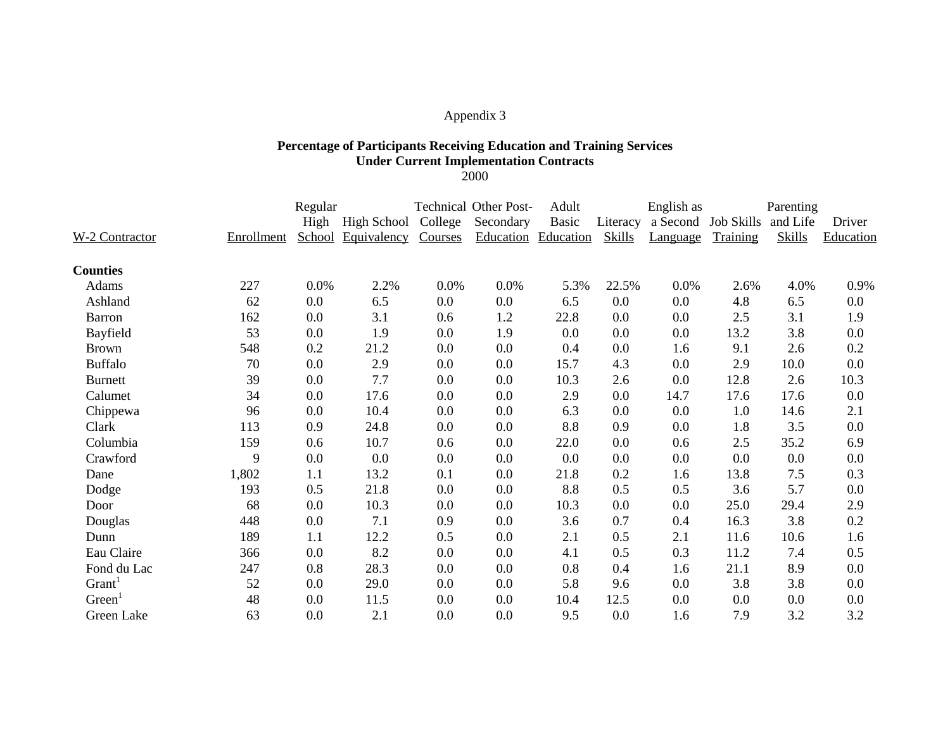### **Percentage of Participants Receiving Education and Training Services Under Current Implementation Contracts**

2000

|                    |            | Regular |             |         | <b>Technical Other Post-</b> | Adult<br>English as |               |          | Parenting           |               |           |
|--------------------|------------|---------|-------------|---------|------------------------------|---------------------|---------------|----------|---------------------|---------------|-----------|
|                    |            | High    | High School | College | Secondary                    | Basic               | Literacy      |          | a Second Job Skills | and Life      | Driver    |
| W-2 Contractor     | Enrollment | School  | Equivalency | Courses |                              | Education Education | <b>Skills</b> | Language | Training            | <b>Skills</b> | Education |
| <b>Counties</b>    |            |         |             |         |                              |                     |               |          |                     |               |           |
| Adams              | 227        | 0.0%    | 2.2%        | 0.0%    | 0.0%                         | 5.3%                | 22.5%         | 0.0%     | 2.6%                | 4.0%          | 0.9%      |
| Ashland            | 62         | 0.0     | 6.5         | 0.0     | 0.0                          | 6.5                 | 0.0           | 0.0      | 4.8                 | 6.5           | $0.0\,$   |
| Barron             | 162        | 0.0     | 3.1         | 0.6     | 1.2                          | 22.8                | 0.0           | 0.0      | 2.5                 | 3.1           | 1.9       |
| Bayfield           | 53         | 0.0     | 1.9         | 0.0     | 1.9                          | 0.0                 | 0.0           | 0.0      | 13.2                | 3.8           | 0.0       |
| <b>Brown</b>       | 548        | 0.2     | 21.2        | 0.0     | 0.0                          | 0.4                 | 0.0           | 1.6      | 9.1                 | 2.6           | 0.2       |
| <b>Buffalo</b>     | 70         | 0.0     | 2.9         | 0.0     | 0.0                          | 15.7                | 4.3           | 0.0      | 2.9                 | 10.0          | 0.0       |
| <b>Burnett</b>     | 39         | 0.0     | 7.7         | 0.0     | 0.0                          | 10.3                | 2.6           | 0.0      | 12.8                | 2.6           | 10.3      |
| Calumet            | 34         | 0.0     | 17.6        | 0.0     | 0.0                          | 2.9                 | 0.0           | 14.7     | 17.6                | 17.6          | 0.0       |
| Chippewa           | 96         | 0.0     | 10.4        | 0.0     | 0.0                          | 6.3                 | 0.0           | 0.0      | 1.0                 | 14.6          | 2.1       |
| Clark              | 113        | 0.9     | 24.8        | 0.0     | 0.0                          | 8.8                 | 0.9           | 0.0      | 1.8                 | 3.5           | 0.0       |
| Columbia           | 159        | 0.6     | 10.7        | 0.6     | 0.0                          | 22.0                | 0.0           | 0.6      | 2.5                 | 35.2          | 6.9       |
| Crawford           | 9          | 0.0     | 0.0         | 0.0     | 0.0                          | 0.0                 | 0.0           | 0.0      | 0.0                 | 0.0           | 0.0       |
| Dane               | 1,802      | 1.1     | 13.2        | 0.1     | 0.0                          | 21.8                | 0.2           | 1.6      | 13.8                | 7.5           | 0.3       |
| Dodge              | 193        | 0.5     | 21.8        | 0.0     | 0.0                          | 8.8                 | 0.5           | 0.5      | 3.6                 | 5.7           | 0.0       |
| Door               | 68         | 0.0     | 10.3        | 0.0     | 0.0                          | 10.3                | 0.0           | 0.0      | 25.0                | 29.4          | 2.9       |
| Douglas            | 448        | 0.0     | 7.1         | 0.9     | 0.0                          | 3.6                 | 0.7           | 0.4      | 16.3                | 3.8           | 0.2       |
| Dunn               | 189        | 1.1     | 12.2        | 0.5     | 0.0                          | 2.1                 | 0.5           | 2.1      | 11.6                | 10.6          | 1.6       |
| Eau Claire         | 366        | 0.0     | 8.2         | 0.0     | 0.0                          | 4.1                 | 0.5           | 0.3      | 11.2                | 7.4           | 0.5       |
| Fond du Lac        | 247        | 0.8     | 28.3        | 0.0     | 0.0                          | 0.8                 | 0.4           | 1.6      | 21.1                | 8.9           | 0.0       |
| Grant <sup>1</sup> | 52         | 0.0     | 29.0        | 0.0     | 0.0                          | 5.8                 | 9.6           | 0.0      | 3.8                 | 3.8           | 0.0       |
| Green              | 48         | 0.0     | 11.5        | 0.0     | 0.0                          | 10.4                | 12.5          | 0.0      | 0.0                 | 0.0           | 0.0       |
| Green Lake         | 63         | 0.0     | 2.1         | 0.0     | 0.0                          | 9.5                 | 0.0           | 1.6      | 7.9                 | 3.2           | 3.2       |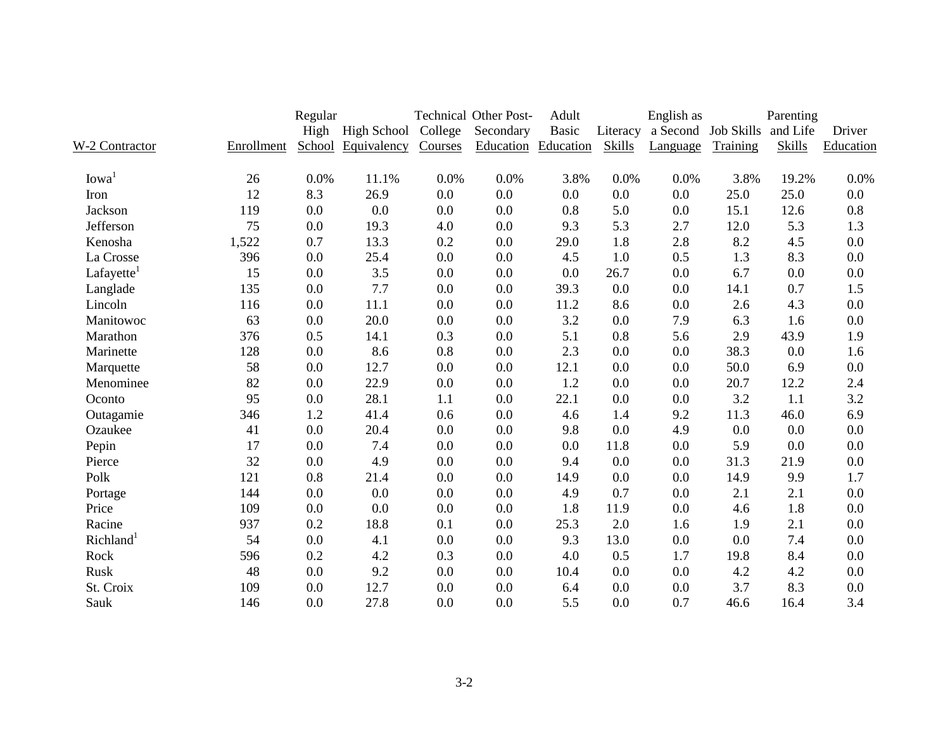|                       |            | Regular |                  |         | <b>Technical Other Post-</b> | Adult        |          | English as          |          | Parenting     |           |
|-----------------------|------------|---------|------------------|---------|------------------------------|--------------|----------|---------------------|----------|---------------|-----------|
|                       |            |         | High High School | College | Secondary                    | <b>Basic</b> | Literacy | a Second Job Skills |          | and Life      | Driver    |
| W-2 Contractor        | Enrollment | School  | Equivalency      | Courses | <b>Education</b> Education   |              | Skills   | Language            | Training | <b>Skills</b> | Education |
| Iowa <sup>1</sup>     | 26         | 0.0%    | 11.1%            | 0.0%    | 0.0%                         | 3.8%         | 0.0%     | 0.0%                | 3.8%     | 19.2%         | 0.0%      |
| Iron                  | 12         | 8.3     | 26.9             | 0.0     | 0.0                          | 0.0          | 0.0      | 0.0                 | 25.0     | 25.0          | 0.0       |
| <b>Jackson</b>        | 119        | 0.0     | 0.0              | 0.0     | 0.0                          | 0.8          | 5.0      | 0.0                 | 15.1     | 12.6          | 0.8       |
| Jefferson             | 75         | 0.0     | 19.3             | 4.0     | 0.0                          | 9.3          | 5.3      | 2.7                 | 12.0     | 5.3           | 1.3       |
| Kenosha               | 1,522      | 0.7     | 13.3             | 0.2     | 0.0                          | 29.0         | 1.8      | 2.8                 | 8.2      | 4.5           | 0.0       |
| La Crosse             | 396        | 0.0     | 25.4             | 0.0     | 0.0                          | 4.5          | 1.0      | 0.5                 | 1.3      | 8.3           | 0.0       |
| Lafayette             | 15         | 0.0     | 3.5              | 0.0     | 0.0                          | 0.0          | 26.7     | 0.0                 | 6.7      | 0.0           | 0.0       |
| Langlade              | 135        | 0.0     | 7.7              | 0.0     | 0.0                          | 39.3         | 0.0      | 0.0                 | 14.1     | 0.7           | 1.5       |
| Lincoln               | 116        | 0.0     | 11.1             | 0.0     | 0.0                          | 11.2         | 8.6      | 0.0                 | 2.6      | 4.3           | 0.0       |
| Manitowoc             | 63         | 0.0     | 20.0             | 0.0     | 0.0                          | 3.2          | 0.0      | 7.9                 | 6.3      | 1.6           | 0.0       |
| Marathon              | 376        | 0.5     | 14.1             | 0.3     | 0.0                          | 5.1          | 0.8      | 5.6                 | 2.9      | 43.9          | 1.9       |
| Marinette             | 128        | 0.0     | 8.6              | 0.8     | 0.0                          | 2.3          | 0.0      | 0.0                 | 38.3     | 0.0           | 1.6       |
| Marquette             | 58         | 0.0     | 12.7             | 0.0     | 0.0                          | 12.1         | 0.0      | 0.0                 | 50.0     | 6.9           | 0.0       |
| Menominee             | 82         | 0.0     | 22.9             | 0.0     | 0.0                          | 1.2          | 0.0      | 0.0                 | 20.7     | 12.2          | 2.4       |
| Oconto                | 95         | 0.0     | 28.1             | 1.1     | 0.0                          | 22.1         | 0.0      | 0.0                 | 3.2      | 1.1           | 3.2       |
| Outagamie             | 346        | 1.2     | 41.4             | 0.6     | 0.0                          | 4.6          | 1.4      | 9.2                 | 11.3     | 46.0          | 6.9       |
| Ozaukee               | 41         | 0.0     | 20.4             | 0.0     | 0.0                          | 9.8          | 0.0      | 4.9                 | 0.0      | 0.0           | 0.0       |
| Pepin                 | 17         | 0.0     | 7.4              | 0.0     | 0.0                          | 0.0          | 11.8     | 0.0                 | 5.9      | 0.0           | 0.0       |
| Pierce                | 32         | 0.0     | 4.9              | 0.0     | 0.0                          | 9.4          | 0.0      | 0.0                 | 31.3     | 21.9          | 0.0       |
| Polk                  | 121        | 0.8     | 21.4             | 0.0     | 0.0                          | 14.9         | 0.0      | 0.0                 | 14.9     | 9.9           | 1.7       |
| Portage               | 144        | 0.0     | 0.0              | 0.0     | 0.0                          | 4.9          | 0.7      | 0.0                 | 2.1      | 2.1           | 0.0       |
| Price                 | 109        | 0.0     | 0.0              | 0.0     | 0.0                          | 1.8          | 11.9     | 0.0                 | 4.6      | 1.8           | 0.0       |
| Racine                | 937        | 0.2     | 18.8             | 0.1     | 0.0                          | 25.3         | 2.0      | 1.6                 | 1.9      | 2.1           | 0.0       |
| Richland <sup>1</sup> | 54         | 0.0     | 4.1              | 0.0     | 0.0                          | 9.3          | 13.0     | 0.0                 | 0.0      | 7.4           | 0.0       |
| Rock                  | 596        | 0.2     | 4.2              | 0.3     | 0.0                          | 4.0          | 0.5      | 1.7                 | 19.8     | 8.4           | 0.0       |
| Rusk                  | 48         | 0.0     | 9.2              | 0.0     | 0.0                          | 10.4         | 0.0      | 0.0                 | 4.2      | 4.2           | 0.0       |
| St. Croix             | 109        | 0.0     | 12.7             | 0.0     | 0.0                          | 6.4          | 0.0      | 0.0                 | 3.7      | 8.3           | 0.0       |
| Sauk                  | 146        | 0.0     | 27.8             | 0.0     | 0.0                          | 5.5          | 0.0      | 0.7                 | 46.6     | 16.4          | 3.4       |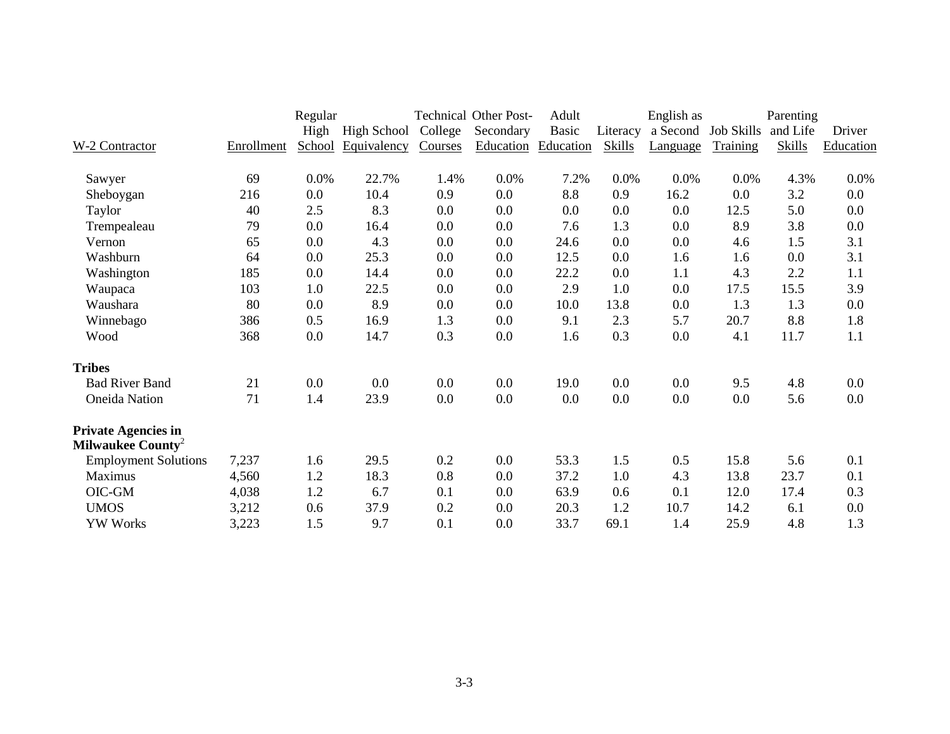|                               |            | Regular |                    |         | <b>Technical Other Post-</b> | Adult     |               | English as |                   | Parenting     |           |
|-------------------------------|------------|---------|--------------------|---------|------------------------------|-----------|---------------|------------|-------------------|---------------|-----------|
|                               |            | High    | <b>High School</b> | College | Secondary                    | Basic     | Literacy      | a Second   | <b>Job Skills</b> | and Life      | Driver    |
| W-2 Contractor                | Enrollment | School  | Equivalency        | Courses | Education                    | Education | <b>Skills</b> | Language   | Training          | <b>Skills</b> | Education |
| Sawyer                        | 69         | $0.0\%$ | 22.7%              | 1.4%    | 0.0%                         | 7.2%      | 0.0%          | 0.0%       | 0.0%              | 4.3%          | 0.0%      |
| Sheboygan                     | 216        | 0.0     | 10.4               | 0.9     | $0.0\,$                      | 8.8       | 0.9           | 16.2       | 0.0               | 3.2           | $0.0\,$   |
| Taylor                        | 40         | 2.5     | 8.3                | 0.0     | 0.0                          | 0.0       | 0.0           | 0.0        | 12.5              | 5.0           | 0.0       |
| Trempealeau                   | 79         | 0.0     | 16.4               | 0.0     | $0.0\,$                      | 7.6       | 1.3           | 0.0        | 8.9               | 3.8           | 0.0       |
| Vernon                        | 65         | 0.0     | 4.3                | 0.0     | $0.0\,$                      | 24.6      | 0.0           | 0.0        | 4.6               | 1.5           | 3.1       |
| Washburn                      | 64         | 0.0     | 25.3               | 0.0     | $0.0\,$                      | 12.5      | 0.0           | 1.6        | 1.6               | 0.0           | 3.1       |
| Washington                    | 185        | 0.0     | 14.4               | 0.0     | $0.0\,$                      | 22.2      | 0.0           | 1.1        | 4.3               | 2.2           | 1.1       |
| Waupaca                       | 103        | 1.0     | 22.5               | 0.0     | 0.0                          | 2.9       | 1.0           | 0.0        | 17.5              | 15.5          | 3.9       |
| Waushara                      | 80         | 0.0     | 8.9                | 0.0     | 0.0                          | 10.0      | 13.8          | 0.0        | 1.3               | 1.3           | 0.0       |
| Winnebago                     | 386        | 0.5     | 16.9               | 1.3     | 0.0                          | 9.1       | 2.3           | 5.7        | 20.7              | 8.8           | 1.8       |
| Wood                          | 368        | 0.0     | 14.7               | 0.3     | $0.0\,$                      | 1.6       | 0.3           | 0.0        | 4.1               | 11.7          | 1.1       |
| <b>Tribes</b>                 |            |         |                    |         |                              |           |               |            |                   |               |           |
| <b>Bad River Band</b>         | 21         | 0.0     | 0.0                | 0.0     | 0.0                          | 19.0      | 0.0           | 0.0        | 9.5               | 4.8           | 0.0       |
| <b>Oneida</b> Nation          | 71         | 1.4     | 23.9               | 0.0     | 0.0                          | 0.0       | 0.0           | 0.0        | 0.0               | 5.6           | 0.0       |
| <b>Private Agencies in</b>    |            |         |                    |         |                              |           |               |            |                   |               |           |
| Milwaukee County <sup>2</sup> |            |         |                    |         |                              |           |               |            |                   |               |           |
| <b>Employment Solutions</b>   | 7,237      | 1.6     | 29.5               | 0.2     | $0.0\,$                      | 53.3      | 1.5           | 0.5        | 15.8              | 5.6           | 0.1       |
| Maximus                       | 4,560      | 1.2     | 18.3               | 0.8     | 0.0                          | 37.2      | 1.0           | 4.3        | 13.8              | 23.7          | 0.1       |
| OIC-GM                        | 4,038      | 1.2     | 6.7                | 0.1     | $0.0\,$                      | 63.9      | 0.6           | 0.1        | 12.0              | 17.4          | 0.3       |
| <b>UMOS</b>                   | 3,212      | 0.6     | 37.9               | 0.2     | 0.0                          | 20.3      | 1.2           | 10.7       | 14.2              | 6.1           | 0.0       |
| <b>YW Works</b>               | 3,223      | 1.5     | 9.7                | 0.1     | 0.0                          | 33.7      | 69.1          | 1.4        | 25.9              | 4.8           | 1.3       |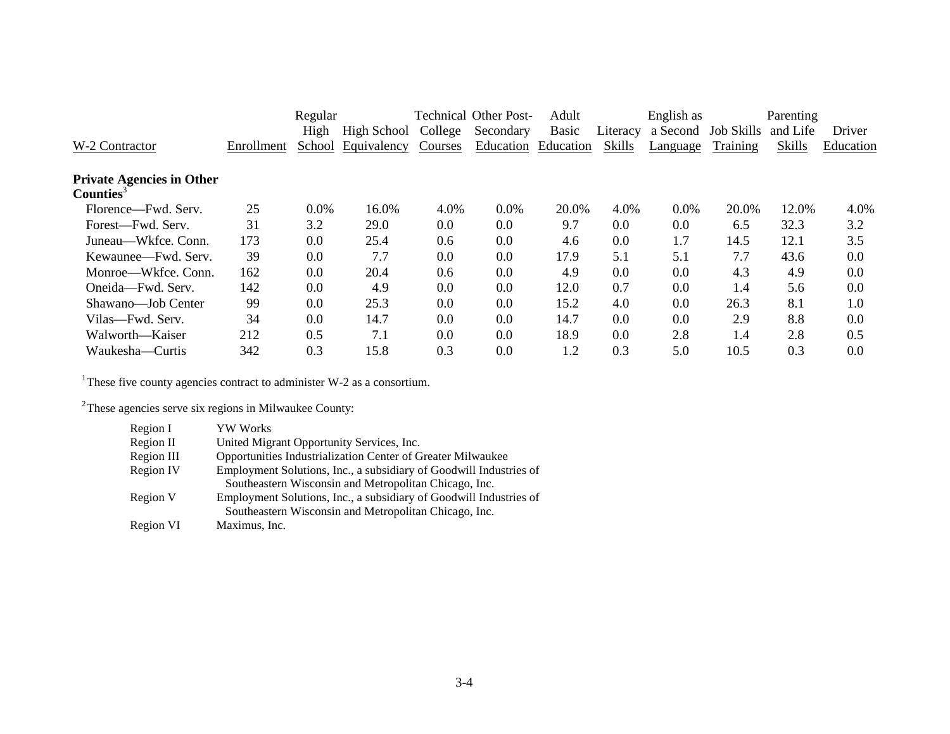|                                  |            | Regular |             |         | <b>Technical Other Post-</b> | Adult        |          | English as |                   | Parenting |           |
|----------------------------------|------------|---------|-------------|---------|------------------------------|--------------|----------|------------|-------------------|-----------|-----------|
|                                  |            | High    | High School | College | Secondary                    | <b>Basic</b> | Literacy | a Second   | <b>Job Skills</b> | and Life  | Driver    |
| W-2 Contractor                   | Enrollment | School  | Equivalency | Courses | Education                    | Education    | Skills   | Language   | Training          | Skills    | Education |
| <b>Private Agencies in Other</b> |            |         |             |         |                              |              |          |            |                   |           |           |
| Counties <sup>3</sup>            |            |         |             |         |                              |              |          |            |                   |           |           |
| Florence—Fwd. Serv.              | 25         | $0.0\%$ | 16.0%       | 4.0%    | 0.0%                         | 20.0%        | 4.0%     | $0.0\%$    | 20.0%             | 12.0%     | 4.0%      |
| Forest-Fwd. Serv.                | 31         | 3.2     | 29.0        | 0.0     | 0.0                          | 9.7          | 0.0      | 0.0        | 6.5               | 32.3      | 3.2       |
| Juneau—Wkfce, Conn.              | 173        | 0.0     | 25.4        | 0.6     | 0.0                          | 4.6          | 0.0      | 1.7        | 14.5              | 12.1      | 3.5       |
| Kewaunee—Fwd. Serv.              | 39         | 0.0     | 7.7         | 0.0     | 0.0                          | 17.9         | 5.1      | 5.1        | 7.7               | 43.6      | 0.0       |
| Monroe—Wkfce, Conn.              | 162        | 0.0     | 20.4        | 0.6     | 0.0                          | 4.9          | 0.0      | 0.0        | 4.3               | 4.9       | 0.0       |
| Oneida—Fwd. Serv.                | 142        | 0.0     | 4.9         | 0.0     | 0.0                          | 12.0         | 0.7      | 0.0        | 1.4               | 5.6       | 0.0       |
| Shawano-Job Center               | 99         | 0.0     | 25.3        | 0.0     | 0.0                          | 15.2         | 4.0      | 0.0        | 26.3              | 8.1       | 1.0       |
| Vilas—Fwd. Serv.                 | 34         | 0.0     | 14.7        | 0.0     | 0.0                          | 14.7         | 0.0      | 0.0        | 2.9               | 8.8       | 0.0       |
| Walworth—Kaiser                  | 212        | 0.5     | 7.1         | 0.0     | 0.0                          | 18.9         | 0.0      | 2.8        | 1.4               | 2.8       | 0.5       |
| Waukesha—Curtis                  | 342        | 0.3     | 15.8        | 0.3     | 0.0                          | 1.2          | 0.3      | 5.0        | 10.5              | 0.3       | 0.0       |
|                                  |            |         |             |         |                              |              |          |            |                   |           |           |

<sup>1</sup>These five county agencies contract to administer W-2 as a consortium.

<sup>2</sup>These agencies serve six regions in Milwaukee County:

| Region I   | <b>YW Works</b>                                                    |
|------------|--------------------------------------------------------------------|
| Region II  | United Migrant Opportunity Services, Inc.                          |
| Region III | Opportunities Industrialization Center of Greater Milwaukee        |
| Region IV  | Employment Solutions, Inc., a subsidiary of Goodwill Industries of |
|            | Southeastern Wisconsin and Metropolitan Chicago, Inc.              |
| Region V   | Employment Solutions, Inc., a subsidiary of Goodwill Industries of |
|            | Southeastern Wisconsin and Metropolitan Chicago, Inc.              |
| Region VI  | Maximus, Inc.                                                      |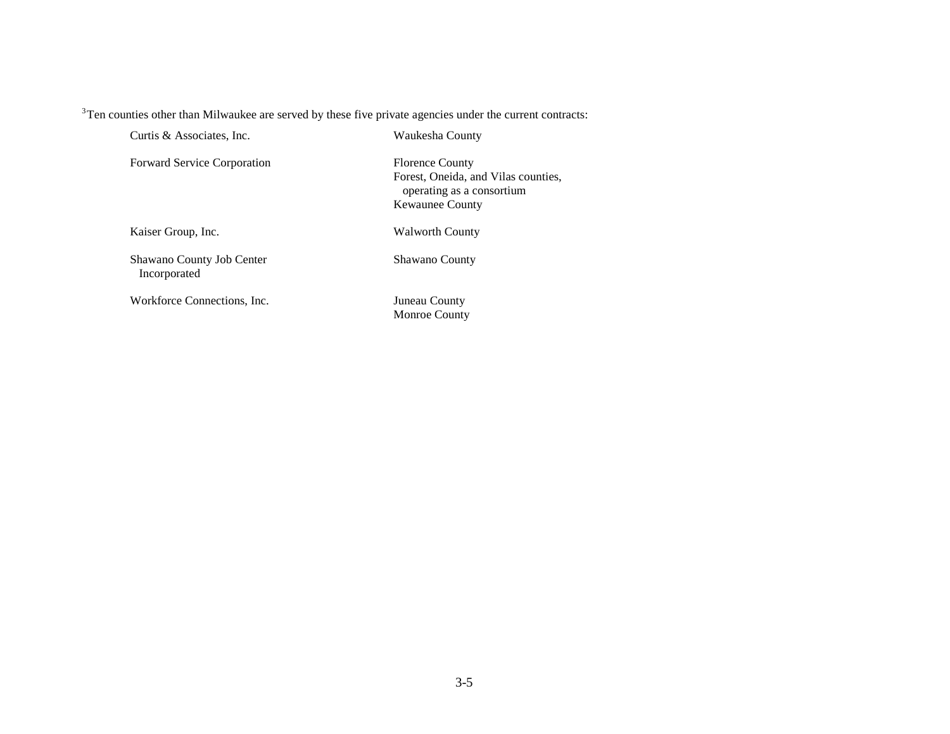<sup>3</sup>Ten counties other than Milwaukee are served by these five private agencies under the current contracts:

Curtis & Associates, Inc.

Waukesha County

Forward Service Corporation

Florence County Forest, Oneida, and Vilas counties, operating as a consortium Kewaunee County

Kaiser Group, Inc.

Walworth County

Shawano County Job Center Incorporated

Workforce Connections, Inc.

Shawano County

Juneau County Monroe County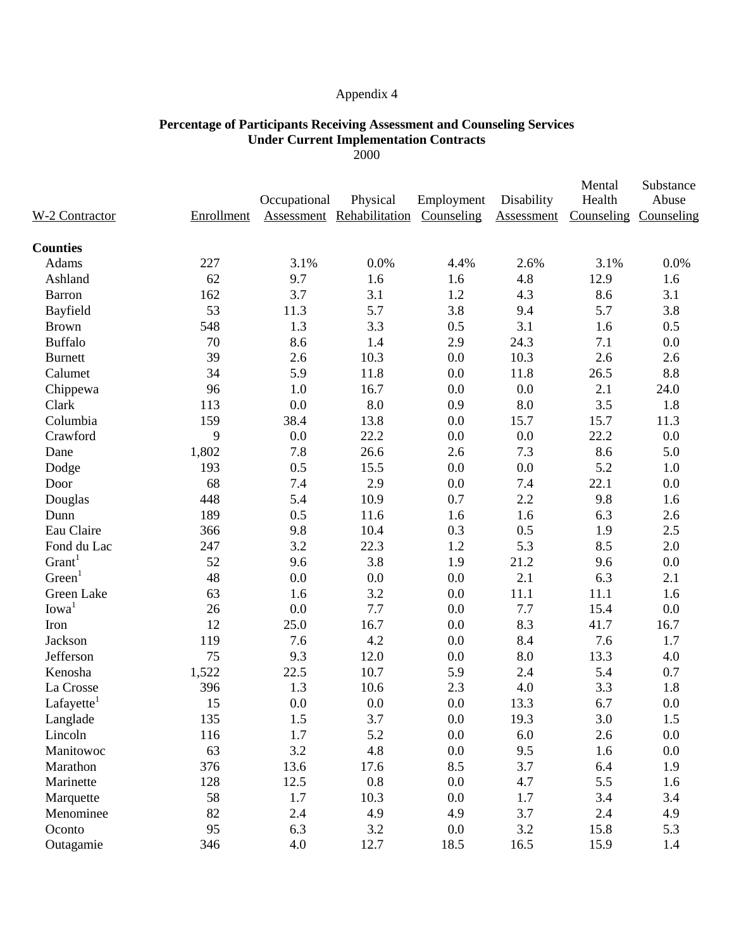### **Percentage of Participants Receiving Assessment and Counseling Services Under Current Implementation Contracts**

2000

| W-2 Contractor     | Enrollment | Occupational | Physical<br><b>Assessment Rehabilitation Counseling</b> | Employment | Disability<br>Assessment | Mental<br>Health<br>Counseling | Substance<br>Abuse<br>Counseling |
|--------------------|------------|--------------|---------------------------------------------------------|------------|--------------------------|--------------------------------|----------------------------------|
| <b>Counties</b>    |            |              |                                                         |            |                          |                                |                                  |
| Adams              | 227        | 3.1%         | 0.0%                                                    | 4.4%       | 2.6%                     | 3.1%                           | 0.0%                             |
| Ashland            | 62         | 9.7          | 1.6                                                     | 1.6        | 4.8                      | 12.9                           | 1.6                              |
| <b>Barron</b>      | 162        | 3.7          | 3.1                                                     | 1.2        | 4.3                      | 8.6                            | 3.1                              |
| Bayfield           | 53         | 11.3         | 5.7                                                     | 3.8        | 9.4                      | 5.7                            | 3.8                              |
| <b>Brown</b>       | 548        | 1.3          | 3.3                                                     | 0.5        | 3.1                      | 1.6                            | 0.5                              |
| <b>Buffalo</b>     | 70         | 8.6          | 1.4                                                     | 2.9        | 24.3                     | 7.1                            | 0.0                              |
| <b>Burnett</b>     | 39         | 2.6          | 10.3                                                    | 0.0        | 10.3                     | 2.6                            | 2.6                              |
| Calumet            | 34         | 5.9          | 11.8                                                    | 0.0        | 11.8                     | 26.5                           | 8.8                              |
| Chippewa           | 96         | 1.0          | 16.7                                                    | 0.0        | 0.0                      | 2.1                            | 24.0                             |
| Clark              | 113        | 0.0          | 8.0                                                     | 0.9        | 8.0                      | 3.5                            | 1.8                              |
| Columbia           | 159        | 38.4         | 13.8                                                    | 0.0        | 15.7                     | 15.7                           | 11.3                             |
| Crawford           | 9          | 0.0          | 22.2                                                    | 0.0        | 0.0                      | 22.2                           | 0.0                              |
| Dane               | 1,802      | 7.8          | 26.6                                                    | 2.6        | 7.3                      | 8.6                            | 5.0                              |
| Dodge              | 193        | 0.5          | 15.5                                                    | 0.0        | 0.0                      | 5.2                            | 1.0                              |
| Door               | 68         | 7.4          | 2.9                                                     | 0.0        | 7.4                      | 22.1                           | 0.0                              |
| Douglas            | 448        | 5.4          | 10.9                                                    | 0.7        | 2.2                      | 9.8                            | 1.6                              |
| Dunn               | 189        | 0.5          | 11.6                                                    | 1.6        | 1.6                      | 6.3                            | 2.6                              |
| Eau Claire         | 366        | 9.8          | 10.4                                                    | 0.3        | 0.5                      | 1.9                            | 2.5                              |
| Fond du Lac        | 247        | 3.2          | 22.3                                                    | 1.2        | 5.3                      | 8.5                            | 2.0                              |
| Grant <sup>1</sup> | 52         | 9.6          | 3.8                                                     | 1.9        | 21.2                     | 9.6                            | 0.0                              |
| Green <sup>1</sup> | 48         | 0.0          | 0.0                                                     | 0.0        | 2.1                      | 6.3                            | 2.1                              |
| Green Lake         | 63         | 1.6          | 3.2                                                     | 0.0        | 11.1                     | 11.1                           | 1.6                              |
| Iowa <sup>1</sup>  | 26         | 0.0          | 7.7                                                     | 0.0        | 7.7                      | 15.4                           | 0.0                              |
| Iron               | 12         | 25.0         | 16.7                                                    | 0.0        | 8.3                      | 41.7                           | 16.7                             |
| Jackson            | 119        | 7.6          | 4.2                                                     | 0.0        | 8.4                      | 7.6                            | 1.7                              |
| Jefferson          | 75         | 9.3          | 12.0                                                    | 0.0        | 8.0                      | 13.3                           | 4.0                              |
| Kenosha            | 1,522      | 22.5         | 10.7                                                    | 5.9        | 2.4                      | 5.4                            | 0.7                              |
| La Crosse          | 396        | 1.3          | 10.6                                                    | 2.3        | 4.0                      | 3.3                            | 1.8                              |
| Lafayette          | 15         | 0.0          | 0.0                                                     | 0.0        | 13.3                     | 6.7                            | 0.0                              |
| Langlade           | 135        | 1.5          | 3.7                                                     | $0.0\,$    | 19.3                     | 3.0                            | 1.5                              |
| Lincoln            | 116        | 1.7          | 5.2                                                     | 0.0        | 6.0                      | 2.6                            | 0.0                              |
| Manitowoc          | 63         | 3.2          | 4.8                                                     | 0.0        | 9.5                      | 1.6                            | 0.0                              |
| Marathon           | 376        | 13.6         | 17.6                                                    | 8.5        | 3.7                      | 6.4                            | 1.9                              |
| Marinette          | 128        | 12.5         | 0.8                                                     | 0.0        | 4.7                      | 5.5                            | 1.6                              |
| Marquette          | 58         | 1.7          | 10.3                                                    | 0.0        | 1.7                      | 3.4                            | 3.4                              |
| Menominee          | 82         | 2.4          | 4.9                                                     | 4.9        | 3.7                      | 2.4                            | 4.9                              |
| Oconto             | 95         | 6.3          | 3.2                                                     | 0.0        | 3.2                      | 15.8                           | 5.3                              |
| Outagamie          | 346        | 4.0          | 12.7                                                    | 18.5       | 16.5                     | 15.9                           | 1.4                              |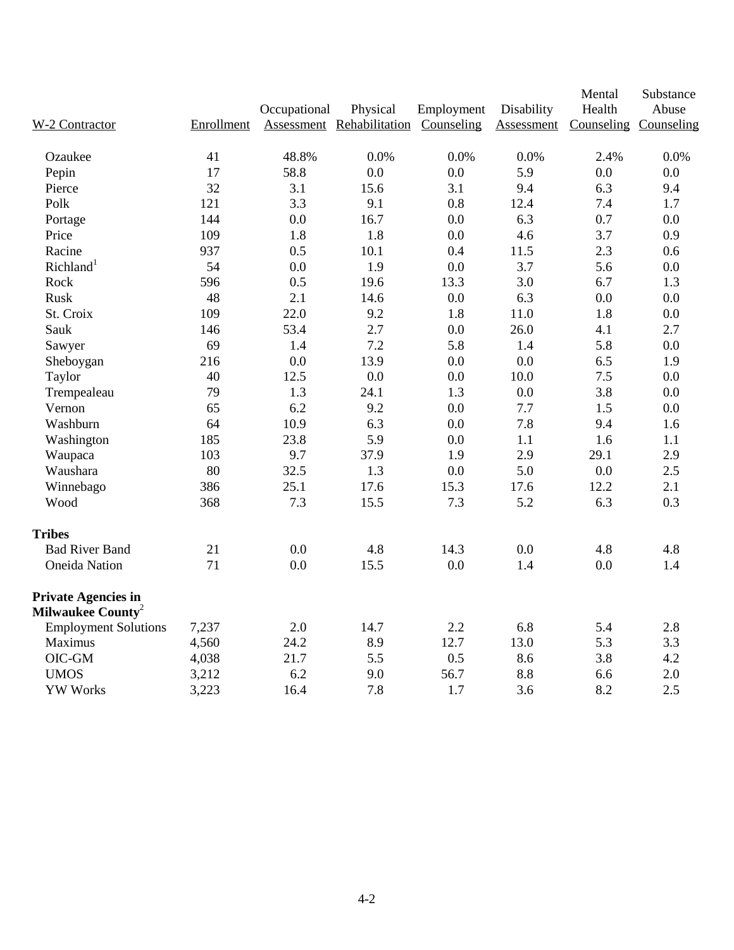|                                                             |            |              |                           |            |            | Mental                | Substance |
|-------------------------------------------------------------|------------|--------------|---------------------------|------------|------------|-----------------------|-----------|
|                                                             |            | Occupational | Physical                  | Employment | Disability | Health                | Abuse     |
| W-2 Contractor                                              | Enrollment |              | Assessment Rehabilitation | Counseling | Assessment | Counseling Counseling |           |
| Ozaukee                                                     | 41         | 48.8%        | 0.0%                      | 0.0%       | 0.0%       | 2.4%                  | 0.0%      |
| Pepin                                                       | 17         | 58.8         | 0.0                       | 0.0        | 5.9        | 0.0                   | 0.0       |
| Pierce                                                      | 32         | 3.1          | 15.6                      | 3.1        | 9.4        | 6.3                   | 9.4       |
| Polk                                                        | 121        | 3.3          | 9.1                       | 0.8        | 12.4       | 7.4                   | 1.7       |
| Portage                                                     | 144        | 0.0          | 16.7                      | 0.0        | 6.3        | 0.7                   | 0.0       |
| Price                                                       | 109        | 1.8          | 1.8                       | $0.0\,$    | 4.6        | 3.7                   | 0.9       |
| Racine                                                      | 937        | 0.5          | 10.1                      | 0.4        | 11.5       | 2.3                   | 0.6       |
| Richland <sup>1</sup>                                       | 54         | 0.0          | 1.9                       | 0.0        | 3.7        | 5.6                   | 0.0       |
| Rock                                                        | 596        | 0.5          | 19.6                      | 13.3       | 3.0        | 6.7                   | 1.3       |
| Rusk                                                        | 48         | 2.1          | 14.6                      | $0.0\,$    | 6.3        | 0.0                   | 0.0       |
| St. Croix                                                   | 109        | 22.0         | 9.2                       | 1.8        | 11.0       | 1.8                   | 0.0       |
| Sauk                                                        | 146        | 53.4         | 2.7                       | 0.0        | 26.0       | 4.1                   | 2.7       |
| Sawyer                                                      | 69         | 1.4          | 7.2                       | 5.8        | 1.4        | 5.8                   | 0.0       |
| Sheboygan                                                   | 216        | 0.0          | 13.9                      | 0.0        | 0.0        | 6.5                   | 1.9       |
| Taylor                                                      | 40         | 12.5         | 0.0                       | 0.0        | 10.0       | 7.5                   | 0.0       |
| Trempealeau                                                 | 79         | 1.3          | 24.1                      | 1.3        | 0.0        | 3.8                   | 0.0       |
| Vernon                                                      | 65         | 6.2          | 9.2                       | 0.0        | 7.7        | 1.5                   | 0.0       |
| Washburn                                                    | 64         | 10.9         | 6.3                       | 0.0        | 7.8        | 9.4                   | 1.6       |
| Washington                                                  | 185        | 23.8         | 5.9                       | 0.0        | 1.1        | 1.6                   | 1.1       |
| Waupaca                                                     | 103        | 9.7          | 37.9                      | 1.9        | 2.9        | 29.1                  | 2.9       |
| Waushara                                                    | 80         | 32.5         | 1.3                       | $0.0\,$    | 5.0        | $0.0\,$               | 2.5       |
| Winnebago                                                   | 386        | 25.1         | 17.6                      | 15.3       | 17.6       | 12.2                  | 2.1       |
| Wood                                                        | 368        | 7.3          | 15.5                      | 7.3        | 5.2        | 6.3                   | 0.3       |
| <b>Tribes</b>                                               |            |              |                           |            |            |                       |           |
| <b>Bad River Band</b>                                       | 21         | 0.0          | 4.8                       | 14.3       | 0.0        | 4.8                   | 4.8       |
| <b>Oneida Nation</b>                                        | 71         | 0.0          | 15.5                      | 0.0        | 1.4        | 0.0                   | 1.4       |
| <b>Private Agencies in</b><br>Milwaukee County <sup>2</sup> |            |              |                           |            |            |                       |           |
| <b>Employment Solutions</b>                                 | 7,237      | 2.0          | 14.7                      | 2.2        | 6.8        | 5.4                   | 2.8       |
| Maximus                                                     | 4,560      | 24.2         | 8.9                       | 12.7       | 13.0       | 5.3                   | 3.3       |
| OIC-GM                                                      | 4,038      | 21.7         | 5.5                       | 0.5        | 8.6        | 3.8                   | 4.2       |
| <b>UMOS</b>                                                 | 3,212      | 6.2          | 9.0                       | 56.7       | 8.8        | 6.6                   | 2.0       |
| <b>YW Works</b>                                             | 3,223      | 16.4         | 7.8                       | 1.7        | 3.6        | 8.2                   | 2.5       |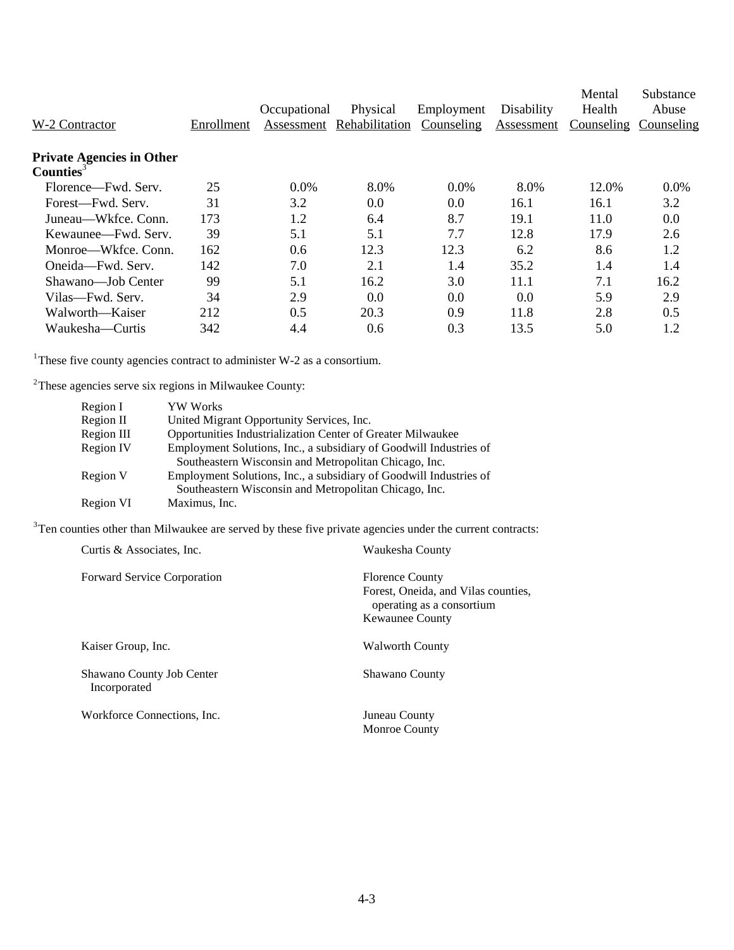| W-2 Contractor                                   | Enrollment | Occupational<br>Assessment | Physical<br>Rehabilitation | Employment<br>Counseling | Disability<br>Assessment | Mental<br>Health<br>Counseling | Substance<br>Abuse<br>Counseling |
|--------------------------------------------------|------------|----------------------------|----------------------------|--------------------------|--------------------------|--------------------------------|----------------------------------|
| <b>Private Agencies in Other</b><br>Counties $3$ |            |                            |                            |                          |                          |                                |                                  |
| Florence—Fwd. Serv.                              | 25         | 0.0%                       | 8.0%                       | $0.0\%$                  | 8.0%                     | 12.0%                          | 0.0%                             |
| Forest—Fwd. Serv.                                | 31         | 3.2                        | 0.0                        | 0.0                      | 16.1                     | 16.1                           | 3.2                              |
| Juneau—Wkfce, Conn.                              | 173        | 1.2                        | 6.4                        | 8.7                      | 19.1                     | 11.0                           | 0.0                              |
| Kewaunee—Fwd. Serv.                              | 39         | 5.1                        | 5.1                        | 7.7                      | 12.8                     | 17.9                           | 2.6                              |
| Monroe—Wkfce, Conn.                              | 162        | 0.6                        | 12.3                       | 12.3                     | 6.2                      | 8.6                            | 1.2                              |
| Oneida—Fwd. Serv.                                | 142        | 7.0                        | 2.1                        | 1.4                      | 35.2                     | 1.4                            | 1.4                              |
| Shawano—Job Center                               | 99         | 5.1                        | 16.2                       | 3.0                      | 11.1                     | 7.1                            | 16.2                             |
| Vilas—Fwd. Serv.                                 | 34         | 2.9                        | 0.0                        | 0.0                      | 0.0                      | 5.9                            | 2.9                              |
| Walworth—Kaiser                                  | 212        | 0.5                        | 20.3                       | 0.9                      | 11.8                     | 2.8                            | 0.5                              |
| Waukesha—Curtis                                  | 342        | 4.4                        | 0.6                        | 0.3                      | 13.5                     | 5.0                            | 1.2                              |

<sup>1</sup>These five county agencies contract to administer W-2 as a consortium.

 $2$ These agencies serve six regions in Milwaukee County:

| Region I   | YW Works                                                           |
|------------|--------------------------------------------------------------------|
| Region II  | United Migrant Opportunity Services, Inc.                          |
| Region III | Opportunities Industrialization Center of Greater Milwaukee        |
| Region IV  | Employment Solutions, Inc., a subsidiary of Goodwill Industries of |
|            | Southeastern Wisconsin and Metropolitan Chicago, Inc.              |
| Region V   | Employment Solutions, Inc., a subsidiary of Goodwill Industries of |
|            | Southeastern Wisconsin and Metropolitan Chicago, Inc.              |
| Region VI  | Maximus, Inc.                                                      |

 $3$ Ten counties other than Milwaukee are served by these five private agencies under the current contracts:

| Curtis & Associates, Inc.                 | Waukesha County                                                                                                      |
|-------------------------------------------|----------------------------------------------------------------------------------------------------------------------|
| <b>Forward Service Corporation</b>        | <b>Florence County</b><br>Forest, Oneida, and Vilas counties,<br>operating as a consortium<br><b>Kewaunee County</b> |
| Kaiser Group, Inc.                        | <b>Walworth County</b>                                                                                               |
| Shawano County Job Center<br>Incorporated | Shawano County                                                                                                       |
| Workforce Connections, Inc.               | Juneau County<br><b>Monroe County</b>                                                                                |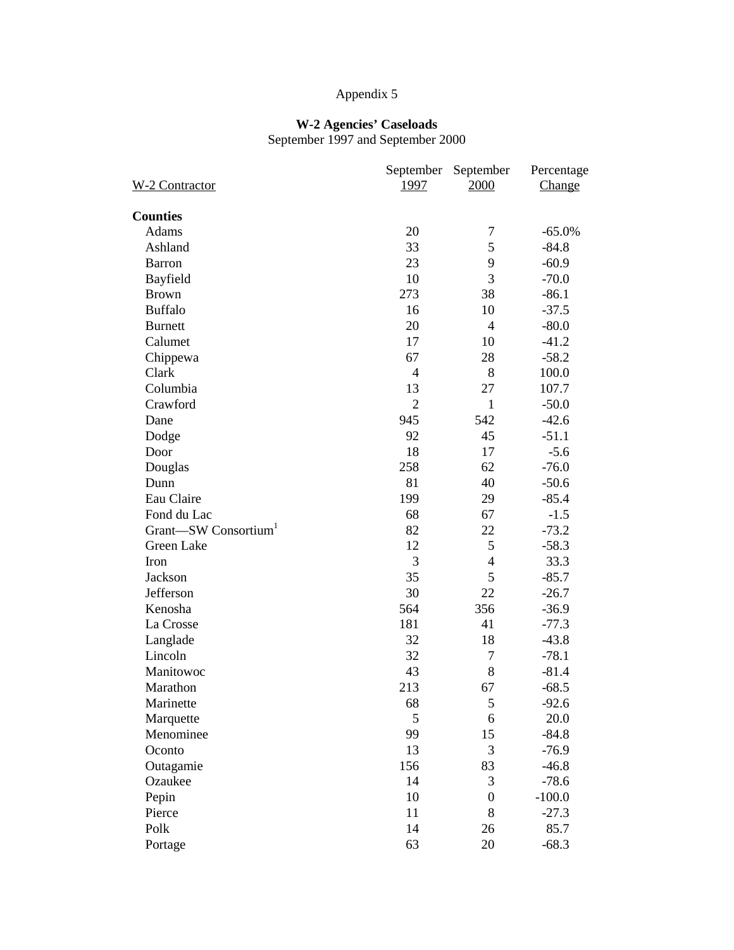#### **W-2 Agencies' Caseloads**

September 1997 and September 2000

|                |                                                                                                                    | Percentage                                                                                            |
|----------------|--------------------------------------------------------------------------------------------------------------------|-------------------------------------------------------------------------------------------------------|
| 1997           | 2000                                                                                                               | Change                                                                                                |
|                |                                                                                                                    |                                                                                                       |
|                |                                                                                                                    | $-65.0%$                                                                                              |
|                |                                                                                                                    | $-84.8$                                                                                               |
|                |                                                                                                                    | $-60.9$                                                                                               |
|                |                                                                                                                    | $-70.0$                                                                                               |
|                |                                                                                                                    | $-86.1$                                                                                               |
|                |                                                                                                                    | $-37.5$                                                                                               |
|                |                                                                                                                    | $-80.0$                                                                                               |
|                |                                                                                                                    | $-41.2$                                                                                               |
|                |                                                                                                                    | $-58.2$                                                                                               |
|                |                                                                                                                    | 100.0                                                                                                 |
|                |                                                                                                                    | 107.7                                                                                                 |
| $\overline{2}$ | $\mathbf{1}$                                                                                                       | $-50.0$                                                                                               |
|                |                                                                                                                    | $-42.6$                                                                                               |
|                |                                                                                                                    | $-51.1$                                                                                               |
| 18             |                                                                                                                    | $-5.6$                                                                                                |
|                | 62                                                                                                                 | $-76.0$                                                                                               |
|                | 40                                                                                                                 | $-50.6$                                                                                               |
| 199            | 29                                                                                                                 | $-85.4$                                                                                               |
| 68             | 67                                                                                                                 | $-1.5$                                                                                                |
| 82             | 22                                                                                                                 | $-73.2$                                                                                               |
| 12             | 5                                                                                                                  | $-58.3$                                                                                               |
| 3              | $\overline{4}$                                                                                                     | 33.3                                                                                                  |
| 35             | 5                                                                                                                  | $-85.7$                                                                                               |
| 30             | 22                                                                                                                 | $-26.7$                                                                                               |
| 564            | 356                                                                                                                | $-36.9$                                                                                               |
| 181            | 41                                                                                                                 | $-77.3$                                                                                               |
| 32             | 18                                                                                                                 | $-43.8$                                                                                               |
| 32             | $\tau$                                                                                                             | $-78.1$                                                                                               |
| 43             | 8                                                                                                                  | $-81.4$                                                                                               |
| 213            | 67                                                                                                                 | $-68.5$                                                                                               |
| 68             | $\mathfrak s$                                                                                                      | $-92.6$                                                                                               |
| 5              | 6                                                                                                                  | 20.0                                                                                                  |
| 99             | 15                                                                                                                 | $-84.8$                                                                                               |
| 13             | 3                                                                                                                  | $-76.9$                                                                                               |
| 156            | 83                                                                                                                 | $-46.8$                                                                                               |
| 14             | 3                                                                                                                  | $-78.6$                                                                                               |
| 10             | $\boldsymbol{0}$                                                                                                   | $-100.0$                                                                                              |
| 11             | 8                                                                                                                  | $-27.3$                                                                                               |
| 14             | 26                                                                                                                 | 85.7                                                                                                  |
| 63             | 20                                                                                                                 | $-68.3$                                                                                               |
|                | September<br>20<br>33<br>23<br>10<br>273<br>16<br>20<br>17<br>67<br>$\overline{4}$<br>13<br>945<br>92<br>258<br>81 | September<br>7<br>5<br>9<br>3<br>38<br>10<br>$\overline{4}$<br>10<br>28<br>8<br>27<br>542<br>45<br>17 |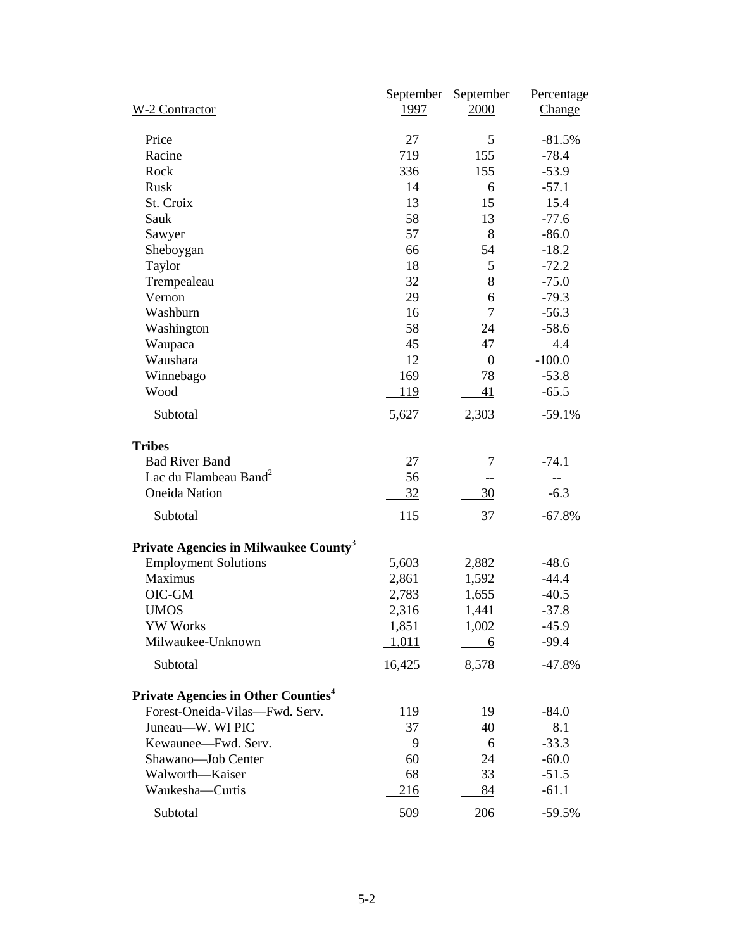| W-2 Contractor                                         | September<br>1997 | September<br>2000 | Percentage<br>Change |
|--------------------------------------------------------|-------------------|-------------------|----------------------|
| Price                                                  | 27                | 5                 | $-81.5%$             |
| Racine                                                 | 719               | 155               | $-78.4$              |
| Rock                                                   | 336               | 155               | $-53.9$              |
| Rusk                                                   | 14                | 6                 | $-57.1$              |
| St. Croix                                              | 13                | 15                | 15.4                 |
| Sauk                                                   | 58                | 13                | $-77.6$              |
| Sawyer                                                 | 57                | 8                 | $-86.0$              |
| Sheboygan                                              | 66                | 54                | $-18.2$              |
| Taylor                                                 | 18                | 5                 | $-72.2$              |
| Trempealeau                                            | 32                | 8                 | $-75.0$              |
| Vernon                                                 | 29                | 6                 | $-79.3$              |
| Washburn                                               | 16                | $\overline{7}$    | $-56.3$              |
| Washington                                             | 58                | 24                | $-58.6$              |
| Waupaca                                                | 45                | 47                | 4.4                  |
| Waushara                                               | 12                | $\boldsymbol{0}$  | $-100.0$             |
| Winnebago                                              | 169               | 78                | $-53.8$              |
| Wood                                                   | <u>119</u>        | 41                | $-65.5$              |
| Subtotal                                               | 5,627             | 2,303             | $-59.1%$             |
| <b>Tribes</b>                                          |                   |                   |                      |
| <b>Bad River Band</b>                                  | 27                | 7                 | $-74.1$              |
| Lac du Flambeau Band <sup>2</sup>                      | 56                |                   |                      |
| <b>Oneida Nation</b>                                   | 32                | 30                | $-6.3$               |
| Subtotal                                               | 115               | 37                | $-67.8%$             |
| Private Agencies in Milwaukee County <sup>3</sup>      |                   |                   |                      |
| <b>Employment Solutions</b>                            | 5,603             | 2,882             | $-48.6$              |
| Maximus                                                | 2,861             | 1,592             | $-44.4$              |
| OIC-GM                                                 | 2,783             | 1,655             | $-40.5$              |
| <b>UMOS</b>                                            | 2,316             | 1,441             | $-37.8$              |
| <b>YW Works</b>                                        | 1,851             | 1,002             | $-45.9$              |
| Milwaukee-Unknown                                      | 1,011             | 6                 | $-99.4$              |
| Subtotal                                               | 16,425            | 8,578             | $-47.8%$             |
| <b>Private Agencies in Other Counties</b> <sup>4</sup> |                   |                   |                      |
| Forest-Oneida-Vilas-Fwd. Serv.                         | 119               | 19                | $-84.0$              |
| Juneau-W. WI PIC                                       | 37                | 40                | 8.1                  |
| Kewaunee-Fwd. Serv.                                    | 9                 | 6                 | $-33.3$              |
| Shawano-Job Center                                     | 60                | 24                | $-60.0$              |
| Walworth-Kaiser                                        | 68                | 33                | $-51.5$              |
| Waukesha-Curtis                                        | 216               | 84                | $-61.1$              |
| Subtotal                                               | 509               | 206               | $-59.5%$             |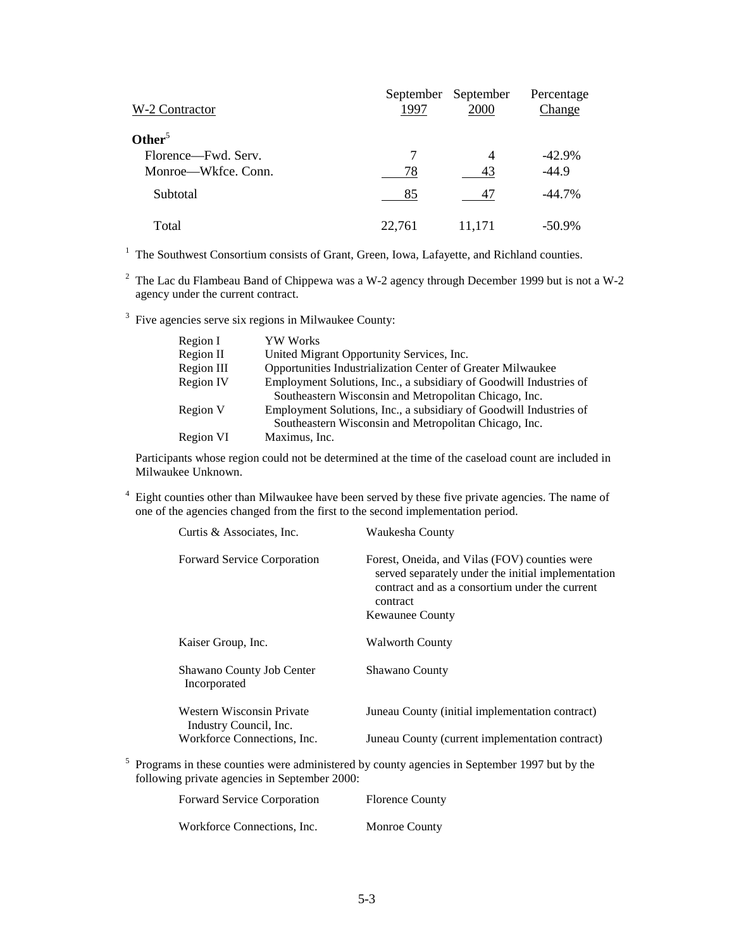| W-2 Contractor      | September<br>1997 | September<br>2000 | Percentage<br>Change |
|---------------------|-------------------|-------------------|----------------------|
| Other <sup>5</sup>  |                   |                   |                      |
| Florence—Fwd. Serv. | 7                 | $\overline{4}$    | $-42.9%$             |
| Monroe—Wkfce, Conn. | 78                | 43                | $-44.9$              |
| <b>Subtotal</b>     | 85                | 47                | $-44.7\%$            |
| Total               | 22,761            | 11,171            | $-50.9\%$            |

<sup>1</sup> The Southwest Consortium consists of Grant, Green, Iowa, Lafayette, and Richland counties.

<sup>2</sup> The Lac du Flambeau Band of Chippewa was a W-2 agency through December 1999 but is not a W-2 agency under the current contract.

 $3$  Five agencies serve six regions in Milwaukee County:

| Region I         | <b>YW Works</b>                                                                                                             |
|------------------|-----------------------------------------------------------------------------------------------------------------------------|
| Region II        | United Migrant Opportunity Services, Inc.                                                                                   |
| Region III       | Opportunities Industrialization Center of Greater Milwaukee                                                                 |
| <b>Region IV</b> | Employment Solutions, Inc., a subsidiary of Goodwill Industries of                                                          |
|                  | Southeastern Wisconsin and Metropolitan Chicago, Inc.                                                                       |
| Region V         | Employment Solutions, Inc., a subsidiary of Goodwill Industries of<br>Southeastern Wisconsin and Metropolitan Chicago, Inc. |
| Region VI        | Maximus, Inc.                                                                                                               |

Participants whose region could not be determined at the time of the caseload count are included in Milwaukee Unknown.

<sup>4</sup> Eight counties other than Milwaukee have been served by these five private agencies. The name of one of the agencies changed from the first to the second implementation period.

| Curtis & Associates, Inc.                             | Waukesha County                                                                                                                                                                             |
|-------------------------------------------------------|---------------------------------------------------------------------------------------------------------------------------------------------------------------------------------------------|
| <b>Forward Service Corporation</b>                    | Forest, Oneida, and Vilas (FOV) counties were<br>served separately under the initial implementation<br>contract and as a consortium under the current<br>contract<br><b>Kewaunee County</b> |
| Kaiser Group, Inc.                                    | <b>Walworth County</b>                                                                                                                                                                      |
| Shawano County Job Center<br>Incorporated             | Shawano County                                                                                                                                                                              |
| Western Wisconsin Private                             | Juneau County (initial implementation contract)                                                                                                                                             |
| Industry Council, Inc.<br>Workforce Connections, Inc. | Juneau County (current implementation contract)                                                                                                                                             |

<sup>5</sup> Programs in these counties were administered by county agencies in September 1997 but by the following private agencies in September 2000:

| <b>Forward Service Corporation</b> | <b>Florence County</b> |
|------------------------------------|------------------------|
| Workforce Connections, Inc.        | <b>Monroe County</b>   |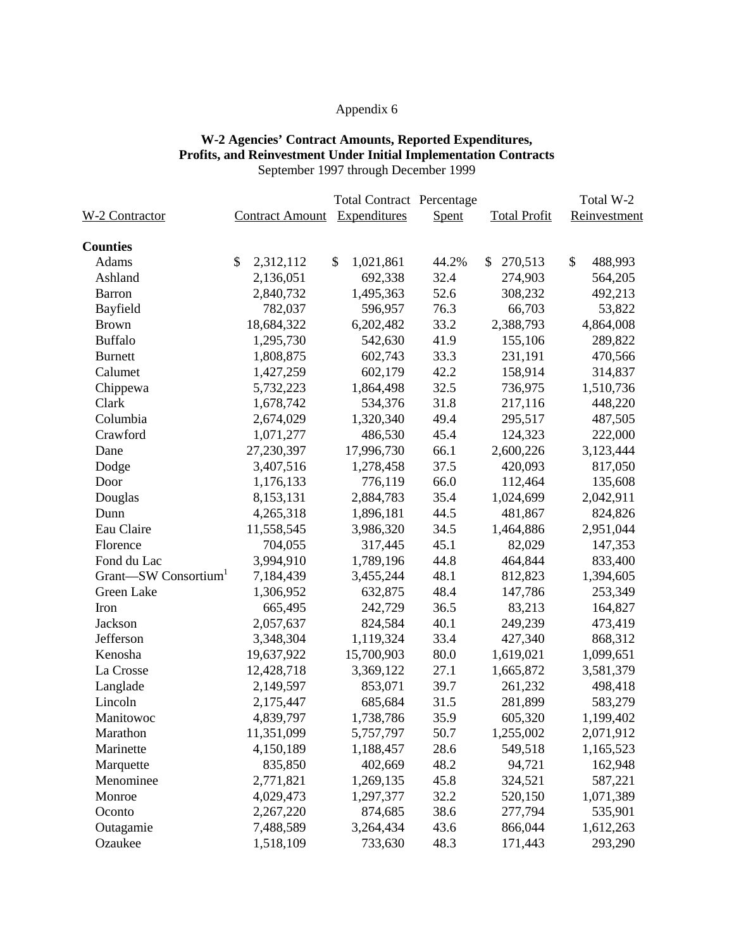### **W-2 Agencies' Contract Amounts, Reported Expenditures, Profits, and Reinvestment Under Initial Implementation Contracts** September 1997 through December 1999

|                       |                        | <b>Total Contract Percentage</b> |       |                     | Total W-2     |
|-----------------------|------------------------|----------------------------------|-------|---------------------|---------------|
| <u>W-2 Contractor</u> | <b>Contract Amount</b> | Expenditures                     | Spent | <b>Total Profit</b> | Reinvestment  |
| <b>Counties</b>       |                        |                                  |       |                     |               |
| Adams                 | \$<br>2,312,112        | $\mathcal{S}$<br>1,021,861       | 44.2% | \$<br>270,513       | \$<br>488,993 |
| Ashland               | 2,136,051              | 692,338                          | 32.4  | 274,903             | 564,205       |
| <b>Barron</b>         | 2,840,732              | 1,495,363                        | 52.6  | 308,232             | 492,213       |
| Bayfield              | 782,037                | 596,957                          | 76.3  | 66,703              | 53,822        |
| <b>Brown</b>          | 18,684,322             | 6,202,482                        | 33.2  | 2,388,793           | 4,864,008     |
| <b>Buffalo</b>        | 1,295,730              | 542,630                          | 41.9  | 155,106             | 289,822       |
| <b>Burnett</b>        | 1,808,875              | 602,743                          | 33.3  | 231,191             | 470,566       |
| Calumet               | 1,427,259              | 602,179                          | 42.2  | 158,914             | 314,837       |
| Chippewa              | 5,732,223              | 1,864,498                        | 32.5  | 736,975             | 1,510,736     |
| Clark                 | 1,678,742              | 534,376                          | 31.8  | 217,116             | 448,220       |
| Columbia              | 2,674,029              | 1,320,340                        | 49.4  | 295,517             | 487,505       |
| Crawford              | 1,071,277              | 486,530                          | 45.4  | 124,323             | 222,000       |
| Dane                  | 27,230,397             | 17,996,730                       | 66.1  | 2,600,226           | 3,123,444     |
| Dodge                 | 3,407,516              | 1,278,458                        | 37.5  | 420,093             | 817,050       |
| Door                  | 1,176,133              | 776,119                          | 66.0  | 112,464             | 135,608       |
| Douglas               | 8,153,131              | 2,884,783                        | 35.4  | 1,024,699           | 2,042,911     |
| Dunn                  | 4,265,318              | 1,896,181                        | 44.5  | 481,867             | 824,826       |
| Eau Claire            | 11,558,545             | 3,986,320                        | 34.5  | 1,464,886           | 2,951,044     |
| Florence              | 704,055                | 317,445                          | 45.1  | 82,029              | 147,353       |
| Fond du Lac           | 3,994,910              | 1,789,196                        | 44.8  | 464,844             | 833,400       |
| Grant-SW Consortium   | 7,184,439              | 3,455,244                        | 48.1  | 812,823             | 1,394,605     |
| Green Lake            | 1,306,952              | 632,875                          | 48.4  | 147,786             | 253,349       |
| Iron                  | 665,495                | 242,729                          | 36.5  | 83,213              | 164,827       |
| Jackson               | 2,057,637              | 824,584                          | 40.1  | 249,239             | 473,419       |
| Jefferson             | 3,348,304              | 1,119,324                        | 33.4  | 427,340             | 868,312       |
| Kenosha               | 19,637,922             | 15,700,903                       | 80.0  | 1,619,021           | 1,099,651     |
| La Crosse             | 12,428,718             | 3,369,122                        | 27.1  | 1,665,872           | 3,581,379     |
| Langlade              | 2,149,597              | 853,071                          | 39.7  | 261,232             | 498,418       |
| Lincoln               | 2,175,447              | 685,684                          | 31.5  | 281,899             | 583,279       |
| Manitowoc             | 4,839,797              | 1,738,786                        | 35.9  | 605,320             | 1,199,402     |
| Marathon              | 11,351,099             | 5,757,797                        | 50.7  | 1,255,002           | 2,071,912     |
| Marinette             | 4,150,189              | 1,188,457                        | 28.6  | 549,518             | 1,165,523     |
| Marquette             | 835,850                | 402,669                          | 48.2  | 94,721              | 162,948       |
| Menominee             | 2,771,821              | 1,269,135                        | 45.8  | 324,521             | 587,221       |
| Monroe                | 4,029,473              | 1,297,377                        | 32.2  | 520,150             | 1,071,389     |
| Oconto                | 2,267,220              | 874,685                          | 38.6  | 277,794             | 535,901       |
| Outagamie             | 7,488,589              | 3,264,434                        | 43.6  | 866,044             | 1,612,263     |
| Ozaukee               | 1,518,109              | 733,630                          | 48.3  | 171,443             | 293,290       |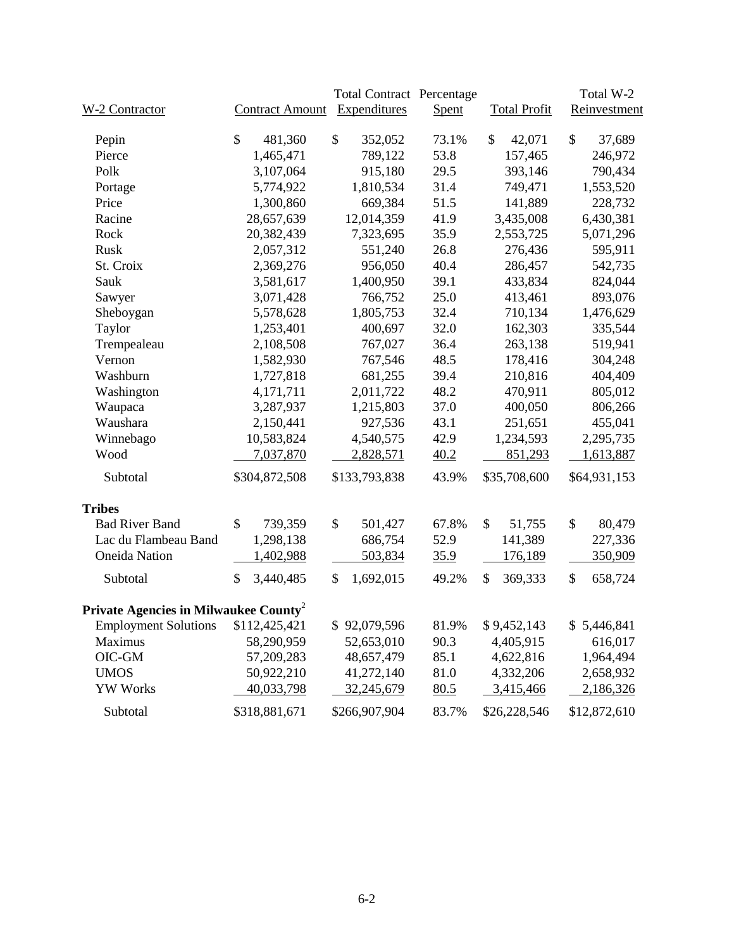|                                                   |                        | <b>Total Contract Percentage</b> |       |                     | Total W-2     |
|---------------------------------------------------|------------------------|----------------------------------|-------|---------------------|---------------|
| W-2 Contractor                                    | <b>Contract Amount</b> | Expenditures                     | Spent | <b>Total Profit</b> | Reinvestment  |
| Pepin                                             | \$<br>481,360          | \$<br>352,052                    | 73.1% | \$<br>42,071        | \$<br>37,689  |
| Pierce                                            | 1,465,471              | 789,122                          | 53.8  | 157,465             | 246,972       |
| Polk                                              | 3,107,064              | 915,180                          | 29.5  | 393,146             | 790,434       |
| Portage                                           | 5,774,922              | 1,810,534                        | 31.4  | 749,471             | 1,553,520     |
| Price                                             | 1,300,860              | 669,384                          | 51.5  | 141,889             | 228,732       |
| Racine                                            | 28,657,639             | 12,014,359                       | 41.9  | 3,435,008           | 6,430,381     |
| Rock                                              | 20,382,439             | 7,323,695                        | 35.9  | 2,553,725           | 5,071,296     |
| Rusk                                              | 2,057,312              | 551,240                          | 26.8  | 276,436             | 595,911       |
| St. Croix                                         | 2,369,276              | 956,050                          | 40.4  | 286,457             | 542,735       |
| Sauk                                              | 3,581,617              | 1,400,950                        | 39.1  | 433,834             | 824,044       |
| Sawyer                                            | 3,071,428              | 766,752                          | 25.0  | 413,461             | 893,076       |
| Sheboygan                                         | 5,578,628              | 1,805,753                        | 32.4  | 710,134             | 1,476,629     |
| Taylor                                            | 1,253,401              | 400,697                          | 32.0  | 162,303             | 335,544       |
| Trempealeau                                       | 2,108,508              | 767,027                          | 36.4  | 263,138             | 519,941       |
| Vernon                                            | 1,582,930              | 767,546                          | 48.5  | 178,416             | 304,248       |
| Washburn                                          | 1,727,818              | 681,255                          | 39.4  | 210,816             | 404,409       |
| Washington                                        | 4,171,711              | 2,011,722                        | 48.2  | 470,911             | 805,012       |
| Waupaca                                           | 3,287,937              | 1,215,803                        | 37.0  | 400,050             | 806,266       |
| Waushara                                          | 2,150,441              | 927,536                          | 43.1  | 251,651             | 455,041       |
| Winnebago                                         | 10,583,824             | 4,540,575                        | 42.9  | 1,234,593           | 2,295,735     |
| Wood                                              | 7,037,870              | 2,828,571                        | 40.2  | 851,293             | 1,613,887     |
| Subtotal                                          | \$304,872,508          | \$133,793,838                    | 43.9% | \$35,708,600        | \$64,931,153  |
| <b>Tribes</b>                                     |                        |                                  |       |                     |               |
| <b>Bad River Band</b>                             | \$<br>739,359          | \$<br>501,427                    | 67.8% | \$<br>51,755        | \$<br>80,479  |
| Lac du Flambeau Band                              | 1,298,138              | 686,754                          | 52.9  | 141,389             | 227,336       |
| <b>Oneida Nation</b>                              | 1,402,988              | 503,834                          | 35.9  | 176,189             | 350,909       |
| Subtotal                                          | \$<br>3,440,485        | \$<br>1,692,015                  | 49.2% | \$<br>369,333       | \$<br>658,724 |
| Private Agencies in Milwaukee County <sup>2</sup> |                        |                                  |       |                     |               |
| Employment Solutions \$112,425,421                |                        | \$92,079,596                     | 81.9% | \$9,452,143         | \$5,446,841   |
| Maximus                                           | 58,290,959             | 52,653,010                       | 90.3  | 4,405,915           | 616,017       |
| OIC-GM                                            | 57,209,283             | 48,657,479                       | 85.1  | 4,622,816           | 1,964,494     |
| <b>UMOS</b>                                       | 50,922,210             | 41,272,140                       | 81.0  | 4,332,206           | 2,658,932     |
| <b>YW Works</b>                                   | 40,033,798             | 32,245,679                       | 80.5  | 3,415,466           | 2,186,326     |
| Subtotal                                          | \$318,881,671          | \$266,907,904                    | 83.7% | \$26,228,546        | \$12,872,610  |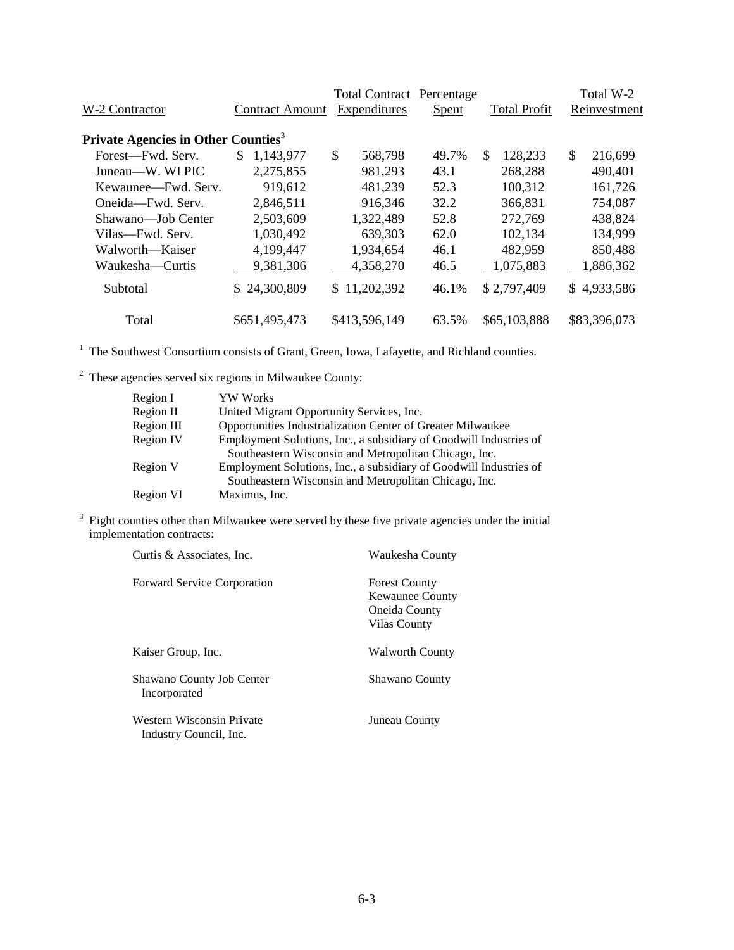| W-2 Contractor                                  | <b>Contract Amount</b> | <b>Total Contract Percentage</b><br>Expenditures | Spent | <b>Total Profit</b> | Total W-2<br>Reinvestment |
|-------------------------------------------------|------------------------|--------------------------------------------------|-------|---------------------|---------------------------|
|                                                 |                        |                                                  |       |                     |                           |
| Private Agencies in Other Counties <sup>3</sup> |                        |                                                  |       |                     |                           |
| Forest—Fwd. Serv.                               | 1,143,977<br>\$.       | \$<br>568,798                                    | 49.7% | \$.<br>128,233      | \$<br>216,699             |
| Juneau—W. WI PIC                                | 2,275,855              | 981,293                                          | 43.1  | 268,288             | 490,401                   |
| Kewaunee—Fwd. Serv.                             | 919,612                | 481,239                                          | 52.3  | 100,312             | 161,726                   |
| Oneida—Fwd. Serv.                               | 2,846,511              | 916,346                                          | 32.2  | 366,831             | 754,087                   |
| Shawano—Job Center                              | 2,503,609              | 1,322,489                                        | 52.8  | 272,769             | 438,824                   |
| Vilas—Fwd. Serv.                                | 1,030,492              | 639,303                                          | 62.0  | 102,134             | 134,999                   |
| Walworth—Kaiser                                 | 4,199,447              | 1,934,654                                        | 46.1  | 482,959             | 850,488                   |
| Waukesha—Curtis                                 | 9,381,306              | 4,358,270                                        | 46.5  | 1,075,883           | 1,886,362                 |
| Subtotal                                        | 24,300,809             | \$11,202,392                                     | 46.1% | \$2,797,409         | \$4,933,586               |
| Total                                           | \$651,495,473          | \$413,596,149                                    | 63.5% | \$65,103,888        | \$83,396,073              |

<sup>1</sup> The Southwest Consortium consists of Grant, Green, Iowa, Lafayette, and Richland counties.

 $2$  These agencies served six regions in Milwaukee County:

| Region I         | YW Works                                                           |
|------------------|--------------------------------------------------------------------|
| Region II        | United Migrant Opportunity Services, Inc.                          |
| Region III       | Opportunities Industrialization Center of Greater Milwaukee        |
| <b>Region IV</b> | Employment Solutions, Inc., a subsidiary of Goodwill Industries of |
|                  | Southeastern Wisconsin and Metropolitan Chicago, Inc.              |
| Region V         | Employment Solutions, Inc., a subsidiary of Goodwill Industries of |
|                  | Southeastern Wisconsin and Metropolitan Chicago, Inc.              |
| Region VI        | Maximus, Inc.                                                      |

 $3$  Eight counties other than Milwaukee were served by these five private agencies under the initial implementation contracts:

| Curtis & Associates, Inc.                           | Waukesha County                                                                 |
|-----------------------------------------------------|---------------------------------------------------------------------------------|
| <b>Forward Service Corporation</b>                  | <b>Forest County</b><br><b>Kewaunee County</b><br>Oneida County<br>Vilas County |
| Kaiser Group, Inc.                                  | <b>Walworth County</b>                                                          |
| Shawano County Job Center<br>Incorporated           | <b>Shawano County</b>                                                           |
| Western Wisconsin Private<br>Industry Council, Inc. | Juneau County                                                                   |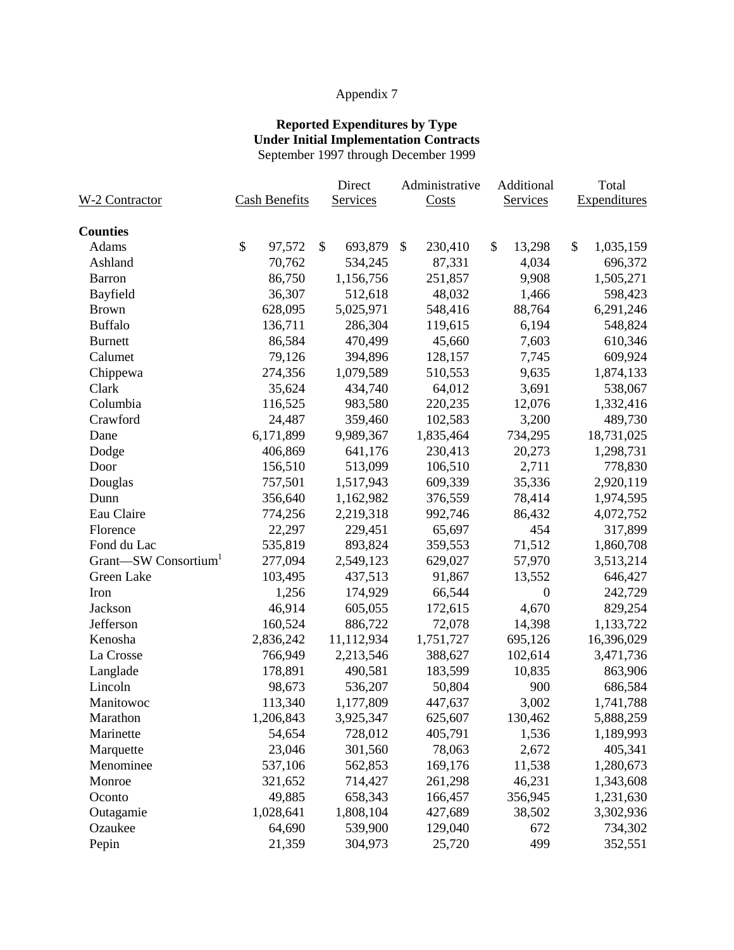#### **Reported Expenditures by Type Under Initial Implementation Contracts** September 1997 through December 1999

|                       |                      | Direct        | Administrative | Additional       | Total           |
|-----------------------|----------------------|---------------|----------------|------------------|-----------------|
| <b>W-2 Contractor</b> | <b>Cash Benefits</b> | Services      | Costs          | Services         | Expenditures    |
| <b>Counties</b>       |                      |               |                |                  |                 |
| Adams                 | \$<br>97,572         | \$<br>693,879 | \$<br>230,410  | \$<br>13,298     | \$<br>1,035,159 |
| Ashland               | 70,762               | 534,245       | 87,331         | 4,034            | 696,372         |
| Barron                | 86,750               | 1,156,756     | 251,857        | 9,908            | 1,505,271       |
| Bayfield              | 36,307               | 512,618       | 48,032         | 1,466            | 598,423         |
| <b>Brown</b>          | 628,095              | 5,025,971     | 548,416        | 88,764           | 6,291,246       |
| <b>Buffalo</b>        | 136,711              | 286,304       | 119,615        | 6,194            | 548,824         |
| <b>Burnett</b>        | 86,584               | 470,499       | 45,660         | 7,603            | 610,346         |
| Calumet               | 79,126               | 394,896       | 128,157        | 7,745            | 609,924         |
| Chippewa              | 274,356              | 1,079,589     | 510,553        | 9,635            | 1,874,133       |
| Clark                 | 35,624               | 434,740       | 64,012         | 3,691            | 538,067         |
| Columbia              | 116,525              | 983,580       | 220,235        | 12,076           | 1,332,416       |
| Crawford              | 24,487               | 359,460       | 102,583        | 3,200            | 489,730         |
| Dane                  | 6,171,899            | 9,989,367     | 1,835,464      | 734,295          | 18,731,025      |
| Dodge                 | 406,869              | 641,176       | 230,413        | 20,273           | 1,298,731       |
| Door                  | 156,510              | 513,099       | 106,510        | 2,711            | 778,830         |
| Douglas               | 757,501              | 1,517,943     | 609,339        | 35,336           | 2,920,119       |
| Dunn                  | 356,640              | 1,162,982     | 376,559        | 78,414           | 1,974,595       |
| Eau Claire            | 774,256              | 2,219,318     | 992,746        | 86,432           | 4,072,752       |
| Florence              | 22,297               | 229,451       | 65,697         | 454              | 317,899         |
| Fond du Lac           | 535,819              | 893,824       | 359,553        | 71,512           | 1,860,708       |
| Grant-SW Consortium   | 277,094              | 2,549,123     | 629,027        | 57,970           | 3,513,214       |
| Green Lake            | 103,495              | 437,513       | 91,867         | 13,552           | 646,427         |
| Iron                  | 1,256                | 174,929       | 66,544         | $\boldsymbol{0}$ | 242,729         |
| Jackson               | 46,914               | 605,055       | 172,615        | 4,670            | 829,254         |
| Jefferson             | 160,524              | 886,722       | 72,078         | 14,398           | 1,133,722       |
| Kenosha               | 2,836,242            | 11,112,934    | 1,751,727      | 695,126          | 16,396,029      |
| La Crosse             | 766,949              | 2,213,546     | 388,627        | 102,614          | 3,471,736       |
| Langlade              | 178,891              | 490,581       | 183,599        | 10,835           | 863,906         |
| Lincoln               | 98,673               | 536,207       | 50,804         | 900              | 686,584         |
| Manitowoc             | 113,340              | 1,177,809     | 447,637        | 3,002            | 1,741,788       |
| Marathon              | 1,206,843            | 3,925,347     | 625,607        | 130,462          | 5,888,259       |
| Marinette             | 54,654               | 728,012       | 405,791        | 1,536            | 1,189,993       |
| Marquette             | 23,046               | 301,560       | 78,063         | 2,672            | 405,341         |
| Menominee             | 537,106              | 562,853       | 169,176        | 11,538           | 1,280,673       |
| Monroe                | 321,652              | 714,427       | 261,298        | 46,231           | 1,343,608       |
| Oconto                | 49,885               | 658,343       | 166,457        | 356,945          | 1,231,630       |
| Outagamie             | 1,028,641            | 1,808,104     | 427,689        | 38,502           | 3,302,936       |
| Ozaukee               | 64,690               | 539,900       | 129,040        | 672              | 734,302         |
| Pepin                 | 21,359               | 304,973       | 25,720         | 499              | 352,551         |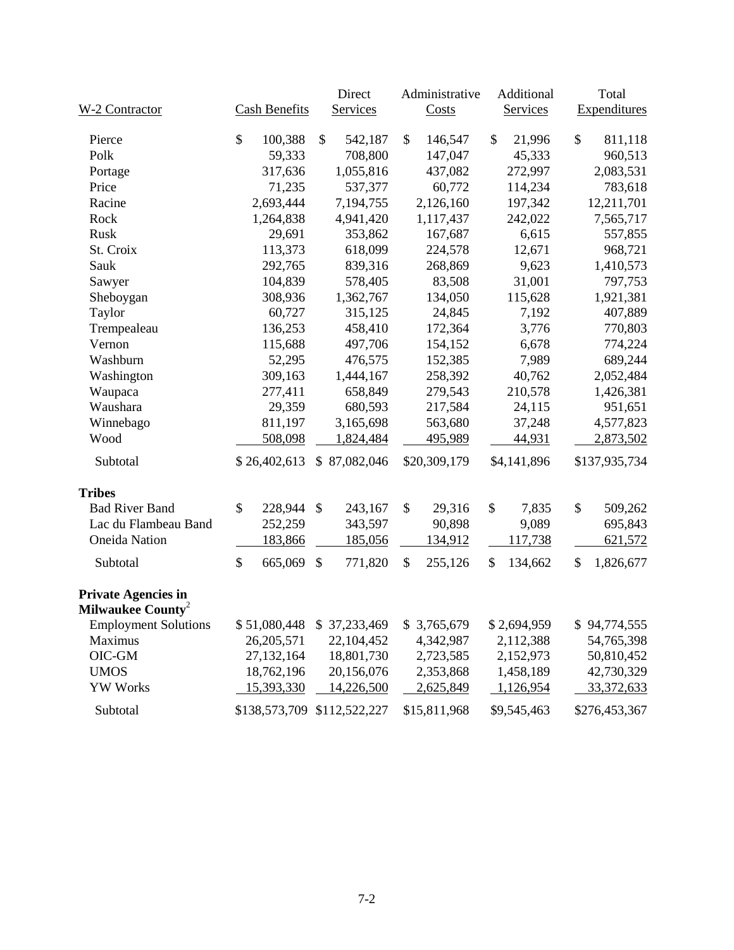|                                                             |                      | Direct                      | Administrative | Additional    | Total                   |
|-------------------------------------------------------------|----------------------|-----------------------------|----------------|---------------|-------------------------|
| W-2 Contractor                                              | <b>Cash Benefits</b> | Services                    | Costs          | Services      | <b>Expenditures</b>     |
| Pierce                                                      | \$<br>100,388        | \$<br>542,187               | \$<br>146,547  | \$<br>21,996  | $\mathbb{S}$<br>811,118 |
| Polk                                                        | 59,333               | 708,800                     | 147,047        | 45,333        | 960,513                 |
| Portage                                                     | 317,636              | 1,055,816                   | 437,082        | 272,997       | 2,083,531               |
| Price                                                       | 71,235               | 537,377                     | 60,772         | 114,234       | 783,618                 |
| Racine                                                      | 2,693,444            | 7,194,755                   | 2,126,160      | 197,342       | 12,211,701              |
| Rock                                                        | 1,264,838            | 4,941,420                   | 1,117,437      | 242,022       | 7,565,717               |
| Rusk                                                        | 29,691               | 353,862                     | 167,687        | 6,615         | 557,855                 |
| St. Croix                                                   | 113,373              | 618,099                     | 224,578        | 12,671        | 968,721                 |
| Sauk                                                        | 292,765              | 839,316                     | 268,869        | 9,623         | 1,410,573               |
| Sawyer                                                      | 104,839              | 578,405                     | 83,508         | 31,001        | 797,753                 |
| Sheboygan                                                   | 308,936              | 1,362,767                   | 134,050        | 115,628       | 1,921,381               |
| Taylor                                                      | 60,727               | 315,125                     | 24,845         | 7,192         | 407,889                 |
| Trempealeau                                                 | 136,253              | 458,410                     | 172,364        | 3,776         | 770,803                 |
| Vernon                                                      | 115,688              | 497,706                     | 154,152        | 6,678         | 774,224                 |
| Washburn                                                    | 52,295               | 476,575                     | 152,385        | 7,989         | 689,244                 |
| Washington                                                  | 309,163              | 1,444,167                   | 258,392        | 40,762        | 2,052,484               |
| Waupaca                                                     | 277,411              | 658,849                     | 279,543        | 210,578       | 1,426,381               |
| Waushara                                                    | 29,359               | 680,593                     | 217,584        | 24,115        | 951,651                 |
| Winnebago                                                   | 811,197              | 3,165,698                   | 563,680        | 37,248        | 4,577,823               |
| Wood                                                        | 508,098              | 1,824,484                   | 495,989        | 44,931        | 2,873,502               |
| Subtotal                                                    | \$26,402,613         | \$87,082,046                | \$20,309,179   | \$4,141,896   | \$137,935,734           |
| <b>Tribes</b>                                               |                      |                             |                |               |                         |
| <b>Bad River Band</b>                                       | \$<br>228,944        | \$<br>243,167               | \$<br>29,316   | \$<br>7,835   | \$<br>509,262           |
| Lac du Flambeau Band                                        | 252,259              | 343,597                     | 90,898         | 9,089         | 695,843                 |
| <b>Oneida Nation</b>                                        | 183,866              | 185,056                     | 134,912        | 117,738       | 621,572                 |
| Subtotal                                                    | \$<br>665,069        | \$<br>771,820               | \$<br>255,126  | \$<br>134,662 | \$<br>1,826,677         |
| <b>Private Agencies in</b><br>Milwaukee County <sup>2</sup> |                      |                             |                |               |                         |
| <b>Employment Solutions</b>                                 | \$51,080,448         | \$37,233,469                | \$3,765,679    | \$2,694,959   | \$94,774,555            |
| Maximus                                                     | 26, 205, 571         | 22,104,452                  | 4,342,987      | 2,112,388     | 54,765,398              |
| OIC-GM                                                      | 27,132,164           | 18,801,730                  | 2,723,585      | 2,152,973     | 50,810,452              |
| <b>UMOS</b>                                                 | 18,762,196           | 20,156,076                  | 2,353,868      | 1,458,189     | 42,730,329              |
| <b>YW Works</b>                                             | 15,393,330           | 14,226,500                  | 2,625,849      | 1,126,954     | 33,372,633              |
| Subtotal                                                    |                      | \$138,573,709 \$112,522,227 | \$15,811,968   | \$9,545,463   | \$276,453,367           |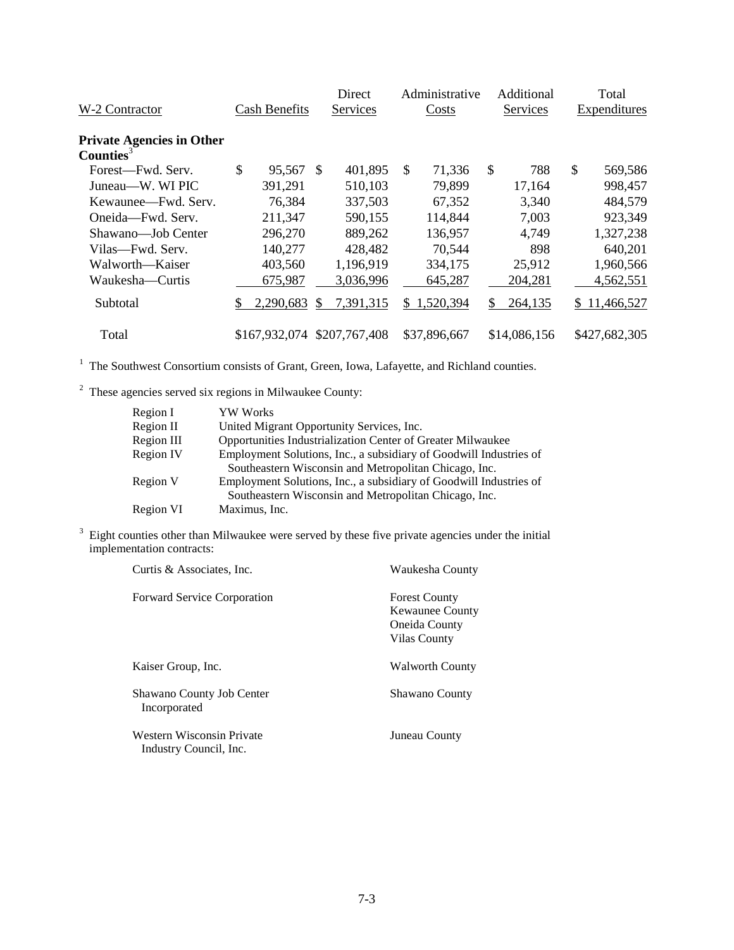| W-2 Contractor                                            | <b>Cash Benefits</b> |               | Direct<br>Services |     | Administrative<br>Costs | Additional<br>Services |              | Total<br>Expenditures |               |
|-----------------------------------------------------------|----------------------|---------------|--------------------|-----|-------------------------|------------------------|--------------|-----------------------|---------------|
| <b>Private Agencies in Other</b><br>Counties <sup>3</sup> |                      |               |                    |     |                         |                        |              |                       |               |
| Forest—Fwd. Serv.                                         | \$<br>95,567         | -S            | 401,895            | \$. | 71,336                  | \$                     | 788          | \$                    | 569,586       |
| Juneau—W. WI PIC                                          | 391,291              |               | 510,103            |     | 79,899                  |                        | 17,164       |                       | 998,457       |
| Kewaunee—Fwd. Serv.                                       | 76,384               |               | 337,503            |     | 67,352                  |                        | 3,340        |                       | 484,579       |
| Oneida-Fwd. Serv.                                         | 211,347              |               | 590,155            |     | 114,844                 |                        | 7,003        |                       | 923,349       |
| Shawano-Job Center                                        | 296,270              |               | 889,262            |     | 136,957                 |                        | 4,749        |                       | 1,327,238     |
| Vilas—Fwd. Serv.                                          | 140,277              |               | 428,482            |     | 70,544                  |                        | 898          |                       | 640,201       |
| Walworth—Kaiser                                           | 403,560              |               | 1,196,919          |     | 334,175                 |                        | 25,912       |                       | 1,960,566     |
| Waukesha—Curtis                                           | 675,987              |               | 3,036,996          |     | 645,287                 |                        | 204,281      |                       | 4,562,551     |
| Subtotal                                                  | 2,290,683            | <sup>\$</sup> | 7,391,315          | S.  | 1,520,394               | \$                     | 264,135      |                       | \$11,466,527  |
| Total                                                     | \$167,932,074        |               | \$207,767,408      |     | \$37,896,667            |                        | \$14,086,156 |                       | \$427,682,305 |

 $2\degree$  These agencies served six regions in Milwaukee County:

| Region I         | YW Works                                                                                                                    |
|------------------|-----------------------------------------------------------------------------------------------------------------------------|
| Region II        | United Migrant Opportunity Services, Inc.                                                                                   |
| Region III       | Opportunities Industrialization Center of Greater Milwaukee                                                                 |
| <b>Region IV</b> | Employment Solutions, Inc., a subsidiary of Goodwill Industries of                                                          |
|                  | Southeastern Wisconsin and Metropolitan Chicago, Inc.                                                                       |
| Region V         | Employment Solutions, Inc., a subsidiary of Goodwill Industries of<br>Southeastern Wisconsin and Metropolitan Chicago, Inc. |
| Region VI        | Maximus, Inc.                                                                                                               |

 $3$  Eight counties other than Milwaukee were served by these five private agencies under the initial implementation contracts:

| Curtis & Associates, Inc.                           | Waukesha County                                                                 |
|-----------------------------------------------------|---------------------------------------------------------------------------------|
| <b>Forward Service Corporation</b>                  | <b>Forest County</b><br><b>Kewaunee County</b><br>Oneida County<br>Vilas County |
| Kaiser Group, Inc.                                  | <b>Walworth County</b>                                                          |
| Shawano County Job Center<br>Incorporated           | Shawano County                                                                  |
| Western Wisconsin Private<br>Industry Council, Inc. | Juneau County                                                                   |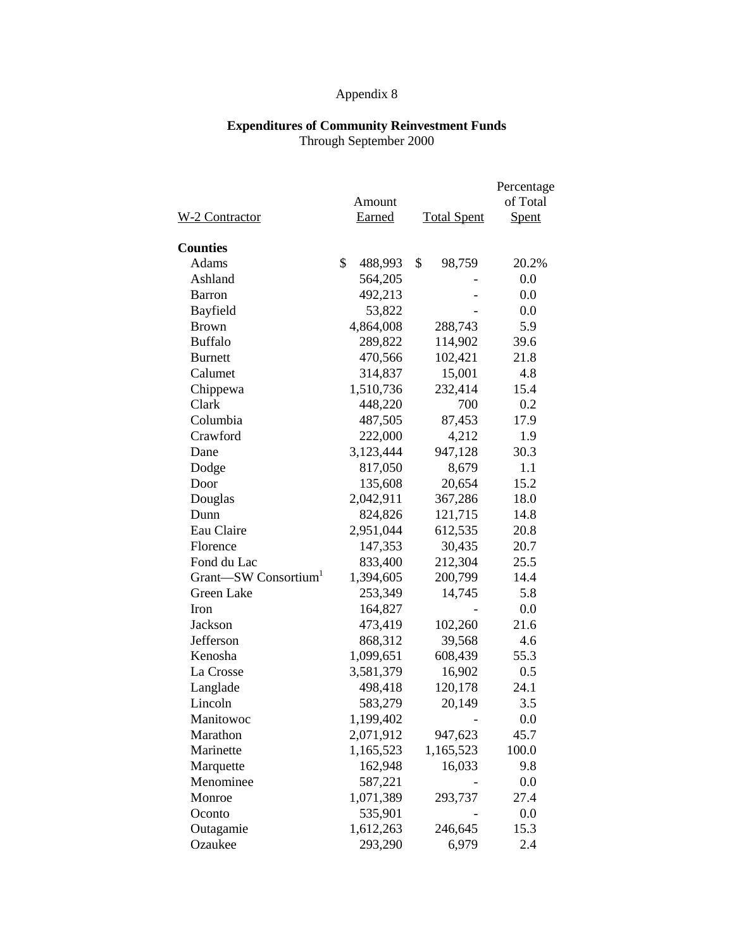#### **Expenditures of Community Reinvestment Funds** Through September 2000

|                                  |               |                    | Percentage |
|----------------------------------|---------------|--------------------|------------|
|                                  | Amount        |                    | of Total   |
| W-2 Contractor                   | Earned        | <b>Total Spent</b> | Spent      |
|                                  |               |                    |            |
| <b>Counties</b>                  |               |                    |            |
| Adams                            | \$<br>488,993 | \$<br>98,759       | 20.2%      |
| Ashland                          | 564,205       |                    | 0.0        |
| <b>Barron</b>                    | 492,213       |                    | 0.0        |
| Bayfield                         | 53,822        |                    | 0.0        |
| <b>Brown</b>                     | 4,864,008     | 288,743            | 5.9        |
| <b>Buffalo</b>                   | 289,822       | 114,902            | 39.6       |
| <b>Burnett</b>                   | 470,566       | 102,421            | 21.8       |
| Calumet                          | 314,837       | 15,001             | 4.8        |
| Chippewa                         | 1,510,736     | 232,414            | 15.4       |
| Clark                            | 448,220       | 700                | 0.2        |
| Columbia                         | 487,505       | 87,453             | 17.9       |
| Crawford                         | 222,000       | 4,212              | 1.9        |
| Dane                             | 3,123,444     | 947,128            | 30.3       |
| Dodge                            | 817,050       | 8,679              | 1.1        |
| Door                             | 135,608       | 20,654             | 15.2       |
| Douglas                          | 2,042,911     | 367,286            | 18.0       |
| Dunn                             | 824,826       | 121,715            | 14.8       |
| Eau Claire                       | 2,951,044     | 612,535            | 20.8       |
| Florence                         | 147,353       | 30,435             | 20.7       |
| Fond du Lac                      | 833,400       | 212,304            | 25.5       |
| Grant-SW Consortium <sup>1</sup> | 1,394,605     | 200,799            | 14.4       |
| Green Lake                       | 253,349       | 14,745             | 5.8        |
| Iron                             | 164,827       |                    | 0.0        |
| Jackson                          | 473,419       | 102,260            | 21.6       |
| Jefferson                        | 868,312       | 39,568             | 4.6        |
| Kenosha                          | 1,099,651     | 608,439            | 55.3       |
| La Crosse                        | 3,581,379     | 16,902             | 0.5        |
| Langlade                         | 498,418       | 120,178            | 24.1       |
| Lincoln                          | 583,279       | 20,149             | 3.5        |
| Manitowoc                        | 1,199,402     |                    | 0.0        |
| Marathon                         | 2,071,912     | 947,623            | 45.7       |
| Marinette                        | 1,165,523     | 1,165,523          | 100.0      |
| Marquette                        | 162,948       | 16,033             | 9.8        |
| Menominee                        | 587,221       |                    | 0.0        |
| Monroe                           | 1,071,389     | 293,737            | 27.4       |
| Oconto                           | 535,901       |                    | 0.0        |
| Outagamie                        | 1,612,263     | 246,645            | 15.3       |
| Ozaukee                          | 293,290       | 6,979              | 2.4        |
|                                  |               |                    |            |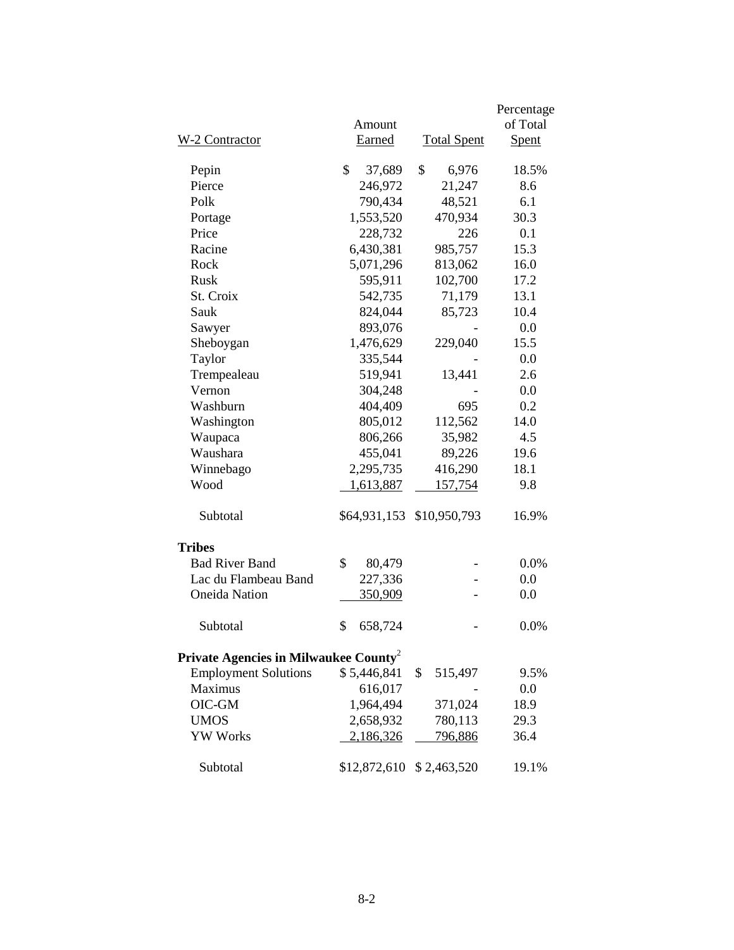|                                                   |               |                          | Percentage |
|---------------------------------------------------|---------------|--------------------------|------------|
|                                                   | Amount        |                          | of Total   |
| W-2 Contractor                                    | Earned        | <b>Total Spent</b>       | Spent      |
| Pepin                                             | \$<br>37,689  | \$<br>6,976              | 18.5%      |
| Pierce                                            | 246,972       | 21,247                   | 8.6        |
| Polk                                              | 790,434       | 48,521                   | 6.1        |
| Portage                                           | 1,553,520     | 470,934                  | 30.3       |
| Price                                             | 228,732       | 226                      | 0.1        |
| Racine                                            | 6,430,381     | 985,757                  | 15.3       |
| Rock                                              | 5,071,296     | 813,062                  | 16.0       |
| Rusk                                              | 595,911       | 102,700                  | 17.2       |
| St. Croix                                         | 542,735       | 71,179                   | 13.1       |
| Sauk                                              | 824,044       | 85,723                   | 10.4       |
| Sawyer                                            | 893,076       |                          | 0.0        |
| Sheboygan                                         | 1,476,629     | 229,040                  | 15.5       |
| Taylor                                            | 335,544       |                          | 0.0        |
| Trempealeau                                       | 519,941       | 13,441                   | 2.6        |
| Vernon                                            | 304,248       |                          | 0.0        |
| Washburn                                          | 404,409       | 695                      | 0.2        |
| Washington                                        | 805,012       | 112,562                  | 14.0       |
| Waupaca                                           | 806,266       | 35,982                   | 4.5        |
| Waushara                                          | 455,041       | 89,226                   | 19.6       |
| Winnebago                                         | 2,295,735     | 416,290                  | 18.1       |
| Wood                                              | 1,613,887     | 157,754                  | 9.8        |
| Subtotal                                          | \$64,931,153  | \$10,950,793             | 16.9%      |
| <b>Tribes</b>                                     |               |                          |            |
| <b>Bad River Band</b>                             | \$<br>80,479  |                          | 0.0%       |
| Lac du Flambeau Band                              | 227,336       |                          | 0.0        |
| <b>Oneida Nation</b>                              | 350,909       |                          | 0.0        |
| Subtotal                                          | \$<br>658,724 |                          | 0.0%       |
| Private Agencies in Milwaukee County <sup>2</sup> |               |                          |            |
| <b>Employment Solutions</b>                       | \$5,446,841   | \$<br>515,497            | 9.5%       |
| <b>Maximus</b>                                    | 616,017       |                          | 0.0        |
| OIC-GM                                            | 1,964,494     | 371,024                  | 18.9       |
| <b>UMOS</b>                                       | 2,658,932     | 780,113                  | 29.3       |
| <b>YW Works</b>                                   | 2,186,326     | 796,886                  | 36.4       |
| Subtotal                                          |               | \$12,872,610 \$2,463,520 | 19.1%      |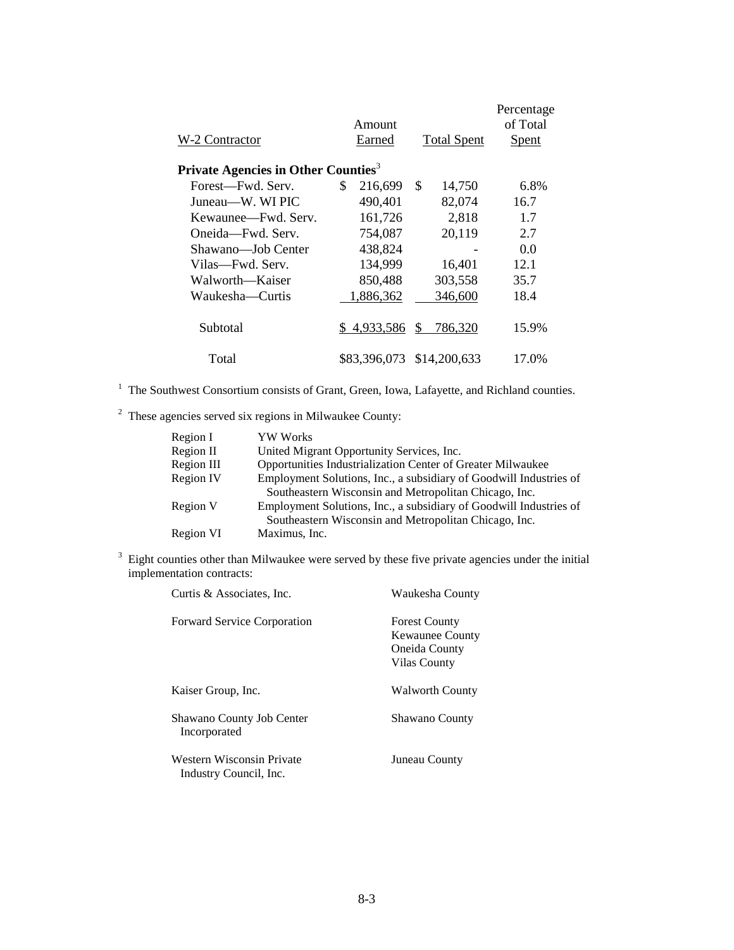|                                                 |    | Amount       |    |                    | Percentage<br>of Total |
|-------------------------------------------------|----|--------------|----|--------------------|------------------------|
| W-2 Contractor                                  |    | Earned       |    | <b>Total Spent</b> | <b>Spent</b>           |
| Private Agencies in Other Counties <sup>3</sup> |    |              |    |                    |                        |
| Forest—Fwd. Serv.                               | \$ | 216,699      | \$ | 14,750             | 6.8%                   |
| Juneau—W. WI PIC                                |    | 490,401      |    | 82,074             | 16.7                   |
| Kewaunee—Fwd. Serv.                             |    | 161,726      |    | 2,818              | 1.7                    |
| Oneida—Fwd. Serv.                               |    | 754,087      |    | 20,119             | 2.7                    |
| Shawano—Job Center                              |    | 438,824      |    |                    | 0.0                    |
| Vilas—Fwd. Serv.                                |    | 134,999      |    | 16,401             | 12.1                   |
| Walworth—Kaiser                                 |    | 850,488      |    | 303,558            | 35.7                   |
| Waukesha—Curtis                                 |    | 1,886,362    |    | 346,600            | 18.4                   |
| Subtotal                                        | S. | 4,933,586    | S. | 786,320            | 15.9%                  |
| Total                                           |    | \$83,396,073 |    | \$14,200,633       | 17.0%                  |

 $2\degree$  These agencies served six regions in Milwaukee County:

| Region I   | <b>YW Works</b>                                                    |
|------------|--------------------------------------------------------------------|
| Region II  | United Migrant Opportunity Services, Inc.                          |
| Region III | Opportunities Industrialization Center of Greater Milwaukee        |
| Region IV  | Employment Solutions, Inc., a subsidiary of Goodwill Industries of |
|            | Southeastern Wisconsin and Metropolitan Chicago, Inc.              |
| Region V   | Employment Solutions, Inc., a subsidiary of Goodwill Industries of |
|            | Southeastern Wisconsin and Metropolitan Chicago, Inc.              |
| Region VI  | Maximus, Inc.                                                      |
|            |                                                                    |

 $3$  Eight counties other than Milwaukee were served by these five private agencies under the initial implementation contracts:

| Curtis & Associates, Inc.                           | Waukesha County                                                                 |
|-----------------------------------------------------|---------------------------------------------------------------------------------|
| <b>Forward Service Corporation</b>                  | <b>Forest County</b><br><b>Kewaunee County</b><br>Oneida County<br>Vilas County |
| Kaiser Group, Inc.                                  | <b>Walworth County</b>                                                          |
| Shawano County Job Center<br>Incorporated           | <b>Shawano County</b>                                                           |
| Western Wisconsin Private<br>Industry Council, Inc. | Juneau County                                                                   |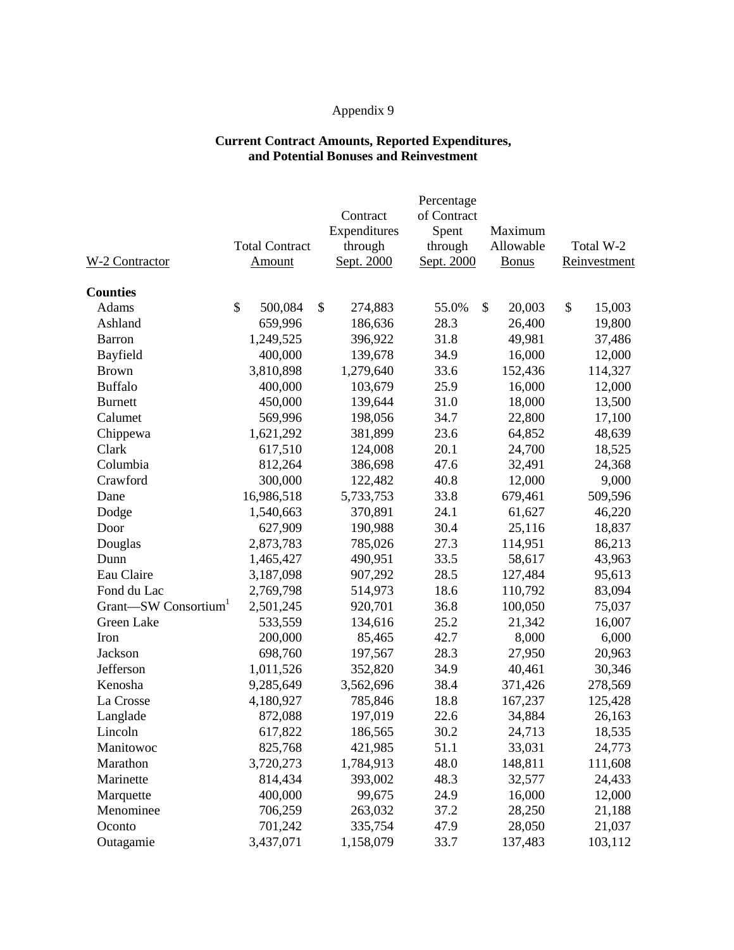#### **Current Contract Amounts, Reported Expenditures, and Potential Bonuses and Reinvestment**

|                                  |                       |               | Percentage  |              |              |
|----------------------------------|-----------------------|---------------|-------------|--------------|--------------|
|                                  |                       | Contract      | of Contract |              |              |
|                                  |                       | Expenditures  | Spent       | Maximum      |              |
|                                  | <b>Total Contract</b> | through       | through     | Allowable    | Total W-2    |
| W-2 Contractor                   | Amount                | Sept. 2000    | Sept. 2000  | <b>Bonus</b> | Reinvestment |
| <b>Counties</b>                  |                       |               |             |              |              |
| Adams                            | \$<br>500,084         | \$<br>274,883 | 55.0%       | \$<br>20,003 | \$<br>15,003 |
| Ashland                          | 659,996               | 186,636       | 28.3        | 26,400       | 19,800       |
| <b>Barron</b>                    | 1,249,525             | 396,922       | 31.8        | 49,981       | 37,486       |
| Bayfield                         | 400,000               | 139,678       | 34.9        | 16,000       | 12,000       |
| <b>Brown</b>                     | 3,810,898             | 1,279,640     | 33.6        | 152,436      | 114,327      |
| <b>Buffalo</b>                   | 400,000               | 103,679       | 25.9        | 16,000       | 12,000       |
| <b>Burnett</b>                   | 450,000               | 139,644       | 31.0        | 18,000       | 13,500       |
| Calumet                          | 569,996               | 198,056       | 34.7        | 22,800       | 17,100       |
| Chippewa                         | 1,621,292             | 381,899       | 23.6        | 64,852       | 48,639       |
| Clark                            | 617,510               | 124,008       | 20.1        | 24,700       | 18,525       |
| Columbia                         | 812,264               | 386,698       | 47.6        | 32,491       | 24,368       |
| Crawford                         | 300,000               | 122,482       | 40.8        | 12,000       | 9,000        |
| Dane                             | 16,986,518            | 5,733,753     | 33.8        | 679,461      | 509,596      |
| Dodge                            | 1,540,663             | 370,891       | 24.1        | 61,627       | 46,220       |
| Door                             | 627,909               | 190,988       | 30.4        | 25,116       | 18,837       |
| Douglas                          | 2,873,783             | 785,026       | 27.3        | 114,951      | 86,213       |
| Dunn                             | 1,465,427             | 490,951       | 33.5        | 58,617       | 43,963       |
| Eau Claire                       | 3,187,098             | 907,292       | 28.5        | 127,484      | 95,613       |
| Fond du Lac                      | 2,769,798             | 514,973       | 18.6        | 110,792      | 83,094       |
| Grant-SW Consortium <sup>1</sup> | 2,501,245             | 920,701       | 36.8        | 100,050      | 75,037       |
| Green Lake                       | 533,559               | 134,616       | 25.2        | 21,342       | 16,007       |
| Iron                             | 200,000               | 85,465        | 42.7        | 8,000        | 6,000        |
| Jackson                          | 698,760               | 197,567       | 28.3        | 27,950       | 20,963       |
| Jefferson                        | 1,011,526             | 352,820       | 34.9        | 40,461       | 30,346       |
| Kenosha                          | 9,285,649             | 3,562,696     | 38.4        | 371,426      | 278,569      |
| La Crosse                        | 4,180,927             | 785,846       | 18.8        | 167,237      | 125,428      |
| Langlade                         | 872,088               | 197,019       | 22.6        | 34,884       | 26,163       |
| Lincoln                          | 617,822               | 186,565       | 30.2        | 24,713       | 18,535       |
| Manitowoc                        | 825,768               | 421,985       | 51.1        | 33,031       | 24,773       |
| Marathon                         | 3,720,273             | 1,784,913     | 48.0        | 148,811      | 111,608      |
| Marinette                        | 814,434               | 393,002       | 48.3        | 32,577       | 24,433       |
| Marquette                        | 400,000               | 99,675        | 24.9        | 16,000       | 12,000       |
| Menominee                        | 706,259               | 263,032       | 37.2        | 28,250       | 21,188       |
| Oconto                           | 701,242               | 335,754       | 47.9        | 28,050       | 21,037       |
| Outagamie                        | 3,437,071             | 1,158,079     | 33.7        | 137,483      | 103,112      |
|                                  |                       |               |             |              |              |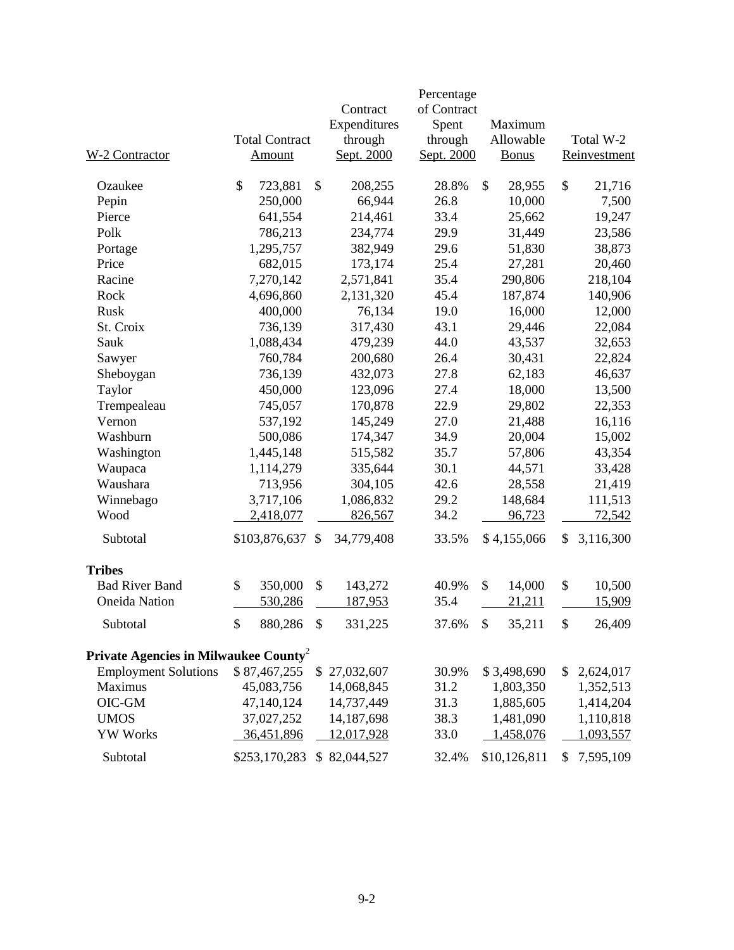| W-2 Contractor                                    | <b>Total Contract</b><br><b>Amount</b> |               | Contract<br>Expenditures<br>through<br>Sept. 2000 | Percentage<br>of Contract<br>Spent<br>through<br>Sept. 2000 |    | Maximum<br>Allowable<br><b>Bonus</b> | Total W-2<br>Reinvestment |
|---------------------------------------------------|----------------------------------------|---------------|---------------------------------------------------|-------------------------------------------------------------|----|--------------------------------------|---------------------------|
| Ozaukee                                           | \$<br>723,881                          | \$            | 208,255                                           | 28.8%                                                       | \$ | 28,955                               | \$<br>21,716              |
| Pepin                                             | 250,000                                |               | 66,944                                            | 26.8                                                        |    | 10,000                               | 7,500                     |
| Pierce                                            | 641,554                                |               | 214,461                                           | 33.4                                                        |    | 25,662                               | 19,247                    |
| Polk                                              | 786,213                                |               | 234,774                                           | 29.9                                                        |    | 31,449                               | 23,586                    |
| Portage                                           | 1,295,757                              |               | 382,949                                           | 29.6                                                        |    | 51,830                               | 38,873                    |
| Price                                             | 682,015                                |               | 173,174                                           | 25.4                                                        |    | 27,281                               | 20,460                    |
| Racine                                            | 7,270,142                              |               | 2,571,841                                         | 35.4                                                        |    | 290,806                              | 218,104                   |
| Rock                                              | 4,696,860                              |               | 2,131,320                                         | 45.4                                                        |    | 187,874                              | 140,906                   |
| Rusk                                              | 400,000                                |               | 76,134                                            | 19.0                                                        |    | 16,000                               | 12,000                    |
| St. Croix                                         | 736,139                                |               | 317,430                                           | 43.1                                                        |    | 29,446                               | 22,084                    |
| Sauk                                              | 1,088,434                              |               | 479,239                                           | 44.0                                                        |    | 43,537                               | 32,653                    |
| Sawyer                                            | 760,784                                |               | 200,680                                           | 26.4                                                        |    | 30,431                               | 22,824                    |
| Sheboygan                                         | 736,139                                |               | 432,073                                           | 27.8                                                        |    | 62,183                               | 46,637                    |
| Taylor                                            | 450,000                                |               | 123,096                                           | 27.4                                                        |    | 18,000                               | 13,500                    |
| Trempealeau                                       | 745,057                                |               | 170,878                                           | 22.9                                                        |    | 29,802                               | 22,353                    |
| Vernon                                            | 537,192                                |               | 145,249                                           | 27.0                                                        |    | 21,488                               | 16,116                    |
| Washburn                                          | 500,086                                |               | 174,347                                           | 34.9                                                        |    | 20,004                               | 15,002                    |
| Washington                                        | 1,445,148                              |               | 515,582                                           | 35.7                                                        |    | 57,806                               | 43,354                    |
| Waupaca                                           | 1,114,279                              |               | 335,644                                           | 30.1                                                        |    | 44,571                               | 33,428                    |
| Waushara                                          | 713,956                                |               | 304,105                                           | 42.6                                                        |    | 28,558                               | 21,419                    |
| Winnebago                                         | 3,717,106                              |               | 1,086,832                                         | 29.2                                                        |    | 148,684                              | 111,513                   |
| Wood                                              | 2,418,077                              |               | 826,567                                           | 34.2                                                        |    | 96,723                               | 72,542                    |
| Subtotal                                          | \$103,876,637                          | <sup>\$</sup> | 34,779,408                                        | 33.5%                                                       |    | \$4,155,066                          | \$<br>3,116,300           |
| <b>Tribes</b>                                     |                                        |               |                                                   |                                                             |    |                                      |                           |
| <b>Bad River Band</b>                             | \$<br>350,000                          | \$            | 143,272                                           | 40.9%                                                       | \$ | 14,000                               | \$<br>10,500              |
| <b>Oneida Nation</b>                              | 530,286                                |               | <u>187,953</u>                                    | 35.4                                                        |    | 21,211                               | 15,909                    |
| Subtotal                                          | \$<br>880,286                          | \$            | 331,225                                           | 37.6%                                                       | S  | 35,211                               | \$<br>26,409              |
| Private Agencies in Milwaukee County <sup>2</sup> |                                        |               |                                                   |                                                             |    |                                      |                           |
| <b>Employment Solutions</b>                       | \$87,467,255                           |               | \$27,032,607                                      | 30.9%                                                       |    | \$3,498,690                          | \$<br>2,624,017           |
| Maximus                                           | 45,083,756                             |               | 14,068,845                                        | 31.2                                                        |    | 1,803,350                            | 1,352,513                 |
| OIC-GM                                            | 47,140,124                             |               | 14,737,449                                        | 31.3                                                        |    | 1,885,605                            | 1,414,204                 |
| <b>UMOS</b>                                       | 37,027,252                             |               | 14,187,698                                        | 38.3                                                        |    | 1,481,090                            | 1,110,818                 |
| <b>YW Works</b>                                   | 36,451,896                             |               | 12,017,928                                        | 33.0                                                        |    | 1,458,076                            | 1,093,557                 |
| Subtotal                                          | \$253,170,283 \$82,044,527             |               |                                                   | 32.4%                                                       |    | \$10,126,811                         | \$<br>7,595,109           |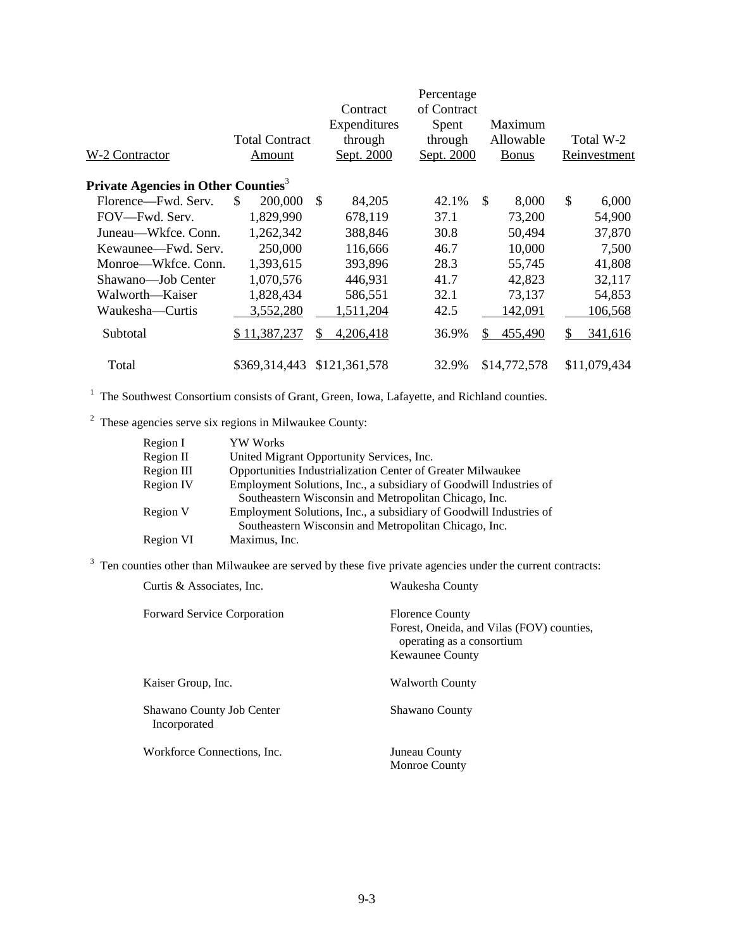|                                                 |                       |                         | Percentage  |                       |               |
|-------------------------------------------------|-----------------------|-------------------------|-------------|-----------------------|---------------|
|                                                 |                       | Contract                | of Contract |                       |               |
|                                                 |                       | Expenditures            | Spent       | Maximum               |               |
|                                                 | <b>Total Contract</b> | through                 | through     | Allowable             | Total W-2     |
| W-2 Contractor                                  | Amount                | Sept. 2000              | Sept. 2000  | <b>Bonus</b>          | Reinvestment  |
| Private Agencies in Other Counties <sup>3</sup> |                       |                         |             |                       |               |
| Florence-Fwd. Serv.                             | S.<br>200,000         | <sup>\$</sup><br>84,205 | 42.1%       | $\mathbb{S}$<br>8,000 | \$<br>6,000   |
| FOV—Fwd. Serv.                                  | 1,829,990             | 678,119                 | 37.1        | 73,200                | 54,900        |
| Juneau—Wkfce. Conn.                             | 1,262,342             | 388,846                 | 30.8        | 50,494                | 37,870        |
| Kewaunee—Fwd. Serv.                             | 250,000               | 116,666                 | 46.7        | 10,000                | 7,500         |
| Monroe—Wkfce. Conn.                             | 1,393,615             | 393,896                 | 28.3        | 55,745                | 41,808        |
| Shawano-Job Center                              | 1,070,576             | 446,931                 | 41.7        | 42,823                | 32,117        |
| Walworth—Kaiser                                 | 1,828,434             | 586,551                 | 32.1        | 73,137                | 54,853        |
| Waukesha—Curtis                                 | 3,552,280             | 1,511,204               | 42.5        | 142,091               | 106,568       |
| Subtotal                                        | \$11,387,237          | \$.<br>4,206,418        | 36.9%       | \$<br>455,490         | \$<br>341,616 |
| Total                                           | \$369,314,443         | \$121,361,578           | 32.9%       | \$14,772,578          | \$11,079,434  |

<sup>2</sup> These agencies serve six regions in Milwaukee County:

| Region I   | <b>YW Works</b>                                                    |
|------------|--------------------------------------------------------------------|
| Region II  | United Migrant Opportunity Services, Inc.                          |
| Region III | Opportunities Industrialization Center of Greater Milwaukee        |
| Region IV  | Employment Solutions, Inc., a subsidiary of Goodwill Industries of |
|            | Southeastern Wisconsin and Metropolitan Chicago, Inc.              |
| Region V   | Employment Solutions, Inc., a subsidiary of Goodwill Industries of |
|            | Southeastern Wisconsin and Metropolitan Chicago, Inc.              |
| Region VI  | Maximus, Inc.                                                      |

<sup>3</sup> Ten counties other than Milwaukee are served by these five private agencies under the current contracts:

| Curtis & Associates, Inc.                 | Waukesha County                                                                                                            |  |  |  |
|-------------------------------------------|----------------------------------------------------------------------------------------------------------------------------|--|--|--|
| <b>Forward Service Corporation</b>        | <b>Florence County</b><br>Forest, Oneida, and Vilas (FOV) counties,<br>operating as a consortium<br><b>Kewaunee County</b> |  |  |  |
| Kaiser Group, Inc.                        | <b>Walworth County</b>                                                                                                     |  |  |  |
| Shawano County Job Center<br>Incorporated | Shawano County                                                                                                             |  |  |  |
| Workforce Connections, Inc.               | Juneau County<br><b>Monroe County</b>                                                                                      |  |  |  |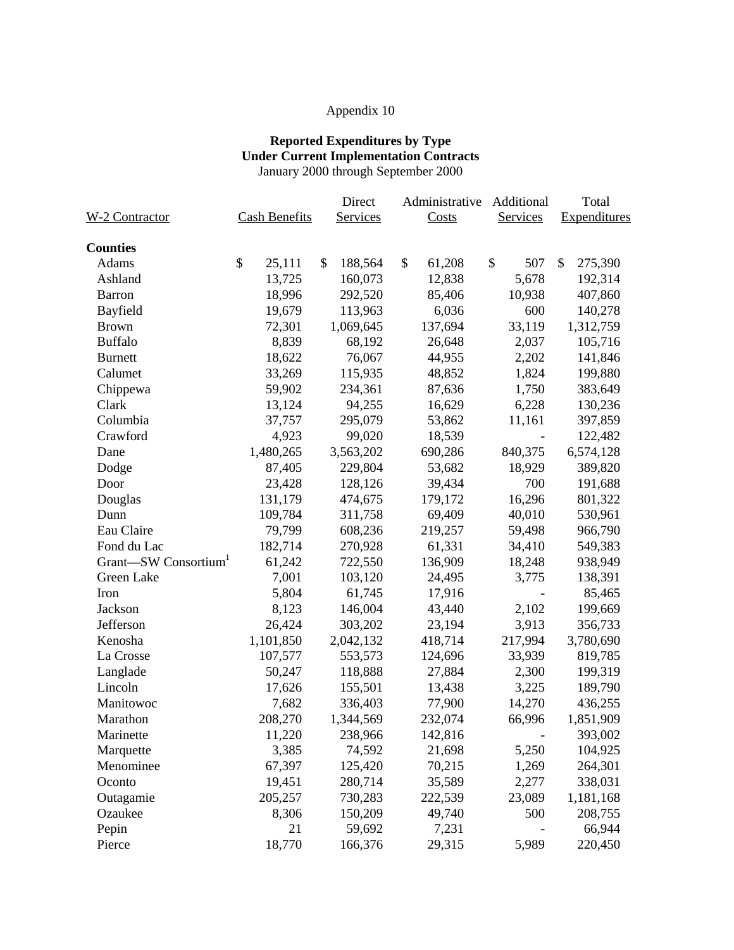#### **Reported Expenditures by Type Under Current Implementation Contracts** January 2000 through September 2000

|                     |                      | Direct          | Administrative | Additional      | Total         |
|---------------------|----------------------|-----------------|----------------|-----------------|---------------|
| W-2 Contractor      | <b>Cash Benefits</b> | <b>Services</b> | Costs          | <b>Services</b> | Expenditures  |
| <b>Counties</b>     |                      |                 |                |                 |               |
| Adams               | \$<br>25,111         | \$<br>188,564   | \$<br>61,208   | \$<br>507       | \$<br>275,390 |
| Ashland             | 13,725               | 160,073         | 12,838         | 5,678           | 192,314       |
| Barron              | 18,996               | 292,520         | 85,406         | 10,938          | 407,860       |
| Bayfield            | 19,679               | 113,963         | 6,036          | 600             | 140,278       |
| <b>Brown</b>        | 72,301               | 1,069,645       | 137,694        | 33,119          | 1,312,759     |
| <b>Buffalo</b>      | 8,839                | 68,192          | 26,648         | 2,037           | 105,716       |
| <b>Burnett</b>      | 18,622               | 76,067          | 44,955         | 2,202           | 141,846       |
| Calumet             | 33,269               | 115,935         | 48,852         | 1,824           | 199,880       |
| Chippewa            | 59,902               | 234,361         | 87,636         | 1,750           | 383,649       |
| Clark               | 13,124               | 94,255          | 16,629         | 6,228           | 130,236       |
| Columbia            | 37,757               | 295,079         | 53,862         | 11,161          | 397,859       |
| Crawford            | 4,923                | 99,020          | 18,539         |                 | 122,482       |
| Dane                | 1,480,265            | 3,563,202       | 690,286        | 840,375         | 6,574,128     |
| Dodge               | 87,405               | 229,804         | 53,682         | 18,929          | 389,820       |
| Door                | 23,428               | 128,126         | 39,434         | 700             | 191,688       |
| Douglas             | 131,179              | 474,675         | 179,172        | 16,296          | 801,322       |
| Dunn                | 109,784              | 311,758         | 69,409         | 40,010          | 530,961       |
| Eau Claire          | 79,799               | 608,236         | 219,257        | 59,498          | 966,790       |
| Fond du Lac         | 182,714              | 270,928         | 61,331         | 34,410          | 549,383       |
| Grant-SW Consortium | 61,242               | 722,550         | 136,909        | 18,248          | 938,949       |
| Green Lake          | 7,001                | 103,120         | 24,495         | 3,775           | 138,391       |
| Iron                | 5,804                | 61,745          | 17,916         |                 | 85,465        |
| Jackson             | 8,123                | 146,004         | 43,440         | 2,102           | 199,669       |
| Jefferson           | 26,424               | 303,202         | 23,194         | 3,913           | 356,733       |
| Kenosha             | 1,101,850            | 2,042,132       | 418,714        | 217,994         | 3,780,690     |
| La Crosse           | 107,577              | 553,573         | 124,696        | 33,939          | 819,785       |
| Langlade            | 50,247               | 118,888         | 27,884         | 2,300           | 199,319       |
| Lincoln             | 17,626               | 155,501         | 13,438         | 3,225           | 189,790       |
| Manitowoc           | 7,682                | 336,403         | 77,900         | 14,270          | 436,255       |
| Marathon            | 208,270              | 1,344,569       | 232,074        | 66,996          | 1,851,909     |
| Marinette           | 11,220               | 238,966         | 142,816        |                 | 393,002       |
| Marquette           | 3,385                | 74,592          | 21,698         | 5,250           | 104,925       |
| Menominee           | 67,397               | 125,420         | 70,215         | 1,269           | 264,301       |
| Oconto              | 19,451               | 280,714         | 35,589         | 2,277           | 338,031       |
| Outagamie           | 205,257              | 730,283         | 222,539        | 23,089          | 1,181,168     |
| Ozaukee             | 8,306                | 150,209         | 49,740         | 500             | 208,755       |
| Pepin               | 21                   | 59,692          | 7,231          |                 | 66,944        |
| Pierce              | 18,770               | 166,376         | 29,315         | 5,989           | 220,450       |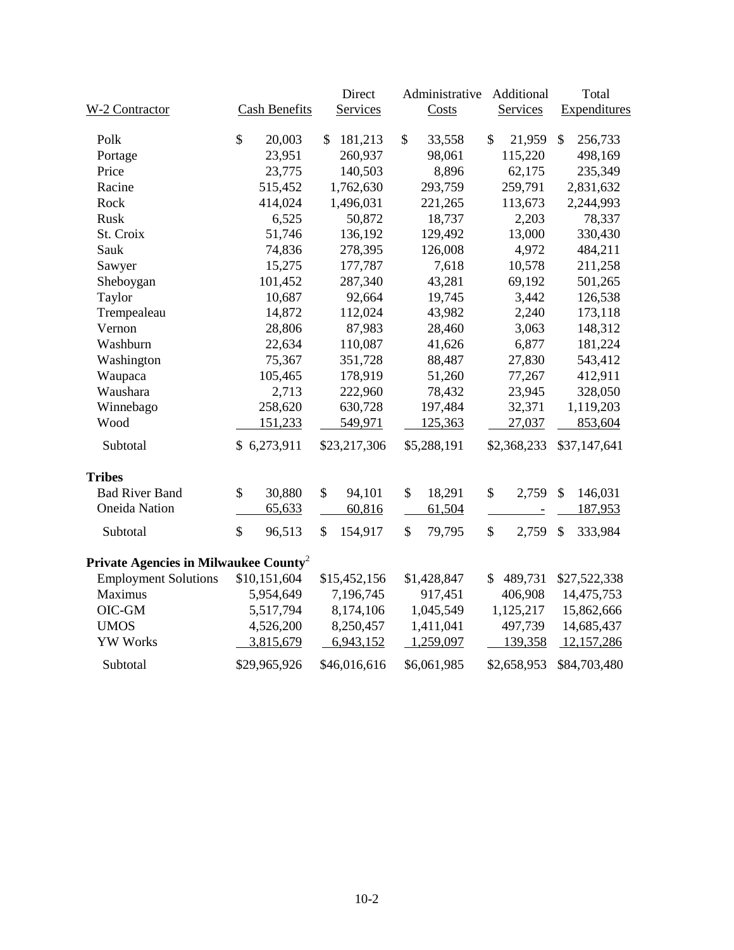|                                                   |                      | Direct        | Administrative | Additional            | Total                                |  |  |  |  |
|---------------------------------------------------|----------------------|---------------|----------------|-----------------------|--------------------------------------|--|--|--|--|
| W-2 Contractor                                    | <b>Cash Benefits</b> | Services      | <b>Costs</b>   | Services              | Expenditures                         |  |  |  |  |
| Polk                                              | \$<br>20,003         | 181,213<br>\$ | \$<br>33,558   | \$<br>21,959          | \$<br>256,733                        |  |  |  |  |
| Portage                                           | 23,951               | 260,937       | 98,061         | 115,220               | 498,169                              |  |  |  |  |
| Price                                             | 23,775               | 140,503       | 8,896          | 62,175                | 235,349                              |  |  |  |  |
| Racine                                            | 515,452              | 1,762,630     | 293,759        | 259,791               | 2,831,632                            |  |  |  |  |
| Rock                                              | 414,024              | 1,496,031     | 221,265        | 113,673               | 2,244,993                            |  |  |  |  |
| Rusk                                              | 6,525                | 50,872        | 18,737         | 2,203                 | 78,337                               |  |  |  |  |
| St. Croix                                         | 51,746               | 136,192       | 129,492        | 13,000                | 330,430                              |  |  |  |  |
| Sauk                                              | 74,836               | 278,395       | 126,008        | 4,972                 | 484,211                              |  |  |  |  |
| Sawyer                                            | 15,275               | 177,787       | 7,618          | 10,578                | 211,258                              |  |  |  |  |
| Sheboygan                                         | 101,452              | 287,340       | 43,281         | 69,192                | 501,265                              |  |  |  |  |
| Taylor                                            | 10,687               | 92,664        | 19,745         | 3,442                 | 126,538                              |  |  |  |  |
| Trempealeau                                       | 14,872               | 112,024       | 43,982         | 2,240                 | 173,118                              |  |  |  |  |
| Vernon                                            | 28,806               | 87,983        | 28,460         | 3,063                 | 148,312                              |  |  |  |  |
| Washburn                                          | 22,634               | 110,087       | 41,626         | 6,877                 | 181,224                              |  |  |  |  |
| Washington                                        | 75,367               | 351,728       | 88,487         | 27,830                | 543,412                              |  |  |  |  |
| Waupaca                                           | 105,465              | 178,919       | 51,260         | 77,267                | 412,911                              |  |  |  |  |
| Waushara                                          | 2,713                | 222,960       | 78,432         | 23,945                | 328,050                              |  |  |  |  |
| Winnebago                                         | 258,620              | 630,728       | 197,484        | 32,371                | 1,119,203                            |  |  |  |  |
| Wood                                              | 151,233              | 549,971       | 125,363        | 27,037                | 853,604                              |  |  |  |  |
|                                                   |                      |               |                |                       |                                      |  |  |  |  |
| Subtotal                                          | \$6,273,911          | \$23,217,306  | \$5,288,191    | \$2,368,233           | \$37,147,641                         |  |  |  |  |
| <b>Tribes</b>                                     |                      |               |                |                       |                                      |  |  |  |  |
| <b>Bad River Band</b>                             | \$<br>30,880         | \$<br>94,101  | \$<br>18,291   | \$<br>2,759           | $\mathcal{S}$<br>146,031             |  |  |  |  |
| <b>Oneida Nation</b>                              | 65,633               | 60,816        | 61,504         |                       | 187,953                              |  |  |  |  |
| Subtotal                                          | \$<br>96,513         | \$<br>154,917 | \$<br>79,795   | $\mathbb{S}$<br>2,759 | $\boldsymbol{\mathsf{S}}$<br>333,984 |  |  |  |  |
| Private Agencies in Milwaukee County <sup>2</sup> |                      |               |                |                       |                                      |  |  |  |  |
| <b>Employment Solutions</b>                       | \$10,151,604         | \$15,452,156  | \$1,428,847    | 489,731<br>\$         | \$27,522,338                         |  |  |  |  |
| Maximus                                           | 5,954,649            | 7,196,745     | 917,451        | 406,908               | 14,475,753                           |  |  |  |  |
| OIC-GM                                            | 5,517,794            | 8,174,106     | 1,045,549      | 1,125,217             | 15,862,666                           |  |  |  |  |
| <b>UMOS</b>                                       | 4,526,200            | 8,250,457     | 1,411,041      | 497,739               | 14,685,437                           |  |  |  |  |
| <b>YW Works</b>                                   | 3,815,679            | 6,943,152     | 1,259,097      | 139,358               | 12,157,286                           |  |  |  |  |
| Subtotal                                          | \$29,965,926         | \$46,016,616  | \$6,061,985    | \$2,658,953           | \$84,703,480                         |  |  |  |  |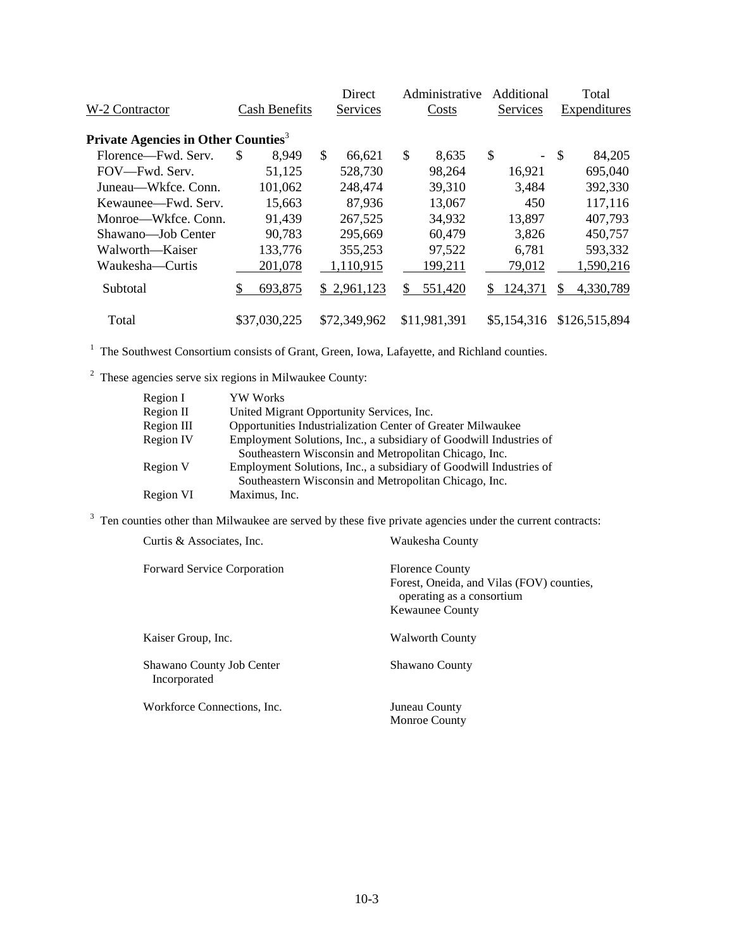| W-2 Contractor                                  |     | <b>Cash Benefits</b> | <b>Direct</b><br>Services |     | Administrative<br>Costs |     | Additional<br>Services   | Total<br>Expenditures |
|-------------------------------------------------|-----|----------------------|---------------------------|-----|-------------------------|-----|--------------------------|-----------------------|
|                                                 |     |                      |                           |     |                         |     |                          |                       |
| Private Agencies in Other Counties <sup>3</sup> |     |                      |                           |     |                         |     |                          |                       |
| Florence-Fwd. Serv.                             | \$. | 8,949                | \$<br>66,621              | \$  | 8,635                   | \$  | $\overline{\phantom{0}}$ | \$<br>84,205          |
| FOV—Fwd. Serv.                                  |     | 51,125               | 528,730                   |     | 98,264                  |     | 16,921                   | 695,040               |
| Juneau—Wkfce. Conn.                             |     | 101,062              | 248,474                   |     | 39,310                  |     | 3,484                    | 392,330               |
| Kewaunee—Fwd. Serv.                             |     | 15,663               | 87,936                    |     | 13,067                  |     | 450                      | 117,116               |
| Monroe—Wkfce, Conn.                             |     | 91,439               | 267,525                   |     | 34,932                  |     | 13,897                   | 407,793               |
| Shawano-Job Center                              |     | 90,783               | 295,669                   |     | 60,479                  |     | 3,826                    | 450,757               |
| Walworth—Kaiser                                 |     | 133,776              | 355,253                   |     | 97,522                  |     | 6,781                    | 593,332               |
| Waukesha—Curtis                                 |     | 201,078              | 1,110,915                 |     | 199,211                 |     | 79,012                   | 1,590,216             |
| Subtotal                                        |     | 693,875              | \$2,961,123               | \$. | 551,420                 | \$. | 124,371                  | 4,330,789             |
| Total                                           |     | \$37,030,225         | \$72,349,962              |     | \$11,981,391            |     | \$5,154,316              | \$126,515,894         |

<sup>2</sup> These agencies serve six regions in Milwaukee County:

| Region I   | <b>YW Works</b>                                                    |
|------------|--------------------------------------------------------------------|
| Region II  | United Migrant Opportunity Services, Inc.                          |
| Region III | Opportunities Industrialization Center of Greater Milwaukee        |
| Region IV  | Employment Solutions, Inc., a subsidiary of Goodwill Industries of |
|            | Southeastern Wisconsin and Metropolitan Chicago, Inc.              |
| Region V   | Employment Solutions, Inc., a subsidiary of Goodwill Industries of |
|            | Southeastern Wisconsin and Metropolitan Chicago, Inc.              |
| Region VI  | Maximus, Inc.                                                      |

<sup>3</sup> Ten counties other than Milwaukee are served by these five private agencies under the current contracts:

| Curtis & Associates, Inc.                 | Waukesha County                                                                                                            |
|-------------------------------------------|----------------------------------------------------------------------------------------------------------------------------|
| <b>Forward Service Corporation</b>        | <b>Florence County</b><br>Forest, Oneida, and Vilas (FOV) counties,<br>operating as a consortium<br><b>Kewaunee County</b> |
| Kaiser Group, Inc.                        | <b>Walworth County</b>                                                                                                     |
| Shawano County Job Center<br>Incorporated | Shawano County                                                                                                             |
| Workforce Connections, Inc.               | Juneau County<br>Monroe County                                                                                             |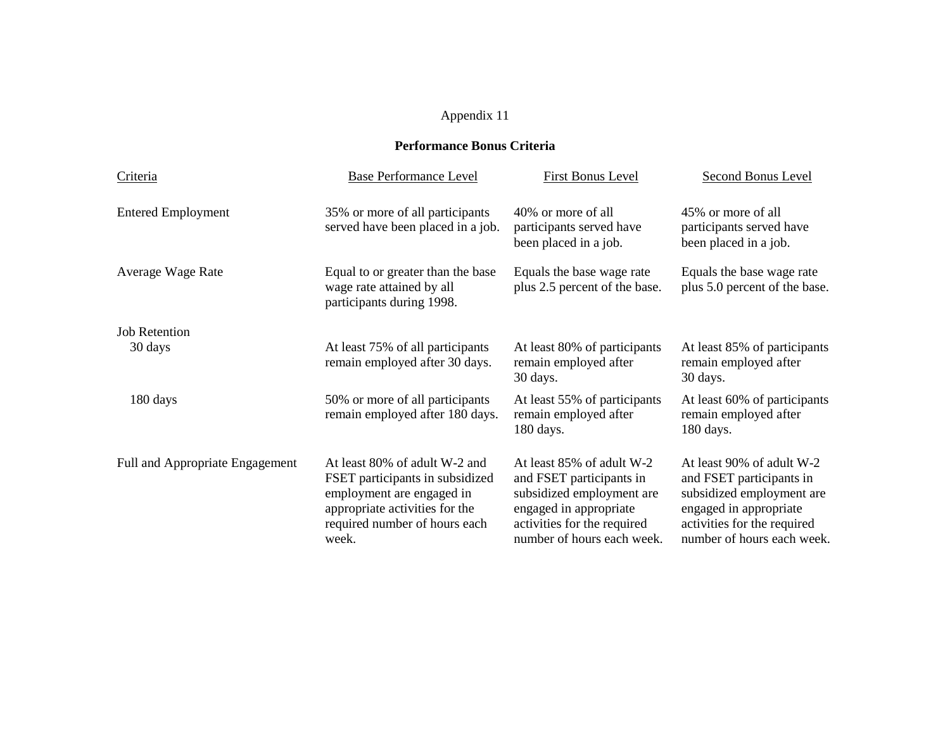#### **Performance Bonus Criteria**

| Criteria                        | <b>Base Performance Level</b>                                                                                                                                             | <b>First Bonus Level</b>                                                                                                                                                  | Second Bonus Level                                                                                                                                                        |
|---------------------------------|---------------------------------------------------------------------------------------------------------------------------------------------------------------------------|---------------------------------------------------------------------------------------------------------------------------------------------------------------------------|---------------------------------------------------------------------------------------------------------------------------------------------------------------------------|
| <b>Entered Employment</b>       | 35% or more of all participants<br>served have been placed in a job.                                                                                                      | 40% or more of all<br>participants served have<br>been placed in a job.                                                                                                   | 45% or more of all<br>participants served have<br>been placed in a job.                                                                                                   |
| Average Wage Rate               | Equal to or greater than the base<br>wage rate attained by all<br>participants during 1998.                                                                               | Equals the base wage rate<br>plus 2.5 percent of the base.                                                                                                                | Equals the base wage rate<br>plus 5.0 percent of the base.                                                                                                                |
| <b>Job Retention</b>            |                                                                                                                                                                           |                                                                                                                                                                           |                                                                                                                                                                           |
| 30 days                         | At least 75% of all participants<br>remain employed after 30 days.                                                                                                        | At least 80% of participants<br>remain employed after<br>30 days.                                                                                                         | At least 85% of participants<br>remain employed after<br>30 days.                                                                                                         |
| 180 days                        | 50% or more of all participants<br>remain employed after 180 days.                                                                                                        | At least 55% of participants<br>remain employed after<br>180 days.                                                                                                        | At least 60% of participants<br>remain employed after<br>180 days.                                                                                                        |
| Full and Appropriate Engagement | At least 80% of adult W-2 and<br>FSET participants in subsidized<br>employment are engaged in<br>appropriate activities for the<br>required number of hours each<br>week. | At least 85% of adult W-2<br>and FSET participants in<br>subsidized employment are<br>engaged in appropriate<br>activities for the required<br>number of hours each week. | At least 90% of adult W-2<br>and FSET participants in<br>subsidized employment are<br>engaged in appropriate<br>activities for the required<br>number of hours each week. |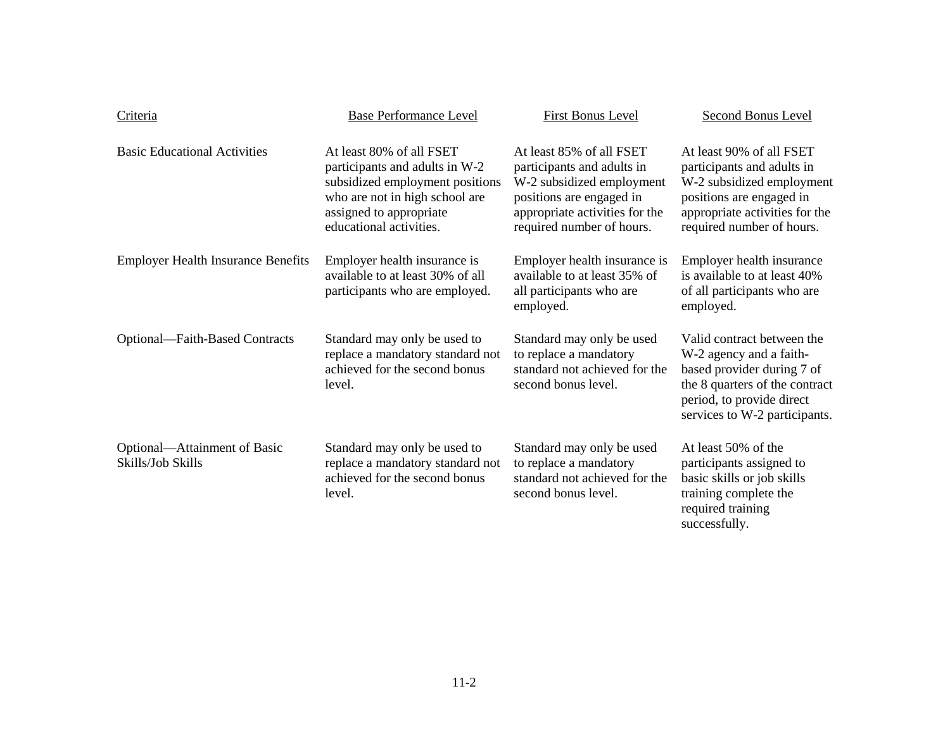| Criteria                                          | <b>Base Performance Level</b>                                                                                                                                                         | <b>First Bonus Level</b>                                                                                                                                                       | <b>Second Bonus Level</b>                                                                                                                                                           |
|---------------------------------------------------|---------------------------------------------------------------------------------------------------------------------------------------------------------------------------------------|--------------------------------------------------------------------------------------------------------------------------------------------------------------------------------|-------------------------------------------------------------------------------------------------------------------------------------------------------------------------------------|
| <b>Basic Educational Activities</b>               | At least 80% of all FSET<br>participants and adults in W-2<br>subsidized employment positions<br>who are not in high school are<br>assigned to appropriate<br>educational activities. | At least 85% of all FSET<br>participants and adults in<br>W-2 subsidized employment<br>positions are engaged in<br>appropriate activities for the<br>required number of hours. | At least 90% of all FSET<br>participants and adults in<br>W-2 subsidized employment<br>positions are engaged in<br>appropriate activities for the<br>required number of hours.      |
| <b>Employer Health Insurance Benefits</b>         | Employer health insurance is<br>available to at least 30% of all<br>participants who are employed.                                                                                    | Employer health insurance is<br>available to at least 35% of<br>all participants who are<br>employed.                                                                          | Employer health insurance<br>is available to at least 40%<br>of all participants who are<br>employed.                                                                               |
| Optional—Faith-Based Contracts                    | Standard may only be used to<br>replace a mandatory standard not<br>achieved for the second bonus<br>level.                                                                           | Standard may only be used<br>to replace a mandatory<br>standard not achieved for the<br>second bonus level.                                                                    | Valid contract between the<br>W-2 agency and a faith-<br>based provider during 7 of<br>the 8 quarters of the contract<br>period, to provide direct<br>services to W-2 participants. |
| Optional—Attainment of Basic<br>Skills/Job Skills | Standard may only be used to<br>replace a mandatory standard not<br>achieved for the second bonus<br>level.                                                                           | Standard may only be used<br>to replace a mandatory<br>standard not achieved for the<br>second bonus level.                                                                    | At least 50% of the<br>participants assigned to<br>basic skills or job skills<br>training complete the<br>required training<br>successfully.                                        |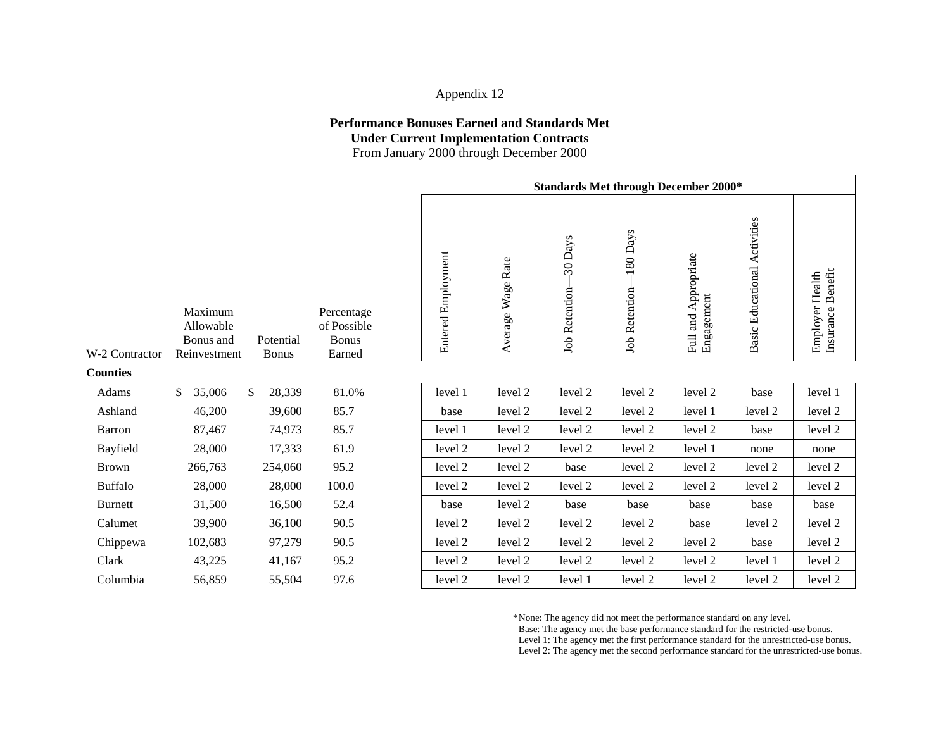#### **Performance Bonuses Earned and Standards Met Under Current Implementation Contracts**

From January 2000 through December 2000

|                |                                                   |                           |                                                     | <b>Standards Met through December 2000*</b> |                   |                                  |                            |                                           |                                     |                                      |
|----------------|---------------------------------------------------|---------------------------|-----------------------------------------------------|---------------------------------------------|-------------------|----------------------------------|----------------------------|-------------------------------------------|-------------------------------------|--------------------------------------|
| -2 Contractor  | Maximum<br>Allowable<br>Bonus and<br>Reinvestment | Potential<br><b>Bonus</b> | Percentage<br>of Possible<br><b>Bonus</b><br>Earned | <b>Entered Employment</b>                   | Average Wage Rate | -30 Days<br><b>Job Retention</b> | 180 Days<br>Job Retention- | Appropriate<br>Full and App<br>Engagement | <b>Basic Educational Activities</b> | Insurance Benefit<br>Employer Health |
| ounties        |                                                   |                           |                                                     |                                             |                   |                                  |                            |                                           |                                     |                                      |
| Adams          | 35,006<br>\$                                      | 28,339<br>$\mathbb{S}$    | 81.0%                                               | level 1                                     | level 2           | level 2                          | level 2                    | level 2                                   | base                                | level 1                              |
| Ashland        | 46,200                                            | 39,600                    | 85.7                                                | base                                        | level 2           | level 2                          | level 2                    | level 1                                   | level 2                             | level 2                              |
| Barron         | 87,467                                            | 74,973                    | 85.7                                                | level 1                                     | level 2           | level 2                          | level 2                    | level 2                                   | base                                | level 2                              |
| Bayfield       | 28,000                                            | 17,333                    | 61.9                                                | level 2                                     | level 2           | level 2                          | level 2                    | level 1                                   | none                                | none                                 |
| Brown          | 266,763                                           | 254,060                   | 95.2                                                | level 2                                     | level 2           | base                             | level 2                    | level 2                                   | level 2                             | level 2                              |
| <b>Buffalo</b> | 28,000                                            | 28,000                    | 100.0                                               | level 2                                     | level 2           | level 2                          | level 2                    | level 2                                   | level 2                             | level 2                              |
| <b>Burnett</b> | 31,500                                            | 16,500                    | 52.4                                                | base                                        | level 2           | base                             | base                       | base                                      | base                                | base                                 |
| Calumet        | 39,900                                            | 36,100                    | 90.5                                                | level 2                                     | level 2           | level 2                          | level 2                    | base                                      | level 2                             | level 2                              |
| Chippewa       | 102,683                                           | 97,279                    | 90.5                                                | level 2                                     | level 2           | level 2                          | level 2                    | level 2                                   | base                                | level 2                              |
| Clark          | 43,225                                            | 41,167                    | 95.2                                                | level 2                                     | level 2           | level 2                          | level 2                    | level 2                                   | level 1                             | level 2                              |
| Columbia       | 56,859                                            | 55,504                    | 97.6                                                | level 2                                     | level 2           | level 1                          | level 2                    | level 2                                   | level 2                             | level 2                              |

|  |  | *None: The agency did not meet the performance standard on any level. |  |
|--|--|-----------------------------------------------------------------------|--|
|  |  |                                                                       |  |

Base: The agency met the base performance standard for the restricted-use bonus.

Level 1: The agency met the first performance standard for the unrestricted-use bonus.

| W-2 Contractor | Maximum<br>Allowable<br>Bonus and<br>Reinvestment | Potential<br><b>Bonus</b> | Percentage<br>of Possible<br><b>Bonus</b><br><b>Earned</b> |
|----------------|---------------------------------------------------|---------------------------|------------------------------------------------------------|
| Counties       |                                                   |                           |                                                            |
| Adams          | \$<br>35,006                                      | \$<br>28,339              | 81.0%                                                      |
| Ashland        | 46,200                                            | 39,600                    | 85.7                                                       |
| Barron         | 87,467                                            | 74,973                    | 85.7                                                       |
| Bayfield       | 28,000                                            | 17,333                    | 61.9                                                       |
| <b>Brown</b>   | 266,763                                           | 254,060                   | 95.2                                                       |
| <b>Buffalo</b> | 28,000                                            | 28,000                    | 100.0                                                      |
| <b>Burnett</b> | 31,500                                            | 16,500                    | 52.4                                                       |
| Calumet        | 39,900                                            | 36,100                    | 90.5                                                       |
| Chippewa       | 102,683                                           | 97,279                    | 90.5                                                       |
| Clark          | 43,225                                            | 41,167                    | 95.2                                                       |
| Columbia       | 56,859                                            | 55,504                    | 97.6                                                       |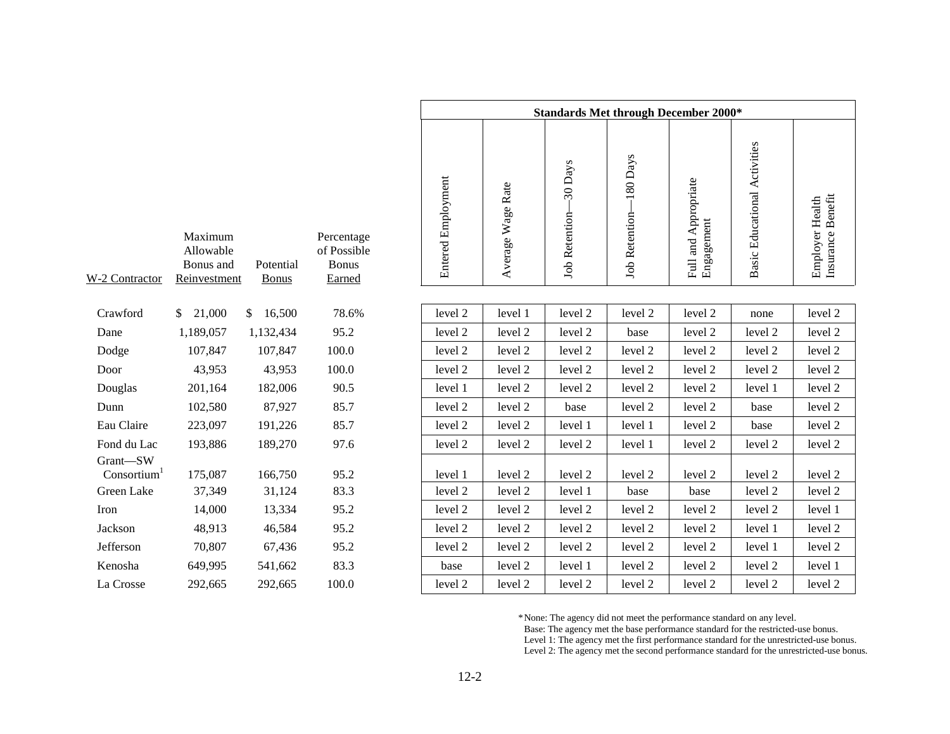|                         |                                                   |                           |                                                     |                           |                   |                           | <b>Standards Met through December 2000*</b> |                                    |                              |                                      |
|-------------------------|---------------------------------------------------|---------------------------|-----------------------------------------------------|---------------------------|-------------------|---------------------------|---------------------------------------------|------------------------------------|------------------------------|--------------------------------------|
| -2 Contractor           | Maximum<br>Allowable<br>Bonus and<br>Reinvestment | Potential<br><b>Bonus</b> | Percentage<br>of Possible<br><b>Bonus</b><br>Earned | <b>Entered Employment</b> | Average Wage Rate | 30 Days<br>Job Retention- | $-180$ Days<br>Job Retention-               | Full and Appropriate<br>Engagement | Basic Educational Activities | Insurance Benefit<br>Employer Health |
|                         |                                                   |                           |                                                     |                           |                   |                           |                                             |                                    |                              |                                      |
| Crawford                | \$21,000                                          | \$16,500                  | 78.6%                                               | level 2                   | level 1           | level 2                   | level 2                                     | level 2                            | none                         | level 2                              |
| Dane                    | 1,189,057                                         | 1,132,434                 | 95.2                                                | level 2                   | level 2           | level 2                   | base                                        | level 2                            | level 2                      | level 2                              |
| Dodge                   | 107,847                                           | 107,847                   | 100.0                                               | level 2                   | level 2           | level 2                   | level 2                                     | level 2                            | level 2                      | level 2                              |
| Door                    | 43,953                                            | 43,953                    | 100.0                                               | level 2                   | level 2           | level 2                   | level 2                                     | level 2                            | level 2                      | level 2                              |
| Douglas                 | 201,164                                           | 182,006                   | 90.5                                                | level 1                   | level 2           | level 2                   | level 2                                     | level 2                            | level 1                      | level 2                              |
| Dunn                    | 102,580                                           | 87,927                    | 85.7                                                | level 2                   | level 2           | base                      | level 2                                     | level 2                            | base                         | level 2                              |
| Eau Claire              | 223,097                                           | 191,226                   | 85.7                                                | level 2                   | level 2           | level 1                   | level 1                                     | level 2                            | base                         | level 2                              |
| Fond du Lac             | 193,886                                           | 189,270                   | 97.6                                                | level 2                   | level 2           | level 2                   | level 1                                     | level 2                            | level 2                      | level 2                              |
| Grant-SW                |                                                   |                           |                                                     |                           |                   |                           |                                             |                                    |                              |                                      |
| Consortium <sup>1</sup> | 175,087                                           | 166,750                   | 95.2                                                | level 1                   | level 2           | level 2                   | level 2                                     | level 2                            | level 2                      | level 2                              |
| Green Lake              | 37,349                                            | 31,124                    | 83.3                                                | level 2                   | level 2           | level 1                   | base                                        | base                               | level 2                      | level 2                              |
| Iron                    | 14,000                                            | 13,334                    | 95.2                                                | level 2                   | level 2           | level 2                   | level 2                                     | level 2                            | level 2                      | level 1                              |
| Jackson                 | 48,913                                            | 46,584                    | 95.2                                                | level 2                   | level 2           | level 2                   | level 2                                     | level 2                            | level 1                      | level 2                              |
| Jefferson               | 70,807                                            | 67,436                    | 95.2                                                | level 2                   | level 2           | level 2                   | level 2                                     | level 2                            | level 1                      | level 2                              |
| Kenosha                 | 649,995                                           | 541,662                   | 83.3                                                | base                      | level 2           | level 1                   | level 2                                     | level 2                            | level 2                      | level 1                              |
| La Crosse               | 292,665                                           | 292,665                   | 100.0                                               | level 2                   | level 2           | level 2                   | level 2                                     | level 2                            | level 2                      | level 2                              |

| W-2 Contractor          | Maximum<br>Allowable<br>Bonus and<br>Reinvestment | Potential<br><b>Bonus</b> | Percentage<br>of Possible<br><b>Bonus</b><br>Earned |
|-------------------------|---------------------------------------------------|---------------------------|-----------------------------------------------------|
| Crawford                | \$<br>21,000                                      | \$<br>16,500              | 78.6%                                               |
| Dane                    | 1,189,057                                         | 1,132,434                 | 95.2                                                |
| Dodge                   | 107,847                                           | 107,847                   | 100.0                                               |
| Door                    | 43,953                                            | 43,953                    | 100.0                                               |
| Douglas                 | 201,164                                           | 182,006                   | 90.5                                                |
| Dunn                    | 102,580                                           | 87,927                    | 85.7                                                |
| Eau Claire              | 223,097                                           | 191,226                   | 85.7                                                |
| Fond du Lac             | 193,886                                           | 189,270                   | 97.6                                                |
| Grant—SW                |                                                   |                           |                                                     |
| Consortium <sup>1</sup> | 175,087                                           | 166,750                   | 95.2                                                |
| Green Lake              | 37,349                                            | 31,124                    | 83.3                                                |
| <b>Iron</b>             | 14,000                                            | 13,334                    | 95.2                                                |
| Jackson                 | 48,913                                            | 46,584                    | 95.2                                                |
| Jefferson               | 70,807                                            | 67,436                    | 95.2                                                |
| Kenosha                 | 649,995                                           | 541,662                   | 83.3                                                |
| I a Crosso              | 202.665                                           | 202.665                   | 1ሰሰ ሰ                                               |

\*None: The agency did not meet the performance standard on any level.

Base: The agency met the base performance standard for the restricted-use bonus.

Level 1: The agency met the first performance standard for the unrestricted-use bonus.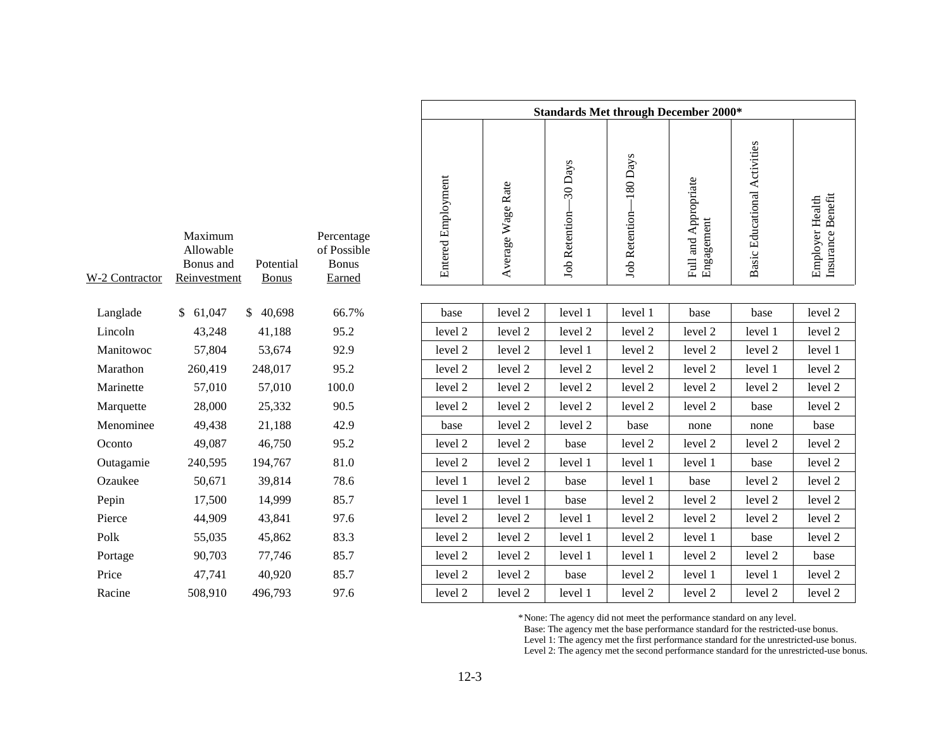|               |                                                   |                           |                                                     |                    | <b>Standards Met through December 2000*</b><br>$-180$ Days<br>30 Days |                |                |                                    |                              |                                      |  |  |  |  |  |
|---------------|---------------------------------------------------|---------------------------|-----------------------------------------------------|--------------------|-----------------------------------------------------------------------|----------------|----------------|------------------------------------|------------------------------|--------------------------------------|--|--|--|--|--|
| -2 Contractor | Maximum<br>Allowable<br>Bonus and<br>Reinvestment | Potential<br><b>Bonus</b> | Percentage<br>of Possible<br><b>Bonus</b><br>Earned | Entered Employment | Average Wage Rate                                                     | Job Retention- | Job Retention- | Full and Appropriate<br>Engagement | Basic Educational Activities | Insurance Benefit<br>Employer Health |  |  |  |  |  |
|               |                                                   |                           |                                                     |                    |                                                                       |                |                |                                    |                              |                                      |  |  |  |  |  |
| Langlade      | \$61,047                                          | \$40,698                  | 66.7%                                               | base               | level 2                                                               | level 1        | level 1        | base                               | base                         | level 2                              |  |  |  |  |  |
| Lincoln       | 43,248                                            | 41,188                    | 95.2                                                | level 2            | level 2                                                               | level 2        | level 2        | level 2                            | level 1                      | level 2                              |  |  |  |  |  |
| Manitowoc     | 57,804                                            | 53,674                    | 92.9                                                | level 2            | level 2                                                               | level 1        | level 2        | level 2                            | level 2                      | level 1                              |  |  |  |  |  |
| Marathon      | 260,419                                           | 248,017                   | 95.2                                                | level 2            | level 2                                                               | level 2        | level 2        | level 2                            | level 1                      | level 2                              |  |  |  |  |  |
| Marinette     | 57,010                                            | 57,010                    | 100.0                                               | level 2            | level 2                                                               | level 2        | level 2        | level 2                            | level 2                      | level 2                              |  |  |  |  |  |
| Marquette     | 28,000                                            | 25,332                    | 90.5                                                | level 2            | level 2                                                               | level 2        | level 2        | level 2                            | base                         | level 2                              |  |  |  |  |  |
| Menominee     | 49,438                                            | 21,188                    | 42.9                                                | base               | level 2                                                               | level 2        | base           | none                               | none                         | base                                 |  |  |  |  |  |
| Oconto        | 49,087                                            | 46,750                    | 95.2                                                | level 2            | level 2                                                               | base           | level 2        | level 2                            | level 2                      | level 2                              |  |  |  |  |  |
| Outagamie     | 240,595                                           | 194,767                   | 81.0                                                | level 2            | level 2                                                               | level 1        | level 1        | level 1                            | base                         | level 2                              |  |  |  |  |  |
| Ozaukee       | 50,671                                            | 39,814                    | 78.6                                                | level 1            | level 2                                                               | base           | level 1        | base                               | level 2                      | level 2                              |  |  |  |  |  |
| Pepin         | 17,500                                            | 14,999                    | 85.7                                                | level 1            | level 1                                                               | base           | level 2        | level 2                            | level 2                      | level 2                              |  |  |  |  |  |
| Pierce        | 44,909                                            | 43,841                    | 97.6                                                | level 2            | level 2                                                               | level 1        | level 2        | level 2                            | level 2                      | level 2                              |  |  |  |  |  |
| Polk          | 55,035                                            | 45,862                    | 83.3                                                | level 2            | level 2                                                               | level 1        | level 2        | level 1                            | base                         | level 2                              |  |  |  |  |  |
| Portage       | 90,703                                            | 77,746                    | 85.7                                                | level 2            | level 2                                                               | level 1        | level 1        | level 2                            | level 2                      | base                                 |  |  |  |  |  |
| Price         | 47,741                                            | 40,920                    | 85.7                                                | level 2            | level 2                                                               | base           | level 2        | level 1                            | level 1                      | level 2                              |  |  |  |  |  |
| Racine        | 508,910                                           | 496,793                   | 97.6                                                | level 2            | level 2                                                               | level 1        | level 2        | level 2                            | level 2                      | level 2                              |  |  |  |  |  |

| W-2 Contractor | Maximum<br>Allowable<br>Bonus and<br><u>Reinvestment</u> | Potential<br><b>Bonus</b> | Percentage<br>of Possible<br><b>Bonus</b><br><u>Earned</u> |
|----------------|----------------------------------------------------------|---------------------------|------------------------------------------------------------|
| Langlade       | 61,047<br>\$                                             | \$<br>40,698              | 66.7%                                                      |
| Lincoln        | 43,248                                                   | 41,188                    | 95.2                                                       |
| Manitowoc      | 57,804                                                   | 53,674                    | 92.9                                                       |
| Marathon       | 260,419                                                  | 248,017                   | 95.2                                                       |
| Marinette      | 57,010                                                   | 57,010                    | 100.0                                                      |
| Marquette      | 28,000                                                   | 25,332                    | 90.5                                                       |
| Menominee      | 49,438                                                   | 21,188                    | 42.9                                                       |
| Oconto         | 49,087                                                   | 46,750                    | 95.2                                                       |
| Outagamie      | 240,595                                                  | 194,767                   | 81.0                                                       |
| Ozaukee        | 50,671                                                   | 39,814                    | 78.6                                                       |
| Pepin          | 17,500                                                   | 14,999                    | 85.7                                                       |
| Pierce         | 44,909                                                   | 43,841                    | 97.6                                                       |
| Polk           | 55,035                                                   | 45,862                    | 83.3                                                       |
| Portage        | 90,703                                                   | 77,746                    | 85.7                                                       |
| Price          | 47,741                                                   | 40,920                    | 85.7                                                       |
| T.             | $\sim$ 0.10                                              | $\sim$ $\sim$ $\sim$      | $\sim$ $\sim$                                              |

\*None: The agency did not meet the performance standard on any level.

Base: The agency met the base performance standard for the restricted-use bonus.

Level 1: The agency met the first performance standard for the unrestricted-use bonus.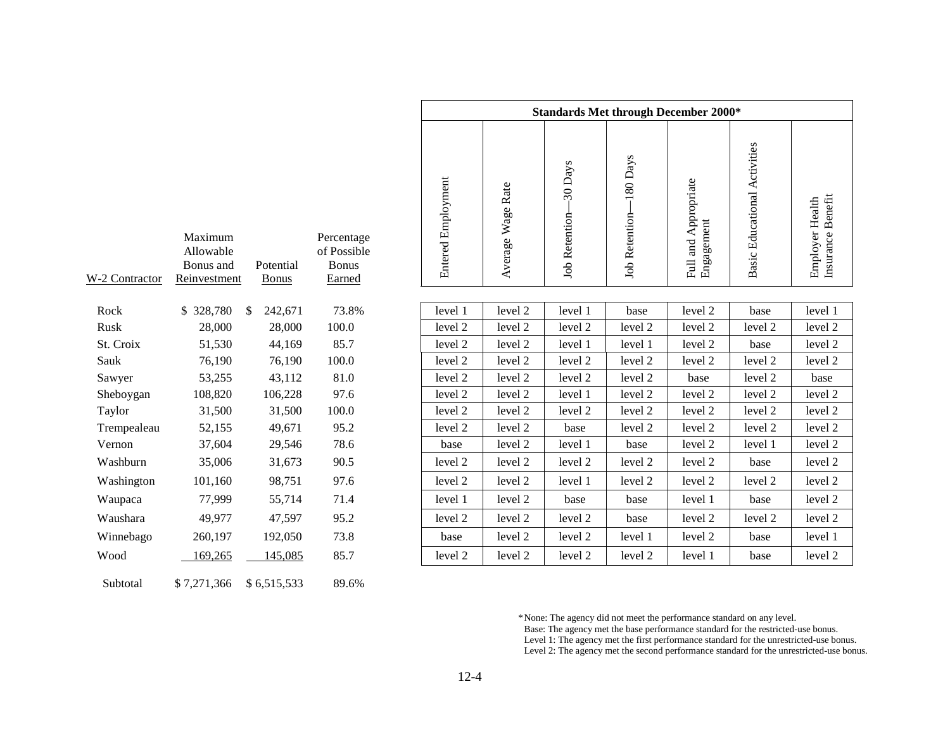|               |                                                   |                           |                                                     |                           |                   |                            | <b>Standards Met through December 2000*</b> |                                    |                              |                                      |
|---------------|---------------------------------------------------|---------------------------|-----------------------------------------------------|---------------------------|-------------------|----------------------------|---------------------------------------------|------------------------------------|------------------------------|--------------------------------------|
| -2 Contractor | Maximum<br>Allowable<br>Bonus and<br>Reinvestment | Potential<br><b>Bonus</b> | Percentage<br>of Possible<br><b>Bonus</b><br>Earned | <b>Entered Employment</b> | Average Wage Rate | -30 Days<br>Job Retention- | $-180$ Days<br><b>Job Retention</b>         | Full and Appropriate<br>Engagement | Basic Educational Activities | Insurance Benefit<br>Employer Health |
| Rock          | \$328,780                                         | 242,671<br>- \$           | 73.8%                                               | level 1                   | level 2           | level 1                    | base                                        | level 2                            | base                         | level 1                              |
| Rusk          | 28,000                                            | 28,000                    | 100.0                                               | level 2                   | level 2           | level 2                    | level 2                                     | level 2                            | level 2                      | level 2                              |
| St. Croix     | 51,530                                            | 44,169                    | 85.7                                                | level 2                   | level 2           | level 1                    | level 1                                     | level 2                            | base                         | level 2                              |
| Sauk          | 76,190                                            | 76,190                    | 100.0                                               | level 2                   | level 2           | level 2                    | level 2                                     | level 2                            | level 2                      | level 2                              |
| Sawyer        | 53,255                                            | 43,112                    | 81.0                                                | level 2                   | level 2           | level 2                    | level 2                                     | base                               | level 2                      | base                                 |
| Sheboygan     | 108,820                                           | 106,228                   | 97.6                                                | level 2                   | level 2           | level 1                    | level 2                                     | level 2                            | level 2                      | level 2                              |
| Taylor        | 31,500                                            | 31,500                    | 100.0                                               | level 2                   | level 2           | level 2                    | level 2                                     | level 2                            | level 2                      | level 2                              |
| Trempealeau   | 52,155                                            | 49,671                    | 95.2                                                | level 2                   | level 2           | base                       | level 2                                     | level 2                            | level 2                      | level 2                              |
| Vernon        | 37,604                                            | 29,546                    | 78.6                                                | base                      | level 2           | level 1                    | base                                        | level 2                            | level 1                      | level 2                              |
| Washburn      | 35,006                                            | 31,673                    | 90.5                                                | level 2                   | level 2           | level 2                    | level 2                                     | level 2                            | base                         | level 2                              |
| Washington    | 101,160                                           | 98,751                    | 97.6                                                | level 2                   | level 2           | level 1                    | level 2                                     | level 2                            | level 2                      | level 2                              |
| Waupaca       | 77,999                                            | 55,714                    | 71.4                                                | level 1                   | level 2           | base                       | base                                        | level 1                            | base                         | level 2                              |
| Waushara      | 49,977                                            | 47,597                    | 95.2                                                | level 2                   | level 2           | level 2                    | base                                        | level 2                            | level 2                      | level 2                              |
| Winnebago     | 260,197                                           | 192,050                   | 73.8                                                | base                      | level 2           | level 2                    | level 1                                     | level 2                            | base                         | level 1                              |
| Wood          | 169,265                                           | 145,085                   | 85.7                                                | level 2                   | level 2           | level 2                    | level 2                                     | level 1                            | base                         | level 2                              |

\*None: The agency did not meet the performance standard on any level. Base: The agency met the base performance standard for the restricted-use bonus. Level 1: The agency met the first performance standard for the unrestricted-use bonus.

| W-2 Contractor | Maximum<br>Allowable<br>Bonus and<br>Reinvestment | Potential<br><b>Bonus</b> | Percentage<br>of Possible<br><b>Bonus</b><br>Earned |
|----------------|---------------------------------------------------|---------------------------|-----------------------------------------------------|
| Rock           | 328,780<br>\$                                     | \$<br>242,671             | 73.8%                                               |
| Rusk           | 28,000                                            | 28,000                    | 100.0                                               |
| St. Croix      | 51,530                                            | 44,169                    | 85.7                                                |
| Sauk           | 76,190                                            | 76,190                    | 100.0                                               |
| Sawyer         | 53,255                                            | 43,112                    | 81.0                                                |
| Sheboygan      | 108,820                                           | 106,228                   | 97.6                                                |
| Taylor         | 31,500                                            | 31,500                    | 100.0                                               |
| Trempealeau    | 52,155                                            | 49,671                    | 95.2                                                |
| Vernon         | 37,604                                            | 29,546                    | 78.6                                                |
| Washburn       | 35,006                                            | 31,673                    | 90.5                                                |
| Washington     | 101,160                                           | 98,751                    | 97.6                                                |
| Waupaca        | 77,999                                            | 55,714                    | 71.4                                                |
| Waushara       | 49,977                                            | 47,597                    | 95.2                                                |
| Winnebago      | 260,197                                           | 192,050                   | 73.8                                                |
| Wood           | 169,265                                           | 145,085                   | 85.7                                                |
| Subtotal       | \$7,271,366                                       | \$6,515,533               | 89.6%                                               |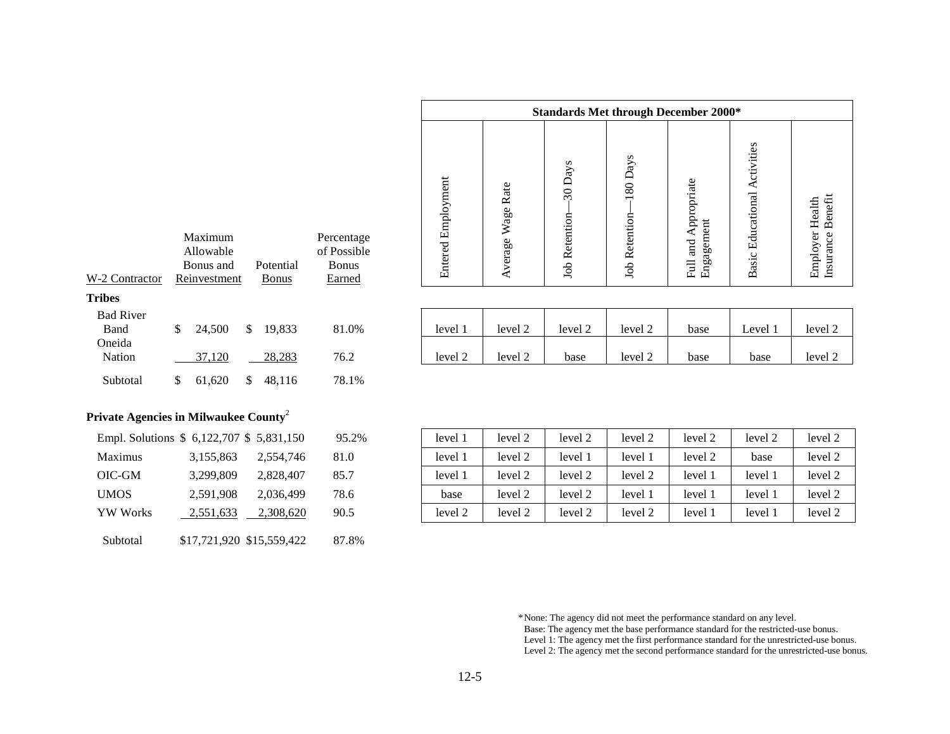|                    | <b>Standards Met through December 2000*</b> |                                 |                                 |                                    |                                   |                                         |  |  |  |  |  |
|--------------------|---------------------------------------------|---------------------------------|---------------------------------|------------------------------------|-----------------------------------|-----------------------------------------|--|--|--|--|--|
| Entered Employment | Wage Rate<br>Average                        | 30 Days<br><b>Job Retention</b> | 80 Days<br><b>Job Retention</b> | Full and Appropriate<br>Engagement | ctivities<br>Educational<br>Basic | Benefit<br>Employer Health<br>Insurance |  |  |  |  |  |

| <b>Bad River</b><br><b>B</b> and | 24,500 | 19,833 | 81.0% | level           | $\sim$ $\sim$<br>level 2 | $\sqrt{1}$<br>level 2 | $\sim$<br>level 2 | base | Level | level 2        |
|----------------------------------|--------|--------|-------|-----------------|--------------------------|-----------------------|-------------------|------|-------|----------------|
| Oneida<br>Nation                 | 37.120 | 28,283 | 76.2  | $\sim$<br>level | level 2<br>$\sim$        | base                  | level 2           | base | base  | level $\angle$ |

# Subtotal  $$ 61,620 \ $ 48,116 \ $ 78.1\%$

Maximum AllowableBonus andReinvestment

Potential Bonus

Percentage of PossibleBonusEarned

W-2 Contractor

Oneida

**Tribes**

| Private Agencies in Milwaukee County <sup>2</sup> |  |  |  |  |   |  |  |  |
|---------------------------------------------------|--|--|--|--|---|--|--|--|
|                                                   |  |  |  |  | . |  |  |  |

|                 | Ellipt. Solutions $\phi$ 0,122,707 $\phi$ 2,031,130 |           | フフ・ムツロ |
|-----------------|-----------------------------------------------------|-----------|--------|
| Maximus         | 3,155,863                                           | 2,554,746 | 81.0   |
| OIC-GM          | 3,299,809                                           | 2,828,407 | 85.7   |
| <b>UMOS</b>     | 2,591,908                                           | 2,036,499 | 78.6   |
| <b>YW</b> Works | 2,551,633                                           | 2,308,620 | 90.5   |
| Subtotal        | \$17,721,920 \$15,559,422                           |           | 87.8%  |

| Empl. Solutions \$ 6,122,707 \$ 5,831,150 |           |           | 95.2% | level 1 | level 2 | level 2 | level 2 | level 2 | level 2 | level 2 |
|-------------------------------------------|-----------|-----------|-------|---------|---------|---------|---------|---------|---------|---------|
| Maximus                                   | 3,155,863 | 2,554,746 | 81.0  | level 1 | level 2 | level   | level.  | level 2 | base    | level 2 |
| OIC-GM                                    | 3,299,809 | 2,828,407 | 85.7  | level 1 | level 2 | level 2 | level 2 | level:  | level:  | level 2 |
| UMOS                                      | 2,591,908 | 2,036,499 | 78.6  | base    | level 2 | level 2 | level   | level   | level   | level 2 |
| YW Works                                  | 2,551,633 | 2,308,620 | 90.5  | level 2 | level 2 | level 2 | level 2 | level   | level   | level 2 |

\*None: The agency did not meet the performance standard on any level. Base: The agency met the base performance standard for the restricted-use bonus. Level 1: The agency met the first performance standard for the unrestricted-use bonus.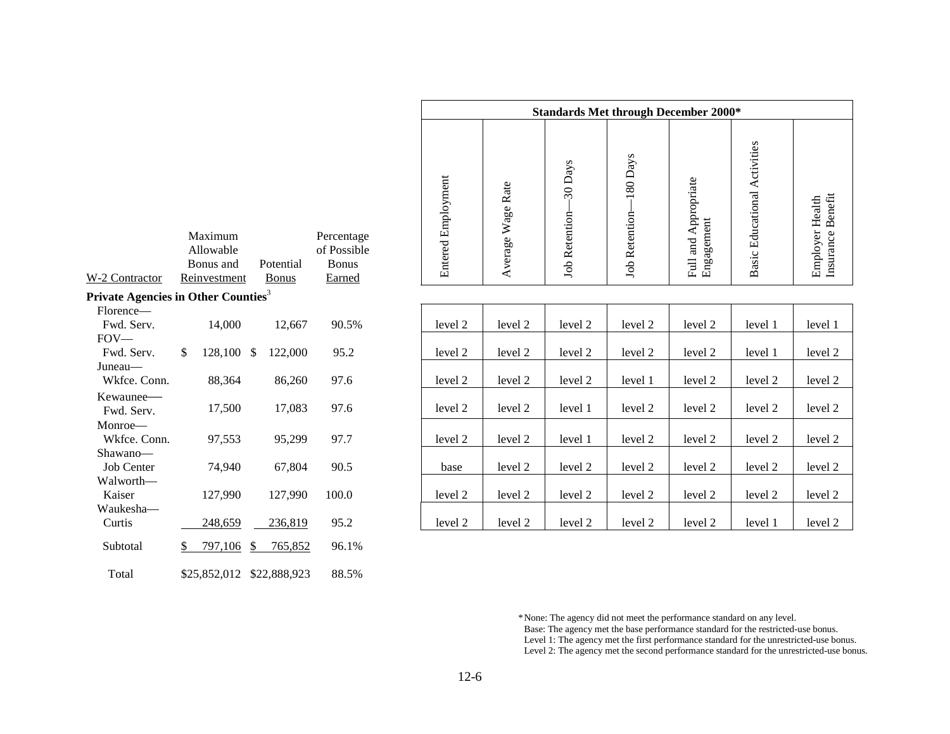| W-2 Contractor                                  | Maximum<br>Allowable<br>Bonus and<br>Reinvestment |               | Potential<br><b>Bonus</b> | Percentage<br>of Possible<br><b>Bonus</b><br>Earned |
|-------------------------------------------------|---------------------------------------------------|---------------|---------------------------|-----------------------------------------------------|
| Private Agencies in Other Counties <sup>3</sup> |                                                   |               |                           |                                                     |
| Florence—<br>Fwd. Serv.<br>$FOV -$              | 14,000                                            |               | 12,667                    | 90.5%                                               |
| Fwd. Serv.                                      | \$<br>128,100                                     | \$            | 122,000                   | 95.2                                                |
| Juneau—<br>Wkfce. Conn.                         | 88,364                                            |               | 86,260                    | 97.6                                                |
| Kewaunee—<br>Fwd. Serv.                         | 17,500                                            |               | 17,083                    | 97.6                                                |
| Monroe—<br>Wkfce. Conn.                         | 97,553                                            |               | 95,299                    | 97.7                                                |
| Shawano—<br><b>Job Center</b>                   | 74,940                                            |               | 67,804                    | 90.5                                                |
| Walworth—<br>Kaiser                             | 127,990                                           |               | 127,990                   | 100.0                                               |
| Waukesha—<br>Curtis                             | 248,659                                           |               | 236,819                   | 95.2                                                |
| Subtotal                                        | \$<br>797,106                                     | $\frac{1}{2}$ | 765,852                   | 96.1%                                               |
| Total                                           | \$25,852,012                                      |               | \$22,888,923              | 88.5%                                               |

| <b>Standards Met through December 2000*</b> |                         |                                 |                                  |                                    |                                 |                                                |  |
|---------------------------------------------|-------------------------|---------------------------------|----------------------------------|------------------------------------|---------------------------------|------------------------------------------------|--|
| <b>Entered Employment</b>                   | Rate<br>Wage<br>Average | 30 Days<br><b>Job Retention</b> | 180 Days<br><b>Job Retention</b> | Full and Appropriate<br>Engagement | Activities<br>Basic Educational | Benefit<br><b>Employer Health</b><br>Insurance |  |
|                                             |                         |                                 |                                  |                                    |                                 |                                                |  |

| $\cdots$          |               |               |         |       |         |         |         |         |         |         |         |
|-------------------|---------------|---------------|---------|-------|---------|---------|---------|---------|---------|---------|---------|
| Florence-         |               |               |         |       |         |         |         |         |         |         |         |
| Fwd. Serv.        | 14,000        |               | 12,667  | 90.5% | level 2 | level 2 | level 2 | level 2 | level 2 | level 1 | level 1 |
| $FOV$ —           |               |               |         |       |         |         |         |         |         |         |         |
| Fwd. Serv.        | \$<br>128,100 | <sup>\$</sup> | 122,000 | 95.2  | level 2 | level 2 | level 2 | level 2 | level 2 | level 1 | level 2 |
| Juneau—           |               |               |         |       |         |         |         |         |         |         |         |
| Wkfce. Conn.      | 88,364        |               | 86,260  | 97.6  | level 2 | level 2 | level 2 | level 1 | level 2 | level 2 | level 2 |
| Kewaunee-         |               |               |         |       |         |         |         |         |         |         |         |
| Fwd. Serv.        | 17,500        |               | 17,083  | 97.6  | level 2 | level 2 | level 1 | level 2 | level 2 | level 2 | level 2 |
| Monroe—           |               |               |         |       |         |         |         |         |         |         |         |
| Wkfce. Conn.      | 97,553        |               | 95,299  | 97.7  | level 2 | level 2 | level 1 | level 2 | level 2 | level 2 | level 2 |
| Shawano—          |               |               |         |       |         |         |         |         |         |         |         |
| <b>Job Center</b> | 74.940        |               | 67,804  | 90.5  | base    | level 2 | level 2 | level 2 | level 2 | level 2 | level 2 |
| Walworth—         |               |               |         |       |         |         |         |         |         |         |         |
| Kaiser            | 127,990       |               | 127.990 | 100.0 | level 2 | level 2 | level 2 | level 2 | level 2 | level 2 | level 2 |
| Waukesha—         |               |               |         |       |         |         |         |         |         |         |         |
| Curtis            | 248,659       |               | 236,819 | 95.2  | level 2 | level 2 | level 2 | level 2 | level 2 | level 1 | level 2 |
|                   |               |               |         |       |         |         |         |         |         |         |         |

\*None: The agency did not meet the performance standard on any level. Base: The agency met the base performance standard for the restricted-use bonus. Level 1: The agency met the first performance standard for the unrestricted-use bonus. Level 2: The agency met the second performance standard for the unrestricted-use bonus.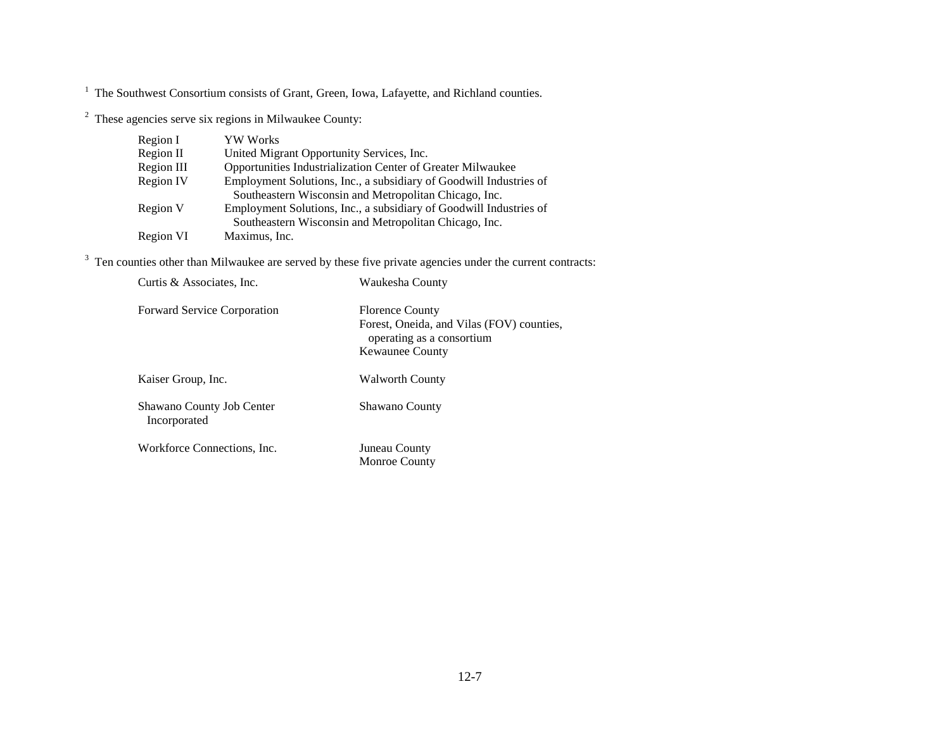$2$  These agencies serve six regions in Milwaukee County:

| Region I         | <b>YW</b> Works                                                    |
|------------------|--------------------------------------------------------------------|
| Region II        | United Migrant Opportunity Services, Inc.                          |
| Region III       | Opportunities Industrialization Center of Greater Milwaukee        |
| <b>Region IV</b> | Employment Solutions, Inc., a subsidiary of Goodwill Industries of |
|                  | Southeastern Wisconsin and Metropolitan Chicago, Inc.              |
| Region V         | Employment Solutions, Inc., a subsidiary of Goodwill Industries of |
|                  | Southeastern Wisconsin and Metropolitan Chicago, Inc.              |
| Region VI        | Maximus, Inc.                                                      |

 $3$  Ten counties other than Milwaukee are served by these five private agencies under the current contracts:

| Curtis & Associates, Inc.                 | Waukesha County                                                                                                            |
|-------------------------------------------|----------------------------------------------------------------------------------------------------------------------------|
| <b>Forward Service Corporation</b>        | <b>Florence County</b><br>Forest, Oneida, and Vilas (FOV) counties,<br>operating as a consortium<br><b>Kewaunee County</b> |
| Kaiser Group, Inc.                        | Walworth County                                                                                                            |
| Shawano County Job Center<br>Incorporated | <b>Shawano County</b>                                                                                                      |
| Workforce Connections, Inc.               | Juneau County<br><b>Monroe County</b>                                                                                      |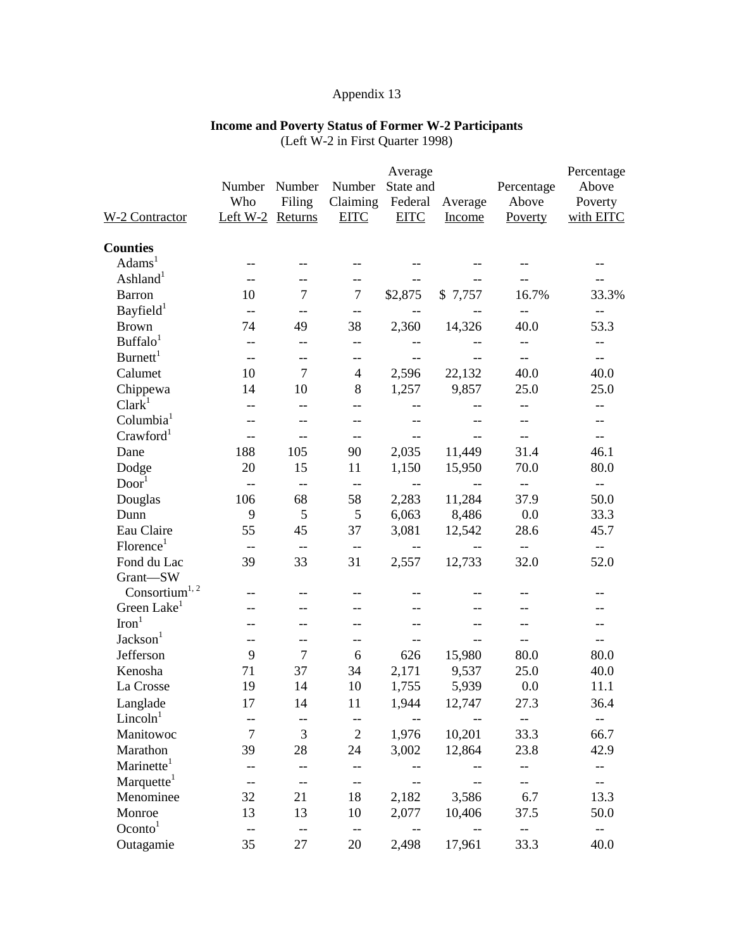#### **Income and Poverty Status of Former W-2 Participants**

(Left W-2 in First Quarter 1998)

|                            |                          |                          | Percentage               |                                       |                          |                          |                                                     |
|----------------------------|--------------------------|--------------------------|--------------------------|---------------------------------------|--------------------------|--------------------------|-----------------------------------------------------|
|                            | Number                   | Number                   | Number                   | Average<br>State and                  |                          | Percentage               | Above                                               |
|                            | Who                      | Filing                   | Claiming                 | Federal                               | Average                  | Above                    | Poverty                                             |
| <b>W-2 Contractor</b>      | Left W-2 Returns         |                          | <b>EITC</b>              | <b>EITC</b>                           | Income                   | Poverty                  | with EITC                                           |
| <b>Counties</b>            |                          |                          |                          |                                       |                          |                          |                                                     |
| Adams <sup>1</sup>         | --                       |                          |                          |                                       |                          |                          |                                                     |
| Ashland <sup>1</sup>       | $-$                      | $-$                      | $-$                      |                                       |                          |                          | $-$                                                 |
| <b>Barron</b>              | 10                       | $\overline{7}$           | $\overline{7}$           | \$2,875                               | \$7,757                  | 16.7%                    | 33.3%                                               |
| Bayfield <sup>1</sup>      | $-\,-$                   | $-$                      | $-\!$ $\!-$              | $-$                                   |                          | $-$                      | $-\,-$                                              |
| <b>Brown</b>               | 74                       | 49                       | 38                       | 2,360                                 | 14,326                   | 40.0                     | 53.3                                                |
| Buffalo <sup>1</sup>       | $-$                      | --                       | --                       |                                       |                          | --                       | --                                                  |
| Burnett <sup>1</sup>       | $-$                      | $-$                      | --                       | $-$                                   | $-$                      | $-$                      | $-$                                                 |
| Calumet                    | 10                       | $\overline{7}$           | $\overline{4}$           | 2,596                                 | 22,132                   | 40.0                     | 40.0                                                |
| Chippewa                   | 14                       | 10                       | 8                        | 1,257                                 | 9,857                    | 25.0                     | 25.0                                                |
| Clark <sup>1</sup>         | $-$                      | $-$                      | $-$                      | $-$                                   | $-$                      | $-$                      | $- -$                                               |
| Columbia <sup>1</sup>      |                          |                          | --                       |                                       | $-$                      | $-$                      | $-$                                                 |
| Crawford <sup>1</sup>      | $-$                      | $-$                      | $- -$                    | $\hspace{0.05cm}$ – $\hspace{0.05cm}$ | $\overline{\phantom{m}}$ | $\overline{\phantom{a}}$ | $-$                                                 |
| Dane                       | 188                      | 105                      | 90                       | 2,035                                 | 11,449                   | 31.4                     | 46.1                                                |
| Dodge                      | 20                       | 15                       | 11                       | 1,150                                 | 15,950                   | 70.0                     | 80.0                                                |
| Door <sup>1</sup>          | $\overline{\phantom{m}}$ | $-$                      | $\qquad \qquad -$        | $\overline{\phantom{m}}$              | $\overline{\phantom{m}}$ | $\overline{\phantom{a}}$ | $\hspace{0.05cm} -\hspace{0.05cm} -\hspace{0.05cm}$ |
| Douglas                    | 106                      | 68                       | 58                       | 2,283                                 | 11,284                   | 37.9                     | 50.0                                                |
| Dunn                       | 9                        | 5                        | $\mathfrak{S}$           | 6,063                                 | 8,486                    | 0.0                      | 33.3                                                |
| Eau Claire                 | 55                       | 45                       | 37                       | 3,081                                 | 12,542                   | 28.6                     | 45.7                                                |
| $\text{Florence}^1$        | $- -$                    | $\overline{\phantom{m}}$ | $\qquad \qquad -$        | $\hspace{0.05cm}$ – $\hspace{0.05cm}$ | $\qquad \qquad -$        | $-\,-$                   | $\overline{\phantom{a}}$                            |
| Fond du Lac                | 39                       | 33                       | 31                       | 2,557                                 | 12,733                   | 32.0                     | 52.0                                                |
| Grant-SW                   |                          |                          |                          |                                       |                          |                          |                                                     |
| Consortium <sup>1, 2</sup> |                          |                          |                          |                                       |                          |                          |                                                     |
| Green Lake <sup>1</sup>    |                          |                          |                          |                                       |                          |                          |                                                     |
| $\text{Iron}^1$            | $-$                      | --                       | --                       |                                       | --                       | --                       | --                                                  |
| Jackson <sup>1</sup>       | --                       | $-$                      | --                       | $-$                                   | $-$                      | $-$                      | $\overline{\phantom{a}}$                            |
| Jefferson                  | 9                        | $\tau$                   | 6                        | 626                                   | 15,980                   | 80.0                     | 80.0                                                |
| Kenosha                    | 71                       | 37                       | 34                       | 2,171                                 | 9,537                    | 25.0                     | 40.0                                                |
| La Crosse                  | 19                       | 14                       | 10                       | 1,755                                 | 5,939                    | 0.0                      | 11.1                                                |
| Langlade                   | $17\,$                   | 14                       | 11                       | 1,944                                 | 12,747                   | 27.3                     | 36.4                                                |
| Lincoh <sup>1</sup>        |                          |                          | --                       |                                       |                          |                          |                                                     |
| Manitowoc                  | $\overline{7}$           | 3                        | $\overline{2}$           | 1,976                                 | 10,201                   | 33.3                     | 66.7                                                |
| Marathon                   | 39                       | 28                       | 24                       | 3,002                                 | 12,864                   | 23.8                     | 42.9                                                |
| Marinette <sup>1</sup>     | --                       |                          | --                       |                                       |                          | --                       | --                                                  |
| Marquette <sup>1</sup>     | --                       | --                       | $-\!$ $\!-$              | $-$                                   | --                       | --                       | --                                                  |
| Menominee                  | 32                       | 21                       | 18                       | 2,182                                 | 3,586                    | 6.7                      | 13.3                                                |
| Monroe                     | 13                       | 13                       | 10                       | 2,077                                 | 10,406                   | 37.5                     | 50.0                                                |
| Oconto <sup>1</sup>        | $\overline{\phantom{a}}$ | $\overline{\phantom{a}}$ | $\overline{\phantom{a}}$ | --                                    | --                       | --                       | $\hspace{0.05cm} -\hspace{0.05cm} -\hspace{0.05cm}$ |
| Outagamie                  | 35                       | $27\,$                   | 20                       | 2,498                                 | 17,961                   | 33.3                     | 40.0                                                |
|                            |                          |                          |                          |                                       |                          |                          |                                                     |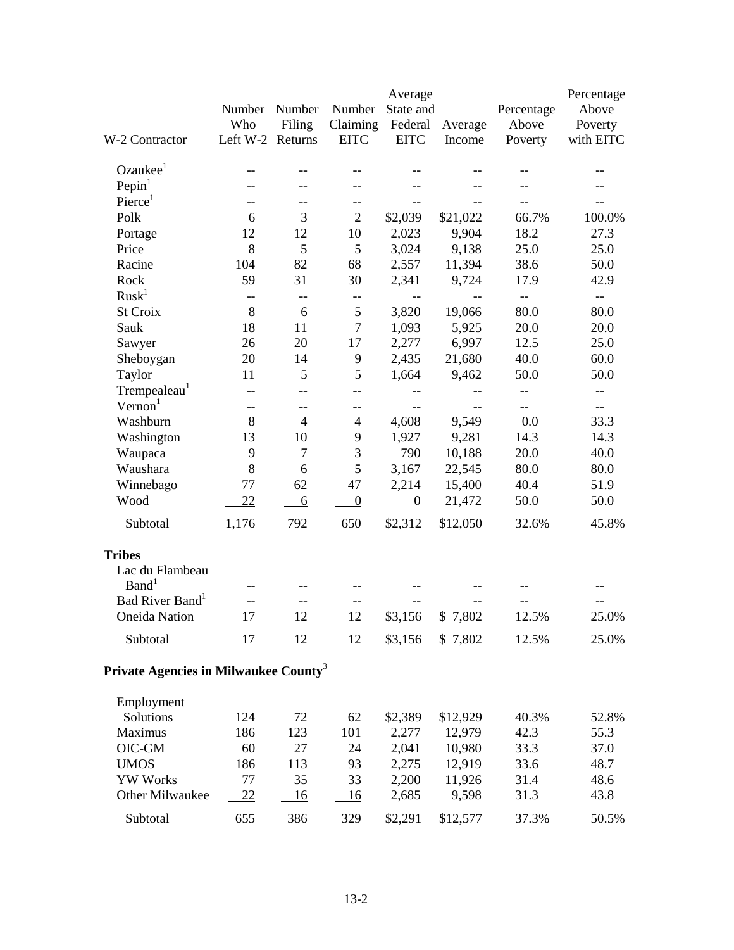|                                                   |            |                |                  | Average          |                                                     |                | Percentage               |
|---------------------------------------------------|------------|----------------|------------------|------------------|-----------------------------------------------------|----------------|--------------------------|
|                                                   | Number     | Number         | Number           | State and        |                                                     | Percentage     | Above                    |
|                                                   | Who        | Filing         | Claiming         | Federal          | Average                                             | Above          | Poverty                  |
| W-2 Contractor                                    | Left $W-2$ | Returns        | <b>EITC</b>      | <b>EITC</b>      | Income                                              | <b>Poverty</b> | with EITC                |
| Ozaukee <sup>1</sup>                              |            |                |                  |                  |                                                     |                |                          |
| Pepin <sup>1</sup>                                | --         |                | --               |                  |                                                     |                |                          |
| $P \text{icrce}^1$                                | --         |                | --               | --               |                                                     |                | $-$                      |
| Polk                                              | 6          | 3              | $\overline{2}$   | \$2,039          | \$21,022                                            | 66.7%          | 100.0%                   |
| Portage                                           | 12         | 12             | 10               | 2,023            | 9,904                                               | 18.2           | 27.3                     |
| Price                                             | 8          | 5              | $\mathfrak{S}$   | 3,024            | 9,138                                               | 25.0           | 25.0                     |
| Racine                                            | 104        | 82             | 68               | 2,557            | 11,394                                              | 38.6           | 50.0                     |
| Rock                                              | 59         | 31             | 30               | 2,341            | 9,724                                               | 17.9           | 42.9                     |
| Rusk <sup>1</sup>                                 | $-$        | --             | $-\!$ $\!-$      |                  |                                                     | --             | $\overline{\phantom{a}}$ |
| St Croix                                          | 8          | 6              | $\mathfrak s$    | 3,820            | 19,066                                              | 80.0           | 80.0                     |
| Sauk                                              | 18         | 11             | $\tau$           | 1,093            | 5,925                                               | 20.0           | 20.0                     |
| Sawyer                                            | 26         | 20             | 17               | 2,277            | 6,997                                               | 12.5           | 25.0                     |
| Sheboygan                                         | 20         | 14             | 9                | 2,435            | 21,680                                              | 40.0           | 60.0                     |
| Taylor                                            | 11         | 5              | 5                | 1,664            | 9,462                                               | 50.0           | 50.0                     |
| Trempealeau <sup>1</sup>                          | --         | --             | --               |                  | $-\,-$                                              | --             | --                       |
| Vernon <sup>1</sup>                               | $- -$      | --             | --               | $-$              | $\hspace{0.05cm} -\hspace{0.05cm} -\hspace{0.05cm}$ | $-$            | $- -$                    |
| Washburn                                          | 8          | $\overline{4}$ | $\overline{4}$   | 4,608            | 9,549                                               | 0.0            | 33.3                     |
| Washington                                        | 13         | 10             | 9                | 1,927            | 9,281                                               | 14.3           | 14.3                     |
| Waupaca                                           | 9          | $\tau$         | 3                | 790              | 10,188                                              | 20.0           | 40.0                     |
| Waushara                                          | 8          | 6              | 5                | 3,167            | 22,545                                              | 80.0           | 80.0                     |
| Winnebago                                         | 77         | 62             | 47               | 2,214            | 15,400                                              | 40.4           | 51.9                     |
| Wood                                              | 22         | 6              | $\boldsymbol{0}$ | $\boldsymbol{0}$ | 21,472                                              | 50.0           | 50.0                     |
| Subtotal                                          | 1,176      | 792            | 650              | \$2,312          | \$12,050                                            | 32.6%          | 45.8%                    |
| <b>Tribes</b>                                     |            |                |                  |                  |                                                     |                |                          |
| Lac du Flambeau                                   |            |                |                  |                  |                                                     |                |                          |
| Band <sup>1</sup>                                 |            |                |                  |                  |                                                     |                |                          |
| Bad River Band <sup>1</sup>                       |            |                | --               |                  |                                                     |                |                          |
| <b>Oneida Nation</b>                              | 17         | 12             | 12               | \$3,156          | \$7,802                                             | 12.5%          | 25.0%                    |
| Subtotal                                          | 17         | 12             | 12               | \$3,156          | \$7,802                                             | 12.5%          | 25.0%                    |
| Private Agencies in Milwaukee County <sup>3</sup> |            |                |                  |                  |                                                     |                |                          |
| Employment                                        |            |                |                  |                  |                                                     |                |                          |
| Solutions                                         | 124        | 72             | 62               | \$2,389          | \$12,929                                            | 40.3%          | 52.8%                    |
| Maximus                                           | 186        | 123            | 101              | 2,277            | 12,979                                              | 42.3           | 55.3                     |
| OIC-GM                                            | 60         | 27             | 24               | 2,041            | 10,980                                              | 33.3           | 37.0                     |
| <b>UMOS</b>                                       | 186        | 113            | 93               | 2,275            | 12,919                                              | 33.6           | 48.7                     |
| <b>YW Works</b>                                   | 77         | 35             | 33               | 2,200            | 11,926                                              | 31.4           | 48.6                     |
| Other Milwaukee                                   | <u>22</u>  | 16             | 16               | 2,685            | 9,598                                               | 31.3           | 43.8                     |
| Subtotal                                          | 655        | 386            | 329              | \$2,291          | \$12,577                                            | 37.3%          | 50.5%                    |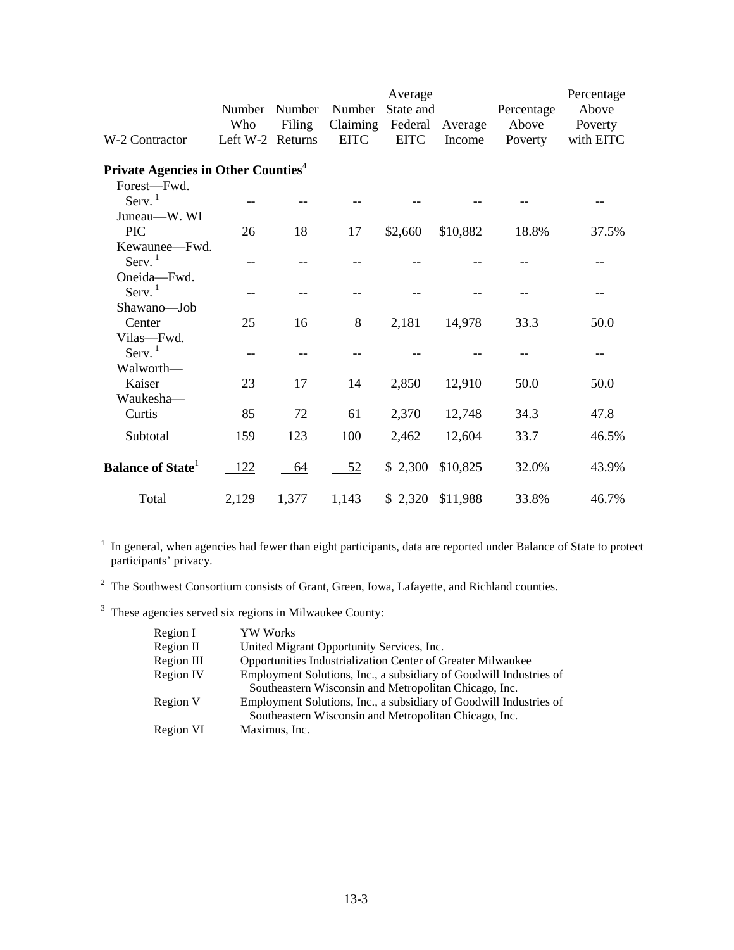| W-2 Contractor                                  | Number<br>Who<br>Left W-2 Returns | Number<br>Filing | Number<br>Claiming<br><b>EITC</b> | Average<br>State and<br>Federal<br><b>EITC</b> | Average<br>Income | Percentage<br>Above<br>Poverty | Percentage<br>Above<br>Poverty<br>with EITC |
|-------------------------------------------------|-----------------------------------|------------------|-----------------------------------|------------------------------------------------|-------------------|--------------------------------|---------------------------------------------|
| Private Agencies in Other Counties <sup>4</sup> |                                   |                  |                                   |                                                |                   |                                |                                             |
| Forest-Fwd.                                     |                                   |                  |                                   |                                                |                   |                                |                                             |
| Serv. $1$                                       |                                   |                  |                                   |                                                |                   |                                |                                             |
| Juneau—W. WI                                    |                                   |                  |                                   |                                                |                   |                                |                                             |
| <b>PIC</b>                                      | 26                                | 18               | 17                                | \$2,660                                        | \$10,882          | 18.8%                          | 37.5%                                       |
| Kewaunee-Fwd.                                   |                                   |                  |                                   |                                                |                   |                                |                                             |
| Serv. <sup>1</sup>                              |                                   | $-$              |                                   |                                                |                   |                                |                                             |
| Oneida-Fwd.                                     |                                   |                  |                                   |                                                |                   |                                |                                             |
| Serv. $1$                                       |                                   | $-$              |                                   |                                                |                   |                                |                                             |
| Shawano—Job                                     |                                   |                  |                                   |                                                |                   |                                |                                             |
| Center                                          | 25                                | 16               | 8                                 | 2,181                                          | 14,978            | 33.3                           | 50.0                                        |
| Vilas-Fwd.                                      |                                   |                  |                                   |                                                |                   |                                |                                             |
| Serv. $1$                                       | --                                |                  |                                   |                                                |                   |                                |                                             |
| Walworth—                                       |                                   |                  |                                   |                                                |                   |                                |                                             |
| Kaiser                                          | 23                                | 17               | 14                                | 2,850                                          | 12,910            | 50.0                           | 50.0                                        |
| Waukesha-                                       |                                   |                  |                                   |                                                |                   |                                |                                             |
| Curtis                                          | 85                                | 72               | 61                                | 2,370                                          | 12,748            | 34.3                           | 47.8                                        |
| Subtotal                                        | 159                               | 123              | 100                               | 2,462                                          | 12,604            | 33.7                           | 46.5%                                       |
| <b>Balance of State</b>                         | 122                               | 64               | 52                                | \$2,300                                        | \$10,825          | 32.0%                          | 43.9%                                       |
| Total                                           | 2,129                             | 1,377            | 1,143                             | \$2,320                                        | \$11,988          | 33.8%                          | 46.7%                                       |

<sup>1</sup> In general, when agencies had fewer than eight participants, data are reported under Balance of State to protect participants' privacy.

<sup>2</sup> The Southwest Consortium consists of Grant, Green, Iowa, Lafayette, and Richland counties.

<sup>3</sup> These agencies served six regions in Milwaukee County:

| Region I   | <b>YW</b> Works                                                    |
|------------|--------------------------------------------------------------------|
| Region II  | United Migrant Opportunity Services, Inc.                          |
| Region III | Opportunities Industrialization Center of Greater Milwaukee        |
| Region IV  | Employment Solutions, Inc., a subsidiary of Goodwill Industries of |
|            | Southeastern Wisconsin and Metropolitan Chicago, Inc.              |
| Region V   | Employment Solutions, Inc., a subsidiary of Goodwill Industries of |
|            | Southeastern Wisconsin and Metropolitan Chicago, Inc.              |
| Region VI  | Maximus, Inc.                                                      |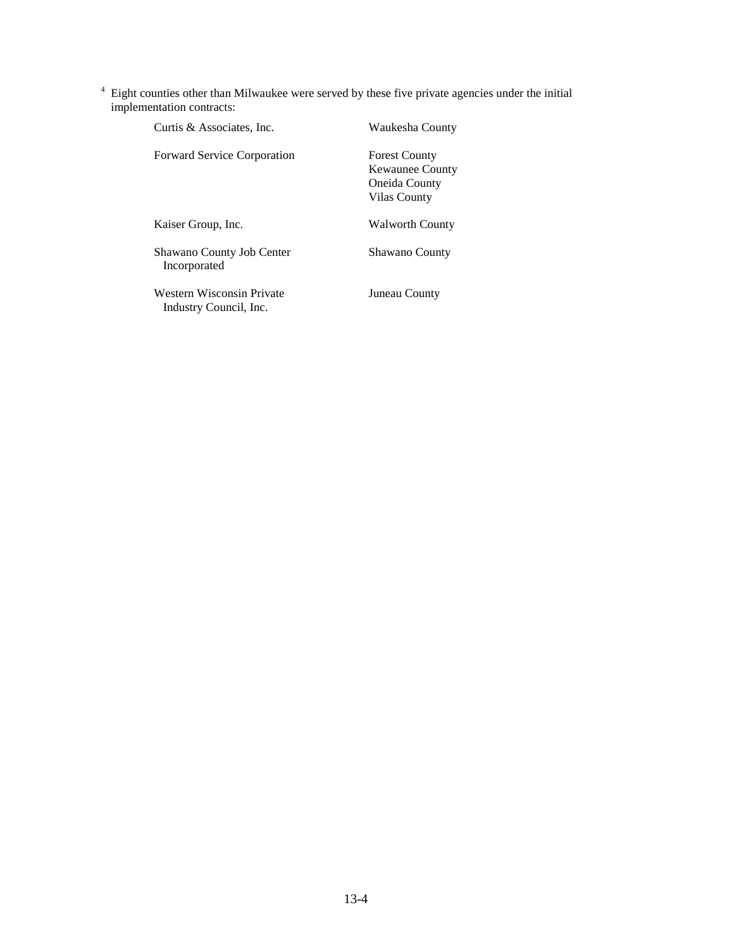$4$  Eight counties other than Milwaukee were served by these five private agencies under the initial implementation contracts:

| Curtis & Associates, Inc.                           | Waukesha County                                                                 |
|-----------------------------------------------------|---------------------------------------------------------------------------------|
| <b>Forward Service Corporation</b>                  | <b>Forest County</b><br><b>Kewaunee County</b><br>Oneida County<br>Vilas County |
| Kaiser Group, Inc.                                  | <b>Walworth County</b>                                                          |
| Shawano County Job Center<br>Incorporated           | <b>Shawano County</b>                                                           |
| Western Wisconsin Private<br>Industry Council, Inc. | Juneau County                                                                   |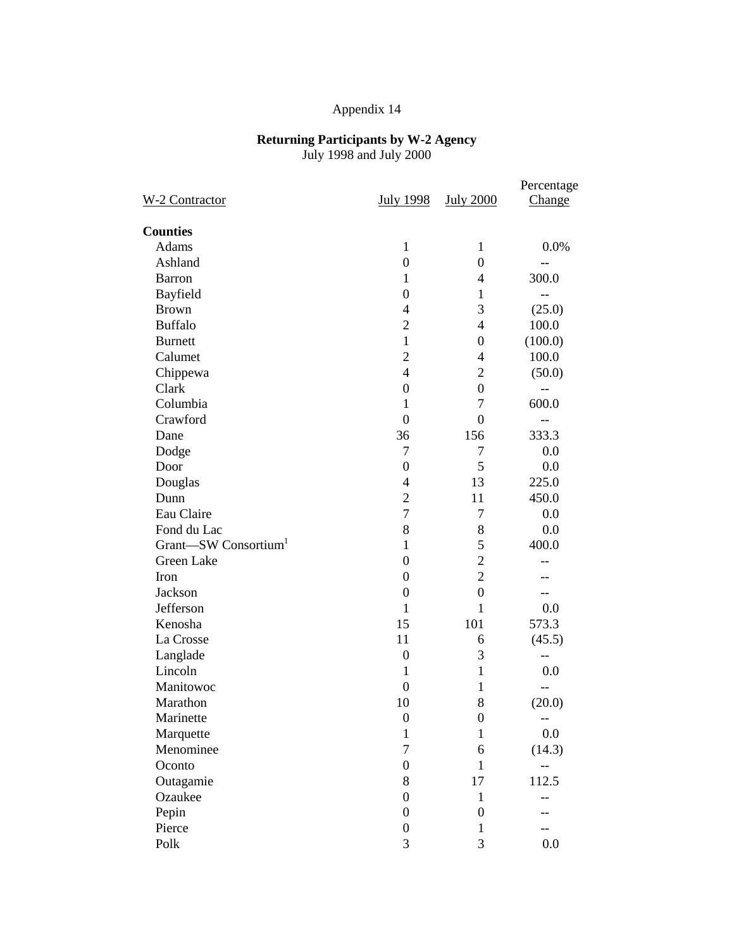#### **Returning Participants by W-2 Agency** July 1998 and July 2000

|                                  |                  |                  | Percentage |
|----------------------------------|------------------|------------------|------------|
| W-2 Contractor                   | <b>July 1998</b> | <b>July 2000</b> | Change     |
| <b>Counties</b>                  |                  |                  |            |
| Adams                            | $\mathbf{1}$     | 1                | 0.0%       |
| Ashland                          | $\boldsymbol{0}$ | $\overline{0}$   | --         |
| <b>Barron</b>                    | 1                | $\overline{4}$   | 300.0      |
| Bayfield                         | $\boldsymbol{0}$ | 1                | $-$        |
| <b>Brown</b>                     | 4                | 3                | (25.0)     |
| <b>Buffalo</b>                   | $\overline{2}$   | $\overline{4}$   | 100.0      |
| <b>Burnett</b>                   | $\mathbf{1}$     | $\overline{0}$   | (100.0)    |
| Calumet                          | $\overline{2}$   | $\overline{4}$   | 100.0      |
| Chippewa                         | $\overline{4}$   | $\overline{2}$   | (50.0)     |
| Clark                            | $\boldsymbol{0}$ | $\mathbf{0}$     |            |
| Columbia                         | $\mathbf{1}$     | 7                | 600.0      |
| Crawford                         | $\mathbf{0}$     | $\overline{0}$   | $-$        |
| Dane                             | 36               | 156              | 333.3      |
| Dodge                            | 7                | 7                | 0.0        |
| Door                             | $\boldsymbol{0}$ | 5                | 0.0        |
| Douglas                          | 4                | 13               | 225.0      |
| Dunn                             | $\overline{2}$   | 11               | 450.0      |
| Eau Claire                       | $\overline{7}$   | $\overline{7}$   | 0.0        |
| Fond du Lac                      | 8                | 8                | 0.0        |
| Grant-SW Consortium <sup>1</sup> | $\mathbf{1}$     | 5                | 400.0      |
| Green Lake                       | $\overline{0}$   | $\overline{c}$   |            |
| Iron                             | $\overline{0}$   | $\overline{2}$   |            |
| Jackson                          | $\boldsymbol{0}$ | $\boldsymbol{0}$ | $-$        |
| Jefferson                        | $\mathbf{1}$     | $\mathbf{1}$     | 0.0        |
| Kenosha                          | 15               | 101              | 573.3      |
| La Crosse                        | 11               | 6                | (45.5)     |
| Langlade                         | $\boldsymbol{0}$ | 3                | --         |
| Lincoln                          | $\mathbf{1}$     | $\mathbf{1}$     | 0.0        |
| Manitowoc                        | $\boldsymbol{0}$ | 1                | --         |
| Marathon                         | 10               | 8                | (20.0)     |
| Marinette                        | $\boldsymbol{0}$ | $\boldsymbol{0}$ | --         |
| Marquette                        | $\mathbf{1}$     | $\mathbf{1}$     | 0.0        |
| Menominee                        | 7                | 6                | (14.3)     |
| Oconto                           | $\boldsymbol{0}$ | $\mathbf{1}$     |            |
| Outagamie                        | 8                | 17               | 112.5      |
| Ozaukee                          | $\boldsymbol{0}$ | 1                |            |
| Pepin                            | $\boldsymbol{0}$ | $\boldsymbol{0}$ |            |
| Pierce                           | $\boldsymbol{0}$ | 1                |            |
| Polk                             | 3                | 3                | 0.0        |
|                                  |                  |                  |            |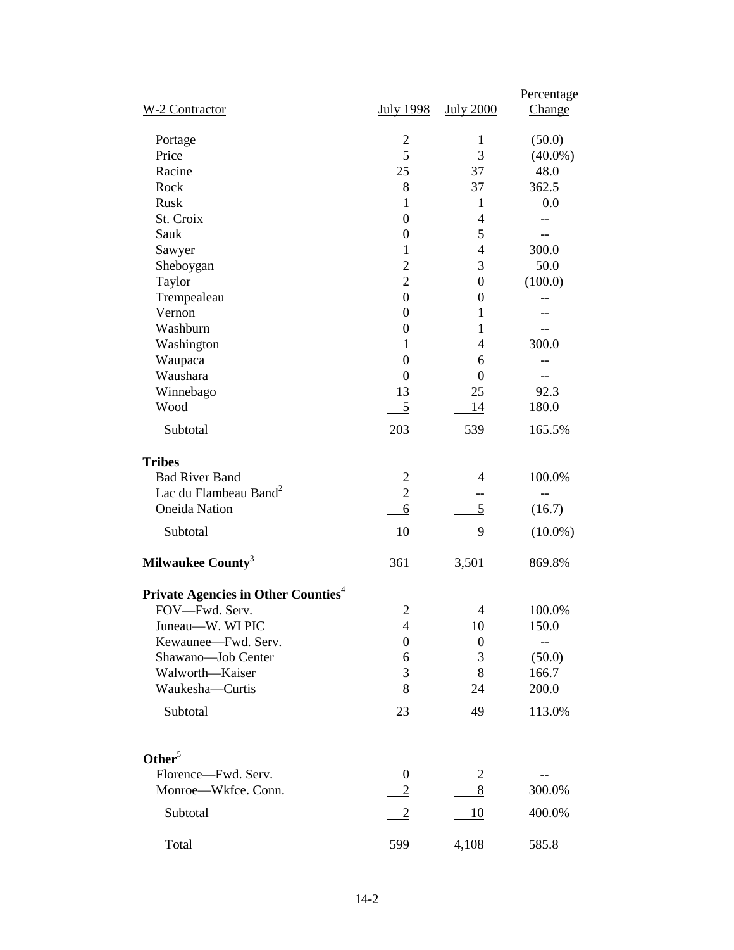| W-2 Contractor                                         | <b>July 1998</b> | <b>July 2000</b> | Percentage<br><b>Change</b> |
|--------------------------------------------------------|------------------|------------------|-----------------------------|
| Portage                                                | 2                | 1                | (50.0)                      |
| Price                                                  | 5                | 3                | $(40.0\%)$                  |
| Racine                                                 | 25               | 37               | 48.0                        |
| Rock                                                   | 8                | 37               | 362.5                       |
| Rusk                                                   | 1                | 1                | 0.0                         |
| St. Croix                                              | $\overline{0}$   | $\overline{4}$   |                             |
| Sauk                                                   | $\boldsymbol{0}$ | 5                |                             |
| Sawyer                                                 | 1                | $\overline{4}$   | 300.0                       |
| Sheboygan                                              | $\overline{c}$   | 3                | 50.0                        |
| Taylor                                                 | $\overline{c}$   | $\boldsymbol{0}$ | (100.0)                     |
| Trempealeau                                            | $\overline{0}$   | 0                |                             |
| Vernon                                                 | $\boldsymbol{0}$ | 1                |                             |
| Washburn                                               |                  |                  |                             |
|                                                        | $\boldsymbol{0}$ | 1                | 300.0                       |
| Washington                                             | 1                | 4                |                             |
| Waupaca                                                | $\boldsymbol{0}$ | 6                |                             |
| Waushara                                               | $\theta$         | $\Omega$         |                             |
| Winnebago                                              | 13               | 25               | 92.3                        |
| Wood                                                   | 5                | 14               | 180.0                       |
| Subtotal                                               | 203              | 539              | 165.5%                      |
| <b>Tribes</b>                                          |                  |                  |                             |
| <b>Bad River Band</b>                                  | 2                | 4                | 100.0%                      |
| Lac du Flambeau Band <sup>2</sup>                      | $\overline{2}$   | --               |                             |
| <b>Oneida Nation</b>                                   | 6                | 5                | (16.7)                      |
|                                                        |                  |                  |                             |
| Subtotal                                               | 10               | 9                | $(10.0\%)$                  |
| Milwaukee County <sup>3</sup>                          | 361              | 3,501            | 869.8%                      |
| <b>Private Agencies in Other Counties</b> <sup>4</sup> |                  |                  |                             |
| FOV-Fwd. Serv.                                         | $\overline{2}$   | $\overline{4}$   | 100.0%                      |
| Juneau-W. WI PIC                                       | 4                | 10               | 150.0                       |
| Kewaunee-Fwd. Serv.                                    | 0                | $\boldsymbol{0}$ |                             |
| Shawano-Job Center                                     | 6                | 3                | (50.0)                      |
| Walworth-Kaiser                                        | 3                | 8                | 166.7                       |
| Waukesha-Curtis                                        | $8\,$            | 24               | 200.0                       |
|                                                        |                  |                  |                             |
| Subtotal                                               | 23               | 49               | 113.0%                      |
| Other $5$                                              |                  |                  |                             |
| Florence-Fwd. Serv.                                    | $\boldsymbol{0}$ | $\overline{c}$   |                             |
| Monroe-Wkfce. Conn.                                    | $\overline{2}$   | 8                | 300.0%                      |
|                                                        |                  |                  |                             |
| Subtotal                                               | $\frac{2}{2}$    | 10               | 400.0%                      |
| Total                                                  | 599              | 4,108            | 585.8                       |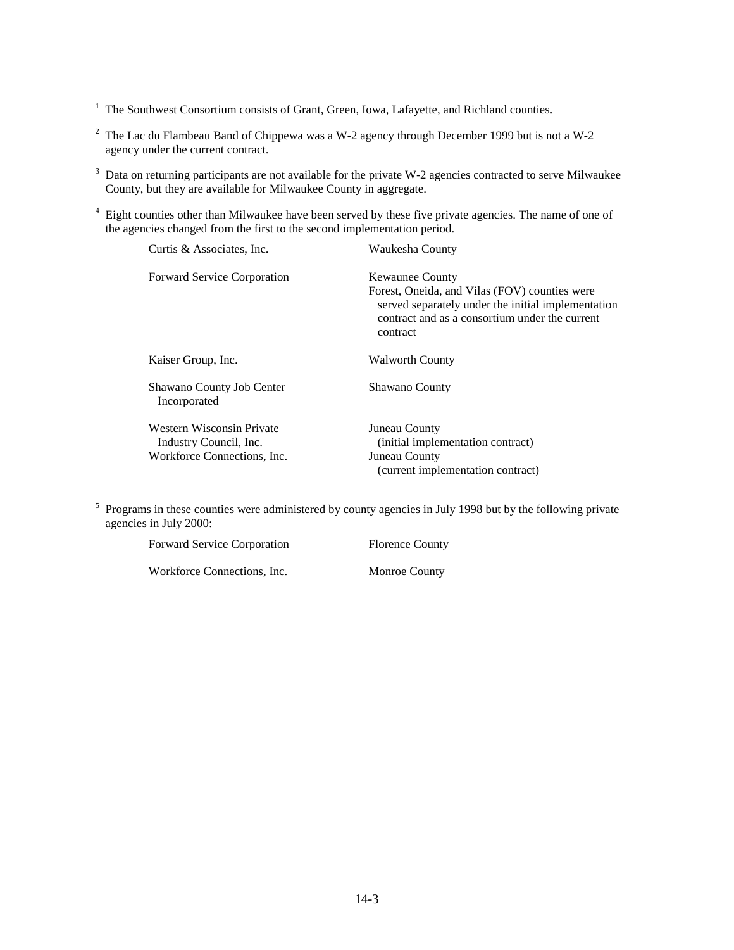- <sup>2</sup> The Lac du Flambeau Band of Chippewa was a W-2 agency through December 1999 but is not a W-2 agency under the current contract.
- <sup>3</sup> Data on returning participants are not available for the private W-2 agencies contracted to serve Milwaukee County, but they are available for Milwaukee County in aggregate.
- <sup>4</sup> Eight counties other than Milwaukee have been served by these five private agencies. The name of one of the agencies changed from the first to the second implementation period.

| Curtis & Associates, Inc.                                                          | Waukesha County                                                                                                                                                                             |
|------------------------------------------------------------------------------------|---------------------------------------------------------------------------------------------------------------------------------------------------------------------------------------------|
| <b>Forward Service Corporation</b>                                                 | <b>Kewaunee County</b><br>Forest, Oneida, and Vilas (FOV) counties were<br>served separately under the initial implementation<br>contract and as a consortium under the current<br>contract |
| Kaiser Group, Inc.                                                                 | <b>Walworth County</b>                                                                                                                                                                      |
| Shawano County Job Center<br>Incorporated                                          | <b>Shawano County</b>                                                                                                                                                                       |
| Western Wisconsin Private<br>Industry Council, Inc.<br>Workforce Connections, Inc. | Juneau County<br>(initial implementation contract)<br>Juneau County                                                                                                                         |
|                                                                                    | (current implementation contract)                                                                                                                                                           |

<sup>5</sup> Programs in these counties were administered by county agencies in July 1998 but by the following private agencies in July 2000:

| <b>Forward Service Corporation</b> | <b>Florence County</b> |
|------------------------------------|------------------------|
| Workforce Connections, Inc.        | <b>Monroe County</b>   |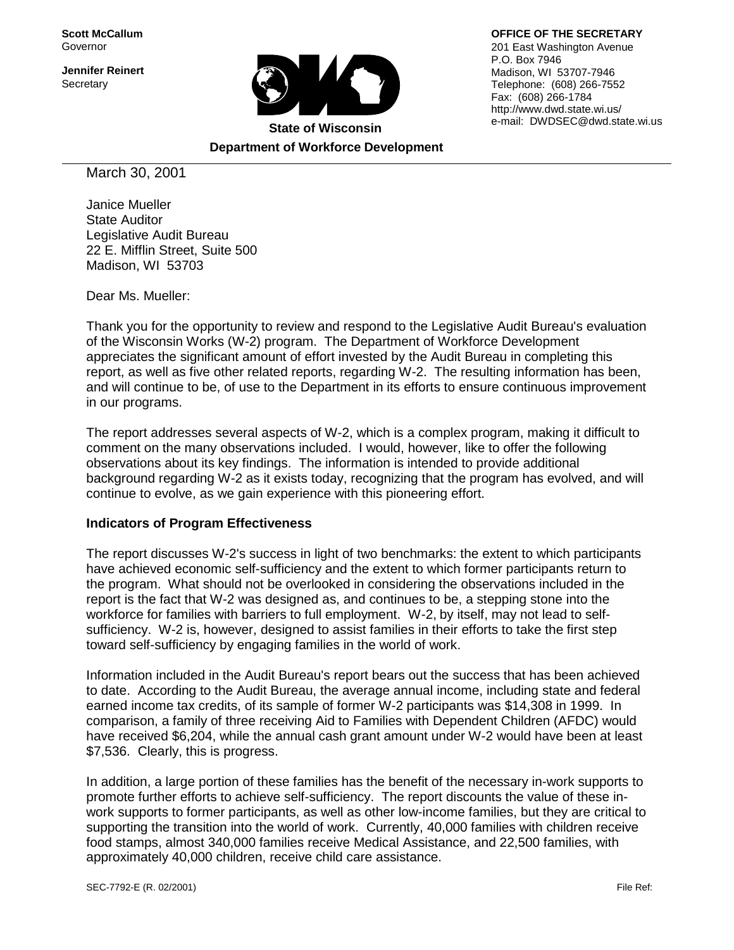**Scott McCallum** Governor

**Jennifer Reinert Secretary** 



**Department of Workforce Development**

201 East Washington Avenue P.O. Box 7946 Madison, WI 53707-7946 Telephone: (608) 266-7552

**OFFICE OF THE SECRETARY**

Fax: (608) 266-1784 http://www.dwd.state.wi.us/ e-mail: DWDSEC@dwd.state.wi.us

March 30, 2001

Janice Mueller State Auditor Legislative Audit Bureau 22 E. Mifflin Street, Suite 500 Madison, WI 53703

Dear Ms. Mueller:

Thank you for the opportunity to review and respond to the Legislative Audit Bureau's evaluation of the Wisconsin Works (W-2) program. The Department of Workforce Development appreciates the significant amount of effort invested by the Audit Bureau in completing this report, as well as five other related reports, regarding W-2. The resulting information has been, and will continue to be, of use to the Department in its efforts to ensure continuous improvement in our programs.

The report addresses several aspects of W-2, which is a complex program, making it difficult to comment on the many observations included. I would, however, like to offer the following observations about its key findings. The information is intended to provide additional background regarding W-2 as it exists today, recognizing that the program has evolved, and will continue to evolve, as we gain experience with this pioneering effort.

#### **Indicators of Program Effectiveness**

The report discusses W-2's success in light of two benchmarks: the extent to which participants have achieved economic self-sufficiency and the extent to which former participants return to the program. What should not be overlooked in considering the observations included in the report is the fact that W-2 was designed as, and continues to be, a stepping stone into the workforce for families with barriers to full employment. W-2, by itself, may not lead to selfsufficiency. W-2 is, however, designed to assist families in their efforts to take the first step toward self-sufficiency by engaging families in the world of work.

Information included in the Audit Bureau's report bears out the success that has been achieved to date. According to the Audit Bureau, the average annual income, including state and federal earned income tax credits, of its sample of former W-2 participants was \$14,308 in 1999. In comparison, a family of three receiving Aid to Families with Dependent Children (AFDC) would have received \$6,204, while the annual cash grant amount under W-2 would have been at least \$7,536. Clearly, this is progress.

In addition, a large portion of these families has the benefit of the necessary in-work supports to promote further efforts to achieve self-sufficiency. The report discounts the value of these inwork supports to former participants, as well as other low-income families, but they are critical to supporting the transition into the world of work. Currently, 40,000 families with children receive food stamps, almost 340,000 families receive Medical Assistance, and 22,500 families, with approximately 40,000 children, receive child care assistance.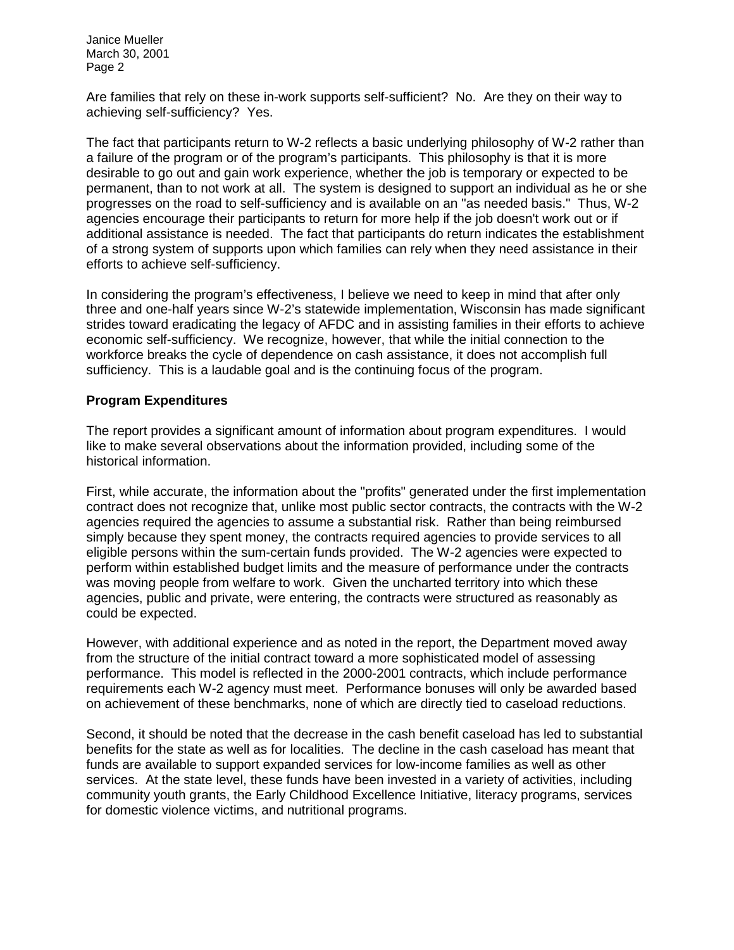Are families that rely on these in-work supports self-sufficient? No. Are they on their way to achieving self-sufficiency? Yes.

The fact that participants return to W-2 reflects a basic underlying philosophy of W-2 rather than a failure of the program or of the program's participants. This philosophy is that it is more desirable to go out and gain work experience, whether the job is temporary or expected to be permanent, than to not work at all. The system is designed to support an individual as he or she progresses on the road to self-sufficiency and is available on an "as needed basis." Thus, W-2 agencies encourage their participants to return for more help if the job doesn't work out or if additional assistance is needed. The fact that participants do return indicates the establishment of a strong system of supports upon which families can rely when they need assistance in their efforts to achieve self-sufficiency.

In considering the program's effectiveness, I believe we need to keep in mind that after only three and one-half years since W-2's statewide implementation, Wisconsin has made significant strides toward eradicating the legacy of AFDC and in assisting families in their efforts to achieve economic self-sufficiency. We recognize, however, that while the initial connection to the workforce breaks the cycle of dependence on cash assistance, it does not accomplish full sufficiency. This is a laudable goal and is the continuing focus of the program.

# **Program Expenditures**

The report provides a significant amount of information about program expenditures. I would like to make several observations about the information provided, including some of the historical information.

First, while accurate, the information about the "profits" generated under the first implementation contract does not recognize that, unlike most public sector contracts, the contracts with the W-2 agencies required the agencies to assume a substantial risk. Rather than being reimbursed simply because they spent money, the contracts required agencies to provide services to all eligible persons within the sum-certain funds provided. The W-2 agencies were expected to perform within established budget limits and the measure of performance under the contracts was moving people from welfare to work. Given the uncharted territory into which these agencies, public and private, were entering, the contracts were structured as reasonably as could be expected.

However, with additional experience and as noted in the report, the Department moved away from the structure of the initial contract toward a more sophisticated model of assessing performance. This model is reflected in the 2000-2001 contracts, which include performance requirements each W-2 agency must meet. Performance bonuses will only be awarded based on achievement of these benchmarks, none of which are directly tied to caseload reductions.

Second, it should be noted that the decrease in the cash benefit caseload has led to substantial benefits for the state as well as for localities. The decline in the cash caseload has meant that funds are available to support expanded services for low-income families as well as other services. At the state level, these funds have been invested in a variety of activities, including community youth grants, the Early Childhood Excellence Initiative, literacy programs, services for domestic violence victims, and nutritional programs.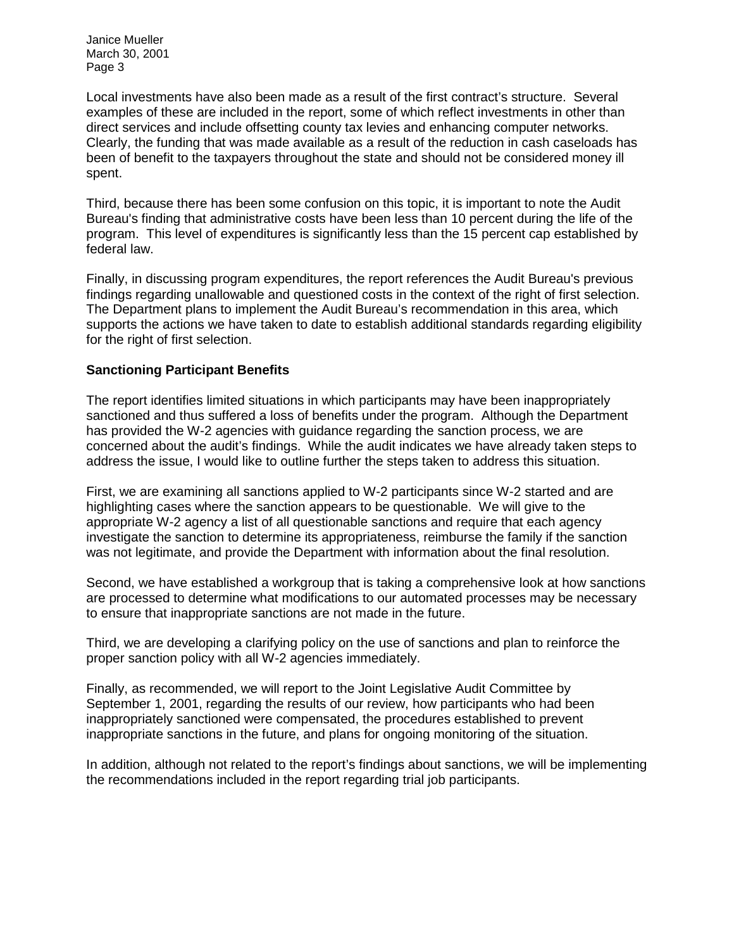Local investments have also been made as a result of the first contract's structure. Several examples of these are included in the report, some of which reflect investments in other than direct services and include offsetting county tax levies and enhancing computer networks. Clearly, the funding that was made available as a result of the reduction in cash caseloads has been of benefit to the taxpayers throughout the state and should not be considered money ill spent.

Third, because there has been some confusion on this topic, it is important to note the Audit Bureau's finding that administrative costs have been less than 10 percent during the life of the program. This level of expenditures is significantly less than the 15 percent cap established by federal law.

Finally, in discussing program expenditures, the report references the Audit Bureau's previous findings regarding unallowable and questioned costs in the context of the right of first selection. The Department plans to implement the Audit Bureau's recommendation in this area, which supports the actions we have taken to date to establish additional standards regarding eligibility for the right of first selection.

#### **Sanctioning Participant Benefits**

The report identifies limited situations in which participants may have been inappropriately sanctioned and thus suffered a loss of benefits under the program. Although the Department has provided the W-2 agencies with guidance regarding the sanction process, we are concerned about the audit's findings. While the audit indicates we have already taken steps to address the issue, I would like to outline further the steps taken to address this situation.

First, we are examining all sanctions applied to W-2 participants since W-2 started and are highlighting cases where the sanction appears to be questionable. We will give to the appropriate W-2 agency a list of all questionable sanctions and require that each agency investigate the sanction to determine its appropriateness, reimburse the family if the sanction was not legitimate, and provide the Department with information about the final resolution.

Second, we have established a workgroup that is taking a comprehensive look at how sanctions are processed to determine what modifications to our automated processes may be necessary to ensure that inappropriate sanctions are not made in the future.

Third, we are developing a clarifying policy on the use of sanctions and plan to reinforce the proper sanction policy with all W-2 agencies immediately.

Finally, as recommended, we will report to the Joint Legislative Audit Committee by September 1, 2001, regarding the results of our review, how participants who had been inappropriately sanctioned were compensated, the procedures established to prevent inappropriate sanctions in the future, and plans for ongoing monitoring of the situation.

In addition, although not related to the report's findings about sanctions, we will be implementing the recommendations included in the report regarding trial job participants.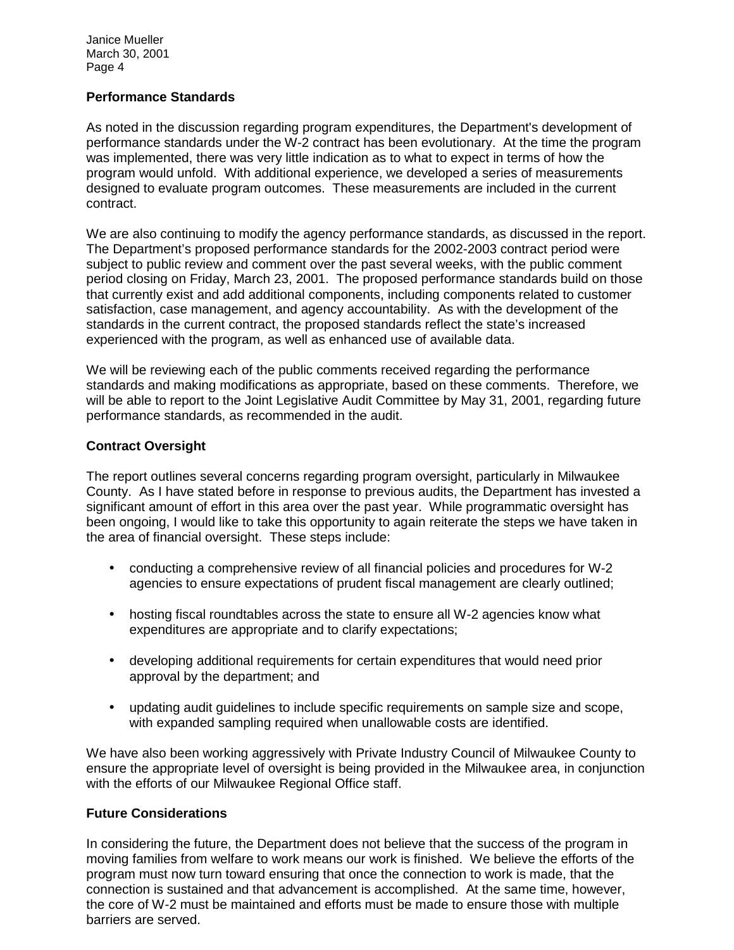#### **Performance Standards**

As noted in the discussion regarding program expenditures, the Department's development of performance standards under the W-2 contract has been evolutionary. At the time the program was implemented, there was very little indication as to what to expect in terms of how the program would unfold. With additional experience, we developed a series of measurements designed to evaluate program outcomes. These measurements are included in the current contract.

We are also continuing to modify the agency performance standards, as discussed in the report. The Department's proposed performance standards for the 2002-2003 contract period were subject to public review and comment over the past several weeks, with the public comment period closing on Friday, March 23, 2001. The proposed performance standards build on those that currently exist and add additional components, including components related to customer satisfaction, case management, and agency accountability. As with the development of the standards in the current contract, the proposed standards reflect the state's increased experienced with the program, as well as enhanced use of available data.

We will be reviewing each of the public comments received regarding the performance standards and making modifications as appropriate, based on these comments. Therefore, we will be able to report to the Joint Legislative Audit Committee by May 31, 2001, regarding future performance standards, as recommended in the audit.

## **Contract Oversight**

The report outlines several concerns regarding program oversight, particularly in Milwaukee County. As I have stated before in response to previous audits, the Department has invested a significant amount of effort in this area over the past year. While programmatic oversight has been ongoing, I would like to take this opportunity to again reiterate the steps we have taken in the area of financial oversight. These steps include:

- conducting a comprehensive review of all financial policies and procedures for W-2 agencies to ensure expectations of prudent fiscal management are clearly outlined;
- hosting fiscal roundtables across the state to ensure all W-2 agencies know what expenditures are appropriate and to clarify expectations;
- developing additional requirements for certain expenditures that would need prior approval by the department; and
- updating audit guidelines to include specific requirements on sample size and scope, with expanded sampling required when unallowable costs are identified.

We have also been working aggressively with Private Industry Council of Milwaukee County to ensure the appropriate level of oversight is being provided in the Milwaukee area, in conjunction with the efforts of our Milwaukee Regional Office staff.

### **Future Considerations**

In considering the future, the Department does not believe that the success of the program in moving families from welfare to work means our work is finished. We believe the efforts of the program must now turn toward ensuring that once the connection to work is made, that the connection is sustained and that advancement is accomplished. At the same time, however, the core of W-2 must be maintained and efforts must be made to ensure those with multiple barriers are served.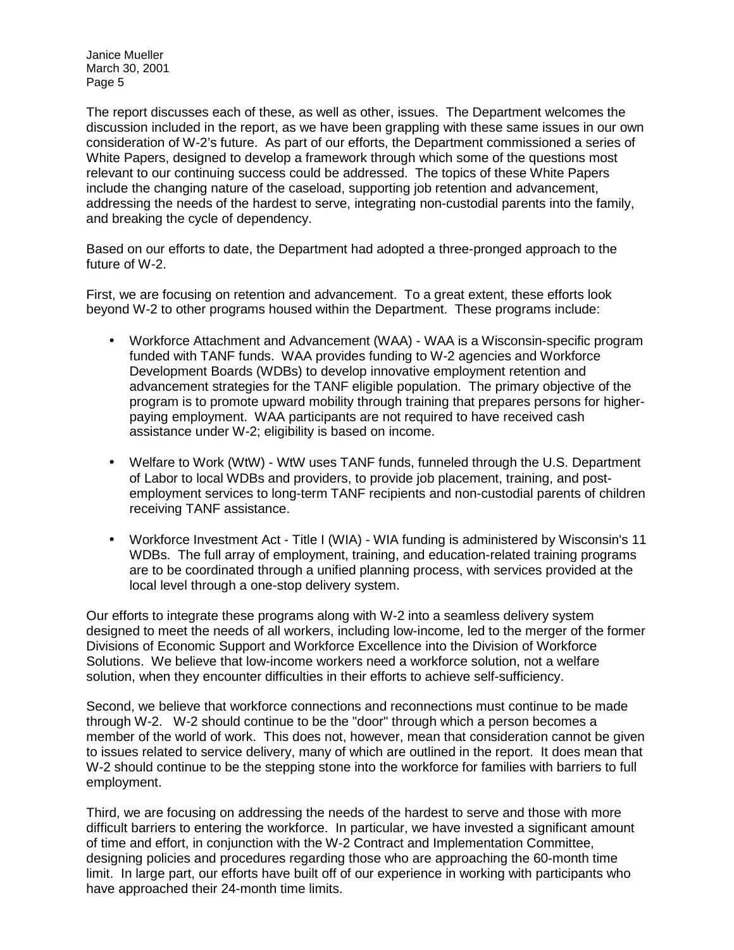The report discusses each of these, as well as other, issues. The Department welcomes the discussion included in the report, as we have been grappling with these same issues in our own consideration of W-2's future. As part of our efforts, the Department commissioned a series of White Papers, designed to develop a framework through which some of the questions most relevant to our continuing success could be addressed. The topics of these White Papers include the changing nature of the caseload, supporting job retention and advancement, addressing the needs of the hardest to serve, integrating non-custodial parents into the family, and breaking the cycle of dependency.

Based on our efforts to date, the Department had adopted a three-pronged approach to the future of W-2.

First, we are focusing on retention and advancement. To a great extent, these efforts look beyond W-2 to other programs housed within the Department. These programs include:

- Workforce Attachment and Advancement (WAA) WAA is a Wisconsin-specific program funded with TANF funds. WAA provides funding to W-2 agencies and Workforce Development Boards (WDBs) to develop innovative employment retention and advancement strategies for the TANF eligible population. The primary objective of the program is to promote upward mobility through training that prepares persons for higherpaying employment. WAA participants are not required to have received cash assistance under W-2; eligibility is based on income.
- Welfare to Work (WtW) WtW uses TANF funds, funneled through the U.S. Department of Labor to local WDBs and providers, to provide job placement, training, and postemployment services to long-term TANF recipients and non-custodial parents of children receiving TANF assistance.
- Workforce Investment Act Title I (WIA) WIA funding is administered by Wisconsin's 11 WDBs. The full array of employment, training, and education-related training programs are to be coordinated through a unified planning process, with services provided at the local level through a one-stop delivery system.

Our efforts to integrate these programs along with W-2 into a seamless delivery system designed to meet the needs of all workers, including low-income, led to the merger of the former Divisions of Economic Support and Workforce Excellence into the Division of Workforce Solutions. We believe that low-income workers need a workforce solution, not a welfare solution, when they encounter difficulties in their efforts to achieve self-sufficiency.

Second, we believe that workforce connections and reconnections must continue to be made through W-2. W-2 should continue to be the "door" through which a person becomes a member of the world of work. This does not, however, mean that consideration cannot be given to issues related to service delivery, many of which are outlined in the report. It does mean that W-2 should continue to be the stepping stone into the workforce for families with barriers to full employment.

Third, we are focusing on addressing the needs of the hardest to serve and those with more difficult barriers to entering the workforce. In particular, we have invested a significant amount of time and effort, in conjunction with the W-2 Contract and Implementation Committee, designing policies and procedures regarding those who are approaching the 60-month time limit. In large part, our efforts have built off of our experience in working with participants who have approached their 24-month time limits.